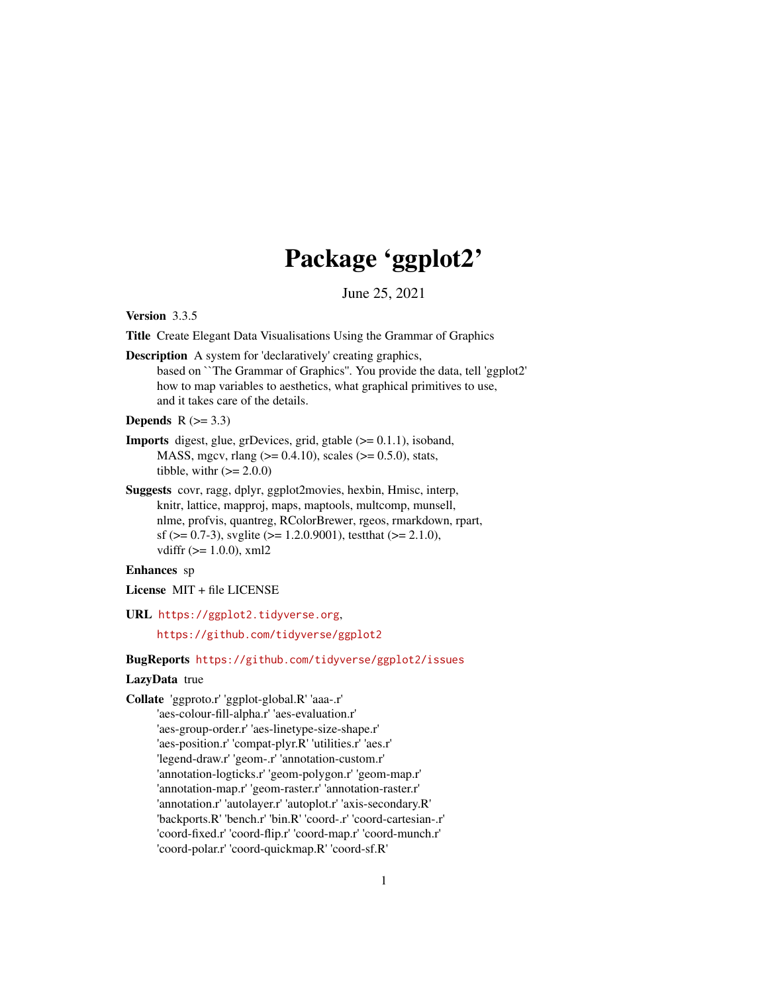# Package 'ggplot2'

June 25, 2021

<span id="page-0-0"></span>Version 3.3.5

Title Create Elegant Data Visualisations Using the Grammar of Graphics

Description A system for 'declaratively' creating graphics, based on ``The Grammar of Graphics''. You provide the data, tell 'ggplot2' how to map variables to aesthetics, what graphical primitives to use, and it takes care of the details.

### Depends  $R$  ( $> = 3.3$ )

- Imports digest, glue, grDevices, grid, gtable (>= 0.1.1), isoband, MASS, mgcv, rlang ( $>= 0.4.10$ ), scales ( $>= 0.5.0$ ), stats, tibble, with  $(>= 2.0.0)$
- Suggests covr, ragg, dplyr, ggplot2movies, hexbin, Hmisc, interp, knitr, lattice, mapproj, maps, maptools, multcomp, munsell, nlme, profvis, quantreg, RColorBrewer, rgeos, rmarkdown, rpart, sf ( $>= 0.7-3$ ), svglite ( $>= 1.2.0.9001$ ), testthat ( $>= 2.1.0$ ), vdiffr (>= 1.0.0), xml2

### Enhances sp

License MIT + file LICENSE

URL <https://ggplot2.tidyverse.org>,

<https://github.com/tidyverse/ggplot2>

### BugReports <https://github.com/tidyverse/ggplot2/issues>

### LazyData true

Collate 'ggproto.r' 'ggplot-global.R' 'aaa-.r' 'aes-colour-fill-alpha.r' 'aes-evaluation.r' 'aes-group-order.r' 'aes-linetype-size-shape.r' 'aes-position.r' 'compat-plyr.R' 'utilities.r' 'aes.r' 'legend-draw.r' 'geom-.r' 'annotation-custom.r' 'annotation-logticks.r' 'geom-polygon.r' 'geom-map.r' 'annotation-map.r' 'geom-raster.r' 'annotation-raster.r' 'annotation.r' 'autolayer.r' 'autoplot.r' 'axis-secondary.R' 'backports.R' 'bench.r' 'bin.R' 'coord-.r' 'coord-cartesian-.r' 'coord-fixed.r' 'coord-flip.r' 'coord-map.r' 'coord-munch.r' 'coord-polar.r' 'coord-quickmap.R' 'coord-sf.R'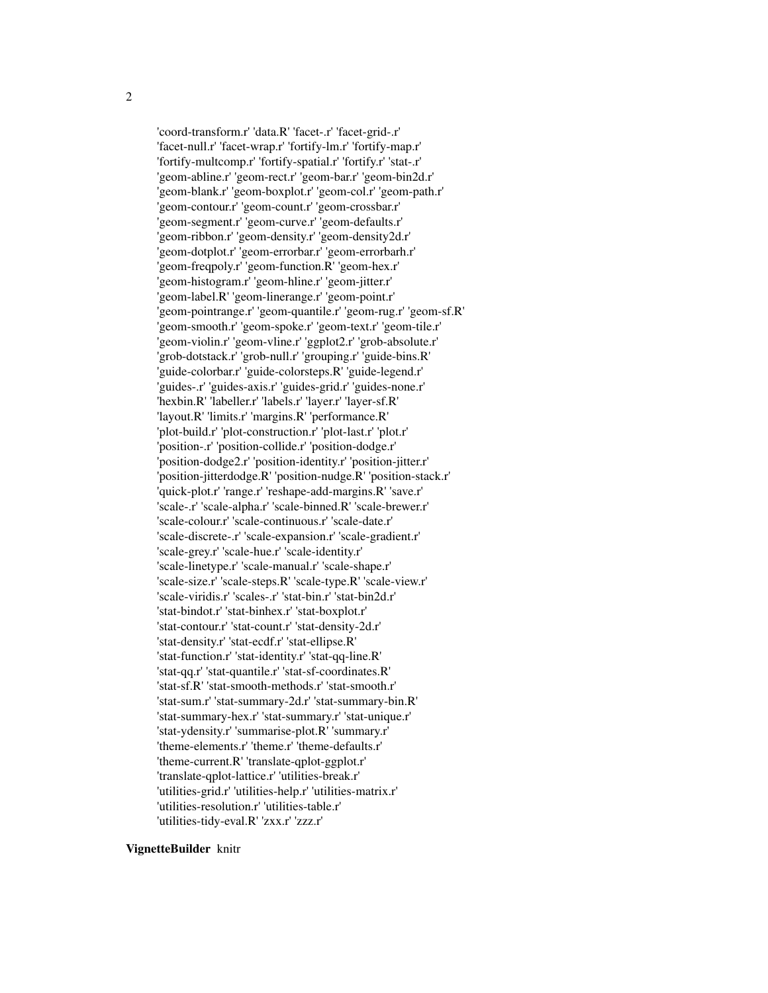'coord-transform.r' 'data.R' 'facet-.r' 'facet-grid-.r' 'facet-null.r' 'facet-wrap.r' 'fortify-lm.r' 'fortify-map.r' 'fortify-multcomp.r' 'fortify-spatial.r' 'fortify.r' 'stat-.r' 'geom-abline.r' 'geom-rect.r' 'geom-bar.r' 'geom-bin2d.r' 'geom-blank.r' 'geom-boxplot.r' 'geom-col.r' 'geom-path.r' 'geom-contour.r' 'geom-count.r' 'geom-crossbar.r' 'geom-segment.r' 'geom-curve.r' 'geom-defaults.r' 'geom-ribbon.r' 'geom-density.r' 'geom-density2d.r' 'geom-dotplot.r' 'geom-errorbar.r' 'geom-errorbarh.r' 'geom-freqpoly.r' 'geom-function.R' 'geom-hex.r' 'geom-histogram.r' 'geom-hline.r' 'geom-jitter.r' 'geom-label.R' 'geom-linerange.r' 'geom-point.r' 'geom-pointrange.r' 'geom-quantile.r' 'geom-rug.r' 'geom-sf.R' 'geom-smooth.r' 'geom-spoke.r' 'geom-text.r' 'geom-tile.r' 'geom-violin.r' 'geom-vline.r' 'ggplot2.r' 'grob-absolute.r' 'grob-dotstack.r' 'grob-null.r' 'grouping.r' 'guide-bins.R' 'guide-colorbar.r' 'guide-colorsteps.R' 'guide-legend.r' 'guides-.r' 'guides-axis.r' 'guides-grid.r' 'guides-none.r' 'hexbin.R' 'labeller.r' 'labels.r' 'layer.r' 'layer-sf.R' 'layout.R' 'limits.r' 'margins.R' 'performance.R' 'plot-build.r' 'plot-construction.r' 'plot-last.r' 'plot.r' 'position-.r' 'position-collide.r' 'position-dodge.r' 'position-dodge2.r' 'position-identity.r' 'position-jitter.r' 'position-jitterdodge.R' 'position-nudge.R' 'position-stack.r' 'quick-plot.r' 'range.r' 'reshape-add-margins.R' 'save.r' 'scale-.r' 'scale-alpha.r' 'scale-binned.R' 'scale-brewer.r' 'scale-colour.r' 'scale-continuous.r' 'scale-date.r' 'scale-discrete-.r' 'scale-expansion.r' 'scale-gradient.r' 'scale-grey.r' 'scale-hue.r' 'scale-identity.r' 'scale-linetype.r' 'scale-manual.r' 'scale-shape.r' 'scale-size.r' 'scale-steps.R' 'scale-type.R' 'scale-view.r' 'scale-viridis.r' 'scales-.r' 'stat-bin.r' 'stat-bin2d.r' 'stat-bindot.r' 'stat-binhex.r' 'stat-boxplot.r' 'stat-contour.r' 'stat-count.r' 'stat-density-2d.r' 'stat-density.r' 'stat-ecdf.r' 'stat-ellipse.R' 'stat-function.r' 'stat-identity.r' 'stat-qq-line.R' 'stat-qq.r' 'stat-quantile.r' 'stat-sf-coordinates.R' 'stat-sf.R' 'stat-smooth-methods.r' 'stat-smooth.r' 'stat-sum.r' 'stat-summary-2d.r' 'stat-summary-bin.R' 'stat-summary-hex.r' 'stat-summary.r' 'stat-unique.r' 'stat-ydensity.r' 'summarise-plot.R' 'summary.r' 'theme-elements.r' 'theme.r' 'theme-defaults.r' 'theme-current.R' 'translate-qplot-ggplot.r' 'translate-qplot-lattice.r' 'utilities-break.r' 'utilities-grid.r' 'utilities-help.r' 'utilities-matrix.r' 'utilities-resolution.r' 'utilities-table.r' 'utilities-tidy-eval.R' 'zxx.r' 'zzz.r'

#### VignetteBuilder knitr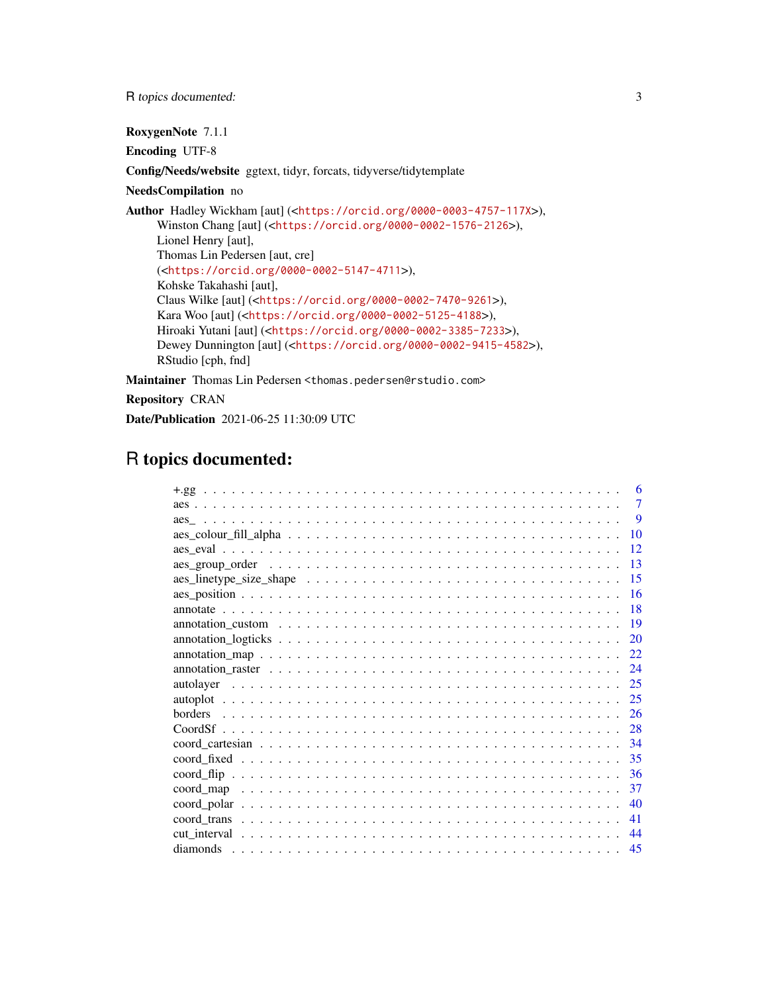R topics documented: 3

RoxygenNote 7.1.1

Encoding UTF-8

Config/Needs/website ggtext, tidyr, forcats, tidyverse/tidytemplate

### NeedsCompilation no

Author Hadley Wickham [aut] (<<https://orcid.org/0000-0003-4757-117X>>), Winston Chang [aut] (<<https://orcid.org/0000-0002-1576-2126>>), Lionel Henry [aut], Thomas Lin Pedersen [aut, cre] (<<https://orcid.org/0000-0002-5147-4711>>), Kohske Takahashi [aut], Claus Wilke [aut] (<<https://orcid.org/0000-0002-7470-9261>>), Kara Woo [aut] (<<https://orcid.org/0000-0002-5125-4188>>), Hiroaki Yutani [aut] (<<https://orcid.org/0000-0002-3385-7233>>), Dewey Dunnington [aut] (<<https://orcid.org/0000-0002-9415-4582>>), RStudio [cph, fnd]

Maintainer Thomas Lin Pedersen <thomas.pedersen@rstudio.com>

Repository CRAN

Date/Publication 2021-06-25 11:30:09 UTC

## R topics documented:

| 6                                                                                                                          |
|----------------------------------------------------------------------------------------------------------------------------|
| 7                                                                                                                          |
| 9                                                                                                                          |
| 10                                                                                                                         |
| 12                                                                                                                         |
| 13                                                                                                                         |
| 15                                                                                                                         |
| 16                                                                                                                         |
| 18                                                                                                                         |
| $annotation\_custom \dots \dots \dots \dots \dots \dots \dots \dots \dots \dots \dots \dots \dots \dots \dots \dots$<br>19 |
| 20                                                                                                                         |
| 22                                                                                                                         |
| 24                                                                                                                         |
| 25<br>autolayer                                                                                                            |
| 25                                                                                                                         |
| 26                                                                                                                         |
| 28                                                                                                                         |
| 34                                                                                                                         |
| 35                                                                                                                         |
| 36                                                                                                                         |
| 37                                                                                                                         |
| 40                                                                                                                         |
| 41                                                                                                                         |
| 44                                                                                                                         |
| 45                                                                                                                         |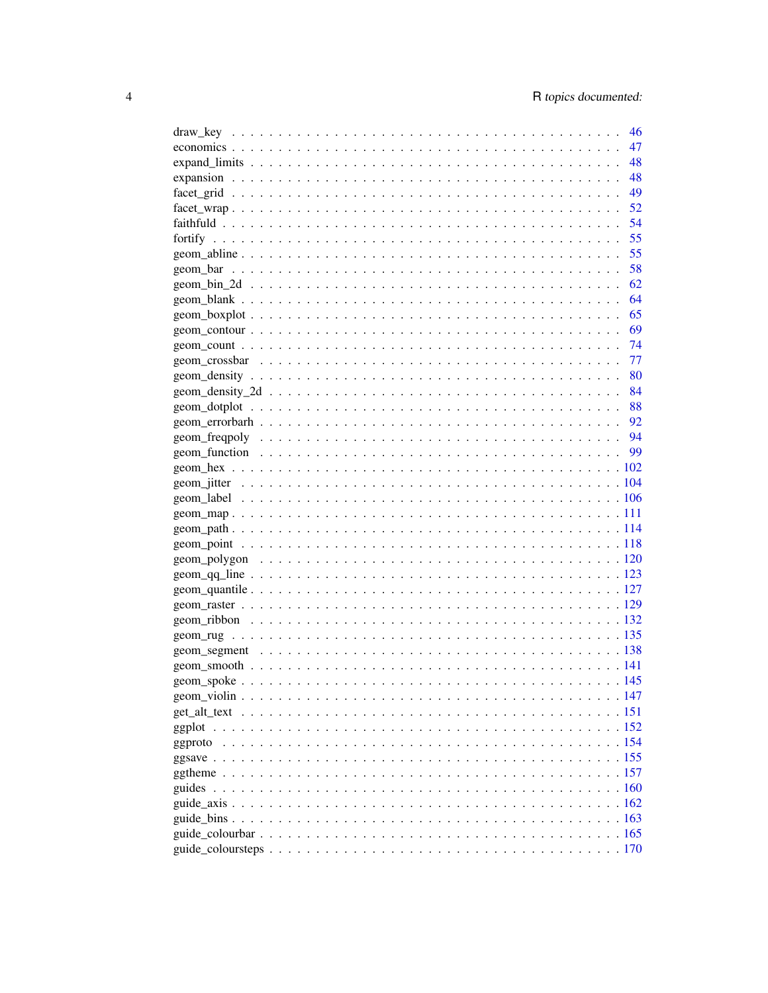| 46  |
|-----|
| 47  |
| 48  |
| 48  |
| 49  |
| 52  |
| 54  |
| 55  |
| 55  |
| 58  |
| 62  |
| 64  |
| 65  |
| 69  |
| -74 |
| -77 |
|     |
|     |
|     |
|     |
|     |
|     |
|     |
|     |
|     |
|     |
|     |
|     |
|     |
|     |
|     |
|     |
|     |
|     |
|     |
|     |
|     |
|     |
|     |
|     |
|     |
|     |
|     |
|     |
|     |
|     |
|     |
|     |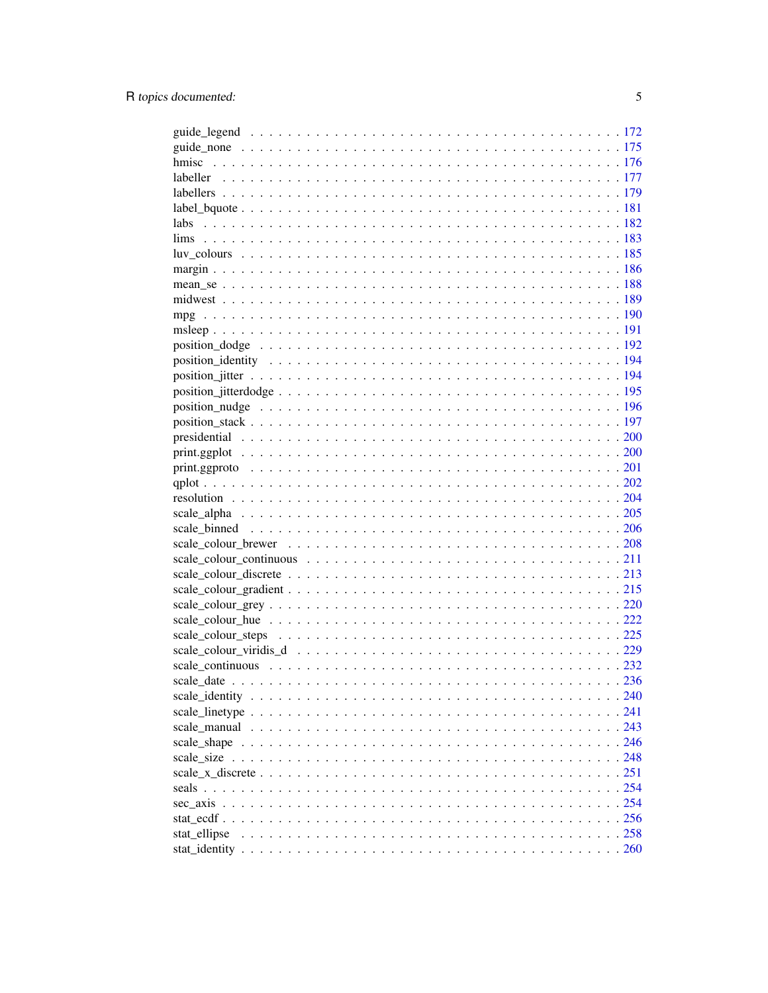| labs                            |  |
|---------------------------------|--|
|                                 |  |
|                                 |  |
|                                 |  |
|                                 |  |
|                                 |  |
|                                 |  |
|                                 |  |
|                                 |  |
|                                 |  |
|                                 |  |
|                                 |  |
|                                 |  |
|                                 |  |
|                                 |  |
| $print.g. plot             200$ |  |
|                                 |  |
|                                 |  |
|                                 |  |
|                                 |  |
|                                 |  |
|                                 |  |
|                                 |  |
|                                 |  |
|                                 |  |
|                                 |  |
|                                 |  |
|                                 |  |
|                                 |  |
|                                 |  |
|                                 |  |
|                                 |  |
|                                 |  |
|                                 |  |
|                                 |  |
|                                 |  |
|                                 |  |
|                                 |  |
|                                 |  |
| sec axis                        |  |
|                                 |  |
| stat_ellipse                    |  |
|                                 |  |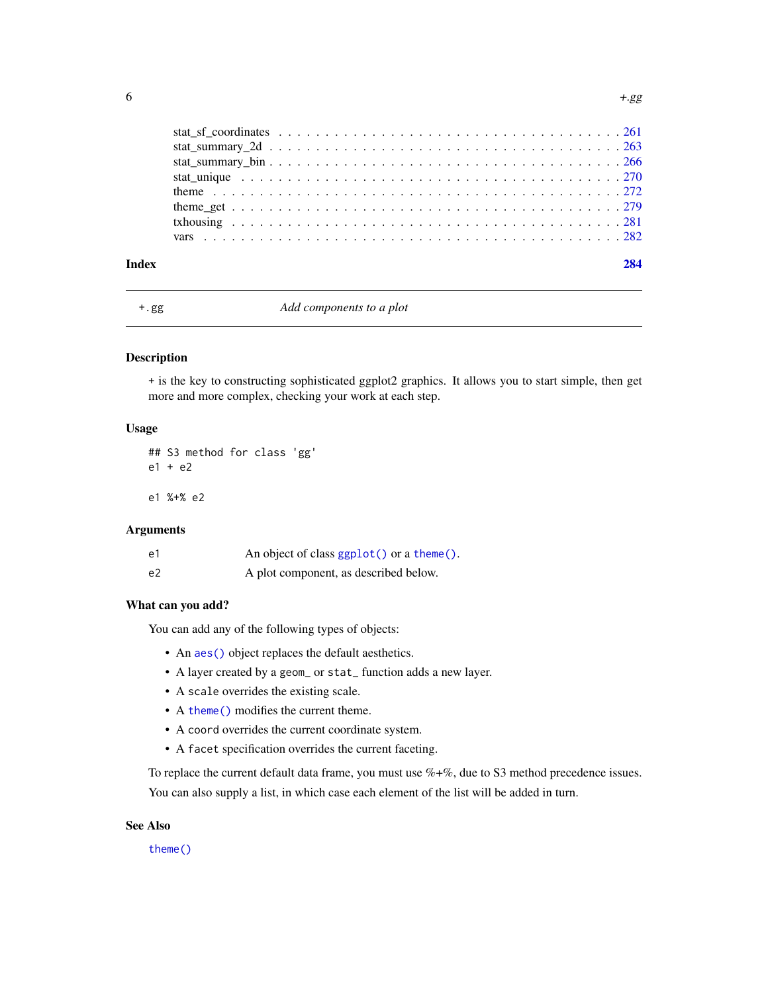<span id="page-5-0"></span>

#### Index [284](#page-283-0)

+.gg *Add components to a plot*

#### Description

+ is the key to constructing sophisticated ggplot2 graphics. It allows you to start simple, then get more and more complex, checking your work at each step.

### Usage

## S3 method for class 'gg' e1 + e2

e1 %+% e2

### Arguments

| e1 | An object of class ggplot() or a theme(). |
|----|-------------------------------------------|
| e2 | A plot component, as described below.     |

#### What can you add?

You can add any of the following types of objects:

- An aes () object replaces the default aesthetics.
- A layer created by a geom\_ or stat\_ function adds a new layer.
- A scale overrides the existing scale.
- A [theme\(\)](#page-271-1) modifies the current theme.
- A coord overrides the current coordinate system.
- A facet specification overrides the current faceting.

To replace the current default data frame, you must use  $\%+ \%$ , due to S3 method precedence issues. You can also supply a list, in which case each element of the list will be added in turn.

### See Also

[theme\(\)](#page-271-1)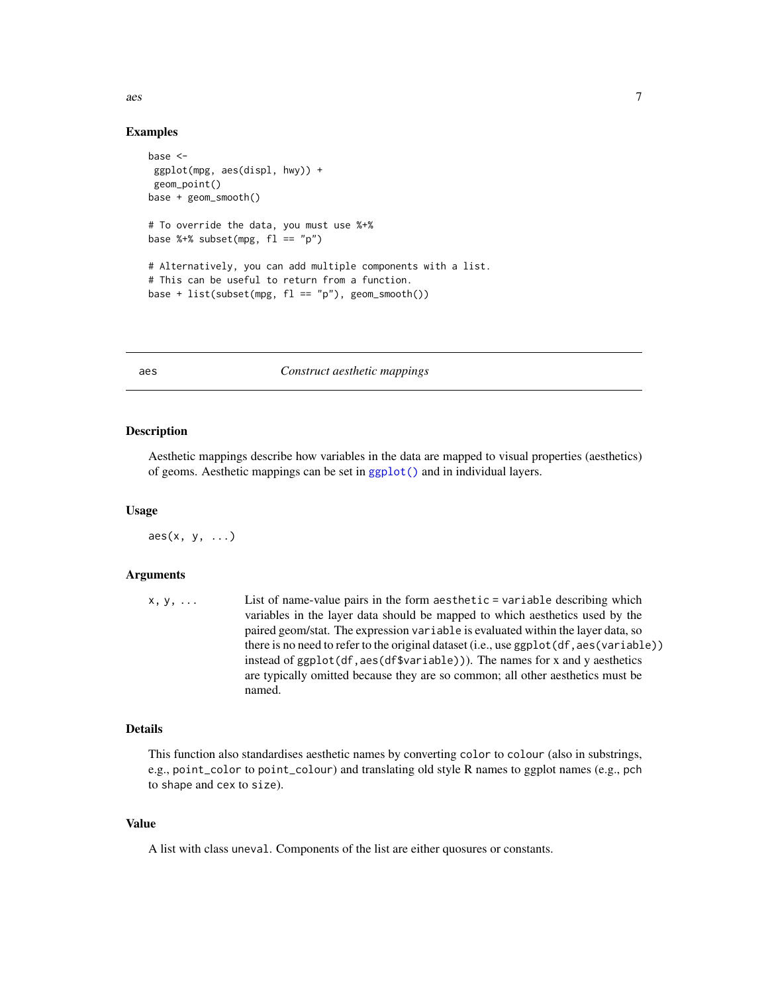<span id="page-6-0"></span> $\alpha$ es 7

#### Examples

```
base <-
 ggplot(mpg, aes(displ, hwy)) +
 geom_point()
base + geom_smooth()
# To override the data, you must use %+%
base %+% subset(mpg, f1 == "p")# Alternatively, you can add multiple components with a list.
# This can be useful to return from a function.
base + list(subset(mpg, f1 == "p"), geom_smooth())
```
### <span id="page-6-1"></span>aes *Construct aesthetic mappings*

### Description

Aesthetic mappings describe how variables in the data are mapped to visual properties (aesthetics) of geoms. Aesthetic mappings can be set in [ggplot\(\)](#page-151-1) and in individual layers.

#### Usage

 $\text{aes}(x, y, \ldots)$ 

#### Arguments

| $X, V, \ldots$ | List of name-value pairs in the form aesthetic $=$ variable describing which             |
|----------------|------------------------------------------------------------------------------------------|
|                | variables in the layer data should be mapped to which aesthetics used by the             |
|                | paired geom/stat. The expression variable is evaluated within the layer data, so         |
|                | there is no need to refer to the original dataset (i.e., use ggplot (df, aes (variable)) |
|                | instead of $ggplot(df, aes(df&variable))$ . The names for x and y aesthetics             |
|                | are typically omitted because they are so common; all other aesthetics must be           |
|                | named.                                                                                   |

#### Details

This function also standardises aesthetic names by converting color to colour (also in substrings, e.g., point\_color to point\_colour) and translating old style R names to ggplot names (e.g., pch to shape and cex to size).

#### Value

A list with class uneval. Components of the list are either quosures or constants.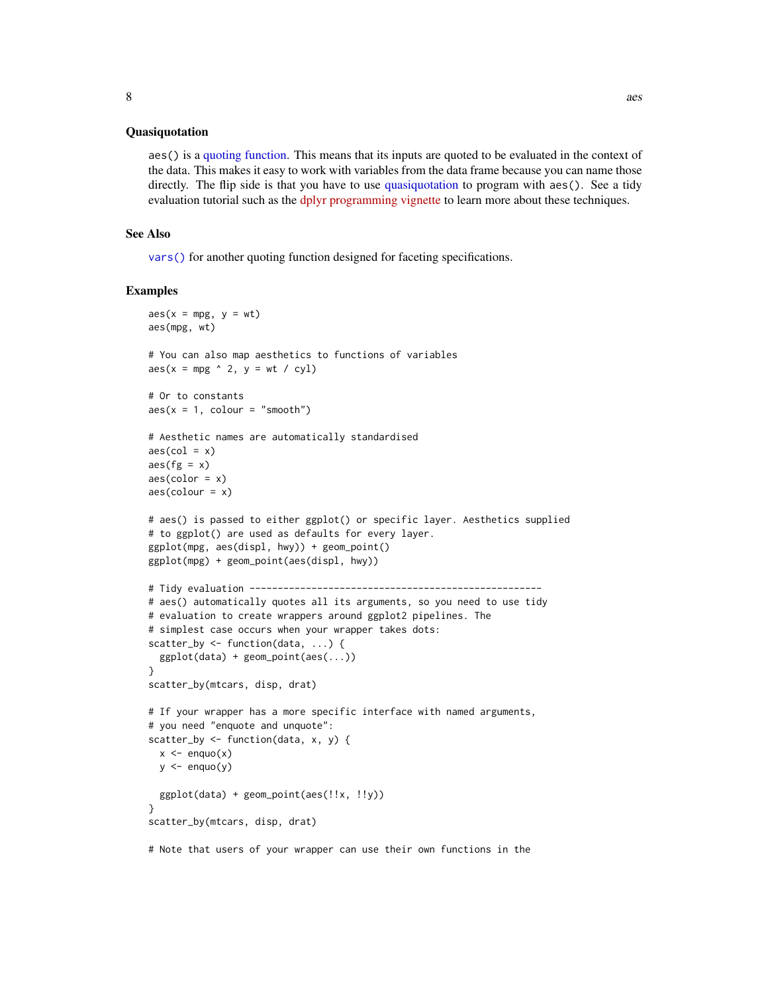#### Quasiquotation

aes() is a [quoting function.](#page-0-0) This means that its inputs are quoted to be evaluated in the context of the data. This makes it easy to work with variables from the data frame because you can name those directly. The flip side is that you have to use [quasiquotation](#page-0-0) to program with aes(). See a tidy evaluation tutorial such as the [dplyr programming vignette](https://dplyr.tidyverse.org/articles/programming.html) to learn more about these techniques.

#### See Also

[vars\(\)](#page-281-1) for another quoting function designed for faceting specifications.

#### Examples

```
\text{aes}(x = mpg, y = wt)aes(mpg, wt)
# You can also map aesthetics to functions of variables
\text{aes}(x = mpg \land 2, y = wt / cyl)# Or to constants
aes(x = 1, colour = "smooth")# Aesthetic names are automatically standardised
\text{aes}(\text{col} = x)\text{aes}(fg = x)\text{aes}(\text{color} = x)\text{aes}(\text{colour} = x)# aes() is passed to either ggplot() or specific layer. Aesthetics supplied
# to ggplot() are used as defaults for every layer.
ggplot(mpg, aes(displ, hwy)) + geom_point()
ggplot(mpg) + geom_point(aes(displ, hwy))
# Tidy evaluation ----------------------------------------------------
# aes() automatically quotes all its arguments, so you need to use tidy
# evaluation to create wrappers around ggplot2 pipelines. The
# simplest case occurs when your wrapper takes dots:
scatter_by <- function(data, ...) {
  ggplot(data) + geom_point(aes(...))
}
scatter_by(mtcars, disp, drat)
# If your wrapper has a more specific interface with named arguments,
# you need "enquote and unquote":
scatter_by <- function(data, x, y) {
  x \leq - enquo(x)y \leftarrow enquo(y)ggplot(data) + geom_point(aes(!!x, !!y))
}
scatter_by(mtcars, disp, drat)
```
# Note that users of your wrapper can use their own functions in the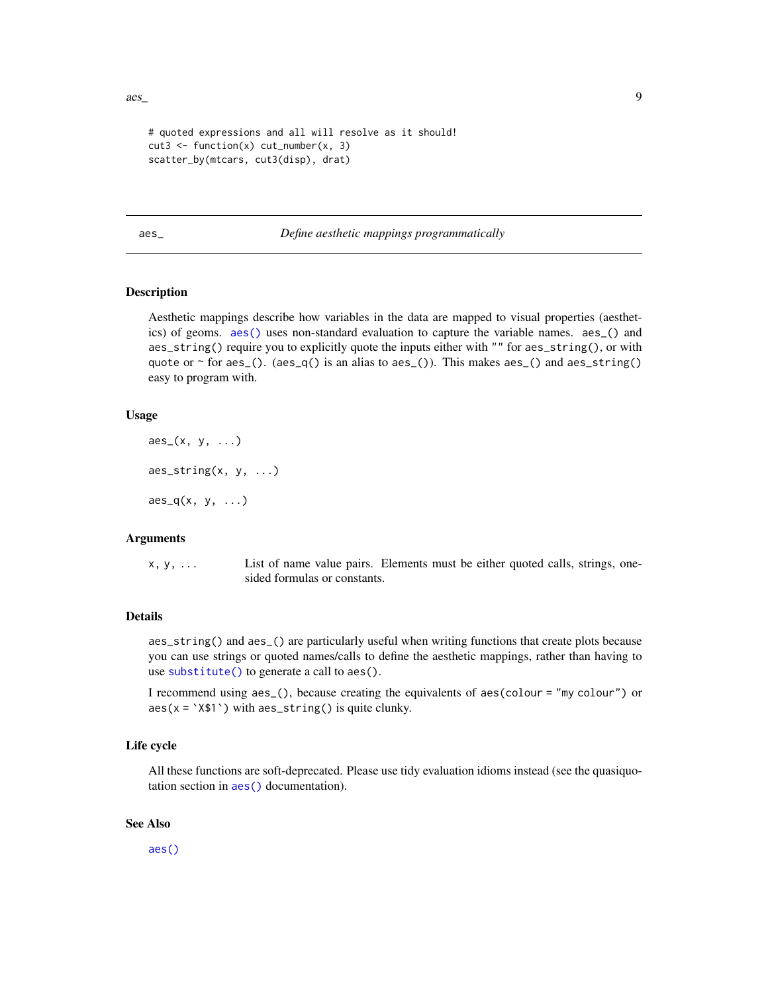```
# quoted expressions and all will resolve as it should!
cut3 \leftarrow function(x) cut_number(x, 3)scatter_by(mtcars, cut3(disp), drat)
```
<span id="page-8-1"></span>aes\_ *Define aesthetic mappings programmatically*

#### Description

Aesthetic mappings describe how variables in the data are mapped to visual properties (aesthetics) of geoms. [aes\(\)](#page-6-1) uses non-standard evaluation to capture the variable names. aes\_() and aes\_string() require you to explicitly quote the inputs either with "" for aes\_string(), or with quote or  $\sim$  for aes\_(). (aes\_q() is an alias to aes\_()). This makes aes\_() and aes\_string() easy to program with.

#### Usage

```
\text{aes}_{-}(x, y, \ldots)\text{aes\_string}(x, y, \ldots)\text{aes}_q(x, y, \ldots)
```
#### Arguments

x, y, ... List of name value pairs. Elements must be either quoted calls, strings, onesided formulas or constants.

### Details

aes\_string() and aes\_() are particularly useful when writing functions that create plots because you can use strings or quoted names/calls to define the aesthetic mappings, rather than having to use [substitute\(\)](#page-0-0) to generate a call to aes().

I recommend using aes\_(), because creating the equivalents of aes(colour = "my colour") or  $aes(x = 'X$1') with  $aes\_string()$  is quite clunky.$ 

### Life cycle

All these functions are soft-deprecated. Please use tidy evaluation idioms instead (see the quasiquotation section in [aes\(\)](#page-6-1) documentation).

### See Also

[aes\(\)](#page-6-1)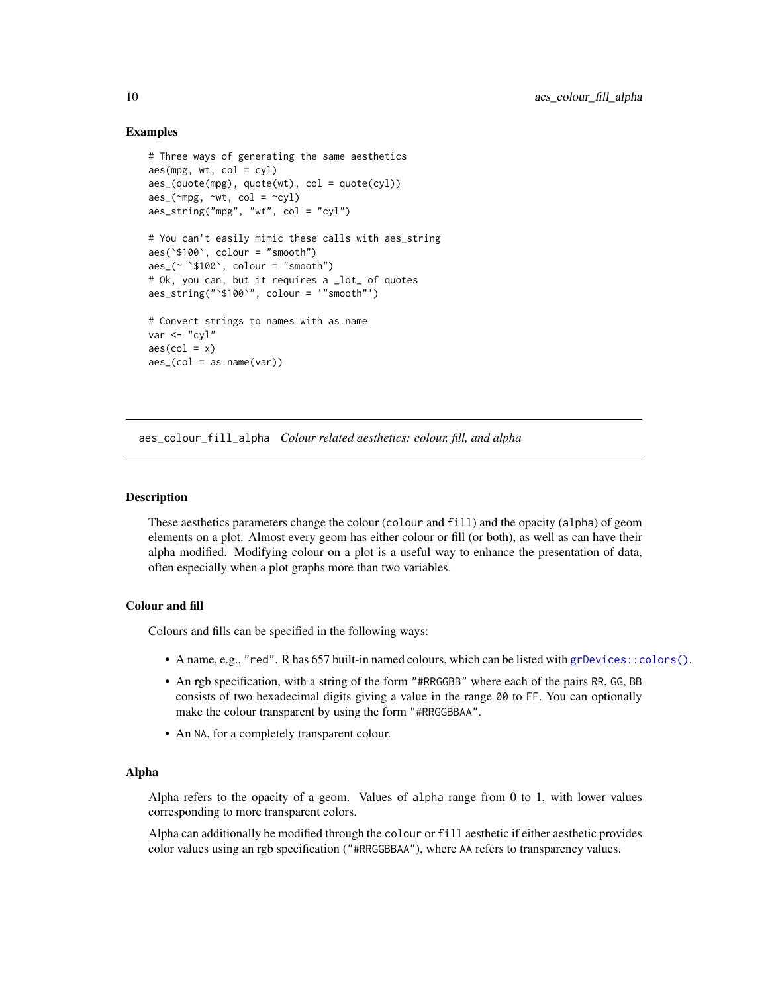### Examples

```
# Three ways of generating the same aesthetics
aes(mpg, wt, col = cyl)\text{aes}_{\text{u}}(\text{quote}(\text{mpg}), \text{ quote}(\text{wt}), \text{col} = \text{quote}(\text{cyl}))\text{aes}_{\text{max}}(\text{mpg}, \text{wrt}, \text{col} = \text{rdy})aes_string("mpg", "wt", col = "cyl")
# You can't easily mimic these calls with aes_string
aes(`$100`, colour = "smooth")
\text{aes}_{-}(\sim \text{``$100}', \text{ colour} = \text{''smooth''})# Ok, you can, but it requires a _lot_ of quotes
aes_string("`$100`", colour = '"smooth"')
# Convert strings to names with as.name
var <- "cvl"
\text{aes}(\text{col} = x)\text{aes}\_\text{(col} = \text{as.name}(\text{var}))
```
aes\_colour\_fill\_alpha *Colour related aesthetics: colour, fill, and alpha*

### **Description**

These aesthetics parameters change the colour (colour and fill) and the opacity (alpha) of geom elements on a plot. Almost every geom has either colour or fill (or both), as well as can have their alpha modified. Modifying colour on a plot is a useful way to enhance the presentation of data, often especially when a plot graphs more than two variables.

### Colour and fill

Colours and fills can be specified in the following ways:

- A name, e.g., "red". R has 657 built-in named colours, which can be listed with [grDevices::colors\(\)](#page-0-0).
- An rgb specification, with a string of the form "#RRGGBB" where each of the pairs RR, GG, BB consists of two hexadecimal digits giving a value in the range 00 to FF. You can optionally make the colour transparent by using the form "#RRGGBBAA".
- An NA, for a completely transparent colour.

#### Alpha

Alpha refers to the opacity of a geom. Values of alpha range from 0 to 1, with lower values corresponding to more transparent colors.

Alpha can additionally be modified through the colour or fill aesthetic if either aesthetic provides color values using an rgb specification ("#RRGGBBAA"), where AA refers to transparency values.

<span id="page-9-0"></span>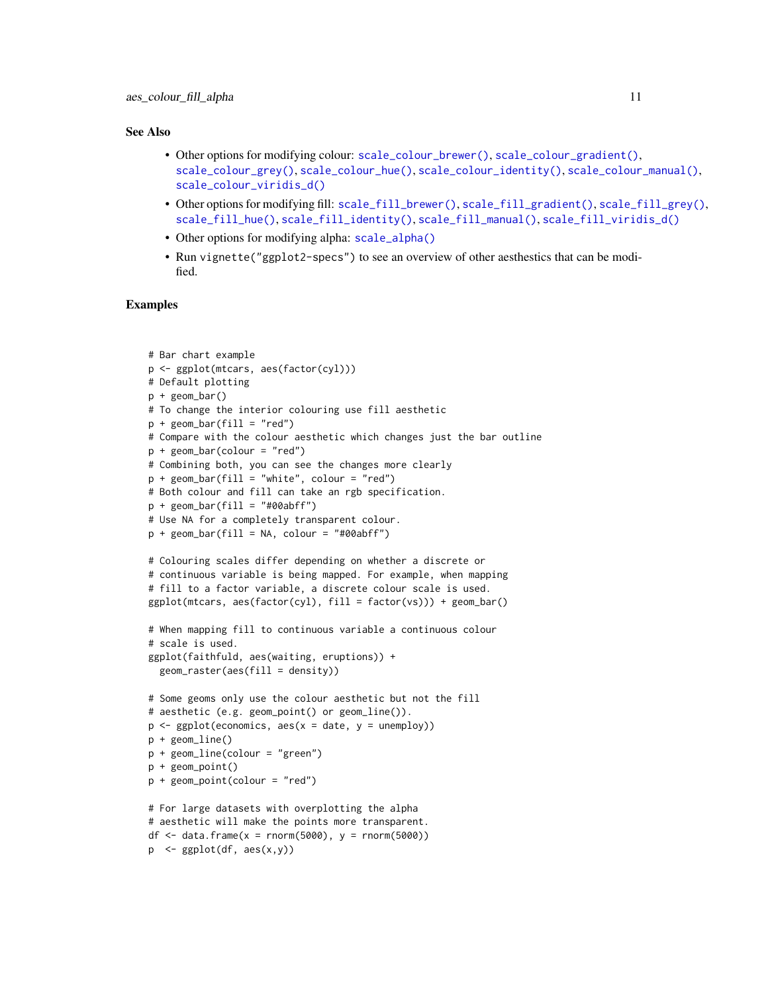#### See Also

- Other options for modifying colour: [scale\\_colour\\_brewer\(\)](#page-207-1), [scale\\_colour\\_gradient\(\)](#page-214-1), [scale\\_colour\\_grey\(\)](#page-219-1), [scale\\_colour\\_hue\(\)](#page-221-1), [scale\\_colour\\_identity\(\)](#page-239-1), [scale\\_colour\\_manual\(\)](#page-242-1), [scale\\_colour\\_viridis\\_d\(\)](#page-228-1)
- Other options for modifying fill: [scale\\_fill\\_brewer\(\)](#page-207-2), [scale\\_fill\\_gradient\(\)](#page-214-2), [scale\\_fill\\_grey\(\)](#page-219-2), [scale\\_fill\\_hue\(\)](#page-221-2), [scale\\_fill\\_identity\(\)](#page-239-1), [scale\\_fill\\_manual\(\)](#page-242-1), [scale\\_fill\\_viridis\\_d\(\)](#page-228-2)
- Other options for modifying alpha: [scale\\_alpha\(\)](#page-204-1)
- Run vignette("ggplot2-specs") to see an overview of other aesthestics that can be modified.

```
# Bar chart example
p <- ggplot(mtcars, aes(factor(cyl)))
# Default plotting
p + geom_bar()
# To change the interior colouring use fill aesthetic
p + geom\_bar(fill = "red")# Compare with the colour aesthetic which changes just the bar outline
p + geom\_bar(colour = "red")# Combining both, you can see the changes more clearly
p + geom_bar(fill = "white", colour = "red")
# Both colour and fill can take an rgb specification.
p + geom\_bar(fill = "#00abff")# Use NA for a completely transparent colour.
p + geom\_bar(fill = NA, colour = "#00abff")# Colouring scales differ depending on whether a discrete or
# continuous variable is being mapped. For example, when mapping
# fill to a factor variable, a discrete colour scale is used.
ggplot(mtcars, aes(factor(cyl), fill = factor(vs))) + geom-bar()# When mapping fill to continuous variable a continuous colour
# scale is used.
ggplot(faithfuld, aes(waiting, eruptions)) +
  geom_raster(aes(fill = density))
# Some geoms only use the colour aesthetic but not the fill
# aesthetic (e.g. geom_point() or geom_line()).
p \leftarrow ggplot(economics, aes(x = date, y = unempty))p + geom_line()
p + geom_line(colour = "green")
p + geom_point()
p + geom_point(colour = "red")
# For large datasets with overplotting the alpha
# aesthetic will make the points more transparent.
df \le data.frame(x = rnorm(5000), y = rnorm(5000))
p \leq - ggplot(df, aes(x,y))
```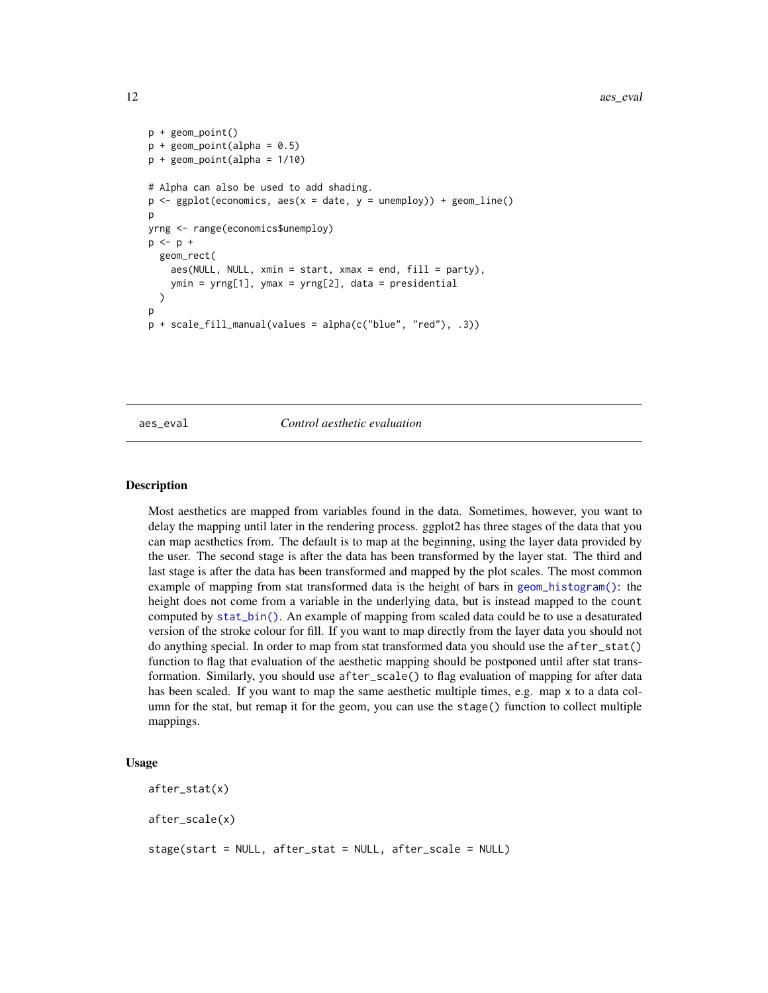```
p + geom_point()
p + geom\_point(alpha = 0.5)p + geom\_point(alpha = 1/10)# Alpha can also be used to add shading.
p \leftarrow ggplot(economics, aes(x = date, y = unempty)) + geom\_line()p
yrng <- range(economics$unemploy)
p \le -p +geom_rect(
    aes(NULL, NULL, xmin = start, xmax = end, fill = party),
    ymin = yrng[1], ymax = yrng[2], data = presidential
  )
\mathbf{D}p + scale_fill_manual(values = alpha(c("blue", "red"), .3))
```
#### aes\_eval *Control aesthetic evaluation*

#### Description

Most aesthetics are mapped from variables found in the data. Sometimes, however, you want to delay the mapping until later in the rendering process. ggplot2 has three stages of the data that you can map aesthetics from. The default is to map at the beginning, using the layer data provided by the user. The second stage is after the data has been transformed by the layer stat. The third and last stage is after the data has been transformed and mapped by the plot scales. The most common example of mapping from stat transformed data is the height of bars in [geom\\_histogram\(\)](#page-93-1): the height does not come from a variable in the underlying data, but is instead mapped to the count computed by [stat\\_bin\(\)](#page-93-1). An example of mapping from scaled data could be to use a desaturated version of the stroke colour for fill. If you want to map directly from the layer data you should not do anything special. In order to map from stat transformed data you should use the after\_stat() function to flag that evaluation of the aesthetic mapping should be postponed until after stat transformation. Similarly, you should use after\_scale() to flag evaluation of mapping for after data has been scaled. If you want to map the same aesthetic multiple times, e.g. map x to a data column for the stat, but remap it for the geom, you can use the stage() function to collect multiple mappings.

#### Usage

after\_stat(x) after\_scale(x) stage(start = NULL, after\_stat = NULL, after\_scale = NULL)

<span id="page-11-0"></span>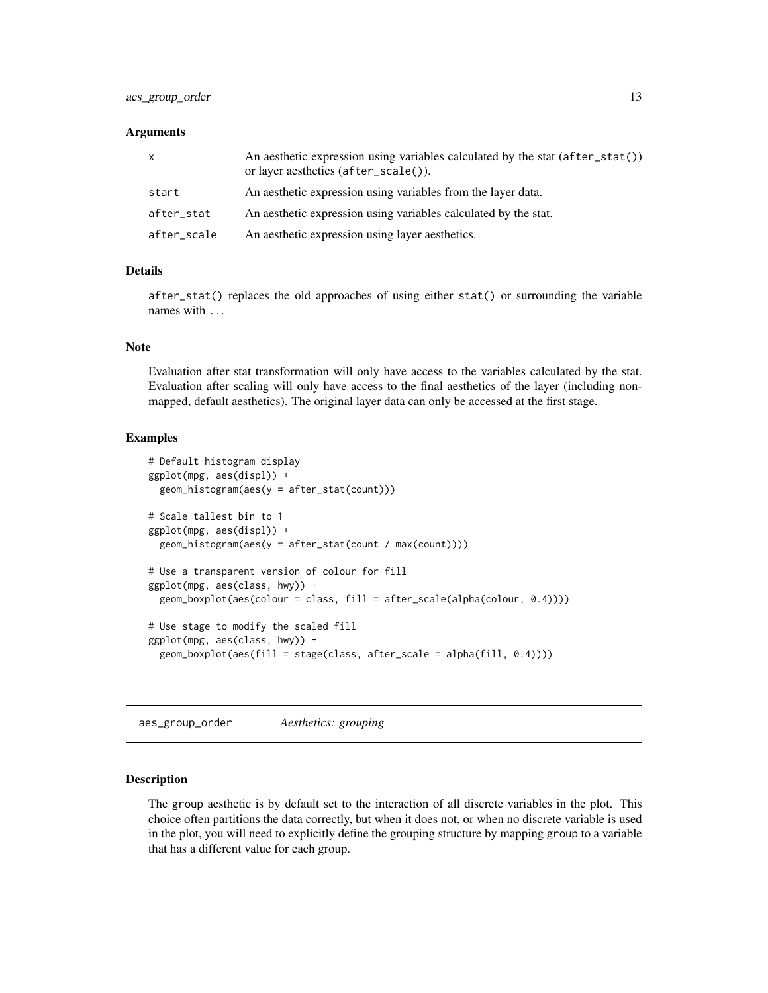#### <span id="page-12-0"></span>Arguments

| x           | An aesthetic expression using variables calculated by the stat $(after\_stat()$<br>or layer aesthetics (after_scale()). |
|-------------|-------------------------------------------------------------------------------------------------------------------------|
| start       | An aesthetic expression using variables from the layer data.                                                            |
| after_stat  | An aesthetic expression using variables calculated by the stat.                                                         |
| after_scale | An aesthetic expression using layer aesthetics.                                                                         |

#### Details

after\_stat() replaces the old approaches of using either stat() or surrounding the variable names with ...

#### Note

Evaluation after stat transformation will only have access to the variables calculated by the stat. Evaluation after scaling will only have access to the final aesthetics of the layer (including nonmapped, default aesthetics). The original layer data can only be accessed at the first stage.

#### Examples

```
# Default histogram display
ggplot(mpg, aes(displ)) +
 geom_histogram(aes(y = after_stat(count)))
# Scale tallest bin to 1
ggplot(mpg, aes(displ)) +
 geom_histogram(aes(y = after_stat(count / max(count))))
# Use a transparent version of colour for fill
ggplot(mpg, aes(class, hwy)) +
 geom_boxplot(aes(colour = class, fill = after_scale(alpha(colour, 0.4))))
# Use stage to modify the scaled fill
ggplot(mpg, aes(class, hwy)) +
 geom_boxplot(aes(fill = stage(class, after_scale = alpha(fill, 0.4))))
```
<span id="page-12-1"></span>aes\_group\_order *Aesthetics: grouping*

### Description

The group aesthetic is by default set to the interaction of all discrete variables in the plot. This choice often partitions the data correctly, but when it does not, or when no discrete variable is used in the plot, you will need to explicitly define the grouping structure by mapping group to a variable that has a different value for each group.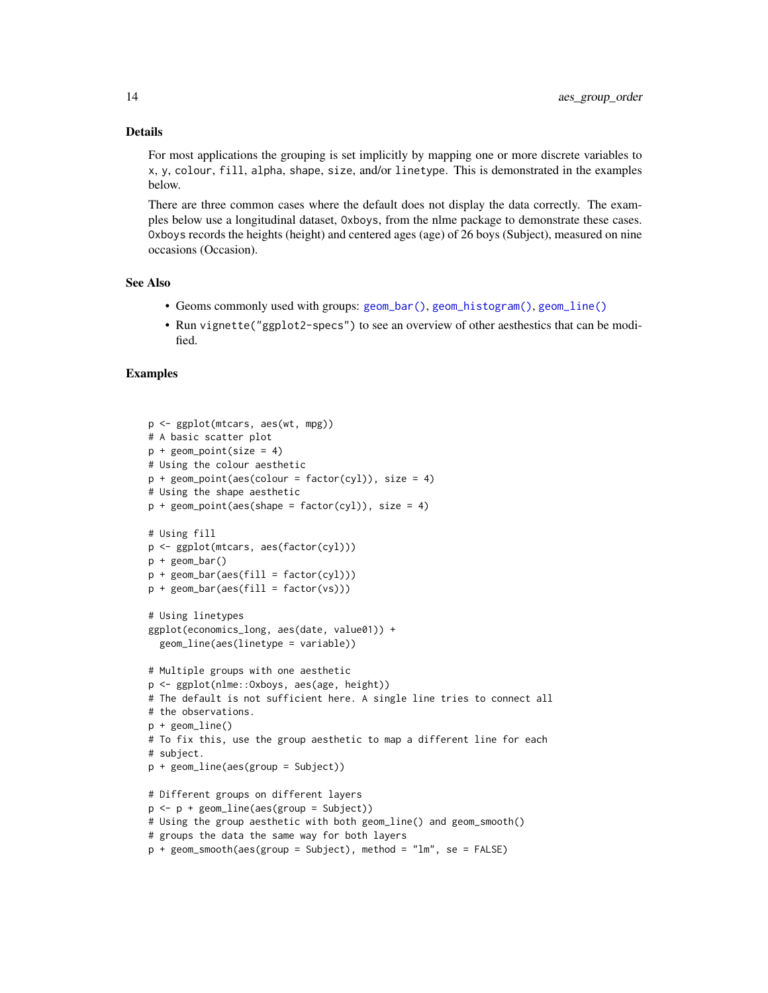#### Details

For most applications the grouping is set implicitly by mapping one or more discrete variables to x, y, colour, fill, alpha, shape, size, and/or linetype. This is demonstrated in the examples below.

There are three common cases where the default does not display the data correctly. The examples below use a longitudinal dataset, Oxboys, from the nlme package to demonstrate these cases. Oxboys records the heights (height) and centered ages (age) of 26 boys (Subject), measured on nine occasions (Occasion).

### See Also

- Geoms commonly used with groups: [geom\\_bar\(\)](#page-57-1), [geom\\_histogram\(\)](#page-93-1), [geom\\_line\(\)](#page-113-1)
- Run vignette("ggplot2-specs") to see an overview of other aesthestics that can be modified.

```
p <- ggplot(mtcars, aes(wt, mpg))
# A basic scatter plot
p + geom\_point(size = 4)# Using the colour aesthetic
p + geom\_point(aes(colour = factor(cyl)), size = 4)# Using the shape aesthetic
p + geom\_point(aes(shape = factor(cyl)), size = 4)# Using fill
p <- ggplot(mtcars, aes(factor(cyl)))
p + geom_bar()
p + geom\_bar(aes(fill = factor(cyl)))p + geom\_bar(aes(fill = factor(vs)))# Using linetypes
ggplot(economics_long, aes(date, value01)) +
  geom_line(aes(linetype = variable))
# Multiple groups with one aesthetic
p <- ggplot(nlme::Oxboys, aes(age, height))
# The default is not sufficient here. A single line tries to connect all
# the observations.
p + geom_line()
# To fix this, use the group aesthetic to map a different line for each
# subject.
p + geom_line(aes(group = Subject))
# Different groups on different layers
p <- p + geom_line(aes(group = Subject))
# Using the group aesthetic with both geom_line() and geom_smooth()
# groups the data the same way for both layers
p + geom_smooth(aes(group = Subject), method = "lm", se = FALSE)
```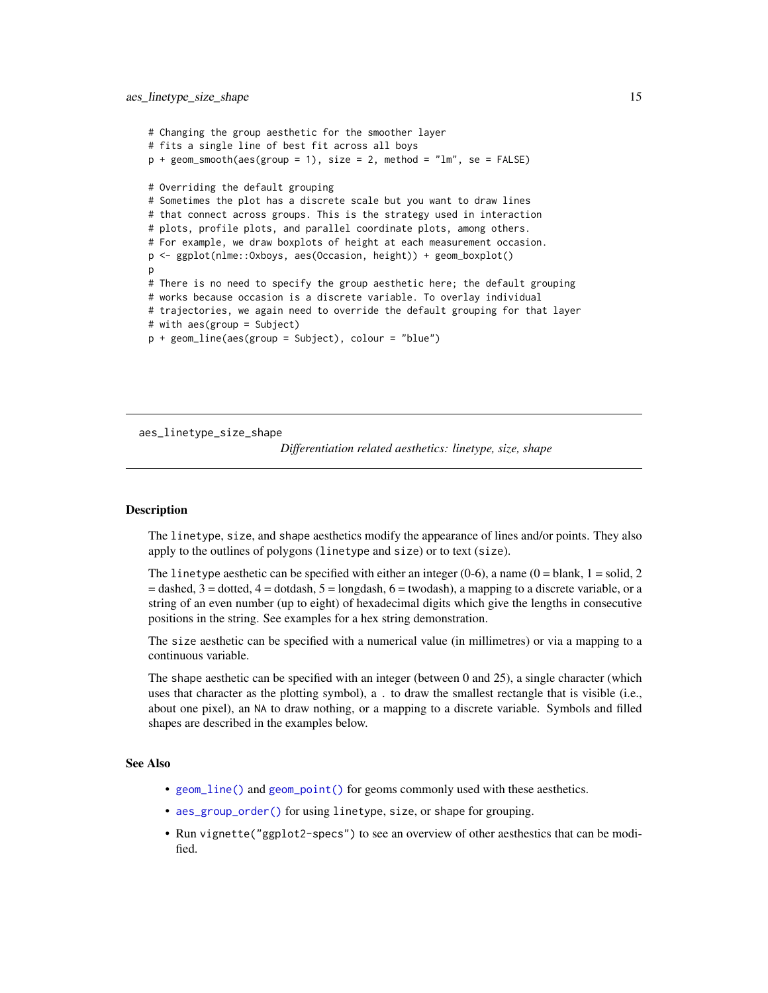```
# Changing the group aesthetic for the smoother layer
# fits a single line of best fit across all boys
p + geom\_smooth(aes(group = 1), size = 2, method = "lm", se = FALSE)# Overriding the default grouping
# Sometimes the plot has a discrete scale but you want to draw lines
# that connect across groups. This is the strategy used in interaction
# plots, profile plots, and parallel coordinate plots, among others.
# For example, we draw boxplots of height at each measurement occasion.
p <- ggplot(nlme::Oxboys, aes(Occasion, height)) + geom_boxplot()
p
# There is no need to specify the group aesthetic here; the default grouping
# works because occasion is a discrete variable. To overlay individual
# trajectories, we again need to override the default grouping for that layer
# with aes(group = Subject)
p + geom_line(aes(group = Subject), colour = "blue")
```
aes\_linetype\_size\_shape

*Differentiation related aesthetics: linetype, size, shape*

### **Description**

The linetype, size, and shape aesthetics modify the appearance of lines and/or points. They also apply to the outlines of polygons (linetype and size) or to text (size).

The linetype aesthetic can be specified with either an integer  $(0-6)$ , a name  $(0 = 5)$  and  $(1 = 5)$  and  $(2 = 5)$  $=$  dashed,  $3 =$  dotted,  $4 =$  dotdash,  $5 =$  longdash,  $6 =$  twodash), a mapping to a discrete variable, or a string of an even number (up to eight) of hexadecimal digits which give the lengths in consecutive positions in the string. See examples for a hex string demonstration.

The size aesthetic can be specified with a numerical value (in millimetres) or via a mapping to a continuous variable.

The shape aesthetic can be specified with an integer (between 0 and 25), a single character (which uses that character as the plotting symbol), a . to draw the smallest rectangle that is visible (i.e., about one pixel), an NA to draw nothing, or a mapping to a discrete variable. Symbols and filled shapes are described in the examples below.

#### See Also

- [geom\\_line\(\)](#page-113-1) and [geom\\_point\(\)](#page-117-1) for geoms commonly used with these aesthetics.
- [aes\\_group\\_order\(\)](#page-12-1) for using linetype, size, or shape for grouping.
- Run vignette("ggplot2-specs") to see an overview of other aesthestics that can be modified.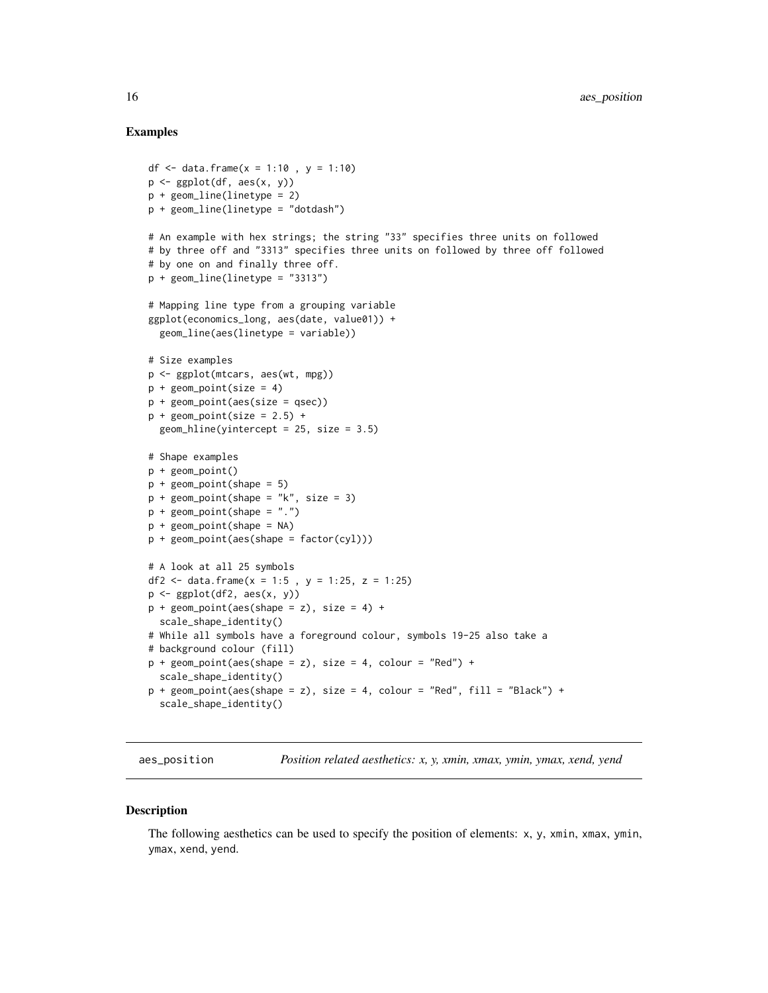#### Examples

```
df <- data.frame(x = 1:10, y = 1:10)
p \leftarrow \text{ggplot}(df, \text{aes}(x, y))p + geom\_line(linetype = 2)p + geom\_line(linetype = "dotdash")# An example with hex strings; the string "33" specifies three units on followed
# by three off and "3313" specifies three units on followed by three off followed
# by one on and finally three off.
p + geom\_line(linetype = "3313")# Mapping line type from a grouping variable
ggplot(economics_long, aes(date, value01)) +
  geom_line(aes(linetype = variable))
# Size examples
p <- ggplot(mtcars, aes(wt, mpg))
p + geom\_point(size = 4)p + geom_point(aes(size = qsec))
p + geom\_point(size = 2.5) +geom\_hline(yintercept = 25, size = 3.5)# Shape examples
p + geom_point()
p + geom\_point(shape = 5)p + geom\_point(shape = "k", size = 3)p + geom\_point(shape = "."p + geom\_point(shape = NA)p + geom_point(aes(shape = factor(cyl)))
# A look at all 25 symbols
df2 <- data.frame(x = 1:5, y = 1:25, z = 1:25)
p <- ggplot(df2, aes(x, y))
p + geom\_point(aes(shape = z), size = 4) +
  scale_shape_identity()
# While all symbols have a foreground colour, symbols 19-25 also take a
# background colour (fill)
p + geom\_point(aes(shape = z), size = 4, colour = "Red") +scale_shape_identity()
p + geom_point(aes(shape = z), size = 4, colour = "Red", fill = "Black") +
  scale_shape_identity()
```
aes\_position *Position related aesthetics: x, y, xmin, xmax, ymin, ymax, xend, yend*

#### **Description**

The following aesthetics can be used to specify the position of elements: x, y, xmin, xmax, ymin, ymax, xend, yend.

<span id="page-15-0"></span>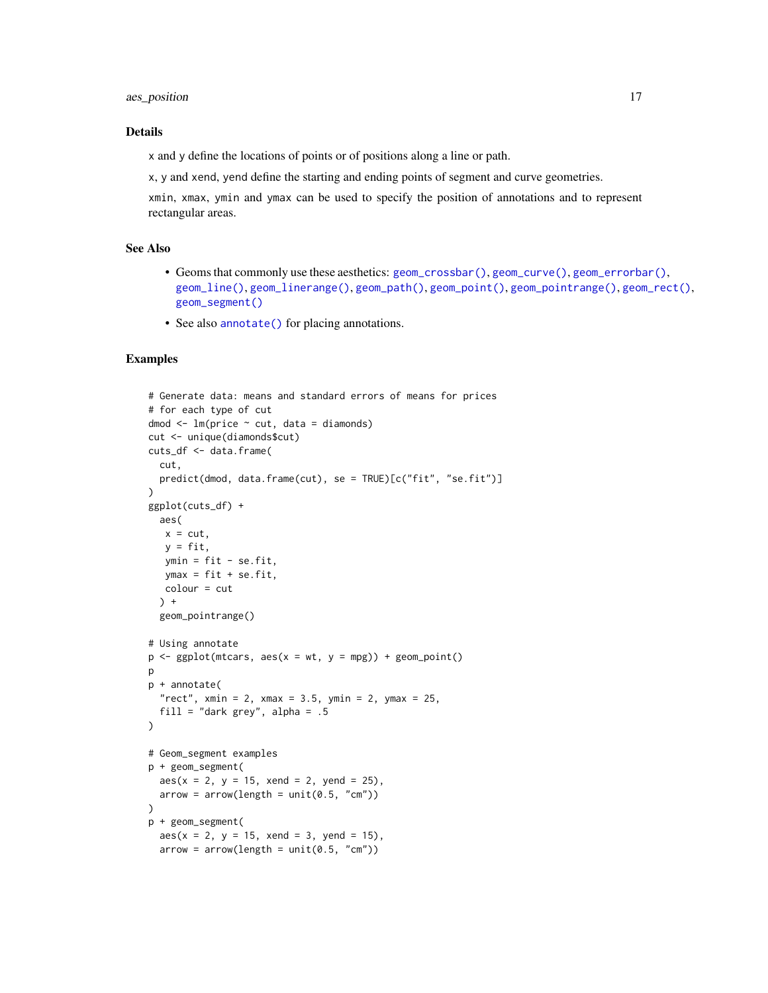#### ass\_position 17

#### Details

x and y define the locations of points or of positions along a line or path.

x, y and xend, yend define the starting and ending points of segment and curve geometries.

xmin, xmax, ymin and ymax can be used to specify the position of annotations and to represent rectangular areas.

### See Also

- Geoms that commonly use these aesthetics: [geom\\_crossbar\(\)](#page-76-1), [geom\\_curve\(\)](#page-137-1), [geom\\_errorbar\(\)](#page-76-2), [geom\\_line\(\)](#page-113-1), [geom\\_linerange\(\)](#page-76-2), [geom\\_path\(\)](#page-113-2), [geom\\_point\(\)](#page-117-1), [geom\\_pointrange\(\)](#page-76-2), [geom\\_rect\(\)](#page-128-1), [geom\\_segment\(\)](#page-137-2)
- See also [annotate\(\)](#page-17-1) for placing annotations.

```
# Generate data: means and standard errors of means for prices
# for each type of cut
dmod <- lm(price ~ cut, data = diamonds)
cut <- unique(diamonds$cut)
cuts_df <- data.frame(
 cut,
  predict(dmod, data.frame(cut), se = TRUE)[c("fit", "se.fit")]
)
ggplot(cuts_df) +
  aes(
  x = cut,y = fit,ymin = fit - se.fit,ymax = fit + se.fit,
  colour = cut
  ) +geom_pointrange()
# Using annotate
p \leq - ggplot(mtcars, \text{aes}(x = wt, y = mpg)) + \text{geom\_point}()p
p + annotate(
  "rect", xmin = 2, xmax = 3.5, ymin = 2, ymax = 25,
  fill = "dark grey", alpha = .5
\mathcal{L}# Geom_segment examples
p + geom_segment(
  aes(x = 2, y = 15, xend = 2, yend = 25),
  arrow = arrow(length = unit(0.5, "cm"))
p + geom_segment(
  aes(x = 2, y = 15, xend = 3, yend = 15),
  arrow = arrow(length = unit(0.5, "cm")
```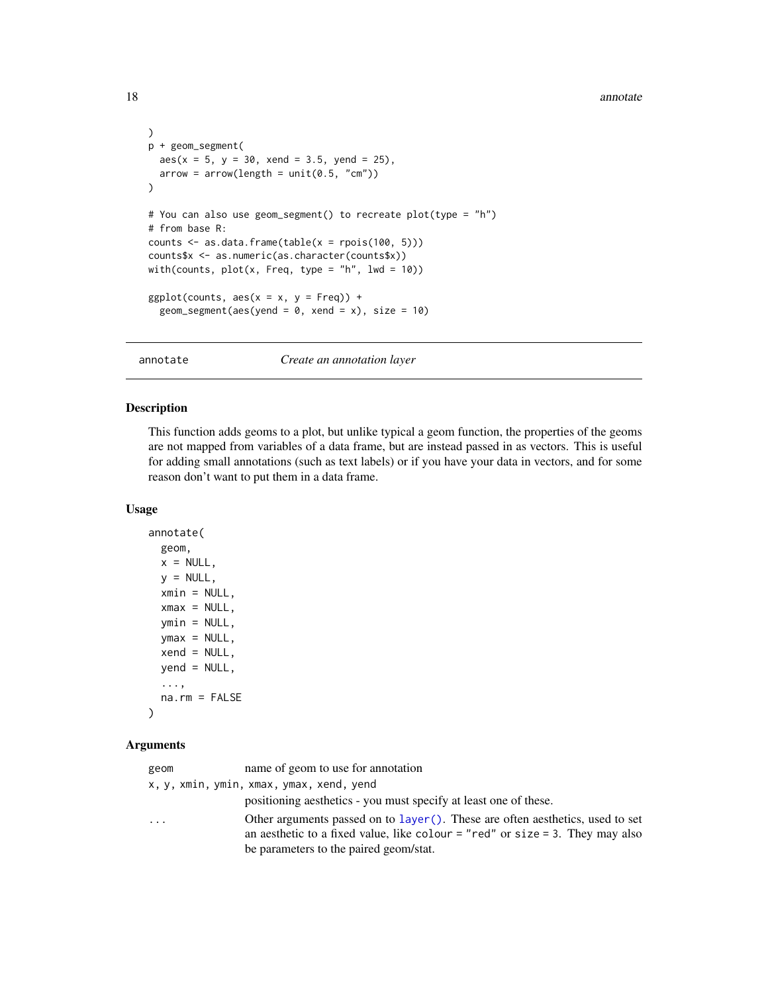#### <span id="page-17-0"></span>18 annotate annotate annotate annotate annotate annotate annotate annotate annotate annotate annotate annotate annotate annotate annotate annotate annotate annotate annotate annotate annotate annotate annotate annotate ann

```
)
p + geom_segment(
  aes(x = 5, y = 30, xend = 3.5, yend = 25),
  arrow = arrow(length = unit(0.5, "cm"))
# You can also use geom_segment() to recreate plot(type = "h")
# from base R:
counts \leq as.data.frame(table(x = rpois(100, 5)))
counts$x <- as.numeric(as.character(counts$x))
with(counts, plot(x, Freq, type = "h", lwd = 10))ggplot(counts, aes(x = x, y = Free)) +
  geom_segment(aes(yend = 0, xend = x), size = 10)
```
annotate *Create an annotation layer*

### Description

This function adds geoms to a plot, but unlike typical a geom function, the properties of the geoms are not mapped from variables of a data frame, but are instead passed in as vectors. This is useful for adding small annotations (such as text labels) or if you have your data in vectors, and for some reason don't want to put them in a data frame.

#### Usage

```
annotate(
  geom,
 x = NULL,y = NULL,xmin = NULL,
 xmax = NULL,
 ymin = NULL,
 ymax = NULL,xend = NULL,yend = NULL,
  ...,
 na.rm = FALSE
\lambda
```
### Arguments

| geom | name of geom to use for annotation                                                                                                                                    |
|------|-----------------------------------------------------------------------------------------------------------------------------------------------------------------------|
|      | x, y, xmin, ymin, xmax, ymax, xend, yend                                                                                                                              |
|      | positioning aesthetics - you must specify at least one of these.                                                                                                      |
| .    | Other arguments passed on to $l$ ayer(). These are often aesthetics, used to set<br>an aesthetic to a fixed value, like colour $=$ "red" or size $=$ 3. They may also |
|      | be parameters to the paired geom/stat.                                                                                                                                |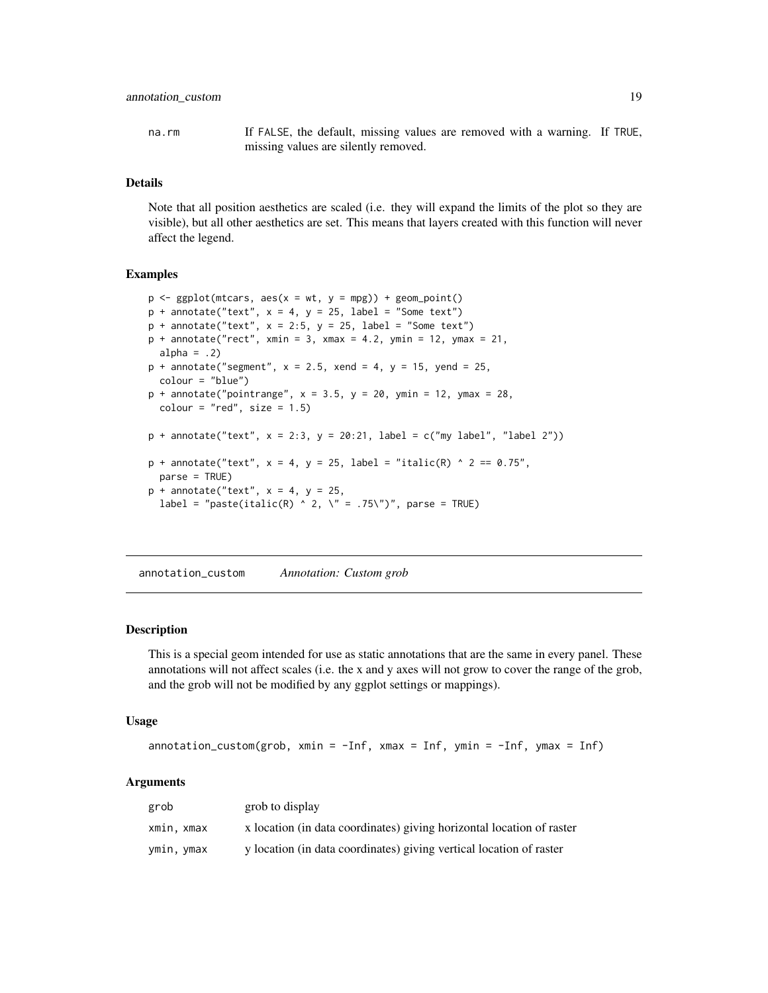<span id="page-18-0"></span>na.rm If FALSE, the default, missing values are removed with a warning. If TRUE, missing values are silently removed.

#### Details

Note that all position aesthetics are scaled (i.e. they will expand the limits of the plot so they are visible), but all other aesthetics are set. This means that layers created with this function will never affect the legend.

#### Examples

```
p \leq - ggplot(mtcars, aes(x = wt, y = mpg)) + geom_point()
p + annotate("text", x = 4, y = 25, label = "Some text")
p + annotate("text", x = 2:5, y = 25, label = "Some text")
p + annotate("rect", xmin = 3, xmax = 4.2, ymin = 12, ymax = 21,
 alpha = .2)
p + annotate("segment", x = 2.5, xend = 4, y = 15, yend = 25,
 colour = "blue")
p + annotate("pointrange", x = 3.5, y = 20, ymin = 12, ymax = 28,
 colour = "red", size = 1.5)p + annotate("text", x = 2:3, y = 20:21, label = c("my label", "label 2"))
p + annotate("text", x = 4, y = 25, label = "italic(R) ^ 2 == 0.75",
 parse = TRUE)
p + annotate("text", x = 4, y = 25,
 label = "paste(italic(R) ^ 2, \" = .75\")", parse = TRUE)
```
annotation\_custom *Annotation: Custom grob*

#### **Description**

This is a special geom intended for use as static annotations that are the same in every panel. These annotations will not affect scales (i.e. the x and y axes will not grow to cover the range of the grob, and the grob will not be modified by any ggplot settings or mappings).

#### Usage

```
\text{annotation\_custom}(\text{grob}, \text{ xmin} = -\text{Inf}, \text{ xmax} = \text{Inf}, \text{ ymin} = -\text{Inf}, \text{ ymax} = \text{Inf})
```
#### Arguments

| grob       | grob to display                                                       |
|------------|-----------------------------------------------------------------------|
| xmin, xmax | x location (in data coordinates) giving horizontal location of raster |
| ymin, ymax | y location (in data coordinates) giving vertical location of raster   |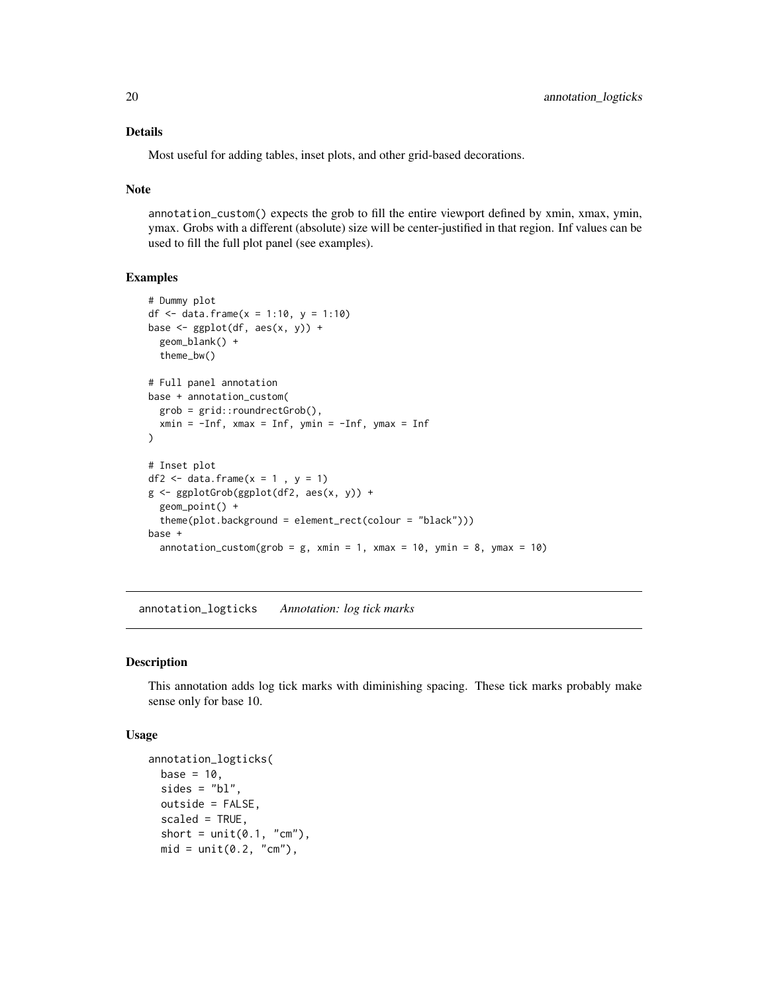#### Details

Most useful for adding tables, inset plots, and other grid-based decorations.

#### Note

annotation\_custom() expects the grob to fill the entire viewport defined by xmin, xmax, ymin, ymax. Grobs with a different (absolute) size will be center-justified in that region. Inf values can be used to fill the full plot panel (see examples).

#### Examples

```
# Dummy plot
df \le data.frame(x = 1:10, y = 1:10)
base \leq ggplot(df, aes(x, y)) +
  geom_blank() +
  theme_bw()
# Full panel annotation
base + annotation_custom(
  grob = grid::roundrectGrob(),
  xmin = -Inf, xmax = Inf, ymin = -Inf, ymax = Inf
)
# Inset plot
df2 \leftarrow data.frame(x = 1, y = 1)
g <- ggplotGrob(ggplot(df2, aes(x, y)) +
  geom_point() +
  theme(plot.background = element_rect(colour = "black")))
base +
  annotation_custom(grob = g, xmin = 1, xmax = 10, ymin = 8, ymax = 10)
```
annotation\_logticks *Annotation: log tick marks*

### Description

This annotation adds log tick marks with diminishing spacing. These tick marks probably make sense only for base 10.

#### Usage

```
annotation_logticks(
 base = 10.
  sides = "bl",outside = FALSE,
  scaled = TRUE,
  short = unit(0.1, "cm"),
 mid = unit(0.2, "cm"),
```
<span id="page-19-0"></span>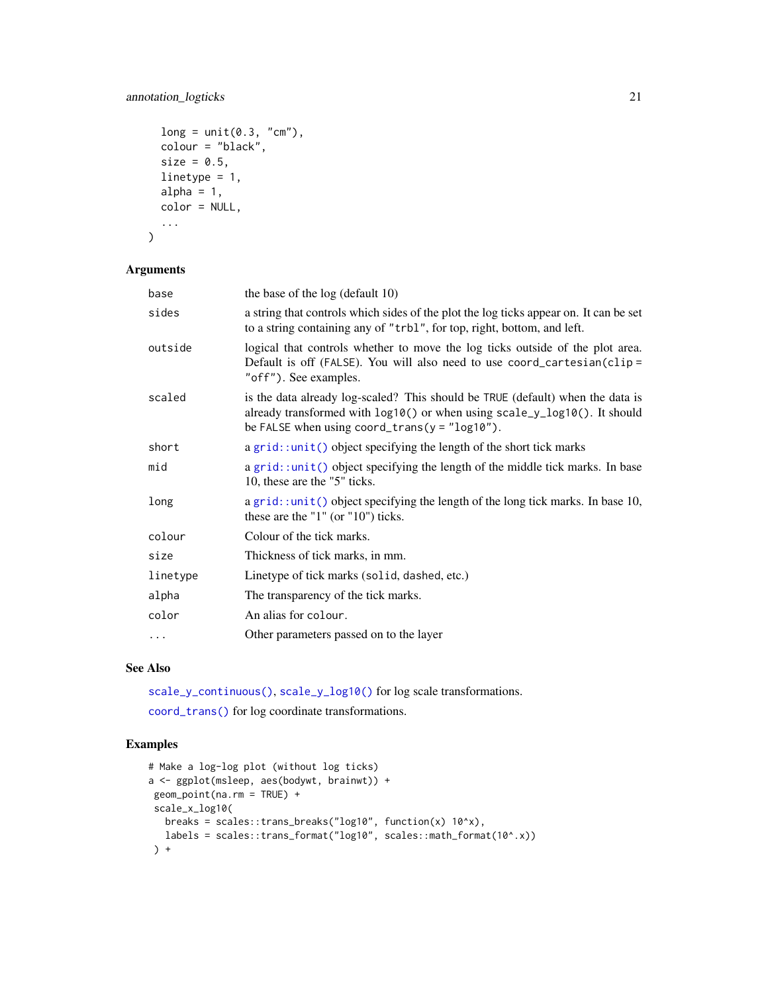### annotation\_logticks 21

```
long = unit(0.3, "cm"),
  colour = "black",
  size = 0.5,
  linetype = 1,
  alpha = 1,
  color = NULL,
  ...
\mathcal{L}
```
#### Arguments

| base     | the base of the log (default 10)                                                                                                                                                                                 |
|----------|------------------------------------------------------------------------------------------------------------------------------------------------------------------------------------------------------------------|
| sides    | a string that controls which sides of the plot the log ticks appear on. It can be set<br>to a string containing any of "trbl", for top, right, bottom, and left.                                                 |
| outside  | logical that controls whether to move the log ticks outside of the plot area.<br>Default is off (FALSE). You will also need to use coord_cartesian(clip=<br>"off"). See examples.                                |
| scaled   | is the data already log-scaled? This should be TRUE (default) when the data is<br>already transformed with log10() or when using scale_y_log10(). It should<br>be FALSE when using coord_trans( $y = "log10")$ . |
| short    | $a grid: unit()$ object specifying the length of the short tick marks                                                                                                                                            |
| mid      | a grid::unit() object specifying the length of the middle tick marks. In base<br>10, these are the "5" ticks.                                                                                                    |
| long     | a grid: :unit() object specifying the length of the long tick marks. In base 10,<br>these are the " $1$ " (or " $10$ ") ticks.                                                                                   |
| colour   | Colour of the tick marks.                                                                                                                                                                                        |
| size     | Thickness of tick marks, in mm.                                                                                                                                                                                  |
| linetype | Linetype of tick marks (solid, dashed, etc.)                                                                                                                                                                     |
| alpha    | The transparency of the tick marks.                                                                                                                                                                              |
| color    | An alias for colour.                                                                                                                                                                                             |
| $\cdots$ | Other parameters passed on to the layer                                                                                                                                                                          |

### See Also

[scale\\_y\\_continuous\(\)](#page-231-1), [scale\\_y\\_log10\(\)](#page-231-1) for log scale transformations.

[coord\\_trans\(\)](#page-40-1) for log coordinate transformations.

```
# Make a log-log plot (without log ticks)
a <- ggplot(msleep, aes(bodywt, brainwt)) +
geom_point(na.rm = TRUE) +
 scale_x_log10(
   breaks = scales::trans_breaks("log10", function(x) 10^x),
   labels = scales::trans_format("log10", scales::math_format(10^.x))
 ) +
```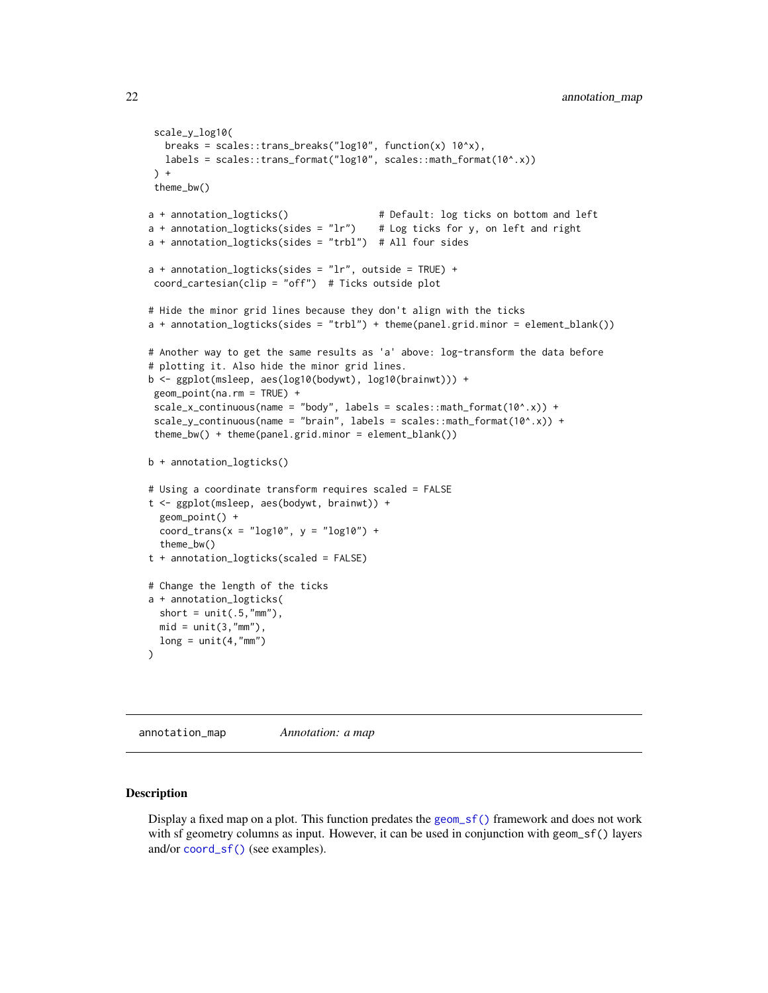```
scale_y_log10(
  breaks = scales::trans_breaks("log10", function(x) 10^x),
  labels = scales::trans_format("log10", scales::math_format(10^.x))
\rightarrow +
theme_bw()
a + annotation_logticks() # Default: log ticks on bottom and left
a + annotation_logticks(sides = "lr") # Log ticks for y, on left and right
a + annotation_logticks(sides = "trbl") # All four sides
a + annotation_logticks(sides = "lr", outside = TRUE) +
coord_cartesian(clip = "off") # Ticks outside plot
# Hide the minor grid lines because they don't align with the ticks
a + annotation_logticks(sides = "trbl") + theme(panel.grid.minor = element_blank())
# Another way to get the same results as 'a' above: log-transform the data before
# plotting it. Also hide the minor grid lines.
b <- ggplot(msleep, aes(log10(bodywt), log10(brainwt))) +
geom_point(na.rm = TRUE) +
scale_x_{continuous(name = "body", labels = scales::math_f{math>math_10^6, xy} +scale_y_{continuous(name = "brain", labels = scales::math_f_{format(10^0.x)}) +theme_bw() + theme(panel.grid.minor = element_blank())
b + annotation_logticks()
# Using a coordinate transform requires scaled = FALSE
t <- ggplot(msleep, aes(bodywt, brainwt)) +
 geom_point() +
 coord_trans(x = "log10", y = "log10") +
 theme_bw()
t + annotation_logticks(scaled = FALSE)
# Change the length of the ticks
a + annotation_logticks(
 short = unit(.5, "mm"),
 mid = unit(3, "mm"),
 long = unit(4, "mm"))
```
annotation\_map *Annotation: a map*

#### Description

Display a fixed map on a plot. This function predates the [geom\\_sf\(\)](#page-27-1) framework and does not work with sf geometry columns as input. However, it can be used in conjunction with geom\_sf() layers and/or [coord\\_sf\(\)](#page-27-1) (see examples).

<span id="page-21-0"></span>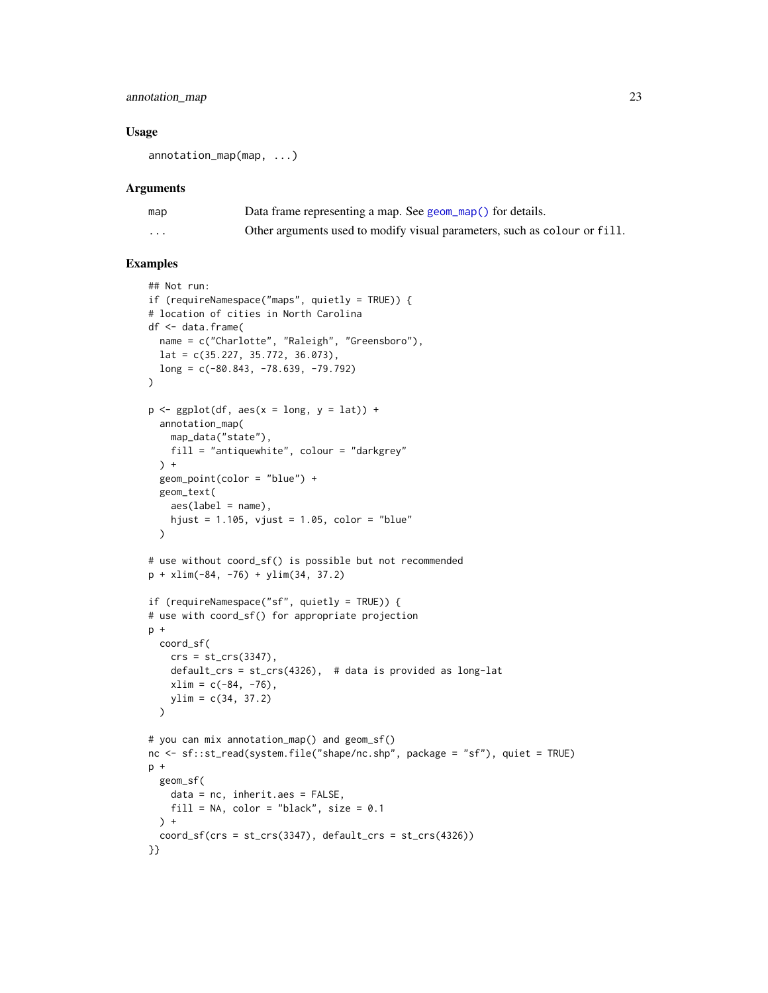### annotation\_map 23

#### Usage

annotation\_map(map, ...)

#### Arguments

| map      | Data frame representing a map. See geom_map() for details.                |
|----------|---------------------------------------------------------------------------|
| $\cdots$ | Other arguments used to modify visual parameters, such as colour or fill. |

```
## Not run:
if (requireNamespace("maps", quietly = TRUE)) {
# location of cities in North Carolina
df <- data.frame(
 name = c("Charlotte", "Raleigh", "Greensboro"),
 lat = c(35.227, 35.772, 36.073),
 long = c(-80.843, -78.639, -79.792)
\lambdap \leftarrow \text{ggplot}(df, \text{aes}(x = \text{long}, y = \text{lat})) +annotation_map(
    map_data("state"),
    fill = "antiquewhite", colour = "darkgrey"
  ) +
  geom_point(color = "blue") +
  geom_text(
    aes(label = name),
    hjust = 1.105, vjust = 1.05, color = "blue"
  \lambda# use without coord_sf() is possible but not recommended
p + xlim(-84, -76) + ylim(34, 37.2)
if (requireNamespace("sf", quietly = TRUE)) {
# use with coord_sf() for appropriate projection
p +coord_sf(
    crs = st_ccrs(3347),
    default_crs = st_crs(4326), # data is provided as long-lat
    xlim = c(-84, -76),
    ylim = c(34, 37.2)\lambda# you can mix annotation_map() and geom_sf()
nc <- sf::st_read(system.file("shape/nc.shp", package = "sf"), quiet = TRUE)
p +
 geom_sf(
    data = nc, inherit.aes = FALSE,
    fill = NA, color = "black", size = 0.1\rightarrow +
  coord_s f(crs = st_ccrs(3347), default_crs = st_ccrs(4326))}}
```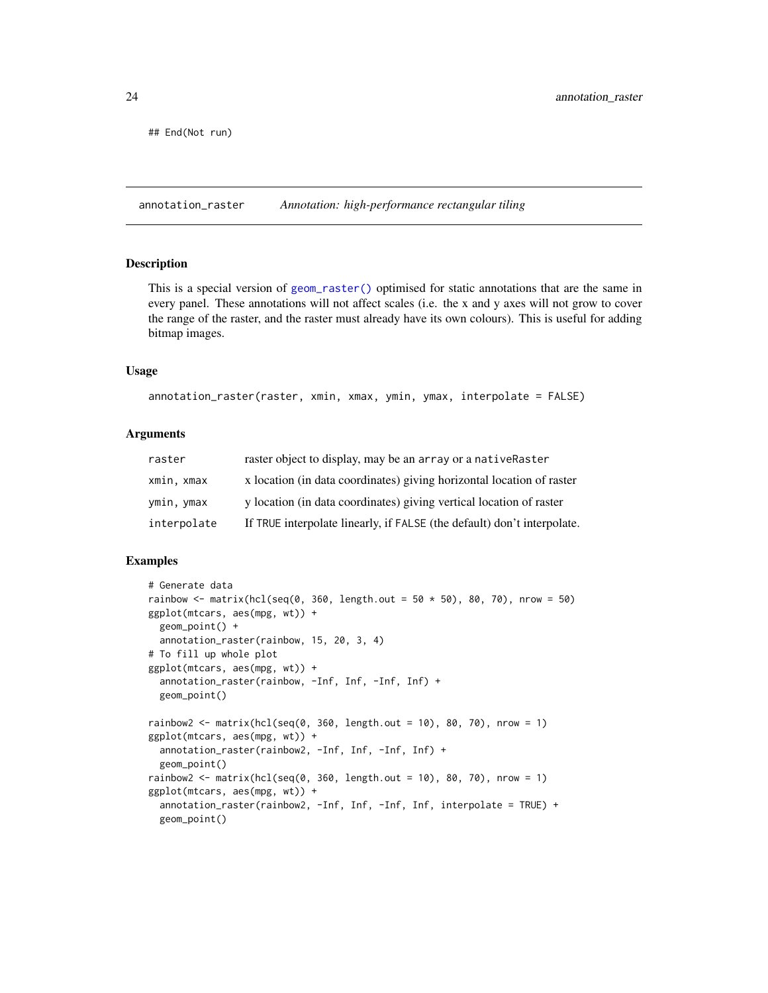<span id="page-23-0"></span>## End(Not run)

annotation\_raster *Annotation: high-performance rectangular tiling*

#### Description

This is a special version of [geom\\_raster\(\)](#page-128-2) optimised for static annotations that are the same in every panel. These annotations will not affect scales (i.e. the x and y axes will not grow to cover the range of the raster, and the raster must already have its own colours). This is useful for adding bitmap images.

#### Usage

```
annotation_raster(raster, xmin, xmax, ymin, ymax, interpolate = FALSE)
```
### Arguments

| raster      | raster object to display, may be an array or a nativeRaster             |
|-------------|-------------------------------------------------------------------------|
| xmin, xmax  | x location (in data coordinates) giving horizontal location of raster   |
| ymin, ymax  | y location (in data coordinates) giving vertical location of raster     |
| interpolate | If TRUE interpolate linearly, if FALSE (the default) don't interpolate. |

```
# Generate data
rainbow <- matrix(hcl(seq(0, 360, length.out = 50 \times 50), 80, 70), nrow = 50)
ggplot(mtcars, aes(mpg, wt)) +
 geom_point() +
 annotation_raster(rainbow, 15, 20, 3, 4)
# To fill up whole plot
ggplot(mtcars, aes(mpg, wt)) +
 annotation_raster(rainbow, -Inf, Inf, -Inf, Inf) +
 geom_point()
rainbow2 <- matrix(hcl(seq(0, 360, length.out = 10), 80, 70), nrow = 1)
ggplot(mtcars, aes(mpg, wt)) +
 annotation_raster(rainbow2, -Inf, Inf, -Inf, Inf) +
 geom_point()
rainbow2 <- matrix(hcl(seq(0, 360, length.out = 10), 80, 70), nrow = 1)
ggplot(mtcars, aes(mpg, wt)) +
 annotation_raster(rainbow2, -Inf, Inf, -Inf, Inf, interpolate = TRUE) +
 geom_point()
```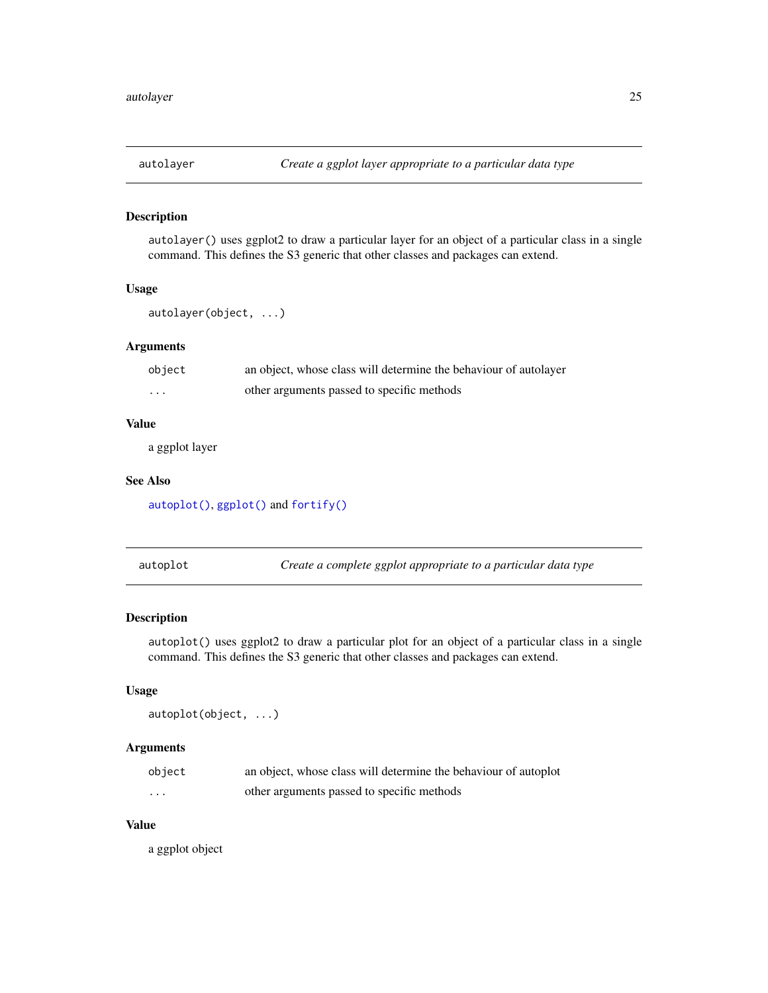<span id="page-24-2"></span><span id="page-24-0"></span>

### Description

autolayer() uses ggplot2 to draw a particular layer for an object of a particular class in a single command. This defines the S3 generic that other classes and packages can extend.

### Usage

autolayer(object, ...)

#### Arguments

| object   | an object, whose class will determine the behaviour of autolayer |
|----------|------------------------------------------------------------------|
| $\cdots$ | other arguments passed to specific methods                       |

#### Value

a ggplot layer

### See Also

[autoplot\(\)](#page-24-1), [ggplot\(\)](#page-151-1) and [fortify\(\)](#page-54-1)

<span id="page-24-1"></span>autoplot *Create a complete ggplot appropriate to a particular data type*

#### Description

autoplot() uses ggplot2 to draw a particular plot for an object of a particular class in a single command. This defines the S3 generic that other classes and packages can extend.

#### Usage

```
autoplot(object, ...)
```
#### Arguments

| object | an object, whose class will determine the behaviour of autoplot |
|--------|-----------------------------------------------------------------|
| .      | other arguments passed to specific methods                      |

### Value

a ggplot object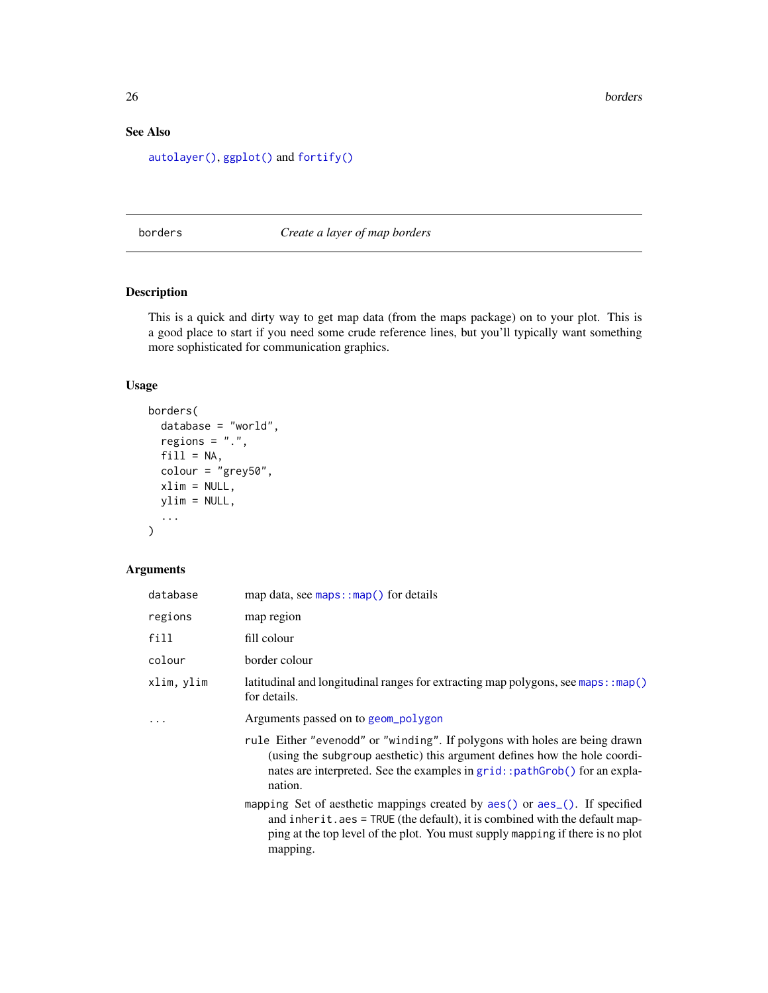### <span id="page-25-0"></span>See Also

[autolayer\(\)](#page-24-2), [ggplot\(\)](#page-151-1) and [fortify\(\)](#page-54-1)

<span id="page-25-1"></span>borders *Create a layer of map borders*

### Description

This is a quick and dirty way to get map data (from the maps package) on to your plot. This is a good place to start if you need some crude reference lines, but you'll typically want something more sophisticated for communication graphics.

### Usage

```
borders(
 database = "world",
 regions = ".".fill = NA,colour = "grey50",
 xlim = NULL,ylim = NULL,
  ...
)
```
### Arguments

| database   | map data, see $maps: :map()$ for details                                                                                                                                                                                                                               |
|------------|------------------------------------------------------------------------------------------------------------------------------------------------------------------------------------------------------------------------------------------------------------------------|
| regions    | map region                                                                                                                                                                                                                                                             |
| fill       | fill colour                                                                                                                                                                                                                                                            |
| colour     | border colour                                                                                                                                                                                                                                                          |
| xlim, ylim | latitudinal and longitudinal ranges for extracting map polygons, see maps: : map()<br>for details.                                                                                                                                                                     |
|            | Arguments passed on to geom_polygon                                                                                                                                                                                                                                    |
|            | rule Either "evenodd" or "winding". If polygons with holes are being drawn<br>(using the subgroup aesthetic) this argument defines how the hole coordi-<br>nates are interpreted. See the examples in grid: : pathGrob() for an expla-<br>nation.                      |
|            | mapping Set of aesthetic mappings created by aes() or aes <sub>-</sub> (). If specified<br>and inherit. $aes = TRUE$ (the default), it is combined with the default map-<br>ping at the top level of the plot. You must supply mapping if there is no plot<br>mapping. |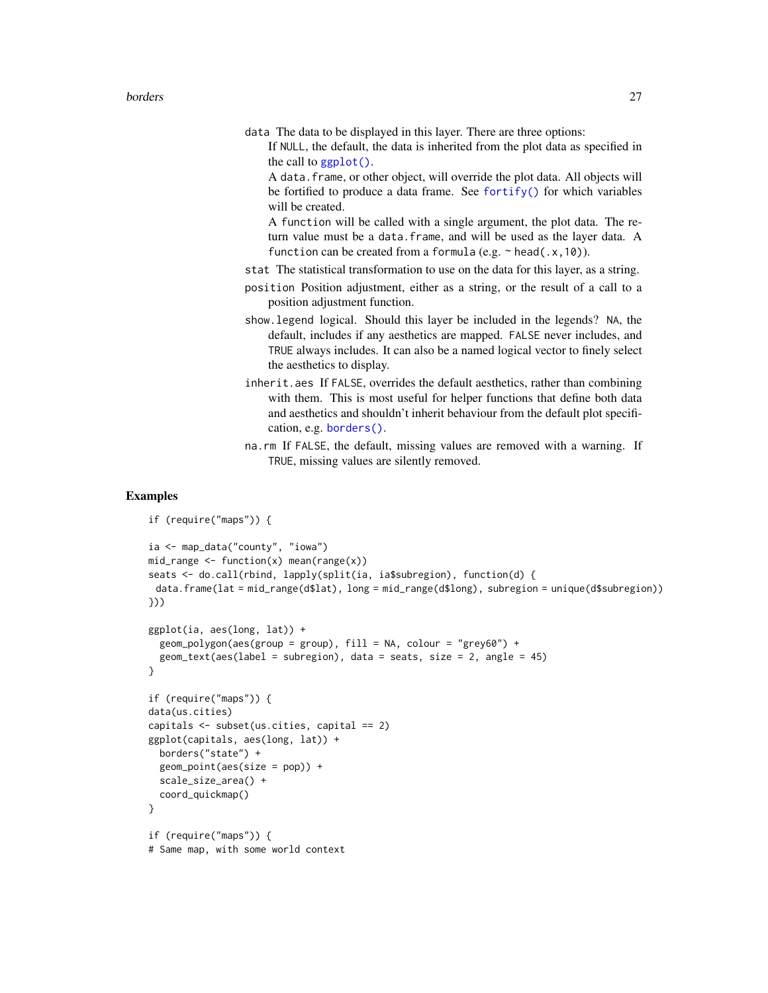- data The data to be displayed in this layer. There are three options:
	- If NULL, the default, the data is inherited from the plot data as specified in the call to  $ggplot()$ .

A data.frame, or other object, will override the plot data. All objects will be fortified to produce a data frame. See [fortify\(\)](#page-54-1) for which variables will be created.

A function will be called with a single argument, the plot data. The return value must be a data.frame, and will be used as the layer data. A function can be created from a formula (e.g.  $\sim$  head(.x,10)).

- stat The statistical transformation to use on the data for this layer, as a string.
- position Position adjustment, either as a string, or the result of a call to a position adjustment function.
- show.legend logical. Should this layer be included in the legends? NA, the default, includes if any aesthetics are mapped. FALSE never includes, and TRUE always includes. It can also be a named logical vector to finely select the aesthetics to display.
- inherit.aes If FALSE, overrides the default aesthetics, rather than combining with them. This is most useful for helper functions that define both data and aesthetics and shouldn't inherit behaviour from the default plot specification, e.g. [borders\(\)](#page-25-1).
- na.rm If FALSE, the default, missing values are removed with a warning. If TRUE, missing values are silently removed.

```
if (require("maps")) {
ia <- map_data("county", "iowa")
mid\_range \leftarrow function(x) mean(range(x))
seats <- do.call(rbind, lapply(split(ia, ia$subregion), function(d) {
 data.frame(lat = mid_range(d$lat), long = mid_range(d$long), subregion = unique(d$subregion))
}))
ggplot(ia, aes(long, lat)) +
 geom_polygon(aes(group = group), fill = NA, colour = "grey60") +
 geom_text(aes(label = subregion), data = seats, size = 2, angle = 45)
}
if (require("maps")) {
data(us.cities)
capitals <- subset(us.cities, capital == 2)
ggplot(capitals, aes(long, lat)) +
 borders("state") +
 geom_point(aes(size = pop)) +
  scale_size_area() +
 coord_quickmap()
}
if (require("maps")) {
# Same map, with some world context
```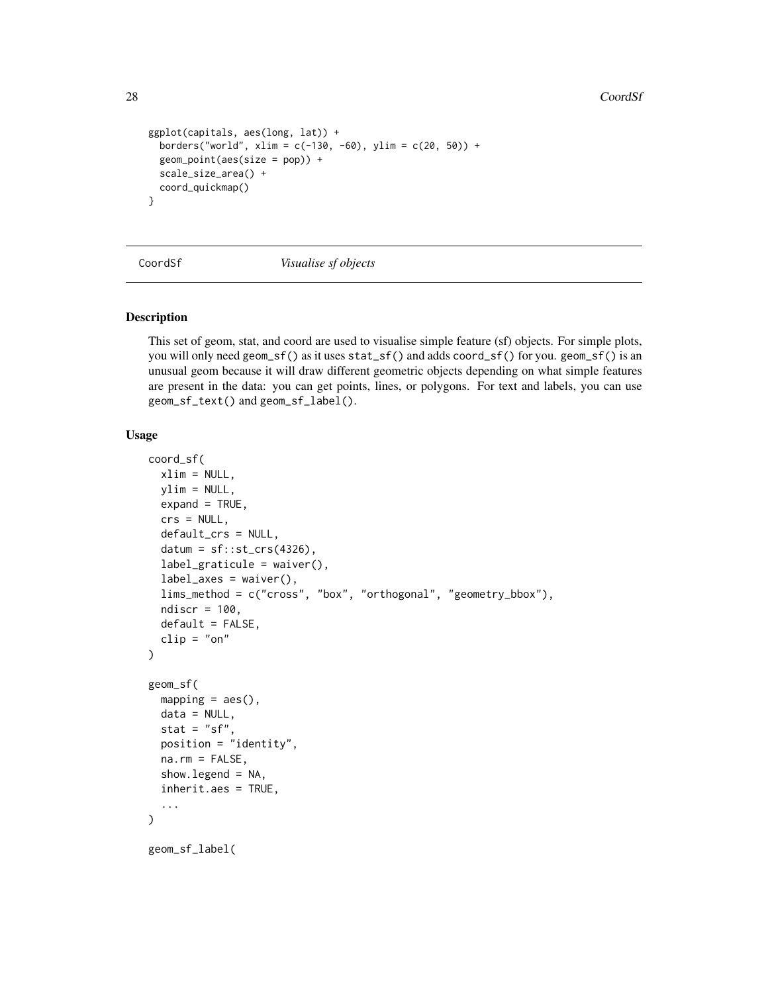28 CoordSf

```
ggplot(capitals, aes(long, lat)) +
 borders("world", xlim = c(-130, -60), ylim = c(20, 50)) +
 geom_point(aes(size = pop)) +
 scale_size_area() +
 coord_quickmap()
}
```
CoordSf *Visualise sf objects*

### <span id="page-27-1"></span>Description

This set of geom, stat, and coord are used to visualise simple feature (sf) objects. For simple plots, you will only need geom\_sf() as it uses stat\_sf() and adds coord\_sf() for you. geom\_sf() is an unusual geom because it will draw different geometric objects depending on what simple features are present in the data: you can get points, lines, or polygons. For text and labels, you can use geom\_sf\_text() and geom\_sf\_label().

### Usage

```
coord_sf(
  xlim = NULL,ylim = NULL,
  expand = TRUE,crs = NULL,default_crs = NULL,
  datum = sf::st_ccrs(4326),
  label_graticule = waiver(),
  label\_axes = waiver(),lims_method = c("cross", "box", "orthogonal", "geometry_bbox"),
  ndiscr = 100,
  default = FALSE,clip = "on")
geom_sf(
 mapping = acs(),
  data = NULL,stat = "sf",
  position = "identity",
  na.rm = FALSE,show. legend = NA,
  inherit.aes = TRUE,
  ...
)
geom_sf_label(
```
<span id="page-27-0"></span>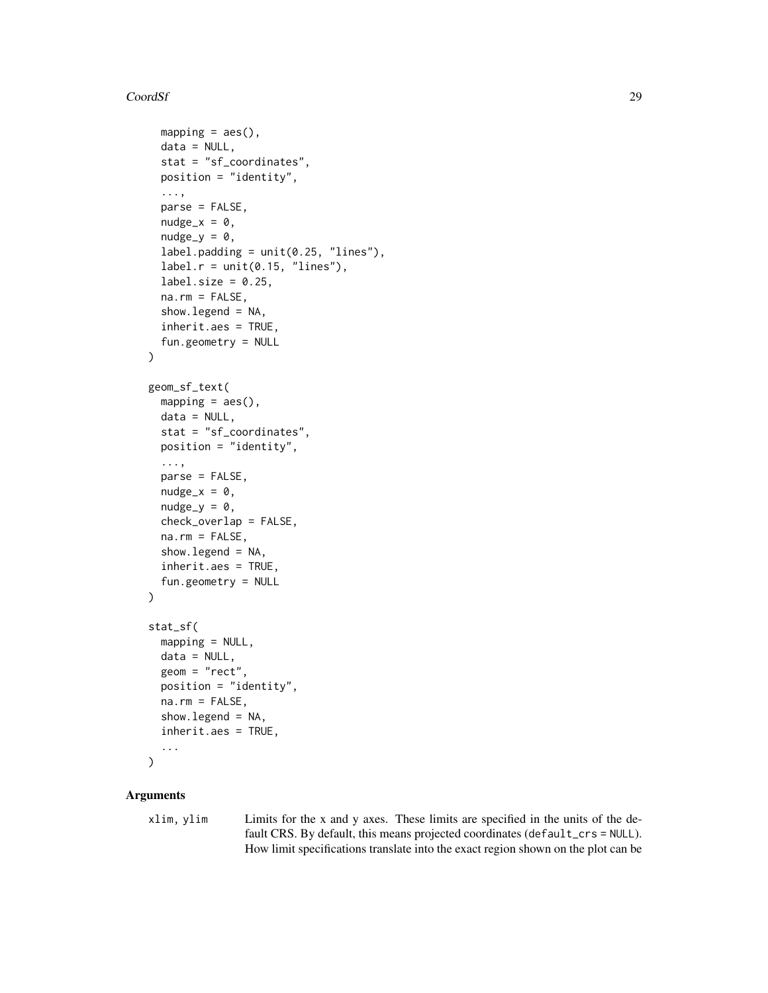#### CoordSf 29

```
mapping = aes(),
  data = NULL,stat = "sf_coordinates",
 position = "identity",
  ...,
 parse = FALSE,
  nudge_x = 0,
  nudge_y = 0,
  label.padding = unit(0.25, 'lines''),label.r = unit(0.15, 'lines'),label.size = 0.25,
  na.rm = FALSE,show.legend = NA,
  inherit.aes = TRUE,
  fun.geometry = NULL
)
geom_sf_text(
 mapping = aes(),
 data = NULL,stat = "sf_coordinates",
 position = "identity",
  ...,
  parse = FALSE,
  nudge_x = 0,
  nudge_y = 0,
  check_overlap = FALSE,
  na.rm = FALSE,
  show. legend = NA,
  inherit.aes = TRUE,
  fun.geometry = NULL
)
stat_sf(
 mapping = NULL,data = NULL,
 geom = "rect",
 position = "identity",
 na.rm = FALSE,show.legend = NA,
  inherit.aes = TRUE,
  ...
\mathcal{L}
```
### Arguments

xlim, ylim Limits for the x and y axes. These limits are specified in the units of the default CRS. By default, this means projected coordinates (default\_crs = NULL). How limit specifications translate into the exact region shown on the plot can be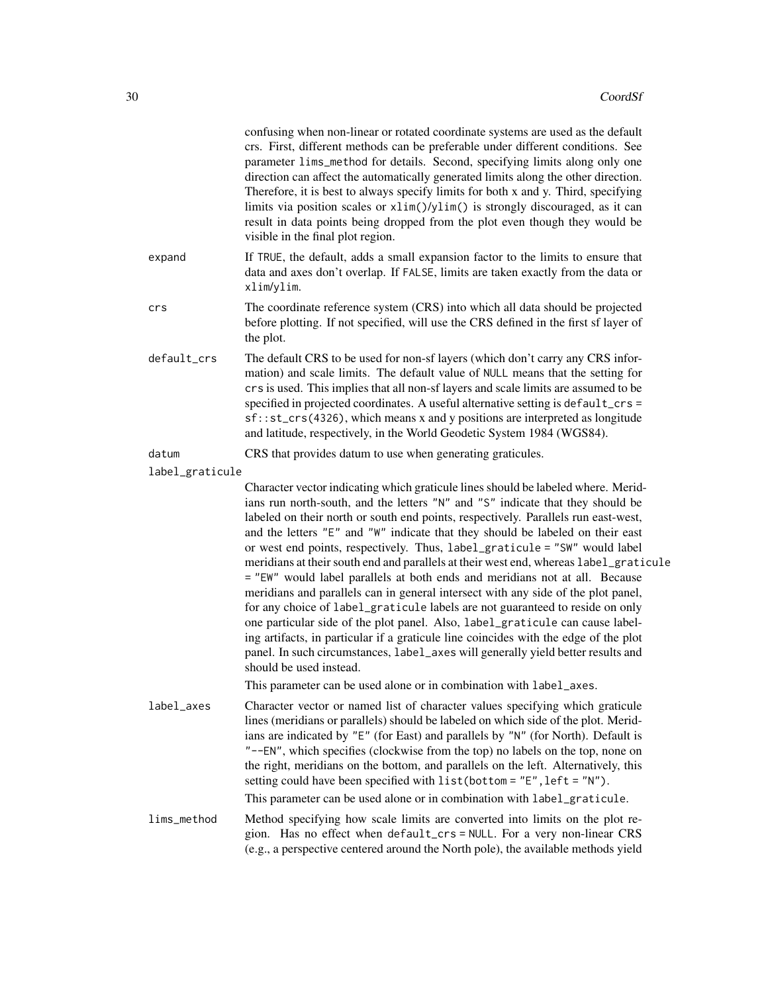|                 | confusing when non-linear or rotated coordinate systems are used as the default<br>crs. First, different methods can be preferable under different conditions. See<br>parameter lims_method for details. Second, specifying limits along only one<br>direction can affect the automatically generated limits along the other direction.<br>Therefore, it is best to always specify limits for both x and y. Third, specifying<br>limits via position scales or xlim()/ylim() is strongly discouraged, as it can<br>result in data points being dropped from the plot even though they would be<br>visible in the final plot region.                                                                                                                                                                                                                                                                                                                                                                                                                             |
|-----------------|-----------------------------------------------------------------------------------------------------------------------------------------------------------------------------------------------------------------------------------------------------------------------------------------------------------------------------------------------------------------------------------------------------------------------------------------------------------------------------------------------------------------------------------------------------------------------------------------------------------------------------------------------------------------------------------------------------------------------------------------------------------------------------------------------------------------------------------------------------------------------------------------------------------------------------------------------------------------------------------------------------------------------------------------------------------------|
| expand          | If TRUE, the default, adds a small expansion factor to the limits to ensure that<br>data and axes don't overlap. If FALSE, limits are taken exactly from the data or<br>xlim/ylim.                                                                                                                                                                                                                                                                                                                                                                                                                                                                                                                                                                                                                                                                                                                                                                                                                                                                              |
| crs             | The coordinate reference system (CRS) into which all data should be projected<br>before plotting. If not specified, will use the CRS defined in the first sf layer of<br>the plot.                                                                                                                                                                                                                                                                                                                                                                                                                                                                                                                                                                                                                                                                                                                                                                                                                                                                              |
| default_crs     | The default CRS to be used for non-sf layers (which don't carry any CRS infor-<br>mation) and scale limits. The default value of NULL means that the setting for<br>crs is used. This implies that all non-sf layers and scale limits are assumed to be<br>specified in projected coordinates. A useful alternative setting is default_crs =<br>sf::st_crs(4326), which means x and y positions are interpreted as longitude<br>and latitude, respectively, in the World Geodetic System 1984 (WGS84).                                                                                                                                                                                                                                                                                                                                                                                                                                                                                                                                                          |
| datum           | CRS that provides datum to use when generating graticules.                                                                                                                                                                                                                                                                                                                                                                                                                                                                                                                                                                                                                                                                                                                                                                                                                                                                                                                                                                                                      |
| label_graticule |                                                                                                                                                                                                                                                                                                                                                                                                                                                                                                                                                                                                                                                                                                                                                                                                                                                                                                                                                                                                                                                                 |
|                 | Character vector indicating which graticule lines should be labeled where. Merid-<br>ians run north-south, and the letters "N" and "S" indicate that they should be<br>labeled on their north or south end points, respectively. Parallels run east-west,<br>and the letters "E" and "W" indicate that they should be labeled on their east<br>or west end points, respectively. Thus, label_graticule = "SW" would label<br>meridians at their south end and parallels at their west end, whereas label_graticule<br>= "EW" would label parallels at both ends and meridians not at all. Because<br>meridians and parallels can in general intersect with any side of the plot panel,<br>for any choice of label_graticule labels are not guaranteed to reside on only<br>one particular side of the plot panel. Also, label_graticule can cause label-<br>ing artifacts, in particular if a graticule line coincides with the edge of the plot<br>panel. In such circumstances, label_axes will generally yield better results and<br>should be used instead. |
|                 | This parameter can be used alone or in combination with label_axes.                                                                                                                                                                                                                                                                                                                                                                                                                                                                                                                                                                                                                                                                                                                                                                                                                                                                                                                                                                                             |
| label_axes      | Character vector or named list of character values specifying which graticule<br>lines (meridians or parallels) should be labeled on which side of the plot. Merid-<br>ians are indicated by "E" (for East) and parallels by "N" (for North). Default is<br>"--EN", which specifies (clockwise from the top) no labels on the top, none on<br>the right, meridians on the bottom, and parallels on the left. Alternatively, this<br>setting could have been specified with $list(bottom = "E", left = "N").$                                                                                                                                                                                                                                                                                                                                                                                                                                                                                                                                                    |
|                 | This parameter can be used alone or in combination with label_graticule.                                                                                                                                                                                                                                                                                                                                                                                                                                                                                                                                                                                                                                                                                                                                                                                                                                                                                                                                                                                        |
| lims_method     | Method specifying how scale limits are converted into limits on the plot re-<br>gion. Has no effect when default_crs = NULL. For a very non-linear CRS<br>(e.g., a perspective centered around the North pole), the available methods yield                                                                                                                                                                                                                                                                                                                                                                                                                                                                                                                                                                                                                                                                                                                                                                                                                     |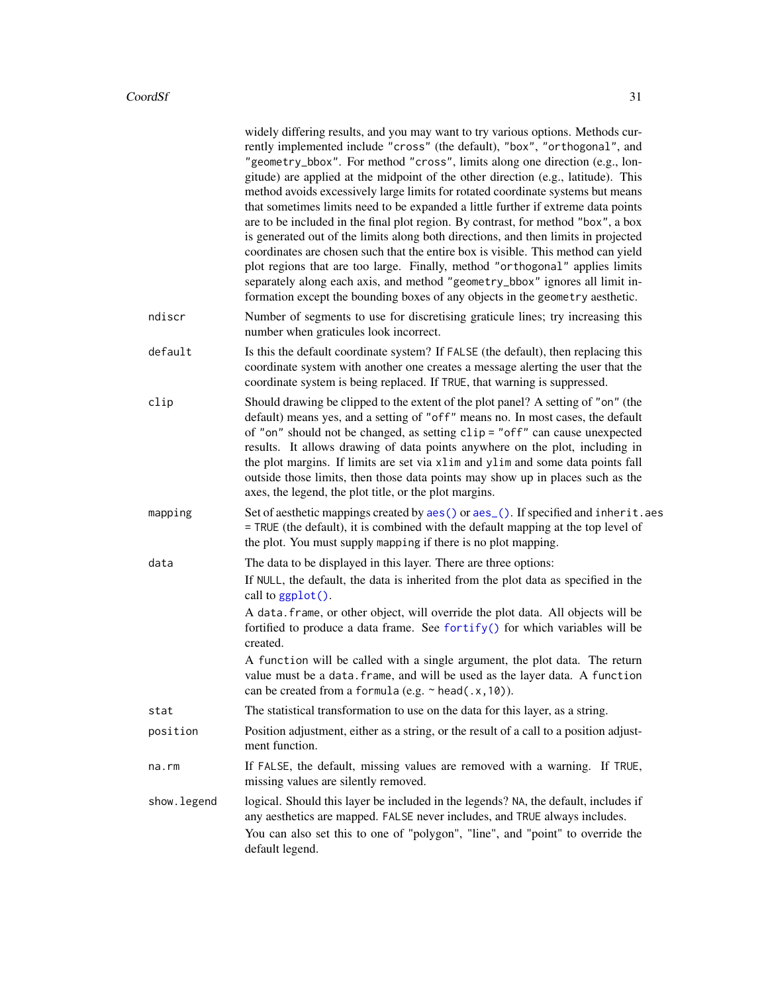|             | widely differing results, and you may want to try various options. Methods cur-<br>rently implemented include "cross" (the default), "box", "orthogonal", and<br>"geometry_bbox". For method "cross", limits along one direction (e.g., lon-<br>gitude) are applied at the midpoint of the other direction (e.g., latitude). This<br>method avoids excessively large limits for rotated coordinate systems but means<br>that sometimes limits need to be expanded a little further if extreme data points<br>are to be included in the final plot region. By contrast, for method "box", a box<br>is generated out of the limits along both directions, and then limits in projected<br>coordinates are chosen such that the entire box is visible. This method can yield<br>plot regions that are too large. Finally, method "orthogonal" applies limits<br>separately along each axis, and method "geometry_bbox" ignores all limit in-<br>formation except the bounding boxes of any objects in the geometry aesthetic. |
|-------------|----------------------------------------------------------------------------------------------------------------------------------------------------------------------------------------------------------------------------------------------------------------------------------------------------------------------------------------------------------------------------------------------------------------------------------------------------------------------------------------------------------------------------------------------------------------------------------------------------------------------------------------------------------------------------------------------------------------------------------------------------------------------------------------------------------------------------------------------------------------------------------------------------------------------------------------------------------------------------------------------------------------------------|
| ndiscr      | Number of segments to use for discretising graticule lines; try increasing this<br>number when graticules look incorrect.                                                                                                                                                                                                                                                                                                                                                                                                                                                                                                                                                                                                                                                                                                                                                                                                                                                                                                  |
| default     | Is this the default coordinate system? If FALSE (the default), then replacing this<br>coordinate system with another one creates a message alerting the user that the<br>coordinate system is being replaced. If TRUE, that warning is suppressed.                                                                                                                                                                                                                                                                                                                                                                                                                                                                                                                                                                                                                                                                                                                                                                         |
| clip        | Should drawing be clipped to the extent of the plot panel? A setting of "on" (the<br>default) means yes, and a setting of "off" means no. In most cases, the default<br>of "on" should not be changed, as setting clip = "off" can cause unexpected<br>results. It allows drawing of data points anywhere on the plot, including in<br>the plot margins. If limits are set via xlim and ylim and some data points fall<br>outside those limits, then those data points may show up in places such as the<br>axes, the legend, the plot title, or the plot margins.                                                                                                                                                                                                                                                                                                                                                                                                                                                         |
| mapping     | Set of aesthetic mappings created by aes() or aes_(). If specified and inherit.aes<br>= TRUE (the default), it is combined with the default mapping at the top level of<br>the plot. You must supply mapping if there is no plot mapping.                                                                                                                                                                                                                                                                                                                                                                                                                                                                                                                                                                                                                                                                                                                                                                                  |
| data        | The data to be displayed in this layer. There are three options:                                                                                                                                                                                                                                                                                                                                                                                                                                                                                                                                                                                                                                                                                                                                                                                                                                                                                                                                                           |
|             | If NULL, the default, the data is inherited from the plot data as specified in the<br>call to ggplot().                                                                                                                                                                                                                                                                                                                                                                                                                                                                                                                                                                                                                                                                                                                                                                                                                                                                                                                    |
|             | A data. frame, or other object, will override the plot data. All objects will be<br>fortified to produce a data frame. See fortify() for which variables will be<br>created.                                                                                                                                                                                                                                                                                                                                                                                                                                                                                                                                                                                                                                                                                                                                                                                                                                               |
|             | A function will be called with a single argument, the plot data. The return<br>value must be a data. frame, and will be used as the layer data. A function<br>can be created from a formula (e.g. $\sim$ head(.x, 10)).                                                                                                                                                                                                                                                                                                                                                                                                                                                                                                                                                                                                                                                                                                                                                                                                    |
| stat        | The statistical transformation to use on the data for this layer, as a string.                                                                                                                                                                                                                                                                                                                                                                                                                                                                                                                                                                                                                                                                                                                                                                                                                                                                                                                                             |
| position    | Position adjustment, either as a string, or the result of a call to a position adjust-<br>ment function.                                                                                                                                                                                                                                                                                                                                                                                                                                                                                                                                                                                                                                                                                                                                                                                                                                                                                                                   |
| na.rm       | If FALSE, the default, missing values are removed with a warning. If TRUE,<br>missing values are silently removed.                                                                                                                                                                                                                                                                                                                                                                                                                                                                                                                                                                                                                                                                                                                                                                                                                                                                                                         |
| show.legend | logical. Should this layer be included in the legends? NA, the default, includes if<br>any aesthetics are mapped. FALSE never includes, and TRUE always includes.<br>You can also set this to one of "polygon", "line", and "point" to override the<br>default legend.                                                                                                                                                                                                                                                                                                                                                                                                                                                                                                                                                                                                                                                                                                                                                     |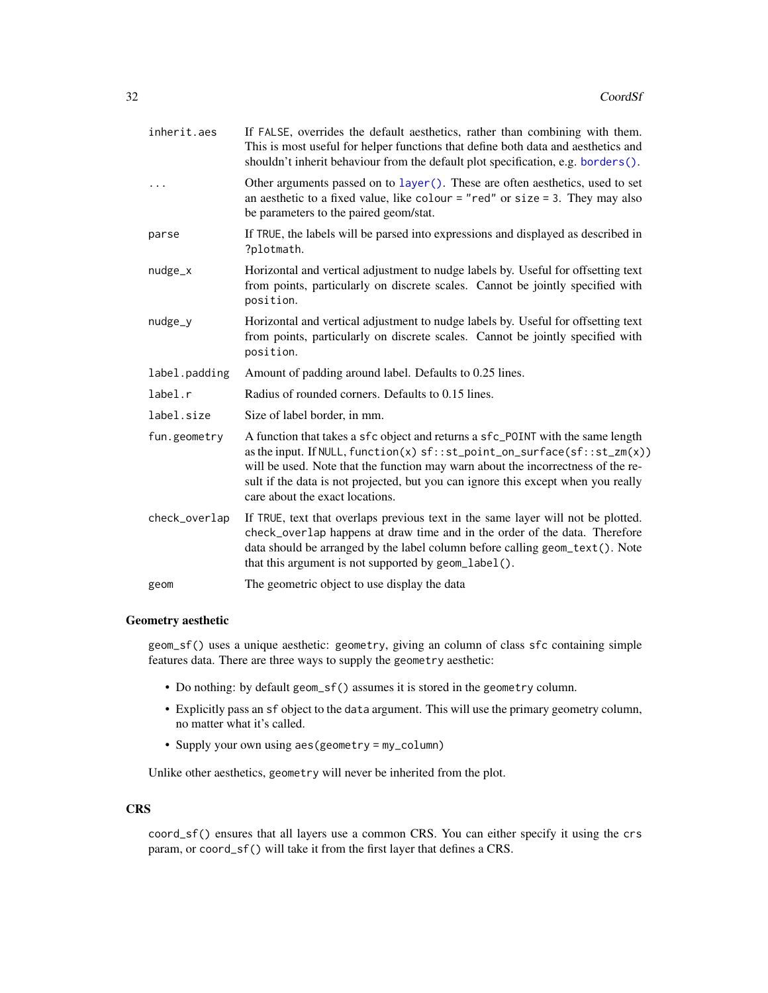| inherit.aes   | If FALSE, overrides the default aesthetics, rather than combining with them.<br>This is most useful for helper functions that define both data and aesthetics and<br>shouldn't inherit behaviour from the default plot specification, e.g. borders().                                                                                                                         |
|---------------|-------------------------------------------------------------------------------------------------------------------------------------------------------------------------------------------------------------------------------------------------------------------------------------------------------------------------------------------------------------------------------|
| $\cdots$      | Other arguments passed on to layer (). These are often aesthetics, used to set<br>an aesthetic to a fixed value, like colour = "red" or size = 3. They may also<br>be parameters to the paired geom/stat.                                                                                                                                                                     |
| parse         | If TRUE, the labels will be parsed into expressions and displayed as described in<br>?plotmath.                                                                                                                                                                                                                                                                               |
| nudge_x       | Horizontal and vertical adjustment to nudge labels by. Useful for offsetting text<br>from points, particularly on discrete scales. Cannot be jointly specified with<br>position.                                                                                                                                                                                              |
| nudge_y       | Horizontal and vertical adjustment to nudge labels by. Useful for offsetting text<br>from points, particularly on discrete scales. Cannot be jointly specified with<br>position.                                                                                                                                                                                              |
| label.padding | Amount of padding around label. Defaults to 0.25 lines.                                                                                                                                                                                                                                                                                                                       |
| label.r       | Radius of rounded corners. Defaults to 0.15 lines.                                                                                                                                                                                                                                                                                                                            |
| label.size    | Size of label border, in mm.                                                                                                                                                                                                                                                                                                                                                  |
| fun.geometry  | A function that takes a sfc object and returns a sfc_POINT with the same length<br>as the input. If NULL, function(x) $sf::st\_point\_on\_surface(sf::st\_zm(x))$<br>will be used. Note that the function may warn about the incorrectness of the re-<br>sult if the data is not projected, but you can ignore this except when you really<br>care about the exact locations. |
| check_overlap | If TRUE, text that overlaps previous text in the same layer will not be plotted.<br>check_overlap happens at draw time and in the order of the data. Therefore<br>data should be arranged by the label column before calling geom_text(). Note<br>that this argument is not supported by geom_label().                                                                        |
| geom          | The geometric object to use display the data                                                                                                                                                                                                                                                                                                                                  |

### Geometry aesthetic

geom\_sf() uses a unique aesthetic: geometry, giving an column of class sfc containing simple features data. There are three ways to supply the geometry aesthetic:

- Do nothing: by default geom\_sf() assumes it is stored in the geometry column.
- Explicitly pass an sf object to the data argument. This will use the primary geometry column, no matter what it's called.
- Supply your own using aes(geometry = my\_column)

Unlike other aesthetics, geometry will never be inherited from the plot.

### **CRS**

coord\_sf() ensures that all layers use a common CRS. You can either specify it using the crs param, or coord\_sf() will take it from the first layer that defines a CRS.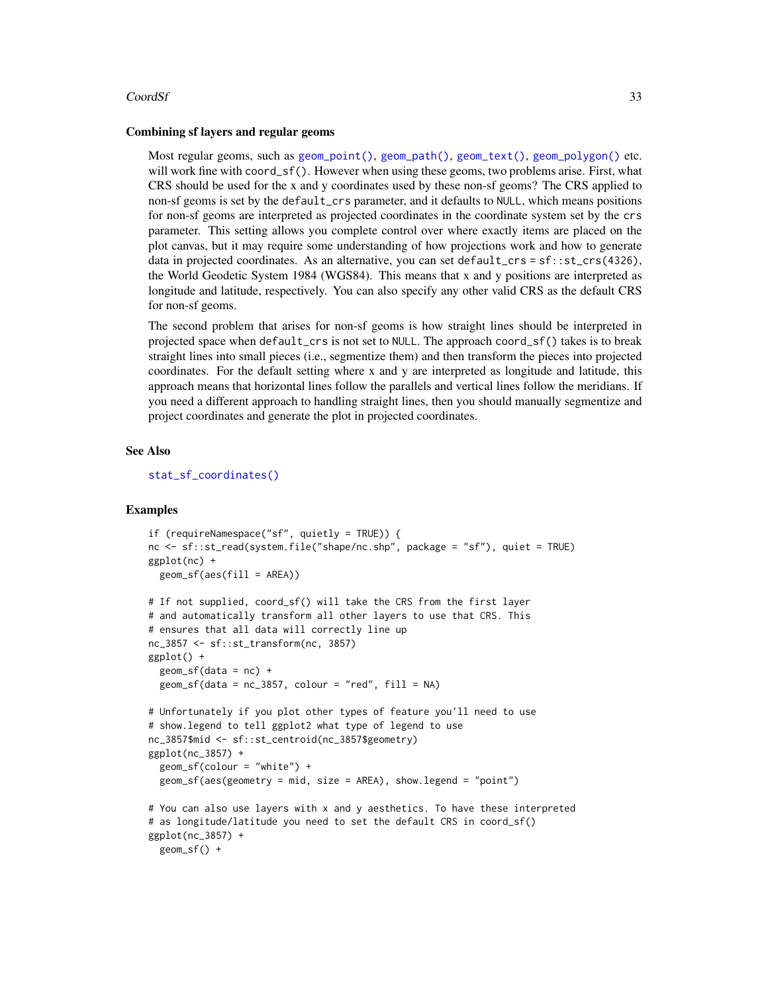#### $\text{CoordS}$  33

#### Combining sf layers and regular geoms

Most regular geoms, such as [geom\\_point\(\)](#page-117-1), [geom\\_path\(\)](#page-113-2), [geom\\_text\(\)](#page-105-1), [geom\\_polygon\(\)](#page-119-1) etc. will work fine with coord\_sf(). However when using these geoms, two problems arise. First, what CRS should be used for the x and y coordinates used by these non-sf geoms? The CRS applied to non-sf geoms is set by the default\_crs parameter, and it defaults to NULL, which means positions for non-sf geoms are interpreted as projected coordinates in the coordinate system set by the crs parameter. This setting allows you complete control over where exactly items are placed on the plot canvas, but it may require some understanding of how projections work and how to generate data in projected coordinates. As an alternative, you can set default\_crs = sf: : st\_crs(4326), the World Geodetic System 1984 (WGS84). This means that x and y positions are interpreted as longitude and latitude, respectively. You can also specify any other valid CRS as the default CRS for non-sf geoms.

The second problem that arises for non-sf geoms is how straight lines should be interpreted in projected space when default\_crs is not set to NULL. The approach coord\_sf() takes is to break straight lines into small pieces (i.e., segmentize them) and then transform the pieces into projected coordinates. For the default setting where x and y are interpreted as longitude and latitude, this approach means that horizontal lines follow the parallels and vertical lines follow the meridians. If you need a different approach to handling straight lines, then you should manually segmentize and project coordinates and generate the plot in projected coordinates.

#### See Also

[stat\\_sf\\_coordinates\(\)](#page-260-1)

```
if (requireNamespace("sf", quietly = TRUE)) {
nc <- sf::st_read(system.file("shape/nc.shp", package = "sf"), quiet = TRUE)
ggplot(nc) +
 geom_sf(aes(fill = AREA))# If not supplied, coord_sf() will take the CRS from the first layer
# and automatically transform all other layers to use that CRS. This
# ensures that all data will correctly line up
nc_3857 <- sf::st_transform(nc, 3857)
ggplot() +
 geom_s f(data = nc) +geom_s f(data = nc_3857, colour = "red", fill = NA)# Unfortunately if you plot other types of feature you'll need to use
# show.legend to tell ggplot2 what type of legend to use
nc_3857$mid <- sf::st_centroid(nc_3857$geometry)
ggplot(nc_3857) +
 geom_sf(colour = "white") +
 geom_sf(aes(geometry = mid, size = AREA), show.legend = "point")
# You can also use layers with x and y aesthetics. To have these interpreted
# as longitude/latitude you need to set the default CRS in coord_sf()
ggplot(nc_3857) +
 geom_sf() +
```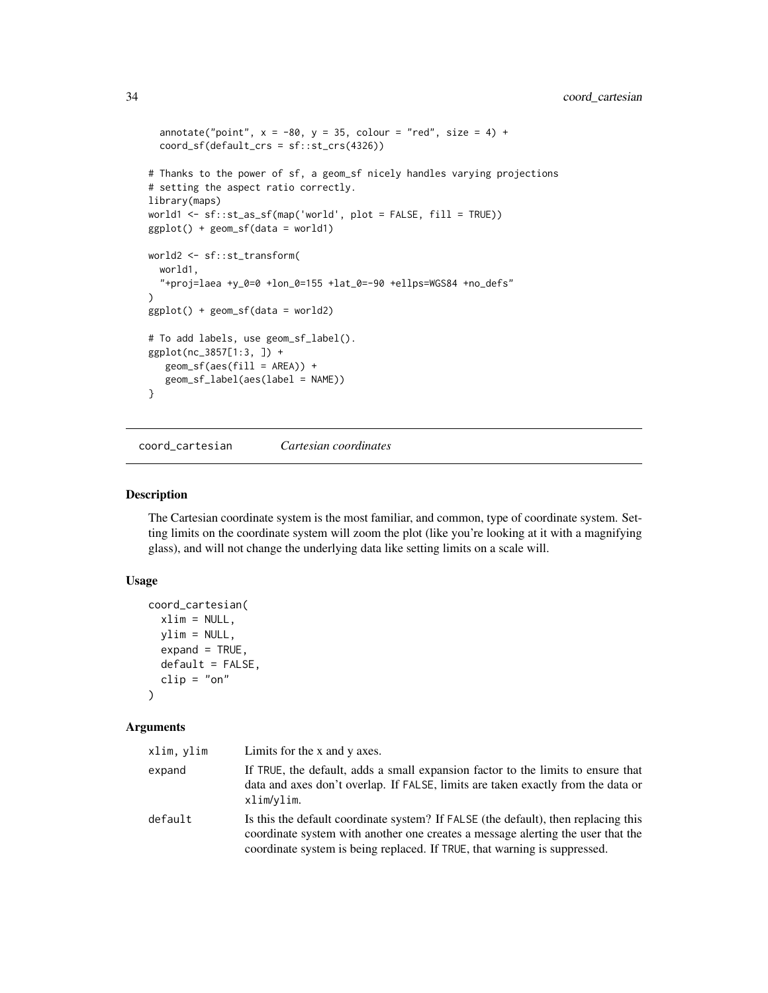```
annotate("point", x = -80, y = 35, colour = "red", size = 4) +
  coord_sf(default_crs = sf::st_crs(4326))
# Thanks to the power of sf, a geom_sf nicely handles varying projections
# setting the aspect ratio correctly.
library(maps)
world1 <- sf::st_as_sf(map('world', plot = FALSE, fill = TRUE))
ggplot() + geom_sf(data = world1)
world2 <- sf::st_transform(
  world1,
  "+proj=laea +y_0=0 +lon_0=155 +lat_0=-90 +ellps=WGS84 +no_defs"
)
ggplot() + geom_sf(data = world2)# To add labels, use geom_sf_label().
ggplot(nc_3857[1:3, ]) +
   geom_s f(aes(fill = AREA)) +geom_sf_label(aes(label = NAME))
}
```
coord\_cartesian *Cartesian coordinates*

#### Description

The Cartesian coordinate system is the most familiar, and common, type of coordinate system. Setting limits on the coordinate system will zoom the plot (like you're looking at it with a magnifying glass), and will not change the underlying data like setting limits on a scale will.

#### Usage

```
coord_cartesian(
 xlim = NULL,ylim = NULL,
 expand = TRUE,default = FALSE,clip = "on")
```
#### Arguments

| xlim, ylim | Limits for the x and y axes.                                                                                                                                                                                                                       |
|------------|----------------------------------------------------------------------------------------------------------------------------------------------------------------------------------------------------------------------------------------------------|
| expand     | If TRUE, the default, adds a small expansion factor to the limits to ensure that<br>data and axes don't overlap. If FALSE, limits are taken exactly from the data or<br>xlim/ylim.                                                                 |
| default    | Is this the default coordinate system? If FALSE (the default), then replacing this<br>coordinate system with another one creates a message alerting the user that the<br>coordinate system is being replaced. If TRUE, that warning is suppressed. |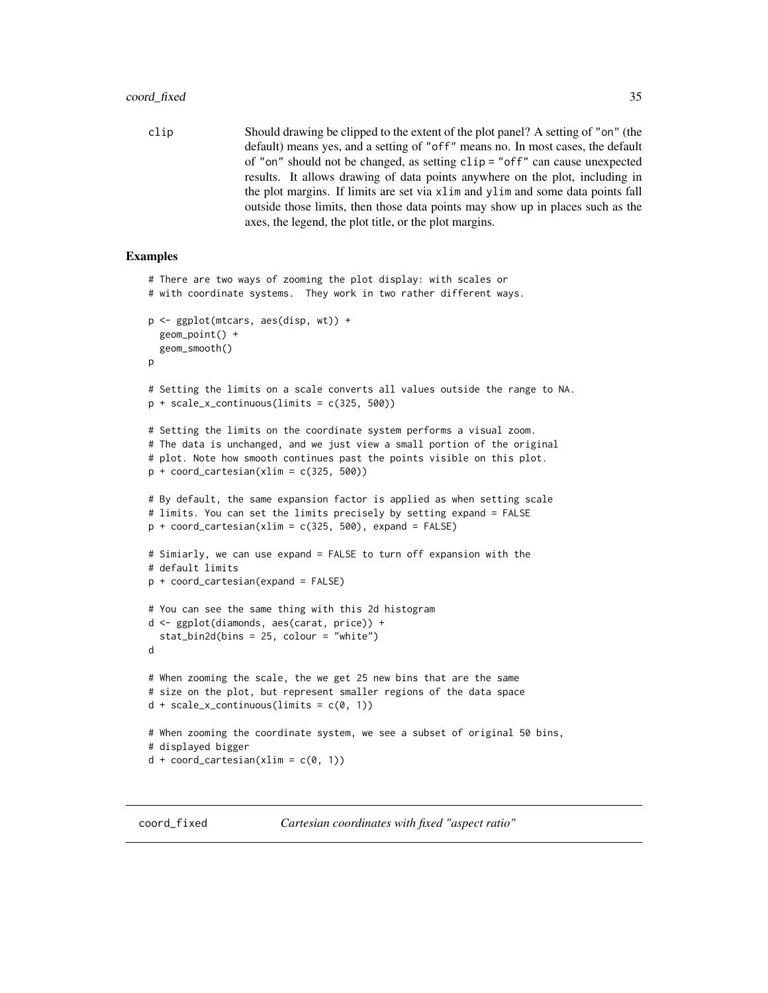<span id="page-34-0"></span>clip Should drawing be clipped to the extent of the plot panel? A setting of "on" (the default) means yes, and a setting of "off" means no. In most cases, the default of "on" should not be changed, as setting clip = "off" can cause unexpected results. It allows drawing of data points anywhere on the plot, including in the plot margins. If limits are set via xlim and ylim and some data points fall outside those limits, then those data points may show up in places such as the axes, the legend, the plot title, or the plot margins.

```
# There are two ways of zooming the plot display: with scales or
# with coordinate systems. They work in two rather different ways.
p <- ggplot(mtcars, aes(disp, wt)) +
 geom_point() +
 geom_smooth()
p
# Setting the limits on a scale converts all values outside the range to NA.
p + scale_x_{continuous(limits = c(325, 500))# Setting the limits on the coordinate system performs a visual zoom.
# The data is unchanged, and we just view a small portion of the original
# plot. Note how smooth continues past the points visible on this plot.
p + coord_cartesian(xlim = c(325, 500))
# By default, the same expansion factor is applied as when setting scale
# limits. You can set the limits precisely by setting expand = FALSE
p + \text{coord\_cartesian(xlim = c(325, 500), expand = FALSE)}# Simiarly, we can use expand = FALSE to turn off expansion with the
# default limits
p + coord_cartesian(expand = FALSE)
# You can see the same thing with this 2d histogram
d <- ggplot(diamonds, aes(carat, price)) +
 stat_bin2d(bins = 25, colour = "white")
d
# When zooming the scale, the we get 25 new bins that are the same
# size on the plot, but represent smaller regions of the data space
d + scale_x_{continuous}(limits = c(0, 1))# When zooming the coordinate system, we see a subset of original 50 bins,
# displayed bigger
d + coord_cartesian(xlim = c(0, 1))
```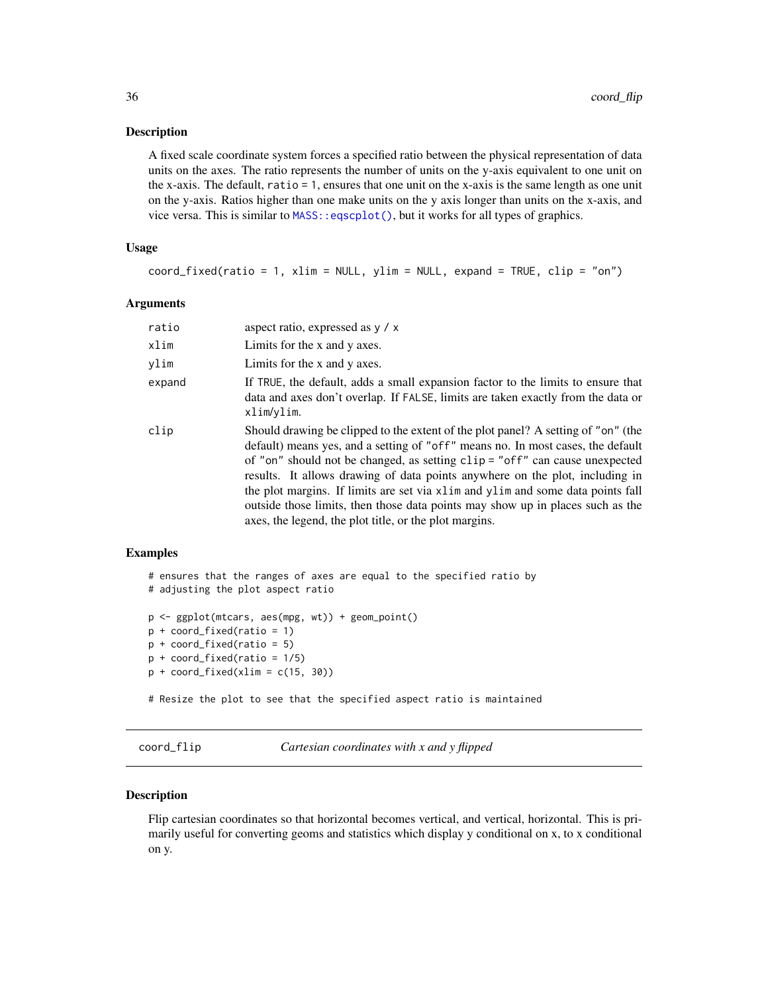#### <span id="page-35-0"></span>Description

A fixed scale coordinate system forces a specified ratio between the physical representation of data units on the axes. The ratio represents the number of units on the y-axis equivalent to one unit on the x-axis. The default, ratio = 1, ensures that one unit on the x-axis is the same length as one unit on the y-axis. Ratios higher than one make units on the y axis longer than units on the x-axis, and vice versa. This is similar to  $MASS:eqscplot()$ , but it works for all types of graphics.

### Usage

```
coord_fixed(ratio = 1, xlim = NULL, ylim = NULL, expand = TRUE, clip = "on")
```
#### Arguments

| ratio  | aspect ratio, expressed as $y / x$                                                                                                                                                                                                                                                                                                                                                                                                                                                                                                                                     |
|--------|------------------------------------------------------------------------------------------------------------------------------------------------------------------------------------------------------------------------------------------------------------------------------------------------------------------------------------------------------------------------------------------------------------------------------------------------------------------------------------------------------------------------------------------------------------------------|
| xlim   | Limits for the x and y axes.                                                                                                                                                                                                                                                                                                                                                                                                                                                                                                                                           |
| vlim   | Limits for the x and y axes.                                                                                                                                                                                                                                                                                                                                                                                                                                                                                                                                           |
| expand | If TRUE, the default, adds a small expansion factor to the limits to ensure that<br>data and axes don't overlap. If FALSE, limits are taken exactly from the data or<br>xlim/ylim.                                                                                                                                                                                                                                                                                                                                                                                     |
| clip   | Should drawing be clipped to the extent of the plot panel? A setting of "on" (the<br>default) means yes, and a setting of "off" means no. In most cases, the default<br>of "on" should not be changed, as setting clip = "off" can cause unexpected<br>results. It allows drawing of data points anywhere on the plot, including in<br>the plot margins. If limits are set via x l im and y l im and some data points fall<br>outside those limits, then those data points may show up in places such as the<br>axes, the legend, the plot title, or the plot margins. |

#### Examples

```
# ensures that the ranges of axes are equal to the specified ratio by
# adjusting the plot aspect ratio
p <- ggplot(mtcars, aes(mpg, wt)) + geom_point()
p + coord_fixed(ratio = 1)
p + coord_fixed(ratio = 5)
p + coord_fixed(ratio = 1/5)
p + coord_fixed(xlim = c(15, 30))
```
# Resize the plot to see that the specified aspect ratio is maintained

coord\_flip *Cartesian coordinates with x and y flipped*

### Description

Flip cartesian coordinates so that horizontal becomes vertical, and vertical, horizontal. This is primarily useful for converting geoms and statistics which display y conditional on x, to x conditional on y.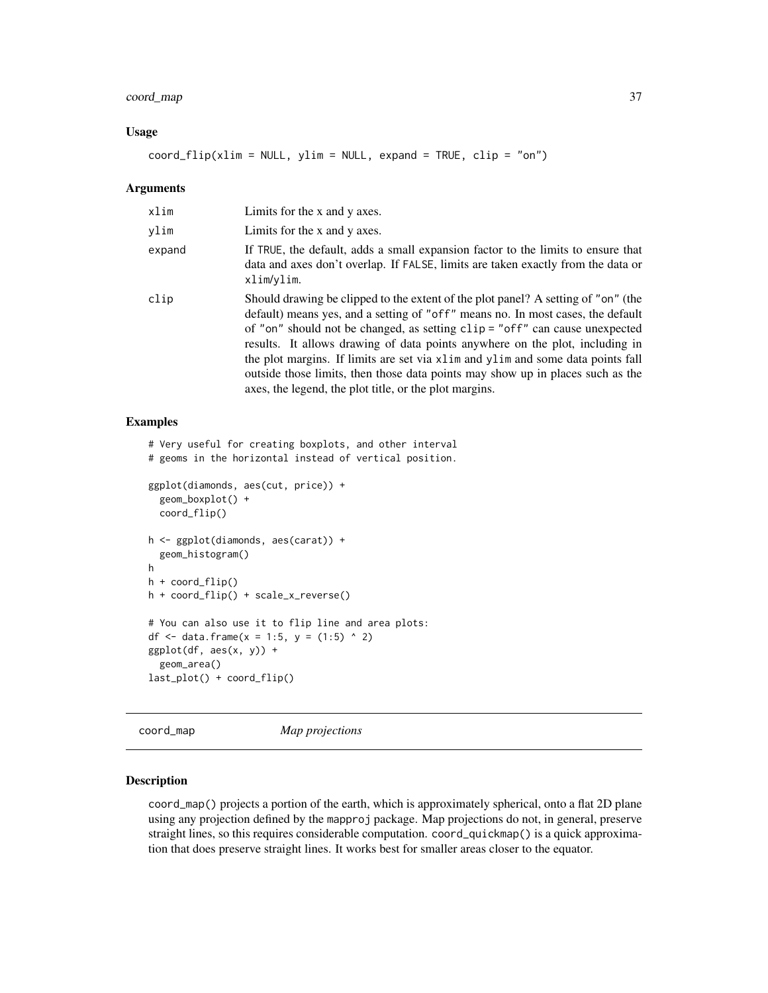## coord\_map 37

### Usage

 $coord_flip(xlim = NULL, ylim = NULL, expand = TRUE, clip = "on")$ 

#### **Arguments**

| xlim   | Limits for the x and y axes.                                                                                                                                                                                                                                                                                                                                                                                                                                                                                                                                           |
|--------|------------------------------------------------------------------------------------------------------------------------------------------------------------------------------------------------------------------------------------------------------------------------------------------------------------------------------------------------------------------------------------------------------------------------------------------------------------------------------------------------------------------------------------------------------------------------|
| vlim   | Limits for the x and y axes.                                                                                                                                                                                                                                                                                                                                                                                                                                                                                                                                           |
| expand | If TRUE, the default, adds a small expansion factor to the limits to ensure that<br>data and axes don't overlap. If FALSE, limits are taken exactly from the data or<br>xlim/ylim.                                                                                                                                                                                                                                                                                                                                                                                     |
| clip   | Should drawing be clipped to the extent of the plot panel? A setting of "on" (the<br>default) means yes, and a setting of "off" means no. In most cases, the default<br>of "on" should not be changed, as setting clip = "off" can cause unexpected<br>results. It allows drawing of data points anywhere on the plot, including in<br>the plot margins. If limits are set via x l im and y l im and some data points fall<br>outside those limits, then those data points may show up in places such as the<br>axes, the legend, the plot title, or the plot margins. |

## Examples

```
# Very useful for creating boxplots, and other interval
# geoms in the horizontal instead of vertical position.
ggplot(diamonds, aes(cut, price)) +
  geom_boxplot() +
  coord_flip()
h <- ggplot(diamonds, aes(carat)) +
  geom_histogram()
h
h + coord_flip()
h + coord_flip() + scale_x_reverse()
# You can also use it to flip line and area plots:
df <- data.frame(x = 1:5, y = (1:5) ^ 2)
ggplot(df, aes(x, y)) +geom_area()
last_plot() + coord_flip()
```
coord\_map *Map projections*

### Description

coord\_map() projects a portion of the earth, which is approximately spherical, onto a flat 2D plane using any projection defined by the mapproj package. Map projections do not, in general, preserve straight lines, so this requires considerable computation. coord\_quickmap() is a quick approximation that does preserve straight lines. It works best for smaller areas closer to the equator.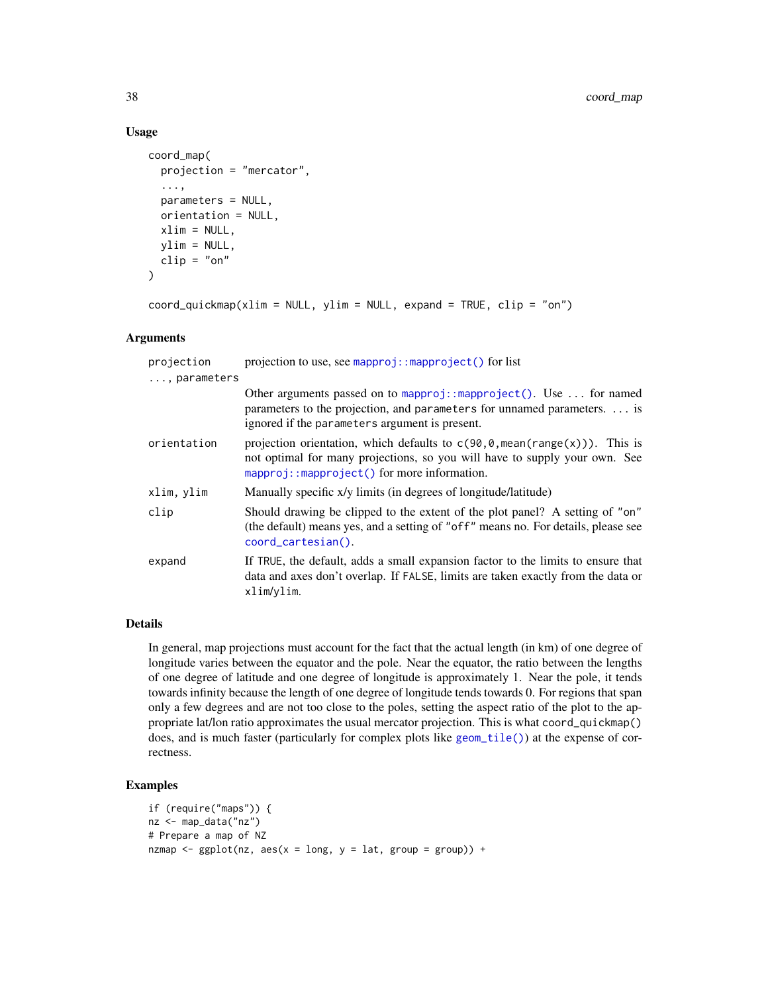### Usage

```
coord_map(
  projection = "mercator",
  ...,
  parameters = NULL,
  orientation = NULL,
  xlim = NULL,ylim = NULL,
  clip = "on"
\mathcal{L}
```
 $coord_quickmap(xlim = NULL, ylim = NULL, expand = TRUE, clip = "on")$ 

## Arguments

| projection<br>, parameters | projection to use, see mapproj:: $mapproject()$ for list                                                                                                                                                                    |
|----------------------------|-----------------------------------------------------------------------------------------------------------------------------------------------------------------------------------------------------------------------------|
|                            | Other arguments passed on to mapproj::mapproject(). Use $\dots$ for named<br>parameters to the projection, and parameters for unnamed parameters.  is<br>ignored if the parameters argument is present.                     |
| orientation                | projection orientation, which defaults to $c(90, 0, \text{mean}(\text{range}(x)))$ . This is<br>not optimal for many projections, so you will have to supply your own. See<br>$mapproj: mapproject()$ for more information. |
| xlim, ylim                 | Manually specific x/y limits (in degrees of longitude/latitude)                                                                                                                                                             |
| clip                       | Should drawing be clipped to the extent of the plot panel? A setting of "on"<br>(the default) means yes, and a setting of "off" means no. For details, please see<br>coord_cartesian().                                     |
| expand                     | If TRUE, the default, adds a small expansion factor to the limits to ensure that<br>data and axes don't overlap. If FALSE, limits are taken exactly from the data or<br>xlim/ylim.                                          |

### Details

In general, map projections must account for the fact that the actual length (in km) of one degree of longitude varies between the equator and the pole. Near the equator, the ratio between the lengths of one degree of latitude and one degree of longitude is approximately 1. Near the pole, it tends towards infinity because the length of one degree of longitude tends towards 0. For regions that span only a few degrees and are not too close to the poles, setting the aspect ratio of the plot to the appropriate lat/lon ratio approximates the usual mercator projection. This is what coord\_quickmap() does, and is much faster (particularly for complex plots like [geom\\_tile\(\)](#page-128-0)) at the expense of correctness.

# Examples

```
if (require("maps")) {
nz <- map_data("nz")
# Prepare a map of NZ
nzmap \leq ggplot(nz, aes(x = long, y = lat, group = group)) +
```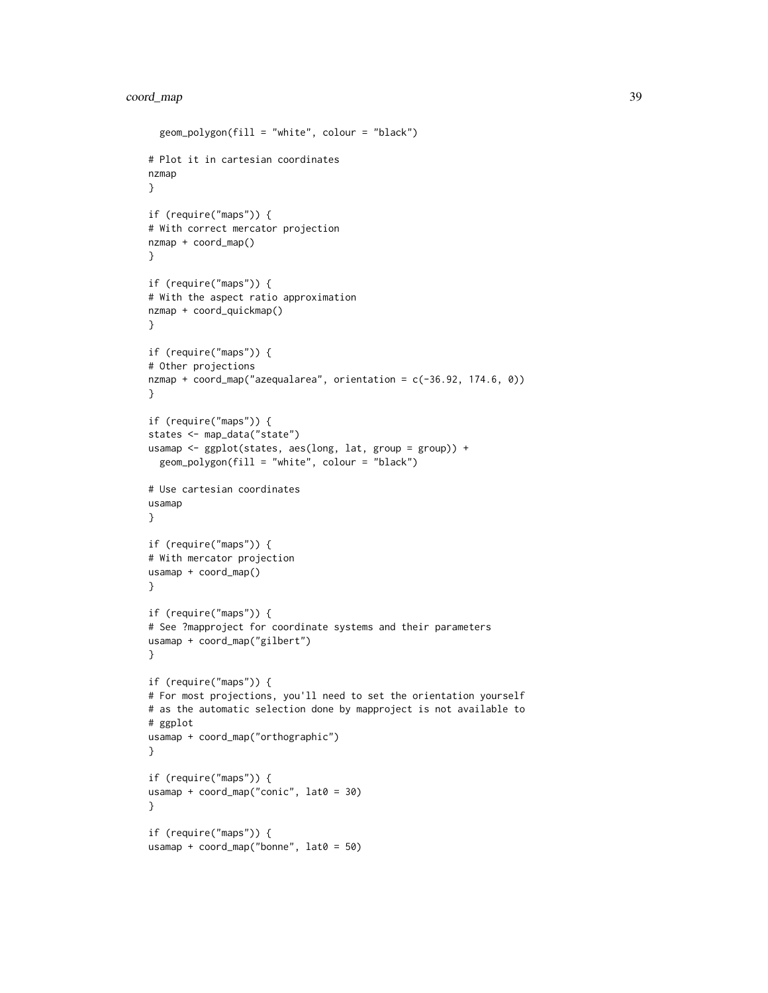## coord\_map 39

```
geom_polygon(fill = "white", colour = "black")
# Plot it in cartesian coordinates
nzmap
}
if (require("maps")) {
# With correct mercator projection
nzmap + coord_map()
}
if (require("maps")) {
# With the aspect ratio approximation
nzmap + coord_quickmap()
}
if (require("maps")) {
# Other projections
nzmap + coord_map("azequalarea", orientation = c(-36.92, 174.6, 0))
}
if (require("maps")) {
states <- map_data("state")
usamap <- ggplot(states, aes(long, lat, group = group)) +
  geom_polygon(fill = "white", colour = "black")
# Use cartesian coordinates
usamap
}
if (require("maps")) {
# With mercator projection
usamap + coord_map()
}
if (require("maps")) {
# See ?mapproject for coordinate systems and their parameters
usamap + coord_map("gilbert")
}
if (require("maps")) {
# For most projections, you'll need to set the orientation yourself
# as the automatic selection done by mapproject is not available to
# ggplot
usamap + coord_map("orthographic")
}
if (require("maps")) {
usamap + coord_map("conic", lat0 = 30)
}
if (require("maps")) {
usamap + coord_map("bonne", lat0 = 50)
```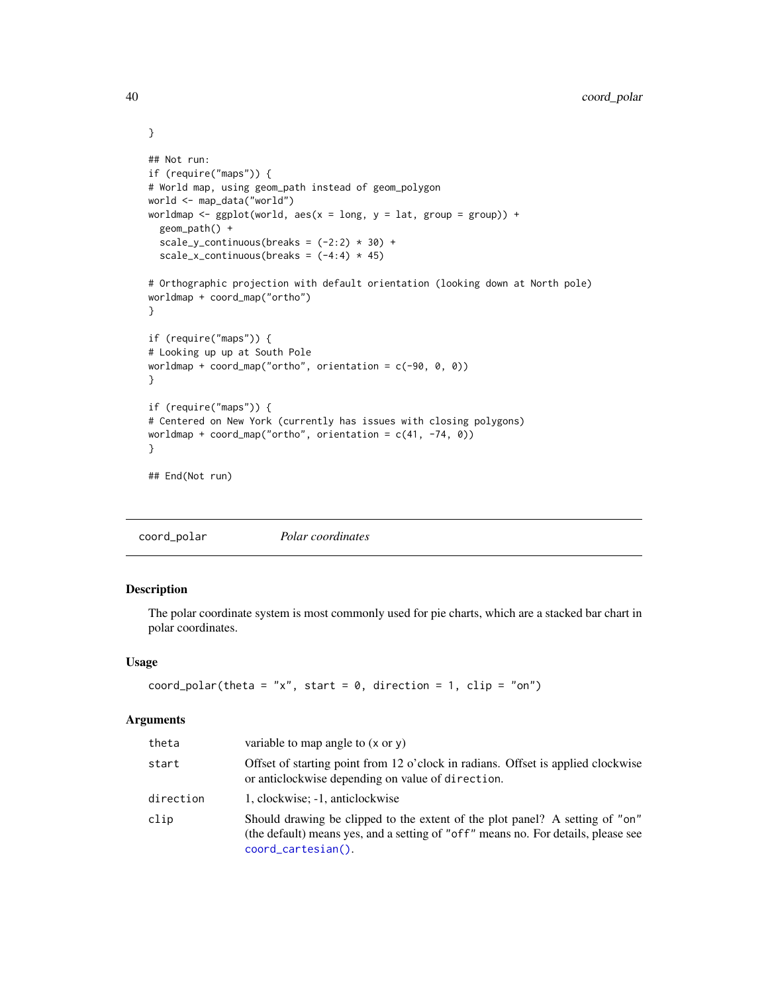```
## Not run:
if (require("maps")) {
# World map, using geom_path instead of geom_polygon
world <- map_data("world")
worldmap \leq ggplot(world, aes(x = long, y = lat, group = group)) +
  geom_path() +
  scale_y_continuous(breaks = (-2:2) * 30) +
  scale_x_continuous(breaks = (-4:4) * 45)
# Orthographic projection with default orientation (looking down at North pole)
worldmap + coord_map("ortho")
}
if (require("maps")) {
# Looking up up at South Pole
worldmap + coord_map("ortho", orientation = c(-90, 0, 0))
}
if (require("maps")) {
# Centered on New York (currently has issues with closing polygons)
worldmap + coord_map("ortho", orientation = c(41, -74, 0))
}
## End(Not run)
```
coord\_polar *Polar coordinates*

### Description

The polar coordinate system is most commonly used for pie charts, which are a stacked bar chart in polar coordinates.

### Usage

```
coord_polar(theta = "x", start = 0, direction = 1, clip = "on")
```
#### Arguments

| theta     | variable to map angle to $(x \text{ or } y)$                                                                                                                                            |
|-----------|-----------------------------------------------------------------------------------------------------------------------------------------------------------------------------------------|
| start     | Offset of starting point from 12 o'clock in radians. Offset is applied clockwise<br>or anticlockwise depending on value of direction.                                                   |
| direction | 1, clockwise; -1, anticlockwise                                                                                                                                                         |
| clip      | Should drawing be clipped to the extent of the plot panel? A setting of "on"<br>(the default) means yes, and a setting of "off" means no. For details, please see<br>coord_cartesian(). |

}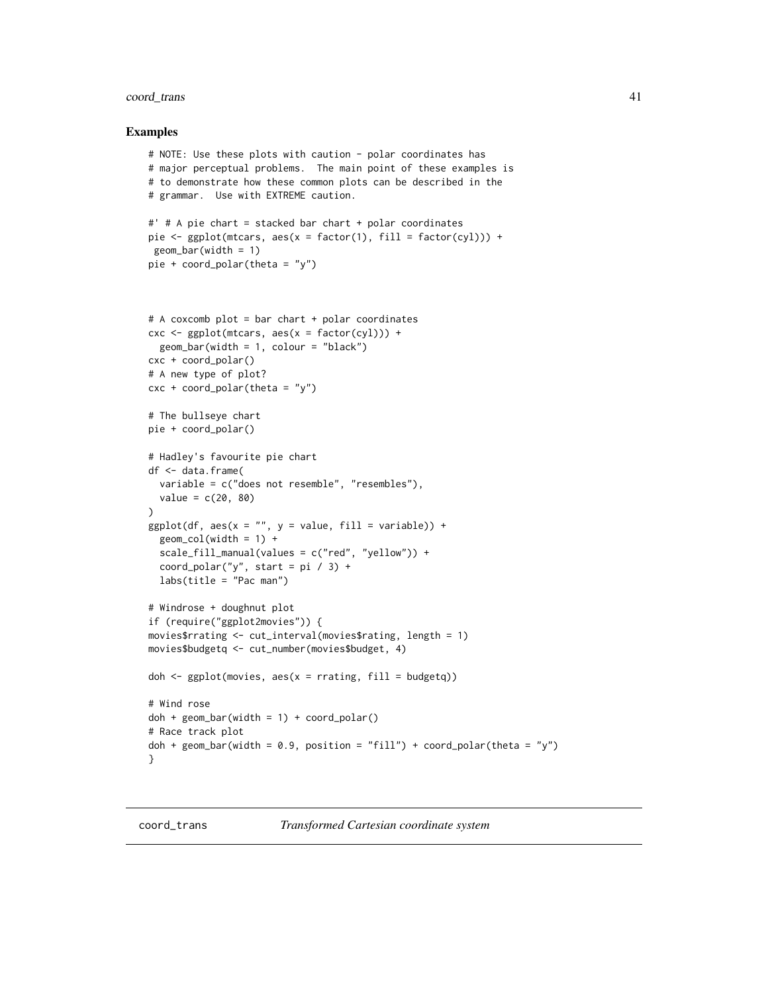### coord\_trans 41

#### Examples

```
# NOTE: Use these plots with caution - polar coordinates has
# major perceptual problems. The main point of these examples is
# to demonstrate how these common plots can be described in the
# grammar. Use with EXTREME caution.
#' # A pie chart = stacked bar chart + polar coordinates
pie <- ggplot(mtcars, aes(x = factor(1), fill = factor(cyl))) +
 geom_bar(width = 1)pie + coord_polar(theta = "y")
# A coxcomb plot = bar chart + polar coordinates
\csc \leq ggplot(mtcars, \csc x = \text{factor}(\text{cyl})) +geom_bar(width = 1, colour = "black")cxc + coord_polar()
# A new type of plot?
cx + c coord_polar(theta = "y")
# The bullseye chart
pie + coord_polar()
# Hadley's favourite pie chart
df <- data.frame(
  variable = c("does not resemble", "resembles"),
  value = c(20, 80))
ggplot(df, aes(x = "", y = value, fill = variable)) +geom\_col(width = 1) +scale_fill_manual(values = c("red", "yellow")) +
  coord_polar("y", start = pi / 3) +
  labs(title = "Pac man")
# Windrose + doughnut plot
if (require("ggplot2movies")) {
movies$rrating <- cut_interval(movies$rating, length = 1)
movies$budgetq <- cut_number(movies$budget, 4)
doh \leq ggplot(movies, aes(x = rrating, fill = budgetq))
# Wind rose
doh + geom\_bar(width = 1) + coord\_polar()# Race track plot
doh + geom_bar(width = 0.9, position = "fill") + coord_polar(theta = "y")
}
```
coord\_trans *Transformed Cartesian coordinate system*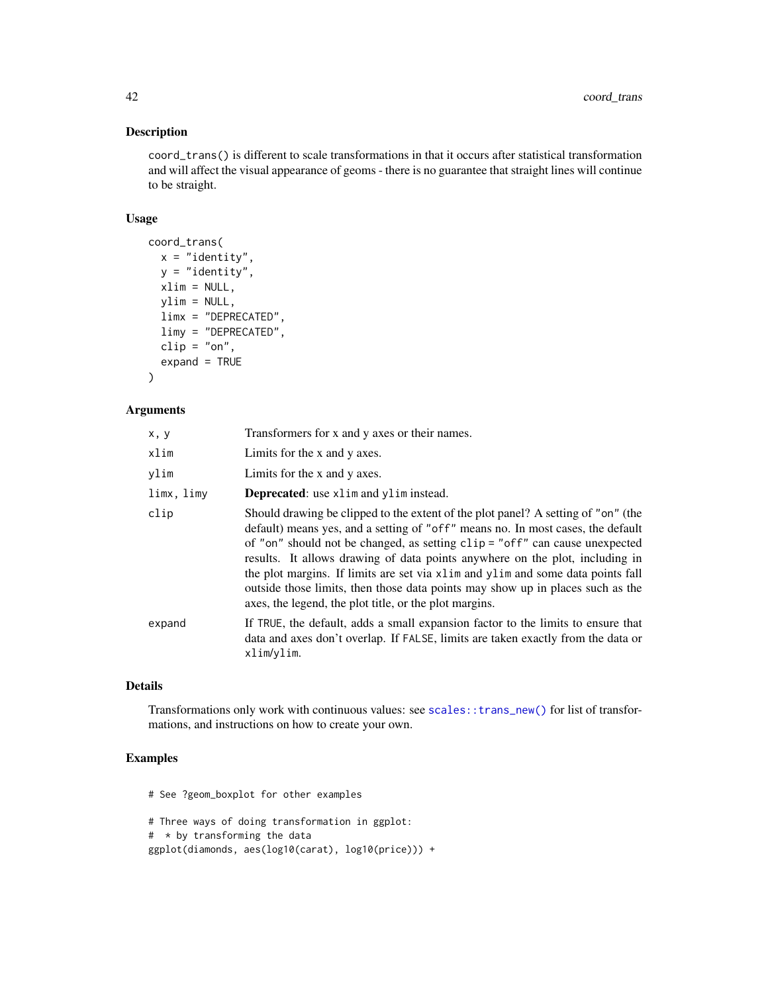## Description

coord\_trans() is different to scale transformations in that it occurs after statistical transformation and will affect the visual appearance of geoms - there is no guarantee that straight lines will continue to be straight.

### Usage

```
coord_trans(
  x = "identity",y = "identity",
  xlim = NULL,ylim = NULL,
  limx = "DEPRECATED",
  limy = "DEPRECATED",
  clip = "on",expand = TRUE
)
```
### Arguments

| x, y       | Transformers for x and y axes or their names.                                                                                                                                                                                                                                                                                                                                                                                                                                                                                                                          |
|------------|------------------------------------------------------------------------------------------------------------------------------------------------------------------------------------------------------------------------------------------------------------------------------------------------------------------------------------------------------------------------------------------------------------------------------------------------------------------------------------------------------------------------------------------------------------------------|
| xlim       | Limits for the x and y axes.                                                                                                                                                                                                                                                                                                                                                                                                                                                                                                                                           |
| vlim       | Limits for the x and y axes.                                                                                                                                                                                                                                                                                                                                                                                                                                                                                                                                           |
| limx, limy | <b>Deprecated:</b> use xlim and ylim instead.                                                                                                                                                                                                                                                                                                                                                                                                                                                                                                                          |
| clip       | Should drawing be clipped to the extent of the plot panel? A setting of "on" (the<br>default) means yes, and a setting of "off" means no. In most cases, the default<br>of "on" should not be changed, as setting clip = "off" can cause unexpected<br>results. It allows drawing of data points anywhere on the plot, including in<br>the plot margins. If limits are set via x l im and y l im and some data points fall<br>outside those limits, then those data points may show up in places such as the<br>axes, the legend, the plot title, or the plot margins. |
| expand     | If TRUE, the default, adds a small expansion factor to the limits to ensure that<br>data and axes don't overlap. If FALSE, limits are taken exactly from the data or<br>xlim/ylim.                                                                                                                                                                                                                                                                                                                                                                                     |

## Details

Transformations only work with continuous values: see [scales::trans\\_new\(\)](#page-0-0) for list of transformations, and instructions on how to create your own.

## Examples

# See ?geom\_boxplot for other examples

# Three ways of doing transformation in ggplot: # \* by transforming the data ggplot(diamonds, aes(log10(carat), log10(price))) +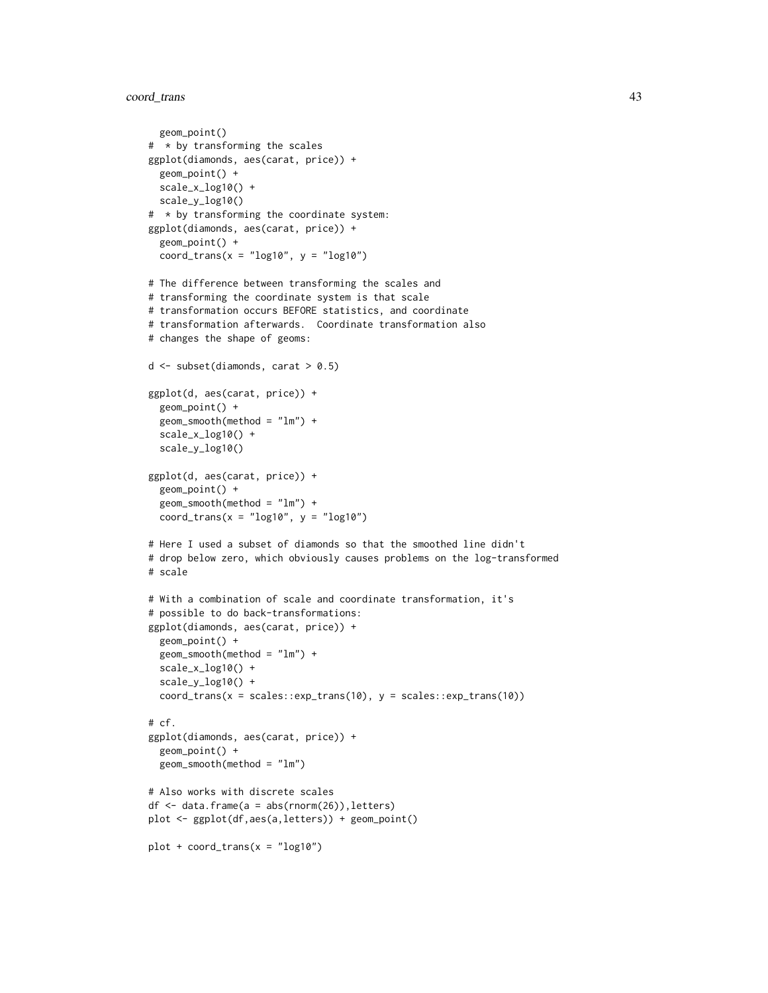## coord\_trans 43

geom\_point()

```
# * by transforming the scales
ggplot(diamonds, aes(carat, price)) +
  geom_point() +
  scale_x_log10() +
  scale_y_log10()
# * by transforming the coordinate system:
ggplot(diamonds, aes(carat, price)) +
  geom_point() +
  coord_trans(x = "log10", y = "log10")
# The difference between transforming the scales and
# transforming the coordinate system is that scale
# transformation occurs BEFORE statistics, and coordinate
# transformation afterwards. Coordinate transformation also
# changes the shape of geoms:
d \leq - subset(diamonds, carat > 0.5)
ggplot(d, aes(carat, price)) +
  geom_point() +
  geom_smooth(method = "lm") +
  scale_x_log10() +
  scale_y_log10()
ggplot(d, aes(carat, price)) +
  geom_point() +
  geom_smooth(method = "lm") +
  coord_trans(x = "log10", y = "log10")
# Here I used a subset of diamonds so that the smoothed line didn't
# drop below zero, which obviously causes problems on the log-transformed
# scale
# With a combination of scale and coordinate transformation, it's
# possible to do back-transformations:
ggplot(diamonds, aes(carat, price)) +
  geom_point() +
  geom_smooth(method = "lm") +
  scale_x_log10() +
  scale_y_log10() +
  coord_trans(x = scales::exp_trans(10), y = scales::exp_trans(10))
# cf.
ggplot(diamonds, aes(carat, price)) +
  geom_point() +
  geom_smooth(method = "lm")
# Also works with discrete scales
df \leq data.frame(a = abs(rnorm(26)), letters)
plot <- ggplot(df,aes(a,letters)) + geom_point()
plot + coord_{trans}(x = "log10")
```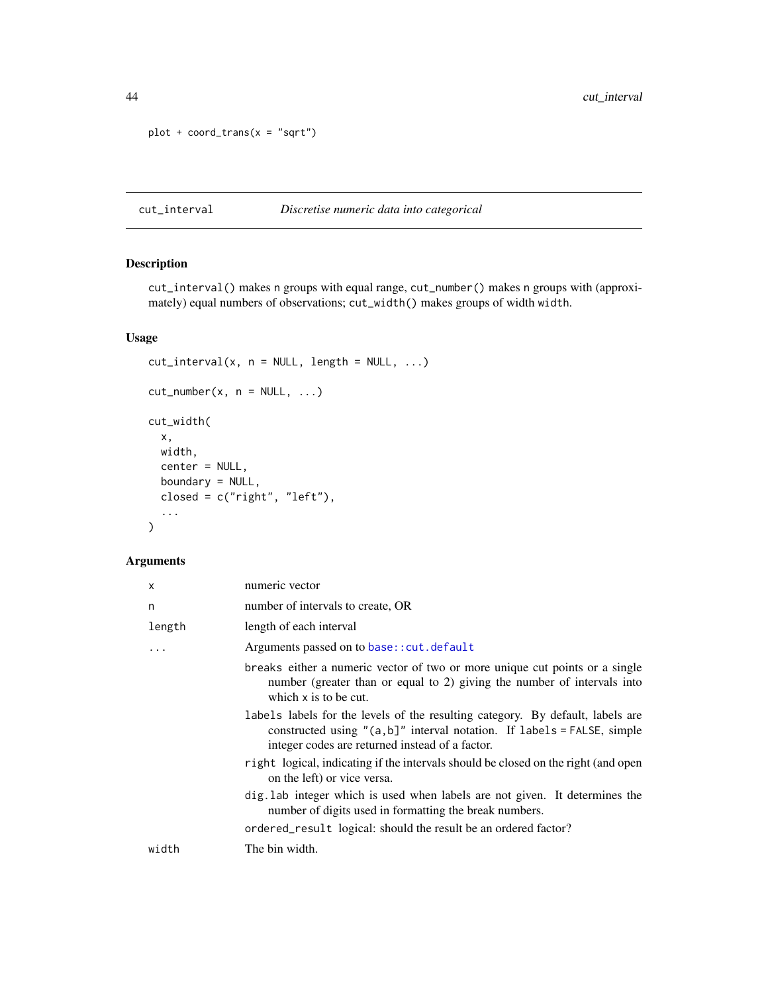```
plot + coord_trans(x = "sqrt")
```
cut\_interval *Discretise numeric data into categorical*

### Description

cut\_interval() makes n groups with equal range, cut\_number() makes n groups with (approximately) equal numbers of observations; cut\_width() makes groups of width width.

## Usage

```
cut\_interval(x, n = NULL, length = NULL, ...)cut_number(x, n = NULL, ...)cut_width(
 x,
 width,
 center = NULL,
 boundary = NULL,
 closed = c("right", "left"),...
\mathcal{L}
```
## Arguments

| x      | numeric vector                                                                                                                                                                                                   |
|--------|------------------------------------------------------------------------------------------------------------------------------------------------------------------------------------------------------------------|
| n      | number of intervals to create, OR                                                                                                                                                                                |
| length | length of each interval                                                                                                                                                                                          |
| .      | Arguments passed on to base:: cut. default                                                                                                                                                                       |
|        | breaks either a numeric vector of two or more unique cut points or a single<br>number (greater than or equal to 2) giving the number of intervals into<br>which $x$ is to be cut.                                |
|        | labels labels for the levels of the resulting category. By default, labels are<br>constructed using " $(a, b]$ " interval notation. If labels = FALSE, simple<br>integer codes are returned instead of a factor. |
|        | right logical, indicating if the intervals should be closed on the right (and open<br>on the left) or vice versa.                                                                                                |
|        | dig. Lab integer which is used when labels are not given. It determines the<br>number of digits used in formatting the break numbers.                                                                            |
|        | ordered_result logical: should the result be an ordered factor?                                                                                                                                                  |
| width  | The bin width.                                                                                                                                                                                                   |
|        |                                                                                                                                                                                                                  |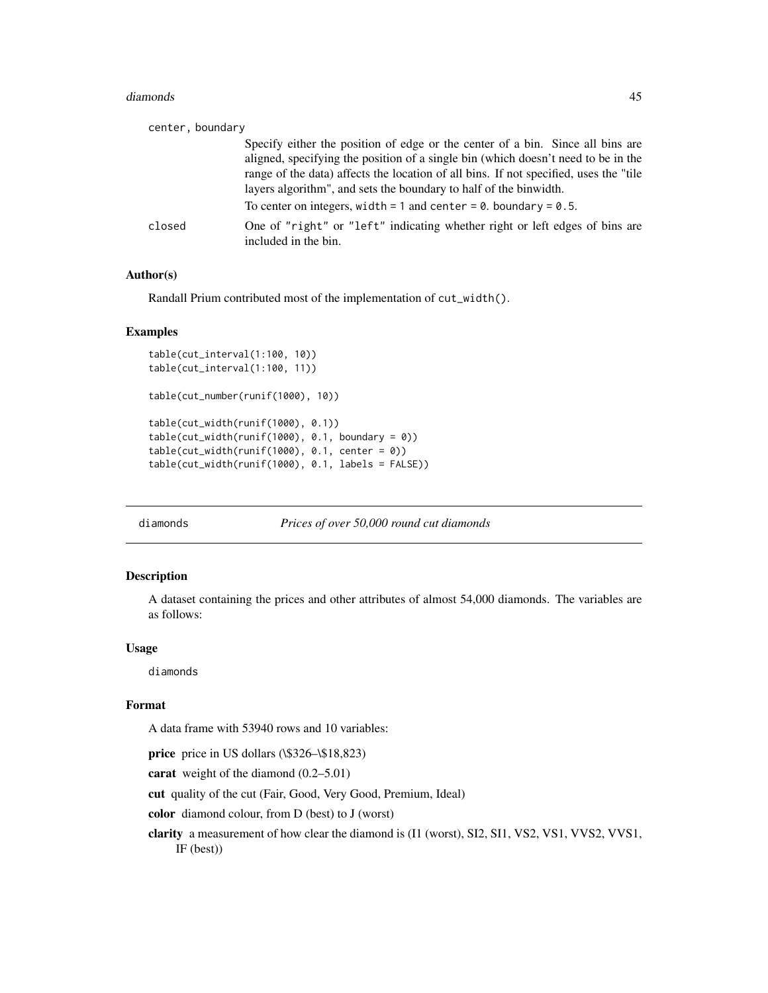#### diamonds **45**

| center, boundary |                                                                                                                                                                                                                                                 |
|------------------|-------------------------------------------------------------------------------------------------------------------------------------------------------------------------------------------------------------------------------------------------|
|                  | Specify either the position of edge or the center of a bin. Since all bins are                                                                                                                                                                  |
|                  | aligned, specifying the position of a single bin (which doesn't need to be in the<br>range of the data) affects the location of all bins. If not specified, uses the "tile<br>layers algorithm", and sets the boundary to half of the binwidth. |
|                  | To center on integers, width = 1 and center = $0$ . boundary = $0.5$ .                                                                                                                                                                          |
| closed           | One of "right" or "left" indicating whether right or left edges of bins are<br>included in the bin.                                                                                                                                             |

### Author(s)

Randall Prium contributed most of the implementation of cut\_width().

### Examples

```
table(cut_interval(1:100, 10))
table(cut_interval(1:100, 11))
table(cut_number(runif(1000), 10))
table(cut_width(runif(1000), 0.1))
table(cut\_width(runif(1000), 0.1, boundary = 0))table(cut_width(runif(1000), 0.1, center = 0))
table(cut_width(runif(1000), 0.1, labels = FALSE))
```
diamonds *Prices of over 50,000 round cut diamonds*

### Description

A dataset containing the prices and other attributes of almost 54,000 diamonds. The variables are as follows:

### Usage

diamonds

#### Format

A data frame with 53940 rows and 10 variables:

price price in US dollars (\\$326–\\$18,823)

carat weight of the diamond (0.2–5.01)

cut quality of the cut (Fair, Good, Very Good, Premium, Ideal)

color diamond colour, from D (best) to J (worst)

clarity a measurement of how clear the diamond is (I1 (worst), SI2, SI1, VS2, VS1, VVS2, VVS1, IF (best))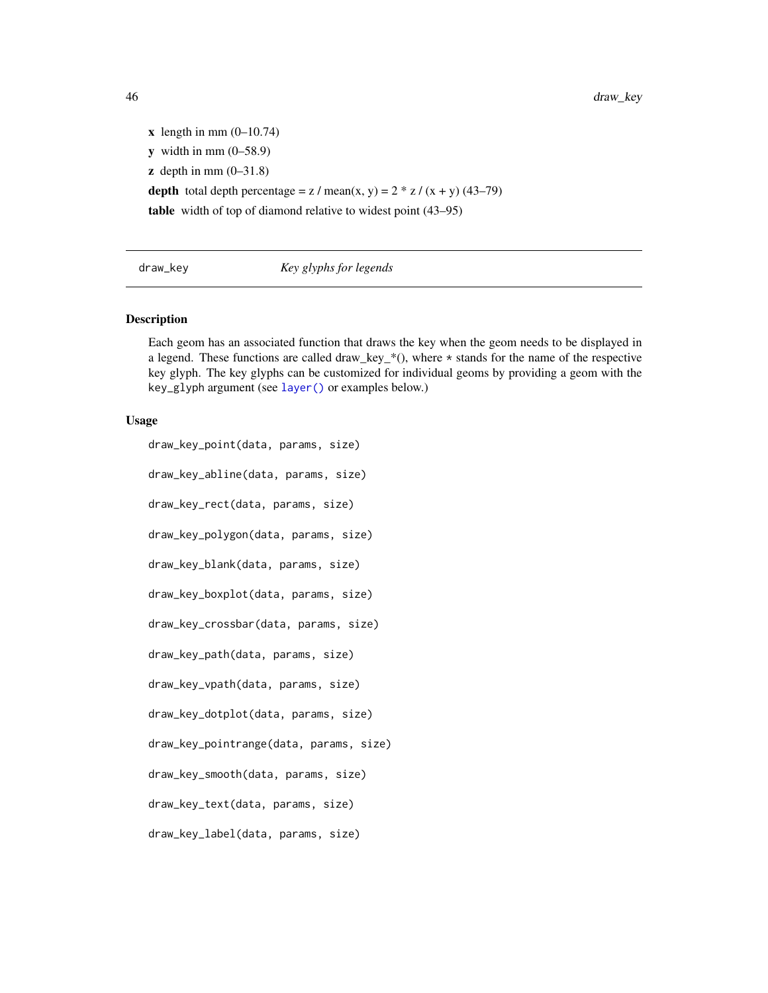$x$  length in mm  $(0-10.74)$  $y$  width in mm  $(0-58.9)$  $\mathbf{z}$  depth in mm  $(0-31.8)$ depth total depth percentage =  $z /$  mean(x, y) =  $2 * z / (x + y) (43-79)$ table width of top of diamond relative to widest point (43–95)

## draw\_key *Key glyphs for legends*

### Description

Each geom has an associated function that draws the key when the geom needs to be displayed in a legend. These functions are called draw\_key\_\*(), where \* stands for the name of the respective key glyph. The key glyphs can be customized for individual geoms by providing a geom with the key\_glyph argument (see [layer\(\)](#page-0-0) or examples below.)

#### Usage

draw\_key\_point(data, params, size) draw\_key\_abline(data, params, size) draw\_key\_rect(data, params, size) draw\_key\_polygon(data, params, size) draw\_key\_blank(data, params, size) draw\_key\_boxplot(data, params, size) draw\_key\_crossbar(data, params, size) draw\_key\_path(data, params, size) draw\_key\_vpath(data, params, size) draw\_key\_dotplot(data, params, size) draw\_key\_pointrange(data, params, size) draw\_key\_smooth(data, params, size) draw\_key\_text(data, params, size) draw\_key\_label(data, params, size)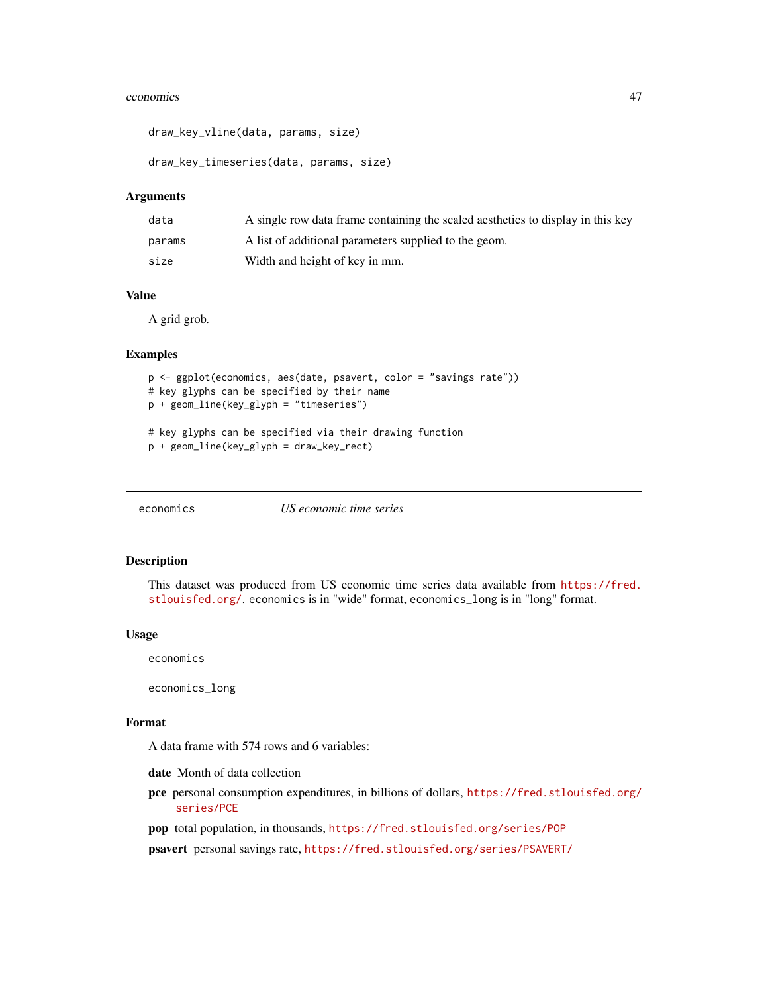#### economics and the conomics of the conomic state of the conomic state of the conomic state of the conomic state of the conomic state of the conomic state of the conomic state of the conomic state of the conomic state of the

draw\_key\_vline(data, params, size)

draw\_key\_timeseries(data, params, size)

### Arguments

| data   | A single row data frame containing the scaled aesthetics to display in this key |
|--------|---------------------------------------------------------------------------------|
| params | A list of additional parameters supplied to the geom.                           |
| size   | Width and height of key in mm.                                                  |

## Value

A grid grob.

#### Examples

```
p <- ggplot(economics, aes(date, psavert, color = "savings rate"))
# key glyphs can be specified by their name
p + geom_line(key_glyph = "timeseries")
```

```
# key glyphs can be specified via their drawing function
p + geom_line(key_glyph = draw_key_rect)
```
economics *US economic time series*

#### Description

This dataset was produced from US economic time series data available from [https://fred.](https://fred.stlouisfed.org/) [stlouisfed.org/](https://fred.stlouisfed.org/). economics is in "wide" format, economics\_long is in "long" format.

#### Usage

economics

economics\_long

### Format

A data frame with 574 rows and 6 variables:

date Month of data collection

pce personal consumption expenditures, in billions of dollars, [https://fred.stlouisfed.org/](https://fred.stlouisfed.org/series/PCE) [series/PCE](https://fred.stlouisfed.org/series/PCE)

pop total population, in thousands, <https://fred.stlouisfed.org/series/POP>

psavert personal savings rate, <https://fred.stlouisfed.org/series/PSAVERT/>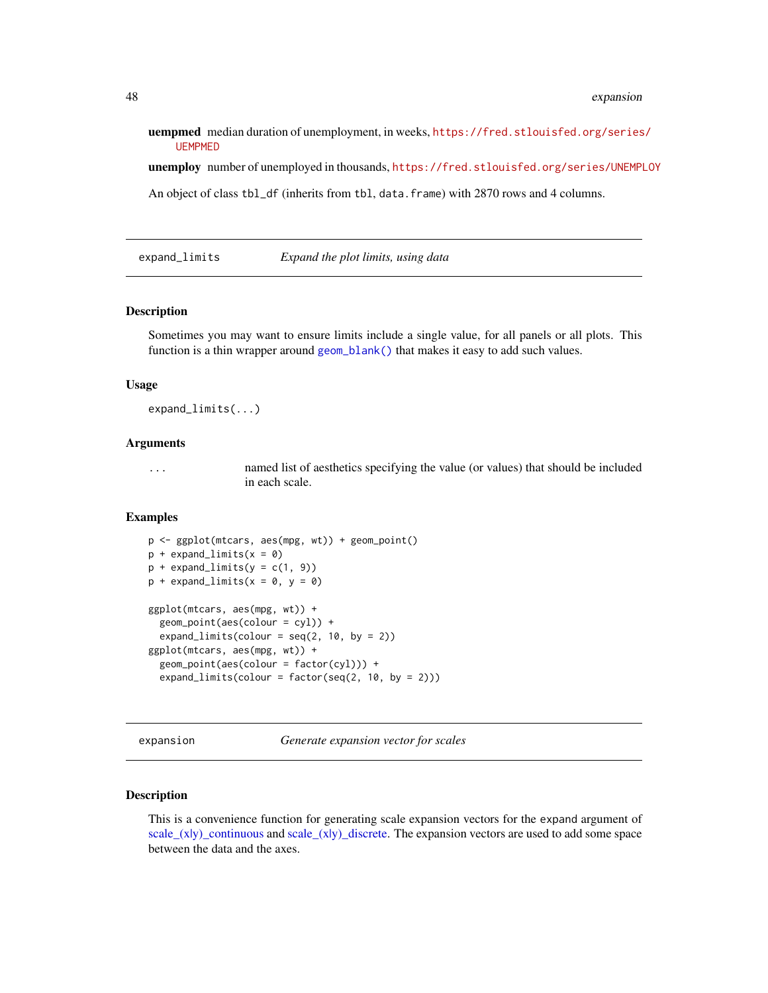uempmed median duration of unemployment, in weeks, [https://fred.stlouisfed.org/series](https://fred.stlouisfed.org/series/UEMPMED)/ [UEMPMED](https://fred.stlouisfed.org/series/UEMPMED)

unemploy number of unemployed in thousands, <https://fred.stlouisfed.org/series/UNEMPLOY>

An object of class tbl\_df (inherits from tbl, data.frame) with 2870 rows and 4 columns.

<span id="page-47-0"></span>expand\_limits *Expand the plot limits, using data*

## Description

Sometimes you may want to ensure limits include a single value, for all panels or all plots. This function is a thin wrapper around [geom\\_blank\(\)](#page-63-0) that makes it easy to add such values.

### Usage

expand\_limits(...)

### Arguments

... named list of aesthetics specifying the value (or values) that should be included in each scale.

### Examples

```
p <- ggplot(mtcars, aes(mpg, wt)) + geom_point()
p + expand\_limits(x = 0)p + expand\_limits(y = c(1, 9))p + expand\_limits(x = 0, y = 0)ggplot(mtcars, aes(mpg, wt)) +
  geom_point(aes(colour = cyl)) +
  expand_limits(colour = seq(2, 10, by = 2))
ggplot(mtcars, aes(mpg, wt)) +
  geom\_point(aes(colour = factor(cyl))) +expand_limits(colour = factor(seq(2, 10, by = 2)))
```
expansion *Generate expansion vector for scales*

### **Description**

This is a convenience function for generating scale expansion vectors for the expand argument of [scale\\_\(x|y\)\\_continuous](#page-231-0) and [scale\\_\(x|y\)\\_discrete.](#page-250-0) The expansion vectors are used to add some space between the data and the axes.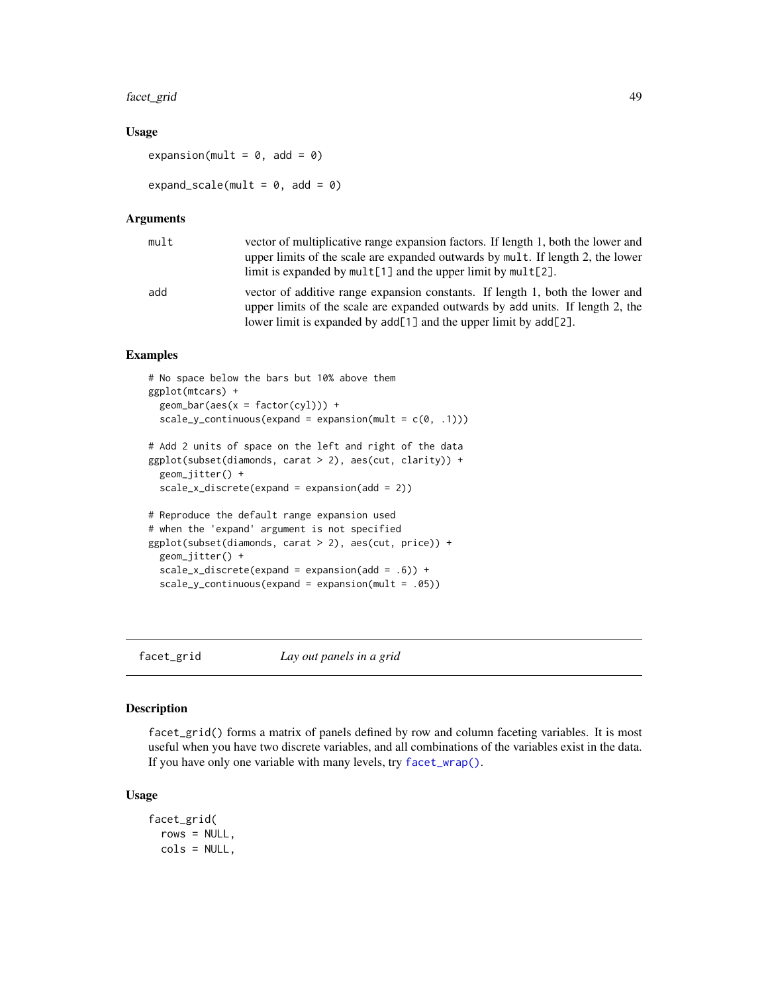#### facet\_grid 49

### Usage

expansion(mult =  $0$ , add =  $0$ )

expand\_scale(mult =  $0$ , add =  $0$ )

#### Arguments

| mult | vector of multiplicative range expansion factors. If length 1, both the lower and                                                                                                                                                        |
|------|------------------------------------------------------------------------------------------------------------------------------------------------------------------------------------------------------------------------------------------|
|      | upper limits of the scale are expanded outwards by mult. If length 2, the lower                                                                                                                                                          |
|      | limit is expanded by $mult[1]$ and the upper limit by $mult[2]$ .                                                                                                                                                                        |
| add  | vector of additive range expansion constants. If length 1, both the lower and<br>upper limits of the scale are expanded outwards by add units. If length 2, the<br>lower limit is expanded by $add[1]$ and the upper limit by $add[2]$ . |

## Examples

```
# No space below the bars but 10% above them
ggplot(mtcars) +
 geom\_bar(aes(x = factor(cyl))) +
 scale_y_{continuous(expand = expansion(mult = c(0, .1)))# Add 2 units of space on the left and right of the data
ggplot(subset(diamonds, carat > 2), aes(cut, clarity)) +
 geom_jitter() +
 scale_x_discrete(expand = expansion(add = 2))
# Reproduce the default range expansion used
# when the 'expand' argument is not specified
ggplot(subset(diamonds, carat > 2), aes(cut, price)) +
 geom_jitter() +
 scale_x_discrete(expand = expansion(add = .6)) +scale_y_continuous(expand = expansion(mult = .05))
```
<span id="page-48-0"></span>

facet\_grid *Lay out panels in a grid*

#### Description

facet\_grid() forms a matrix of panels defined by row and column faceting variables. It is most useful when you have two discrete variables, and all combinations of the variables exist in the data. If you have only one variable with many levels, try [facet\\_wrap\(\)](#page-51-0).

#### Usage

```
facet_grid(
 rows = NULL,cols = NULL,
```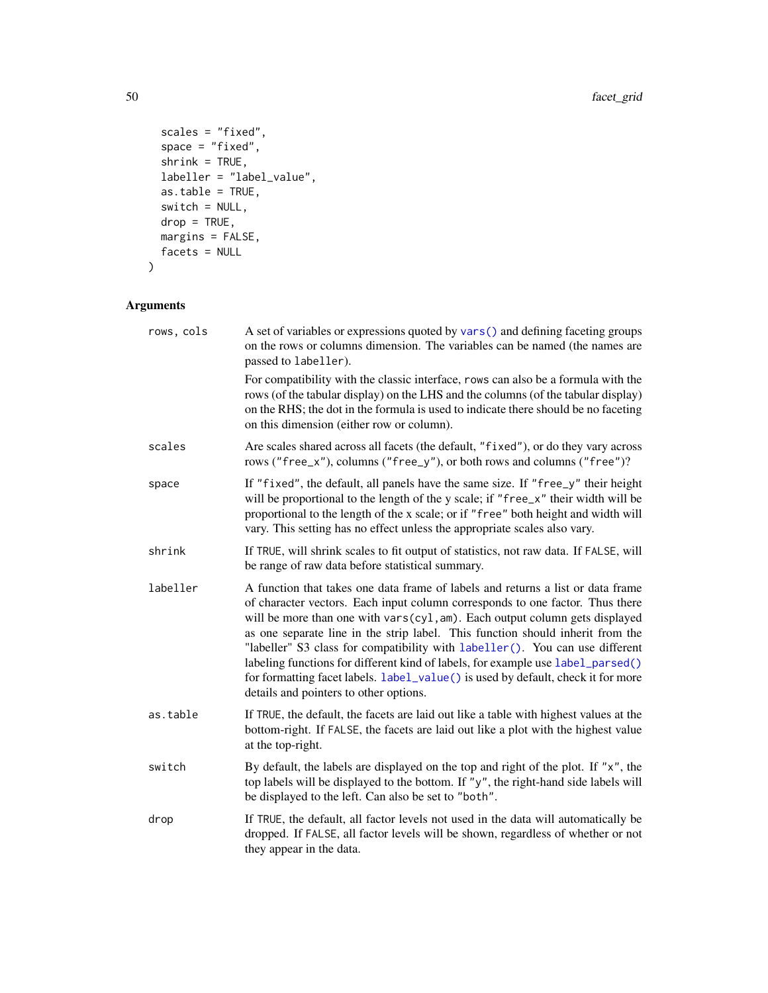```
scales = "fixed",
 space = "fixed",
 shrink = TRUE,
  labeller = "label_value",
  as.table = TRUE,
 switch = NULL,
 drop = TRUE,
 margins = FALSE,
 facets = NULL
)
```
# Arguments

| rows, cols | A set of variables or expressions quoted by vars () and defining faceting groups<br>on the rows or columns dimension. The variables can be named (the names are<br>passed to labeller).                                                                                                                                                                                                                                                                                                                                                                                                                                            |
|------------|------------------------------------------------------------------------------------------------------------------------------------------------------------------------------------------------------------------------------------------------------------------------------------------------------------------------------------------------------------------------------------------------------------------------------------------------------------------------------------------------------------------------------------------------------------------------------------------------------------------------------------|
|            | For compatibility with the classic interface, rows can also be a formula with the<br>rows (of the tabular display) on the LHS and the columns (of the tabular display)<br>on the RHS; the dot in the formula is used to indicate there should be no faceting<br>on this dimension (either row or column).                                                                                                                                                                                                                                                                                                                          |
| scales     | Are scales shared across all facets (the default, "fixed"), or do they vary across<br>rows ("free_x"), columns ("free_y"), or both rows and columns ("free")?                                                                                                                                                                                                                                                                                                                                                                                                                                                                      |
| space      | If "fixed", the default, all panels have the same size. If "free_y" their height<br>will be proportional to the length of the y scale; if "free_x" their width will be<br>proportional to the length of the x scale; or if "free" both height and width will<br>vary. This setting has no effect unless the appropriate scales also vary.                                                                                                                                                                                                                                                                                          |
| shrink     | If TRUE, will shrink scales to fit output of statistics, not raw data. If FALSE, will<br>be range of raw data before statistical summary.                                                                                                                                                                                                                                                                                                                                                                                                                                                                                          |
| labeller   | A function that takes one data frame of labels and returns a list or data frame<br>of character vectors. Each input column corresponds to one factor. Thus there<br>will be more than one with vars(cyl, am). Each output column gets displayed<br>as one separate line in the strip label. This function should inherit from the<br>"labeller" S3 class for compatibility with labeller(). You can use different<br>labeling functions for different kind of labels, for example use label_parsed()<br>for formatting facet labels. label_value() is used by default, check it for more<br>details and pointers to other options. |
| as.table   | If TRUE, the default, the facets are laid out like a table with highest values at the<br>bottom-right. If FALSE, the facets are laid out like a plot with the highest value<br>at the top-right.                                                                                                                                                                                                                                                                                                                                                                                                                                   |
| switch     | By default, the labels are displayed on the top and right of the plot. If "x", the<br>top labels will be displayed to the bottom. If "y", the right-hand side labels will<br>be displayed to the left. Can also be set to "both".                                                                                                                                                                                                                                                                                                                                                                                                  |
| drop       | If TRUE, the default, all factor levels not used in the data will automatically be<br>dropped. If FALSE, all factor levels will be shown, regardless of whether or not<br>they appear in the data.                                                                                                                                                                                                                                                                                                                                                                                                                                 |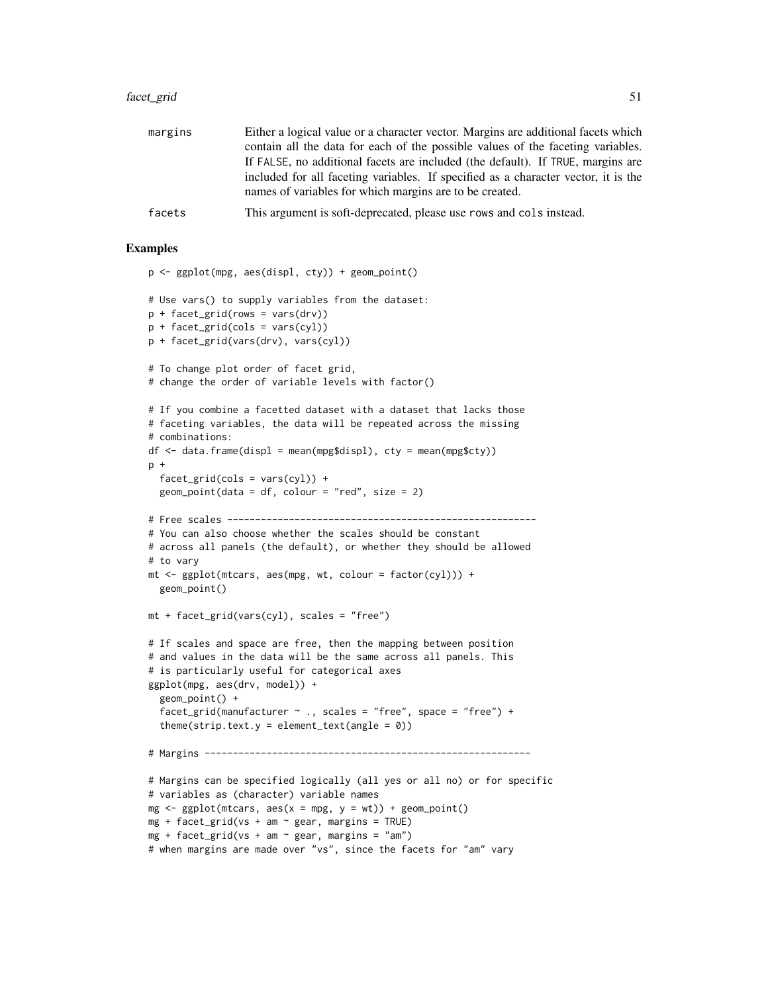#### facet\_grid 51

| margins | Either a logical value or a character vector. Margins are additional facets which<br>contain all the data for each of the possible values of the faceting variables.<br>If FALSE, no additional facets are included (the default). If TRUE, margins are<br>included for all faceting variables. If specified as a character vector, it is the<br>names of variables for which margins are to be created. |
|---------|----------------------------------------------------------------------------------------------------------------------------------------------------------------------------------------------------------------------------------------------------------------------------------------------------------------------------------------------------------------------------------------------------------|
| facets  | This argument is soft-deprecated, please use rows and cols instead.                                                                                                                                                                                                                                                                                                                                      |

# Examples

```
p <- ggplot(mpg, aes(displ, cty)) + geom_point()
# Use vars() to supply variables from the dataset:
p + facet_grid(rows = vars(drv))
p + facet_grid(cols = vars(cyl))
p + facet_grid(vars(drv), vars(cyl))
# To change plot order of facet grid,
# change the order of variable levels with factor()
# If you combine a facetted dataset with a dataset that lacks those
# faceting variables, the data will be repeated across the missing
# combinations:
df \leq diag\atop -\text{data.frame(displ = mean(mpg$displ), cty = mean(mpg$cty))p + qfacet\_grid(cols = vars(cyl)) +geom\_point(data = df, colour = "red", size = 2)# Free scales -------------------------------------------------------
# You can also choose whether the scales should be constant
# across all panels (the default), or whether they should be allowed
# to vary
mt <- ggplot(mtcars, aes(mpg, wt, colour = factor(cyl))) +
  geom_point()
mt + facet_grid(vars(cyl), scales = "free")
# If scales and space are free, then the mapping between position
# and values in the data will be the same across all panels. This
# is particularly useful for categorical axes
ggplot(mpg, aes(drv, model)) +
  geom_point() +
  facet_grid(manufacturer \sim ., scales = "free", space = "free") +
  theme(strip.text.y = element_text(angle = 0))
# Margins ----------------------------------------------------------
# Margins can be specified logically (all yes or all no) or for specific
# variables as (character) variable names
mg \leq-ggplot(mtcars, aes(x = mpg, y = wt)) + geom\_point()mg + facet_grid(vs + am \sim gear, margins = TRUE)
mg + facet_grid(vs + am \sim gear, margins = "am")
# when margins are made over "vs", since the facets for "am" vary
```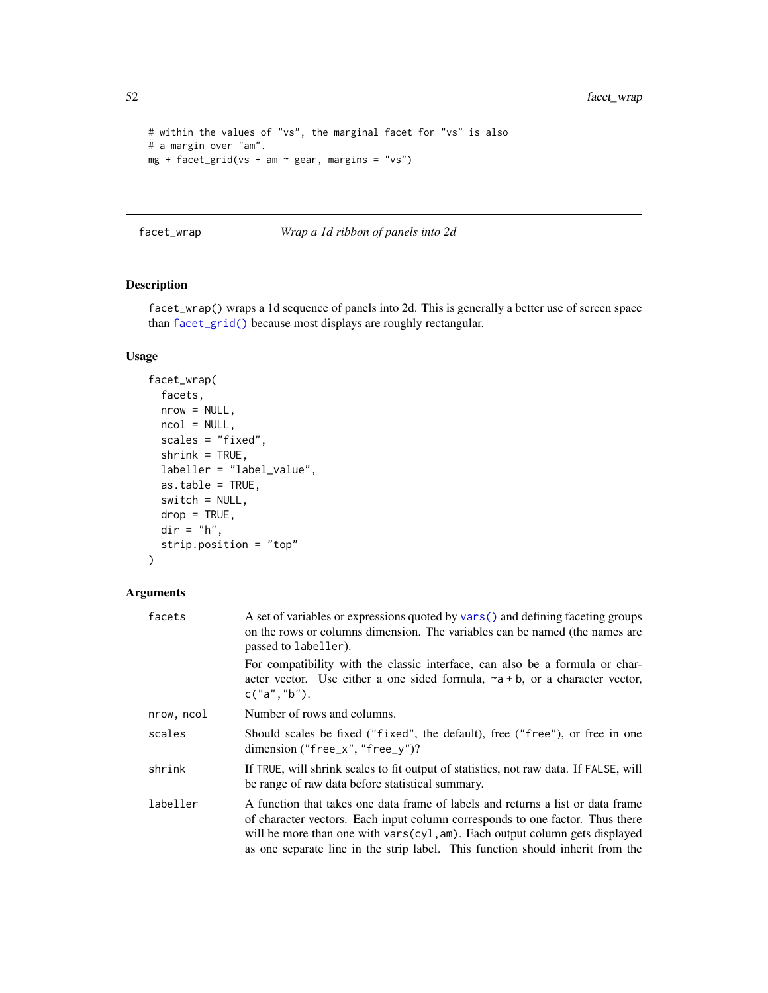```
# within the values of "vs", the marginal facet for "vs" is also
# a margin over "am".
mg + facet_grid(vs + am \sim gear, margins = "vs")
```
<span id="page-51-0"></span>facet\_wrap *Wrap a 1d ribbon of panels into 2d*

### Description

facet\_wrap() wraps a 1d sequence of panels into 2d. This is generally a better use of screen space than [facet\\_grid\(\)](#page-48-0) because most displays are roughly rectangular.

## Usage

```
facet_wrap(
 facets,
 nrow = NULL,
 ncol = NULL,scales = "fixed",
 shrink = TRUE,
 labeller = "label_value",
 as.table = TRUE,
 switch = NULL,drop = TRUE,dir = "h",strip.position = "top"
)
```
## Arguments

| facets     | A set of variables or expressions quoted by vars () and defining faceting groups<br>on the rows or columns dimension. The variables can be named (the names are<br>passed to labeller).                                                                                                                                           |
|------------|-----------------------------------------------------------------------------------------------------------------------------------------------------------------------------------------------------------------------------------------------------------------------------------------------------------------------------------|
|            | For compatibility with the classic interface, can also be a formula or char-<br>acter vector. Use either a one sided formula, $\sim a + b$ , or a character vector,<br>c("a", "b").                                                                                                                                               |
| nrow, ncol | Number of rows and columns.                                                                                                                                                                                                                                                                                                       |
| scales     | Should scales be fixed ("fixed", the default), free ("free"), or free in one<br>dimension ("free_x", "free_y")?                                                                                                                                                                                                                   |
| shrink     | If TRUE, will shrink scales to fit output of statistics, not raw data. If FALSE, will<br>be range of raw data before statistical summary.                                                                                                                                                                                         |
| labeller   | A function that takes one data frame of labels and returns a list or data frame<br>of character vectors. Each input column corresponds to one factor. Thus there<br>will be more than one with vars(cyl, am). Each output column gets displayed<br>as one separate line in the strip label. This function should inherit from the |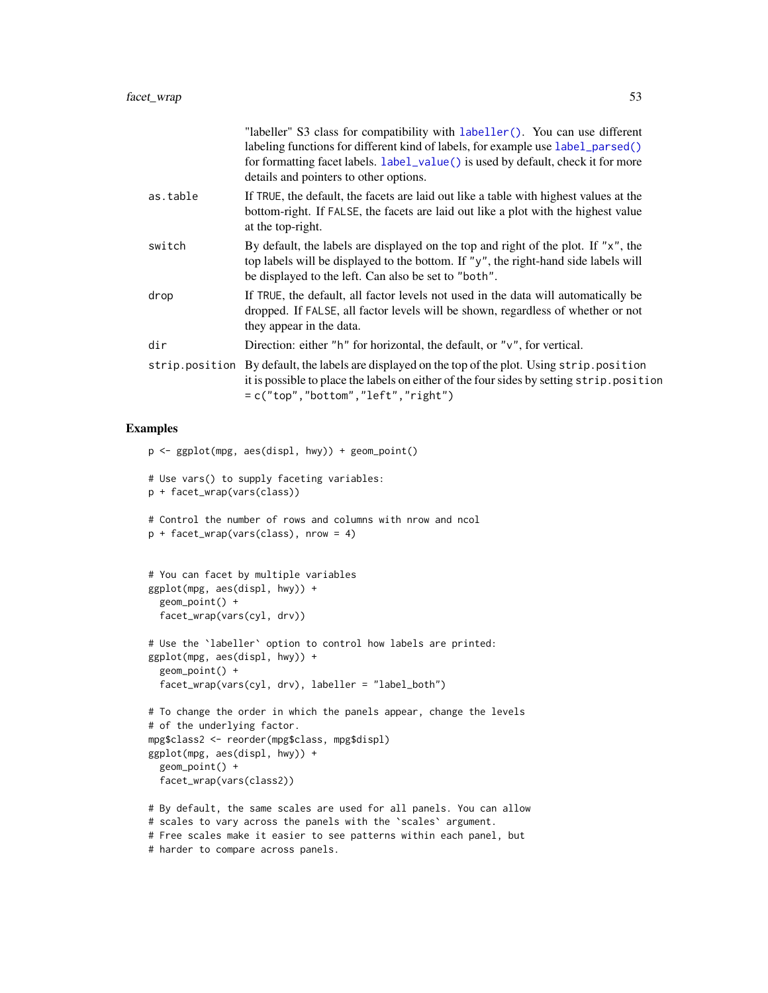|          | "labeller" S3 class for compatibility with labeller(). You can use different<br>labeling functions for different kind of labels, for example use label_parsed()<br>for formatting facet labels. label_value() is used by default, check it for more<br>details and pointers to other options. |
|----------|-----------------------------------------------------------------------------------------------------------------------------------------------------------------------------------------------------------------------------------------------------------------------------------------------|
| as.table | If TRUE, the default, the facets are laid out like a table with highest values at the<br>bottom-right. If FALSE, the facets are laid out like a plot with the highest value<br>at the top-right.                                                                                              |
| switch   | By default, the labels are displayed on the top and right of the plot. If "x", the<br>top labels will be displayed to the bottom. If "y", the right-hand side labels will<br>be displayed to the left. Can also be set to "both".                                                             |
| drop     | If TRUE, the default, all factor levels not used in the data will automatically be<br>dropped. If FALSE, all factor levels will be shown, regardless of whether or not<br>they appear in the data.                                                                                            |
| dir      | Direction: either "h" for horizontal, the default, or " $v$ ", for vertical.                                                                                                                                                                                                                  |
|          | strip.position By default, the labels are displayed on the top of the plot. Using strip.position<br>it is possible to place the labels on either of the four sides by setting strip. position<br>$= c("top", "bottom", "left", "right")$                                                      |

## Examples

```
p <- ggplot(mpg, aes(displ, hwy)) + geom_point()
# Use vars() to supply faceting variables:
p + facet_wrap(vars(class))
# Control the number of rows and columns with nrow and ncol
p + facet_wrap(vars(class), nrow = 4)
# You can facet by multiple variables
ggplot(mpg, aes(displ, hwy)) +
  geom_point() +
  facet_wrap(vars(cyl, drv))
# Use the `labeller` option to control how labels are printed:
ggplot(mpg, aes(displ, hwy)) +
  geom_point() +
  facet_wrap(vars(cyl, drv), labeller = "label_both")
# To change the order in which the panels appear, change the levels
# of the underlying factor.
mpg$class2 <- reorder(mpg$class, mpg$displ)
ggplot(mpg, aes(displ, hwy)) +
  geom_point() +
  facet_wrap(vars(class2))
# By default, the same scales are used for all panels. You can allow
# scales to vary across the panels with the `scales` argument.
# Free scales make it easier to see patterns within each panel, but
# harder to compare across panels.
```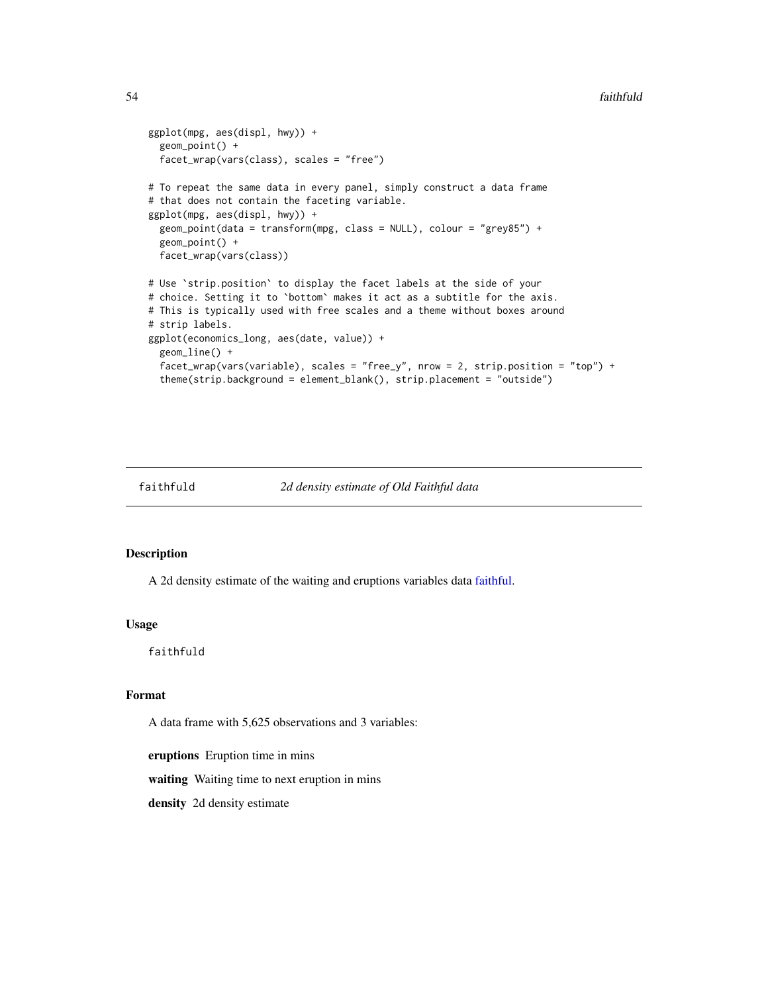#### 54 faithfuld

```
ggplot(mpg, aes(displ, hwy)) +
 geom_point() +
 facet_wrap(vars(class), scales = "free")
# To repeat the same data in every panel, simply construct a data frame
# that does not contain the faceting variable.
ggplot(mpg, aes(displ, hwy)) +
 geom_point(data = transform(mpg, class = NULL), colour = "grey85") +
 geom_point() +
 facet_wrap(vars(class))
# Use `strip.position` to display the facet labels at the side of your
# choice. Setting it to `bottom` makes it act as a subtitle for the axis.
# This is typically used with free scales and a theme without boxes around
# strip labels.
ggplot(economics_long, aes(date, value)) +
 geom_line() +
 facet_wrap(vars(variable), scales = "free_y", nrow = 2, strip.position = "top") +
 theme(strip.background = element_blank(), strip.placement = "outside")
```

```
faithfuld 2d density estimate of Old Faithful data
```
#### Description

A 2d density estimate of the waiting and eruptions variables data [faithful.](#page-0-0)

#### Usage

faithfuld

### Format

A data frame with 5,625 observations and 3 variables:

eruptions Eruption time in mins

waiting Waiting time to next eruption in mins

density 2d density estimate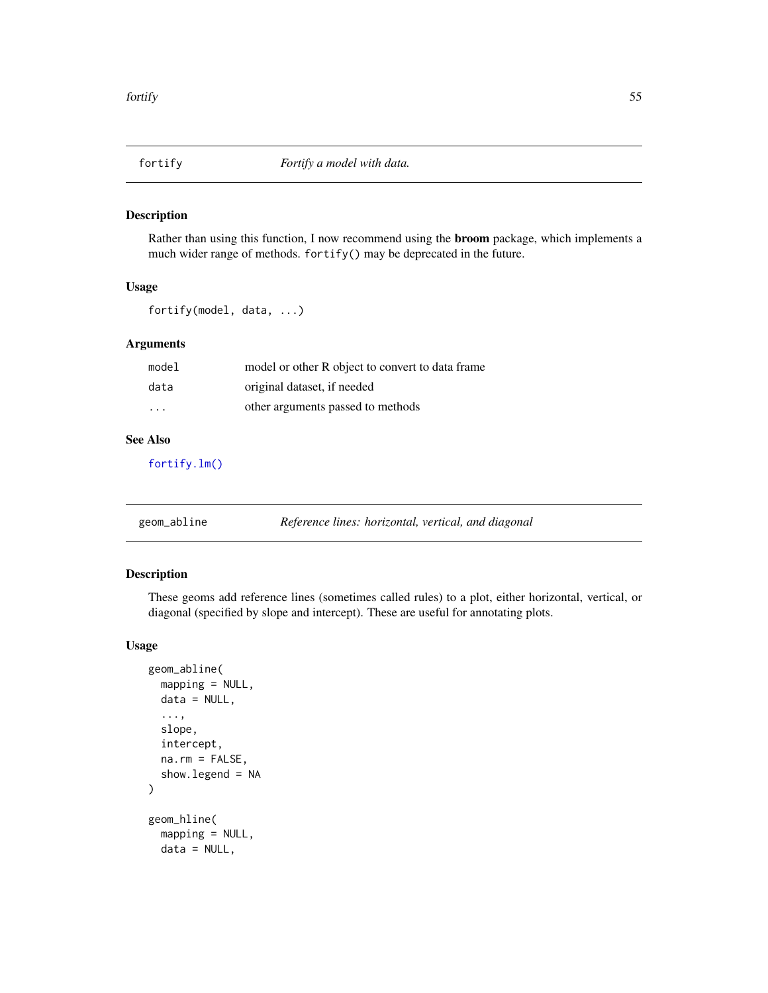<span id="page-54-0"></span>

### Description

Rather than using this function, I now recommend using the broom package, which implements a much wider range of methods. fortify() may be deprecated in the future.

### Usage

fortify(model, data, ...)

## Arguments

| model                   | model or other R object to convert to data frame |
|-------------------------|--------------------------------------------------|
| data                    | original dataset, if needed                      |
| $\cdot$ $\cdot$ $\cdot$ | other arguments passed to methods                |

### See Also

[fortify.lm\(\)](#page-0-0)

| geom_abline | Reference lines: horizontal, vertical, and diagonal |
|-------------|-----------------------------------------------------|
|             |                                                     |

### Description

These geoms add reference lines (sometimes called rules) to a plot, either horizontal, vertical, or diagonal (specified by slope and intercept). These are useful for annotating plots.

#### Usage

```
geom_abline(
 mapping = NULL,
 data = NULL,...,
  slope,
  intercept,
  na.rm = FALSE,
  show.legend = NA
)
geom_hline(
  mapping = NULL,
 data = NULL,
```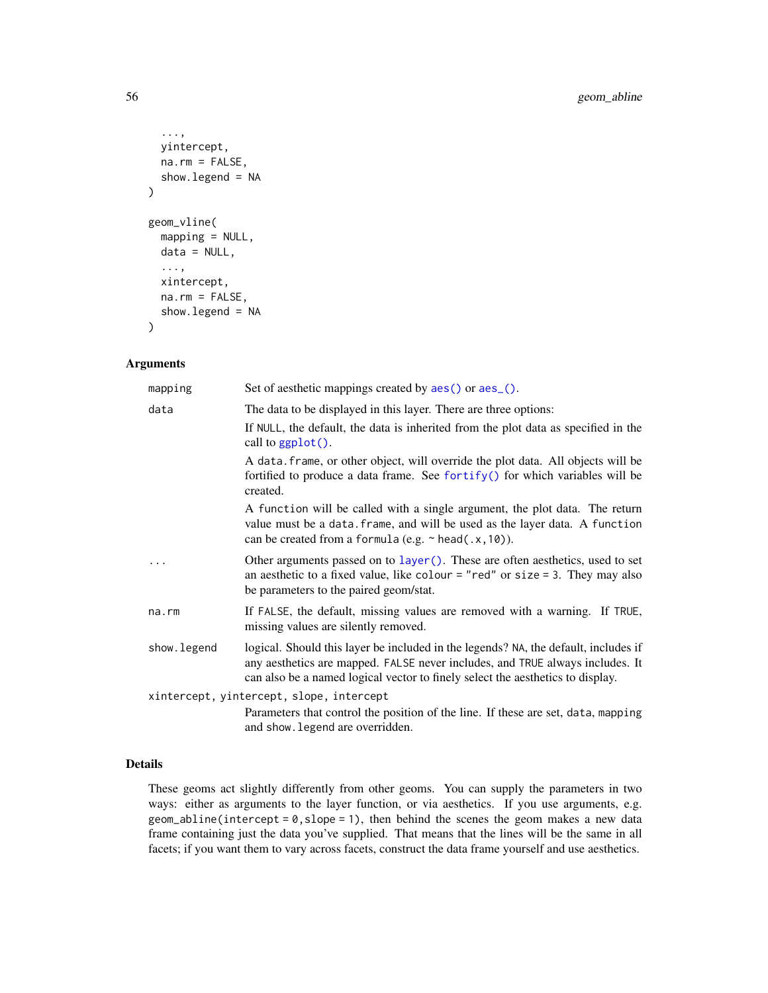```
...,
 yintercept,
 na.rm = FALSE,show.legend = NA
)
geom_vline(
 mapping = NULL,
 data = NULL,...,
 xintercept,
 na.rm = FALSE,show.legend = NA
)
```
#### Arguments

| mapping      | Set of aesthetic mappings created by aes () or aes_().                                                                                                                                                                                                 |
|--------------|--------------------------------------------------------------------------------------------------------------------------------------------------------------------------------------------------------------------------------------------------------|
| data         | The data to be displayed in this layer. There are three options:                                                                                                                                                                                       |
|              | If NULL, the default, the data is inherited from the plot data as specified in the<br>call to $ggplot()$ .                                                                                                                                             |
|              | A data frame, or other object, will override the plot data. All objects will be<br>fortified to produce a data frame. See fortify() for which variables will be<br>created.                                                                            |
|              | A function will be called with a single argument, the plot data. The return<br>value must be a data. frame, and will be used as the layer data. A function<br>can be created from a formula (e.g. $\sim$ head(.x, 10)).                                |
|              | Other arguments passed on to layer (). These are often aesthetics, used to set<br>an aesthetic to a fixed value, like colour = "red" or size = 3. They may also<br>be parameters to the paired geom/stat.                                              |
| na.rm        | If FALSE, the default, missing values are removed with a warning. If TRUE,<br>missing values are silently removed.                                                                                                                                     |
| show. legend | logical. Should this layer be included in the legends? NA, the default, includes if<br>any aesthetics are mapped. FALSE never includes, and TRUE always includes. It<br>can also be a named logical vector to finely select the aesthetics to display. |
|              | xintercept, yintercept, slope, intercept                                                                                                                                                                                                               |
|              | Parameters that control the position of the line. If these are set, data, mapping<br>and show. legend are overridden.                                                                                                                                  |

## Details

These geoms act slightly differently from other geoms. You can supply the parameters in two ways: either as arguments to the layer function, or via aesthetics. If you use arguments, e.g. geom\_abline(intercept =  $0$ , slope = 1), then behind the scenes the geom makes a new data frame containing just the data you've supplied. That means that the lines will be the same in all facets; if you want them to vary across facets, construct the data frame yourself and use aesthetics.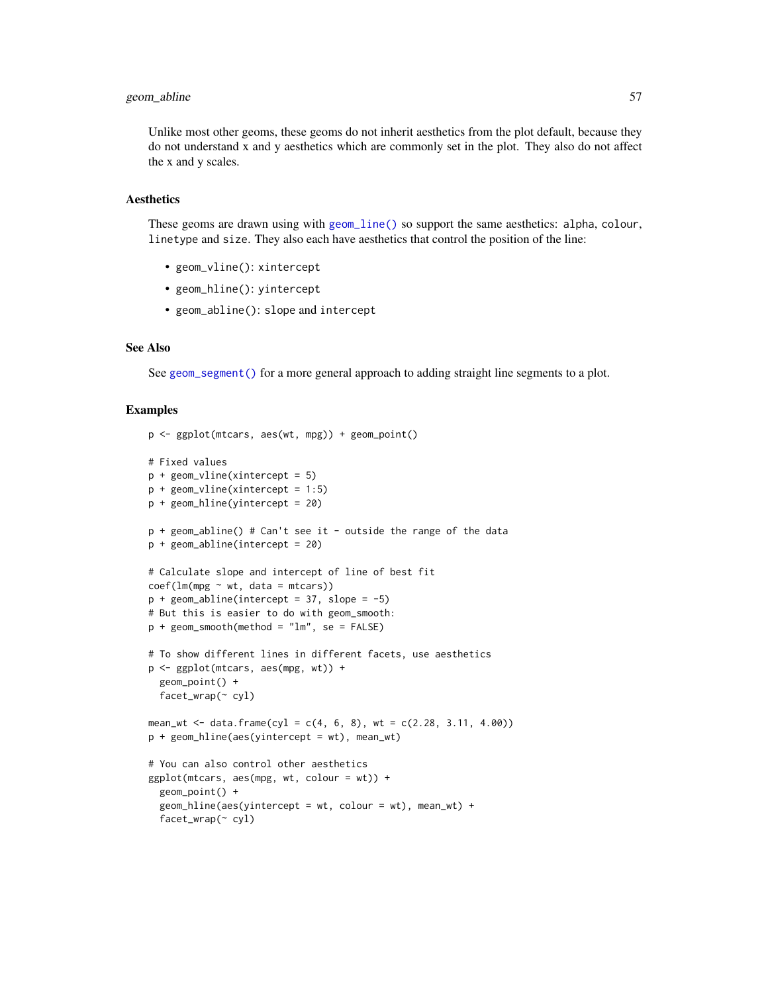## geom\_abline 57

Unlike most other geoms, these geoms do not inherit aesthetics from the plot default, because they do not understand x and y aesthetics which are commonly set in the plot. They also do not affect the x and y scales.

## Aesthetics

These geoms are drawn using with [geom\\_line\(\)](#page-113-0) so support the same aesthetics: alpha, colour, linetype and size. They also each have aesthetics that control the position of the line:

- geom\_vline(): xintercept
- geom\_hline(): yintercept
- geom\_abline(): slope and intercept

#### See Also

See [geom\\_segment\(\)](#page-137-0) for a more general approach to adding straight line segments to a plot.

### Examples

```
p <- ggplot(mtcars, aes(wt, mpg)) + geom_point()
# Fixed values
p + geom_vline(xintercept = 5)
p + geom\_vline(xintercept = 1:5)p + geom_hline(yintercept = 20)
p + geom_abline() # Can't see it - outside the range of the data
p + geom_abline(intercept = 20)
# Calculate slope and intercept of line of best fit
coef(lm(mpg \sim wt, data = mtcars))p + geom\_abline(intexcept = 37, slope = -5)# But this is easier to do with geom_smooth:
p + geom\_smooth(method = "lm", se = FALSE)# To show different lines in different facets, use aesthetics
p <- ggplot(mtcars, aes(mpg, wt)) +
  geom_point() +
  facet_wrap(~ cyl)
mean_wt <- data.frame(cyl = c(4, 6, 8), wt = c(2.28, 3.11, 4.00))
p + geom_hline(aes(yintercept = wt), mean_wt)
# You can also control other aesthetics
ggplot(mtcars, aes(mpg, wt, colour = wt)) +geom_point() +
  geom\_hline(aes(yintercept = wt, colour = wt), mean_wt) +
  facet_wrap(~ cyl)
```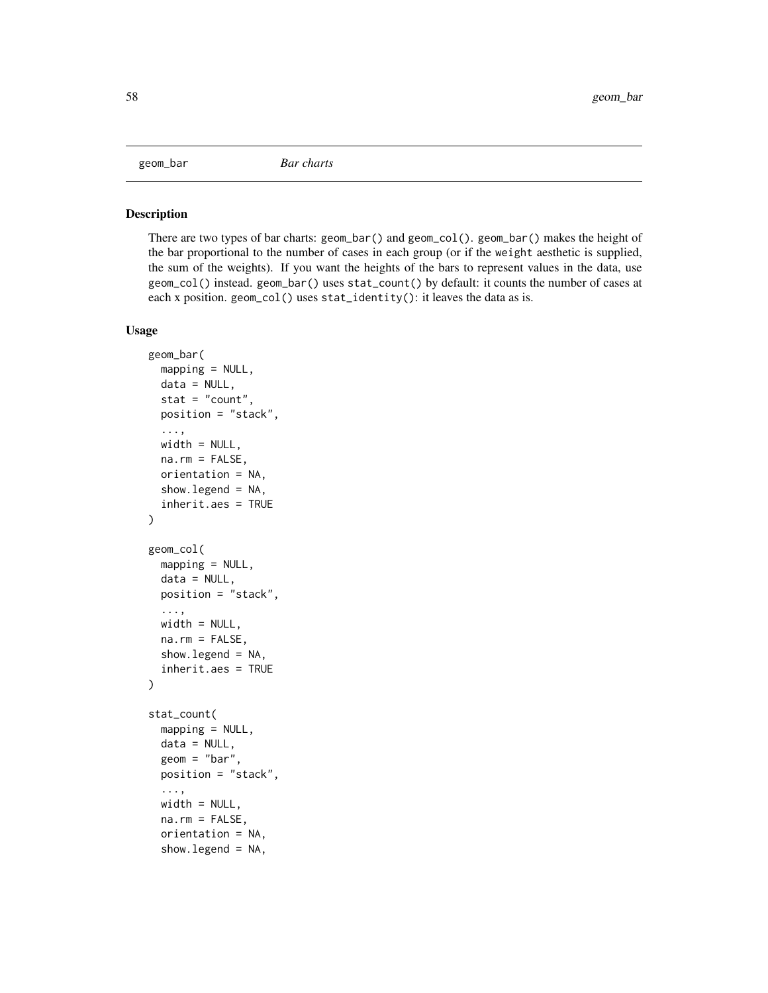#### Description

There are two types of bar charts: geom\_bar() and geom\_col(). geom\_bar() makes the height of the bar proportional to the number of cases in each group (or if the weight aesthetic is supplied, the sum of the weights). If you want the heights of the bars to represent values in the data, use geom\_col() instead. geom\_bar() uses stat\_count() by default: it counts the number of cases at each x position. geom\_col() uses stat\_identity(): it leaves the data as is.

## Usage

```
geom_bar(
  mapping = NULL,data = NULL,
  stat = "count",position = "stack",
  ...,
 width = NULL,
  na.rm = FALSE,orientation = NA,
  show.legend = NA,
  inherit.aes = TRUE
\lambdageom_col(
  mapping = NULL,
  data = NULL,position = "stack",
  ...,
 width = NULL,
  na.rm = FALSE,show.legend = NA,
  inherit.aes = TRUE
)
stat_count(
  mapping = NULL,
  data = NULL,geom = "bar",
  position = "stack",
  ...,
  width = NULL,na.rm = FALSE,orientation = NA,
  show.legend = NA,
```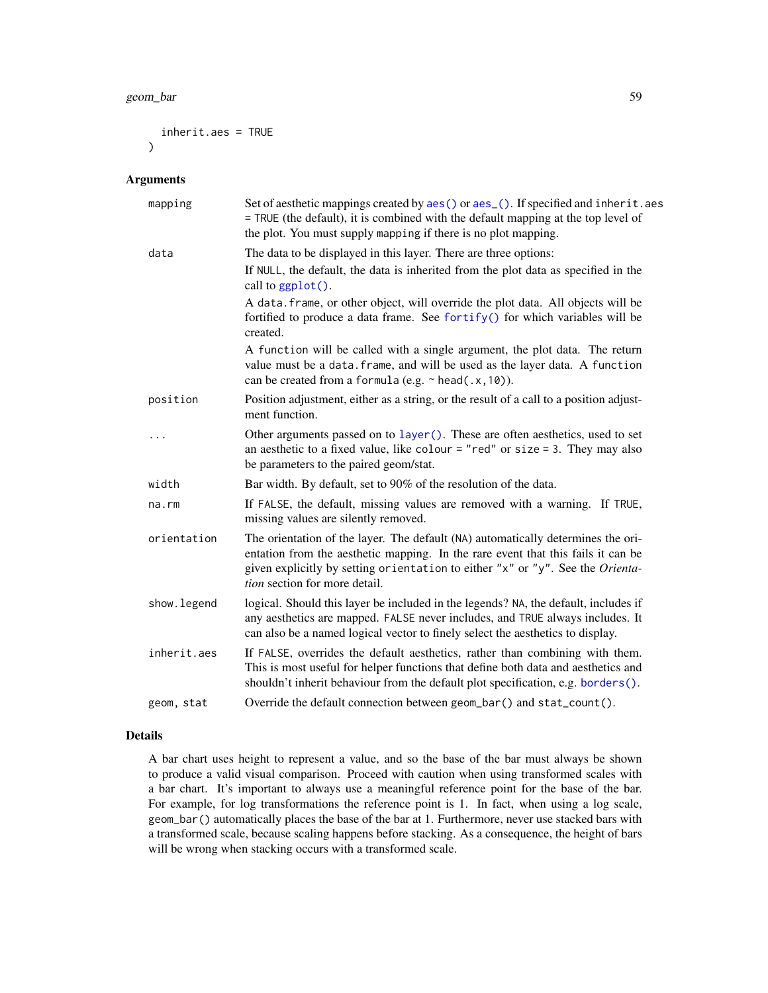#### geom\_bar 59

```
inherit.aes = TRUE
\lambda
```
### Arguments

| mapping     | Set of aesthetic mappings created by aes() or aes_(). If specified and inherit.aes<br>= TRUE (the default), it is combined with the default mapping at the top level of<br>the plot. You must supply mapping if there is no plot mapping.                                               |
|-------------|-----------------------------------------------------------------------------------------------------------------------------------------------------------------------------------------------------------------------------------------------------------------------------------------|
| data        | The data to be displayed in this layer. There are three options:<br>If NULL, the default, the data is inherited from the plot data as specified in the<br>call to ggplot().                                                                                                             |
|             | A data. frame, or other object, will override the plot data. All objects will be<br>fortified to produce a data frame. See fortify() for which variables will be<br>created.                                                                                                            |
|             | A function will be called with a single argument, the plot data. The return<br>value must be a data. frame, and will be used as the layer data. A function<br>can be created from a formula (e.g. $\sim$ head(.x, 10)).                                                                 |
| position    | Position adjustment, either as a string, or the result of a call to a position adjust-<br>ment function.                                                                                                                                                                                |
| .           | Other arguments passed on to layer (). These are often aesthetics, used to set<br>an aesthetic to a fixed value, like colour = "red" or size = 3. They may also<br>be parameters to the paired geom/stat.                                                                               |
| width       | Bar width. By default, set to 90% of the resolution of the data.                                                                                                                                                                                                                        |
| na.rm       | If FALSE, the default, missing values are removed with a warning. If TRUE,<br>missing values are silently removed.                                                                                                                                                                      |
| orientation | The orientation of the layer. The default (NA) automatically determines the ori-<br>entation from the aesthetic mapping. In the rare event that this fails it can be<br>given explicitly by setting orientation to either "x" or "y". See the Orienta-<br>tion section for more detail. |
| show.legend | logical. Should this layer be included in the legends? NA, the default, includes if<br>any aesthetics are mapped. FALSE never includes, and TRUE always includes. It<br>can also be a named logical vector to finely select the aesthetics to display.                                  |
| inherit.aes | If FALSE, overrides the default aesthetics, rather than combining with them.<br>This is most useful for helper functions that define both data and aesthetics and<br>shouldn't inherit behaviour from the default plot specification, e.g. borders().                                   |
| geom, stat  | Override the default connection between geom_bar() and stat_count().                                                                                                                                                                                                                    |

### Details

A bar chart uses height to represent a value, and so the base of the bar must always be shown to produce a valid visual comparison. Proceed with caution when using transformed scales with a bar chart. It's important to always use a meaningful reference point for the base of the bar. For example, for log transformations the reference point is 1. In fact, when using a log scale, geom\_bar() automatically places the base of the bar at 1. Furthermore, never use stacked bars with a transformed scale, because scaling happens before stacking. As a consequence, the height of bars will be wrong when stacking occurs with a transformed scale.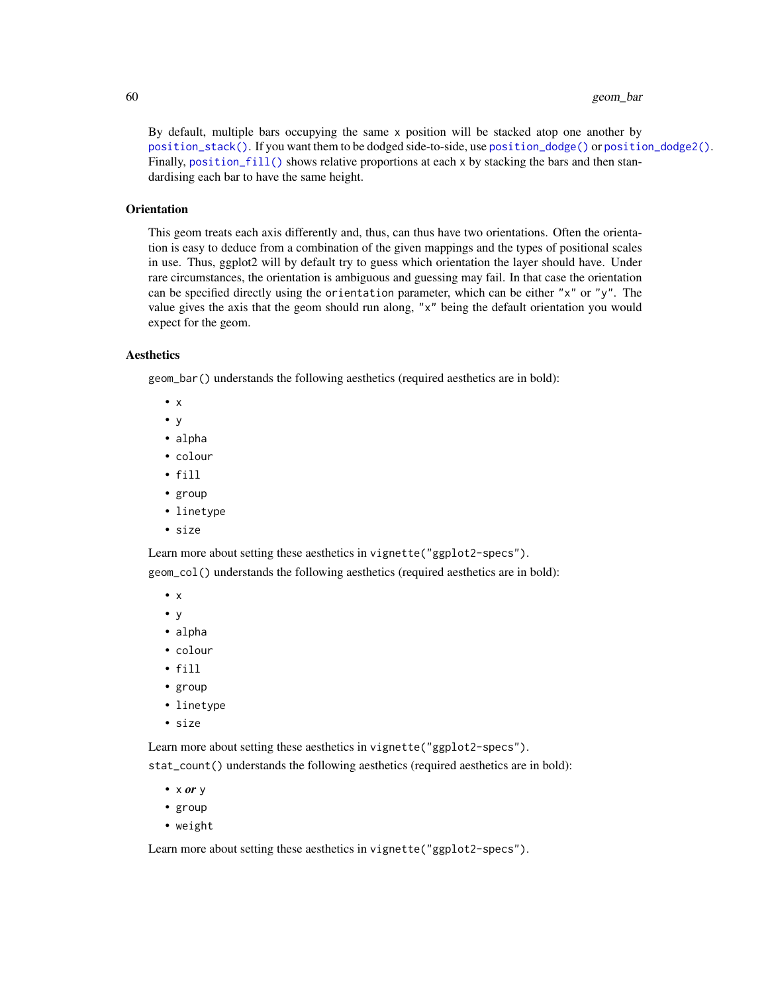#### 60 geom\_bar

By default, multiple bars occupying the same x position will be stacked atop one another by [position\\_stack\(\)](#page-196-0). If you want them to be dodged side-to-side, use [position\\_dodge\(\)](#page-191-0) or [position\\_dodge2\(\)](#page-191-1). Finally, position  $f11()$  shows relative proportions at each x by stacking the bars and then standardising each bar to have the same height.

#### **Orientation**

This geom treats each axis differently and, thus, can thus have two orientations. Often the orientation is easy to deduce from a combination of the given mappings and the types of positional scales in use. Thus, ggplot2 will by default try to guess which orientation the layer should have. Under rare circumstances, the orientation is ambiguous and guessing may fail. In that case the orientation can be specified directly using the orientation parameter, which can be either "x" or "y". The value gives the axis that the geom should run along, "x" being the default orientation you would expect for the geom.

# Aesthetics

geom\_bar() understands the following aesthetics (required aesthetics are in bold):

- x
- y
- alpha
- colour
- fill
- group
- linetype
- size

Learn more about setting these aesthetics in vignette("ggplot2-specs").

geom\_col() understands the following aesthetics (required aesthetics are in bold):

- x
- y
- alpha
- colour
- fill
- group
- linetype
- size

Learn more about setting these aesthetics in vignette("ggplot2-specs").

stat\_count() understands the following aesthetics (required aesthetics are in bold):

- x *or* y
- group
- weight

Learn more about setting these aesthetics in vignette("ggplot2-specs").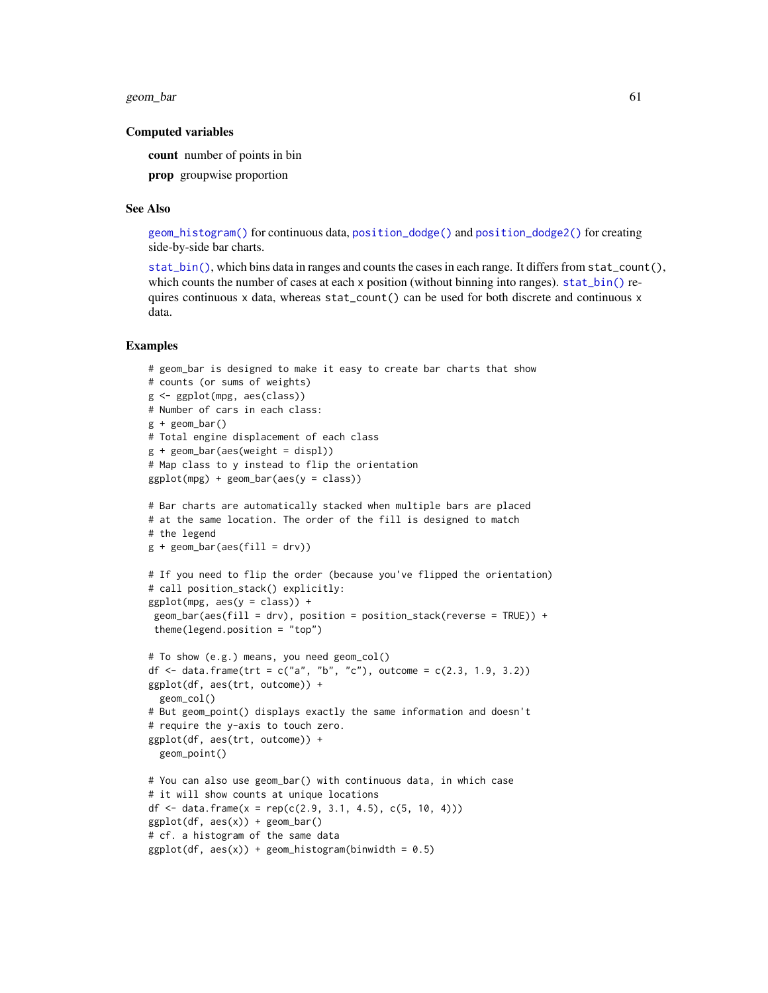geom\_bar 61

### Computed variables

count number of points in bin

prop groupwise proportion

#### See Also

[geom\\_histogram\(\)](#page-93-0) for continuous data, [position\\_dodge\(\)](#page-191-0) and [position\\_dodge2\(\)](#page-191-1) for creating side-by-side bar charts.

[stat\\_bin\(\)](#page-93-0), which bins data in ranges and counts the cases in each range. It differs from stat\_count(), which counts the number of cases at each x position (without binning into ranges). [stat\\_bin\(\)](#page-93-0) requires continuous x data, whereas stat\_count() can be used for both discrete and continuous x data.

#### Examples

```
# geom_bar is designed to make it easy to create bar charts that show
# counts (or sums of weights)
g <- ggplot(mpg, aes(class))
# Number of cars in each class:
g + geom\_bar()# Total engine displacement of each class
g + geom\_bar(aes(weight = disp1))# Map class to y instead to flip the orientation
ggplot(mpg) + geom-bar(aes(y = class))# Bar charts are automatically stacked when multiple bars are placed
# at the same location. The order of the fill is designed to match
# the legend
g + geom\_bar(aes(fill = dry))# If you need to flip the order (because you've flipped the orientation)
# call position_stack() explicitly:
ggplot(mpg, aes(y = class)) +geom_bar(aes(fill = drv), position = position_stack(reverse = TRUE)) +
theme(legend.position = "top")
# To show (e.g.) means, you need geom_col()
df <- data.frame(trt = c("a", "b", "c"), outcome = c(2.3, 1.9, 3.2))
ggplot(df, aes(trt, outcome)) +
 geom_col()
# But geom_point() displays exactly the same information and doesn't
# require the y-axis to touch zero.
ggplot(df, aes(trt, outcome)) +
 geom_point()
# You can also use geom_bar() with continuous data, in which case
# it will show counts at unique locations
df <- data.frame(x = rep(c(2.9, 3.1, 4.5), c(5, 10, 4)))
ggplot(df, aes(x)) + geom_bar()
# cf. a histogram of the same data
ggplot(df, aes(x)) + geom\_histogram(binwidth = 0.5)
```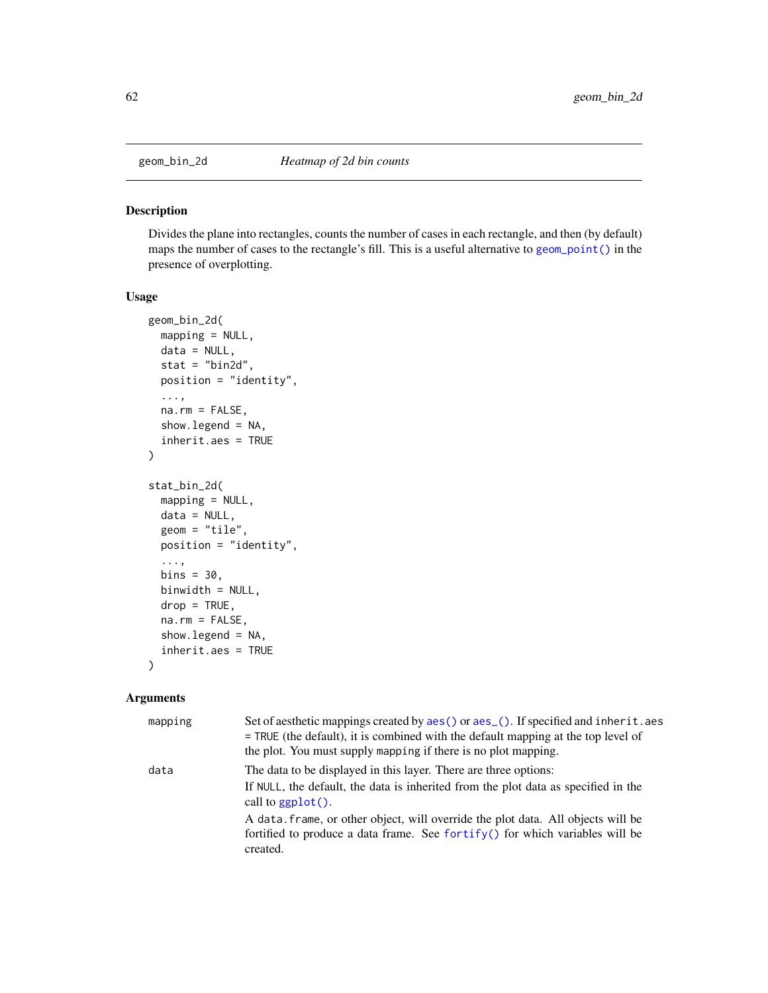#### Description

Divides the plane into rectangles, counts the number of cases in each rectangle, and then (by default) maps the number of cases to the rectangle's fill. This is a useful alternative to [geom\\_point\(\)](#page-117-0) in the presence of overplotting.

### Usage

```
geom_bin_2d(
  mapping = NULL,
  data = NULL,
  stat = "bind",position = "identity",
  ...,
  na.rm = FALSE,
  show.legend = NA,
  inherit.aes = TRUE
\mathcal{L}stat_bin_2d(
 mapping = NULL,
  data = NULL,geom = "tile",
 position = "identity",
  ...,
  bins = 30,
 binwidth = NULL,
  drop = TRUE,na.rm = FALSE,
  show. legend = NA,
  inherit.aes = TRUE
)
```
### Arguments

| mapping | Set of aesthetic mappings created by aes () or aes (). If specified and inherit. aes<br>$=$ TRUE (the default), it is combined with the default mapping at the top level of<br>the plot. You must supply mapping if there is no plot mapping. |
|---------|-----------------------------------------------------------------------------------------------------------------------------------------------------------------------------------------------------------------------------------------------|
| data    | The data to be displayed in this layer. There are three options:<br>If NULL, the default, the data is inherited from the plot data as specified in the<br>call to $ggplot()$ .                                                                |
|         | A data frame, or other object, will override the plot data. All objects will be<br>fortified to produce a data frame. See fortify() for which variables will be<br>created.                                                                   |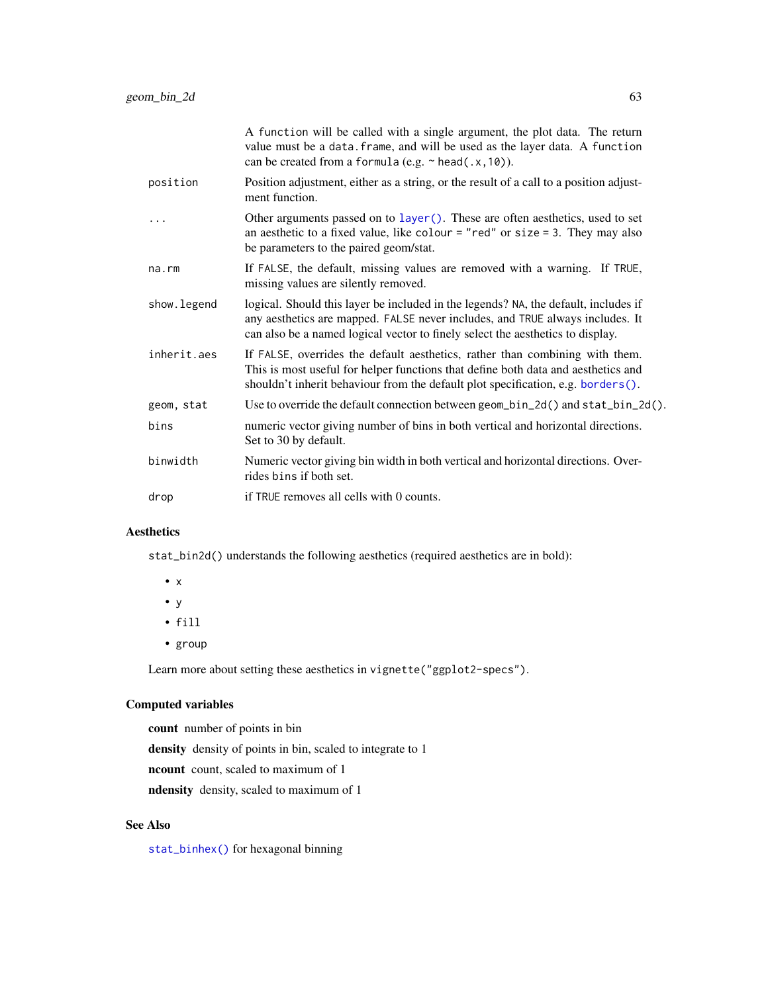|             | A function will be called with a single argument, the plot data. The return<br>value must be a data. frame, and will be used as the layer data. A function<br>can be created from a formula (e.g. $\sim$ head(.x, 10)).                                |
|-------------|--------------------------------------------------------------------------------------------------------------------------------------------------------------------------------------------------------------------------------------------------------|
| position    | Position adjustment, either as a string, or the result of a call to a position adjust-<br>ment function.                                                                                                                                               |
|             | Other arguments passed on to layer (). These are often aesthetics, used to set<br>an aesthetic to a fixed value, like colour = "red" or size = 3. They may also<br>be parameters to the paired geom/stat.                                              |
| na.rm       | If FALSE, the default, missing values are removed with a warning. If TRUE,<br>missing values are silently removed.                                                                                                                                     |
| show.legend | logical. Should this layer be included in the legends? NA, the default, includes if<br>any aesthetics are mapped. FALSE never includes, and TRUE always includes. It<br>can also be a named logical vector to finely select the aesthetics to display. |
| inherit.aes | If FALSE, overrides the default aesthetics, rather than combining with them.<br>This is most useful for helper functions that define both data and aesthetics and<br>shouldn't inherit behaviour from the default plot specification, e.g. borders().  |
| geom, stat  | Use to override the default connection between geom_bin_2d() and stat_bin_2d().                                                                                                                                                                        |
| bins        | numeric vector giving number of bins in both vertical and horizontal directions.<br>Set to 30 by default.                                                                                                                                              |
| binwidth    | Numeric vector giving bin width in both vertical and horizontal directions. Over-<br>rides bins if both set.                                                                                                                                           |
| drop        | if TRUE removes all cells with 0 counts.                                                                                                                                                                                                               |
|             |                                                                                                                                                                                                                                                        |

## Aesthetics

stat\_bin2d() understands the following aesthetics (required aesthetics are in bold):

- x
- y
- fill
- group

Learn more about setting these aesthetics in vignette("ggplot2-specs").

## Computed variables

count number of points in bin

density density of points in bin, scaled to integrate to 1

ncount count, scaled to maximum of 1

ndensity density, scaled to maximum of 1

## See Also

[stat\\_binhex\(\)](#page-101-0) for hexagonal binning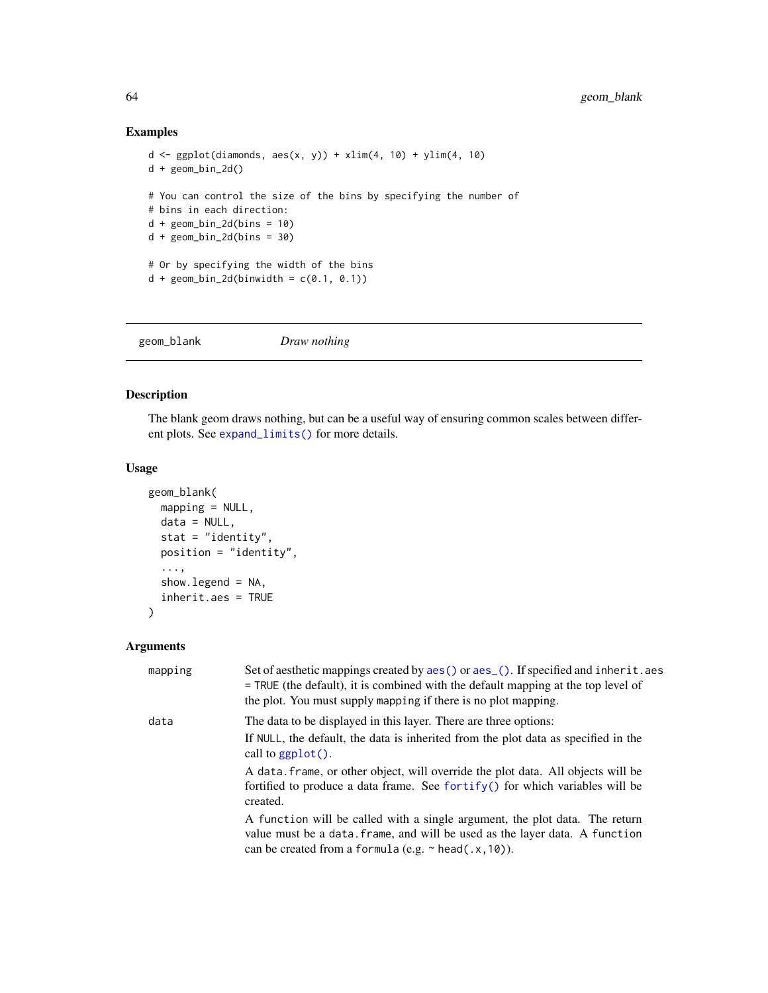## Examples

```
d \leq ggplot(diamonds, aes(x, y)) + xlim(4, 10) + ylim(4, 10)
d + geom_bin_2d()
# You can control the size of the bins by specifying the number of
# bins in each direction:
d + geom\_bin\_2d(bins = 10)d + geom\_bin\_2d(bins = 30)# Or by specifying the width of the bins
d + geom\_bin\_2d(binwidth = c(0.1, 0.1))
```
<span id="page-63-0"></span>geom\_blank *Draw nothing*

### Description

The blank geom draws nothing, but can be a useful way of ensuring common scales between different plots. See [expand\\_limits\(\)](#page-47-0) for more details.

### Usage

```
geom_blank(
 mapping = NULL,
  data = NULL,
  stat = "identity",
 position = "identity",
  ...,
  show.legend = NA,
  inherit.aes = TRUE
\lambda
```
## Arguments

| mapping | Set of aesthetic mappings created by aes () or aes (). If specified and inherit. aes<br>$=$ TRUE (the default), it is combined with the default mapping at the top level of<br>the plot. You must supply mapping if there is no plot mapping. |
|---------|-----------------------------------------------------------------------------------------------------------------------------------------------------------------------------------------------------------------------------------------------|
| data    | The data to be displayed in this layer. There are three options:                                                                                                                                                                              |
|         | If NULL, the default, the data is inherited from the plot data as specified in the<br>call to $ggplot()$ .                                                                                                                                    |
|         | A data, frame, or other object, will override the plot data. All objects will be<br>fortified to produce a data frame. See for $\text{trify}()$ for which variables will be<br>created.                                                       |
|         | A function will be called with a single argument, the plot data. The return<br>value must be a data. frame, and will be used as the layer data. A function<br>can be created from a formula (e.g. $\sim$ head(.x, 10)).                       |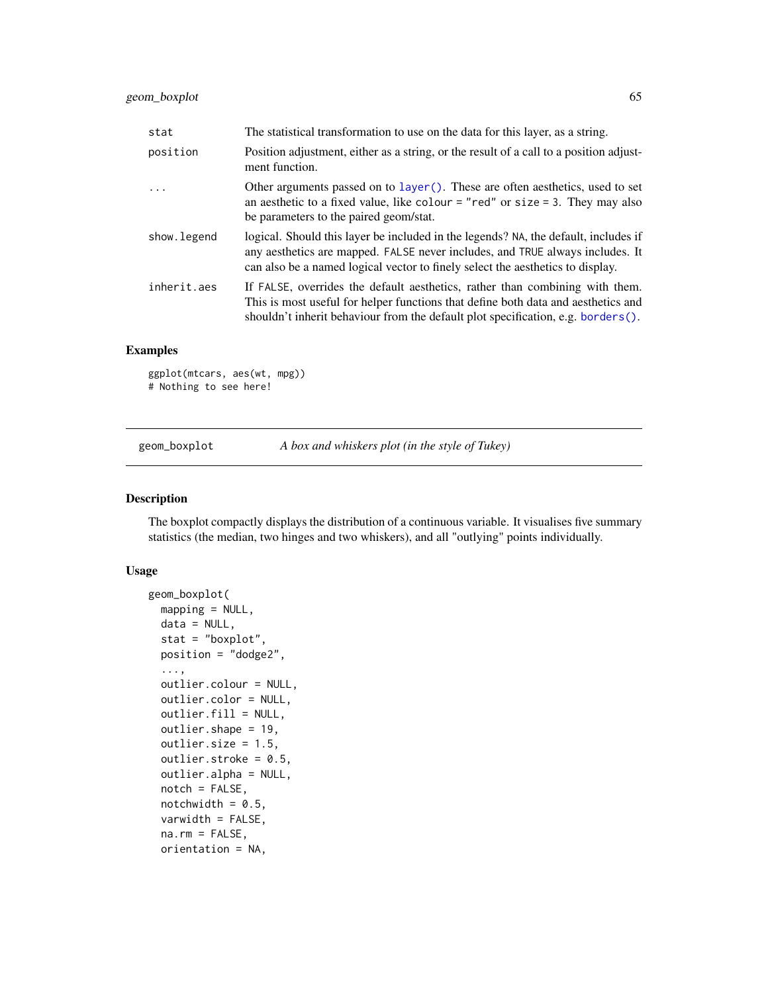| stat        | The statistical transformation to use on the data for this layer, as a string.                                                                                                                                                                            |
|-------------|-----------------------------------------------------------------------------------------------------------------------------------------------------------------------------------------------------------------------------------------------------------|
| position    | Position adjustment, either as a string, or the result of a call to a position adjust-<br>ment function.                                                                                                                                                  |
| $\ddotsc$   | Other arguments passed on to layer(). These are often aesthetics, used to set<br>an aesthetic to a fixed value, like colour = "red" or size = 3. They may also<br>be parameters to the paired geom/stat.                                                  |
| show.legend | logical. Should this layer be included in the legends? NA, the default, includes if<br>any aesthetics are mapped. FALSE never includes, and TRUE always includes. It<br>can also be a named logical vector to finely select the aesthetics to display.    |
| inherit.aes | If FALSE, overrides the default aesthetics, rather than combining with them.<br>This is most useful for helper functions that define both data and aesthetics and<br>shouldn't inherit behaviour from the default plot specification, e.g. borders $()$ . |

### Examples

```
ggplot(mtcars, aes(wt, mpg))
# Nothing to see here!
```
geom\_boxplot *A box and whiskers plot (in the style of Tukey)*

### Description

The boxplot compactly displays the distribution of a continuous variable. It visualises five summary statistics (the median, two hinges and two whiskers), and all "outlying" points individually.

#### Usage

```
geom_boxplot(
 mapping = NULL,
 data = NULL,stat = "boxplot",
 position = "dodge2",
  ...,
 outlier.colour = NULL,
 outlier.color = NULL,
 outlier.fill = NULL,
 outlier.shape = 19,
 outlier.size = 1.5,
 outlier.stroke = 0.5,
  outlier.alpha = NULL,
 notch = FALSE,
 notchwidth = 0.5,
  varwidth = FALSE,
  na.rm = FALSE,orientation = NA,
```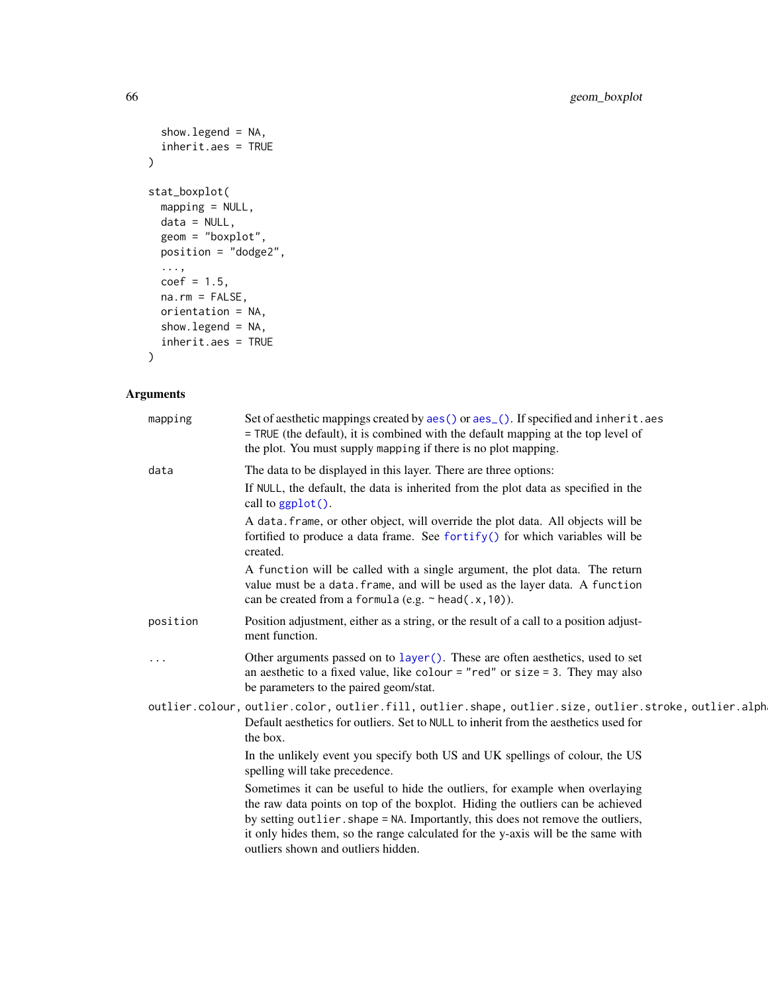```
show.legend = NA,
 inherit.aes = TRUE
\mathcal{L}stat_boxplot(
 mapping = NULL,
 data = NULL,geom = "boxplot",
 position = "dodge2",
  ...,
 coef = 1.5,
 na.rm = FALSE,
 orientation = NA,
 show.legend = NA,
 inherit.aes = TRUE
)
```
# Arguments

| mapping  | Set of aesthetic mappings created by $aes()$ or $aes()$ . If specified and inherit. aes<br>= TRUE (the default), it is combined with the default mapping at the top level of<br>the plot. You must supply mapping if there is no plot mapping.                                                                                                                               |
|----------|------------------------------------------------------------------------------------------------------------------------------------------------------------------------------------------------------------------------------------------------------------------------------------------------------------------------------------------------------------------------------|
| data     | The data to be displayed in this layer. There are three options:                                                                                                                                                                                                                                                                                                             |
|          | If NULL, the default, the data is inherited from the plot data as specified in the<br>call to ggplot().                                                                                                                                                                                                                                                                      |
|          | A data. frame, or other object, will override the plot data. All objects will be<br>fortified to produce a data frame. See fortify() for which variables will be<br>created.                                                                                                                                                                                                 |
|          | A function will be called with a single argument, the plot data. The return<br>value must be a data. frame, and will be used as the layer data. A function<br>can be created from a formula (e.g. $\sim$ head(.x, 10)).                                                                                                                                                      |
| position | Position adjustment, either as a string, or the result of a call to a position adjust-<br>ment function.                                                                                                                                                                                                                                                                     |
|          | Other arguments passed on to layer (). These are often aesthetics, used to set<br>an aesthetic to a fixed value, like colour = "red" or size = 3. They may also<br>be parameters to the paired geom/stat.                                                                                                                                                                    |
|          | outlier.colour, outlier.color, outlier.fill, outlier.shape, outlier.size, outlier.stroke, outlier.alph<br>Default aesthetics for outliers. Set to NULL to inherit from the aesthetics used for<br>the box.                                                                                                                                                                   |
|          | In the unlikely event you specify both US and UK spellings of colour, the US<br>spelling will take precedence.                                                                                                                                                                                                                                                               |
|          | Sometimes it can be useful to hide the outliers, for example when overlaying<br>the raw data points on top of the boxplot. Hiding the outliers can be achieved<br>by setting outlier. shape = NA. Importantly, this does not remove the outliers,<br>it only hides them, so the range calculated for the y-axis will be the same with<br>outliers shown and outliers hidden. |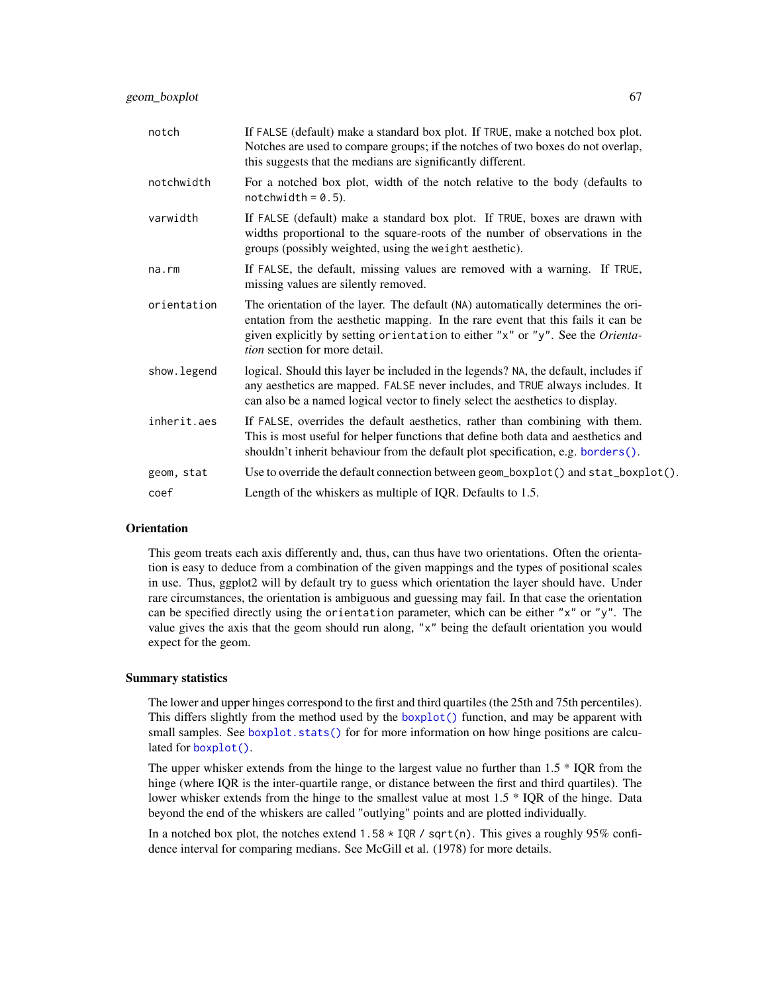| notch       | If FALSE (default) make a standard box plot. If TRUE, make a notched box plot.<br>Notches are used to compare groups; if the notches of two boxes do not overlap,<br>this suggests that the medians are significantly different.                                                               |
|-------------|------------------------------------------------------------------------------------------------------------------------------------------------------------------------------------------------------------------------------------------------------------------------------------------------|
| notchwidth  | For a notched box plot, width of the notch relative to the body (defaults to<br>notchwidth = $0.5$ ).                                                                                                                                                                                          |
| varwidth    | If FALSE (default) make a standard box plot. If TRUE, boxes are drawn with<br>widths proportional to the square-roots of the number of observations in the<br>groups (possibly weighted, using the weight aesthetic).                                                                          |
| na.rm       | If FALSE, the default, missing values are removed with a warning. If TRUE,<br>missing values are silently removed.                                                                                                                                                                             |
| orientation | The orientation of the layer. The default (NA) automatically determines the ori-<br>entation from the aesthetic mapping. In the rare event that this fails it can be<br>given explicitly by setting orientation to either "x" or "y". See the Orienta-<br><i>tion</i> section for more detail. |
| show.legend | logical. Should this layer be included in the legends? NA, the default, includes if<br>any aesthetics are mapped. FALSE never includes, and TRUE always includes. It<br>can also be a named logical vector to finely select the aesthetics to display.                                         |
| inherit.aes | If FALSE, overrides the default aesthetics, rather than combining with them.<br>This is most useful for helper functions that define both data and aesthetics and<br>shouldn't inherit behaviour from the default plot specification, e.g. borders().                                          |
| geom, stat  | Use to override the default connection between geom_boxplot() and stat_boxplot().                                                                                                                                                                                                              |
| coef        | Length of the whiskers as multiple of IQR. Defaults to 1.5.                                                                                                                                                                                                                                    |

### **Orientation**

This geom treats each axis differently and, thus, can thus have two orientations. Often the orientation is easy to deduce from a combination of the given mappings and the types of positional scales in use. Thus, ggplot2 will by default try to guess which orientation the layer should have. Under rare circumstances, the orientation is ambiguous and guessing may fail. In that case the orientation can be specified directly using the orientation parameter, which can be either "x" or "y". The value gives the axis that the geom should run along, "x" being the default orientation you would expect for the geom.

#### Summary statistics

The lower and upper hinges correspond to the first and third quartiles (the 25th and 75th percentiles). This differs slightly from the method used by the [boxplot\(\)](#page-0-0) function, and may be apparent with small samples. See [boxplot.stats\(\)](#page-0-0) for for more information on how hinge positions are calculated for [boxplot\(\)](#page-0-0).

The upper whisker extends from the hinge to the largest value no further than  $1.5 * IQR$  from the hinge (where IQR is the inter-quartile range, or distance between the first and third quartiles). The lower whisker extends from the hinge to the smallest value at most 1.5 \* IQR of the hinge. Data beyond the end of the whiskers are called "outlying" points and are plotted individually.

In a notched box plot, the notches extend  $1.58 \times IQR / sqrt(n)$ . This gives a roughly 95% confidence interval for comparing medians. See McGill et al. (1978) for more details.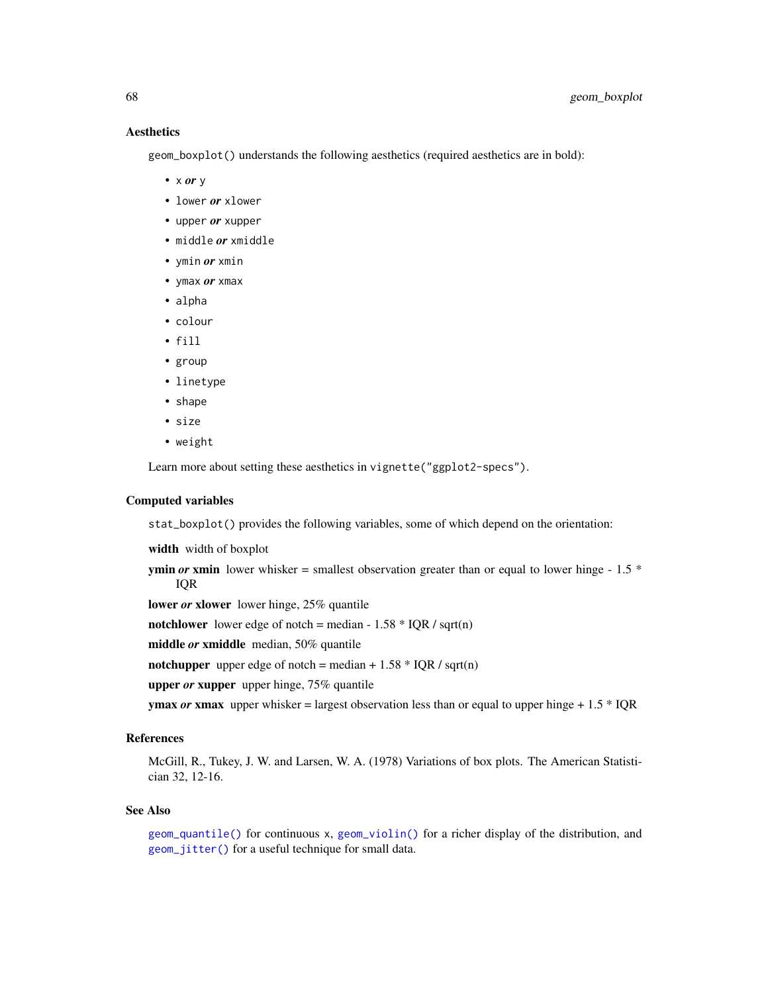## **Aesthetics**

geom\_boxplot() understands the following aesthetics (required aesthetics are in bold):

- x *or* y
- lower *or* xlower
- upper *or* xupper
- middle *or* xmiddle
- ymin *or* xmin
- ymax *or* xmax
- alpha
- colour
- fill
- group
- linetype
- shape
- size
- weight

Learn more about setting these aesthetics in vignette("ggplot2-specs").

### Computed variables

stat\_boxplot() provides the following variables, some of which depend on the orientation:

width width of boxplot

**ymin** *or* **xmin** lower whisker = smallest observation greater than or equal to lower hinge - 1.5  $*$ IQR

lower *or* xlower lower hinge, 25% quantile

notchlower lower edge of notch = median -  $1.58 * IQR / sqrt(n)$ 

middle *or* xmiddle median, 50% quantile

notchupper upper edge of notch = median +  $1.58 * IQR / sqrt(n)$ 

upper *or* xupper upper hinge, 75% quantile

**ymax** *or* **xmax** upper whisker = largest observation less than or equal to upper hinge  $+1.5 * IQR$ 

## References

McGill, R., Tukey, J. W. and Larsen, W. A. (1978) Variations of box plots. The American Statistician 32, 12-16.

#### See Also

[geom\\_quantile\(\)](#page-126-0) for continuous x, [geom\\_violin\(\)](#page-146-0) for a richer display of the distribution, and [geom\\_jitter\(\)](#page-103-0) for a useful technique for small data.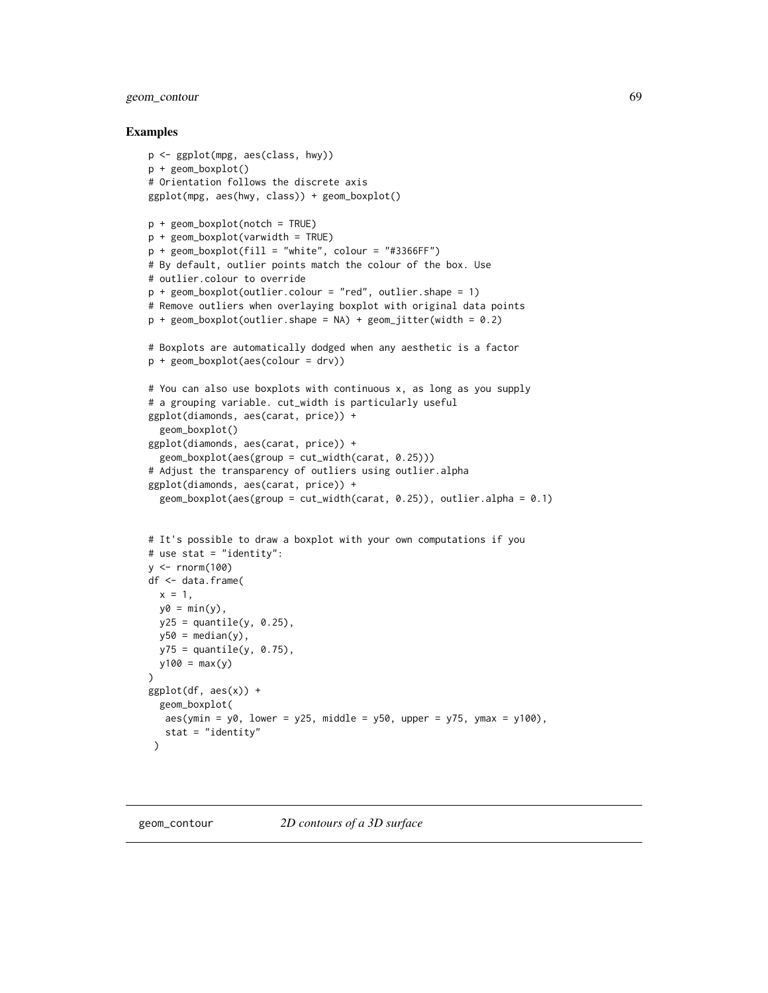## geom\_contour 69

### Examples

```
p <- ggplot(mpg, aes(class, hwy))
p + geom_boxplot()
# Orientation follows the discrete axis
ggplot(mpg, aes(hwy, class)) + geom_boxplot()
p + geom_boxplot(notch = TRUE)
p + geom_boxplot(varwidth = TRUE)
p + geom\_boxplot(fill = "white", colour = "#3366FF")# By default, outlier points match the colour of the box. Use
# outlier.colour to override
p + geom_boxplot(outlier.colour = "red", outlier.shape = 1)
# Remove outliers when overlaying boxplot with original data points
p + geom\_boxplot(outlier.shape = NA) + geom\_jitter(width = 0.2)# Boxplots are automatically dodged when any aesthetic is a factor
p + geom_boxplot(aes(colour = drv))
# You can also use boxplots with continuous x, as long as you supply
# a grouping variable. cut_width is particularly useful
ggplot(diamonds, aes(carat, price)) +
  geom_boxplot()
ggplot(diamonds, aes(carat, price)) +
  geom_boxplot(aes(group = cut_width(carat, 0.25)))# Adjust the transparency of outliers using outlier.alpha
ggplot(diamonds, aes(carat, price)) +
  geom_boxplot(aes(group = cut_width(carat, 0.25)), outlier.alpha = 0.1)
# It's possible to draw a boxplot with your own computations if you
# use stat = "identity":
y \le - rnorm(100)
df <- data.frame(
  x = 1,
  y0 = min(y),
  y25 = quantile(y, 0.25),
  y50 = median(y),
  y75 = quantile(y, 0.75),
  y100 = max(y)\lambdaggplot(df, aes(x)) +geom_boxplot(
  aes(ymin = y0, lower = y25, middle = y50, upper = y75, ymax = y100),stat = "identity"\lambda
```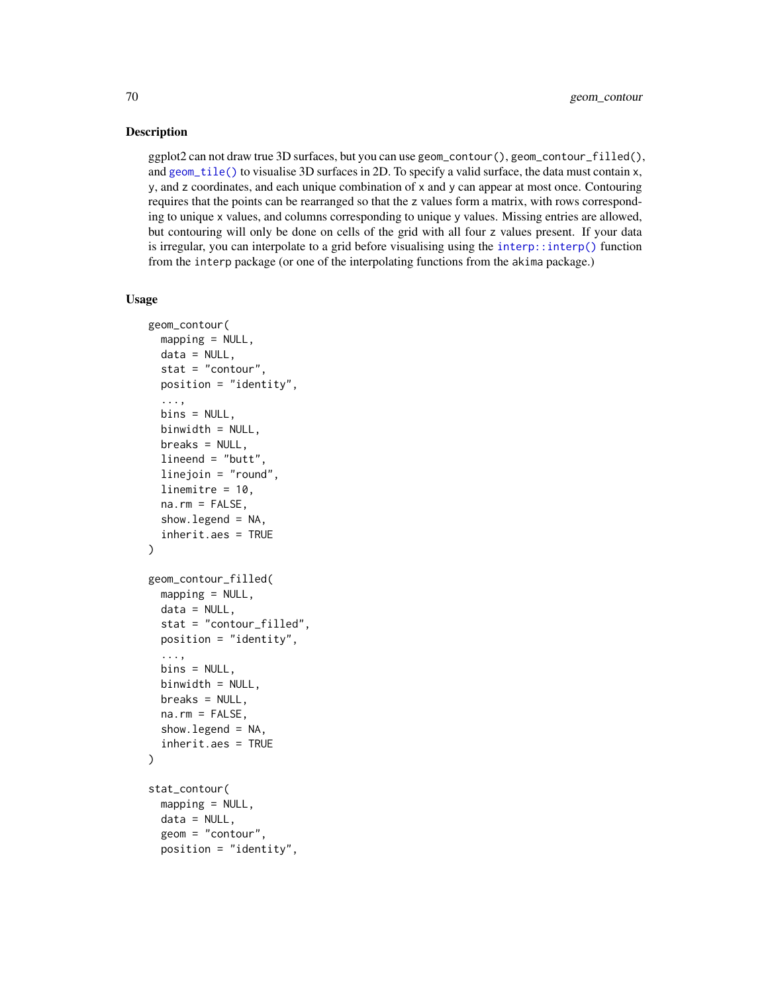### Description

ggplot2 can not draw true 3D surfaces, but you can use geom\_contour(), geom\_contour\_filled(), and [geom\\_tile\(\)](#page-128-0) to visualise 3D surfaces in 2D. To specify a valid surface, the data must contain x, y, and z coordinates, and each unique combination of x and y can appear at most once. Contouring requires that the points can be rearranged so that the z values form a matrix, with rows corresponding to unique x values, and columns corresponding to unique y values. Missing entries are allowed, but contouring will only be done on cells of the grid with all four z values present. If your data is irregular, you can interpolate to a grid before visualising using the [interp::interp\(\)](#page-0-0) function from the interp package (or one of the interpolating functions from the akima package.)

#### Usage

```
geom_contour(
 mapping = NULL,data = NULL,
  stat = "contour",
 position = "identity",
  ...,
 bins = NULL,
 binwidth = NULL,breaks = NULL,
  lineend = "butt",
  linejoin = "round",
  linemitre = 10,
  na.rm = FALSE,
  show. legend = NA,
  inherit.aes = TRUE
)
geom_contour_filled(
 mapping = NULL,data = NULL,
 stat = "contour_filled",
 position = "identity",
  ...,
 bins = NULL,
 binwidth = NULL,breaks = NULL,
  na.rm = FALSE,show.legend = NA,
  inherit.aes = TRUE
\mathcal{L}stat_contour(
 mapping = NULL,
 data = NULL,geom = "contour",
  position = "identity",
```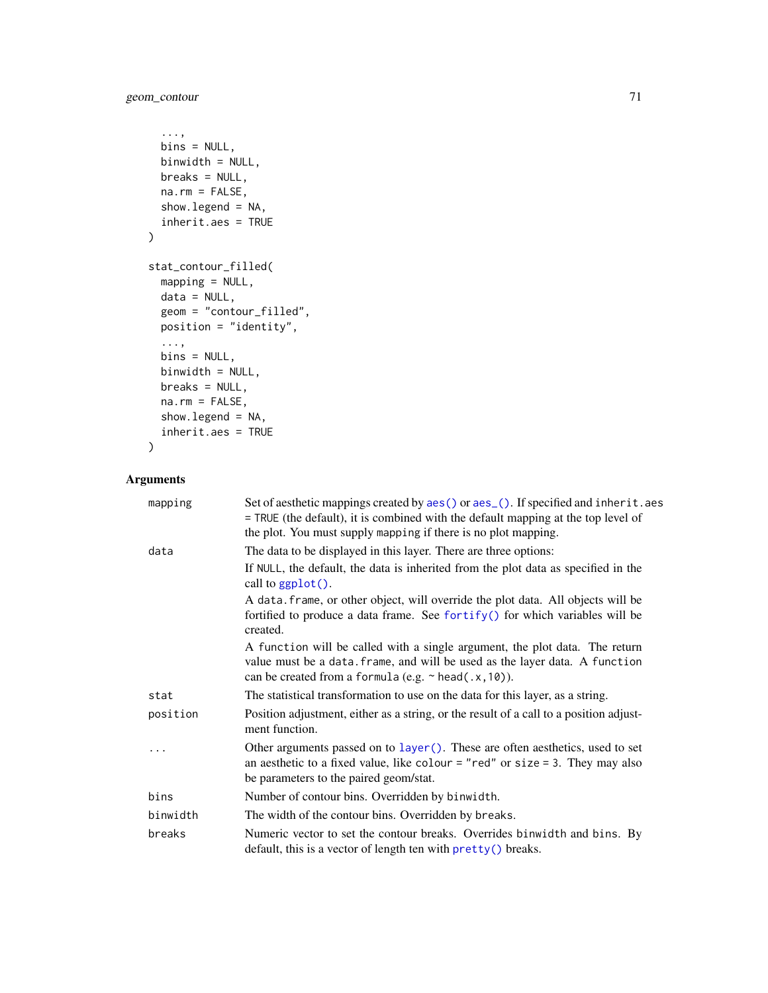geom\_contour 71

```
...,
 bins = NULL,
 binwidth = NULL,
 breaks = NULL,
 na.rm = FALSE,
 show.legend = NA,
  inherit.aes = TRUE
\mathcal{L}stat_contour_filled(
 mapping = NULL,
 data = NULL,geom = "contour_filled",
 position = "identity",
  ...,
 bins = NULL,
 binwidth = NULL,
 breaks = NULL,
 na.rm = FALSE,show.legend = NA,
  inherit.aes = TRUE
)
```
# Arguments

| mapping  | Set of aesthetic mappings created by aes() or aes_(). If specified and inherit.aes<br>= TRUE (the default), it is combined with the default mapping at the top level of<br>the plot. You must supply mapping if there is no plot mapping. |
|----------|-------------------------------------------------------------------------------------------------------------------------------------------------------------------------------------------------------------------------------------------|
| data     | The data to be displayed in this layer. There are three options:                                                                                                                                                                          |
|          | If NULL, the default, the data is inherited from the plot data as specified in the<br>call to ggplot().                                                                                                                                   |
|          | A data. frame, or other object, will override the plot data. All objects will be<br>fortified to produce a data frame. See fortify() for which variables will be<br>created.                                                              |
|          | A function will be called with a single argument, the plot data. The return<br>value must be a data. frame, and will be used as the layer data. A function<br>can be created from a formula (e.g. $\sim$ head(.x, 10)).                   |
| stat     | The statistical transformation to use on the data for this layer, as a string.                                                                                                                                                            |
| position | Position adjustment, either as a string, or the result of a call to a position adjust-<br>ment function.                                                                                                                                  |
|          | Other arguments passed on to layer (). These are often aesthetics, used to set<br>an aesthetic to a fixed value, like colour = "red" or size = 3. They may also<br>be parameters to the paired geom/stat.                                 |
| bins     | Number of contour bins. Overridden by binwidth.                                                                                                                                                                                           |
| binwidth | The width of the contour bins. Overridden by breaks.                                                                                                                                                                                      |
| breaks   | Numeric vector to set the contour breaks. Overrides binwidth and bins. By<br>default, this is a vector of length ten with pretty() breaks.                                                                                                |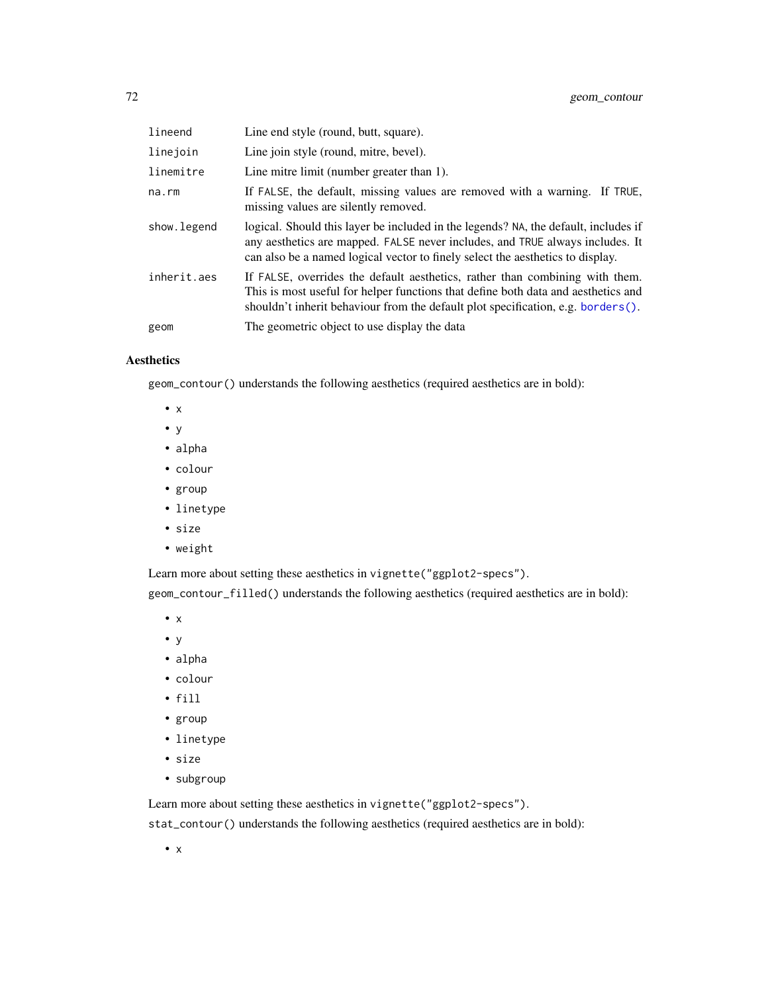| lineend      | Line end style (round, butt, square).                                                                                                                                                                                                                     |
|--------------|-----------------------------------------------------------------------------------------------------------------------------------------------------------------------------------------------------------------------------------------------------------|
| linejoin     | Line join style (round, mitre, bevel).                                                                                                                                                                                                                    |
| linemitre    | Line mitre limit (number greater than 1).                                                                                                                                                                                                                 |
| $na$ . $rm$  | If FALSE, the default, missing values are removed with a warning. If TRUE,<br>missing values are silently removed.                                                                                                                                        |
| show. legend | logical. Should this layer be included in the legends? NA, the default, includes if<br>any aesthetics are mapped. FALSE never includes, and TRUE always includes. It<br>can also be a named logical vector to finely select the aesthetics to display.    |
| inherit.aes  | If FALSE, overrides the default aesthetics, rather than combining with them.<br>This is most useful for helper functions that define both data and aesthetics and<br>shouldn't inherit behaviour from the default plot specification, e.g. borders $()$ . |
| geom         | The geometric object to use display the data                                                                                                                                                                                                              |

# Aesthetics

geom\_contour() understands the following aesthetics (required aesthetics are in bold):

- x
- y
- alpha
- colour
- group
- linetype
- size
- weight

Learn more about setting these aesthetics in vignette("ggplot2-specs").

geom\_contour\_filled() understands the following aesthetics (required aesthetics are in bold):

- x
- y
- alpha
- colour
- fill
- group
- linetype
- size
- subgroup

Learn more about setting these aesthetics in vignette("ggplot2-specs").

stat\_contour() understands the following aesthetics (required aesthetics are in bold):

• x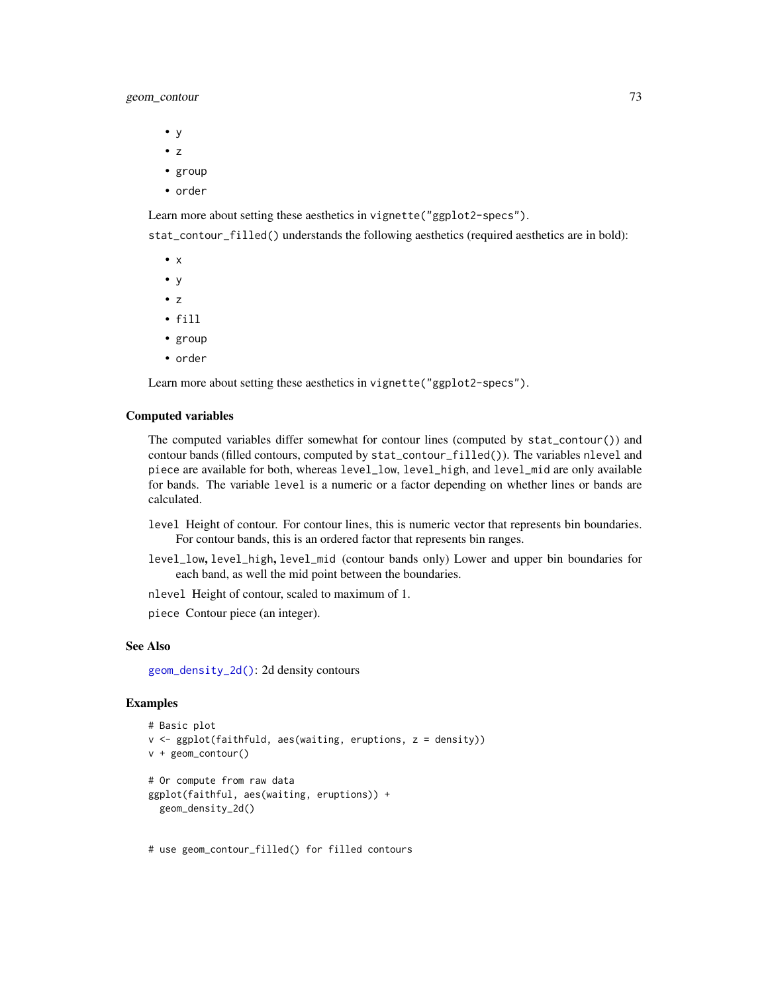## geom\_contour 73

- y
- z
- group
- order

Learn more about setting these aesthetics in vignette("ggplot2-specs").

stat\_contour\_filled() understands the following aesthetics (required aesthetics are in bold):

- x
- y
- z
- fill
- group
- order

Learn more about setting these aesthetics in vignette("ggplot2-specs").

### Computed variables

The computed variables differ somewhat for contour lines (computed by stat\_contour()) and contour bands (filled contours, computed by stat\_contour\_filled()). The variables nlevel and piece are available for both, whereas level\_low, level\_high, and level\_mid are only available for bands. The variable level is a numeric or a factor depending on whether lines or bands are calculated.

- level Height of contour. For contour lines, this is numeric vector that represents bin boundaries. For contour bands, this is an ordered factor that represents bin ranges.
- level\_low, level\_high, level\_mid (contour bands only) Lower and upper bin boundaries for each band, as well the mid point between the boundaries.

nlevel Height of contour, scaled to maximum of 1.

piece Contour piece (an integer).

#### See Also

[geom\\_density\\_2d\(\)](#page-83-0): 2d density contours

### Examples

```
# Basic plot
v <- ggplot(faithfuld, aes(waiting, eruptions, z = density))
v + geom_contour()
# Or compute from raw data
ggplot(faithful, aes(waiting, eruptions)) +
 geom_density_2d()
```
# use geom\_contour\_filled() for filled contours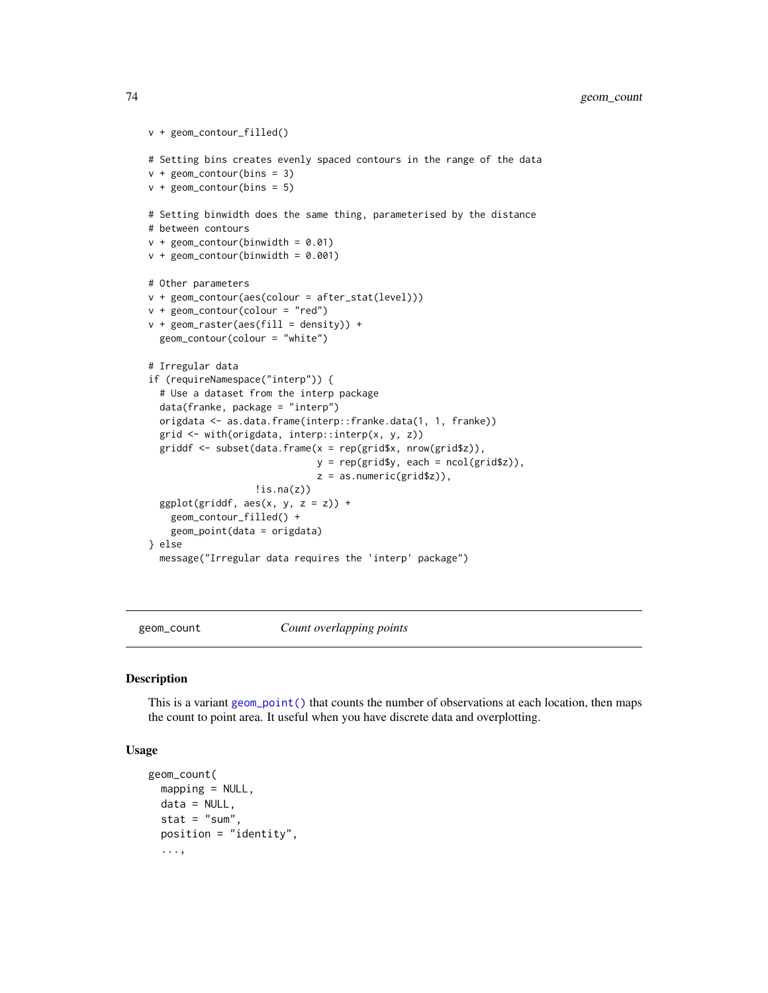```
v + geom_contour_filled()
# Setting bins creates evenly spaced contours in the range of the data
v + geom\_contour(bins = 3)v + geom\_contour(bins = 5)# Setting binwidth does the same thing, parameterised by the distance
# between contours
v + geom_{\text{contour}}(binwidth = 0.01)v + geom\_contour(binwidth = 0.001)# Other parameters
v + geom_contour(aes(colour = after_stat(level)))
v + geom\_contour(colour = "red")v + geometry = v + geometry = v + \frac{1}{2} = v + \frac{1}{2} = v + \frac{1}{2} = v + \frac{1}{2} +
  geom_contour(colour = "white")
# Irregular data
if (requireNamespace("interp")) {
  # Use a dataset from the interp package
  data(franke, package = "interp")
  origdata <- as.data.frame(interp::franke.data(1, 1, franke))
  grid <- with(origdata, interp::interp(x, y, z))
  griddf \leq subset(data.frame(x = rep(grid$x, nrow(grid$z)),
                                y = rep(grid\y, each = ncol(grid$z)),
                                z = as.numeric(grid$z)),
                    lis.na(z))ggplot(griddf, aes(x, y, z = z)) +
    geom_contour_filled() +
    geom_point(data = origdata)
} else
  message("Irregular data requires the 'interp' package")
```
geom\_count *Count overlapping points*

#### Description

This is a variant [geom\\_point\(\)](#page-117-0) that counts the number of observations at each location, then maps the count to point area. It useful when you have discrete data and overplotting.

```
geom_count(
 mapping = NULL,
  data = NULL,
  stat = "sum",
  position = "identity",
  ...,
```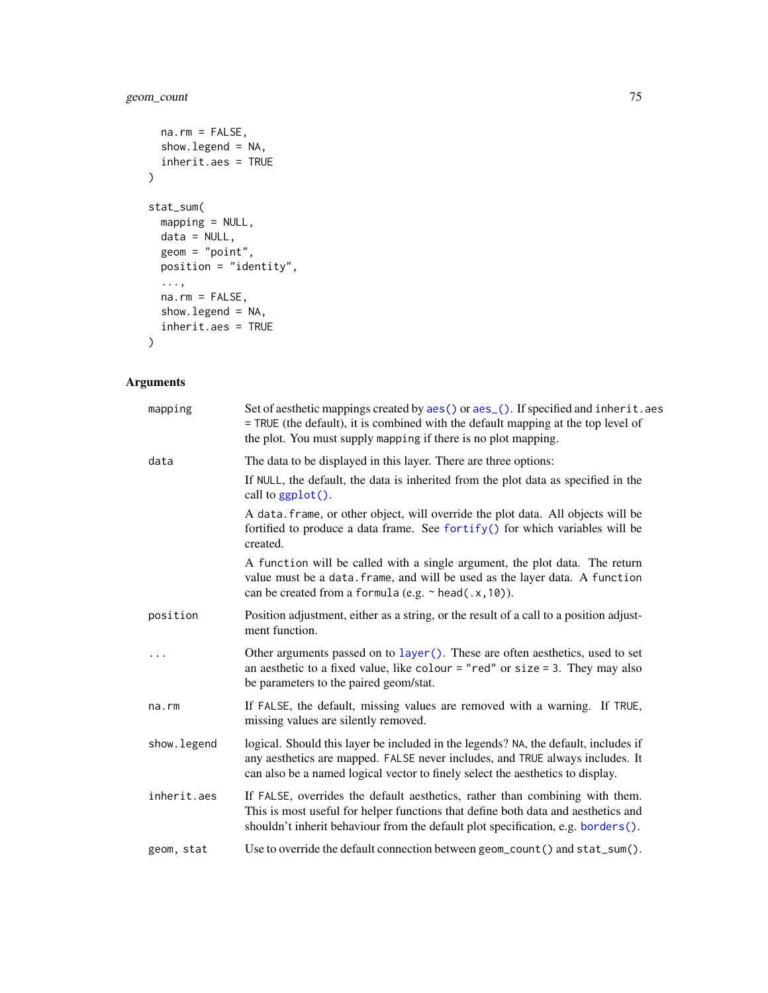# geom\_count 75

```
na.rm = FALSE,show.legend = NA,
 inherit.aes = TRUE
\mathcal{L}stat_sum(
 mapping = NULL,
 data = NULL,
 geom = "point",position = "identity",
 ...,
 na.rm = FALSE,
 show.legend = NA,
 inherit.aes = TRUE
\mathcal{L}
```

| mapping     | Set of aesthetic mappings created by aes() or aes_(). If specified and inherit.aes<br>= TRUE (the default), it is combined with the default mapping at the top level of<br>the plot. You must supply mapping if there is no plot mapping.              |
|-------------|--------------------------------------------------------------------------------------------------------------------------------------------------------------------------------------------------------------------------------------------------------|
| data        | The data to be displayed in this layer. There are three options:                                                                                                                                                                                       |
|             | If NULL, the default, the data is inherited from the plot data as specified in the<br>call to ggplot().                                                                                                                                                |
|             | A data. frame, or other object, will override the plot data. All objects will be<br>fortified to produce a data frame. See fortify() for which variables will be<br>created.                                                                           |
|             | A function will be called with a single argument, the plot data. The return<br>value must be a data. frame, and will be used as the layer data. A function<br>can be created from a formula (e.g. $\sim$ head(.x, 10)).                                |
| position    | Position adjustment, either as a string, or the result of a call to a position adjust-<br>ment function.                                                                                                                                               |
|             | Other arguments passed on to layer (). These are often aesthetics, used to set<br>an aesthetic to a fixed value, like colour = "red" or size = 3. They may also<br>be parameters to the paired geom/stat.                                              |
| na.rm       | If FALSE, the default, missing values are removed with a warning. If TRUE,<br>missing values are silently removed.                                                                                                                                     |
| show.legend | logical. Should this layer be included in the legends? NA, the default, includes if<br>any aesthetics are mapped. FALSE never includes, and TRUE always includes. It<br>can also be a named logical vector to finely select the aesthetics to display. |
| inherit.aes | If FALSE, overrides the default aesthetics, rather than combining with them.<br>This is most useful for helper functions that define both data and aesthetics and<br>shouldn't inherit behaviour from the default plot specification, e.g. borders().  |
| geom, stat  | Use to override the default connection between geom_count() and stat_sum().                                                                                                                                                                            |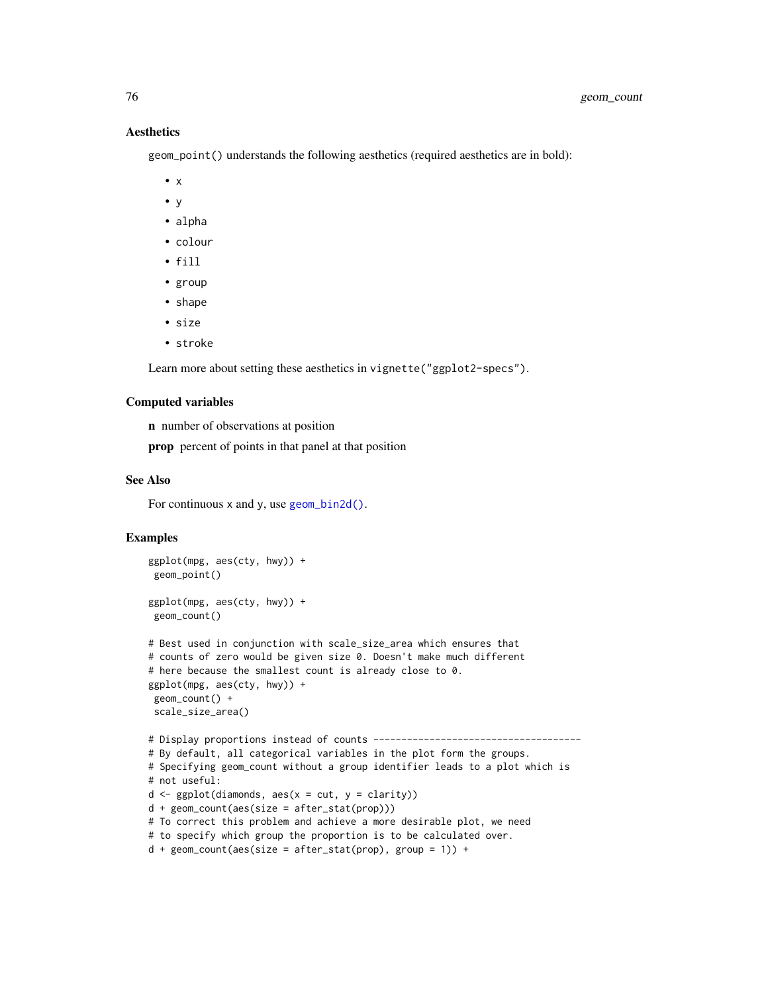## **Aesthetics**

geom\_point() understands the following aesthetics (required aesthetics are in bold):

- $\bullet$  x
- y
- alpha
- colour
- fill
- group
- shape
- size
- stroke

Learn more about setting these aesthetics in vignette("ggplot2-specs").

#### Computed variables

n number of observations at position

prop percent of points in that panel at that position

#### See Also

For continuous x and y, use [geom\\_bin2d\(\)](#page-61-0).

```
ggplot(mpg, aes(cty, hwy)) +
 geom_point()
ggplot(mpg, aes(cty, hwy)) +
 geom_count()
# Best used in conjunction with scale_size_area which ensures that
# counts of zero would be given size 0. Doesn't make much different
# here because the smallest count is already close to 0.
ggplot(mpg, aes(cty, hwy)) +
geom_count() +
scale_size_area()
# Display proportions instead of counts -------------------------------------
# By default, all categorical variables in the plot form the groups.
# Specifying geom_count without a group identifier leads to a plot which is
# not useful:
d \leq ggplot(diamonds, aes(x = cut, y = clarity))
d + geom_count(aes(size = after_stat(prop)))
# To correct this problem and achieve a more desirable plot, we need
# to specify which group the proportion is to be calculated over.
d + geom\_count(aes(size = after\_stat(prop), group = 1)) +
```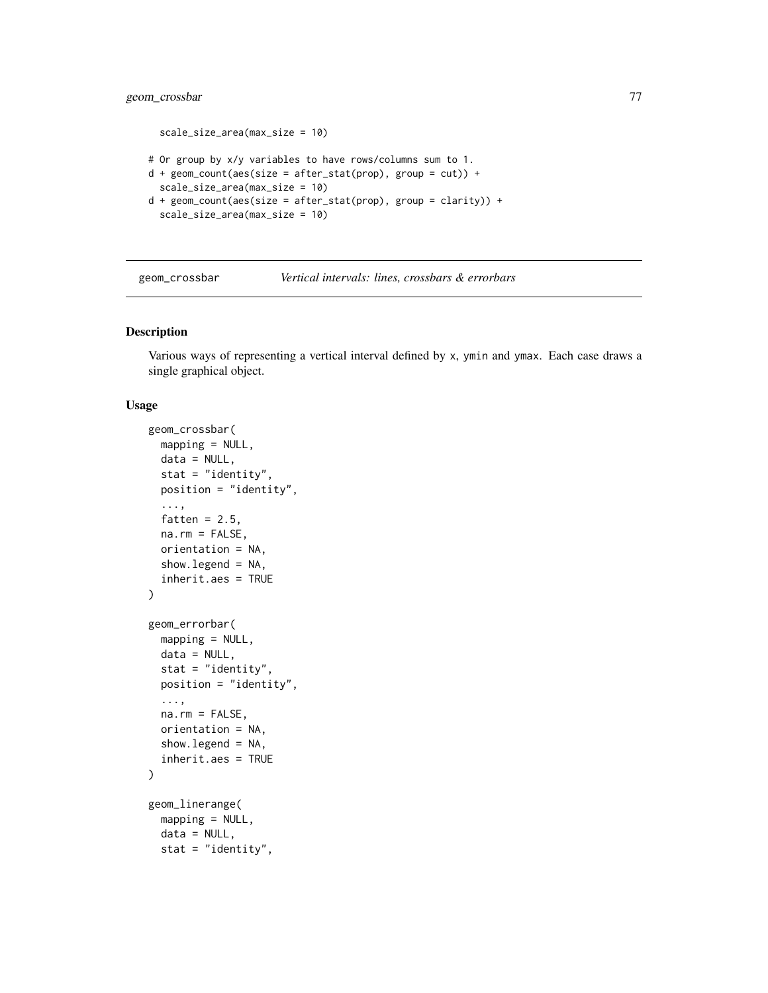## geom\_crossbar 77

```
scale_size_area(max_size = 10)
# Or group by x/y variables to have rows/columns sum to 1.
d + geom_count(aes(size = after_stat(prop), group = cut)) +scale_size_area(max_size = 10)
d + geom\_count(aes(size = after\_stat(prop), group = clarity)) +scale_size_area(max_size = 10)
```

| geom_crossbar | Vertical intervals: lines, crossbars & errorbars |
|---------------|--------------------------------------------------|
|---------------|--------------------------------------------------|

### <span id="page-76-0"></span>Description

Various ways of representing a vertical interval defined by x, ymin and ymax. Each case draws a single graphical object.

```
geom_crossbar(
 mapping = NULL,
  data = NULL,stat = "identity",
 position = "identity",
  ...,
  fatten = 2.5,
 na.rm = FALSE,
  orientation = NA,
  show.legend = NA,
  inherit.aes = TRUE
)
geom_errorbar(
 mapping = NULL,
  data = NULL,stat = "identity",
 position = "identity",
  ...,
  na.rm = FALSE,orientation = NA,
  show.legend = NA,
  inherit.aes = TRUE
\lambdageom_linerange(
 mapping = NULL,
  data = NULL,stat = "identity",
```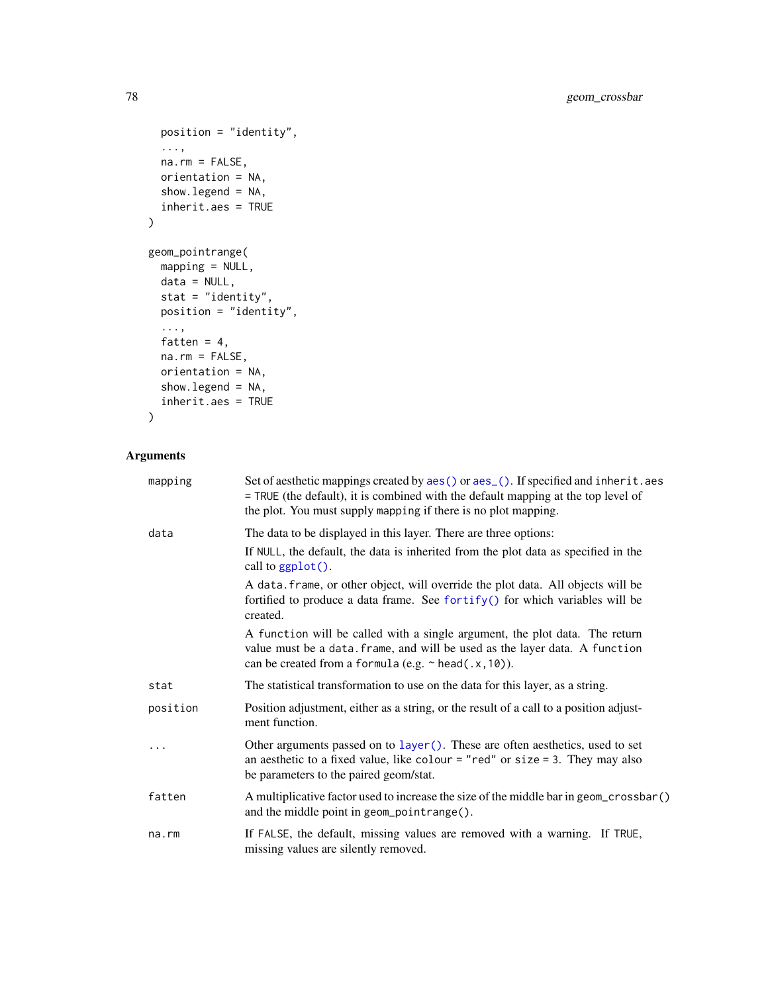```
position = "identity",
  ...,
 na.rm = FALSE,orientation = NA,
 show.legend = NA,
 inherit.aes = TRUE
\mathcal{L}geom_pointrange(
 mapping = NULL,
 data = NULL,
 stat = "identity",
 position = "identity",
  ...,
 fatten = 4,na.rm = FALSE,
 orientation = NA,
 show.legend = NA,
 inherit.aes = TRUE
\mathcal{L}
```

```
Arguments
```

| mapping  | Set of aesthetic mappings created by aes() or aes_(). If specified and inherit.aes<br>= TRUE (the default), it is combined with the default mapping at the top level of<br>the plot. You must supply mapping if there is no plot mapping. |
|----------|-------------------------------------------------------------------------------------------------------------------------------------------------------------------------------------------------------------------------------------------|
| data     | The data to be displayed in this layer. There are three options:                                                                                                                                                                          |
|          | If NULL, the default, the data is inherited from the plot data as specified in the<br>call to ggplot().                                                                                                                                   |
|          | A data. frame, or other object, will override the plot data. All objects will be<br>fortified to produce a data frame. See fortify() for which variables will be<br>created.                                                              |
|          | A function will be called with a single argument, the plot data. The return<br>value must be a data. frame, and will be used as the layer data. A function<br>can be created from a formula (e.g. $\sim$ head(.x, 10)).                   |
| stat     | The statistical transformation to use on the data for this layer, as a string.                                                                                                                                                            |
| position | Position adjustment, either as a string, or the result of a call to a position adjust-<br>ment function.                                                                                                                                  |
| $\cdots$ | Other arguments passed on to layer (). These are often aesthetics, used to set<br>an aesthetic to a fixed value, like colour = "red" or size = 3. They may also<br>be parameters to the paired geom/stat.                                 |
| fatten   | A multiplicative factor used to increase the size of the middle bar in geom_crossbar()<br>and the middle point in geom_pointrange().                                                                                                      |
| na.rm    | If FALSE, the default, missing values are removed with a warning. If TRUE,<br>missing values are silently removed.                                                                                                                        |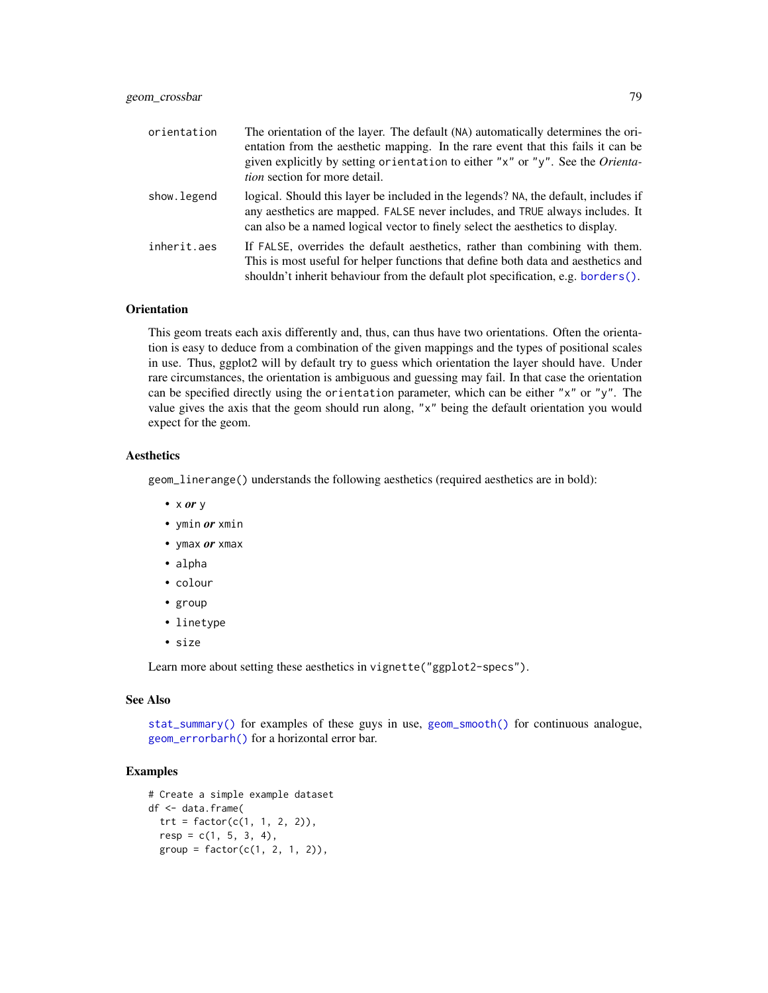| orientation | The orientation of the layer. The default (NA) automatically determines the ori-<br>entation from the aesthetic mapping. In the rare event that this fails it can be<br>given explicitly by setting orientation to either "x" or "y". See the Orienta-<br><i>tion</i> section for more detail. |
|-------------|------------------------------------------------------------------------------------------------------------------------------------------------------------------------------------------------------------------------------------------------------------------------------------------------|
| show.legend | logical. Should this layer be included in the legends? NA, the default, includes if<br>any aesthetics are mapped. FALSE never includes, and TRUE always includes. It<br>can also be a named logical vector to finely select the aesthetics to display.                                         |
| inherit.aes | If FALSE, overrides the default aesthetics, rather than combining with them.<br>This is most useful for helper functions that define both data and aesthetics and<br>shouldn't inherit behaviour from the default plot specification, e.g. borders().                                          |

### **Orientation**

This geom treats each axis differently and, thus, can thus have two orientations. Often the orientation is easy to deduce from a combination of the given mappings and the types of positional scales in use. Thus, ggplot2 will by default try to guess which orientation the layer should have. Under rare circumstances, the orientation is ambiguous and guessing may fail. In that case the orientation can be specified directly using the orientation parameter, which can be either "x" or "y". The value gives the axis that the geom should run along, "x" being the default orientation you would expect for the geom.

## **Aesthetics**

geom\_linerange() understands the following aesthetics (required aesthetics are in bold):

- x *or* y
- ymin *or* xmin
- ymax *or* xmax
- alpha
- colour
- group
- linetype
- size

Learn more about setting these aesthetics in vignette("ggplot2-specs").

### See Also

[stat\\_summary\(\)](#page-265-0) for examples of these guys in use, [geom\\_smooth\(\)](#page-140-0) for continuous analogue, [geom\\_errorbarh\(\)](#page-91-0) for a horizontal error bar.

```
# Create a simple example dataset
df <- data.frame(
 trt = factor(c(1, 1, 2, 2)),resp = c(1, 5, 3, 4),group = factor(c(1, 2, 1, 2)),
```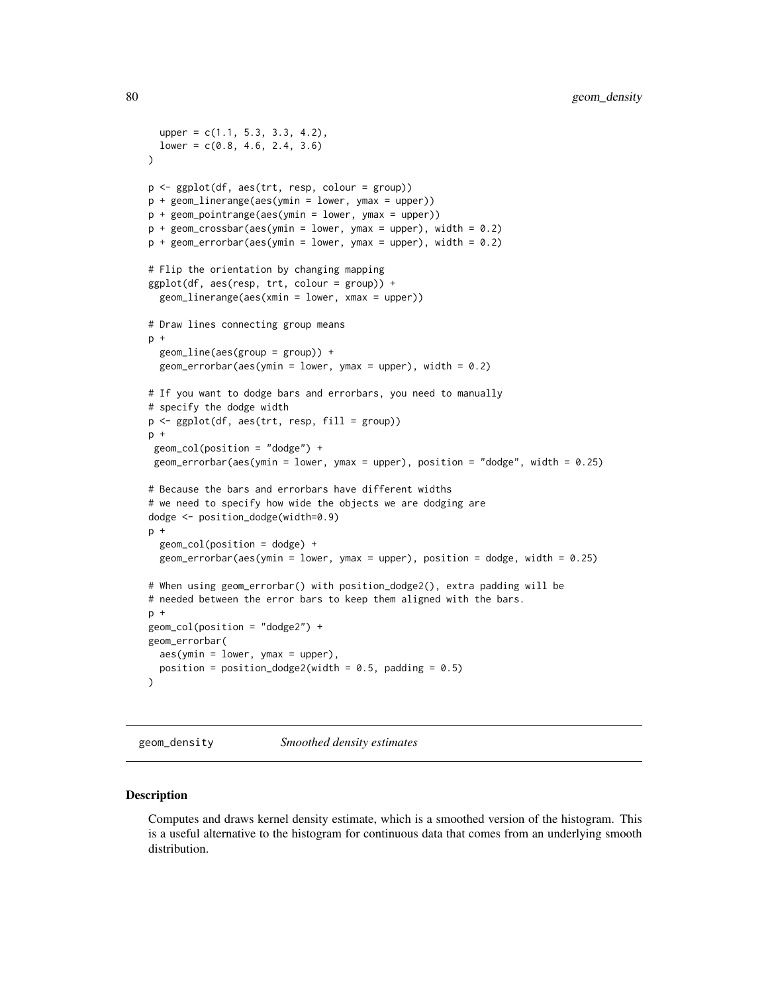```
upper = c(1.1, 5.3, 3.3, 4.2),lower = c(0.8, 4.6, 2.4, 3.6))
p <- ggplot(df, aes(trt, resp, colour = group))
p + geom_linerange(aes(ymin = lower, ymax = upper))
p + geom_pointrange(aes(ymin = lower, ymax = upper))
p + geom\_crossbar(aes(ymin = lower, ymax = upper), width = 0.2)p + geom_errorbar(aes(ymin = lower, ymax = upper), width = 0.2)# Flip the orientation by changing mapping
ggplot(df, aes(resp, trt, colour = group)) +
 geom_linerange(aes(xmin = lower, xmax = upper))
# Draw lines connecting group means
p +
 geom_line(aes(group = group)) +
 geom_errorbar(aes(ymin = lower, ymax = upper), width = 0.2)
# If you want to dodge bars and errorbars, you need to manually
# specify the dodge width
p <- ggplot(df, aes(trt, resp, fill = group))
p +geom_col(position = "dodge") +
geom_errorbar(aes(ymin = lower, ymax = upper), position = "dodge", width = 0.25)
# Because the bars and errorbars have different widths
# we need to specify how wide the objects we are dodging are
dodge <- position_dodge(width=0.9)
p +geom_col(position = dodge) +
 geom_errorbar(aes(ymin = lower, ymax = upper), position = dodge, width = 0.25)
# When using geom_errorbar() with position_dodge2(), extra padding will be
# needed between the error bars to keep them aligned with the bars.
p +geom_col(position = "dodge2") +
geom_errorbar(
 aes(ymin = lower, ymax = upper),
 position = position_dodge2(width = 0.5, padding = 0.5)
)
```
<span id="page-79-0"></span>geom\_density *Smoothed density estimates*

#### **Description**

Computes and draws kernel density estimate, which is a smoothed version of the histogram. This is a useful alternative to the histogram for continuous data that comes from an underlying smooth distribution.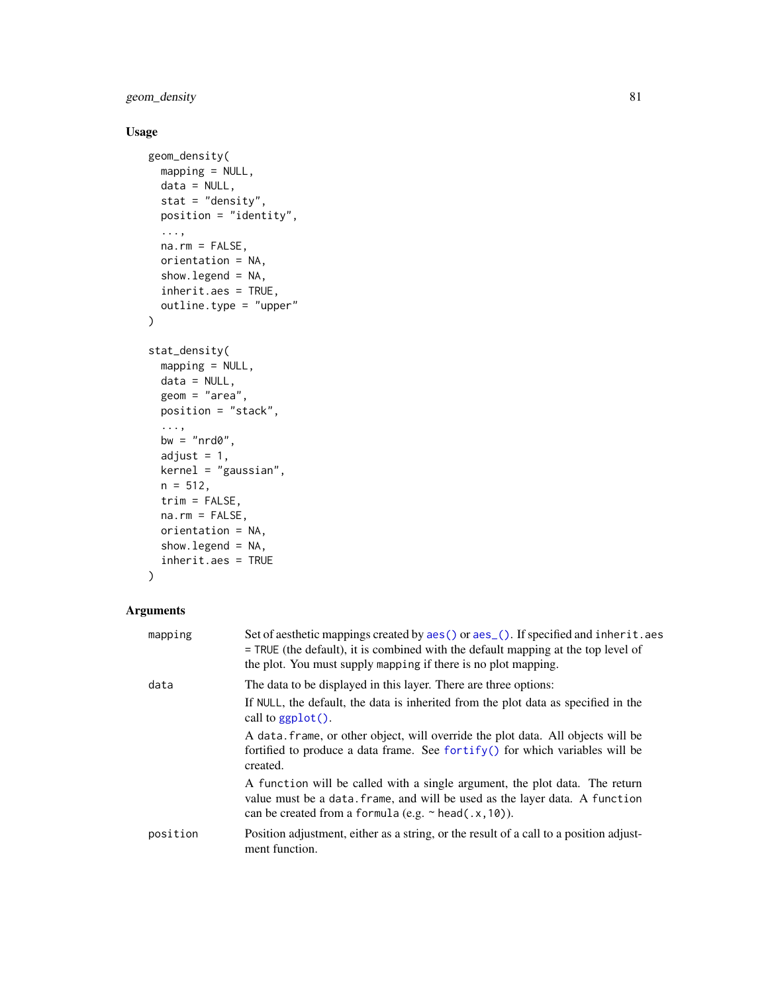geom\_density 81

# Usage

```
geom_density(
 mapping = NULL,
 data = NULL,stat = "density",position = "identity",
  ...,
 na.rm = FALSE,
 orientation = NA,
 show.legend = NA,
  inherit.aes = TRUE,
 outline.type = "upper"
\mathcal{L}stat_density(
  mapping = NULL,
 data = NULL,
  geom = "area",
 position = "stack",
  ...,
 bw = "nrd0",adjust = 1,kernel = "gaussian",
 n = 512,trim = FALSE,
  na.rm = FALSE,orientation = NA,
  show.legend = NA,
  inherit.aes = TRUE
\mathcal{L}
```

| mapping  | Set of aesthetic mappings created by aes () or aes (). If specified and inherit. aes<br>$=$ TRUE (the default), it is combined with the default mapping at the top level of<br>the plot. You must supply mapping if there is no plot mapping. |
|----------|-----------------------------------------------------------------------------------------------------------------------------------------------------------------------------------------------------------------------------------------------|
| data     | The data to be displayed in this layer. There are three options:<br>If NULL, the default, the data is inherited from the plot data as specified in the<br>call to ggplot().                                                                   |
|          | A data frame, or other object, will override the plot data. All objects will be<br>fortified to produce a data frame. See for $\text{trify}()$ for which variables will be<br>created.                                                        |
|          | A function will be called with a single argument, the plot data. The return<br>value must be a data. frame, and will be used as the layer data. A function<br>can be created from a formula (e.g. $\sim$ head(.x, 10)).                       |
| position | Position adjustment, either as a string, or the result of a call to a position adjust-<br>ment function.                                                                                                                                      |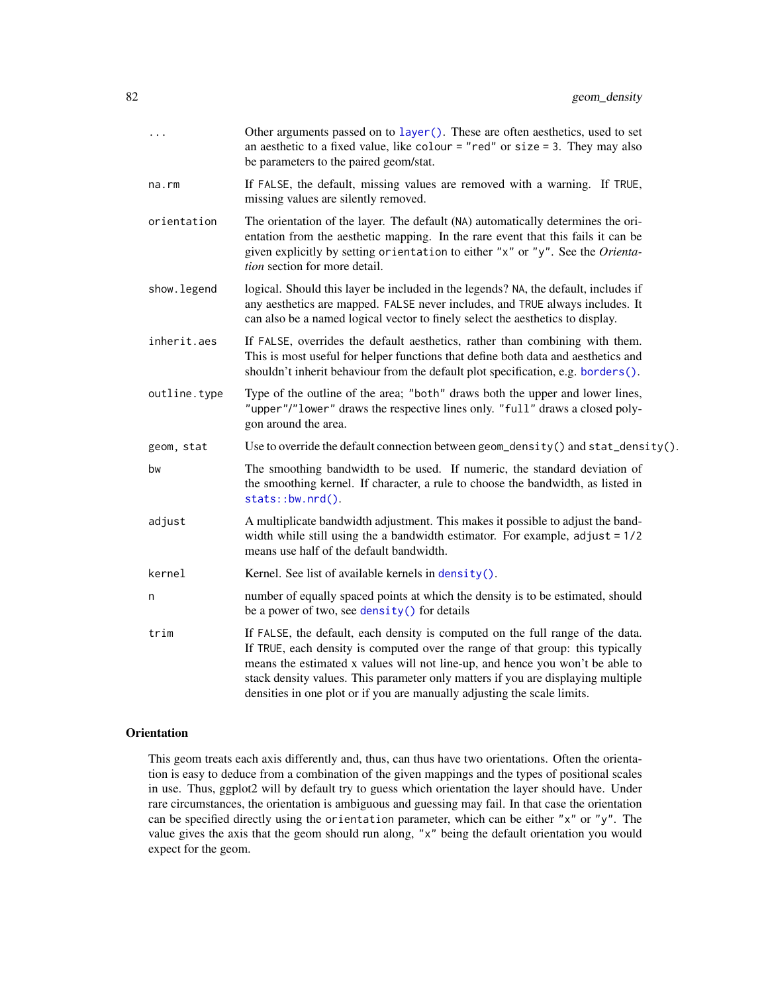| .            | Other arguments passed on to layer (). These are often aesthetics, used to set<br>an aesthetic to a fixed value, like colour = "red" or size = 3. They may also<br>be parameters to the paired geom/stat.                                                                                                                                                                                                         |
|--------------|-------------------------------------------------------------------------------------------------------------------------------------------------------------------------------------------------------------------------------------------------------------------------------------------------------------------------------------------------------------------------------------------------------------------|
| na.rm        | If FALSE, the default, missing values are removed with a warning. If TRUE,<br>missing values are silently removed.                                                                                                                                                                                                                                                                                                |
| orientation  | The orientation of the layer. The default (NA) automatically determines the ori-<br>entation from the aesthetic mapping. In the rare event that this fails it can be<br>given explicitly by setting orientation to either "x" or "y". See the Orienta-<br>tion section for more detail.                                                                                                                           |
| show. legend | logical. Should this layer be included in the legends? NA, the default, includes if<br>any aesthetics are mapped. FALSE never includes, and TRUE always includes. It<br>can also be a named logical vector to finely select the aesthetics to display.                                                                                                                                                            |
| inherit.aes  | If FALSE, overrides the default aesthetics, rather than combining with them.<br>This is most useful for helper functions that define both data and aesthetics and<br>shouldn't inherit behaviour from the default plot specification, e.g. borders().                                                                                                                                                             |
| outline.type | Type of the outline of the area; "both" draws both the upper and lower lines,<br>"upper"/"lower" draws the respective lines only. "full" draws a closed poly-<br>gon around the area.                                                                                                                                                                                                                             |
| geom, stat   | Use to override the default connection between geom_density() and stat_density().                                                                                                                                                                                                                                                                                                                                 |
| bw           | The smoothing bandwidth to be used. If numeric, the standard deviation of<br>the smoothing kernel. If character, a rule to choose the bandwidth, as listed in<br>stats::bw.nrd().                                                                                                                                                                                                                                 |
| adjust       | A multiplicate bandwidth adjustment. This makes it possible to adjust the band-<br>width while still using the a bandwidth estimator. For example, $adjust = 1/2$<br>means use half of the default bandwidth.                                                                                                                                                                                                     |
| kernel       | Kernel. See list of available kernels in density().                                                                                                                                                                                                                                                                                                                                                               |
| n            | number of equally spaced points at which the density is to be estimated, should<br>be a power of two, see density () for details                                                                                                                                                                                                                                                                                  |
| trim         | If FALSE, the default, each density is computed on the full range of the data.<br>If TRUE, each density is computed over the range of that group: this typically<br>means the estimated x values will not line-up, and hence you won't be able to<br>stack density values. This parameter only matters if you are displaying multiple<br>densities in one plot or if you are manually adjusting the scale limits. |
|              |                                                                                                                                                                                                                                                                                                                                                                                                                   |

## **Orientation**

This geom treats each axis differently and, thus, can thus have two orientations. Often the orientation is easy to deduce from a combination of the given mappings and the types of positional scales in use. Thus, ggplot2 will by default try to guess which orientation the layer should have. Under rare circumstances, the orientation is ambiguous and guessing may fail. In that case the orientation can be specified directly using the orientation parameter, which can be either "x" or "y". The value gives the axis that the geom should run along, "x" being the default orientation you would expect for the geom.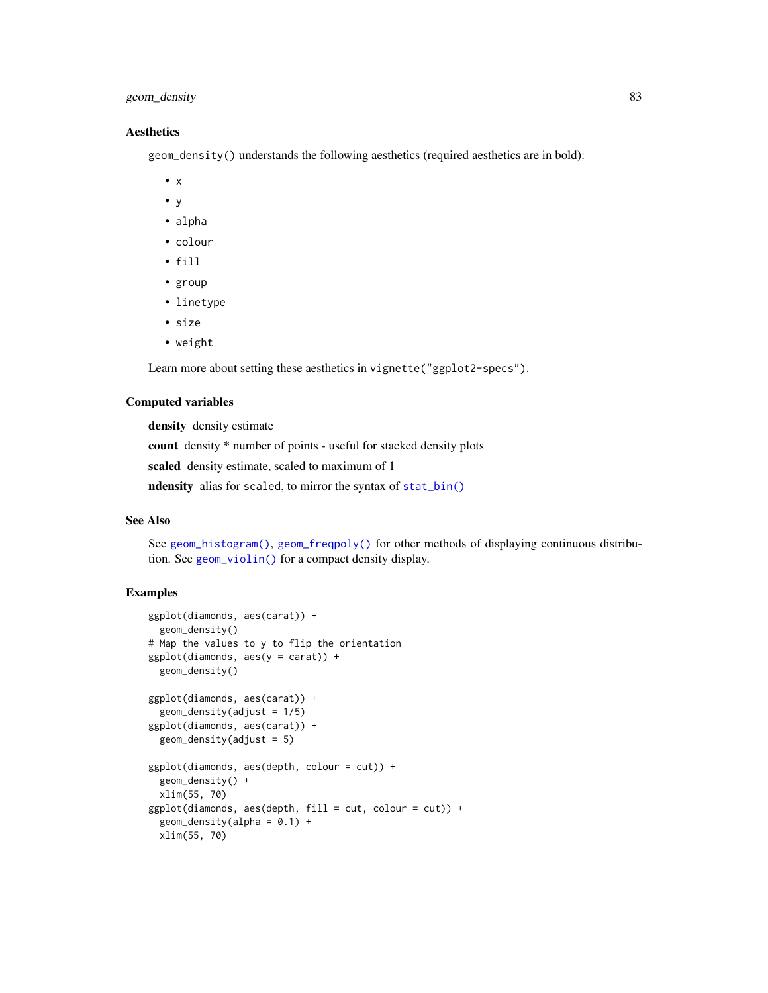## geom\_density 83

## **Aesthetics**

geom\_density() understands the following aesthetics (required aesthetics are in bold):

- x
- y
- alpha
- colour
- fill
- group
- linetype
- size
- weight

Learn more about setting these aesthetics in vignette("ggplot2-specs").

### Computed variables

density density estimate

count density \* number of points - useful for stacked density plots

scaled density estimate, scaled to maximum of 1

ndensity alias for scaled, to mirror the syntax of [stat\\_bin\(\)](#page-93-0)

### See Also

See [geom\\_histogram\(\)](#page-93-0), [geom\\_freqpoly\(\)](#page-93-1) for other methods of displaying continuous distribution. See [geom\\_violin\(\)](#page-146-0) for a compact density display.

```
ggplot(diamonds, aes(carat)) +
  geom_density()
# Map the values to y to flip the orientation
ggplot(diamonds, aes(y = carat)) +geom_density()
ggplot(diamonds, aes(carat)) +
  geom\_density(adjust = 1/5)
ggplot(diamonds, aes(carat)) +
  geom_density(adjust = 5)
ggplot(diamonds, aes(depth, colour = cut)) +geom_density() +
  xlim(55, 70)
ggplot(diamonds, aes(depth, fill = cut, colour = cut)) +geom\_density(alpha = 0.1) +xlim(55, 70)
```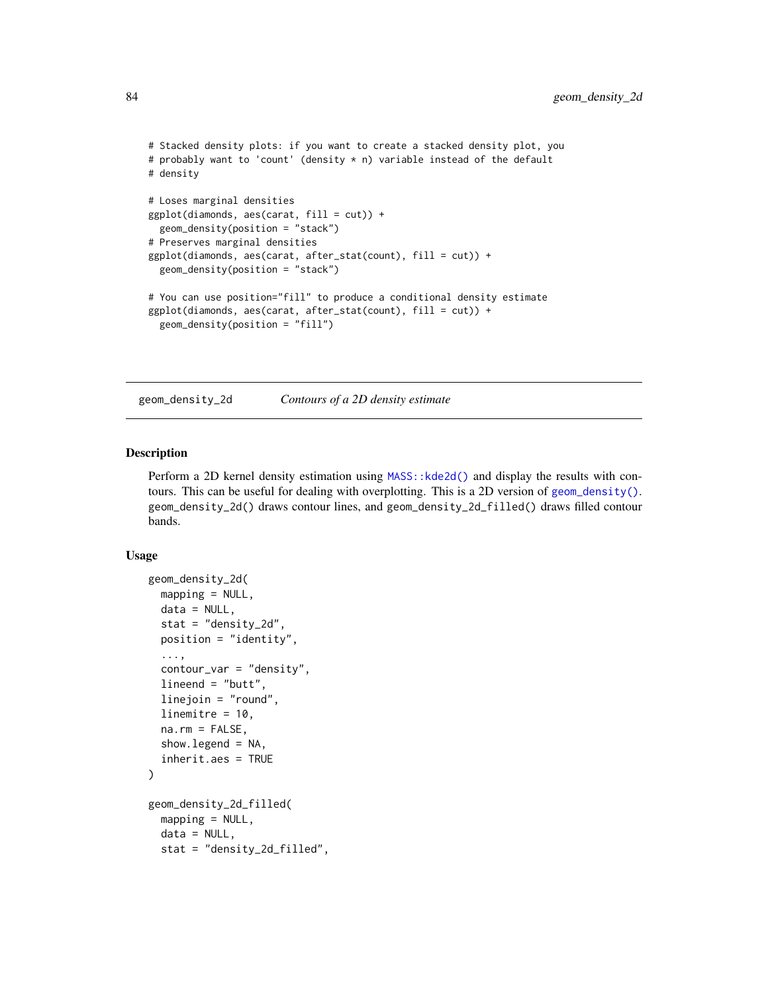```
# Stacked density plots: if you want to create a stacked density plot, you
# probably want to 'count' (density * n) variable instead of the default
# density
# Loses marginal densities
ggplot(diamonds, aes(carat, fill = cut)) +geom_density(position = "stack")
# Preserves marginal densities
ggplot(diamonds, aes(carat, after_stat(count), fill = cut)) +
 geom_density(position = "stack")
# You can use position="fill" to produce a conditional density estimate
ggplot(diamonds, aes(carat, after_stat(count), fill = cut)) +geom_density(position = "fill")
```
<span id="page-83-0"></span>geom\_density\_2d *Contours of a 2D density estimate*

### Description

Perform a 2D kernel density estimation using MASS: : kde2d() and display the results with contours. This can be useful for dealing with overplotting. This is a 2D version of [geom\\_density\(\)](#page-79-0). geom\_density\_2d() draws contour lines, and geom\_density\_2d\_filled() draws filled contour bands.

```
geom_density_2d(
 mapping = NULL,
 data = NULL,
  stat = "density_2d",
 position = "identity",
  ...,
  contour_var = "density",
  lineend = "butt",
  linejoin = "round",
  linemitre = 10,
  na.rm = FALSE,show. legend = NA,
  inherit.aes = TRUE
)
geom_density_2d_filled(
 mapping = NULL,
 data = NULL,
  stat = "density_2d_filled",
```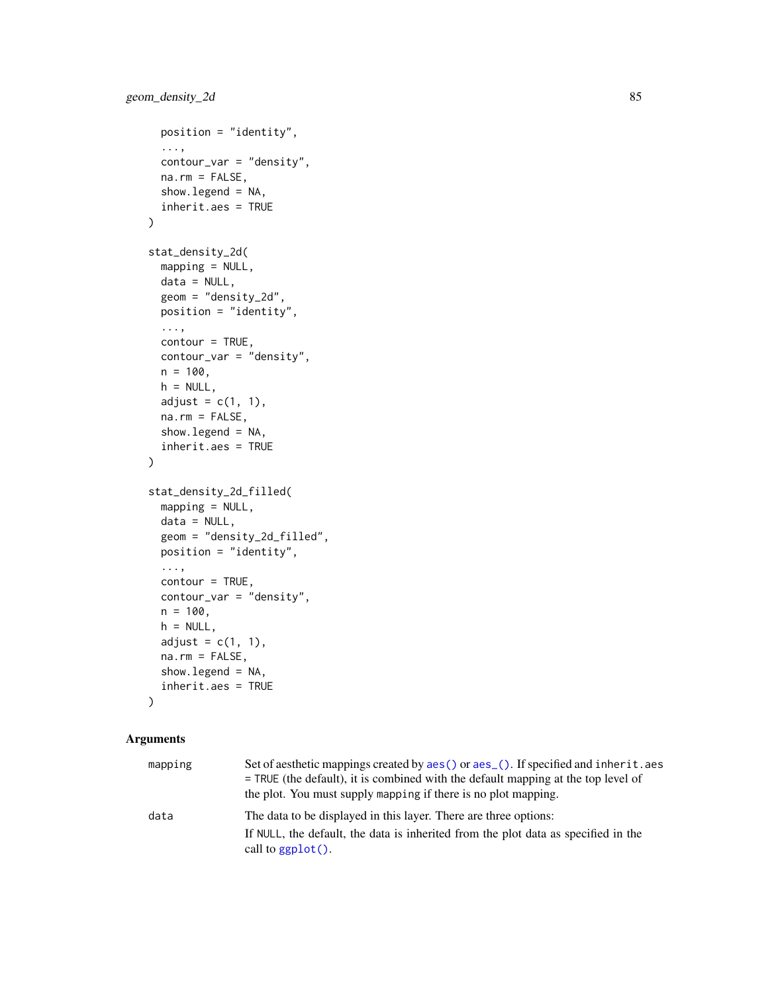```
position = "identity",
  ...,
  contour_var = "density",
 na.rm = FALSE,show.legend = NA,
  inherit.aes = TRUE
\mathcal{L}stat_density_2d(
 mapping = NULL,
 data = NULL,geom = "density_2d",
 position = "identity",
  ...,
 contour = TRUE,
  contour_var = "density",
 n = 100,h = NULL,adjust = c(1, 1),
  na.rm = FALSE,
  show.legend = NA,
  inherit.aes = TRUE
\mathcal{L}stat_density_2d_filled(
 mapping = NULL,data = NULL,geom = "density_2d_filled",
 position = "identity",
  ...,
  contour = TRUE,contour_var = "density",
 n = 100,
  h = NULL,adjust = c(1, 1),
  na.rm = FALSE,
  show.legend = NA,
  inherit.aes = TRUE
```
)

| mapping | Set of aesthetic mappings created by aes () or aes (). If specified and inherit. aes<br>$=$ TRUE (the default), it is combined with the default mapping at the top level of<br>the plot. You must supply mapping if there is no plot mapping. |
|---------|-----------------------------------------------------------------------------------------------------------------------------------------------------------------------------------------------------------------------------------------------|
| data    | The data to be displayed in this layer. There are three options:                                                                                                                                                                              |
|         | If NULL, the default, the data is inherited from the plot data as specified in the<br>call to $ggplot()$ .                                                                                                                                    |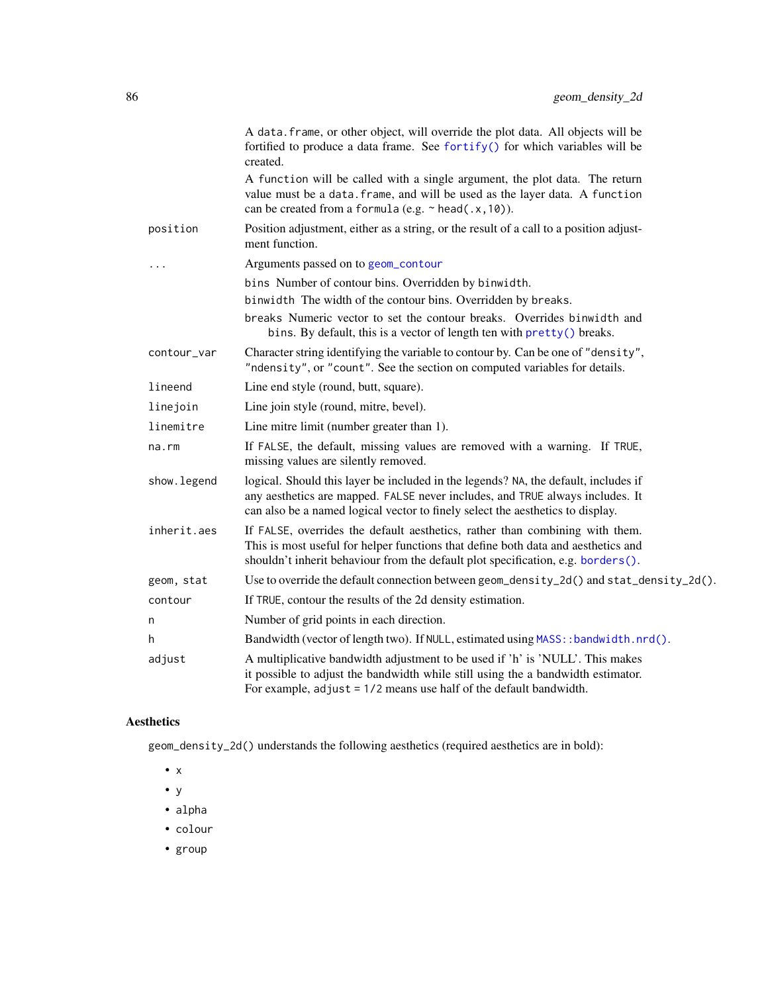|             | A data. frame, or other object, will override the plot data. All objects will be<br>fortified to produce a data frame. See fortify() for which variables will be<br>created.                                                                           |
|-------------|--------------------------------------------------------------------------------------------------------------------------------------------------------------------------------------------------------------------------------------------------------|
|             | A function will be called with a single argument, the plot data. The return<br>value must be a data. frame, and will be used as the layer data. A function<br>can be created from a formula (e.g. $\sim$ head(.x, 10)).                                |
| position    | Position adjustment, either as a string, or the result of a call to a position adjust-<br>ment function.                                                                                                                                               |
|             | Arguments passed on to geom_contour                                                                                                                                                                                                                    |
|             | bins Number of contour bins. Overridden by binwidth.                                                                                                                                                                                                   |
|             | binwidth The width of the contour bins. Overridden by breaks.                                                                                                                                                                                          |
|             | breaks Numeric vector to set the contour breaks. Overrides binwidth and<br>bins. By default, this is a vector of length ten with pretty() breaks.                                                                                                      |
| contour_var | Character string identifying the variable to contour by. Can be one of "density",<br>"ndensity", or "count". See the section on computed variables for details.                                                                                        |
| lineend     | Line end style (round, butt, square).                                                                                                                                                                                                                  |
| linejoin    | Line join style (round, mitre, bevel).                                                                                                                                                                                                                 |
| linemitre   | Line mitre limit (number greater than 1).                                                                                                                                                                                                              |
| na.rm       | If FALSE, the default, missing values are removed with a warning. If TRUE,<br>missing values are silently removed.                                                                                                                                     |
| show.legend | logical. Should this layer be included in the legends? NA, the default, includes if<br>any aesthetics are mapped. FALSE never includes, and TRUE always includes. It<br>can also be a named logical vector to finely select the aesthetics to display. |
| inherit.aes | If FALSE, overrides the default aesthetics, rather than combining with them.<br>This is most useful for helper functions that define both data and aesthetics and<br>shouldn't inherit behaviour from the default plot specification, e.g. borders().  |
| geom, stat  | Use to override the default connection between geom_density_2d() and stat_density_2d().                                                                                                                                                                |
| contour     | If TRUE, contour the results of the 2d density estimation.                                                                                                                                                                                             |
| n           | Number of grid points in each direction.                                                                                                                                                                                                               |
| h           | Bandwidth (vector of length two). If NULL, estimated using MASS: : bandwidth.nrd().                                                                                                                                                                    |
| adjust      | A multiplicative bandwidth adjustment to be used if 'h' is 'NULL'. This makes<br>it possible to adjust the bandwidth while still using the a bandwidth estimator.<br>For example, $adjust = 1/2$ means use half of the default bandwidth.              |
|             |                                                                                                                                                                                                                                                        |

# Aesthetics

geom\_density\_2d() understands the following aesthetics (required aesthetics are in bold):

- x
- $\bullet$  y
- alpha
- colour
- group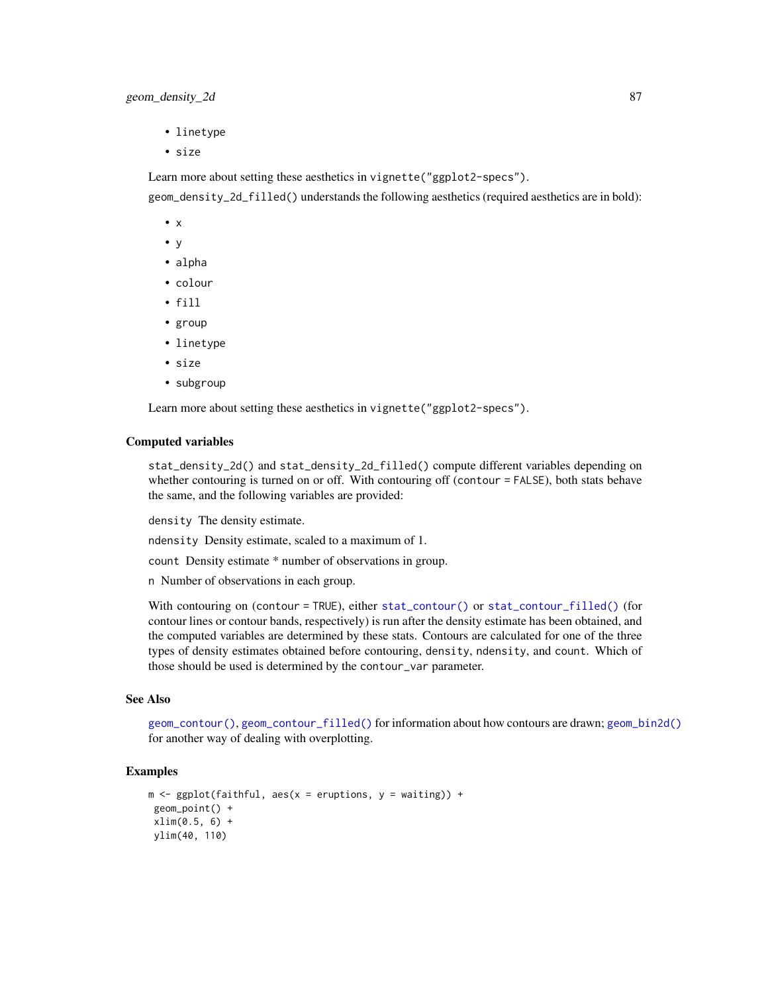- linetype
- size

Learn more about setting these aesthetics in vignette("ggplot2-specs").

geom\_density\_2d\_filled() understands the following aesthetics (required aesthetics are in bold):

- x
- y
- alpha
- colour
- fill
- group
- linetype
- size
- subgroup

Learn more about setting these aesthetics in vignette("ggplot2-specs").

### Computed variables

stat\_density\_2d() and stat\_density\_2d\_filled() compute different variables depending on whether contouring is turned on or off. With contouring off (contour = FALSE), both stats behave the same, and the following variables are provided:

density The density estimate.

ndensity Density estimate, scaled to a maximum of 1.

count Density estimate \* number of observations in group.

n Number of observations in each group.

With contouring on (contour = TRUE), either [stat\\_contour\(\)](#page-68-1) or [stat\\_contour\\_filled\(\)](#page-68-1) (for contour lines or contour bands, respectively) is run after the density estimate has been obtained, and the computed variables are determined by these stats. Contours are calculated for one of the three types of density estimates obtained before contouring, density, ndensity, and count. Which of those should be used is determined by the contour\_var parameter.

## See Also

[geom\\_contour\(\)](#page-68-0), [geom\\_contour\\_filled\(\)](#page-68-1) for information about how contours are drawn; [geom\\_bin2d\(\)](#page-61-0) for another way of dealing with overplotting.

```
m \leq ggplot(faithful, aes(x = eruptions, y = waiting)) +
geom_point() +
xlim(0.5, 6) +ylim(40, 110)
```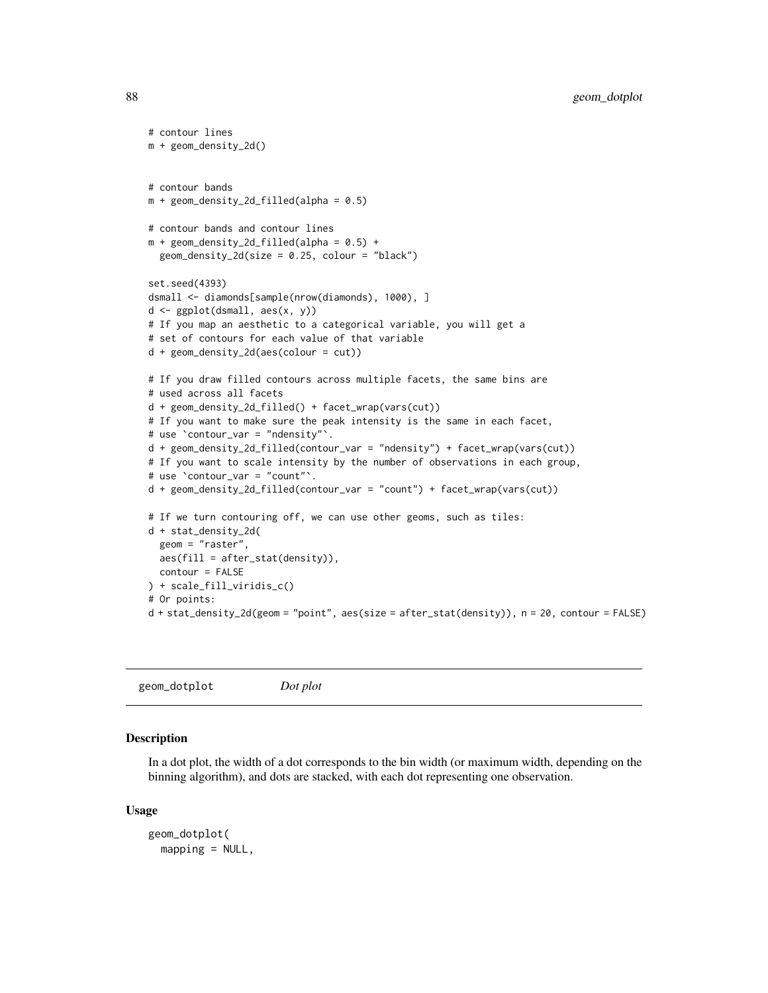```
# contour lines
m + geom_density_2d()
# contour bands
m + geom\_density\_2d\_filled(alpha = 0.5)# contour bands and contour lines
m + geom\_density\_2d\_filled(alpha = 0.5) +geom\_density\_2d(size = 0.25, colour = "black")set.seed(4393)
dsmall <- diamonds[sample(nrow(diamonds), 1000), ]
d <- ggplot(dsmall, aes(x, y))
# If you map an aesthetic to a categorical variable, you will get a
# set of contours for each value of that variable
d + geom_density_2d(aes(colour = cut))
# If you draw filled contours across multiple facets, the same bins are
# used across all facets
d + geom_density_2d_filled() + facet_wrap(vars(cut))
# If you want to make sure the peak intensity is the same in each facet,
# use `contour_var = "ndensity"`.
d + geom_density_2d_filled(contour_var = "ndensity") + facet_wrap(vars(cut))
# If you want to scale intensity by the number of observations in each group,
# use `contour_var = "count"`.
d + geom_density_2d_filled(contour_var = "count") + facet_wrap(vars(cut))
# If we turn contouring off, we can use other geoms, such as tiles:
d + stat_density_2d(
 geom = "raster",
 aes(fill = after_stat(density)),
 contour = FALSE
) + scale_fill_viridis_c()
# Or points:
d + stat_density_2d(geom = "point", aes(size = after_stat(density)), n = 20, contour = FALSE)
```

```
geom_dotplot Dot plot
```
#### Description

In a dot plot, the width of a dot corresponds to the bin width (or maximum width, depending on the binning algorithm), and dots are stacked, with each dot representing one observation.

```
geom_dotplot(
  mapping = NULL,
```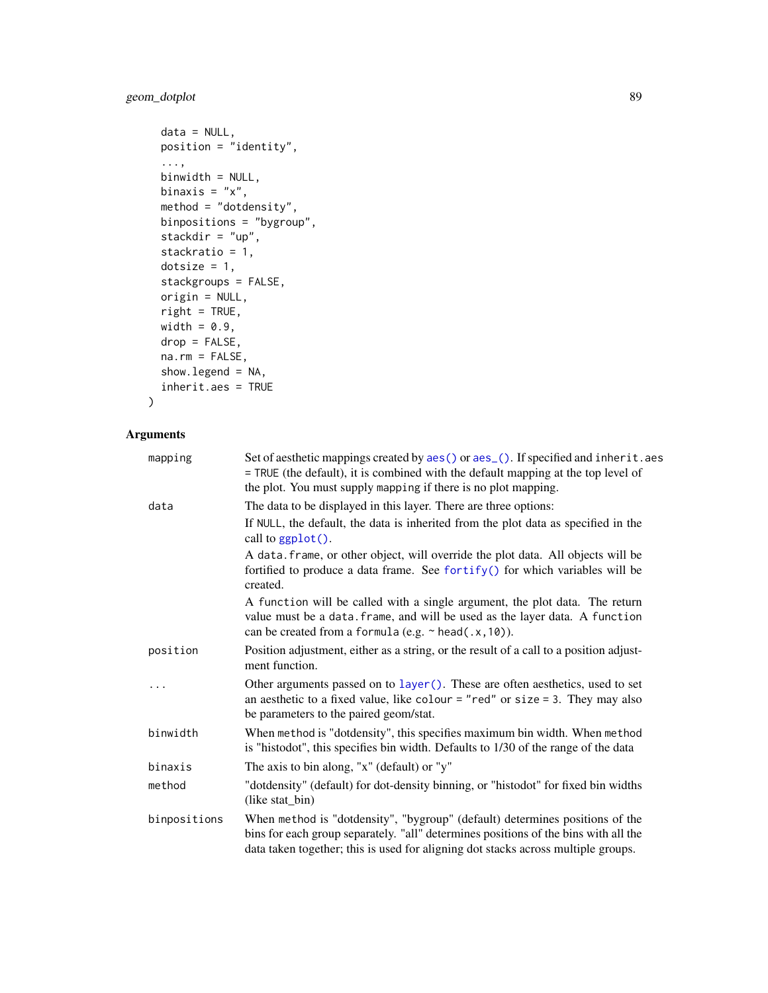# geom\_dotplot 89

```
data = NULL,position = "identity",
...,
binwidth = NULL,
binaxis = "x",method = "dotdensity",
binpositions = "bygroup",
stackdir = "up",
stackratio = 1,
dotsize = 1,
stackgroups = FALSE,
origin = NULL,
right = TRUE,width = 0.9,
drop = FALSE,
na.rm = FALSE,show.legend = NA,
inherit.aes = TRUE
```

```
\mathcal{L}
```

| mapping      | Set of aesthetic mappings created by aes() or aes_(). If specified and inherit.aes<br>= TRUE (the default), it is combined with the default mapping at the top level of<br>the plot. You must supply mapping if there is no plot mapping.                |
|--------------|----------------------------------------------------------------------------------------------------------------------------------------------------------------------------------------------------------------------------------------------------------|
| data         | The data to be displayed in this layer. There are three options:                                                                                                                                                                                         |
|              | If NULL, the default, the data is inherited from the plot data as specified in the<br>call to ggplot().                                                                                                                                                  |
|              | A data. frame, or other object, will override the plot data. All objects will be<br>fortified to produce a data frame. See fortify() for which variables will be<br>created.                                                                             |
|              | A function will be called with a single argument, the plot data. The return<br>value must be a data. frame, and will be used as the layer data. A function<br>can be created from a formula (e.g. $\sim$ head(.x, 10)).                                  |
| position     | Position adjustment, either as a string, or the result of a call to a position adjust-<br>ment function.                                                                                                                                                 |
| $\cdots$     | Other arguments passed on to layer(). These are often aesthetics, used to set<br>an aesthetic to a fixed value, like colour = "red" or size = $3$ . They may also<br>be parameters to the paired geom/stat.                                              |
| binwidth     | When method is "dotdensity", this specifies maximum bin width. When method<br>is "histodot", this specifies bin width. Defaults to 1/30 of the range of the data                                                                                         |
| binaxis      | The axis to bin along, "x" (default) or "y"                                                                                                                                                                                                              |
| method       | "dotdensity" (default) for dot-density binning, or "histodot" for fixed bin widths<br>(like stat_bin)                                                                                                                                                    |
| binpositions | When method is "dotdensity", "bygroup" (default) determines positions of the<br>bins for each group separately. "all" determines positions of the bins with all the<br>data taken together; this is used for aligning dot stacks across multiple groups. |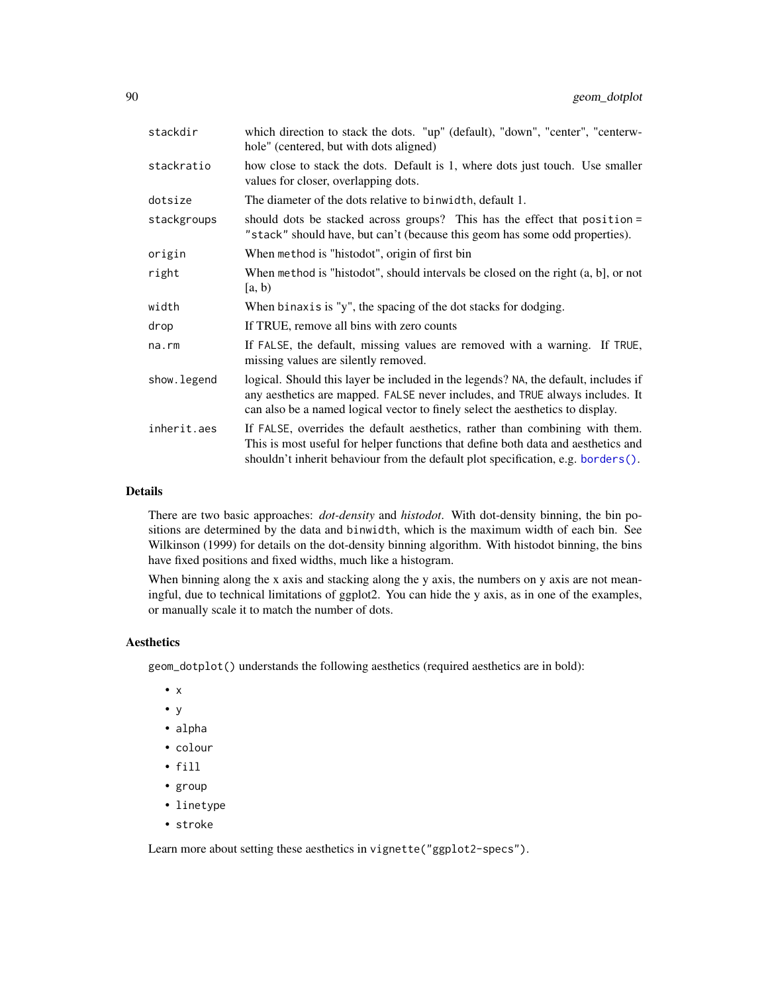| stackdir    | which direction to stack the dots. "up" (default), "down", "center", "centerw-<br>hole" (centered, but with dots aligned)                                                                                                                              |
|-------------|--------------------------------------------------------------------------------------------------------------------------------------------------------------------------------------------------------------------------------------------------------|
| stackratio  | how close to stack the dots. Default is 1, where dots just touch. Use smaller<br>values for closer, overlapping dots.                                                                                                                                  |
| dotsize     | The diameter of the dots relative to binwidth, default 1.                                                                                                                                                                                              |
| stackgroups | should dots be stacked across groups? This has the effect that position =<br>"stack" should have, but can't (because this geom has some odd properties).                                                                                               |
| origin      | When method is "histodot", origin of first bin                                                                                                                                                                                                         |
| right       | When method is "histodot", should intervals be closed on the right (a, b), or not<br>[a, b)                                                                                                                                                            |
| width       | When binaxis is "y", the spacing of the dot stacks for dodging.                                                                                                                                                                                        |
| drop        | If TRUE, remove all bins with zero counts                                                                                                                                                                                                              |
| na.rm       | If FALSE, the default, missing values are removed with a warning. If TRUE,<br>missing values are silently removed.                                                                                                                                     |
| show.legend | logical. Should this layer be included in the legends? NA, the default, includes if<br>any aesthetics are mapped. FALSE never includes, and TRUE always includes. It<br>can also be a named logical vector to finely select the aesthetics to display. |
| inherit.aes | If FALSE, overrides the default aesthetics, rather than combining with them.<br>This is most useful for helper functions that define both data and aesthetics and<br>shouldn't inherit behaviour from the default plot specification, e.g. borders().  |

### Details

There are two basic approaches: *dot-density* and *histodot*. With dot-density binning, the bin positions are determined by the data and binwidth, which is the maximum width of each bin. See Wilkinson (1999) for details on the dot-density binning algorithm. With histodot binning, the bins have fixed positions and fixed widths, much like a histogram.

When binning along the x axis and stacking along the y axis, the numbers on y axis are not meaningful, due to technical limitations of ggplot2. You can hide the y axis, as in one of the examples, or manually scale it to match the number of dots.

## Aesthetics

geom\_dotplot() understands the following aesthetics (required aesthetics are in bold):

- x
- y
- alpha
- colour
- fill
- group
- linetype
- stroke

Learn more about setting these aesthetics in vignette("ggplot2-specs").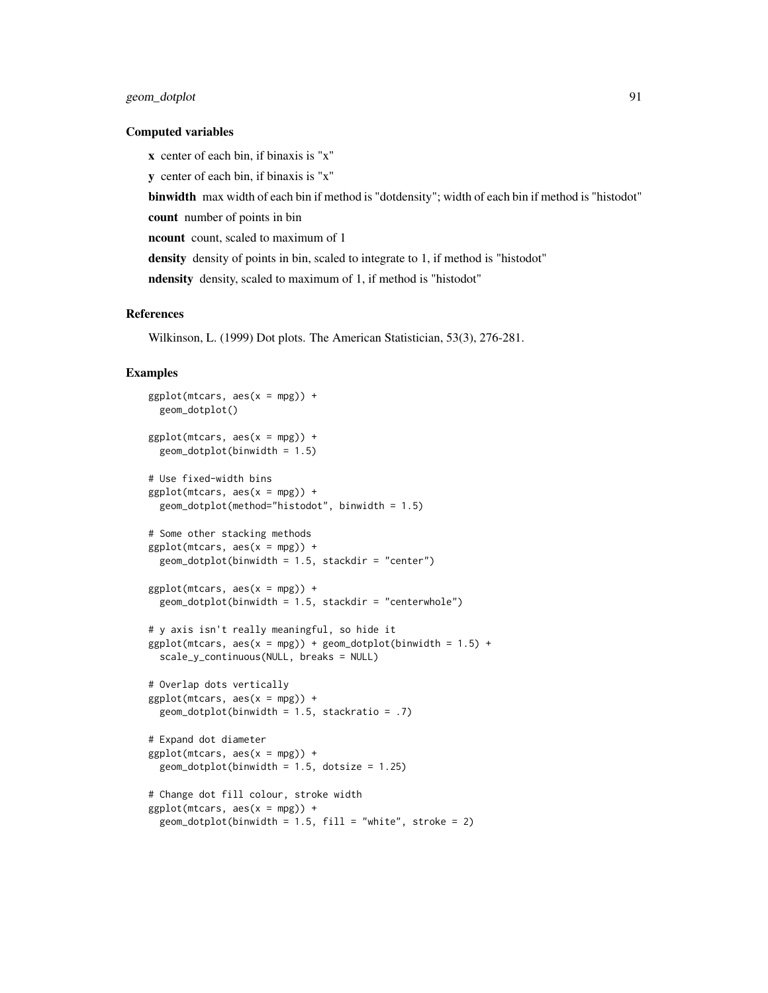## geom\_dotplot 91

#### Computed variables

x center of each bin, if binaxis is "x" y center of each bin, if binaxis is "x" binwidth max width of each bin if method is "dotdensity"; width of each bin if method is "histodot" count number of points in bin ncount count, scaled to maximum of 1 density density of points in bin, scaled to integrate to 1, if method is "histodot" ndensity density, scaled to maximum of 1, if method is "histodot"

### References

Wilkinson, L. (1999) Dot plots. The American Statistician, 53(3), 276-281.

```
ggplot(mtcars, aes(x = mpg)) +geom_dotplot()
ggplot(mtcars, aes(x = mpg)) +geom_dofplot(binwidth = 1.5)# Use fixed-width bins
ggplot(mtcars, aes(x = mpg)) +geom_dotplot(method="histodot", binwidth = 1.5)
# Some other stacking methods
ggplot(mtcars, aes(x = mpg)) +geom\_dotplot(binwidth = 1.5, stackdir = "center")ggplot(mtcars, aes(x = mpg)) +geom\_dotplot(binwidth = 1.5, stackdir = "centerwhole")# y axis isn't really meaningful, so hide it
ggplot(mtcars, aes(x = mpg)) + geom_dotplot(binwidth = 1.5) +scale_y_continuous(NULL, breaks = NULL)
# Overlap dots vertically
ggplot(mtcars, aes(x = mpg)) +geom_dotplot(binwidth = 1.5, stackratio = .7)# Expand dot diameter
ggplot(mtcars, aes(x = mpg)) +geom_dotplot(binwidth = 1.5, dotsize = 1.25)
# Change dot fill colour, stroke width
ggplot(mtcars, aes(x = mpg)) +geom\_dot(binwidth = 1.5, fill = "white", stroke = 2)
```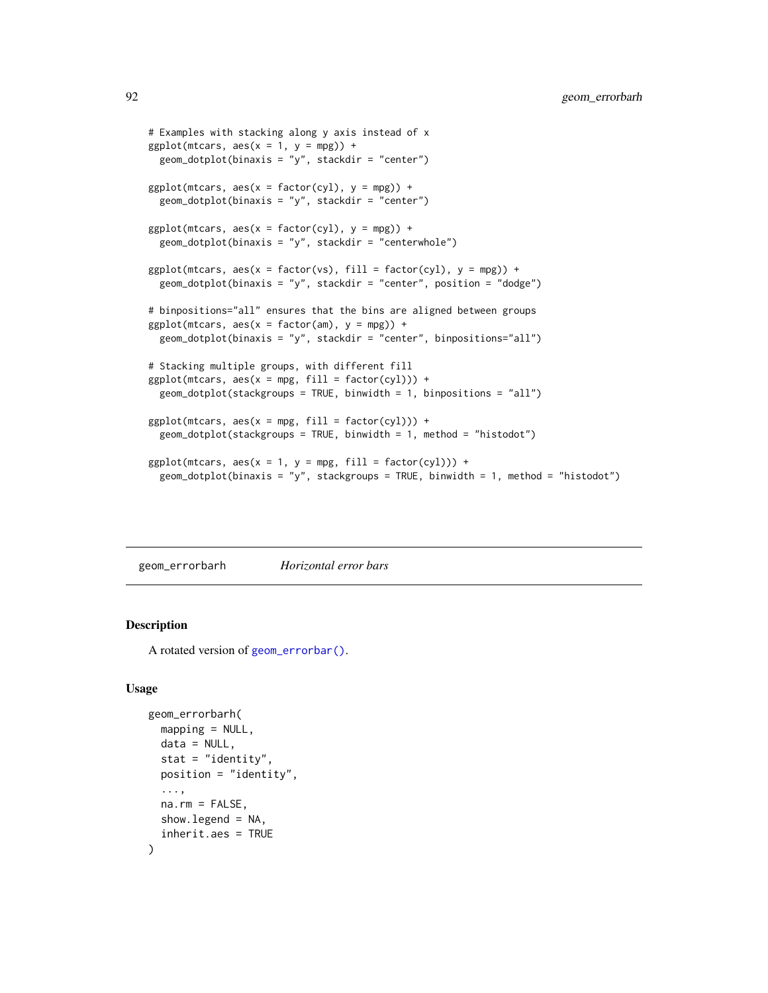```
# Examples with stacking along y axis instead of x
ggplot(mtcars, aes(x = 1, y = mpg)) +geom_dotplot(binaxis = "y", stackdir = "center")
ggplot(mtcars, aes(x = factor(cyl), y = mp)) +geom_dotplot(binaxis = "y", stackdir = "center")ggplot(mtcars, aes(x = factor(cyl), y = mpg)) +geom_dotplot(binaxis = "y", stackdir = "centerwhole")
ggplot(mtcars, aes(x = factor(vs), fill = factor(cyl), y = mpg)) +geom_dotplot(binaxis = "y", stackdir = "center", position = "dodge")
# binpositions="all" ensures that the bins are aligned between groups
ggplot(mtcars, aes(x = factor(am), y = mpg)) +geom_dotplot(binaxis = "y", stackdir = "center", binpositions="all")
# Stacking multiple groups, with different fill
ggplot(mtcars, aes(x = mpg, fill = factor(cyl))) +geom\_dot(stackgroups = TRUE, binwidth = 1, binpositions = "all")ggplot(mtcars, aes(x = mpg, fill = factor(cyl))) +geom\_dot(stackgroups = TRUE, binwidth = 1, method = "histodot")ggplot(mtcars, aes(x = 1, y = mpg, fill = factor(cyl))) +geom_dotplot(binaxis = "y", stackgroups = TRUE, binwidth = 1, method = "histodot")
```
<span id="page-91-0"></span>geom\_errorbarh *Horizontal error bars*

### **Description**

A rotated version of [geom\\_errorbar\(\)](#page-76-0).

```
geom_errorbarh(
 mapping = NULL,
 data = NULL,stat = "identity",
 position = "identity",
  ...,
 na.rm = FALSE,
  show.legend = NA,
  inherit.aes = TRUE
)
```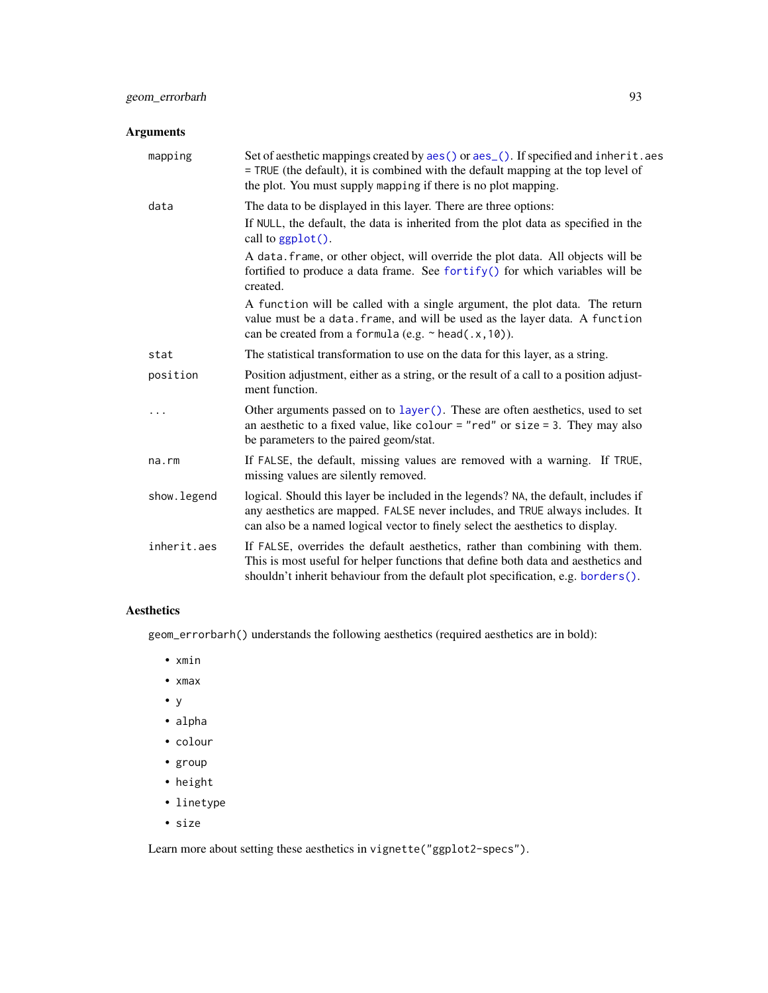## Arguments

| mapping      | Set of aesthetic mappings created by aes() or aes_(). If specified and inherit.aes<br>= TRUE (the default), it is combined with the default mapping at the top level of<br>the plot. You must supply mapping if there is no plot mapping.              |
|--------------|--------------------------------------------------------------------------------------------------------------------------------------------------------------------------------------------------------------------------------------------------------|
| data         | The data to be displayed in this layer. There are three options:                                                                                                                                                                                       |
|              | If NULL, the default, the data is inherited from the plot data as specified in the<br>call to $ggplot()$ .                                                                                                                                             |
|              | A data. frame, or other object, will override the plot data. All objects will be<br>fortified to produce a data frame. See fortify() for which variables will be<br>created.                                                                           |
|              | A function will be called with a single argument, the plot data. The return<br>value must be a data. frame, and will be used as the layer data. A function<br>can be created from a formula (e.g. $\sim$ head(.x, 10)).                                |
| stat         | The statistical transformation to use on the data for this layer, as a string.                                                                                                                                                                         |
| position     | Position adjustment, either as a string, or the result of a call to a position adjust-<br>ment function.                                                                                                                                               |
| .            | Other arguments passed on to layer (). These are often aesthetics, used to set<br>an aesthetic to a fixed value, like colour = "red" or size = 3. They may also<br>be parameters to the paired geom/stat.                                              |
| na.rm        | If FALSE, the default, missing values are removed with a warning. If TRUE,<br>missing values are silently removed.                                                                                                                                     |
| show. legend | logical. Should this layer be included in the legends? NA, the default, includes if<br>any aesthetics are mapped. FALSE never includes, and TRUE always includes. It<br>can also be a named logical vector to finely select the aesthetics to display. |
| inherit.aes  | If FALSE, overrides the default aesthetics, rather than combining with them.<br>This is most useful for helper functions that define both data and aesthetics and<br>shouldn't inherit behaviour from the default plot specification, e.g. borders().  |

# Aesthetics

geom\_errorbarh() understands the following aesthetics (required aesthetics are in bold):

- xmin
- xmax
- y
- alpha
- colour
- group
- height
- linetype
- size

Learn more about setting these aesthetics in vignette("ggplot2-specs").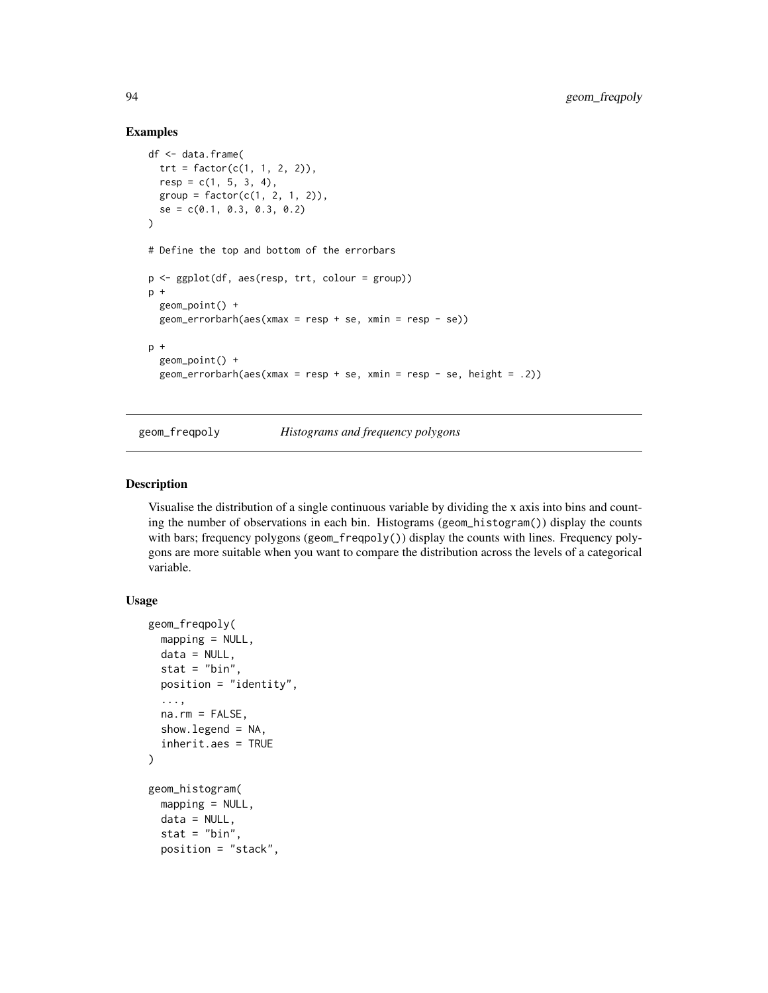### Examples

```
df <- data.frame(
 trt = factor(c(1, 1, 2, 2)),resp = c(1, 5, 3, 4),group = factor(c(1, 2, 1, 2)),se = c(0.1, 0.3, 0.3, 0.2)
\lambda# Define the top and bottom of the errorbars
p <- ggplot(df, aes(resp, trt, colour = group))
p +geom_point() +
  geom_errorbarh(aes(xmax = resp + se, xmin = resp - se))
p +
  geom_point() +
  geom_errorbarh(aes(xmax = resp + se, xmin = resp - se, height = .2))
```
<span id="page-93-1"></span>

geom\_freqpoly *Histograms and frequency polygons*

## <span id="page-93-0"></span>Description

Visualise the distribution of a single continuous variable by dividing the x axis into bins and counting the number of observations in each bin. Histograms (geom\_histogram()) display the counts with bars; frequency polygons (geom\_freqpoly()) display the counts with lines. Frequency polygons are more suitable when you want to compare the distribution across the levels of a categorical variable.

```
geom_freqpoly(
  mapping = NULL,
  data = NULL,stat = "bin",position = "identity",
  ...,
  na.rm = FALSE,show.legend = NA,
  inherit.aes = TRUE
\mathcal{L}geom_histogram(
  mapping = NULL,
  data = NULL,stat = "bin",position = "stack",
```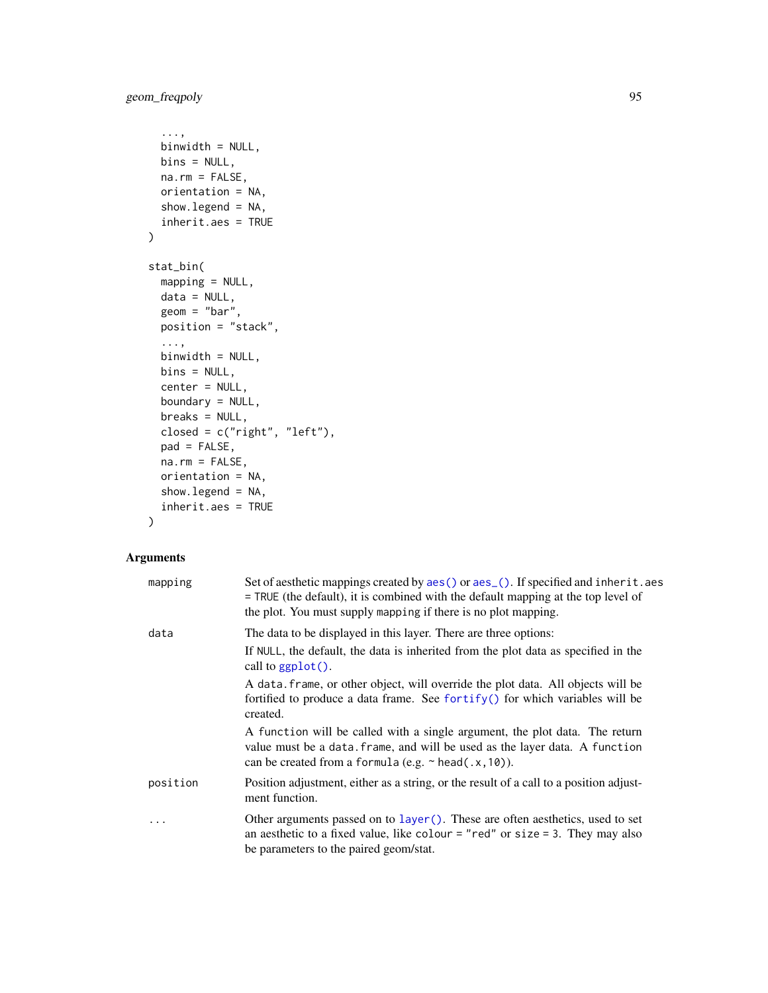```
...,
 binwidth = NULL,
 bins = NULL,
 na.rm = FALSE,
 orientation = NA,
 show.legend = NA,
 inherit.aes = TRUE
\mathcal{L}stat_bin(
 mapping = NULL,
 data = NULL,
 geom = "bar",
 position = "stack",
  ...,
 binwidth = NULL,
 bins = NULL,
 center = NULL,
 boundary = NULL,
 breaks = NULL,
 closed = c("right", "left"),
 pad = FALSE,
 na.rm = FALSE,
 orientation = NA,
  show.legend = NA,
  inherit.aes = TRUE
\mathcal{L}
```

| mapping  | Set of aesthetic mappings created by aes () or aes (). If specified and inherit. aes<br>= TRUE (the default), it is combined with the default mapping at the top level of<br>the plot. You must supply mapping if there is no plot mapping. |
|----------|---------------------------------------------------------------------------------------------------------------------------------------------------------------------------------------------------------------------------------------------|
| data     | The data to be displayed in this layer. There are three options:<br>If NULL, the default, the data is inherited from the plot data as specified in the<br>call to $ggplot()$ .                                                              |
|          | A data frame, or other object, will override the plot data. All objects will be<br>fortified to produce a data frame. See fortify() for which variables will be<br>created.                                                                 |
|          | A function will be called with a single argument, the plot data. The return<br>value must be a data. frame, and will be used as the layer data. A function<br>can be created from a formula (e.g. $\sim$ head(.x, 10)).                     |
| position | Position adjustment, either as a string, or the result of a call to a position adjust-<br>ment function.                                                                                                                                    |
|          | Other arguments passed on to layer (). These are often aesthetics, used to set<br>an aesthetic to a fixed value, like colour = "red" or size = 3. They may also<br>be parameters to the paired geom/stat.                                   |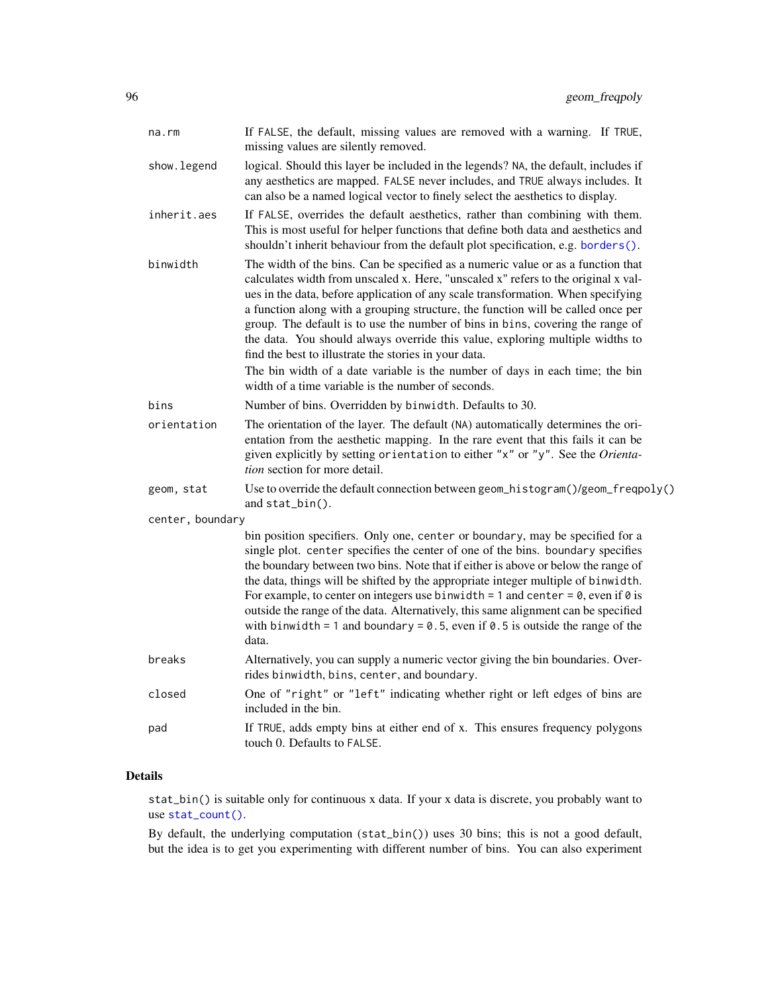| na.rm            | If FALSE, the default, missing values are removed with a warning. If TRUE,<br>missing values are silently removed.                                                                                                                                                                                                                                                                                                                                                                                                                                                                                                                                                                                               |
|------------------|------------------------------------------------------------------------------------------------------------------------------------------------------------------------------------------------------------------------------------------------------------------------------------------------------------------------------------------------------------------------------------------------------------------------------------------------------------------------------------------------------------------------------------------------------------------------------------------------------------------------------------------------------------------------------------------------------------------|
| show.legend      | logical. Should this layer be included in the legends? NA, the default, includes if<br>any aesthetics are mapped. FALSE never includes, and TRUE always includes. It<br>can also be a named logical vector to finely select the aesthetics to display.                                                                                                                                                                                                                                                                                                                                                                                                                                                           |
| inherit.aes      | If FALSE, overrides the default aesthetics, rather than combining with them.<br>This is most useful for helper functions that define both data and aesthetics and<br>shouldn't inherit behaviour from the default plot specification, e.g. borders().                                                                                                                                                                                                                                                                                                                                                                                                                                                            |
| binwidth         | The width of the bins. Can be specified as a numeric value or as a function that<br>calculates width from unscaled x. Here, "unscaled x" refers to the original x val-<br>ues in the data, before application of any scale transformation. When specifying<br>a function along with a grouping structure, the function will be called once per<br>group. The default is to use the number of bins in bins, covering the range of<br>the data. You should always override this value, exploring multiple widths to<br>find the best to illustrate the stories in your data.<br>The bin width of a date variable is the number of days in each time; the bin<br>width of a time variable is the number of seconds. |
| bins             | Number of bins. Overridden by binwidth. Defaults to 30.                                                                                                                                                                                                                                                                                                                                                                                                                                                                                                                                                                                                                                                          |
| orientation      | The orientation of the layer. The default (NA) automatically determines the ori-<br>entation from the aesthetic mapping. In the rare event that this fails it can be<br>given explicitly by setting orientation to either "x" or "y". See the Orienta-<br>tion section for more detail.                                                                                                                                                                                                                                                                                                                                                                                                                          |
| geom, stat       | Use to override the default connection between geom_histogram()/geom_freqpoly()<br>and stat_bin().                                                                                                                                                                                                                                                                                                                                                                                                                                                                                                                                                                                                               |
| center, boundary |                                                                                                                                                                                                                                                                                                                                                                                                                                                                                                                                                                                                                                                                                                                  |
|                  | bin position specifiers. Only one, center or boundary, may be specified for a<br>single plot. center specifies the center of one of the bins. boundary specifies<br>the boundary between two bins. Note that if either is above or below the range of<br>the data, things will be shifted by the appropriate integer multiple of binwidth.<br>For example, to center on integers use binwidth = 1 and center = $\theta$ , even if $\theta$ is<br>outside the range of the data. Alternatively, this same alignment can be specified<br>with binwidth = 1 and boundary = $0.5$ , even if $0.5$ is outside the range of the<br>data.                                                                               |
| breaks           | Alternatively, you can supply a numeric vector giving the bin boundaries. Over-<br>rides binwidth, bins, center, and boundary.                                                                                                                                                                                                                                                                                                                                                                                                                                                                                                                                                                                   |
| closed           | One of "right" or "left" indicating whether right or left edges of bins are<br>included in the bin.                                                                                                                                                                                                                                                                                                                                                                                                                                                                                                                                                                                                              |
| pad              | If TRUE, adds empty bins at either end of x. This ensures frequency polygons<br>touch 0. Defaults to FALSE.                                                                                                                                                                                                                                                                                                                                                                                                                                                                                                                                                                                                      |
|                  |                                                                                                                                                                                                                                                                                                                                                                                                                                                                                                                                                                                                                                                                                                                  |

# Details

stat\_bin() is suitable only for continuous x data. If your x data is discrete, you probably want to use [stat\\_count\(\)](#page-57-0).

By default, the underlying computation (stat\_bin()) uses 30 bins; this is not a good default, but the idea is to get you experimenting with different number of bins. You can also experiment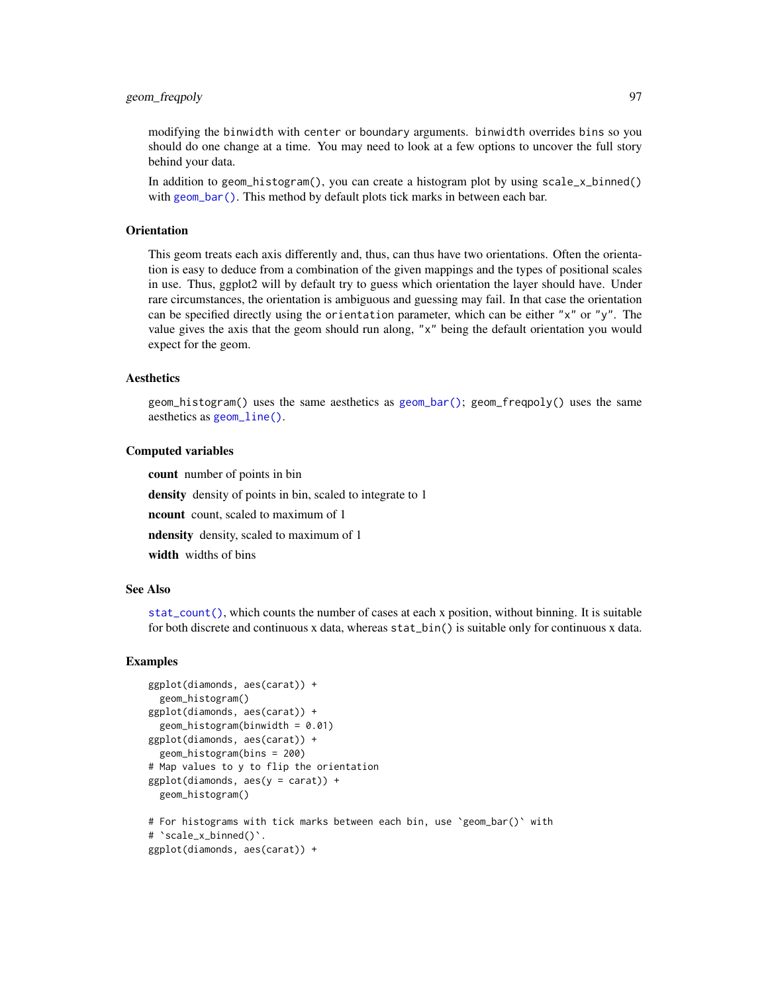## geom\_freqpoly 97

modifying the binwidth with center or boundary arguments. binwidth overrides bins so you should do one change at a time. You may need to look at a few options to uncover the full story behind your data.

In addition to geom\_histogram(), you can create a histogram plot by using scale\_x\_binned() with [geom\\_bar\(\)](#page-57-1). This method by default plots tick marks in between each bar.

#### **Orientation**

This geom treats each axis differently and, thus, can thus have two orientations. Often the orientation is easy to deduce from a combination of the given mappings and the types of positional scales in use. Thus, ggplot2 will by default try to guess which orientation the layer should have. Under rare circumstances, the orientation is ambiguous and guessing may fail. In that case the orientation can be specified directly using the orientation parameter, which can be either "x" or "y". The value gives the axis that the geom should run along, "x" being the default orientation you would expect for the geom.

## **Aesthetics**

geom\_histogram() uses the same aesthetics as [geom\\_bar\(\)](#page-57-1); geom\_freqpoly() uses the same aesthetics as [geom\\_line\(\)](#page-113-0).

#### Computed variables

count number of points in bin

density density of points in bin, scaled to integrate to 1

ncount count, scaled to maximum of 1

ndensity density, scaled to maximum of 1

width widths of bins

#### See Also

[stat\\_count\(\)](#page-57-0), which counts the number of cases at each x position, without binning. It is suitable for both discrete and continuous x data, whereas stat\_bin() is suitable only for continuous x data.

```
ggplot(diamonds, aes(carat)) +
 geom_histogram()
ggplot(diamonds, aes(carat)) +
 geom_histogram(binwidth = 0.01)
ggplot(diamonds, aes(carat)) +
 geom_histogram(bins = 200)
# Map values to y to flip the orientation
ggplot(diamonds, aes(y = carat)) +geom_histogram()
# For histograms with tick marks between each bin, use `geom_bar()` with
# `scale_x_binned()`.
ggplot(diamonds, aes(carat)) +
```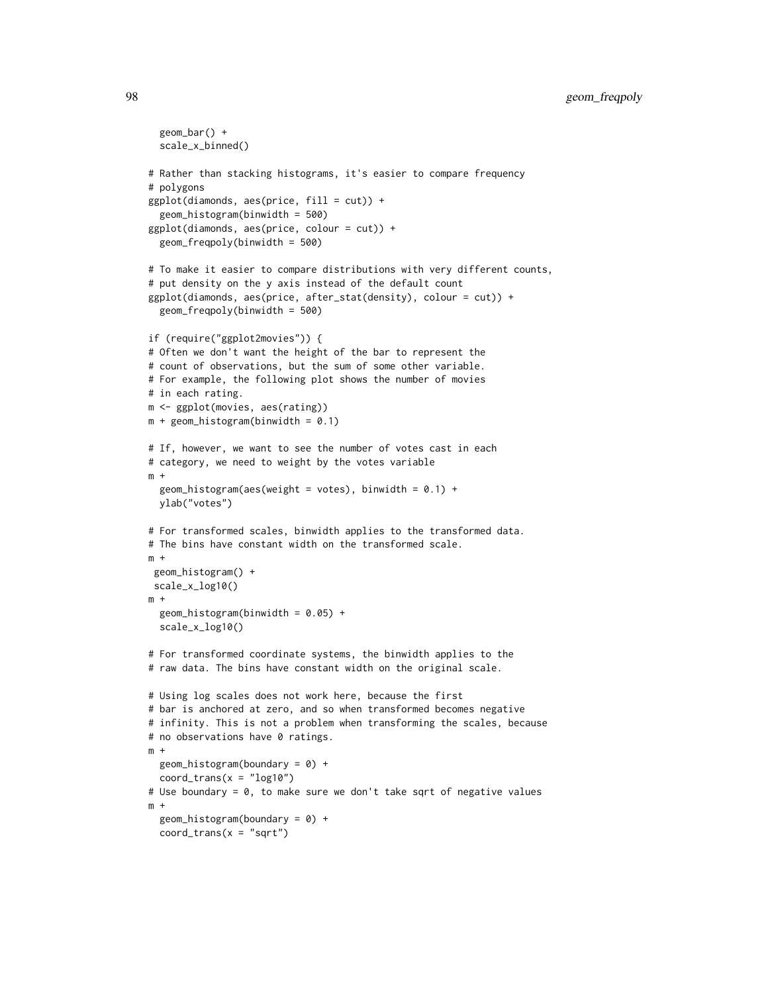```
geom_bar() +
  scale_x_binned()
# Rather than stacking histograms, it's easier to compare frequency
# polygons
ggplot(diamonds, aes(price, fill = cut)) +geom_histogram(binwidth = 500)
ggplot(diamonds, aes(price, colour = cut)) +
  geom_freqpoly(binwidth = 500)
# To make it easier to compare distributions with very different counts,
# put density on the y axis instead of the default count
ggplot(diamonds, aes(price, after_stat(density), colour = cut)) +
  geom_freqpoly(binwidth = 500)
if (require("ggplot2movies")) {
# Often we don't want the height of the bar to represent the
# count of observations, but the sum of some other variable.
# For example, the following plot shows the number of movies
# in each rating.
m <- ggplot(movies, aes(rating))
m + geom\_histogram(binwidth = 0.1)# If, however, we want to see the number of votes cast in each
# category, we need to weight by the votes variable
m +
  geom_histogram(aes(weight = votes), binwidth = 0.1) +
  ylab("votes")
# For transformed scales, binwidth applies to the transformed data.
# The bins have constant width on the transformed scale.
m +geom_histogram() +
 scale_x_log10()
m +geom_histogram(binwidth = 0.05) +
  scale_x_log10()
# For transformed coordinate systems, the binwidth applies to the
# raw data. The bins have constant width on the original scale.
# Using log scales does not work here, because the first
# bar is anchored at zero, and so when transformed becomes negative
# infinity. This is not a problem when transforming the scales, because
# no observations have 0 ratings.
m +geom_histogram(boundary = 0) +
  coord_{trans}(x = "log10")# Use boundary = 0, to make sure we don't take sqrt of negative values
m +geom\_histogram(boundary = 0) +coord_{trans}(x = "sqrt")
```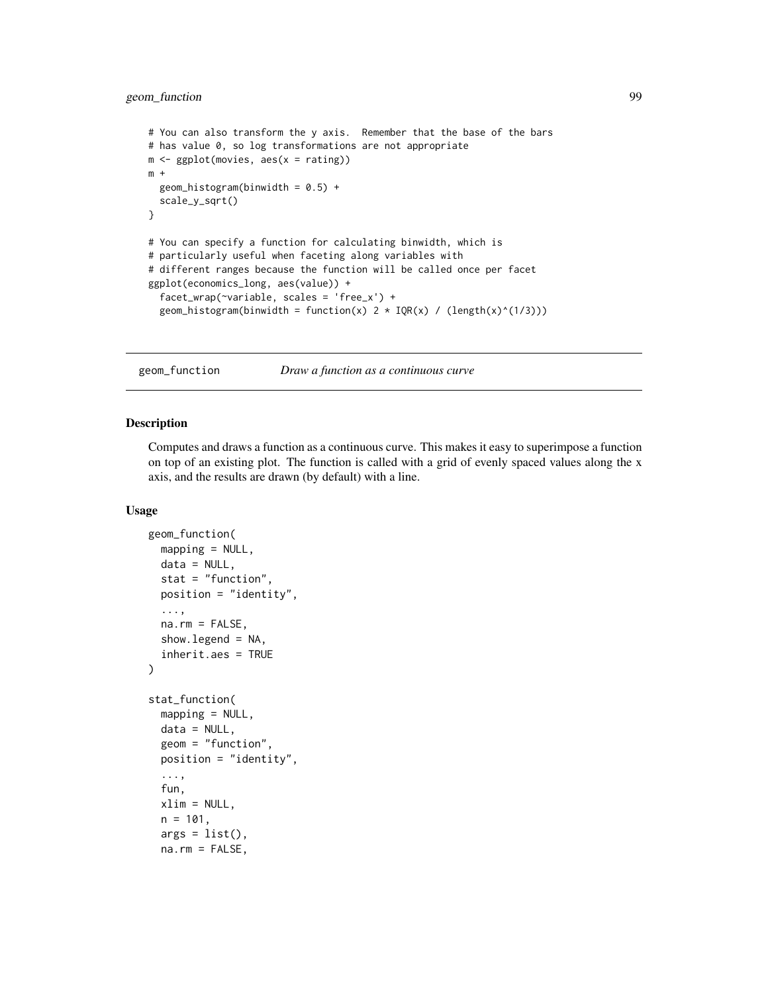## geom\_function 99

```
# You can also transform the y axis. Remember that the base of the bars
# has value 0, so log transformations are not appropriate
m <- ggplot(movies, aes(x = rating))
m +geom_histogram(binwidth = 0.5) +
  scale_y_sqrt()
}
# You can specify a function for calculating binwidth, which is
# particularly useful when faceting along variables with
# different ranges because the function will be called once per facet
ggplot(economics_long, aes(value)) +
  facet_wrap(~variable, scales = 'free_x') +
  geom_histogram(binwidth = function(x) 2 * IQR(x) / (length(x)^{(1/3)}))
```
geom\_function *Draw a function as a continuous curve*

#### Description

Computes and draws a function as a continuous curve. This makes it easy to superimpose a function on top of an existing plot. The function is called with a grid of evenly spaced values along the x axis, and the results are drawn (by default) with a line.

```
geom_function(
 mapping = NULL,
 data = NULL,stat = "function",
 position = "identity",
  ...,
  na.rm = FALSE,show.legend = NA,
  inherit.aes = TRUE
)
stat_function(
 mapping = NULL,data = NULL,geom = "function",
 position = "identity",
  ...,
  fun,
  xlim = NULL,n = 101,args = list(),
 na.rm = FALSE,
```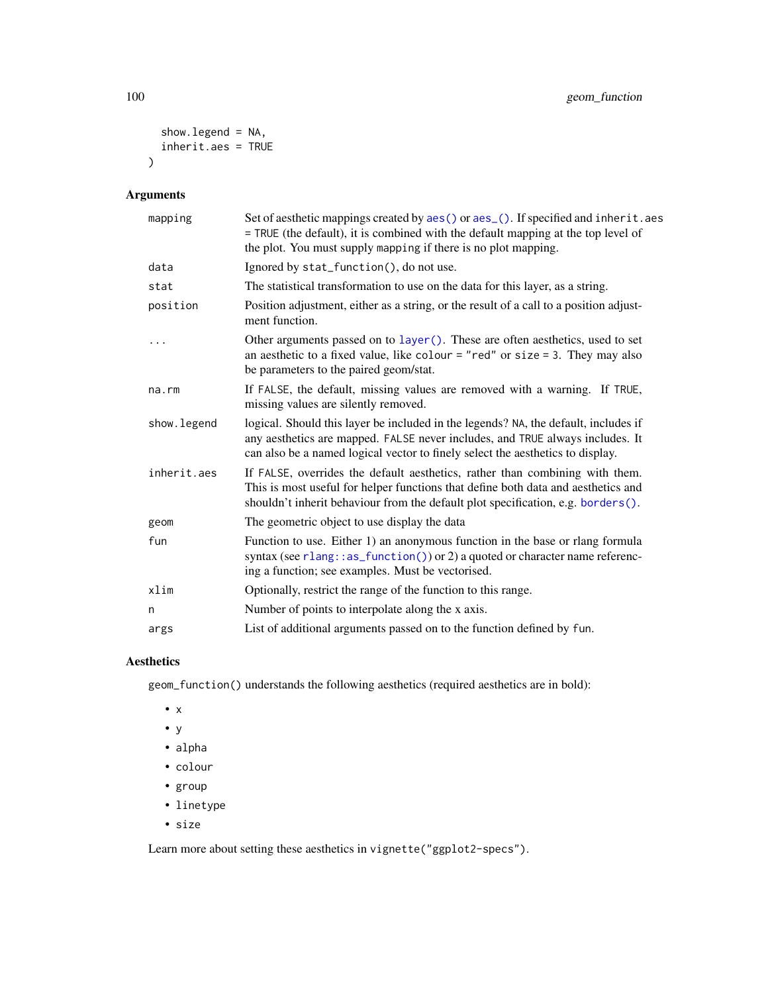```
show.legend = NA,
  inherit.aes = TRUE
\mathcal{L}
```
# Arguments

| mapping      | Set of aesthetic mappings created by aes() or aes_(). If specified and inherit.aes<br>= TRUE (the default), it is combined with the default mapping at the top level of<br>the plot. You must supply mapping if there is no plot mapping.              |
|--------------|--------------------------------------------------------------------------------------------------------------------------------------------------------------------------------------------------------------------------------------------------------|
| data         | Ignored by stat_function(), do not use.                                                                                                                                                                                                                |
| stat         | The statistical transformation to use on the data for this layer, as a string.                                                                                                                                                                         |
| position     | Position adjustment, either as a string, or the result of a call to a position adjust-<br>ment function.                                                                                                                                               |
| .            | Other arguments passed on to layer (). These are often aesthetics, used to set<br>an aesthetic to a fixed value, like colour = "red" or size = 3. They may also<br>be parameters to the paired geom/stat.                                              |
| na.rm        | If FALSE, the default, missing values are removed with a warning. If TRUE,<br>missing values are silently removed.                                                                                                                                     |
| show. legend | logical. Should this layer be included in the legends? NA, the default, includes if<br>any aesthetics are mapped. FALSE never includes, and TRUE always includes. It<br>can also be a named logical vector to finely select the aesthetics to display. |
| inherit.aes  | If FALSE, overrides the default aesthetics, rather than combining with them.<br>This is most useful for helper functions that define both data and aesthetics and<br>shouldn't inherit behaviour from the default plot specification, e.g. borders().  |
| geom         | The geometric object to use display the data                                                                                                                                                                                                           |
| fun          | Function to use. Either 1) an anonymous function in the base or rlang formula<br>syntax (see rlang::as_function()) or 2) a quoted or character name referenc-<br>ing a function; see examples. Must be vectorised.                                     |
| xlim         | Optionally, restrict the range of the function to this range.                                                                                                                                                                                          |
| n            | Number of points to interpolate along the x axis.                                                                                                                                                                                                      |
| args         | List of additional arguments passed on to the function defined by fun.                                                                                                                                                                                 |

# Aesthetics

geom\_function() understands the following aesthetics (required aesthetics are in bold):

- x
- y
- alpha
- colour
- group
- linetype
- size

Learn more about setting these aesthetics in vignette("ggplot2-specs").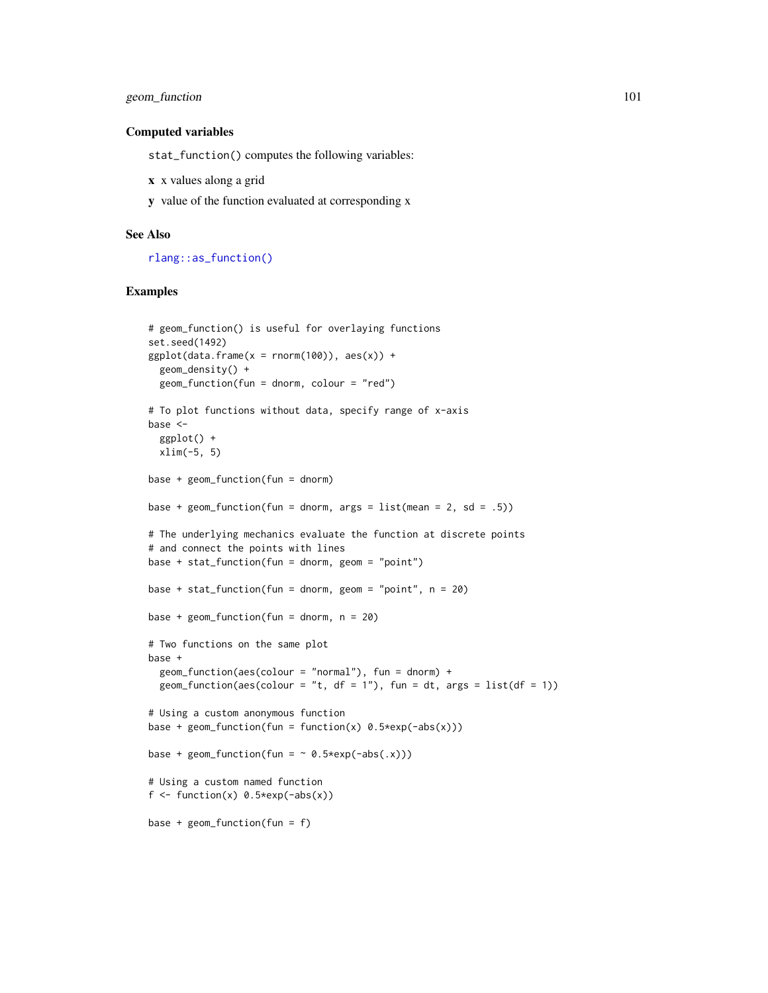## geom\_function 101

#### Computed variables

stat\_function() computes the following variables:

- x x values along a grid
- y value of the function evaluated at corresponding x

### See Also

[rlang::as\\_function\(\)](#page-0-0)

```
# geom_function() is useful for overlaying functions
set.seed(1492)
ggplot(data.frame(x = rnorm(100)), aes(x)) +geom_density() +
  geom_function(fun = dnorm, colour = "red")
# To plot functions without data, specify range of x-axis
base <-
  ggplot() +
 xlim(-5, 5)
base + geom_function(fun = donorm)base + geom_function(fun = dnorm, args = list(mean = 2, sd = .5))# The underlying mechanics evaluate the function at discrete points
# and connect the points with lines
base + stat_function(fun = dnorm, geom = "point")
base + stat_function(fun = dnorm, geom = "point", n = 20)
base + geom_function(fun = donorm, n = 20)# Two functions on the same plot
base +
  geom_function(aes(colour = "normal"), fun = donor) +geom_function(aes(colour = "t, df = 1"), fun = dt, args = list(df = 1))
# Using a custom anonymous function
base + geom_function(fun = function(x) 0.5*exp(-abs(x)))base + geom_function(fun = \sim 0.5*exp(-abs(.x)))
# Using a custom named function
f <- function(x) 0.5*exp(-abs(x))base + geom_function(fun = f)
```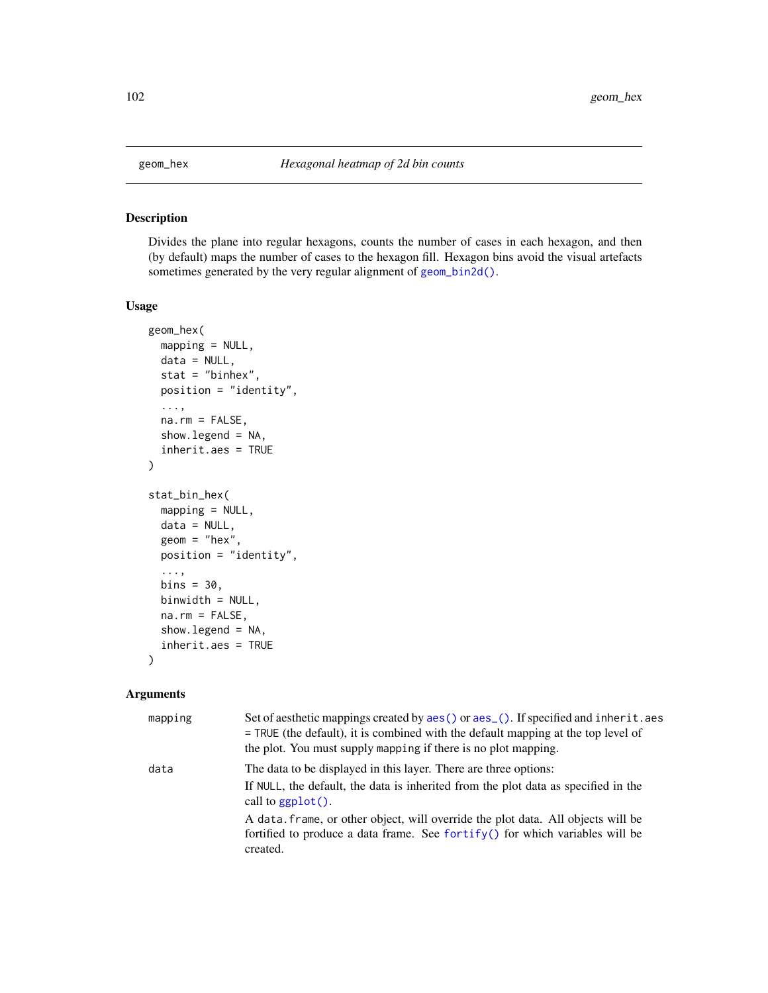### Description

Divides the plane into regular hexagons, counts the number of cases in each hexagon, and then (by default) maps the number of cases to the hexagon fill. Hexagon bins avoid the visual artefacts sometimes generated by the very regular alignment of [geom\\_bin2d\(\)](#page-61-0).

### Usage

```
geom_hex(
 mapping = NULL,
  data = NULL,stat = "binhex",
  position = "identity",
  ...,
  na.rm = FALSE,show.legend = NA,
  inherit.aes = TRUE
)
stat_bin_hex(
  mapping = NULL,
  data = NULL,geom = "hex",position = "identity",
  ...,
 bins = 30,
 binwidth = NULL,
  na.rm = FALSE,
  show.legend = NA,
  inherit.aes = TRUE
)
```

| mapping | Set of aesthetic mappings created by aes() or aes_(). If specified and inherit.aes<br>= TRUE (the default), it is combined with the default mapping at the top level of<br>the plot. You must supply mapping if there is no plot mapping. |
|---------|-------------------------------------------------------------------------------------------------------------------------------------------------------------------------------------------------------------------------------------------|
| data    | The data to be displayed in this layer. There are three options:<br>If NULL, the default, the data is inherited from the plot data as specified in the<br>call to $ggplot()$ .                                                            |
|         | A data, frame, or other object, will override the plot data. All objects will be<br>fortified to produce a data frame. See fortify() for which variables will be<br>created.                                                              |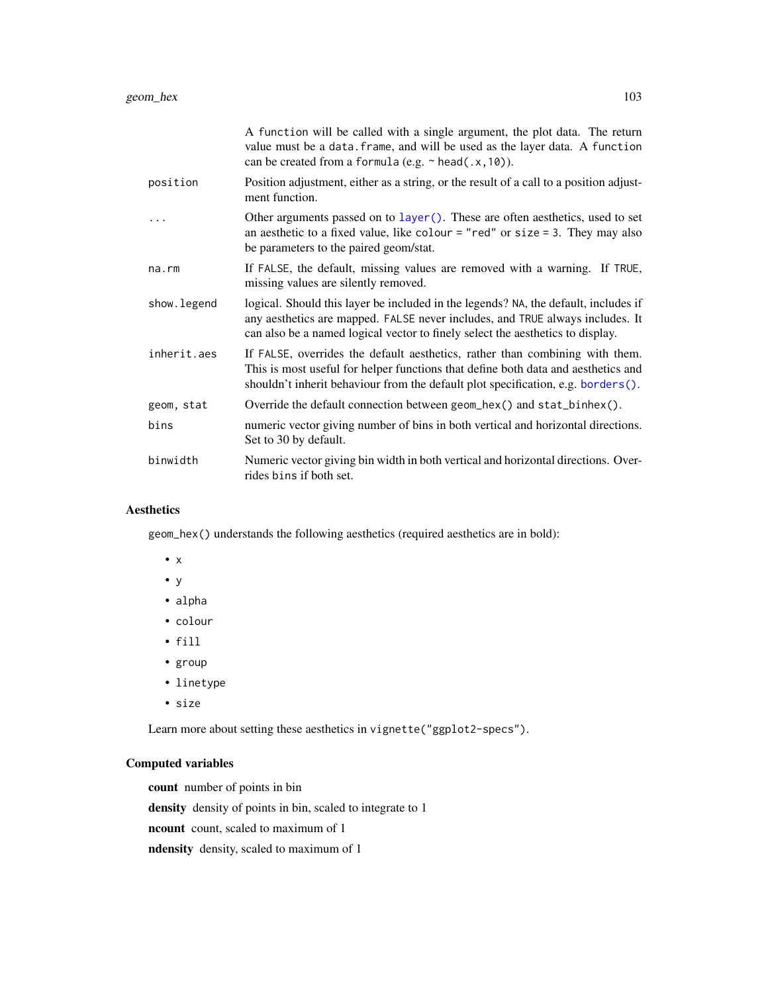|             | A function will be called with a single argument, the plot data. The return<br>value must be a data. frame, and will be used as the layer data. A function<br>can be created from a formula (e.g. $\sim$ head(.x, 10)).                                |
|-------------|--------------------------------------------------------------------------------------------------------------------------------------------------------------------------------------------------------------------------------------------------------|
| position    | Position adjustment, either as a string, or the result of a call to a position adjust-<br>ment function.                                                                                                                                               |
| .           | Other arguments passed on to layer(). These are often aesthetics, used to set<br>an aesthetic to a fixed value, like colour = "red" or size = 3. They may also<br>be parameters to the paired geom/stat.                                               |
| na.rm       | If FALSE, the default, missing values are removed with a warning. If TRUE,<br>missing values are silently removed.                                                                                                                                     |
| show.legend | logical. Should this layer be included in the legends? NA, the default, includes if<br>any aesthetics are mapped. FALSE never includes, and TRUE always includes. It<br>can also be a named logical vector to finely select the aesthetics to display. |
| inherit.aes | If FALSE, overrides the default aesthetics, rather than combining with them.<br>This is most useful for helper functions that define both data and aesthetics and<br>shouldn't inherit behaviour from the default plot specification, e.g. borders().  |
| geom, stat  | Override the default connection between geom $_{hex}()$ and stat $_{\text{b}}$ thex $()$ .                                                                                                                                                             |
| bins        | numeric vector giving number of bins in both vertical and horizontal directions.<br>Set to 30 by default.                                                                                                                                              |
| binwidth    | Numeric vector giving bin width in both vertical and horizontal directions. Over-<br>rides bins if both set.                                                                                                                                           |

# Aesthetics

geom\_hex() understands the following aesthetics (required aesthetics are in bold):

- x
- y
- alpha
- colour
- fill
- group
- linetype
- size

Learn more about setting these aesthetics in vignette("ggplot2-specs").

# Computed variables

count number of points in bin

density density of points in bin, scaled to integrate to 1

ncount count, scaled to maximum of 1

ndensity density, scaled to maximum of 1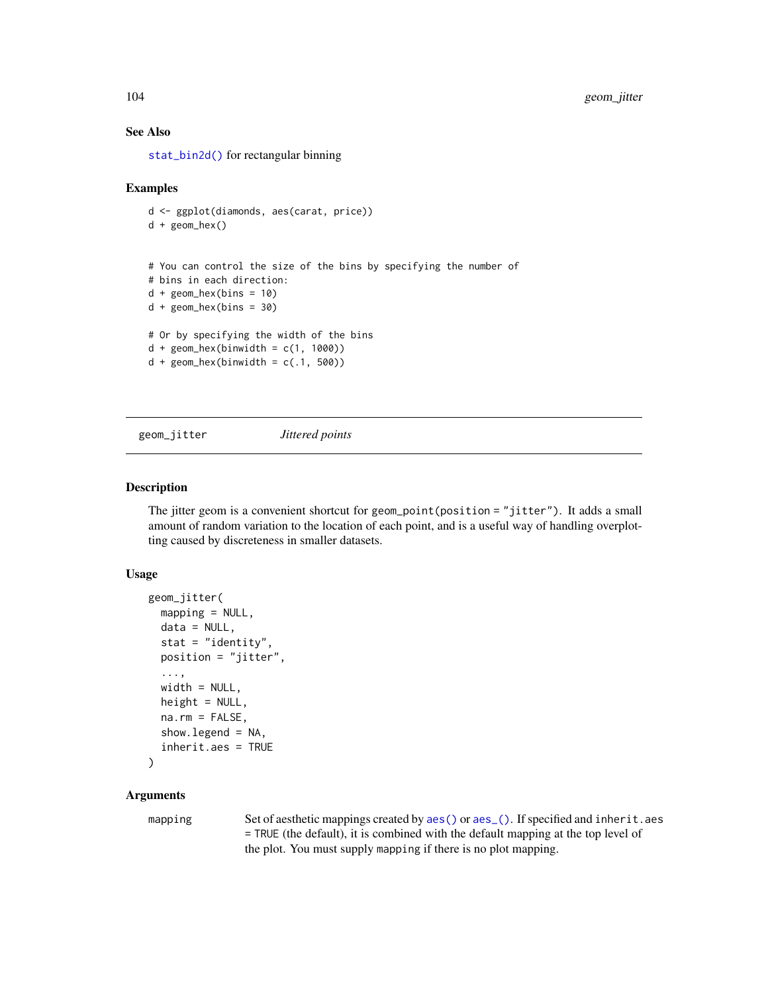### See Also

[stat\\_bin2d\(\)](#page-61-0) for rectangular binning

#### Examples

```
d <- ggplot(diamonds, aes(carat, price))
d + geom_hex()
# You can control the size of the bins by specifying the number of
# bins in each direction:
d + geom\_hex(bins = 10)d + geom\_hex(bins = 30)# Or by specifying the width of the bins
d + \text{geom\_hex}(binwidth = c(1, 1000))d + geom\_hex(binwidth = c(.1, 500))
```
geom\_jitter *Jittered points*

#### Description

The jitter geom is a convenient shortcut for geom\_point(position = "jitter"). It adds a small amount of random variation to the location of each point, and is a useful way of handling overplotting caused by discreteness in smaller datasets.

### Usage

```
geom_jitter(
 mapping = NULL,
 data = NULL,stat = "identity",
 position = "jitter",
  ...,
 width = NULL,
 height = NULL,na.rm = FALSE,show.legend = NA,
  inherit.aes = TRUE
)
```
### Arguments

mapping Set of aesthetic mappings created by [aes\(\)](#page-6-0) or [aes\\_\(\)](#page-8-0). If specified and inherit.aes = TRUE (the default), it is combined with the default mapping at the top level of the plot. You must supply mapping if there is no plot mapping.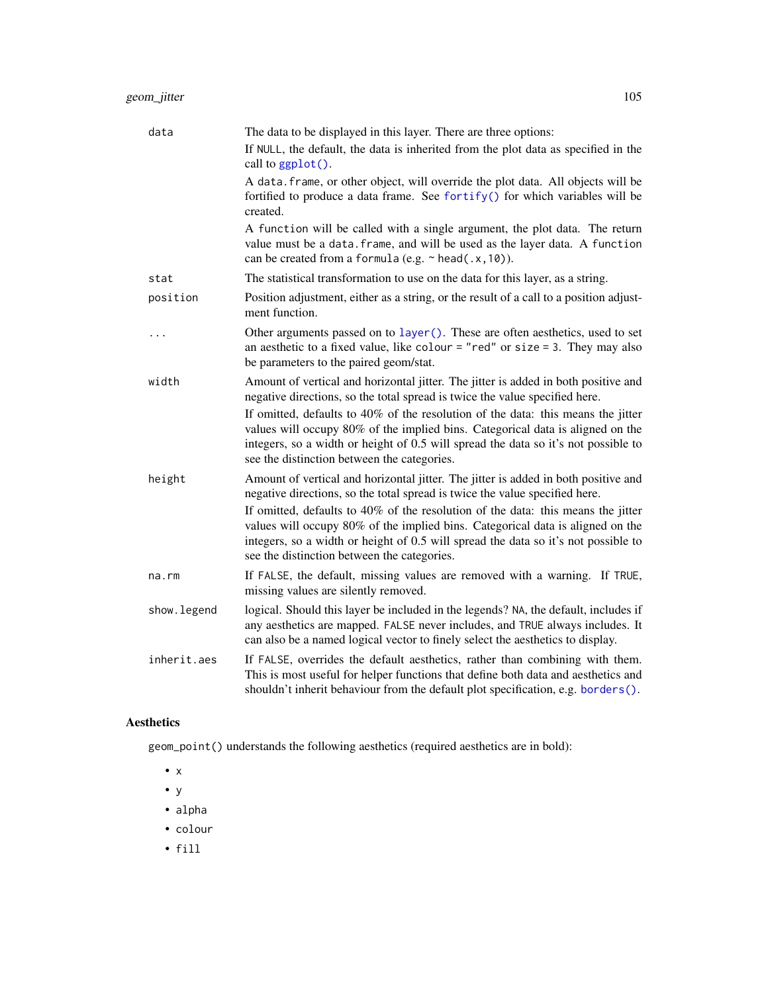| data        | The data to be displayed in this layer. There are three options:                                                                                                                                                                                                                                        |
|-------------|---------------------------------------------------------------------------------------------------------------------------------------------------------------------------------------------------------------------------------------------------------------------------------------------------------|
|             | If NULL, the default, the data is inherited from the plot data as specified in the<br>call to ggplot().                                                                                                                                                                                                 |
|             | A data. frame, or other object, will override the plot data. All objects will be<br>fortified to produce a data frame. See fortify() for which variables will be<br>created.                                                                                                                            |
|             | A function will be called with a single argument, the plot data. The return<br>value must be a data. frame, and will be used as the layer data. A function<br>can be created from a formula (e.g. $\sim$ head(.x, 10)).                                                                                 |
| stat        | The statistical transformation to use on the data for this layer, as a string.                                                                                                                                                                                                                          |
| position    | Position adjustment, either as a string, or the result of a call to a position adjust-<br>ment function.                                                                                                                                                                                                |
| $\ddotsc$   | Other arguments passed on to layer (). These are often aesthetics, used to set<br>an aesthetic to a fixed value, like colour = "red" or size = 3. They may also<br>be parameters to the paired geom/stat.                                                                                               |
| width       | Amount of vertical and horizontal jitter. The jitter is added in both positive and<br>negative directions, so the total spread is twice the value specified here.                                                                                                                                       |
|             | If omitted, defaults to 40% of the resolution of the data: this means the jitter<br>values will occupy 80% of the implied bins. Categorical data is aligned on the<br>integers, so a width or height of 0.5 will spread the data so it's not possible to<br>see the distinction between the categories. |
| height      | Amount of vertical and horizontal jitter. The jitter is added in both positive and<br>negative directions, so the total spread is twice the value specified here.                                                                                                                                       |
|             | If omitted, defaults to 40% of the resolution of the data: this means the jitter<br>values will occupy 80% of the implied bins. Categorical data is aligned on the<br>integers, so a width or height of 0.5 will spread the data so it's not possible to<br>see the distinction between the categories. |
| na.rm       | If FALSE, the default, missing values are removed with a warning. If TRUE,<br>missing values are silently removed.                                                                                                                                                                                      |
| show.legend | logical. Should this layer be included in the legends? NA, the default, includes if<br>any aesthetics are mapped. FALSE never includes, and TRUE always includes. It<br>can also be a named logical vector to finely select the aesthetics to display.                                                  |
| inherit.aes | If FALSE, overrides the default aesthetics, rather than combining with them.<br>This is most useful for helper functions that define both data and aesthetics and<br>shouldn't inherit behaviour from the default plot specification, e.g. borders().                                                   |

# Aesthetics

geom\_point() understands the following aesthetics (required aesthetics are in bold):

• x

- y
- alpha
- colour
- fill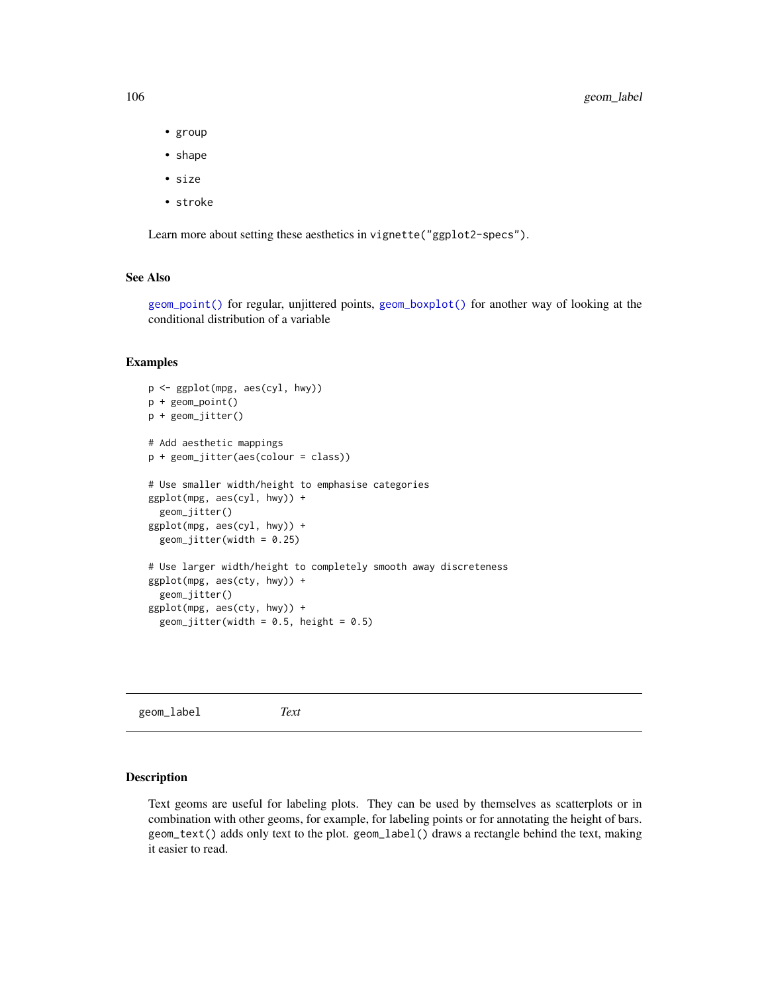106 geom\_label

- group
- shape
- size
- stroke

Learn more about setting these aesthetics in vignette("ggplot2-specs").

## See Also

[geom\\_point\(\)](#page-117-0) for regular, unjittered points, [geom\\_boxplot\(\)](#page-64-0) for another way of looking at the conditional distribution of a variable

#### Examples

```
p <- ggplot(mpg, aes(cyl, hwy))
p + geom_point()
p + geom_jitter()
# Add aesthetic mappings
p + geom_jitter(aes(colour = class))
# Use smaller width/height to emphasise categories
ggplot(mpg, aes(cyl, hwy)) +
  geom_jitter()
ggplot(mpg, aes(cyl, hwy)) +
  geom_jitter(width = 0.25)# Use larger width/height to completely smooth away discreteness
ggplot(mpg, aes(cty, hwy)) +
  geom_jitter()
ggplot(mpg, aes(cty, hwy)) +
  geom_jitter(width = 0.5, height = 0.5)
```
geom\_label *Text*

### Description

Text geoms are useful for labeling plots. They can be used by themselves as scatterplots or in combination with other geoms, for example, for labeling points or for annotating the height of bars. geom\_text() adds only text to the plot. geom\_label() draws a rectangle behind the text, making it easier to read.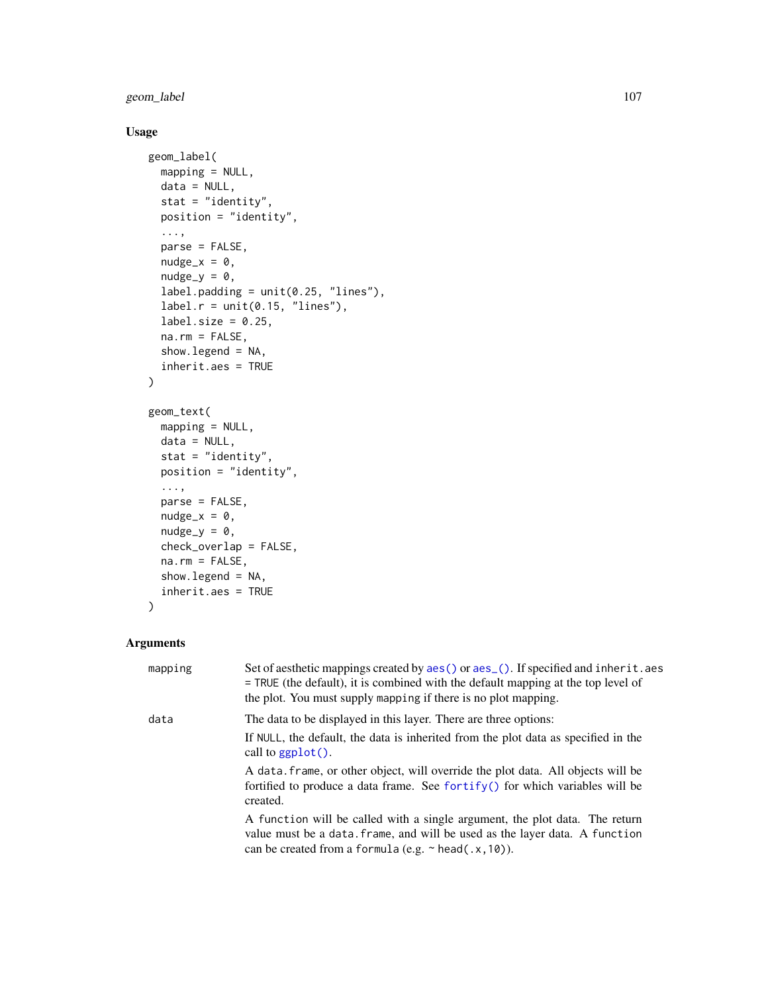geom\_label 107

## Usage

```
geom_label(
 mapping = NULL,
 data = NULL,stat = "identity",
 position = "identity",
  ...,
 parse = FALSE,
 nudge_x = 0,
 nudge_y = 0,
  label.padding = unit(0.25, 'lines'),label.r = unit(0.15, 'lines'),label.size = 0.25,
  na.rm = FALSE,show.legend = NA,
  inherit.aes = TRUE
\mathcal{L}geom_text(
 mapping = NULL,
 data = NULL,stat = "identity",
 position = "identity",
  ...,
 parse = FALSE,
  nudge_x = 0,
 nudge_y = 0,
  check_overlap = FALSE,
 na.rm = FALSE,
  show.legend = NA,
  inherit.aes = TRUE
\mathcal{L}
```

| mapping | Set of aesthetic mappings created by aes () or aes (). If specified and inherit. aes<br>$=$ TRUE (the default), it is combined with the default mapping at the top level of<br>the plot. You must supply mapping if there is no plot mapping. |
|---------|-----------------------------------------------------------------------------------------------------------------------------------------------------------------------------------------------------------------------------------------------|
| data    | The data to be displayed in this layer. There are three options:                                                                                                                                                                              |
|         | If NULL, the default, the data is inherited from the plot data as specified in the<br>call to $graph()$ .                                                                                                                                     |
|         | A data frame, or other object, will override the plot data. All objects will be<br>fortified to produce a data frame. See for $\text{trify}()$ for which variables will be<br>created.                                                        |
|         | A function will be called with a single argument, the plot data. The return<br>value must be a data. frame, and will be used as the layer data. A function<br>can be created from a formula (e.g. $\sim$ head(.x, 10)).                       |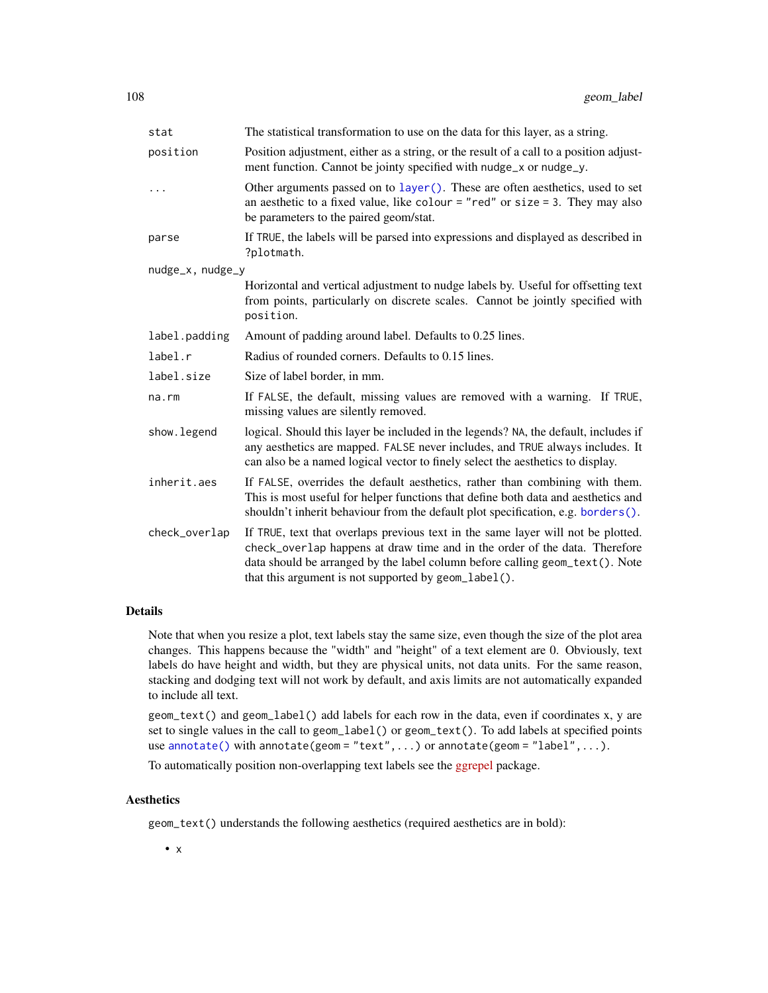| stat             | The statistical transformation to use on the data for this layer, as a string.                                                                                                                                                                                                                         |
|------------------|--------------------------------------------------------------------------------------------------------------------------------------------------------------------------------------------------------------------------------------------------------------------------------------------------------|
| position         | Position adjustment, either as a string, or the result of a call to a position adjust-<br>ment function. Cannot be jointy specified with nudge_x or nudge_y.                                                                                                                                           |
|                  | Other arguments passed on to layer (). These are often aesthetics, used to set<br>an aesthetic to a fixed value, like colour = "red" or size = 3. They may also<br>be parameters to the paired geom/stat.                                                                                              |
| parse            | If TRUE, the labels will be parsed into expressions and displayed as described in<br>?plotmath.                                                                                                                                                                                                        |
| nudge_x, nudge_y |                                                                                                                                                                                                                                                                                                        |
|                  | Horizontal and vertical adjustment to nudge labels by. Useful for offsetting text<br>from points, particularly on discrete scales. Cannot be jointly specified with<br>position.                                                                                                                       |
| label.padding    | Amount of padding around label. Defaults to 0.25 lines.                                                                                                                                                                                                                                                |
| label.r          | Radius of rounded corners. Defaults to 0.15 lines.                                                                                                                                                                                                                                                     |
| label.size       | Size of label border, in mm.                                                                                                                                                                                                                                                                           |
| na.rm            | If FALSE, the default, missing values are removed with a warning. If TRUE,<br>missing values are silently removed.                                                                                                                                                                                     |
| show.legend      | logical. Should this layer be included in the legends? NA, the default, includes if<br>any aesthetics are mapped. FALSE never includes, and TRUE always includes. It<br>can also be a named logical vector to finely select the aesthetics to display.                                                 |
| inherit.aes      | If FALSE, overrides the default aesthetics, rather than combining with them.<br>This is most useful for helper functions that define both data and aesthetics and<br>shouldn't inherit behaviour from the default plot specification, e.g. borders().                                                  |
| check_overlap    | If TRUE, text that overlaps previous text in the same layer will not be plotted.<br>check_overlap happens at draw time and in the order of the data. Therefore<br>data should be arranged by the label column before calling geom_text(). Note<br>that this argument is not supported by geom_label(). |

#### Details

Note that when you resize a plot, text labels stay the same size, even though the size of the plot area changes. This happens because the "width" and "height" of a text element are 0. Obviously, text labels do have height and width, but they are physical units, not data units. For the same reason, stacking and dodging text will not work by default, and axis limits are not automatically expanded to include all text.

geom\_text() and geom\_label() add labels for each row in the data, even if coordinates x, y are set to single values in the call to geom\_label() or geom\_text(). To add labels at specified points use [annotate\(\)](#page-17-0) with annotate(geom = "text", ...) or annotate(geom = "label", ...).

To automatically position non-overlapping text labels see the [ggrepel](https://cran.r-project.org/package=ggrepel) package.

### Aesthetics

geom\_text() understands the following aesthetics (required aesthetics are in bold):

• x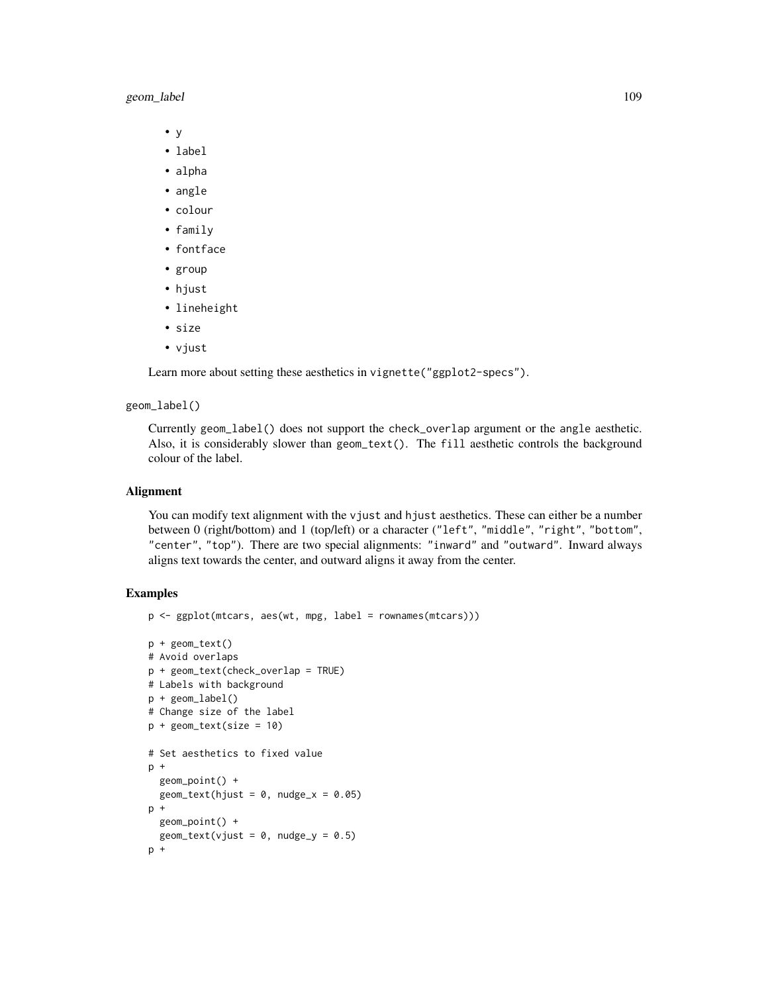# geom\_label 109

- y
- label
- alpha
- angle
- colour
- family
- fontface
- group
- hjust
- lineheight
- size
- vjust

Learn more about setting these aesthetics in vignette("ggplot2-specs").

#### geom\_label()

Currently geom\_label() does not support the check\_overlap argument or the angle aesthetic. Also, it is considerably slower than geom\_text(). The fill aesthetic controls the background colour of the label.

### Alignment

You can modify text alignment with the vjust and hjust aesthetics. These can either be a number between 0 (right/bottom) and 1 (top/left) or a character ("left", "middle", "right", "bottom", "center", "top"). There are two special alignments: "inward" and "outward". Inward always aligns text towards the center, and outward aligns it away from the center.

```
p <- ggplot(mtcars, aes(wt, mpg, label = rownames(mtcars)))
p + geom_text()
# Avoid overlaps
p + geom_text(check_overlap = TRUE)
# Labels with background
p + geom_label()
# Change size of the label
p + geometry = 10)
# Set aesthetics to fixed value
p +
  geom_point() +
  geom\_text(hjust = 0, nudge_x = 0.05)p +geom_point() +
  geom_text(vjust = 0, nudge_y = 0.5)
p +
```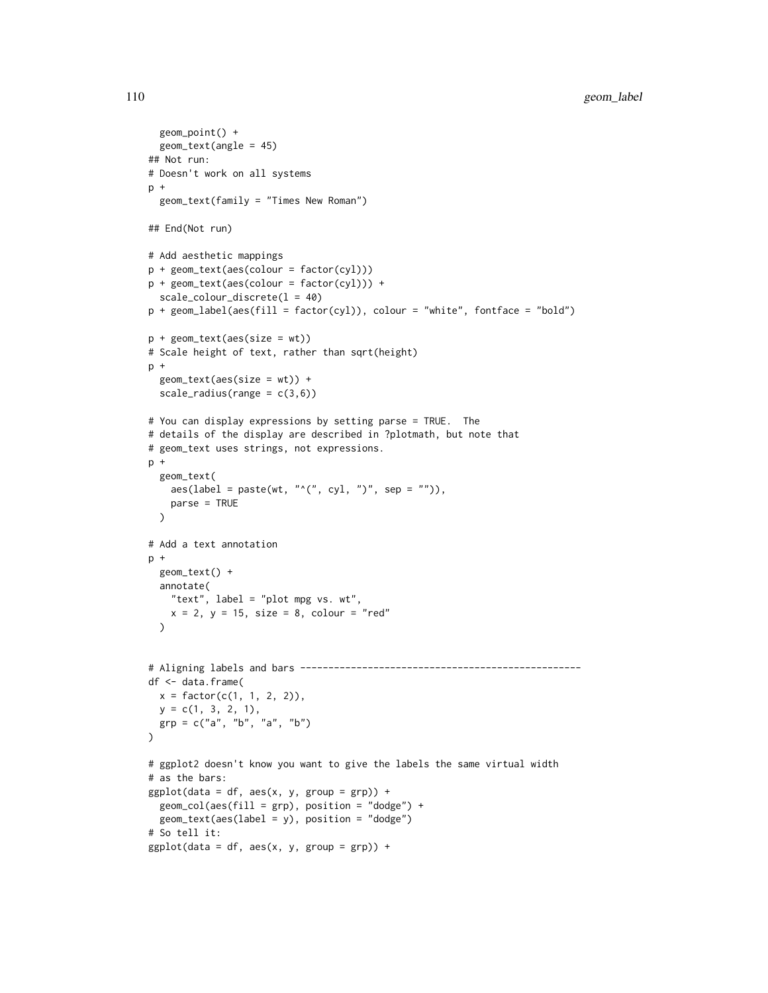```
geom_point() +
  geom_text(angle = 45)
## Not run:
# Doesn't work on all systems
p +geom_text(family = "Times New Roman")
## End(Not run)
# Add aesthetic mappings
p + geom_text(aes(colour = factor(cyl)))
p + geom_text(aes(colour = factor(cyl))) +
  scale_colour_discrete(l = 40)
p + geom\_label(aes(fill = factor(cyl)), colour = "white", fontface = "bold")p + geom_text(aes(size = wt))
# Scale height of text, rather than sqrt(height)
p +geom_text(aes(size = wt)) +
  scale\_radius(range = c(3, 6))# You can display expressions by setting parse = TRUE. The
# details of the display are described in ?plotmath, but note that
# geom_text uses strings, not expressions.
p +geom_text(
    \text{aes}(\text{label} = \text{past}(\text{wt}, \text{````(", cyl, ")", sep = "");}),parse = TRUE
  )
# Add a text annotation
p +
  geom_text() +
  annotate(
    "text", label = "plot mpg vs. wt",
    x = 2, y = 15, size = 8, colour = "red"
  \lambda# Aligning labels and bars --------------------------------------------------
df <- data.frame(
 x = factor(c(1, 1, 2, 2)),y = c(1, 3, 2, 1),grp = c("a", "b", "a", "b")
\lambda# ggplot2 doesn't know you want to give the labels the same virtual width
# as the bars:
ggplot(data = df, aes(x, y, group = grp)) +geom\_col(aes(fill = grp), position = "dodge") +geom_text(aes(label = y), position = "dodge")
# So tell it:
ggplot(data = df, aes(x, y, group = grp)) +
```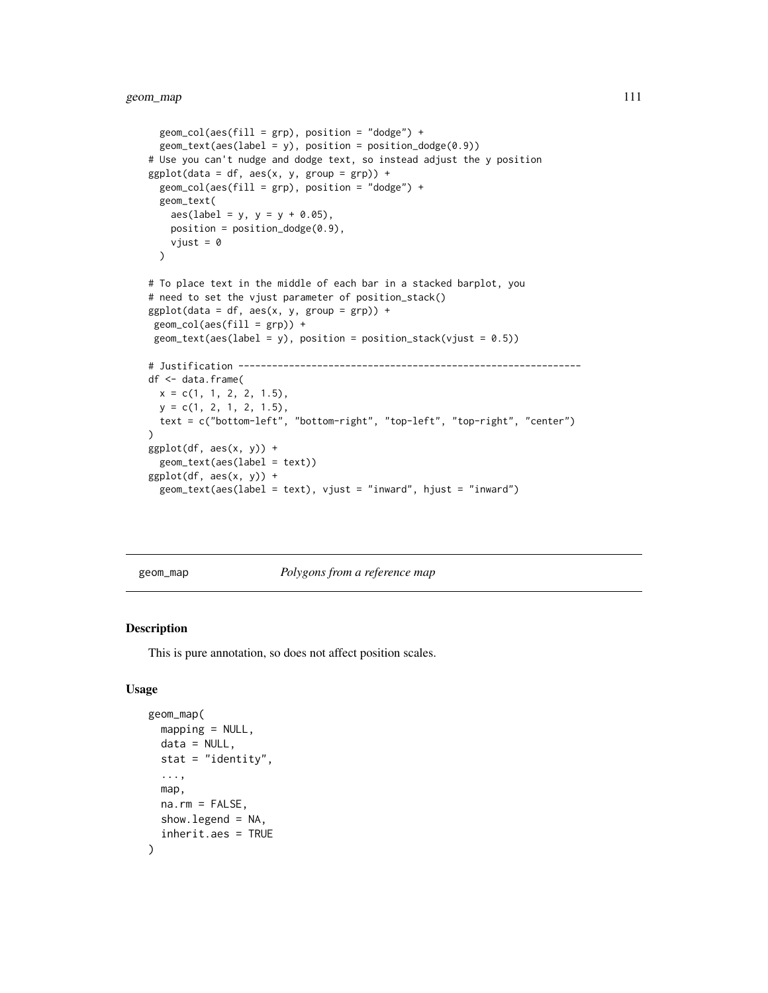```
geom\_col(aes(fill = grp), position = "dodge") +geom\_text(aes(label = y), position = position_dode(0.9))# Use you can't nudge and dodge text, so instead adjust the y position
ggplot(data = df, aes(x, y, group = grp)) +geom\_col(aes(fill = grp), position = "dodge") +geom_text(
   aes(label = y, y = y + 0.05),
   position = position_dodge(0.9),
   vjust = 0\lambda# To place text in the middle of each bar in a stacked barplot, you
# need to set the vjust parameter of position_stack()
ggplot(data = df, aes(x, y, group = grp)) +geom\_col(aes(fill = grp)) +geom\_text(aes(label = y), position = position_stack(vjust = 0.5))
# Justification -------------------------------------------------------------
df <- data.frame(
 x = c(1, 1, 2, 2, 1.5),
 y = c(1, 2, 1, 2, 1.5),
 text = c("bottom-left", "bottom-right", "top-left", "top-right", "center")
\mathcal{L}ggplot(df, aes(x, y)) +geom_text(aes(label = text))
ggplot(df, aes(x, y)) +geom_text(aes(label = text), vjust = "inward", hjust = "inward")
```
geom\_map *Polygons from a reference map*

#### Description

This is pure annotation, so does not affect position scales.

```
geom_map(
  mapping = NULL,
  data = NULL,stat = "identity",
  ...,
 map,
 na.rm = FALSE,
  show.legend = NA,
  inherit.aes = TRUE
)
```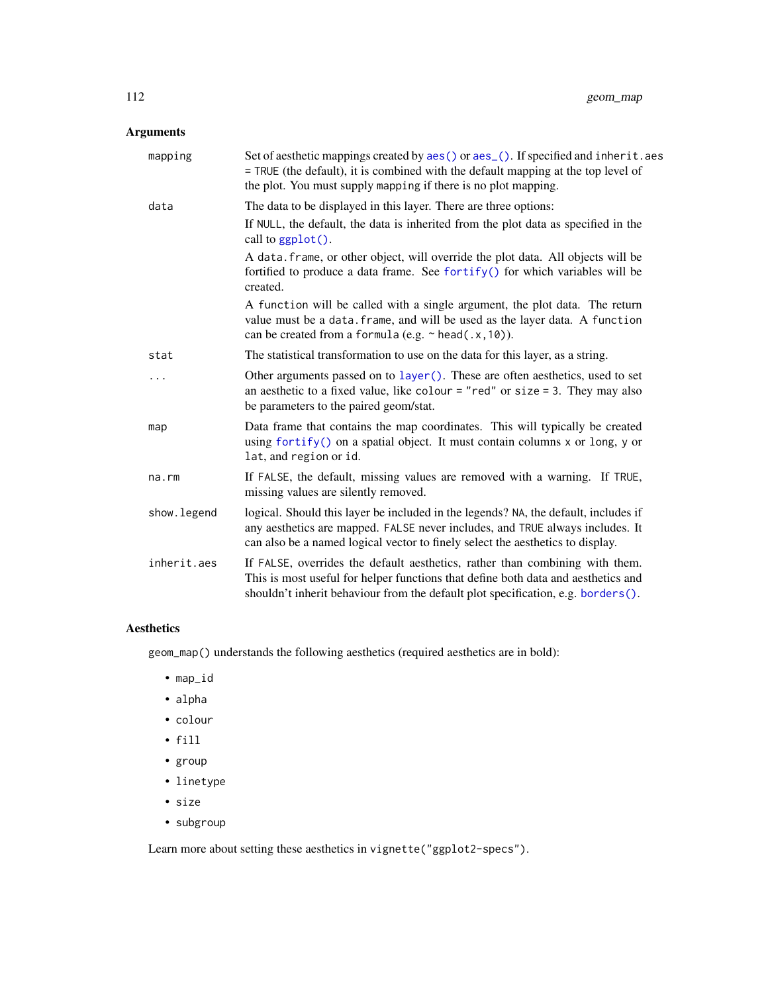# Arguments

| mapping     | Set of aesthetic mappings created by aes() or aes_(). If specified and inherit.aes<br>= TRUE (the default), it is combined with the default mapping at the top level of<br>the plot. You must supply mapping if there is no plot mapping.              |
|-------------|--------------------------------------------------------------------------------------------------------------------------------------------------------------------------------------------------------------------------------------------------------|
| data        | The data to be displayed in this layer. There are three options:<br>If NULL, the default, the data is inherited from the plot data as specified in the<br>call to ggplot().                                                                            |
|             | A data. frame, or other object, will override the plot data. All objects will be<br>fortified to produce a data frame. See fortify() for which variables will be<br>created.                                                                           |
|             | A function will be called with a single argument, the plot data. The return<br>value must be a data. frame, and will be used as the layer data. A function<br>can be created from a formula (e.g. $\sim$ head(.x, 10)).                                |
| stat        | The statistical transformation to use on the data for this layer, as a string.                                                                                                                                                                         |
| .           | Other arguments passed on to layer(). These are often aesthetics, used to set<br>an aesthetic to a fixed value, like colour = "red" or size = 3. They may also<br>be parameters to the paired geom/stat.                                               |
| map         | Data frame that contains the map coordinates. This will typically be created<br>using fortify() on a spatial object. It must contain columns x or long, y or<br>lat, and region or id.                                                                 |
| $na$ . $rm$ | If FALSE, the default, missing values are removed with a warning. If TRUE,<br>missing values are silently removed.                                                                                                                                     |
| show.legend | logical. Should this layer be included in the legends? NA, the default, includes if<br>any aesthetics are mapped. FALSE never includes, and TRUE always includes. It<br>can also be a named logical vector to finely select the aesthetics to display. |
| inherit.aes | If FALSE, overrides the default aesthetics, rather than combining with them.<br>This is most useful for helper functions that define both data and aesthetics and<br>shouldn't inherit behaviour from the default plot specification, e.g. borders().  |

# Aesthetics

geom\_map() understands the following aesthetics (required aesthetics are in bold):

- map\_id
- alpha
- colour
- fill
- group
- linetype
- size
- subgroup

Learn more about setting these aesthetics in vignette("ggplot2-specs").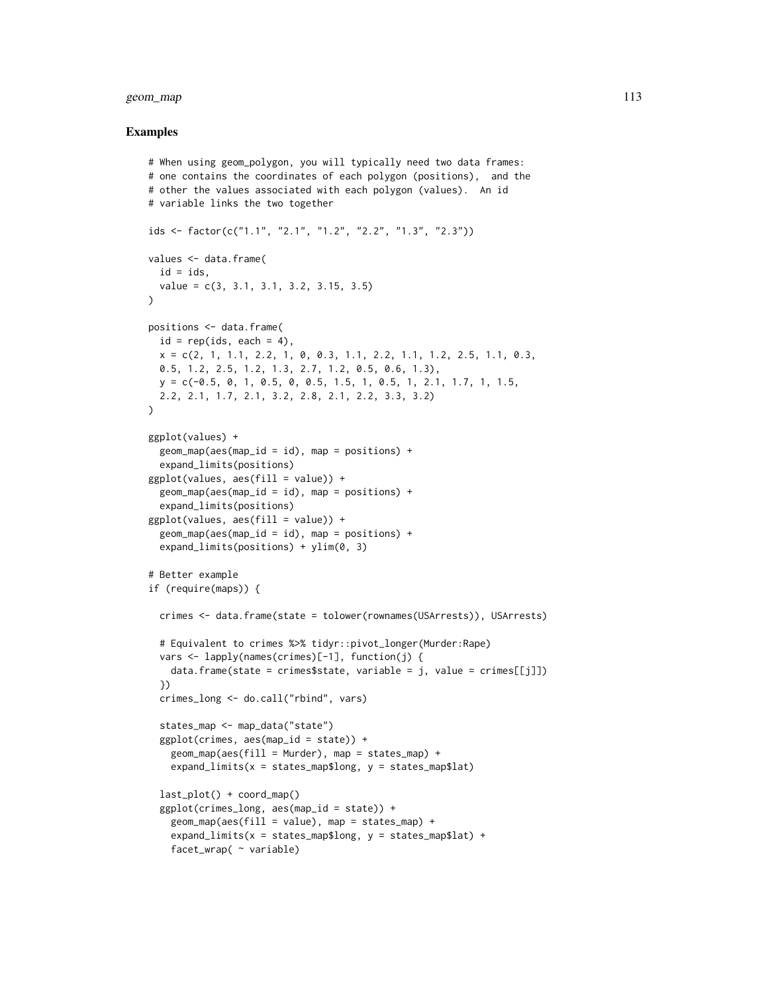#### geom\_map 113

```
# When using geom_polygon, you will typically need two data frames:
# one contains the coordinates of each polygon (positions), and the
# other the values associated with each polygon (values). An id
# variable links the two together
ids <- factor(c("1.1", "2.1", "1.2", "2.2", "1.3", "2.3"))
values <- data.frame(
  id = ids.
  value = c(3, 3.1, 3.1, 3.2, 3.15, 3.5)
)
positions <- data.frame(
  id = rep(ids, each = 4),x = c(2, 1, 1.1, 2.2, 1, 0, 0.3, 1.1, 2.2, 1.1, 1.2, 2.5, 1.1, 0.3,
  0.5, 1.2, 2.5, 1.2, 1.3, 2.7, 1.2, 0.5, 0.6, 1.3),
  y = c(-0.5, 0, 1, 0.5, 0, 0.5, 1.5, 1, 0.5, 1, 2.1, 1.7, 1, 1.5,
  2.2, 2.1, 1.7, 2.1, 3.2, 2.8, 2.1, 2.2, 3.3, 3.2)
)
ggplot(values) +
  geom_map(aes(map_id = id), map = positions) +expand_limits(positions)
ggplot(values, aes(fill = value)) +
  geom_map(aes(map_id = id), map = positions) +expand_limits(positions)
ggplot(values, aes(fill = value)) +geom_map(aes(map_id = id), map = positions) +expand_limits(positions) + ylim(0, 3)
# Better example
if (require(maps)) {
  crimes <- data.frame(state = tolower(rownames(USArrests)), USArrests)
  # Equivalent to crimes %>% tidyr::pivot_longer(Murder:Rape)
  vars <- lapply(names(crimes)[-1], function(j) {
   data.frame(state = crimes$state, variable = j, value = crimes[[j]])
  })
  crimes_long <- do.call("rbind", vars)
  states_map <- map_data("state")
  ggplot(crimes, aes(map_id = state)) +
    geom_map(aes(fill = Murder), map = states_map) +expand_limits(x =states_map$long, y =states_map$lat)
  last_plot() + coord_map()
  ggplot(crimes_long, aes(map_id = state)) +
    geom_map(aes(fill = value), map = states_map) +
    expand_limits(x =states_map$long, y =states_map$lat) +
    facet_wrap( ~ variable)
```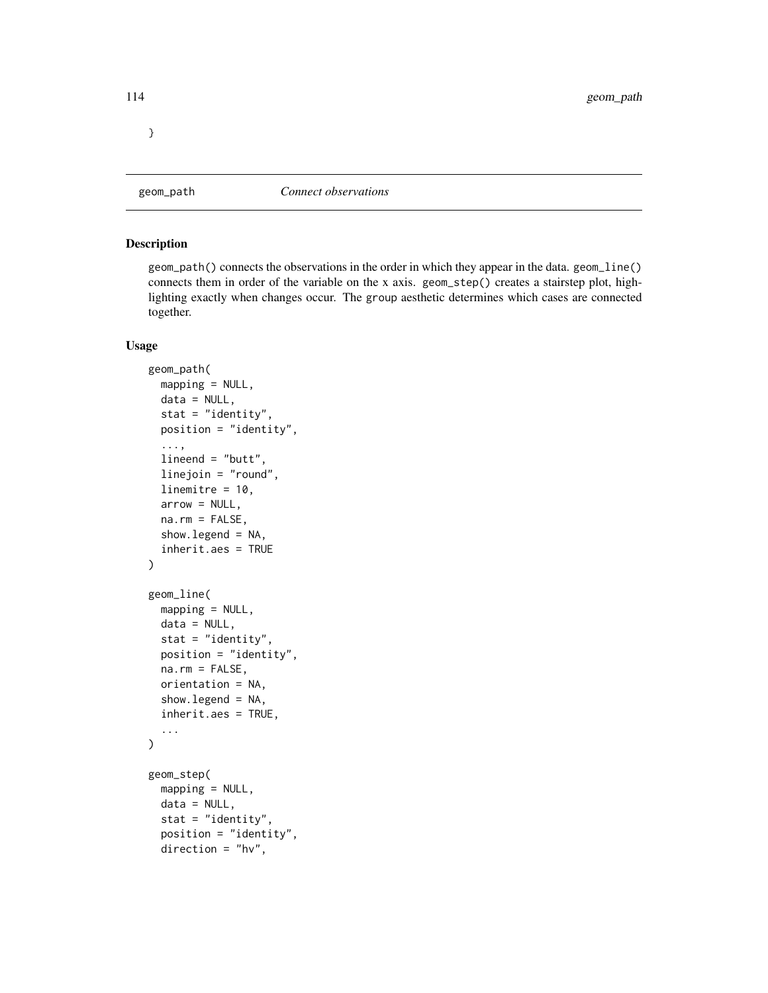}

<span id="page-113-0"></span>

#### <span id="page-113-1"></span>Description

geom\_path() connects the observations in the order in which they appear in the data. geom\_line() connects them in order of the variable on the x axis. geom\_step() creates a stairstep plot, highlighting exactly when changes occur. The group aesthetic determines which cases are connected together.

```
geom_path(
 mapping = NULL,
 data = NULL,stat = "identity",
 position = "identity",
  ...,
  lineend = "butt",
  linejoin = "round",
  linemitre = 10,
  arrow = NULL,
 na.rm = FALSE,
  show.legend = NA,
  inherit.aes = TRUE
)
geom_line(
 mapping = NULL,
 data = NULL,stat = "identity",
 position = "identity",
 na.rm = FALSE,
 orientation = NA,
  show.legend = NA,
  inherit.aes = TRUE,
  ...
)
geom_step(
 mapping = NULL,
 data = NULL,stat = "identity",
  position = "identity",
  direction = "hv",
```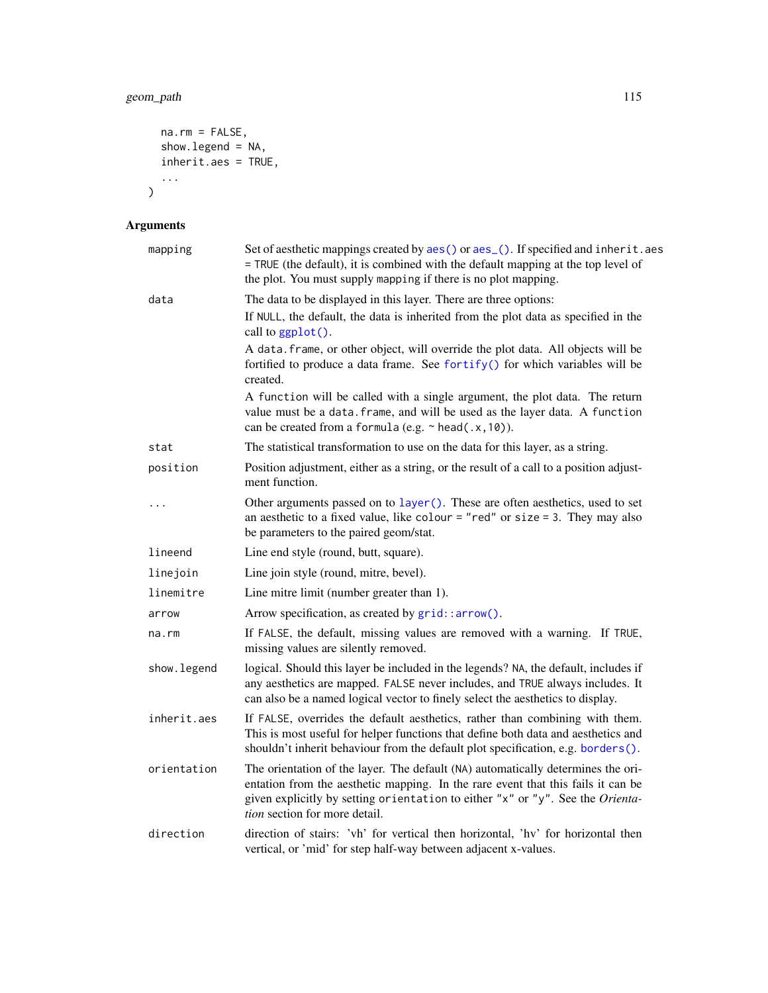# geom\_path 115

```
na.rm = FALSE,show.legend = NA,
inherit.aes = TRUE,
...
```
# Arguments

 $\mathcal{L}$ 

| mapping     | Set of aesthetic mappings created by aes() or aes_(). If specified and inherit.aes<br>= TRUE (the default), it is combined with the default mapping at the top level of<br>the plot. You must supply mapping if there is no plot mapping.                                               |
|-------------|-----------------------------------------------------------------------------------------------------------------------------------------------------------------------------------------------------------------------------------------------------------------------------------------|
| data        | The data to be displayed in this layer. There are three options:                                                                                                                                                                                                                        |
|             | If NULL, the default, the data is inherited from the plot data as specified in the<br>call to ggplot().                                                                                                                                                                                 |
|             | A data. frame, or other object, will override the plot data. All objects will be<br>fortified to produce a data frame. See fortify() for which variables will be<br>created.                                                                                                            |
|             | A function will be called with a single argument, the plot data. The return<br>value must be a data. frame, and will be used as the layer data. A function<br>can be created from a formula (e.g. ~ head(.x, 10)).                                                                      |
| stat        | The statistical transformation to use on the data for this layer, as a string.                                                                                                                                                                                                          |
| position    | Position adjustment, either as a string, or the result of a call to a position adjust-<br>ment function.                                                                                                                                                                                |
| .           | Other arguments passed on to layer (). These are often aesthetics, used to set<br>an aesthetic to a fixed value, like colour = "red" or size = 3. They may also<br>be parameters to the paired geom/stat.                                                                               |
| lineend     | Line end style (round, butt, square).                                                                                                                                                                                                                                                   |
| linejoin    | Line join style (round, mitre, bevel).                                                                                                                                                                                                                                                  |
| linemitre   | Line mitre limit (number greater than 1).                                                                                                                                                                                                                                               |
| arrow       | Arrow specification, as created by grid::arrow().                                                                                                                                                                                                                                       |
| na.rm       | If FALSE, the default, missing values are removed with a warning. If TRUE,<br>missing values are silently removed.                                                                                                                                                                      |
| show.legend | logical. Should this layer be included in the legends? NA, the default, includes if<br>any aesthetics are mapped. FALSE never includes, and TRUE always includes. It<br>can also be a named logical vector to finely select the aesthetics to display.                                  |
| inherit.aes | If FALSE, overrides the default aesthetics, rather than combining with them.<br>This is most useful for helper functions that define both data and aesthetics and<br>shouldn't inherit behaviour from the default plot specification, e.g. borders().                                   |
| orientation | The orientation of the layer. The default (NA) automatically determines the ori-<br>entation from the aesthetic mapping. In the rare event that this fails it can be<br>given explicitly by setting orientation to either "x" or "y". See the Orienta-<br>tion section for more detail. |
| direction   | direction of stairs: 'vh' for vertical then horizontal, 'hv' for horizontal then<br>vertical, or 'mid' for step half-way between adjacent x-values.                                                                                                                                     |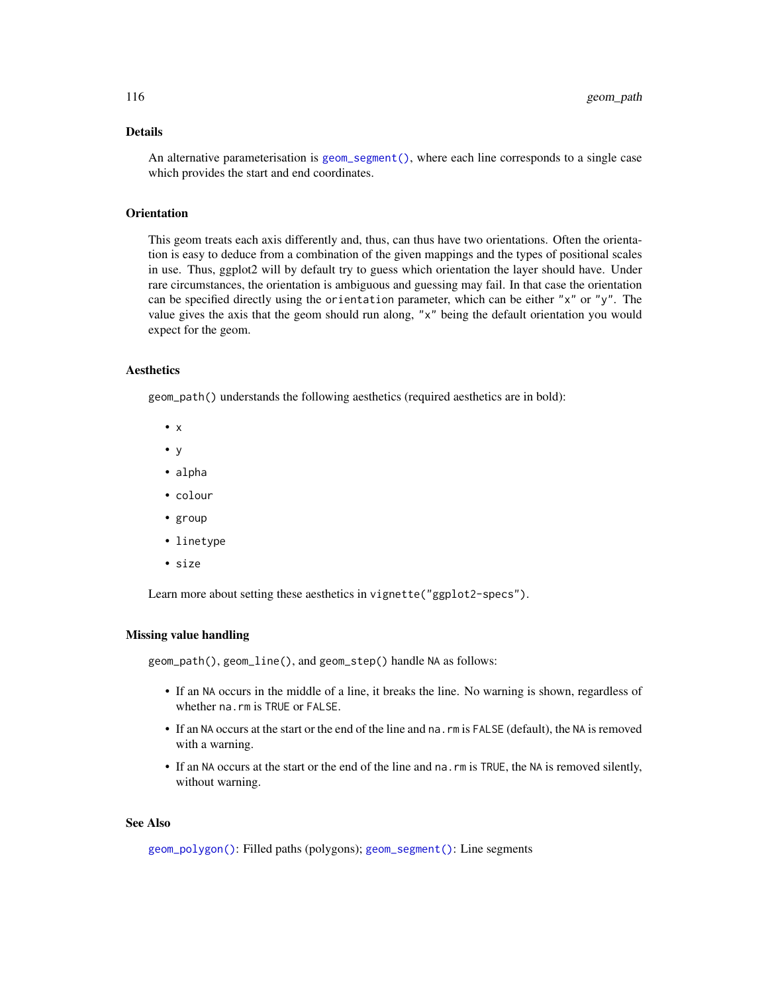### Details

An alternative parameterisation is [geom\\_segment\(\)](#page-137-0), where each line corresponds to a single case which provides the start and end coordinates.

#### **Orientation**

This geom treats each axis differently and, thus, can thus have two orientations. Often the orientation is easy to deduce from a combination of the given mappings and the types of positional scales in use. Thus, ggplot2 will by default try to guess which orientation the layer should have. Under rare circumstances, the orientation is ambiguous and guessing may fail. In that case the orientation can be specified directly using the orientation parameter, which can be either "x" or "y". The value gives the axis that the geom should run along, "x" being the default orientation you would expect for the geom.

#### **Aesthetics**

geom\_path() understands the following aesthetics (required aesthetics are in bold):

- x
- y
- alpha
- colour
- group
- linetype
- size

Learn more about setting these aesthetics in vignette("ggplot2-specs").

#### Missing value handling

geom\_path(), geom\_line(), and geom\_step() handle NA as follows:

- If an NA occurs in the middle of a line, it breaks the line. No warning is shown, regardless of whether na.rm is TRUE or FALSE.
- If an NA occurs at the start or the end of the line and na.rm is FALSE (default), the NA is removed with a warning.
- If an NA occurs at the start or the end of the line and na. rm is TRUE, the NA is removed silently, without warning.

# See Also

[geom\\_polygon\(\)](#page-119-0): Filled paths (polygons); [geom\\_segment\(\)](#page-137-0): Line segments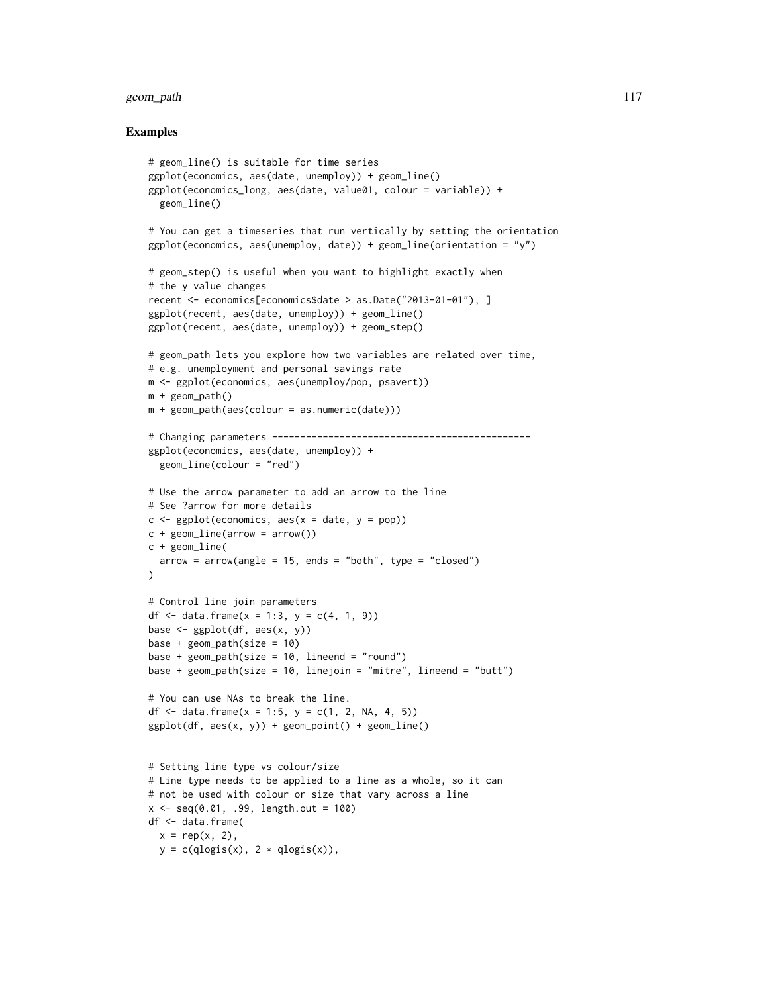# geom\_path 117

```
# geom_line() is suitable for time series
ggplot(economics, aes(date, unemploy)) + geom_line()
ggplot(economics_long, aes(date, value01, colour = variable)) +
  geom_line()
# You can get a timeseries that run vertically by setting the orientation
ggplot(economics, aes(un employ, date)) + geom\_line(orientation = "y")# geom_step() is useful when you want to highlight exactly when
# the y value changes
recent <- economics[economics$date > as.Date("2013-01-01"), ]
ggplot(recent, aes(date, unemploy)) + geom_line()
ggplot(recent, aes(date, unemploy)) + geom_step()
# geom_path lets you explore how two variables are related over time,
# e.g. unemployment and personal savings rate
m <- ggplot(economics, aes(unemploy/pop, psavert))
m + geom_path()
m + geom_path(aes(colour = as.numeric(date)))
# Changing parameters ----------------------------------------------
ggplot(economics, aes(date, unemploy)) +
  geom_line(colour = "red")
# Use the arrow parameter to add an arrow to the line
# See ?arrow for more details
c \leq - ggplot(economics, aes(x = date, y = pop))
c + geom\_line(arrow = arrow())c + geom_line(
  arrow = arrow(name = 15, ends = "both", type = "closed")\lambda# Control line join parameters
df <- data.frame(x = 1:3, y = c(4, 1, 9))
base \leq ggplot(df, aes(x, y))
base + geom\_path(size = 10)base + geom\_path(size = 10, lineend = "round")base + geom_path(size = 10, linejoin = "mitre", lineend = "butt")
# You can use NAs to break the line.
df <- data.frame(x = 1:5, y = c(1, 2, NA, 4, 5))
ggplot(df, aes(x, y)) + geom\_point() + geom\_line()# Setting line type vs colour/size
# Line type needs to be applied to a line as a whole, so it can
# not be used with colour or size that vary across a line
x \leq -\text{seq}(0.01, .99, \text{length.out} = 100)df <- data.frame(
 x = rep(x, 2),
  y = c(qlogis(x), 2 * qlogis(x)),
```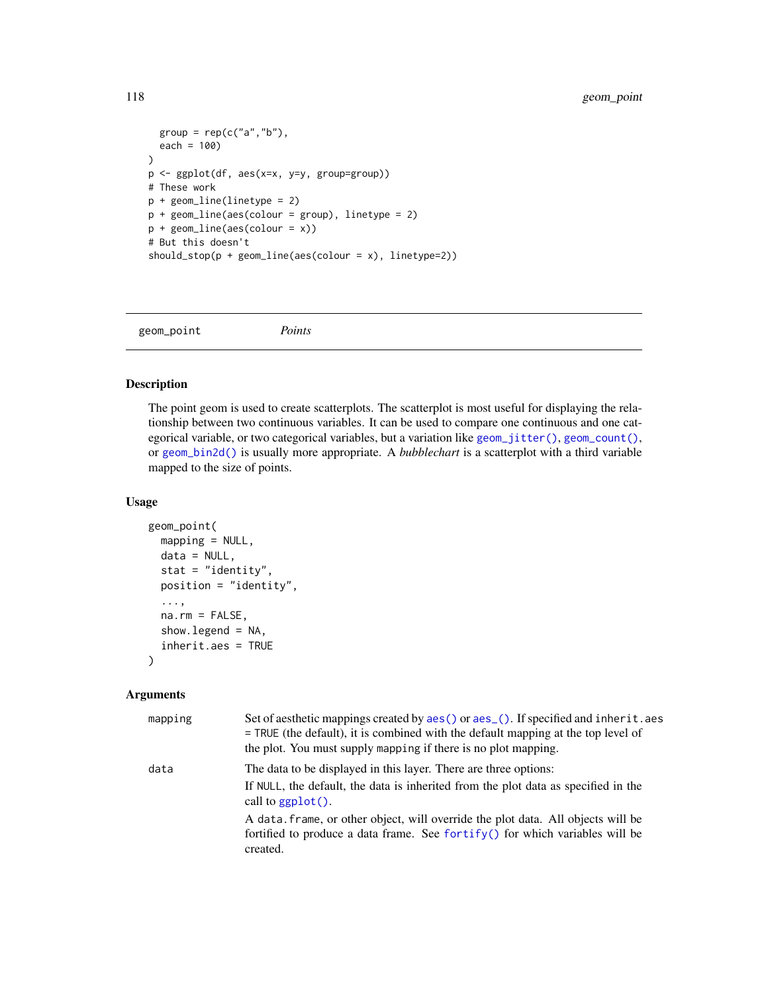```
group = rep(c("a", "b"),each = 100)
p <- ggplot(df, aes(x=x, y=y, group=group))
# These work
p + geom_line(linetype = 2)
p + geom\_line(aes(colour = group), linetype = 2)p + geom_line(aes(colour = x))
# But this doesn't
should_stop(p + geom_line(aes(colour = x), linetype=2))
```
geom\_point *Points*

#### Description

The point geom is used to create scatterplots. The scatterplot is most useful for displaying the relationship between two continuous variables. It can be used to compare one continuous and one categorical variable, or two categorical variables, but a variation like [geom\\_jitter\(\)](#page-103-0), [geom\\_count\(\)](#page-73-0), or [geom\\_bin2d\(\)](#page-61-0) is usually more appropriate. A *bubblechart* is a scatterplot with a third variable mapped to the size of points.

#### Usage

```
geom_point(
 mapping = NULL,
  data = NULL,
  stat = "identity",
 position = "identity",
  ...,
  na.rm = FALSE,
  show.legend = NA,
  inherit.aes = TRUE
)
```
#### Arguments

| mapping | Set of aesthetic mappings created by aes () or aes (). If specified and inherit. aes<br>$=$ TRUE (the default), it is combined with the default mapping at the top level of<br>the plot. You must supply mapping if there is no plot mapping. |
|---------|-----------------------------------------------------------------------------------------------------------------------------------------------------------------------------------------------------------------------------------------------|
| data    | The data to be displayed in this layer. There are three options:<br>If NULL, the default, the data is inherited from the plot data as specified in the<br>call to $ggplot()$ .                                                                |
|         | A data frame, or other object, will override the plot data. All objects will be<br>fortified to produce a data frame. See fortify() for which variables will be<br>created.                                                                   |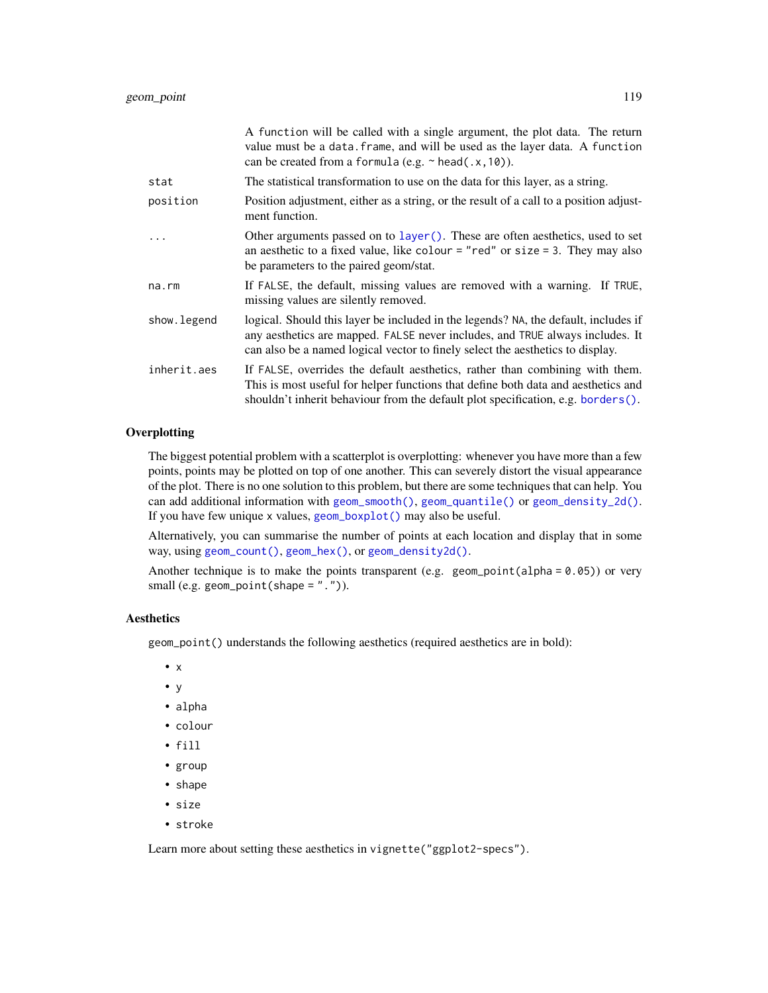|             | A function will be called with a single argument, the plot data. The return<br>value must be a data. frame, and will be used as the layer data. A function<br>can be created from a formula (e.g. $\sim$ head(.x, 10)).                                |
|-------------|--------------------------------------------------------------------------------------------------------------------------------------------------------------------------------------------------------------------------------------------------------|
| stat        | The statistical transformation to use on the data for this layer, as a string.                                                                                                                                                                         |
| position    | Position adjustment, either as a string, or the result of a call to a position adjust-<br>ment function.                                                                                                                                               |
|             | Other arguments passed on to layer (). These are often aesthetics, used to set<br>an aesthetic to a fixed value, like colour = "red" or size = 3. They may also<br>be parameters to the paired geom/stat.                                              |
| na.rm       | If FALSE, the default, missing values are removed with a warning. If TRUE,<br>missing values are silently removed.                                                                                                                                     |
| show.legend | logical. Should this layer be included in the legends? NA, the default, includes if<br>any aesthetics are mapped. FALSE never includes, and TRUE always includes. It<br>can also be a named logical vector to finely select the aesthetics to display. |
| inherit.aes | If FALSE, overrides the default aesthetics, rather than combining with them.<br>This is most useful for helper functions that define both data and aesthetics and<br>shouldn't inherit behaviour from the default plot specification, e.g. borders().  |

# **Overplotting**

The biggest potential problem with a scatterplot is overplotting: whenever you have more than a few points, points may be plotted on top of one another. This can severely distort the visual appearance of the plot. There is no one solution to this problem, but there are some techniques that can help. You can add additional information with [geom\\_smooth\(\)](#page-140-0), [geom\\_quantile\(\)](#page-126-0) or [geom\\_density\\_2d\(\)](#page-83-0). If you have few unique x values, [geom\\_boxplot\(\)](#page-64-0) may also be useful.

Alternatively, you can summarise the number of points at each location and display that in some way, using [geom\\_count\(\)](#page-73-0), [geom\\_hex\(\)](#page-101-0), or [geom\\_density2d\(\)](#page-83-1).

Another technique is to make the points transparent (e.g. geom\_point(alpha =  $0.05$ )) or very small (e.g. geom\_point(shape =  $"$ .")).

#### Aesthetics

geom\_point() understands the following aesthetics (required aesthetics are in bold):

- x
- y
- alpha
- colour
- fill
- group
- shape
- size
- stroke

Learn more about setting these aesthetics in vignette("ggplot2-specs").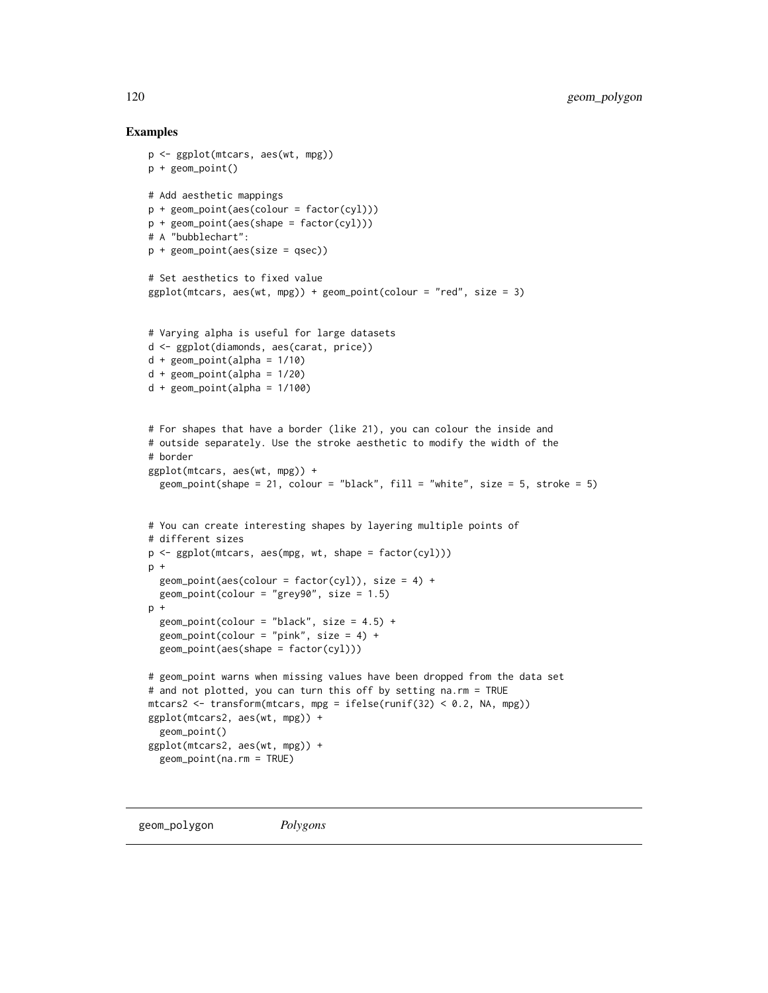```
p <- ggplot(mtcars, aes(wt, mpg))
p + geom_point()
# Add aesthetic mappings
p + geom\_point(aes(colour = factor(cyl)))p + geom_point(aes(shape = factor(cyl)))
# A "bubblechart":
p + geom\_point(aes(size = qsec))# Set aesthetics to fixed value
ggplot(mtcars, aes(wt, mpg)) + geom-point(colour = "red", size = 3)# Varying alpha is useful for large datasets
d <- ggplot(diamonds, aes(carat, price))
d + geom\_point(alpha = 1/10)d + geom_point(alpha = 1/20)
d + geom\_point(alpha = 1/100)# For shapes that have a border (like 21), you can colour the inside and
# outside separately. Use the stroke aesthetic to modify the width of the
# border
ggplot(mtcars, aes(wt, mpg)) +
  geom_point(shape = 21, colour = "black", fill = "white", size = 5, stroke = 5)
# You can create interesting shapes by layering multiple points of
# different sizes
p <- ggplot(mtcars, aes(mpg, wt, shape = factor(cyl)))
p +geom\_point(aes(colour = factor(cyl)), size = 4) +geom\_point(colour = "grey90", size = 1.5)
p +geom\_point(colour = "black", size = 4.5) +
  geom\_point(colour = "pink", size = 4) +
  geom_point(aes(shape = factor(cyl)))
# geom_point warns when missing values have been dropped from the data set
# and not plotted, you can turn this off by setting na.rm = TRUE
mtcars2 <- transform(mtcars, mpg = ifelse(runif(32) < 0.2, NA, mpg))
ggplot(mtcars2, aes(wt, mpg)) +
  geom_point()
ggplot(mtcars2, aes(wt, mpg)) +
  geom_point(na.rm = TRUE)
```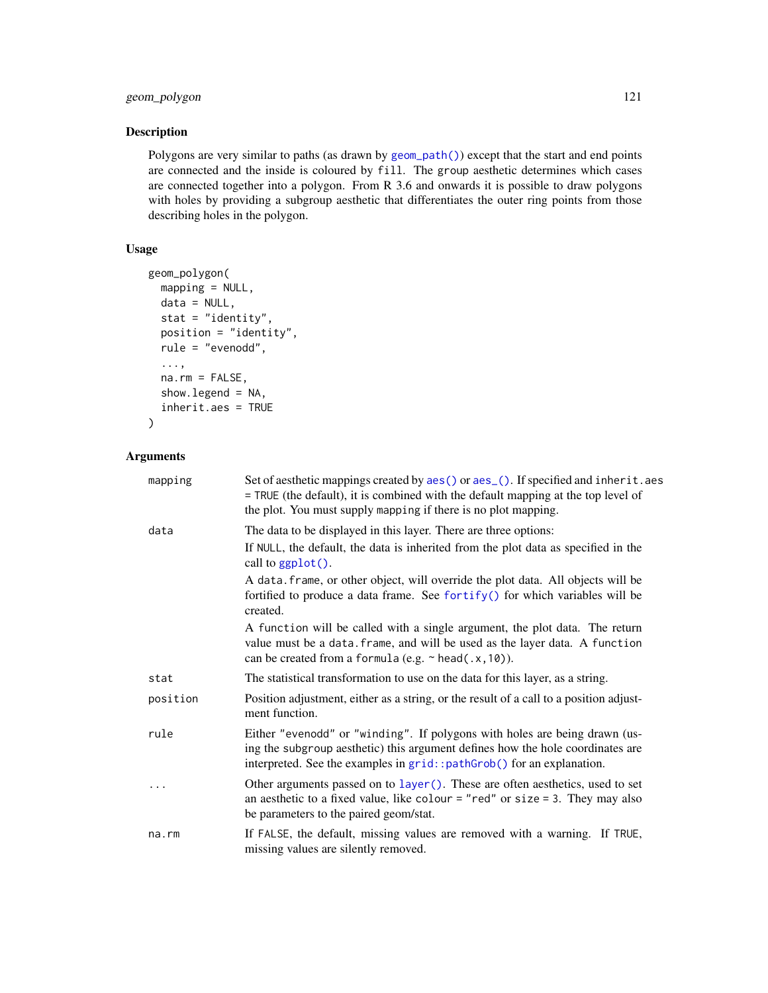# geom\_polygon 121

# Description

Polygons are very similar to paths (as drawn by [geom\\_path\(\)](#page-113-0)) except that the start and end points are connected and the inside is coloured by fill. The group aesthetic determines which cases are connected together into a polygon. From R 3.6 and onwards it is possible to draw polygons with holes by providing a subgroup aesthetic that differentiates the outer ring points from those describing holes in the polygon.

# Usage

```
geom_polygon(
 mapping = NULL,
 data = NULL,
  stat = "identity",
 position = "identity",
  rule = "evenodd",
  ...,
  na.rm = FALSE,show.legend = NA,
  inherit.aes = TRUE
)
```
#### Arguments

| mapping  | Set of aesthetic mappings created by aes() or aes_(). If specified and inherit.aes<br>= TRUE (the default), it is combined with the default mapping at the top level of<br>the plot. You must supply mapping if there is no plot mapping. |
|----------|-------------------------------------------------------------------------------------------------------------------------------------------------------------------------------------------------------------------------------------------|
| data     | The data to be displayed in this layer. There are three options:                                                                                                                                                                          |
|          | If NULL, the default, the data is inherited from the plot data as specified in the<br>call to ggplot().                                                                                                                                   |
|          | A data. frame, or other object, will override the plot data. All objects will be<br>fortified to produce a data frame. See fortify() for which variables will be<br>created.                                                              |
|          | A function will be called with a single argument, the plot data. The return<br>value must be a data. frame, and will be used as the layer data. A function<br>can be created from a formula (e.g. $\sim$ head(.x, 10)).                   |
| stat     | The statistical transformation to use on the data for this layer, as a string.                                                                                                                                                            |
| position | Position adjustment, either as a string, or the result of a call to a position adjust-<br>ment function.                                                                                                                                  |
| rule     | Either "evenodd" or "winding". If polygons with holes are being drawn (us-<br>ing the subgroup aesthetic) this argument defines how the hole coordinates are<br>interpreted. See the examples in grid:: pathGrob() for an explanation.    |
| .        | Other arguments passed on to layer (). These are often aesthetics, used to set<br>an aesthetic to a fixed value, like colour = "red" or size = 3. They may also<br>be parameters to the paired geom/stat.                                 |
| na.rm    | If FALSE, the default, missing values are removed with a warning. If TRUE,<br>missing values are silently removed.                                                                                                                        |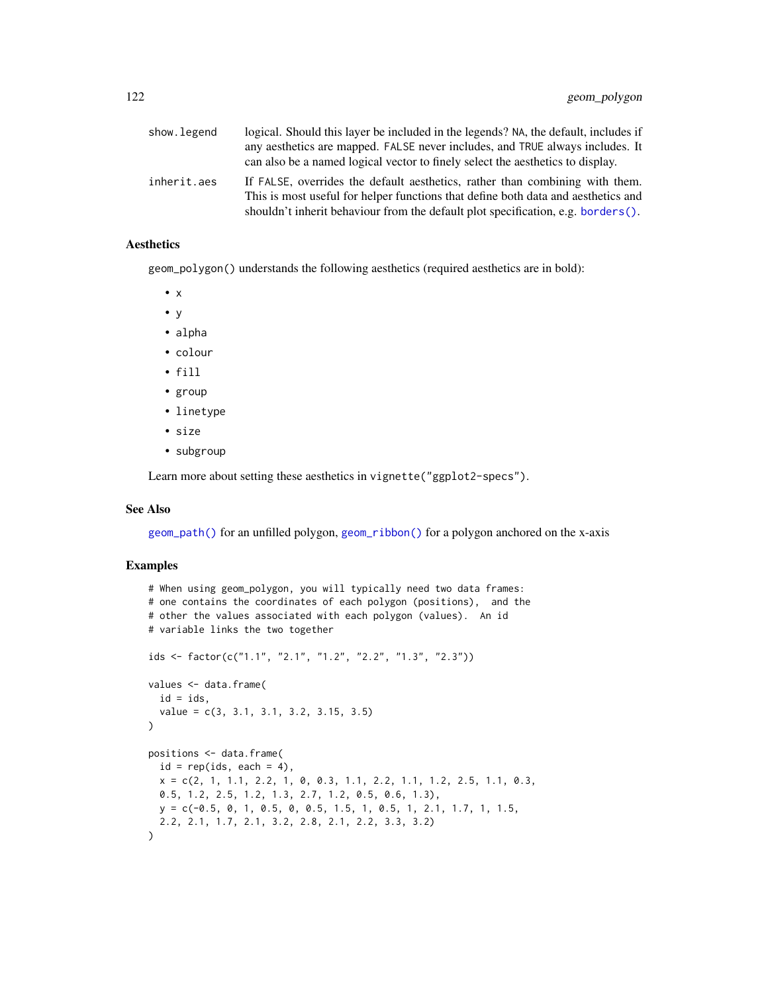| show.legend | logical. Should this layer be included in the legends? NA, the default, includes if<br>any aesthetics are mapped. FALSE never includes, and TRUE always includes. It<br>can also be a named logical vector to finely select the aesthetics to display. |
|-------------|--------------------------------------------------------------------------------------------------------------------------------------------------------------------------------------------------------------------------------------------------------|
| inherit.aes | If FALSE, overrides the default aesthetics, rather than combining with them.<br>This is most useful for helper functions that define both data and aesthetics and<br>shouldn't inherit behaviour from the default plot specification, e.g. borders().  |

#### Aesthetics

geom\_polygon() understands the following aesthetics (required aesthetics are in bold):

- x
- y
- alpha
- colour
- fill
- group
- linetype
- size
- subgroup

Learn more about setting these aesthetics in vignette("ggplot2-specs").

# See Also

[geom\\_path\(\)](#page-113-0) for an unfilled polygon, [geom\\_ribbon\(\)](#page-131-0) for a polygon anchored on the x-axis

```
# When using geom_polygon, you will typically need two data frames:
# one contains the coordinates of each polygon (positions), and the
# other the values associated with each polygon (values). An id
# variable links the two together
ids <- factor(c("1.1", "2.1", "1.2", "2.2", "1.3", "2.3"))
values <- data.frame(
  id = ids,
  value = c(3, 3.1, 3.1, 3.2, 3.15, 3.5)
\lambdapositions <- data.frame(
  id = rep(ids, each = 4),x = c(2, 1, 1.1, 2.2, 1, 0, 0.3, 1.1, 2.2, 1.1, 1.2, 2.5, 1.1, 0.3,0.5, 1.2, 2.5, 1.2, 1.3, 2.7, 1.2, 0.5, 0.6, 1.3),
  y = c(-0.5, 0, 1, 0.5, 0, 0.5, 1.5, 1, 0.5, 1, 2.1, 1.7, 1, 1.5,
  2.2, 2.1, 1.7, 2.1, 3.2, 2.8, 2.1, 2.2, 3.3, 3.2)
\lambda
```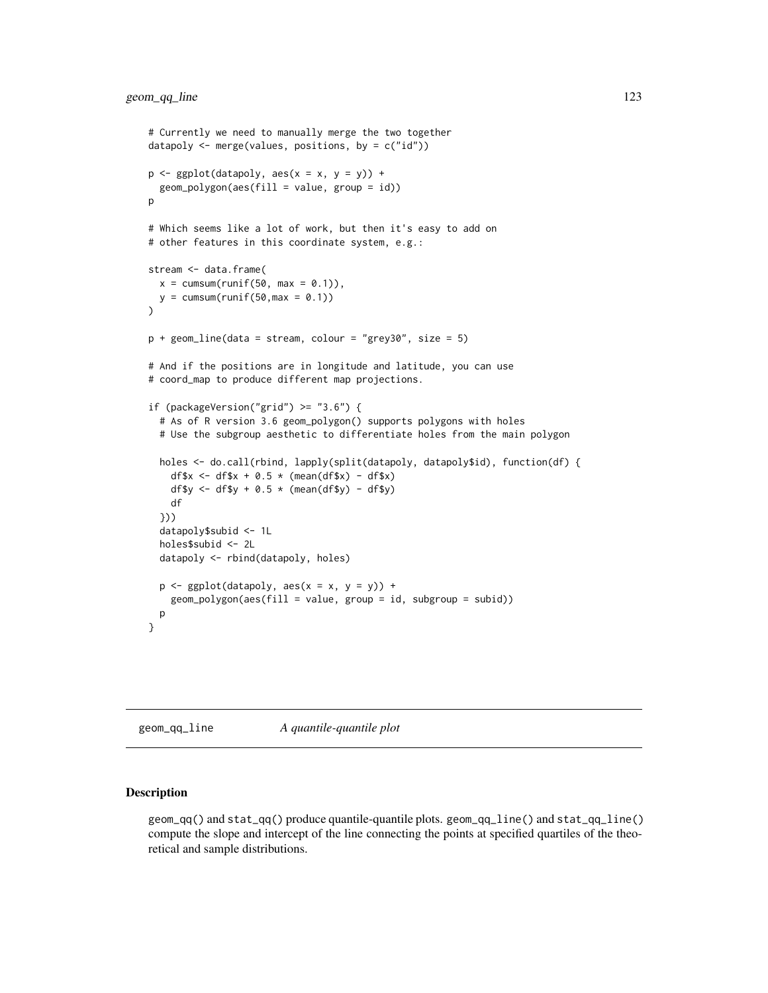```
# Currently we need to manually merge the two together
datapoly <- merge(values, positions, by = c("id"))
p \leftarrow \text{ggplot}(datapoly, aes(x = x, y = y)) +geom_polygon(aes(fill = value, group = id))
p
# Which seems like a lot of work, but then it's easy to add on
# other features in this coordinate system, e.g.:
stream <- data.frame(
 x = \text{cumsum}(\text{runif}(50, \text{max} = 0.1)),y = \text{cumsum}(\text{runif}(50, \text{max} = 0.1))\lambdap + geom_line(data = stream, colour = "grey30", size = 5)
# And if the positions are in longitude and latitude, you can use
# coord_map to produce different map projections.
if (packageVersion("grid") >= "3.6") {
  # As of R version 3.6 geom_polygon() supports polygons with holes
 # Use the subgroup aesthetic to differentiate holes from the main polygon
 holes <- do.call(rbind, lapply(split(datapoly, datapoly$id), function(df) {
    df$x <- df$x + 0.5 * (mean(df$x) - df$x)
   df$y <- df$y + 0.5 \times (mean(df$y) - df$y)
    df
 }))
 datapoly$subid <- 1L
 holes$subid <- 2L
 datapoly <- rbind(datapoly, holes)
 p \leftarrow ggplot(datapoly, aes(x = x, y = y)) +
    geom_polygon(aes(fill = value, group = id, subgroup = subid))
 p
}
```
geom\_qq\_line *A quantile-quantile plot*

#### Description

geom\_qq() and stat\_qq() produce quantile-quantile plots. geom\_qq\_line() and stat\_qq\_line() compute the slope and intercept of the line connecting the points at specified quartiles of the theoretical and sample distributions.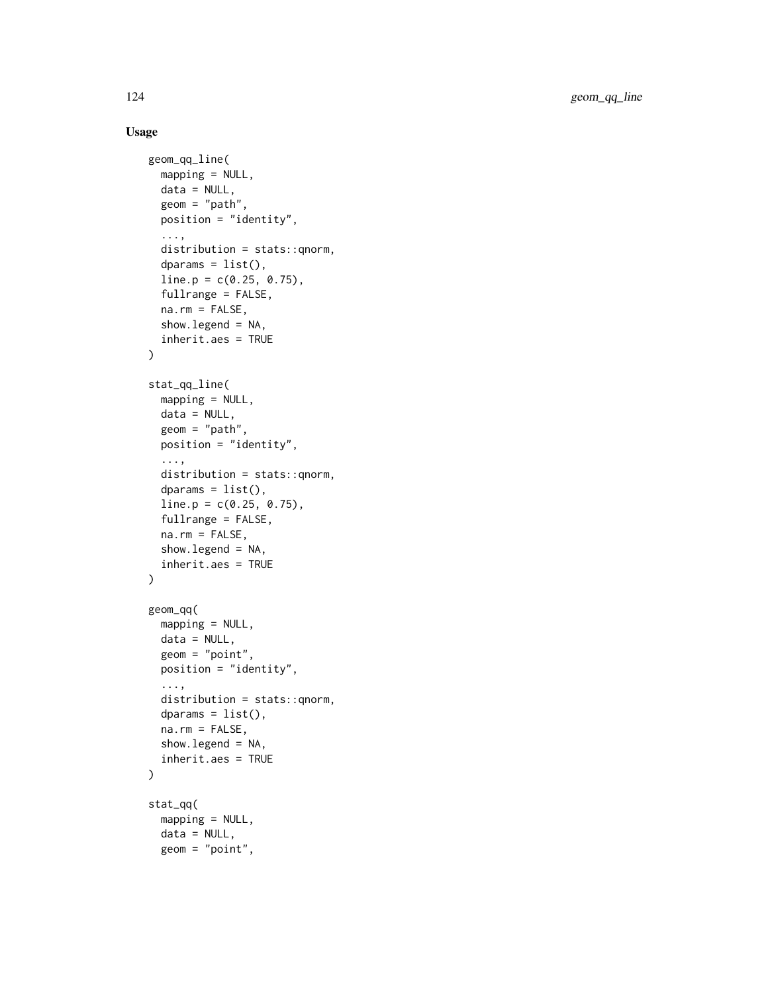```
geom_qq_line(
 mapping = NULL,
 data = NULL,geom = "path",
  position = "identity",
  ...,
  distribution = stats::qnorm,
  dparams = list(),
  line.p = c(0.25, 0.75),
  fullrange = FALSE,
  na.rm = FALSE,
  show.legend = NA,
  inherit.aes = TRUE
\lambdastat_qq_line(
 mapping = NULL,
  data = NULL,geom = "path",
 position = "identity",
  ...,
  distribution = stats::qnorm,
  dparams = list(),
  line.p = c(0.25, 0.75),
  fullrange = FALSE,
 na.rm = FALSE,
  show.legend = NA,
  inherit.aes = TRUE
\mathcal{L}geom_qq(
 mapping = NULL,
 data = NULL,geom = "point",
 position = "identity",
  ...,
  distribution = stats::qnorm,
  dparams = list(),
  na.rm = FALSE,
  show.legend = NA,
  inherit.aes = TRUE
\mathcal{L}stat_qq(
 mapping = NULL,
  data = NULL,geom = "point",
```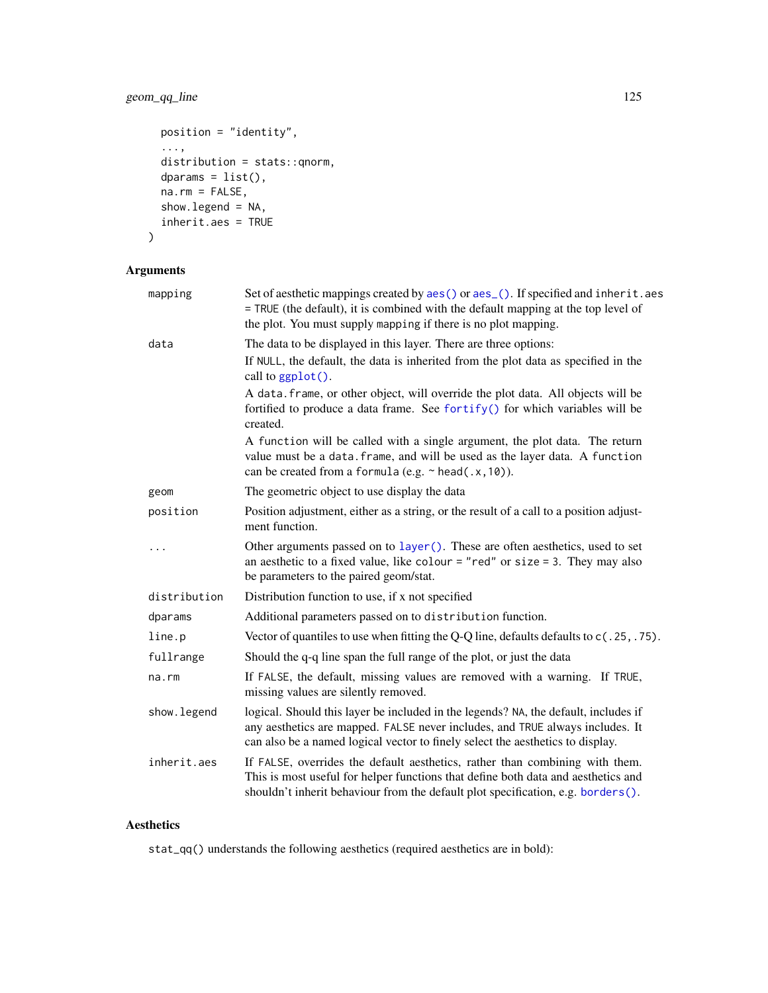# geom\_qq\_line 125

```
position = "identity",
  ...,
 distribution = stats::qnorm,
 dparams = list(),
 na.rm = FALSE,
 show.legend = NA,
 inherit.aes = TRUE
\mathcal{L}
```
# Arguments

| mapping      | Set of aesthetic mappings created by aes() or aes_(). If specified and inherit.aes<br>= TRUE (the default), it is combined with the default mapping at the top level of<br>the plot. You must supply mapping if there is no plot mapping.              |
|--------------|--------------------------------------------------------------------------------------------------------------------------------------------------------------------------------------------------------------------------------------------------------|
| data         | The data to be displayed in this layer. There are three options:                                                                                                                                                                                       |
|              | If NULL, the default, the data is inherited from the plot data as specified in the<br>call to $ggplot()$ .                                                                                                                                             |
|              | A data. frame, or other object, will override the plot data. All objects will be<br>fortified to produce a data frame. See fortify() for which variables will be<br>created.                                                                           |
|              | A function will be called with a single argument, the plot data. The return<br>value must be a data. frame, and will be used as the layer data. A function<br>can be created from a formula (e.g. $\sim$ head(.x, 10)).                                |
| geom         | The geometric object to use display the data                                                                                                                                                                                                           |
| position     | Position adjustment, either as a string, or the result of a call to a position adjust-<br>ment function.                                                                                                                                               |
| .            | Other arguments passed on to layer (). These are often aesthetics, used to set<br>an aesthetic to a fixed value, like colour = "red" or size = 3. They may also<br>be parameters to the paired geom/stat.                                              |
| distribution | Distribution function to use, if x not specified                                                                                                                                                                                                       |
| dparams      | Additional parameters passed on to distribution function.                                                                                                                                                                                              |
| line.p       | Vector of quantiles to use when fitting the Q-Q line, defaults defaults to $c(.25,.75)$ .                                                                                                                                                              |
| fullrange    | Should the q-q line span the full range of the plot, or just the data                                                                                                                                                                                  |
| na.rm        | If FALSE, the default, missing values are removed with a warning. If TRUE,<br>missing values are silently removed.                                                                                                                                     |
| show.legend  | logical. Should this layer be included in the legends? NA, the default, includes if<br>any aesthetics are mapped. FALSE never includes, and TRUE always includes. It<br>can also be a named logical vector to finely select the aesthetics to display. |
| inherit.aes  | If FALSE, overrides the default aesthetics, rather than combining with them.<br>This is most useful for helper functions that define both data and aesthetics and<br>shouldn't inherit behaviour from the default plot specification, e.g. borders().  |

# Aesthetics

stat\_qq() understands the following aesthetics (required aesthetics are in bold):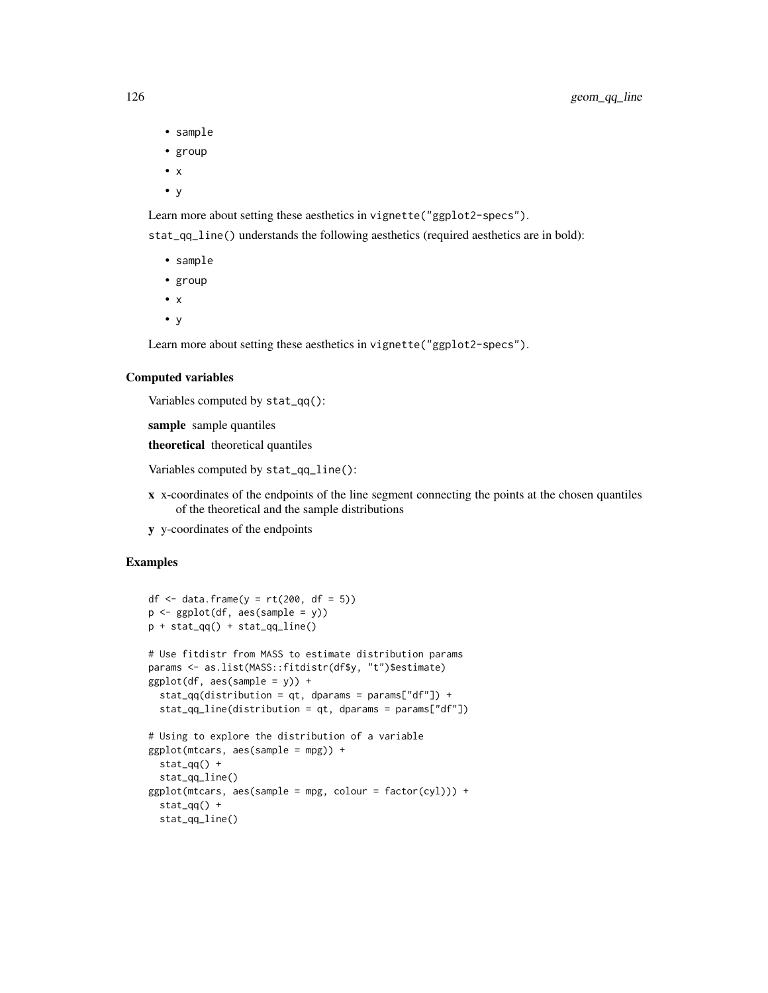- sample
- group
- x
- y

Learn more about setting these aesthetics in vignette("ggplot2-specs").

stat\_qq\_line() understands the following aesthetics (required aesthetics are in bold):

- sample
- group
- x
- y

Learn more about setting these aesthetics in vignette("ggplot2-specs").

#### Computed variables

Variables computed by stat\_qq():

sample sample quantiles

theoretical theoretical quantiles

Variables computed by stat\_qq\_line():

- x x-coordinates of the endpoints of the line segment connecting the points at the chosen quantiles of the theoretical and the sample distributions
- y y-coordinates of the endpoints

```
df \le data.frame(y = rt(200, df = 5))
p \leftarrow \text{ggplot}(df, \text{aes}(\text{sample} = y))p + stat_qq() + stat_qq_line()
# Use fitdistr from MASS to estimate distribution params
params <- as.list(MASS::fitdistr(df$y, "t")$estimate)
ggplot(df, aes(sample = y)) +stat_qq(distribution = qt, dparams = params["df"]) +
 stat_qq_line(distribution = qt, dparams = params["df"])
# Using to explore the distribution of a variable
ggplot(mtcars, aes(sample = mpg)) +
 stat_qq() +stat_qq_line()
ggplot(mtcars, aes(sample = mpg, colour = factor(cyl))) +stat_qq() +stat_qq_line()
```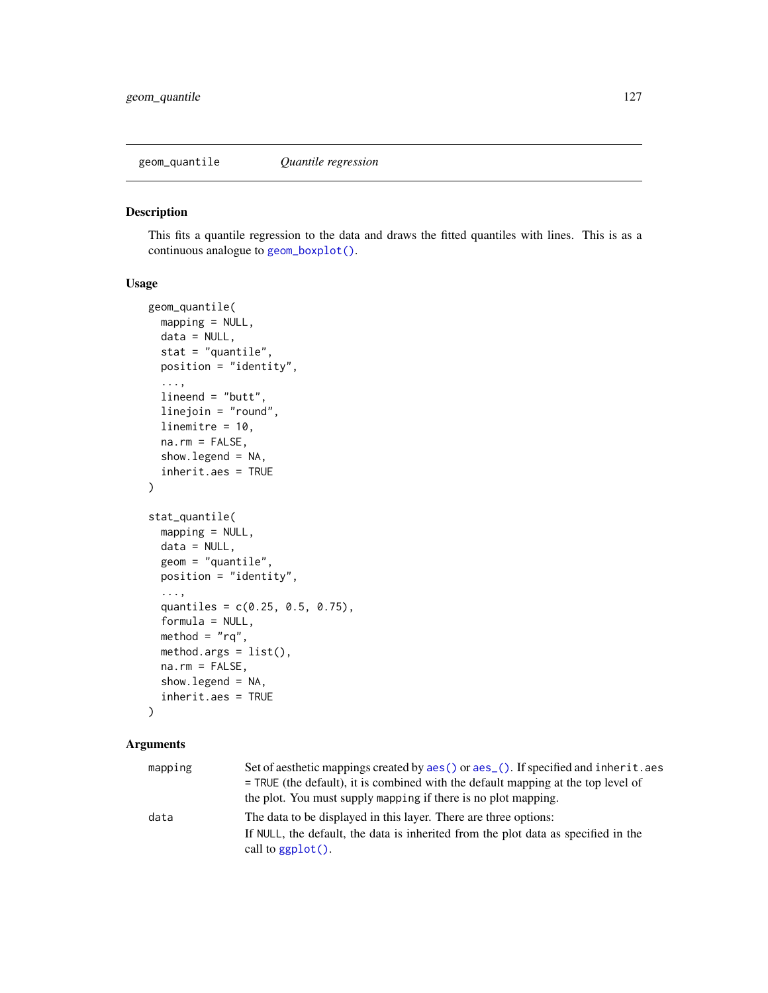<span id="page-126-0"></span>geom\_quantile *Quantile regression*

#### Description

This fits a quantile regression to the data and draws the fitted quantiles with lines. This is as a continuous analogue to [geom\\_boxplot\(\)](#page-64-0).

#### Usage

```
geom_quantile(
 mapping = NULL,
  data = NULL,stat = "quantile",
  position = "identity",
  ...,
  lineend = "butt",
  linejoin = "round",
  linemitre = 10,
  na.rm = FALSE,show.legend = NA,
  inherit.aes = TRUE
)
stat_quantile(
 mapping = NULL,
  data = NULL,geom = "quantile",
  position = "identity",
  ...,
  quantiles = c(0.25, 0.5, 0.75),
  formula = NULL,
 method = "rq",method.args = list(),
  na.rm = FALSE,
  show.legend = NA,
  inherit.aes = TRUE
\lambda
```
# Arguments

| mapping | Set of aesthetic mappings created by aes () or aes (). If specified and inherit. aes |
|---------|--------------------------------------------------------------------------------------|
|         | $=$ TRUE (the default), it is combined with the default mapping at the top level of  |
|         | the plot. You must supply mapping if there is no plot mapping.                       |
| data    | The data to be displayed in this layer. There are three options:                     |
|         | If NULL, the default, the data is inherited from the plot data as specified in the   |
|         | call to $ggplot()$ .                                                                 |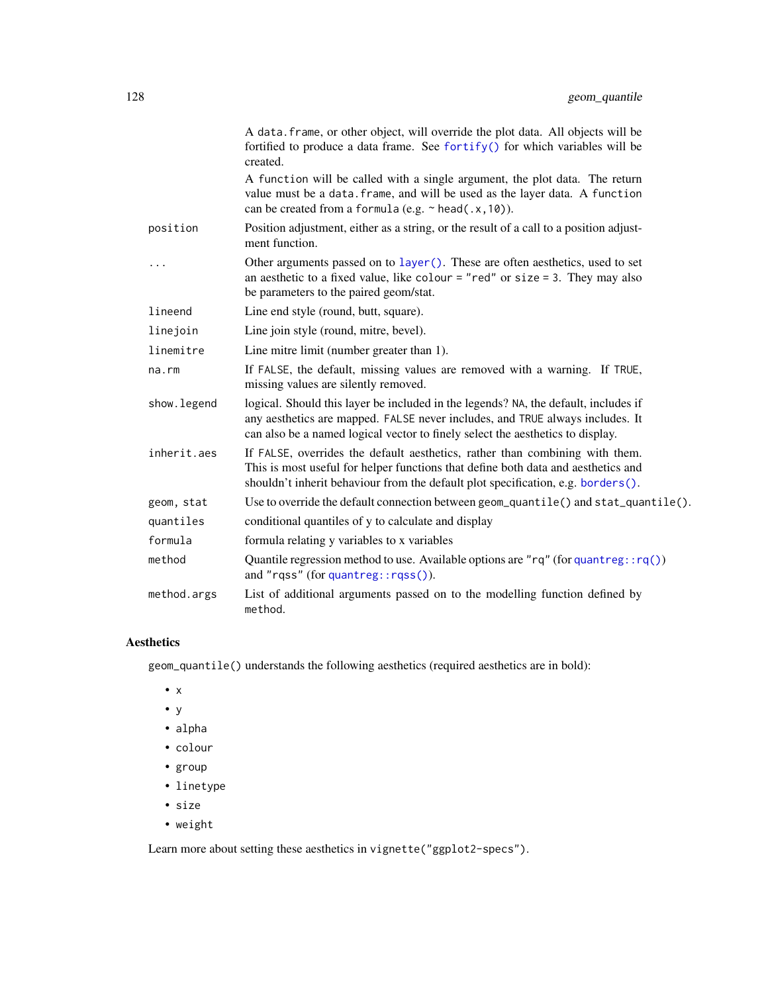|             | A data. frame, or other object, will override the plot data. All objects will be<br>fortified to produce a data frame. See fortify() for which variables will be<br>created.                                                                           |
|-------------|--------------------------------------------------------------------------------------------------------------------------------------------------------------------------------------------------------------------------------------------------------|
|             | A function will be called with a single argument, the plot data. The return<br>value must be a data. frame, and will be used as the layer data. A function<br>can be created from a formula (e.g. $\sim$ head(.x, 10)).                                |
| position    | Position adjustment, either as a string, or the result of a call to a position adjust-<br>ment function.                                                                                                                                               |
| .           | Other arguments passed on to layer (). These are often aesthetics, used to set<br>an aesthetic to a fixed value, like colour = "red" or size = $3$ . They may also<br>be parameters to the paired geom/stat.                                           |
| lineend     | Line end style (round, butt, square).                                                                                                                                                                                                                  |
| linejoin    | Line join style (round, mitre, bevel).                                                                                                                                                                                                                 |
| linemitre   | Line mitre limit (number greater than 1).                                                                                                                                                                                                              |
| na.rm       | If FALSE, the default, missing values are removed with a warning. If TRUE,<br>missing values are silently removed.                                                                                                                                     |
| show.legend | logical. Should this layer be included in the legends? NA, the default, includes if<br>any aesthetics are mapped. FALSE never includes, and TRUE always includes. It<br>can also be a named logical vector to finely select the aesthetics to display. |
| inherit.aes | If FALSE, overrides the default aesthetics, rather than combining with them.<br>This is most useful for helper functions that define both data and aesthetics and<br>shouldn't inherit behaviour from the default plot specification, e.g. borders().  |
| geom, stat  | Use to override the default connection between geom_quantile() and stat_quantile().                                                                                                                                                                    |
| quantiles   | conditional quantiles of y to calculate and display                                                                                                                                                                                                    |
| formula     | formula relating y variables to x variables                                                                                                                                                                                                            |
| method      | Quantile regression method to use. Available options are "rq" (for quantreg: $rq()$ )<br>and "rqss" (for quantreg::rqss()).                                                                                                                            |
| method.args | List of additional arguments passed on to the modelling function defined by<br>method.                                                                                                                                                                 |

# Aesthetics

geom\_quantile() understands the following aesthetics (required aesthetics are in bold):

- x
- y
- alpha
- colour
- group
- linetype
- size
- weight

Learn more about setting these aesthetics in vignette("ggplot2-specs").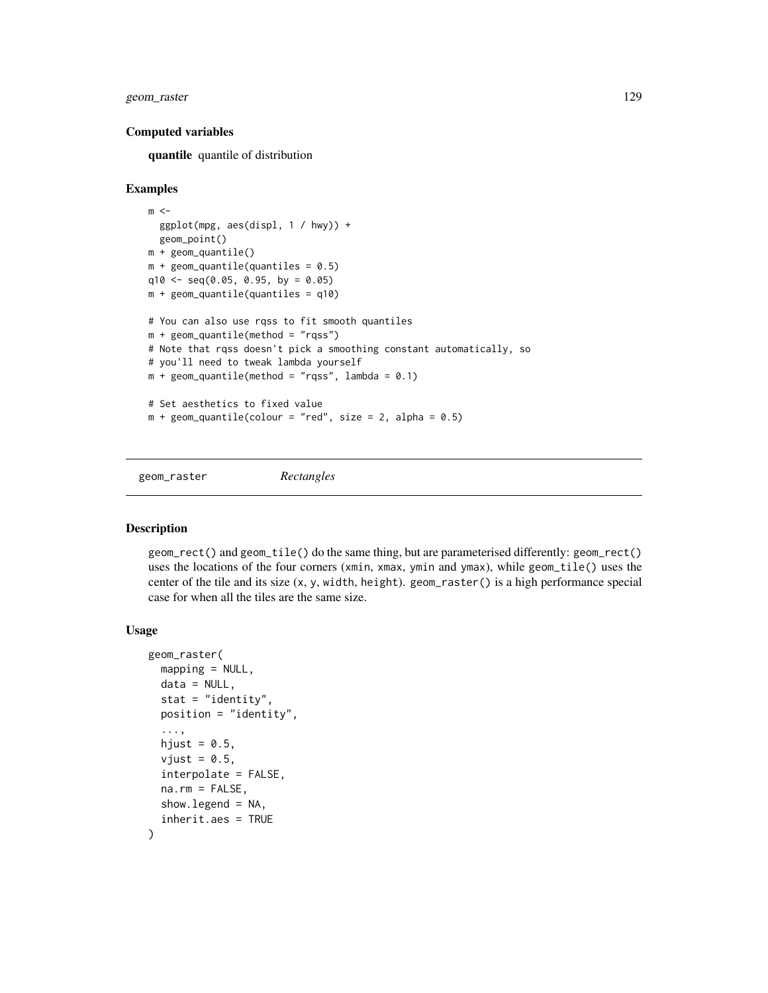# geom\_raster 129

#### Computed variables

quantile quantile of distribution

#### Examples

```
m < -ggplot(mpg, aes(displ, 1 / hwy)) +
  geom_point()
m + geom_quantile()
m + geom_quantile (quantiles = 0.5)
q10 <- seq(0.05, 0.95, by = 0.05)m + geom\_quantile (quantiles = q10)
# You can also use rqss to fit smooth quantiles
m + geom\_quantile(method = "rqss")# Note that rqss doesn't pick a smoothing constant automatically, so
# you'll need to tweak lambda yourself
m + geom\_quantile(method = "rqss", lambda = 0.1)# Set aesthetics to fixed value
m + geom\_quantile (colour = "red", size = 2, alpha = 0.5)
```
geom\_raster *Rectangles*

#### Description

geom\_rect() and geom\_tile() do the same thing, but are parameterised differently: geom\_rect() uses the locations of the four corners (xmin, xmax, ymin and ymax), while geom\_tile() uses the center of the tile and its size (x, y, width, height). geom\_raster() is a high performance special case for when all the tiles are the same size.

```
geom_raster(
 mapping = NULL,
 data = NULL,stat = "identity",
 position = "identity",
  ...,
 hjust = 0.5,
  vjust = 0.5,
  interpolate = FALSE,
  na.rm = FALSE,
  show. legend = NA,
  inherit.aes = TRUE
)
```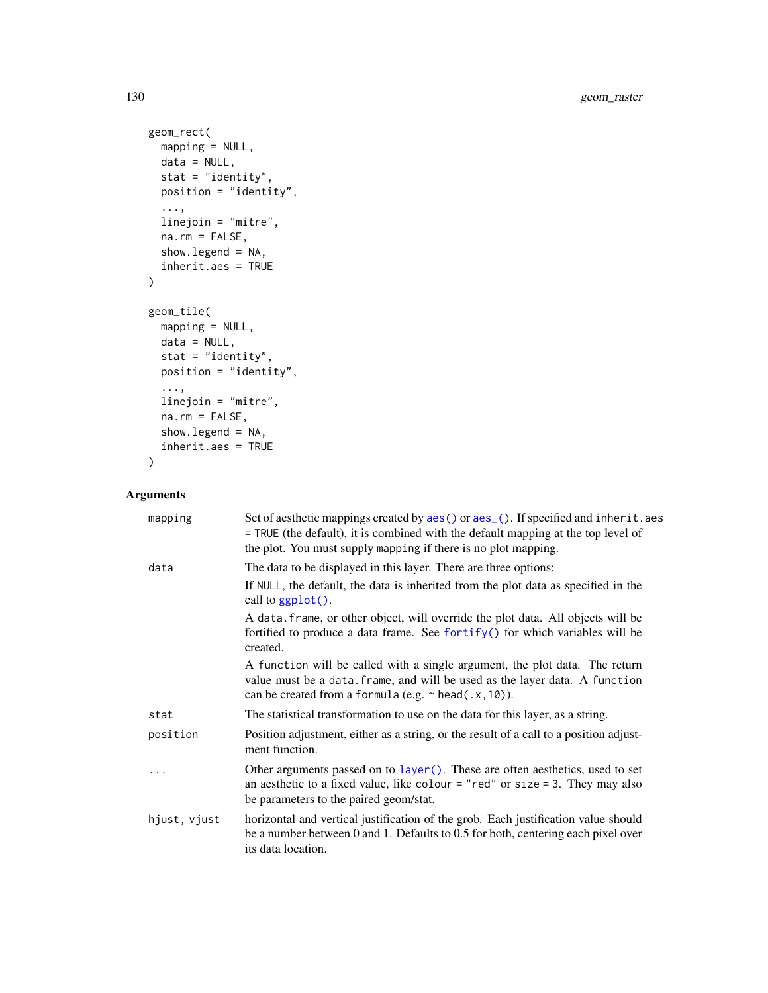```
geom_rect(
  mapping = NULL,
  data = NULL,
  stat = "identity",
  position = "identity",
  ...,
  linejoin = "mitre",
  na.rm = FALSE,show.legend = NA,
  inherit.aes = TRUE
\mathcal{L}geom_tile(
  mapping = NULL,data = NULL,
  stat = "identity",
  position = "identity",
  ...,
  linejoin = "mitre",
  na.rm = FALSE,show.legend = NA,
  inherit.aes = TRUE
\mathcal{L}
```
# Arguments

| mapping      | Set of aesthetic mappings created by aes() or aes_(). If specified and inherit.aes<br>= TRUE (the default), it is combined with the default mapping at the top level of<br>the plot. You must supply mapping if there is no plot mapping. |
|--------------|-------------------------------------------------------------------------------------------------------------------------------------------------------------------------------------------------------------------------------------------|
| data         | The data to be displayed in this layer. There are three options:                                                                                                                                                                          |
|              | If NULL, the default, the data is inherited from the plot data as specified in the<br>call to ggplot().                                                                                                                                   |
|              | A data. frame, or other object, will override the plot data. All objects will be<br>fortified to produce a data frame. See fortify() for which variables will be<br>created.                                                              |
|              | A function will be called with a single argument, the plot data. The return<br>value must be a data. frame, and will be used as the layer data. A function<br>can be created from a formula (e.g. $\sim$ head(.x, 10)).                   |
| stat         | The statistical transformation to use on the data for this layer, as a string.                                                                                                                                                            |
| position     | Position adjustment, either as a string, or the result of a call to a position adjust-<br>ment function.                                                                                                                                  |
|              | Other arguments passed on to layer (). These are often aesthetics, used to set<br>an aesthetic to a fixed value, like colour = "red" or size = 3. They may also<br>be parameters to the paired geom/stat.                                 |
| hjust, vjust | horizontal and vertical justification of the grob. Each justification value should<br>be a number between 0 and 1. Defaults to $0.5$ for both, centering each pixel over<br>its data location.                                            |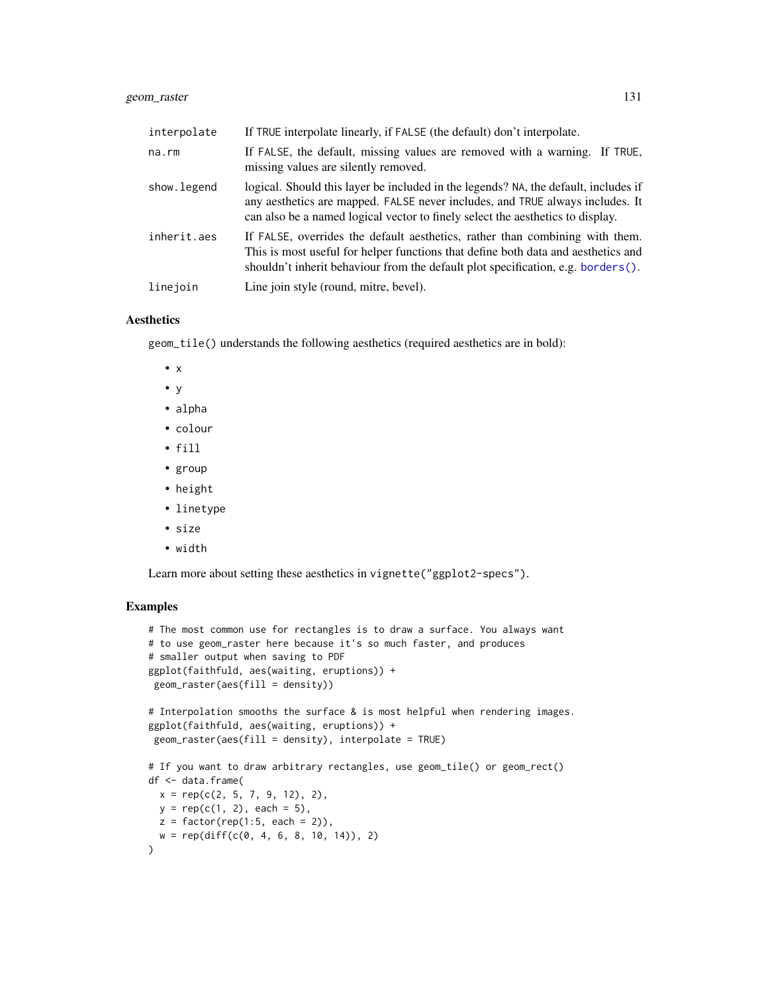# geom\_raster 131

| interpolate | If TRUE interpolate linearly, if FALSE (the default) don't interpolate.                                                                                                                                                                                |
|-------------|--------------------------------------------------------------------------------------------------------------------------------------------------------------------------------------------------------------------------------------------------------|
| $na$ . $rm$ | If FALSE, the default, missing values are removed with a warning. If TRUE,<br>missing values are silently removed.                                                                                                                                     |
| show.legend | logical. Should this layer be included in the legends? NA, the default, includes if<br>any aesthetics are mapped. FALSE never includes, and TRUE always includes. It<br>can also be a named logical vector to finely select the aesthetics to display. |
| inherit.aes | If FALSE, overrides the default aesthetics, rather than combining with them.<br>This is most useful for helper functions that define both data and aesthetics and<br>shouldn't inherit behaviour from the default plot specification, e.g. borders().  |
| linejoin    | Line join style (round, mitre, bevel).                                                                                                                                                                                                                 |

#### Aesthetics

geom\_tile() understands the following aesthetics (required aesthetics are in bold):

- $\bullet$  x
- y
- alpha
- colour
- fill
- group
- height
- linetype
- size
- width

Learn more about setting these aesthetics in vignette("ggplot2-specs").

```
# The most common use for rectangles is to draw a surface. You always want
# to use geom_raster here because it's so much faster, and produces
# smaller output when saving to PDF
ggplot(faithfuld, aes(waiting, eruptions)) +
geom\_raster(aes(fill = density))# Interpolation smooths the surface & is most helpful when rendering images.
ggplot(faithfuld, aes(waiting, eruptions)) +
geom_raster(aes(fill = density), interpolate = TRUE)
# If you want to draw arbitrary rectangles, use geom_tile() or geom_rect()
df <- data.frame(
 x = rep(c(2, 5, 7, 9, 12), 2),y = rep(c(1, 2), each = 5),z = factor(rep(1:5, each = 2)),w = rep(diff(c(0, 4, 6, 8, 10, 14)), 2))
```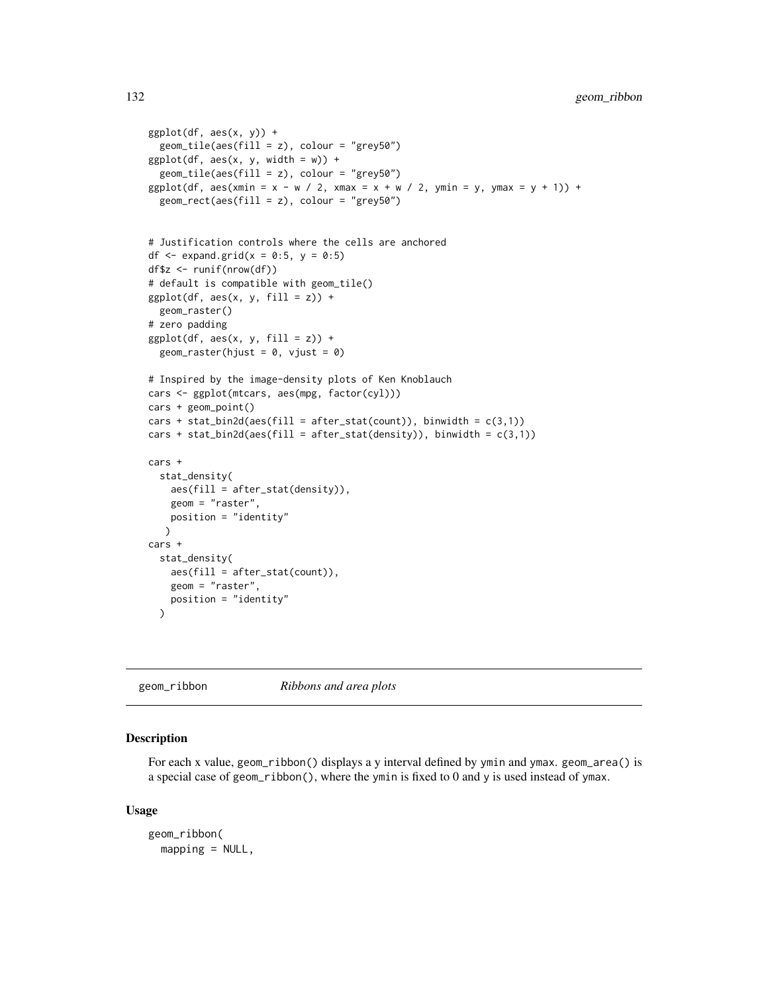```
ggplot(df, aes(x, y)) +geom_tile(aes(fill = z), colour = "grey50")
ggplot(df, aes(x, y, width = w)) +geom_tile(aes(fill = z), colour = "grey50")
ggplot(df, aes(xmin = x - w / 2, xmax = x + w / 2, ymin = y, ymax = y + 1)) +
  geom_rect(aes(fill = z), colour = "grey50")
# Justification controls where the cells are anchored
df \leq expand.grid(x = 0:5, y = 0:5)
df$z <- runif(nrow(df))
# default is compatible with geom_tile()
ggplot(df, aes(x, y, fill = z)) +geom_raster()
# zero padding
ggplot(df, aes(x, y, fill = z)) +geom\_raster(hjust = 0, vjust = 0)# Inspired by the image-density plots of Ken Knoblauch
cars <- ggplot(mtcars, aes(mpg, factor(cyl)))
cars + geom_point()
cars + stat_bin2d(aes(fill = after_stat(count)), binwidth = c(3,1))
cars + stat_bin2d(aes(fill = after_stat(density)), binwidth = c(3,1))
cars +
  stat_density(
   aes(fill = after_stat(density)),
   geom = "raster",
   position = "identity"
   )
cars +
  stat_density(
   aes(fill = after_stat(count)),
   geom = "raster",
   position = "identity"
  \lambda
```
<span id="page-131-0"></span>geom\_ribbon *Ribbons and area plots*

#### Description

For each x value, geom\_ribbon() displays a y interval defined by ymin and ymax. geom\_area() is a special case of geom\_ribbon(), where the ymin is fixed to 0 and y is used instead of ymax.

```
geom_ribbon(
 mapping = NULL,
```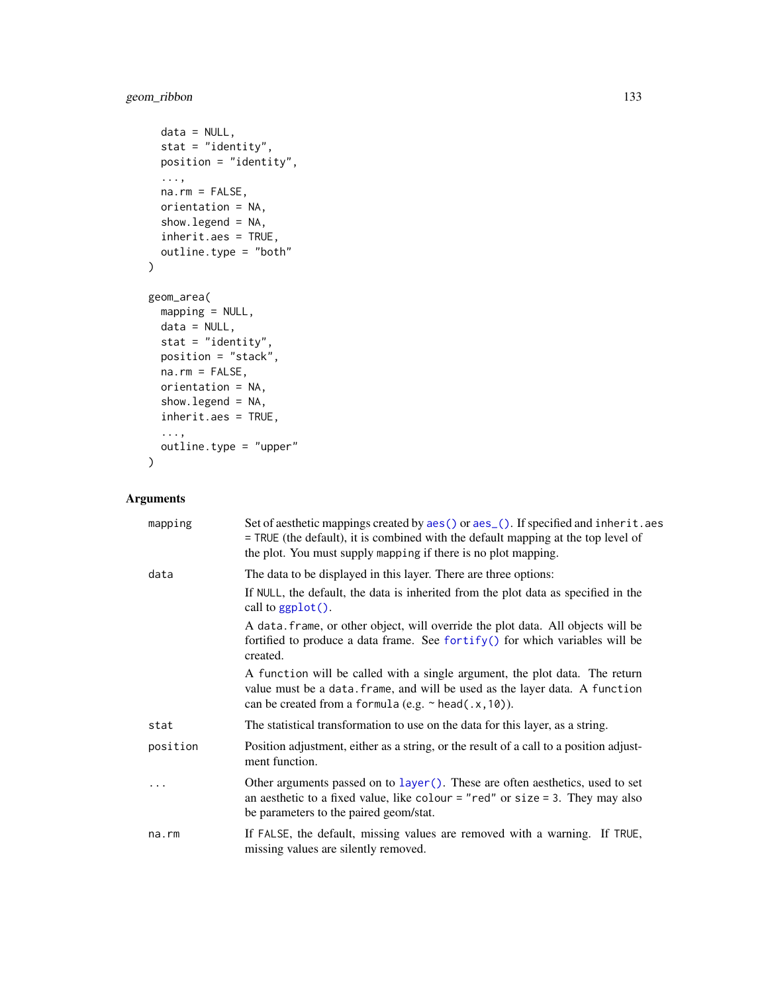# geom\_ribbon 133

```
data = NULL,stat = "identity",
 position = "identity",
  ...,
 na.rm = FALSE,
 orientation = NA,
 show.legend = NA,
 inherit.aes = TRUE,
 outline.type = "both"
)
geom_area(
 mapping = NULL,
 data = NULL,stat = "identity",
 position = "stack",
 na.rm = FALSE,
 orientation = NA,
 show.legend = NA,
 inherit.aes = TRUE,
 ...,
 outline.type = "upper"
)
```
# Arguments

| mapping  | Set of aesthetic mappings created by aes () or aes_(). If specified and inherit.aes<br>= TRUE (the default), it is combined with the default mapping at the top level of<br>the plot. You must supply mapping if there is no plot mapping. |
|----------|--------------------------------------------------------------------------------------------------------------------------------------------------------------------------------------------------------------------------------------------|
| data     | The data to be displayed in this layer. There are three options:                                                                                                                                                                           |
|          | If NULL, the default, the data is inherited from the plot data as specified in the<br>call to $ggplot()$ .                                                                                                                                 |
|          | A data. frame, or other object, will override the plot data. All objects will be<br>fortified to produce a data frame. See fortify() for which variables will be<br>created.                                                               |
|          | A function will be called with a single argument, the plot data. The return<br>value must be a data. frame, and will be used as the layer data. A function<br>can be created from a formula (e.g. $\sim$ head(.x, 10)).                    |
| stat     | The statistical transformation to use on the data for this layer, as a string.                                                                                                                                                             |
| position | Position adjustment, either as a string, or the result of a call to a position adjust-<br>ment function.                                                                                                                                   |
|          | Other arguments passed on to layer (). These are often aesthetics, used to set<br>an aesthetic to a fixed value, like colour = "red" or size = 3. They may also<br>be parameters to the paired geom/stat.                                  |
| na.rm    | If FALSE, the default, missing values are removed with a warning. If TRUE,<br>missing values are silently removed.                                                                                                                         |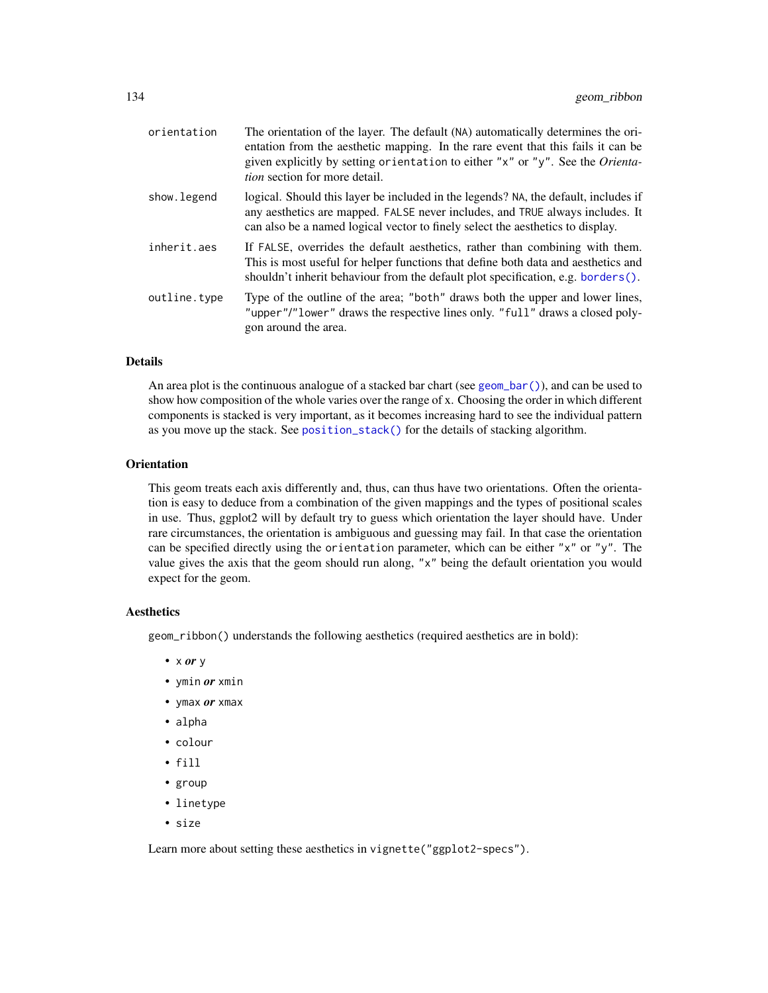| orientation  | The orientation of the layer. The default (NA) automatically determines the ori-<br>entation from the aesthetic mapping. In the rare event that this fails it can be<br>given explicitly by setting orientation to either "x" or "y". See the Orienta-<br><i>tion</i> section for more detail. |
|--------------|------------------------------------------------------------------------------------------------------------------------------------------------------------------------------------------------------------------------------------------------------------------------------------------------|
| show. legend | logical. Should this layer be included in the legends? NA, the default, includes if<br>any aesthetics are mapped. FALSE never includes, and TRUE always includes. It<br>can also be a named logical vector to finely select the aesthetics to display.                                         |
| inherit.aes  | If FALSE, overrides the default aesthetics, rather than combining with them.<br>This is most useful for helper functions that define both data and aesthetics and<br>shouldn't inherit behaviour from the default plot specification, e.g. borders $()$ .                                      |
| outline.type | Type of the outline of the area; "both" draws both the upper and lower lines,<br>"upper"/"lower" draws the respective lines only. "full" draws a closed poly-<br>gon around the area.                                                                                                          |

#### Details

An area plot is the continuous analogue of a stacked bar chart (see [geom\\_bar\(\)](#page-57-0)), and can be used to show how composition of the whole varies over the range of x. Choosing the order in which different components is stacked is very important, as it becomes increasing hard to see the individual pattern as you move up the stack. See [position\\_stack\(\)](#page-196-0) for the details of stacking algorithm.

#### **Orientation**

This geom treats each axis differently and, thus, can thus have two orientations. Often the orientation is easy to deduce from a combination of the given mappings and the types of positional scales in use. Thus, ggplot2 will by default try to guess which orientation the layer should have. Under rare circumstances, the orientation is ambiguous and guessing may fail. In that case the orientation can be specified directly using the orientation parameter, which can be either "x" or "y". The value gives the axis that the geom should run along, "x" being the default orientation you would expect for the geom.

#### Aesthetics

geom\_ribbon() understands the following aesthetics (required aesthetics are in bold):

- x *or* y
- ymin *or* xmin
- ymax *or* xmax
- alpha
- colour
- fill
- group
- linetype
- size

Learn more about setting these aesthetics in vignette("ggplot2-specs").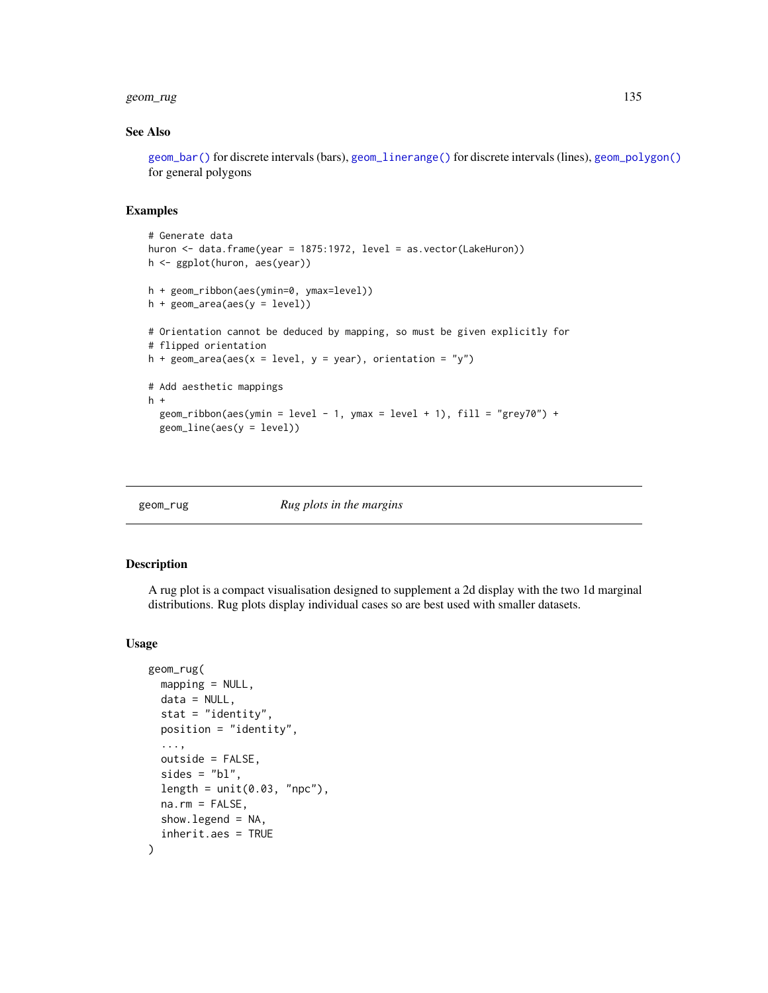#### geom\_rug 135

#### See Also

[geom\\_bar\(\)](#page-57-0) for discrete intervals (bars), [geom\\_linerange\(\)](#page-76-0) for discrete intervals (lines), [geom\\_polygon\(\)](#page-119-0) for general polygons

#### Examples

```
# Generate data
huron <- data.frame(year = 1875:1972, level = as.vector(LakeHuron))
h <- ggplot(huron, aes(year))
h + geom_ribbon(aes(ymin=0, ymax=level))
h + geom_area(aes(y = level))# Orientation cannot be deduced by mapping, so must be given explicitly for
# flipped orientation
h + geom\_area(aes(x = level, y = year), orientation = "y")# Add aesthetic mappings
h +
  geom_ribbon(aes(ymin = level - 1, ymax = level + 1), fill = "grey70") +
  geom_line(aes(y = level))
```
geom\_rug *Rug plots in the margins*

#### Description

A rug plot is a compact visualisation designed to supplement a 2d display with the two 1d marginal distributions. Rug plots display individual cases so are best used with smaller datasets.

```
geom_rug(
 mapping = NULL,data = NULL,
  stat = "identity",
  position = "identity",
  ...,
  outside = FALSE,
  sides = "bl",length = unit(0.03, "npc"),
  na.rm = FALSE,show.legend = NA,
  inherit.aes = TRUE
)
```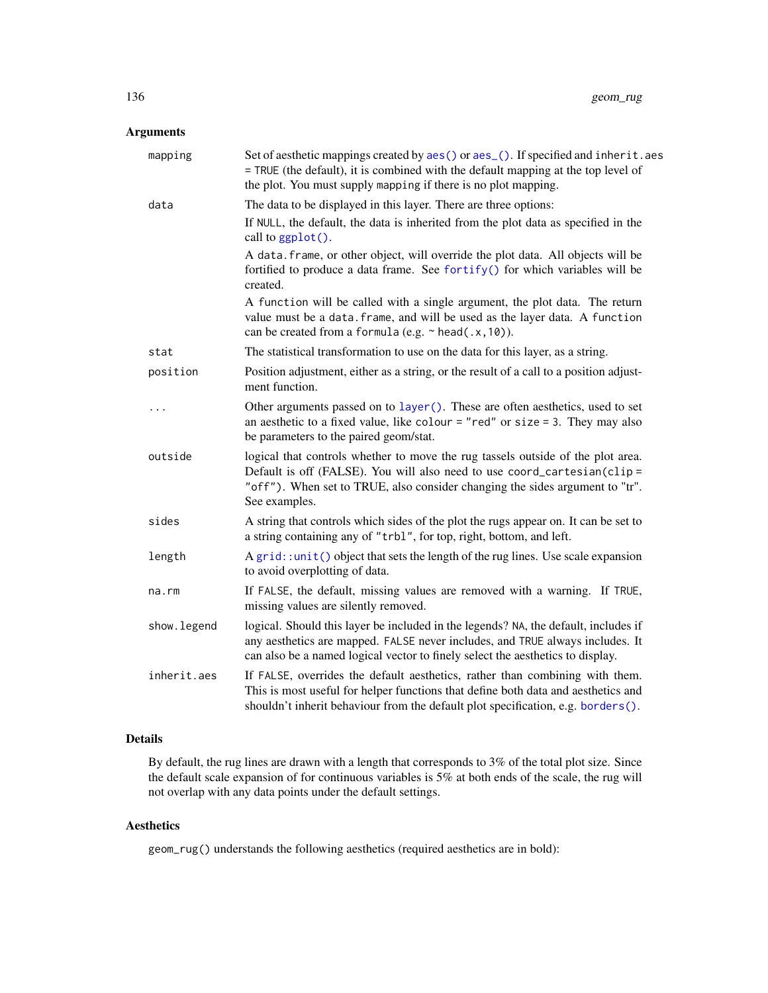# Arguments

| mapping     | Set of aesthetic mappings created by aes() or aes_(). If specified and inherit.aes<br>= TRUE (the default), it is combined with the default mapping at the top level of<br>the plot. You must supply mapping if there is no plot mapping.                   |
|-------------|-------------------------------------------------------------------------------------------------------------------------------------------------------------------------------------------------------------------------------------------------------------|
| data        | The data to be displayed in this layer. There are three options:                                                                                                                                                                                            |
|             | If NULL, the default, the data is inherited from the plot data as specified in the<br>call to ggplot().                                                                                                                                                     |
|             | A data. frame, or other object, will override the plot data. All objects will be<br>fortified to produce a data frame. See fortify() for which variables will be<br>created.                                                                                |
|             | A function will be called with a single argument, the plot data. The return<br>value must be a data. frame, and will be used as the layer data. A function<br>can be created from a formula (e.g. $\sim$ head(.x, 10)).                                     |
| stat        | The statistical transformation to use on the data for this layer, as a string.                                                                                                                                                                              |
| position    | Position adjustment, either as a string, or the result of a call to a position adjust-<br>ment function.                                                                                                                                                    |
| $\cdots$    | Other arguments passed on to layer (). These are often aesthetics, used to set<br>an aesthetic to a fixed value, like colour = "red" or size = 3. They may also<br>be parameters to the paired geom/stat.                                                   |
| outside     | logical that controls whether to move the rug tassels outside of the plot area.<br>Default is off (FALSE). You will also need to use coord_cartesian(clip=<br>"off"). When set to TRUE, also consider changing the sides argument to "tr".<br>See examples. |
| sides       | A string that controls which sides of the plot the rugs appear on. It can be set to<br>a string containing any of "trbl", for top, right, bottom, and left.                                                                                                 |
| length      | $A grid: unit() object that sets the length of the rug lines. Use scale expansion$<br>to avoid overplotting of data.                                                                                                                                        |
| $na$ . $rm$ | If FALSE, the default, missing values are removed with a warning. If TRUE,<br>missing values are silently removed.                                                                                                                                          |
| show.legend | logical. Should this layer be included in the legends? NA, the default, includes if<br>any aesthetics are mapped. FALSE never includes, and TRUE always includes. It<br>can also be a named logical vector to finely select the aesthetics to display.      |
| inherit.aes | If FALSE, overrides the default aesthetics, rather than combining with them.<br>This is most useful for helper functions that define both data and aesthetics and<br>shouldn't inherit behaviour from the default plot specification, e.g. borders().       |

# Details

By default, the rug lines are drawn with a length that corresponds to 3% of the total plot size. Since the default scale expansion of for continuous variables is 5% at both ends of the scale, the rug will not overlap with any data points under the default settings.

# Aesthetics

geom\_rug() understands the following aesthetics (required aesthetics are in bold):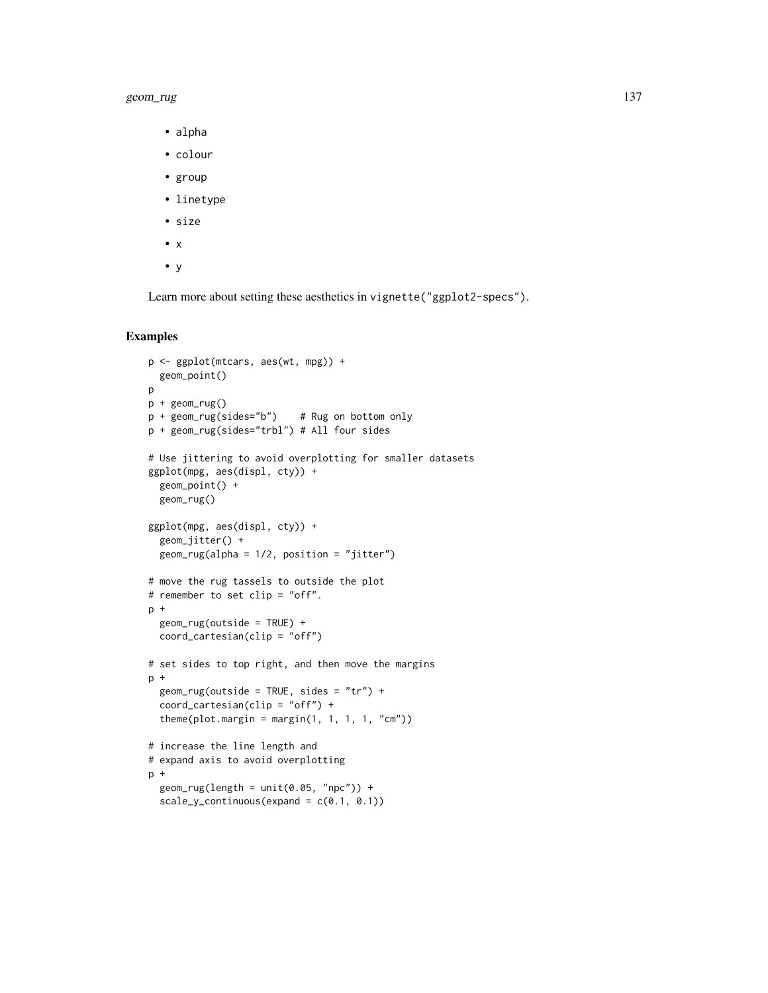#### geom\_rug 137

- alpha
- colour
- group
- linetype
- size
- x
- y

Learn more about setting these aesthetics in vignette("ggplot2-specs").

```
p <- ggplot(mtcars, aes(wt, mpg)) +
  geom_point()
p
p + geom_rug()
p + geom_rug(sides="b") # Rug on bottom only
p + geom_rug(sides="trbl") # All four sides
# Use jittering to avoid overplotting for smaller datasets
ggplot(mpg, aes(displ, cty)) +
  geom_point() +
 geom_rug()
ggplot(mpg, aes(displ, cty)) +
  geom_jitter() +
  geom_rug(alpha = 1/2, position = "jitter")
# move the rug tassels to outside the plot
# remember to set clip = "off".
p +geom_rug(outside = TRUE) +
  coord_cartesian(clip = "off")
# set sides to top right, and then move the margins
p +geom_rug(outside = TRUE, sides = "tr") +coord\_cartesian(clip = "off") +theme(plot.margin = margin(1, 1, 1, 1, "cm"))
# increase the line length and
# expand axis to avoid overplotting
p +geom_rug(length = unit(0.05, 'npc")) +
  scale_y_{continuous(expand = c(0.1, 0.1))
```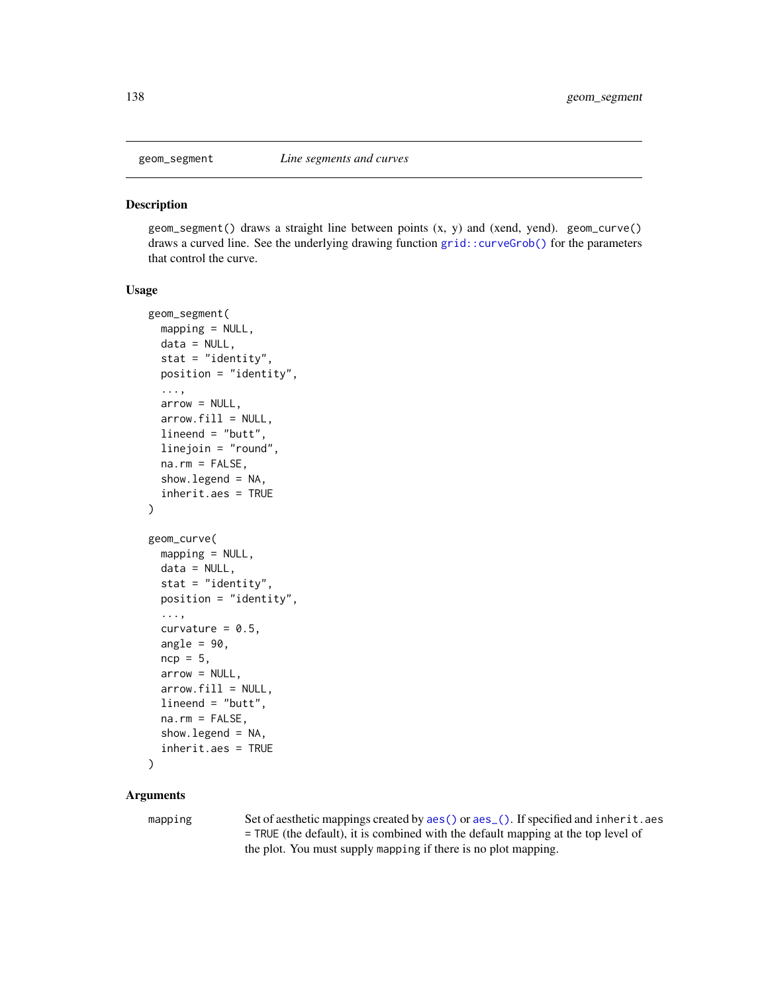<span id="page-137-0"></span>

#### Description

geom\_segment() draws a straight line between points (x, y) and (xend, yend). geom\_curve() draws a curved line. See the underlying drawing function [grid::curveGrob\(\)](#page-0-0) for the parameters that control the curve.

## Usage

```
geom_segment(
  mapping = NULL,
  data = NULL,stat = "identity",
 position = "identity",
  ...,
  arrow = NULL,
  arrow.fill = NULL,
  lineend = "butt",
  linejoin = "round",
  na.rm = FALSE,
  show.legend = NA,
  inherit.aes = TRUE
)
geom_curve(
 mapping = NULL,
  data = NULL,stat = "identity",
  position = "identity",
  ...,
  curvature = 0.5,
  angle = 90,
  ncp = 5,
  arrow = NULL,
  arrow.fit11 = NULL,lineend = "butt",
  na.rm = FALSE,
  show.legend = NA,
  inherit.aes = TRUE
)
```
#### Arguments

mapping Set of aesthetic mappings created by [aes\(\)](#page-6-0) or [aes\\_\(\)](#page-8-0). If specified and inherit.aes = TRUE (the default), it is combined with the default mapping at the top level of the plot. You must supply mapping if there is no plot mapping.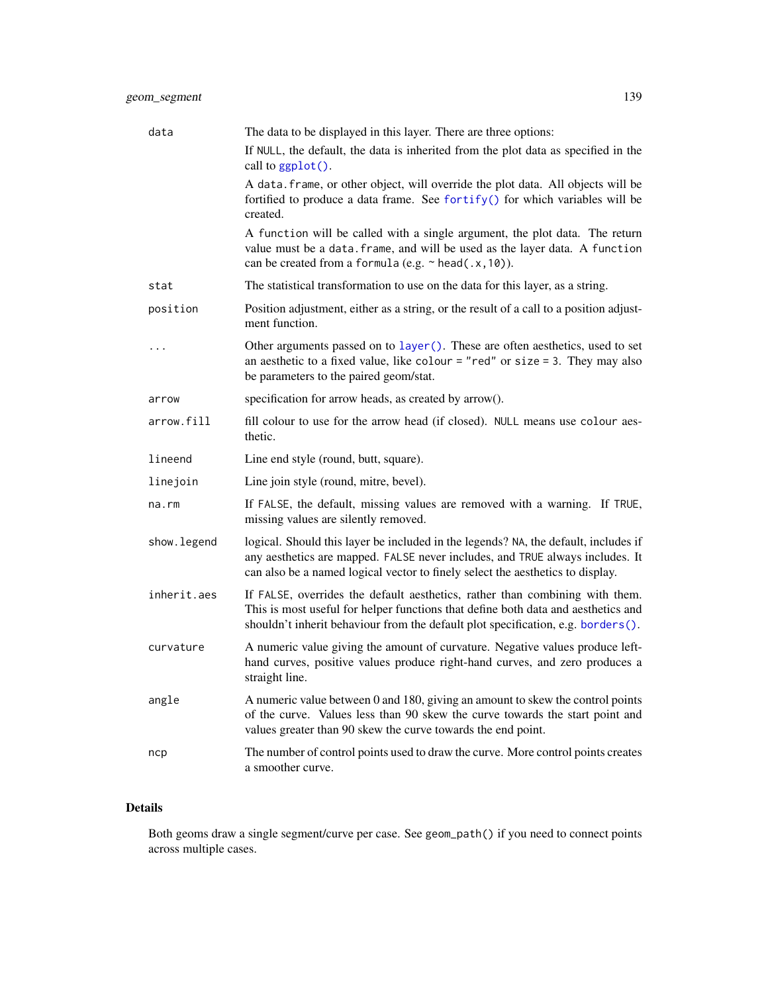| data        | The data to be displayed in this layer. There are three options:                                                                                                                                                                                       |
|-------------|--------------------------------------------------------------------------------------------------------------------------------------------------------------------------------------------------------------------------------------------------------|
|             | If NULL, the default, the data is inherited from the plot data as specified in the<br>call to ggplot().                                                                                                                                                |
|             | A data. frame, or other object, will override the plot data. All objects will be<br>fortified to produce a data frame. See fortify() for which variables will be<br>created.                                                                           |
|             | A function will be called with a single argument, the plot data. The return<br>value must be a data. frame, and will be used as the layer data. A function<br>can be created from a formula (e.g. $\sim$ head(.x, 10)).                                |
| stat        | The statistical transformation to use on the data for this layer, as a string.                                                                                                                                                                         |
| position    | Position adjustment, either as a string, or the result of a call to a position adjust-<br>ment function.                                                                                                                                               |
|             | Other arguments passed on to layer (). These are often aesthetics, used to set<br>an aesthetic to a fixed value, like colour = "red" or size = 3. They may also<br>be parameters to the paired geom/stat.                                              |
| arrow       | specification for arrow heads, as created by arrow().                                                                                                                                                                                                  |
| arrow.fill  | fill colour to use for the arrow head (if closed). NULL means use colour aes-<br>thetic.                                                                                                                                                               |
| lineend     | Line end style (round, butt, square).                                                                                                                                                                                                                  |
| linejoin    | Line join style (round, mitre, bevel).                                                                                                                                                                                                                 |
| na.rm       | If FALSE, the default, missing values are removed with a warning. If TRUE,<br>missing values are silently removed.                                                                                                                                     |
| show.legend | logical. Should this layer be included in the legends? NA, the default, includes if<br>any aesthetics are mapped. FALSE never includes, and TRUE always includes. It<br>can also be a named logical vector to finely select the aesthetics to display. |
| inherit.aes | If FALSE, overrides the default aesthetics, rather than combining with them.<br>This is most useful for helper functions that define both data and aesthetics and<br>shouldn't inherit behaviour from the default plot specification, e.g. borders().  |
| curvature   | A numeric value giving the amount of curvature. Negative values produce left-<br>hand curves, positive values produce right-hand curves, and zero produces a<br>straight line.                                                                         |
| angle       | A numeric value between 0 and 180, giving an amount to skew the control points<br>of the curve. Values less than 90 skew the curve towards the start point and<br>values greater than 90 skew the curve towards the end point.                         |
| ncp         | The number of control points used to draw the curve. More control points creates<br>a smoother curve.                                                                                                                                                  |

# Details

Both geoms draw a single segment/curve per case. See geom\_path() if you need to connect points across multiple cases.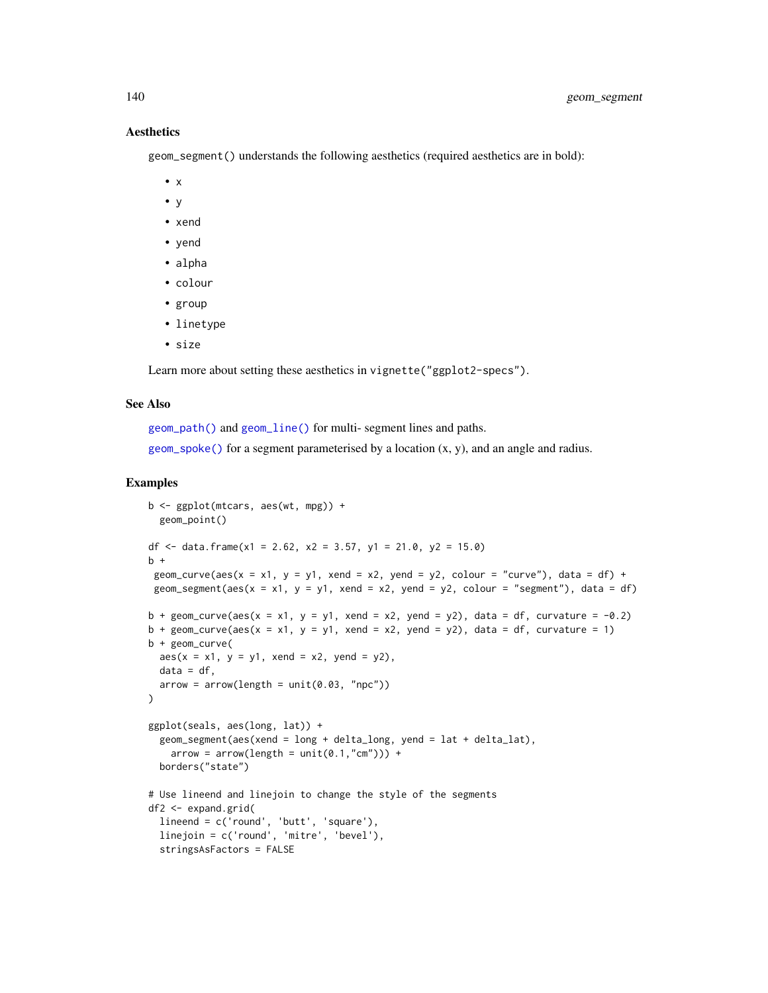#### Aesthetics

geom\_segment() understands the following aesthetics (required aesthetics are in bold):

- x
- y
- xend
- yend
- alpha
- colour
- group
- linetype
- size

Learn more about setting these aesthetics in vignette("ggplot2-specs").

#### See Also

[geom\\_path\(\)](#page-113-0) and [geom\\_line\(\)](#page-113-1) for multi- segment lines and paths. [geom\\_spoke\(\)](#page-144-0) for a segment parameterised by a location  $(x, y)$ , and an angle and radius.

```
b \leq - ggplot(mtcars, aes(wt, mpg)) +
  geom_point()
df \le data.frame(x1 = 2.62, x2 = 3.57, y1 = 21.0, y2 = 15.0)
h +geom_curve(aes(x = x1, y = y1, xend = x2, yend = y2, colour = "curve"), data = df) +
 geom_segment(aes(x = x1, y = y1, xend = x2, yend = y2, colour = "segment"), data = df)
b + geom_curve(aes(x = x1, y = y1, xend = x2, yend = y2), data = df, curvature = -0.2)
b + geom_curve(aes(x = x1, y = y1, xend = x2, yend = y2), data = df, curvature = 1)
b + geom_curve(
  aes(x = x1, y = y1, xend = x2, yend = y2),
  data = df,
  arrow = arrow(length = unit(0.03, "npc")))
ggplot(seals, aes(long, lat)) +
  geom_segment(aes(xend = long + delta_long, yend = lat + delta_lat),
   arrow = arrow(length = unit(0.1, "cm")) +borders("state")
# Use lineend and linejoin to change the style of the segments
df2 <- expand.grid(
  lineend = c('round', 'butt', 'square'),
  linejoin = c('round', 'mitre', 'bevel'),
  stringsAsFactors = FALSE
```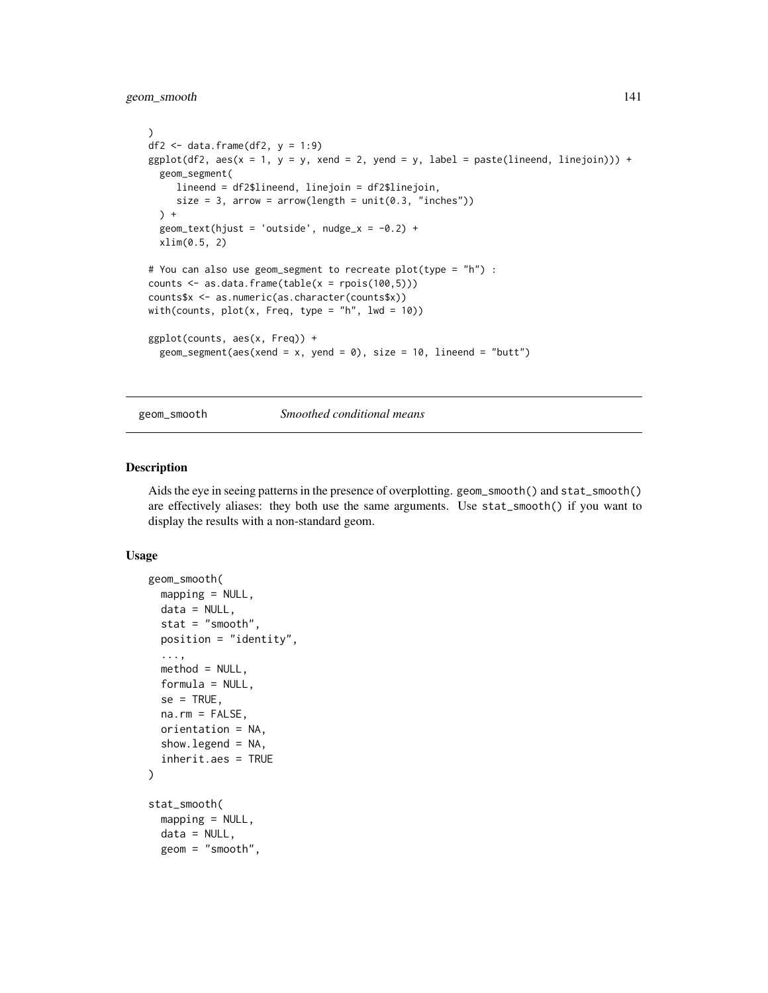# geom\_smooth 141

```
)
df2 \leq - data.frame(df2, y = 1:9)
ggplot(df2, aes(x = 1, y = y, xend = 2, yend = y, label = paste(lineend, linejoin))) +geom_segment(
    lineend = df2$lineend, linejoin = df2$linejoin,
     size = 3, arrow = arrow(length = unit(0.3, 'inches"))) +geom_text(hjust = 'outside', nudge_x = -0.2) +
  xlim(0.5, 2)
# You can also use geom_segment to recreate plot(type = "h") :
counts \leq as.data.frame(table(x = \text{rpois}(100,5)))
counts$x <- as.numeric(as.character(counts$x))
with(counts, plot(x, Freq, type = "h", lwd = 10))
ggplot(counts, aes(x, Freq)) +
  geom_segment(aes(xend = x, yend = 0), size = 10, lineend = "butt")
```
# <span id="page-140-0"></span>geom\_smooth *Smoothed conditional means*

#### Description

Aids the eye in seeing patterns in the presence of overplotting. geom\_smooth() and stat\_smooth() are effectively aliases: they both use the same arguments. Use stat\_smooth() if you want to display the results with a non-standard geom.

```
geom_smooth(
  mapping = NULL,
  data = NULL,
  stat = "smooth",position = "identity",
  ...,
 method = NULL,formula = NULL,
  se = TRUE,na.rm = FALSE,orientation = NA,
  show.legend = NA,
  inherit.aes = TRUE
)
stat_smooth(
  mapping = NULL,
  data = NULL,geom = "smooth",
```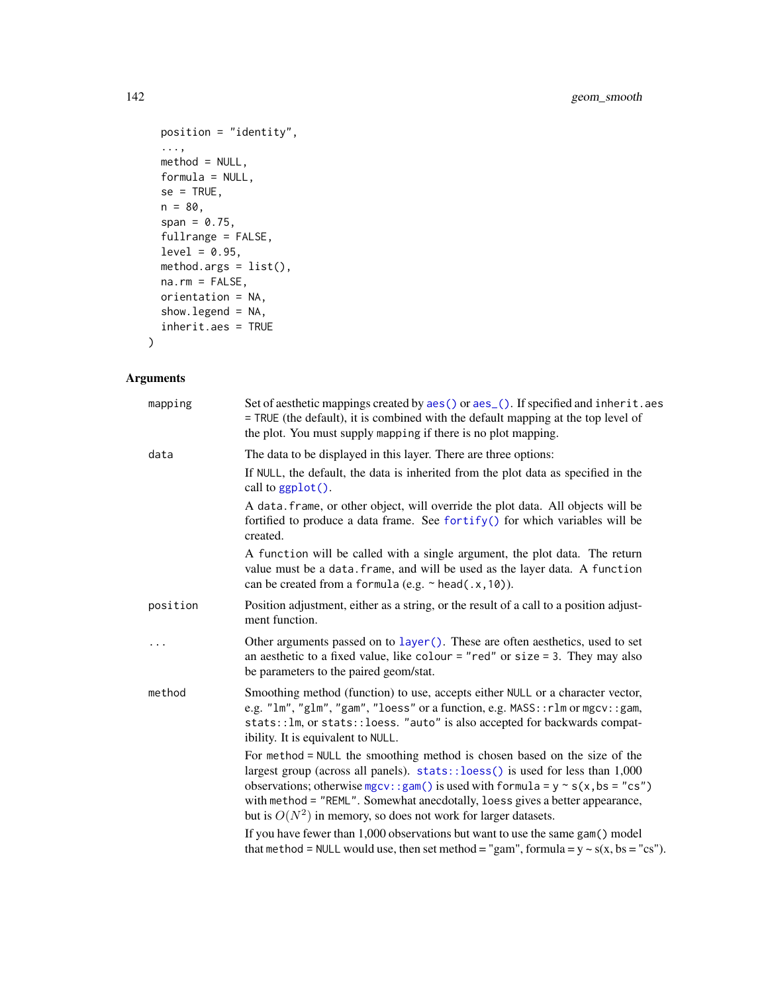```
position = "identity",
  ...,
 method = NULL,formula = NULL,
 se = TRUE,n = 80,span = 0.75,fullrange = FALSE,
 level = 0.95,method.args = list(),
 na.rm = FALSE,
 orientation = NA,
 show.legend = NA,
 inherit.aes = TRUE
\mathcal{L}
```
# Arguments

| mapping  | Set of aesthetic mappings created by $aes()$ or $aes()$ . If specified and inherit. aes<br>= TRUE (the default), it is combined with the default mapping at the top level of<br>the plot. You must supply mapping if there is no plot mapping.                                                                                                                                                         |
|----------|--------------------------------------------------------------------------------------------------------------------------------------------------------------------------------------------------------------------------------------------------------------------------------------------------------------------------------------------------------------------------------------------------------|
| data     | The data to be displayed in this layer. There are three options:                                                                                                                                                                                                                                                                                                                                       |
|          | If NULL, the default, the data is inherited from the plot data as specified in the<br>call to ggplot().                                                                                                                                                                                                                                                                                                |
|          | A data. frame, or other object, will override the plot data. All objects will be<br>fortified to produce a data frame. See fortify() for which variables will be<br>created.                                                                                                                                                                                                                           |
|          | A function will be called with a single argument, the plot data. The return<br>value must be a data. frame, and will be used as the layer data. A function<br>can be created from a formula (e.g. $\sim$ head(.x, 10)).                                                                                                                                                                                |
| position | Position adjustment, either as a string, or the result of a call to a position adjust-<br>ment function.                                                                                                                                                                                                                                                                                               |
| .        | Other arguments passed on to layer (). These are often aesthetics, used to set<br>an aesthetic to a fixed value, like colour = "red" or size = 3. They may also<br>be parameters to the paired geom/stat.                                                                                                                                                                                              |
| method   | Smoothing method (function) to use, accepts either NULL or a character vector,<br>e.g. "lm", "glm", "gam", "loess" or a function, e.g. MASS:: rlm or mgcv:: gam,<br>stats:: lm, or stats:: loess. "auto" is also accepted for backwards compat-<br>ibility. It is equivalent to NULL.                                                                                                                  |
|          | For method = NULL the smoothing method is chosen based on the size of the<br>largest group (across all panels). stats::loess() is used for less than 1,000<br>observations; otherwise mgcv:: gam() is used with formula = $y \sim s(x, bs = "cs")$<br>with method = "REML". Somewhat anecdotally, loess gives a better appearance,<br>but is $O(N^2)$ in memory, so does not work for larger datasets. |
|          | If you have fewer than 1,000 observations but want to use the same gam() model<br>that method = NULL would use, then set method = "gam", formula = $y \sim s(x, bs = "cs")$ .                                                                                                                                                                                                                          |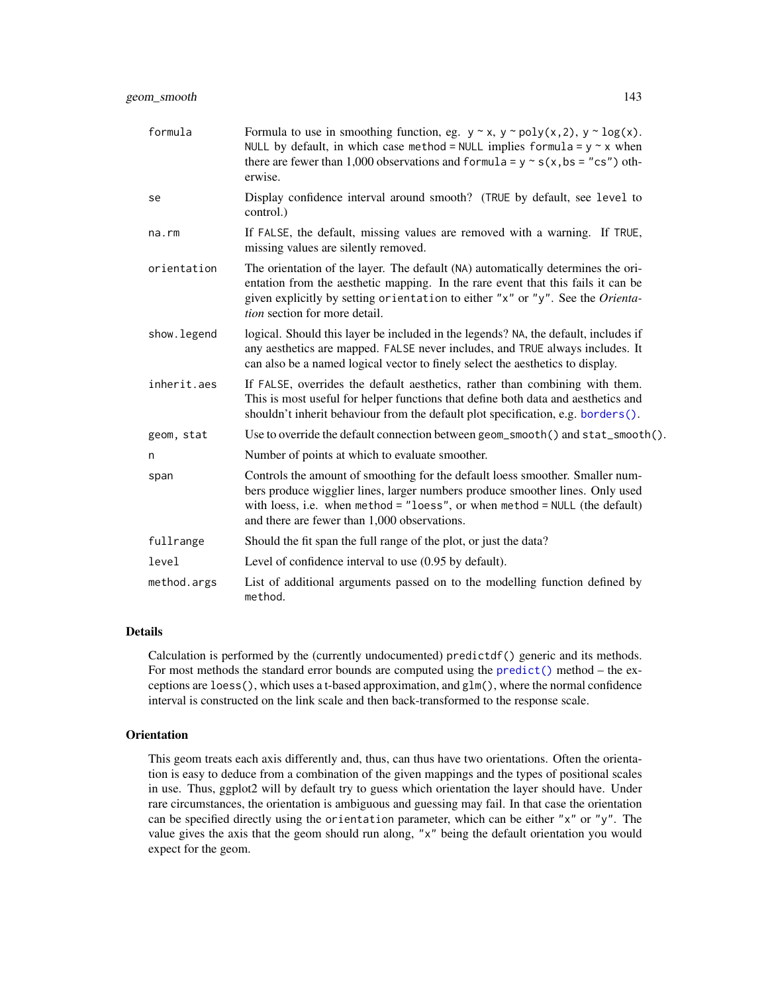| formula      | Formula to use in smoothing function, eg. $y \sim x$ , $y \sim poly(x, 2)$ , $y \sim log(x)$ .<br>NULL by default, in which case method = NULL implies formula = $y \sim x$ when<br>there are fewer than 1,000 observations and formula = $y \sim s(x, bs = "cs")$ oth-<br>erwise.              |
|--------------|-------------------------------------------------------------------------------------------------------------------------------------------------------------------------------------------------------------------------------------------------------------------------------------------------|
| se           | Display confidence interval around smooth? (TRUE by default, see level to<br>control.)                                                                                                                                                                                                          |
| na.rm        | If FALSE, the default, missing values are removed with a warning. If TRUE,<br>missing values are silently removed.                                                                                                                                                                              |
| orientation  | The orientation of the layer. The default (NA) automatically determines the ori-<br>entation from the aesthetic mapping. In the rare event that this fails it can be<br>given explicitly by setting orientation to either "x" or "y". See the Orienta-<br><i>tion</i> section for more detail.  |
| show. legend | logical. Should this layer be included in the legends? NA, the default, includes if<br>any aesthetics are mapped. FALSE never includes, and TRUE always includes. It<br>can also be a named logical vector to finely select the aesthetics to display.                                          |
| inherit.aes  | If FALSE, overrides the default aesthetics, rather than combining with them.<br>This is most useful for helper functions that define both data and aesthetics and<br>shouldn't inherit behaviour from the default plot specification, e.g. borders().                                           |
| geom, stat   | Use to override the default connection between geom_smooth() and stat_smooth().                                                                                                                                                                                                                 |
| n            | Number of points at which to evaluate smoother.                                                                                                                                                                                                                                                 |
| span         | Controls the amount of smoothing for the default loess smoother. Smaller num-<br>bers produce wigglier lines, larger numbers produce smoother lines. Only used<br>with loess, i.e. when method = $"loess",$ or when method = NULL (the default)<br>and there are fewer than 1,000 observations. |
| fullrange    | Should the fit span the full range of the plot, or just the data?                                                                                                                                                                                                                               |
| level        | Level of confidence interval to use (0.95 by default).                                                                                                                                                                                                                                          |
| method.args  | List of additional arguments passed on to the modelling function defined by<br>method.                                                                                                                                                                                                          |

#### Details

Calculation is performed by the (currently undocumented) predictdf() generic and its methods. For most methods the standard error bounds are computed using the [predict\(\)](#page-0-0) method – the exceptions are loess(), which uses a t-based approximation, and  $g1m()$ , where the normal confidence interval is constructed on the link scale and then back-transformed to the response scale.

#### **Orientation**

This geom treats each axis differently and, thus, can thus have two orientations. Often the orientation is easy to deduce from a combination of the given mappings and the types of positional scales in use. Thus, ggplot2 will by default try to guess which orientation the layer should have. Under rare circumstances, the orientation is ambiguous and guessing may fail. In that case the orientation can be specified directly using the orientation parameter, which can be either "x" or "y". The value gives the axis that the geom should run along, "x" being the default orientation you would expect for the geom.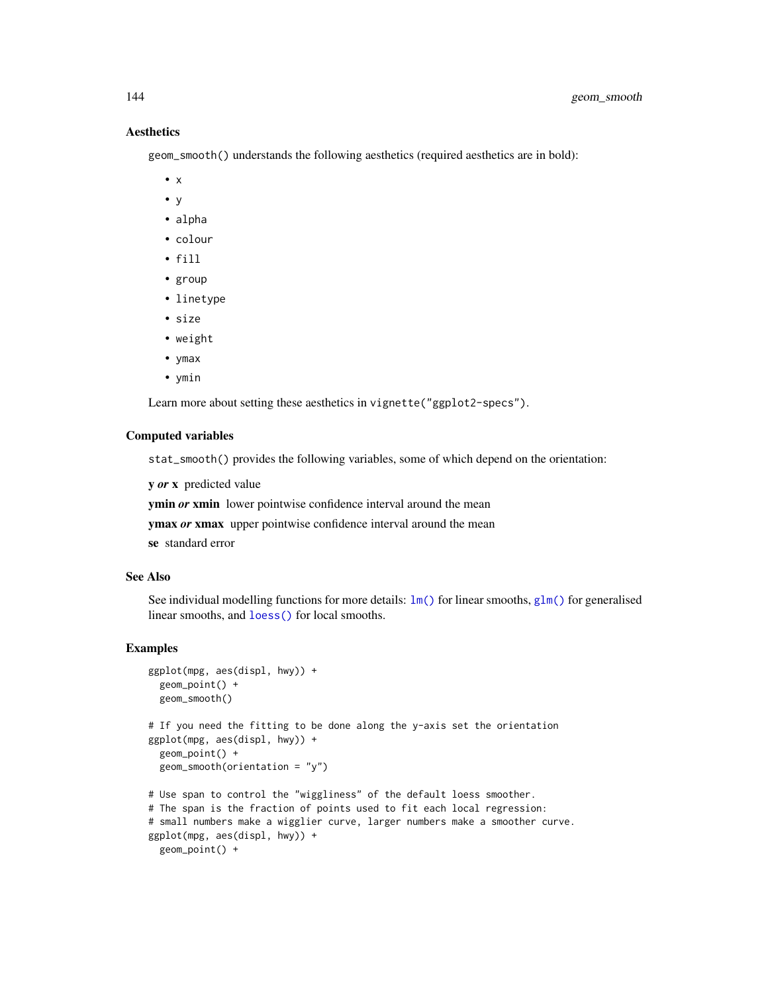# **Aesthetics**

geom\_smooth() understands the following aesthetics (required aesthetics are in bold):

- $\bullet$  x
- y
- alpha
- colour
- fill
- group
- linetype
- size
- weight
- ymax
- ymin

Learn more about setting these aesthetics in vignette("ggplot2-specs").

#### Computed variables

stat\_smooth() provides the following variables, some of which depend on the orientation:

y *or* x predicted value

ymin *or* xmin lower pointwise confidence interval around the mean

ymax *or* xmax upper pointwise confidence interval around the mean

se standard error

#### See Also

See individual modelling functions for more details:  $lm()$  for linear smooths, [glm\(\)](#page-0-0) for generalised linear smooths, and [loess\(\)](#page-0-0) for local smooths.

```
ggplot(mpg, aes(displ, hwy)) +
  geom_point() +
  geom_smooth()
# If you need the fitting to be done along the y-axis set the orientation
ggplot(mpg, aes(displ, hwy)) +
  geom_point() +
  geom_smooth(orientation = "y")
# Use span to control the "wiggliness" of the default loess smoother.
# The span is the fraction of points used to fit each local regression:
# small numbers make a wigglier curve, larger numbers make a smoother curve.
ggplot(mpg, aes(displ, hwy)) +
  geom_point() +
```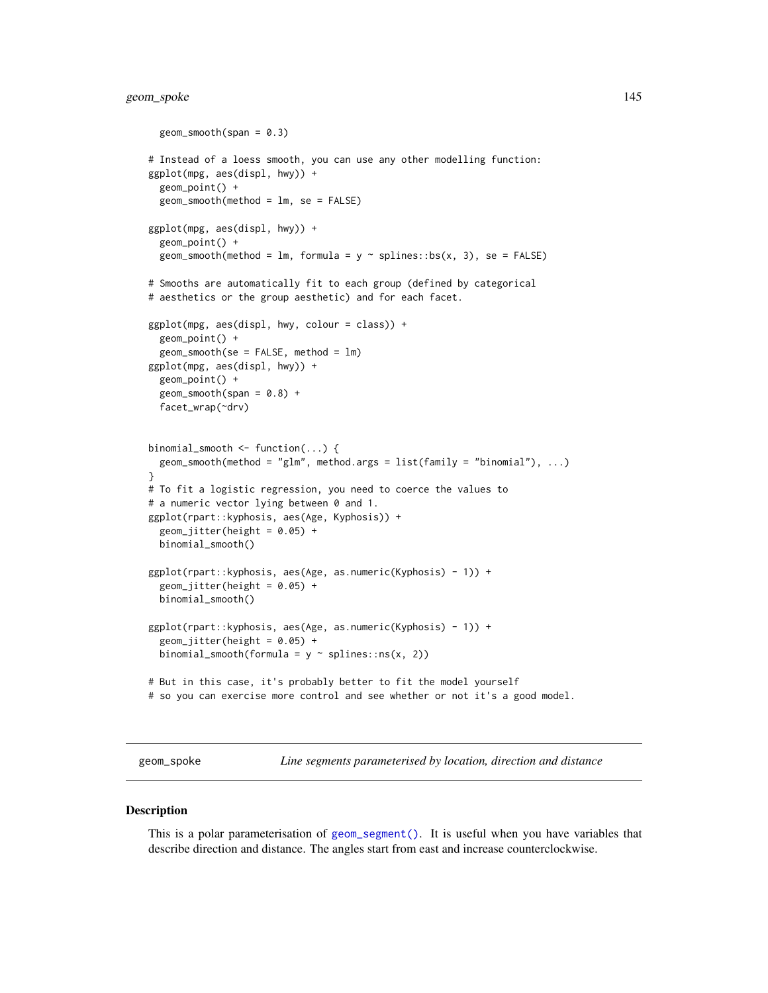# geom\_spoke 145

```
geom\_smooth(span = 0.3)# Instead of a loess smooth, you can use any other modelling function:
ggplot(mpg, aes(displ, hwy)) +
 geom_point() +
 geom_smooth(method = lm, se = FALSE)
ggplot(mpg, aes(displ, hwy)) +
 geom_point() +
 geom_smooth(method = lm, formula = y \sim splines::bs(x, 3), se = FALSE)
# Smooths are automatically fit to each group (defined by categorical
# aesthetics or the group aesthetic) and for each facet.
ggplot(mpg, aes(displ, hwy, colour = class)) +geom_point() +
 geom_smooth(se = FALSE, method = lm)
ggplot(mpg, aes(displ, hwy)) +
 geom_point() +
 geom\_smooth(span = 0.8) +facet_wrap(~drv)
binomial_smooth <- function(...) {
 geom_smooth(method = "glm", method.args = list(family = "binomial"), ...)
}
# To fit a logistic regression, you need to coerce the values to
# a numeric vector lying between 0 and 1.
ggplot(rpart::kyphosis, aes(Age, Kyphosis)) +
 geom\_jitter(height = 0.05) +binomial_smooth()
ggplot(rpart::kyphosis, aes(Age, as.numeric(Kyphosis) - 1)) +
 geom_jitter(height = 0.05) +binomial_smooth()
ggplot(rpart::kyphosis, aes(Age, as.numeric(Kyphosis) - 1)) +
 geom_jitter(height = 0.05) +binomial_smooth(formula = y \sim splines::ns(x, 2))
# But in this case, it's probably better to fit the model yourself
# so you can exercise more control and see whether or not it's a good model.
```
geom\_spoke *Line segments parameterised by location, direction and distance*

#### **Description**

This is a polar parameterisation of [geom\\_segment\(\)](#page-137-0). It is useful when you have variables that describe direction and distance. The angles start from east and increase counterclockwise.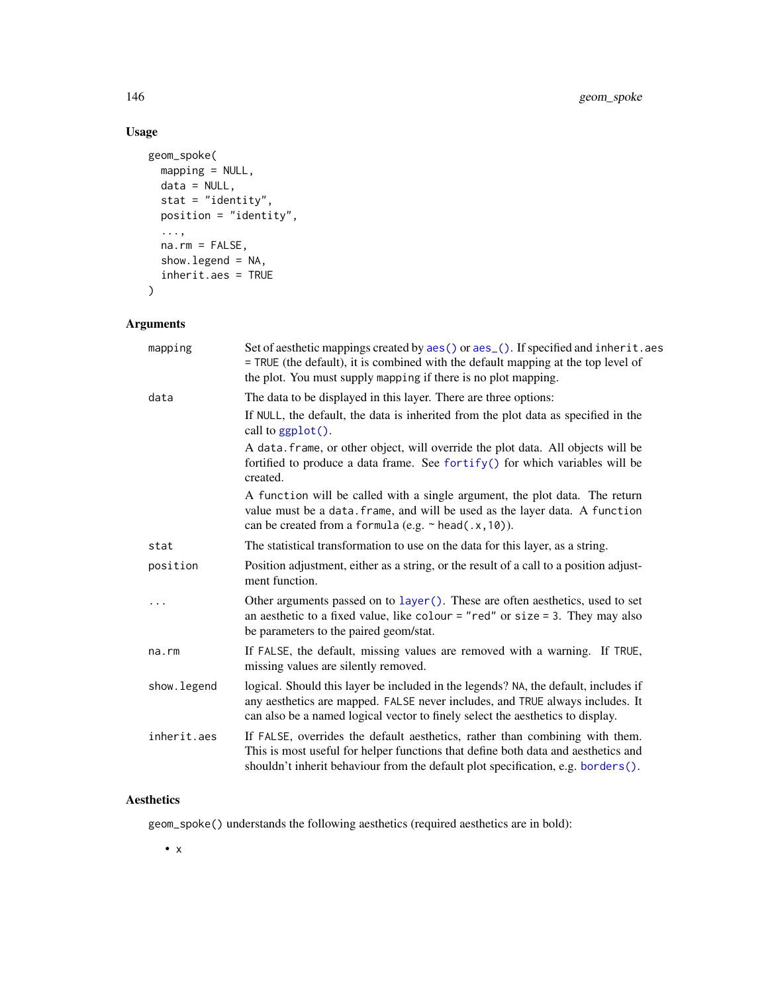# Usage

```
geom_spoke(
  mapping = NULL,
  data = NULL,
  stat = "identity",
  position = "identity",
  ...,
  na.rm = FALSE,
  show.legend = NA,
  inherit.aes = TRUE
\mathcal{L}
```
# Arguments

| mapping      | Set of aesthetic mappings created by aes () or aes (). If specified and inherit. aes<br>= TRUE (the default), it is combined with the default mapping at the top level of<br>the plot. You must supply mapping if there is no plot mapping.            |
|--------------|--------------------------------------------------------------------------------------------------------------------------------------------------------------------------------------------------------------------------------------------------------|
| data         | The data to be displayed in this layer. There are three options:                                                                                                                                                                                       |
|              | If NULL, the default, the data is inherited from the plot data as specified in the<br>call to $ggplot()$ .                                                                                                                                             |
|              | A data. frame, or other object, will override the plot data. All objects will be<br>fortified to produce a data frame. See fortify() for which variables will be<br>created.                                                                           |
|              | A function will be called with a single argument, the plot data. The return<br>value must be a data. frame, and will be used as the layer data. A function<br>can be created from a formula (e.g. $\sim$ head(.x, 10)).                                |
| stat         | The statistical transformation to use on the data for this layer, as a string.                                                                                                                                                                         |
| position     | Position adjustment, either as a string, or the result of a call to a position adjust-<br>ment function.                                                                                                                                               |
| .            | Other arguments passed on to layer (). These are often aesthetics, used to set<br>an aesthetic to a fixed value, like colour = "red" or size = 3. They may also<br>be parameters to the paired geom/stat.                                              |
| na.rm        | If FALSE, the default, missing values are removed with a warning. If TRUE,<br>missing values are silently removed.                                                                                                                                     |
| show. legend | logical. Should this layer be included in the legends? NA, the default, includes if<br>any aesthetics are mapped. FALSE never includes, and TRUE always includes. It<br>can also be a named logical vector to finely select the aesthetics to display. |
| inherit.aes  | If FALSE, overrides the default aesthetics, rather than combining with them.<br>This is most useful for helper functions that define both data and aesthetics and<br>shouldn't inherit behaviour from the default plot specification, e.g. borders().  |

# Aesthetics

geom\_spoke() understands the following aesthetics (required aesthetics are in bold):

• x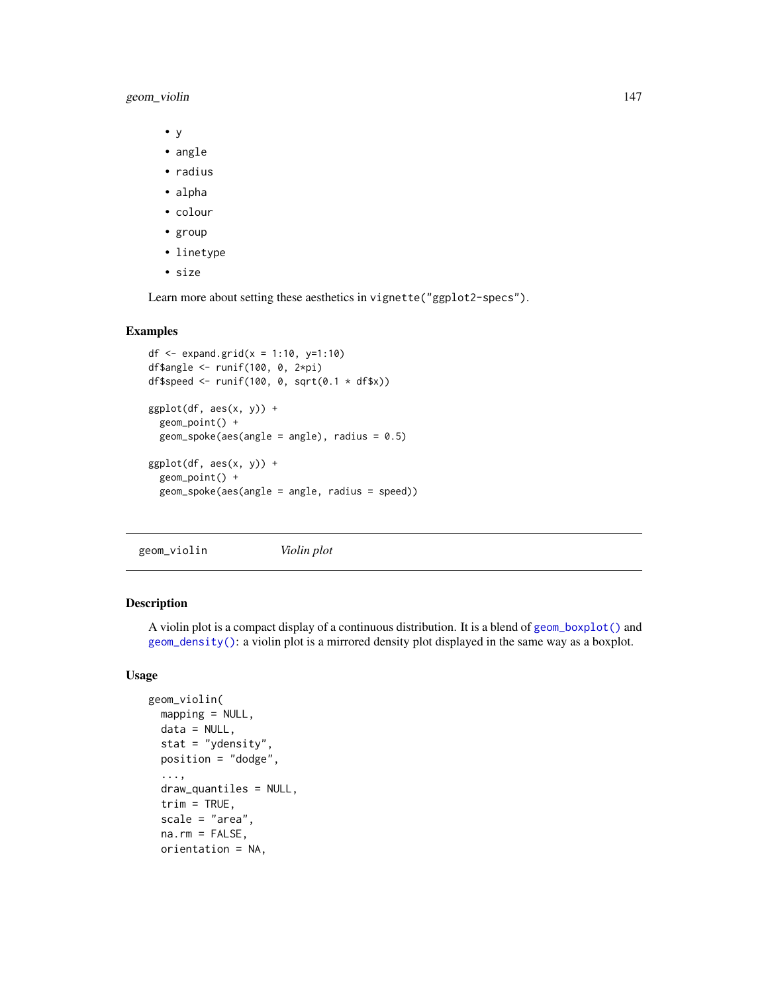geom\_violin 147

- y
- angle
- radius
- alpha
- colour
- group
- linetype
- size

Learn more about setting these aesthetics in vignette("ggplot2-specs").

# Examples

```
df \le expand.grid(x = 1:10, y=1:10)
df$angle <- runif(100, 0, 2*pi)
df$speed <- runif(100, 0, sqrt(0.1 \star df$x))
ggplot(df, aes(x, y)) +geom_point() +
  geom_spoke(aes(angle = angle), radius = 0.5)
ggplot(df, aes(x, y)) +geom_point() +
  geom_spoke(aes(angle = angle, radius = speed))
```
<span id="page-146-0"></span>geom\_violin *Violin plot*

# Description

A violin plot is a compact display of a continuous distribution. It is a blend of [geom\\_boxplot\(\)](#page-64-0) and [geom\\_density\(\)](#page-79-0): a violin plot is a mirrored density plot displayed in the same way as a boxplot.

# Usage

```
geom_violin(
 mapping = NULL,data = NULL,
  stat = "ydensity",
 position = "dodge",
  ...,
  draw_quantiles = NULL,
  trim = TRUE,
  scale = "area",
  na.rm = FALSE,orientation = NA,
```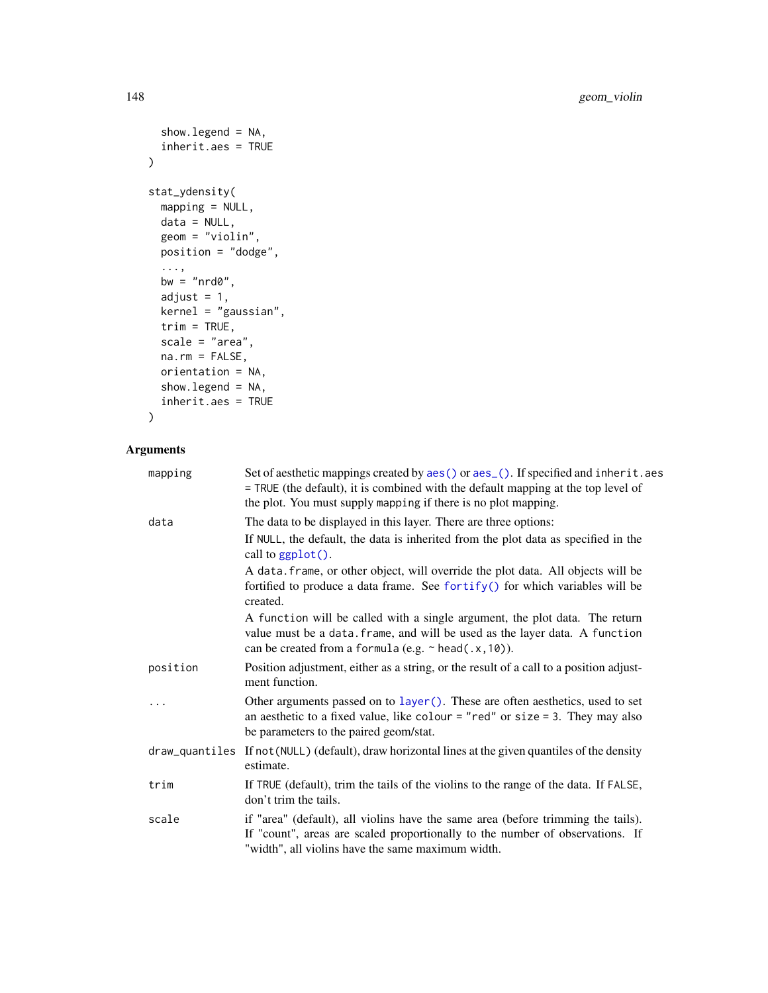```
show.legend = NA,
  inherit.aes = TRUE
\mathcal{L}stat_ydensity(
 mapping = NULL,
 data = NULL,geom = "violin",
 position = "dodge",
  ...,
 bw = "nrd0",adjust = 1,kernel = "gaussian",
 trim = TRUE,scale = "area",
 na.rm = FALSE,
 orientation = NA,
  show.legend = NA,
  inherit.aes = TRUE
```

```
\mathcal{L}
```

| mapping        | Set of aesthetic mappings created by aes() or aes_(). If specified and inherit.aes<br>= TRUE (the default), it is combined with the default mapping at the top level of<br>the plot. You must supply mapping if there is no plot mapping. |
|----------------|-------------------------------------------------------------------------------------------------------------------------------------------------------------------------------------------------------------------------------------------|
| data           | The data to be displayed in this layer. There are three options:                                                                                                                                                                          |
|                | If NULL, the default, the data is inherited from the plot data as specified in the<br>call to $ggplot()$ .                                                                                                                                |
|                | A data. frame, or other object, will override the plot data. All objects will be<br>fortified to produce a data frame. See fortify() for which variables will be<br>created.                                                              |
|                | A function will be called with a single argument, the plot data. The return<br>value must be a data. frame, and will be used as the layer data. A function<br>can be created from a formula (e.g. $\sim$ head(.x, 10)).                   |
| position       | Position adjustment, either as a string, or the result of a call to a position adjust-<br>ment function.                                                                                                                                  |
| .              | Other arguments passed on to layer (). These are often aesthetics, used to set<br>an aesthetic to a fixed value, like colour = "red" or size = 3. They may also<br>be parameters to the paired geom/stat.                                 |
| draw_quantiles | If not (NULL) (default), draw horizontal lines at the given quantiles of the density<br>estimate.                                                                                                                                         |
| trim           | If TRUE (default), trim the tails of the violins to the range of the data. If FALSE,<br>don't trim the tails.                                                                                                                             |
| scale          | if "area" (default), all violins have the same area (before trimming the tails).<br>If "count", areas are scaled proportionally to the number of observations. If<br>"width", all violins have the same maximum width.                    |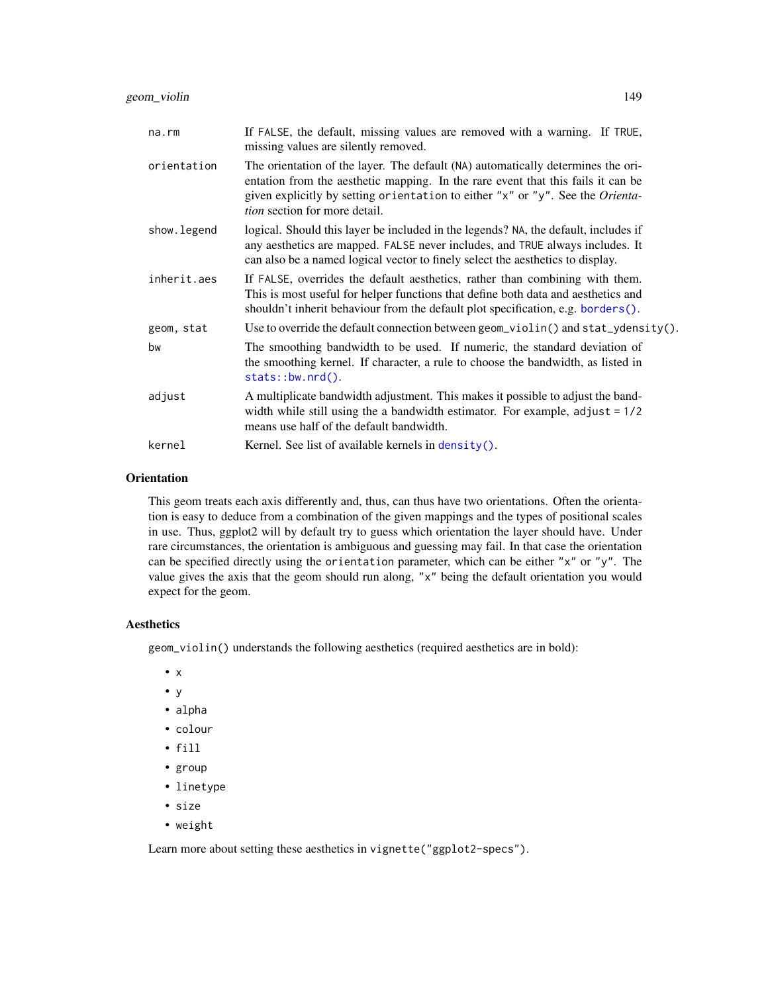geom\_violin 149

| na.rm       | If FALSE, the default, missing values are removed with a warning. If TRUE,<br>missing values are silently removed.                                                                                                                                                                             |
|-------------|------------------------------------------------------------------------------------------------------------------------------------------------------------------------------------------------------------------------------------------------------------------------------------------------|
| orientation | The orientation of the layer. The default (NA) automatically determines the ori-<br>entation from the aesthetic mapping. In the rare event that this fails it can be<br>given explicitly by setting orientation to either "x" or "y". See the Orienta-<br><i>tion</i> section for more detail. |
| show.legend | logical. Should this layer be included in the legends? NA, the default, includes if<br>any aesthetics are mapped. FALSE never includes, and TRUE always includes. It<br>can also be a named logical vector to finely select the aesthetics to display.                                         |
| inherit.aes | If FALSE, overrides the default aesthetics, rather than combining with them.<br>This is most useful for helper functions that define both data and aesthetics and<br>shouldn't inherit behaviour from the default plot specification, e.g. borders().                                          |
| geom, stat  | Use to override the default connection between geom_violin() and stat_ydensity().                                                                                                                                                                                                              |
| bw          | The smoothing bandwidth to be used. If numeric, the standard deviation of<br>the smoothing kernel. If character, a rule to choose the bandwidth, as listed in<br>$stats::bw.nrd()$ .                                                                                                           |
| adjust      | A multiplicate bandwidth adjustment. This makes it possible to adjust the band-<br>width while still using the a bandwidth estimator. For example, $adjust = 1/2$<br>means use half of the default bandwidth.                                                                                  |
| kernel      | Kernel. See list of available kernels in $density()$ .                                                                                                                                                                                                                                         |

#### **Orientation**

This geom treats each axis differently and, thus, can thus have two orientations. Often the orientation is easy to deduce from a combination of the given mappings and the types of positional scales in use. Thus, ggplot2 will by default try to guess which orientation the layer should have. Under rare circumstances, the orientation is ambiguous and guessing may fail. In that case the orientation can be specified directly using the orientation parameter, which can be either "x" or "y". The value gives the axis that the geom should run along, "x" being the default orientation you would expect for the geom.

# Aesthetics

geom\_violin() understands the following aesthetics (required aesthetics are in bold):

- x
- y
- alpha
- colour
- fill
- group
- linetype
- size
- weight

Learn more about setting these aesthetics in vignette("ggplot2-specs").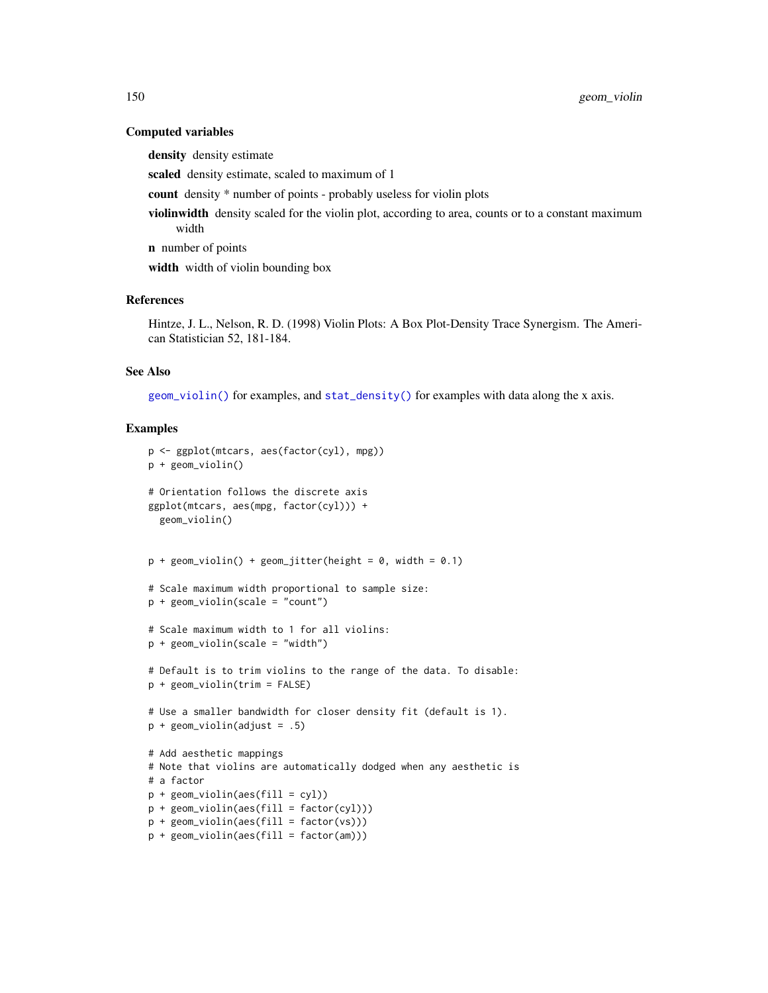#### Computed variables

density density estimate

scaled density estimate, scaled to maximum of 1

count density \* number of points - probably useless for violin plots

violinwidth density scaled for the violin plot, according to area, counts or to a constant maximum width

n number of points

width width of violin bounding box

#### References

Hintze, J. L., Nelson, R. D. (1998) Violin Plots: A Box Plot-Density Trace Synergism. The American Statistician 52, 181-184.

#### See Also

[geom\\_violin\(\)](#page-146-0) for examples, and [stat\\_density\(\)](#page-79-1) for examples with data along the x axis.

```
p <- ggplot(mtcars, aes(factor(cyl), mpg))
p + geom_violin()
# Orientation follows the discrete axis
ggplot(mtcars, aes(mpg, factor(cyl))) +
  geom_violin()
p + geom\_violin() + geom\_jitter(height = 0, width = 0.1)# Scale maximum width proportional to sample size:
p + geom\_violin(scale = "count")# Scale maximum width to 1 for all violins:
p + geom\_violin(scale = "width")# Default is to trim violins to the range of the data. To disable:
p + geom_violin(trim = FALSE)
# Use a smaller bandwidth for closer density fit (default is 1).
p + geom_violin(adjust = .5)
# Add aesthetic mappings
# Note that violins are automatically dodged when any aesthetic is
# a factor
p + geom\_violin(aes(fill = cyl))p + geom\_violin(aes(fill = factor(cyl)))p + geom\_violin(aes(fill = factor(vs)))p + geom\_violin(aes(fill = factor(am)))
```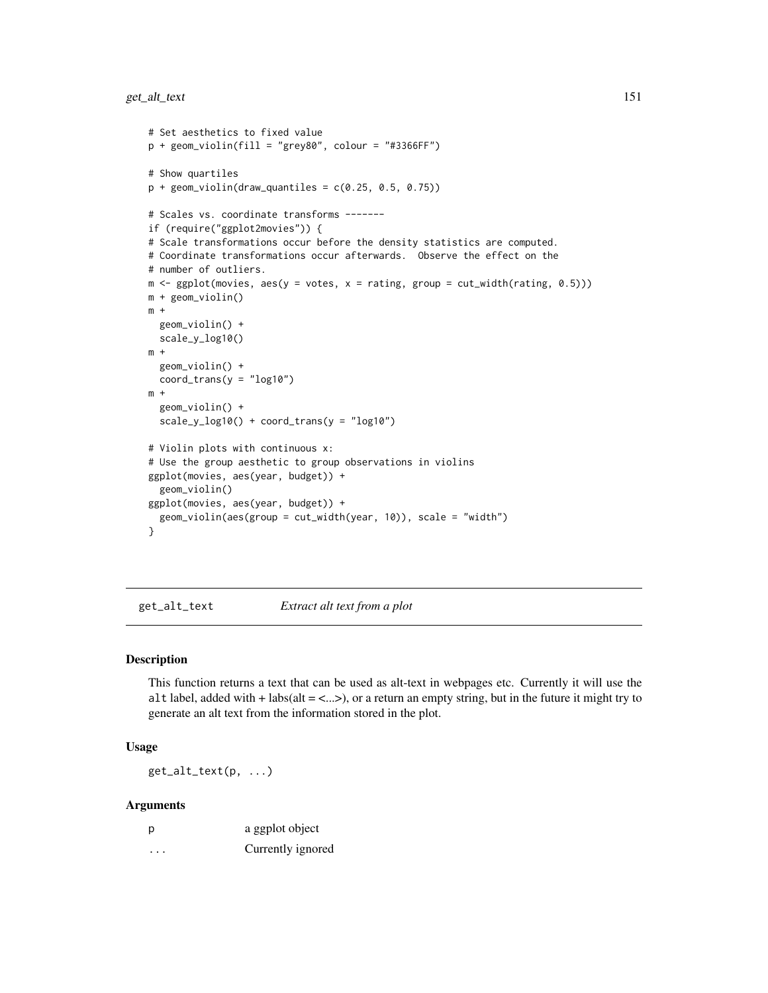```
# Set aesthetics to fixed value
p + geom\_violin(fill = "grey80", colour = "#3366FF")# Show quartiles
p + geom\_violin(draw\_quantiles = c(0.25, 0.5, 0.75))# Scales vs. coordinate transforms -------
if (require("ggplot2movies")) {
# Scale transformations occur before the density statistics are computed.
# Coordinate transformations occur afterwards. Observe the effect on the
# number of outliers.
m \leq ggplot(movies, aes(y = votes, x = rating, group = cut_width(rating, 0.5)))m + geom_violin()
m +geom_violin() +
  scale_y_log10()
m +geom_violin() +
  coord_{trans}(y = "log10")m +
  geom_violin() +
  scale_y_log10() + coord_trans(y = "log10")
# Violin plots with continuous x:
# Use the group aesthetic to group observations in violins
ggplot(movies, aes(year, budget)) +
  geom_violin()
ggplot(movies, aes(year, budget)) +
  geom_violin(aes(group = cut_width(year, 10)), scale = "width")
}
```
get\_alt\_text *Extract alt text from a plot*

#### Description

This function returns a text that can be used as alt-text in webpages etc. Currently it will use the alt label, added with + labs(alt =  $\langle ... \rangle$ ), or a return an empty string, but in the future it might try to generate an alt text from the information stored in the plot.

#### Usage

get\_alt\_text(p, ...)

| p | a ggplot object   |
|---|-------------------|
| . | Currently ignored |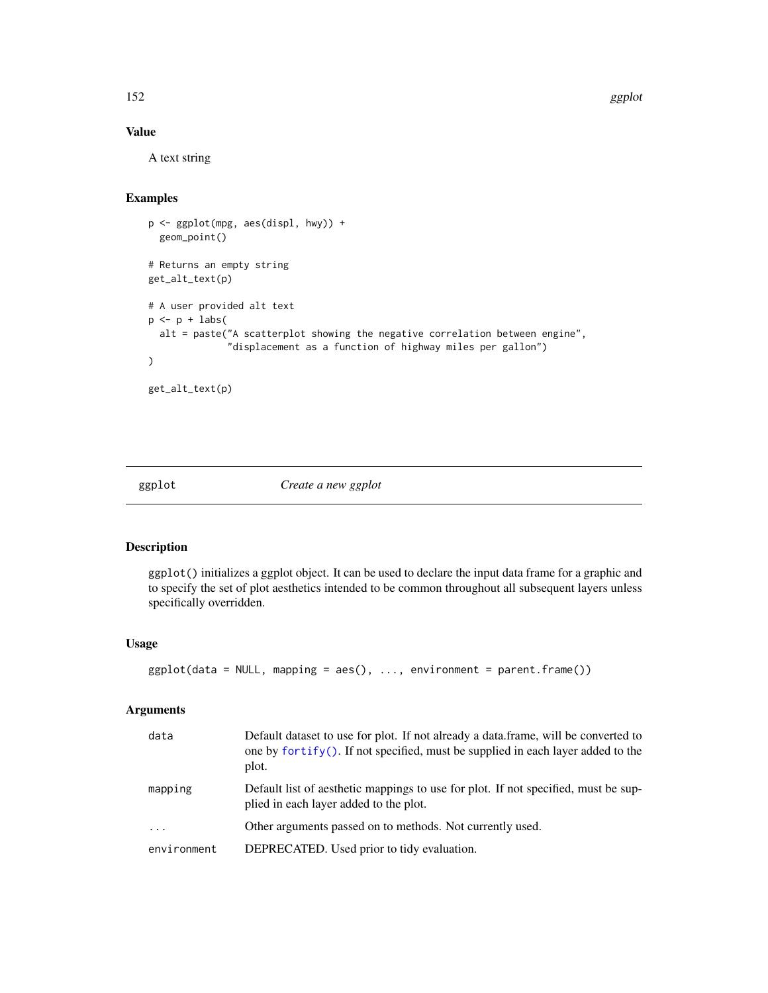152 ggplot

# Value

A text string

#### Examples

```
p <- ggplot(mpg, aes(displ, hwy)) +
 geom_point()
# Returns an empty string
get_alt_text(p)
# A user provided alt text
p \leftarrow p + \text{ labs(}alt = paste("A scatterplot showing the negative correlation between engine",
               "displacement as a function of highway miles per gallon")
)
get_alt_text(p)
```
<span id="page-151-0"></span>ggplot *Create a new ggplot*

# Description

ggplot() initializes a ggplot object. It can be used to declare the input data frame for a graphic and to specify the set of plot aesthetics intended to be common throughout all subsequent layers unless specifically overridden.

# Usage

```
ggplot(data = NULL, mapping = aes(), ..., environment = parent-frame())
```

| data        | Default dataset to use for plot. If not already a data.frame, will be converted to<br>one by $fortify()$ . If not specified, must be supplied in each layer added to the<br>plot. |
|-------------|-----------------------------------------------------------------------------------------------------------------------------------------------------------------------------------|
| mapping     | Default list of aesthetic mappings to use for plot. If not specified, must be sup-<br>plied in each layer added to the plot.                                                      |
| $\ddotsc$   | Other arguments passed on to methods. Not currently used.                                                                                                                         |
| environment | DEPRECATED. Used prior to tidy evaluation.                                                                                                                                        |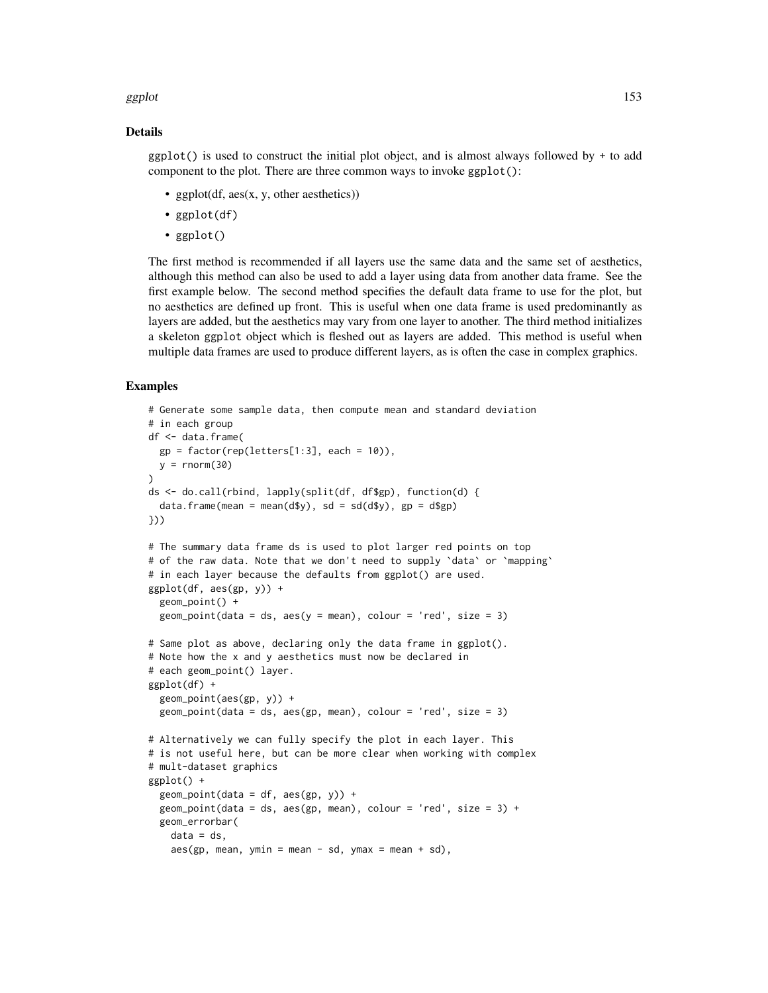#### ggplot the contract of the contract of the contract of the contract of the contract of the contract of the contract of the contract of the contract of the contract of the contract of the contract of the contract of the con

#### Details

 $ggplot()$  is used to construct the initial plot object, and is almost always followed by + to add component to the plot. There are three common ways to invoke ggplot():

- ggplot(df,  $\text{aes}(x, y, \text{other aesthetics})$ )
- ggplot(df)
- ggplot()

The first method is recommended if all layers use the same data and the same set of aesthetics, although this method can also be used to add a layer using data from another data frame. See the first example below. The second method specifies the default data frame to use for the plot, but no aesthetics are defined up front. This is useful when one data frame is used predominantly as layers are added, but the aesthetics may vary from one layer to another. The third method initializes a skeleton ggplot object which is fleshed out as layers are added. This method is useful when multiple data frames are used to produce different layers, as is often the case in complex graphics.

```
# Generate some sample data, then compute mean and standard deviation
# in each group
df <- data.frame(
  gp = factor(rep(leftters[1:3], each = 10)),y = rnorm(30))
ds <- do.call(rbind, lapply(split(df, df$gp), function(d) {
  data.frame(mean = mean(d$y), sd = sd(dfy), gp = dfgp)
}))
# The summary data frame ds is used to plot larger red points on top
# of the raw data. Note that we don't need to supply `data` or `mapping`
# in each layer because the defaults from ggplot() are used.
ggplot(df, aes(gp, y)) +geom_point() +
  geom\_point(data = ds, aes(y = mean), colour = 'red', size = 3)# Same plot as above, declaring only the data frame in ggplot().
# Note how the x and y aesthetics must now be declared in
# each geom_point() layer.
ggplot(df) +
  geom_point(aes(gp, y)) +
  geom_point(data = ds, aes(gp, mean), colour = 'red', size = 3)
# Alternatively we can fully specify the plot in each layer. This
# is not useful here, but can be more clear when working with complex
# mult-dataset graphics
ggplot() +
  geom\_point(data = df, aes(gp, y)) +geom_point(data = ds, aes(gp, mean), colour = 'red', size = 3) +
  geom_errorbar(
   data = ds,
    aes(gp, mean, ymin = mean - sd, ymax = mean + sd),
```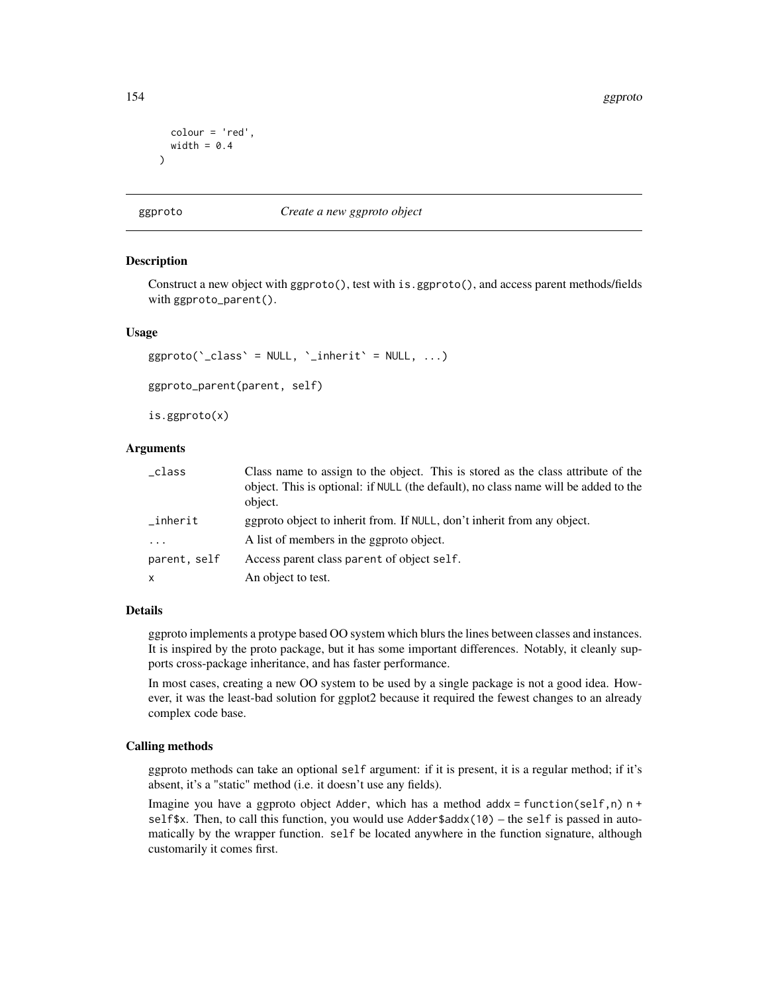```
colour = 'red',
  width = 0.4)
```
# ggproto *Create a new ggproto object*

#### Description

Construct a new object with ggproto(), test with is.ggproto(), and access parent methods/fields with ggproto\_parent().

#### Usage

```
ggproto('class' = NULL, 'inherit' = NULL, ...)ggproto_parent(parent, self)
```
is.ggproto(x)

# Arguments

| _class       | Class name to assign to the object. This is stored as the class attribute of the<br>object. This is optional: if NULL (the default), no class name will be added to the<br>object. |
|--------------|------------------------------------------------------------------------------------------------------------------------------------------------------------------------------------|
| _inherit     | ggproto object to inherit from. If NULL, don't inherit from any object.                                                                                                            |
| .            | A list of members in the ggproto object.                                                                                                                                           |
| parent, self | Access parent class parent of object self.                                                                                                                                         |
| x            | An object to test.                                                                                                                                                                 |

# Details

ggproto implements a protype based OO system which blurs the lines between classes and instances. It is inspired by the proto package, but it has some important differences. Notably, it cleanly supports cross-package inheritance, and has faster performance.

In most cases, creating a new OO system to be used by a single package is not a good idea. However, it was the least-bad solution for ggplot2 because it required the fewest changes to an already complex code base.

#### Calling methods

ggproto methods can take an optional self argument: if it is present, it is a regular method; if it's absent, it's a "static" method (i.e. it doesn't use any fields).

Imagine you have a ggproto object Adder, which has a method addx = function(self,n)  $n +$ self\$x. Then, to call this function, you would use  $\text{Adder}\$addx(10) - \text{the self}$  is passed in automatically by the wrapper function. self be located anywhere in the function signature, although customarily it comes first.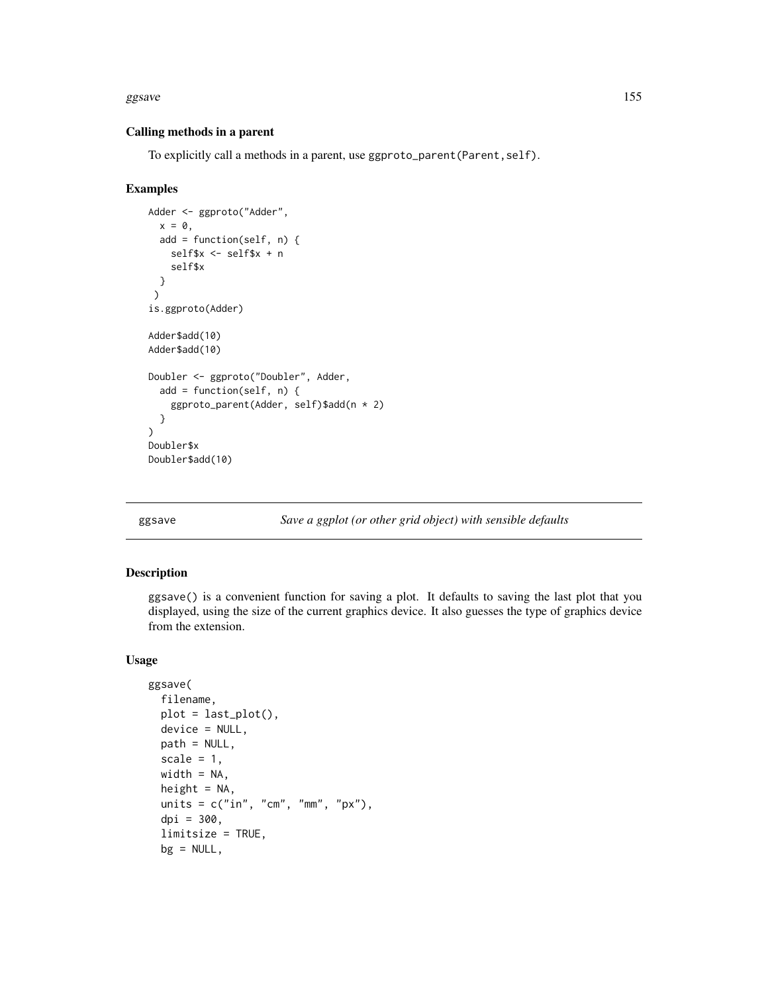#### ggsave and the set of the set of the set of the set of the set of the set of the set of the set of the set of the set of the set of the set of the set of the set of the set of the set of the set of the set of the set of th

# Calling methods in a parent

To explicitly call a methods in a parent, use ggproto\_parent(Parent,self).

# Examples

```
Adder <- ggproto("Adder",
  x = 0,
  add = function(self, n) {
   self$x <- self$x + n
   self$x
 }
 )
is.ggproto(Adder)
Adder$add(10)
Adder$add(10)
Doubler <- ggproto("Doubler", Adder,
  add = function(self, n) {
    ggproto_parent(Adder, self)$add(n * 2)
  }
)
Doubler$x
Doubler$add(10)
```
ggsave *Save a ggplot (or other grid object) with sensible defaults*

# Description

ggsave() is a convenient function for saving a plot. It defaults to saving the last plot that you displayed, using the size of the current graphics device. It also guesses the type of graphics device from the extension.

# Usage

```
ggsave(
  filename,
  plot = last\_plot(),
  device = NULL,
  path = NULL,
  scale = 1,
  width = NA,
  height = NA,
  units = c("in", "cm", "mm", "px"),
  dpi = 300,limitsize = TRUE,
  bg = NULL,
```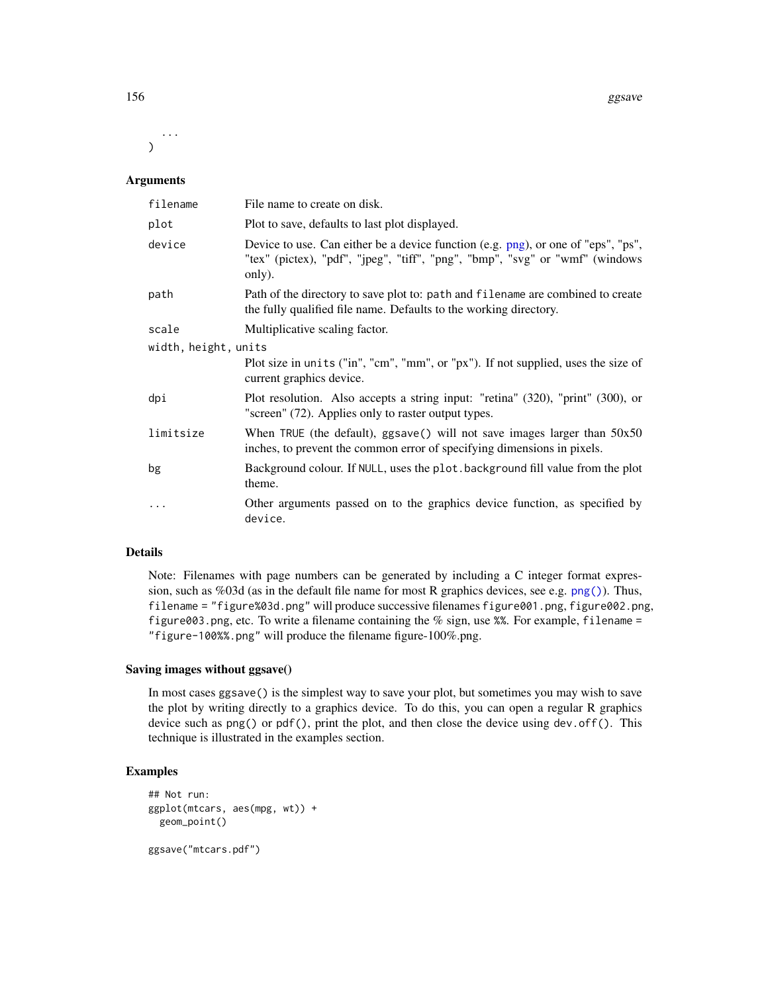...  $\lambda$ 

#### Arguments

| filename             | File name to create on disk.                                                                                                                                                |  |
|----------------------|-----------------------------------------------------------------------------------------------------------------------------------------------------------------------------|--|
| plot                 | Plot to save, defaults to last plot displayed.                                                                                                                              |  |
| device               | Device to use. Can either be a device function (e.g. png), or one of "eps", "ps",<br>"tex" (pictex), "pdf", "jpeg", "tiff", "png", "bmp", "svg" or "wmf" (windows<br>only). |  |
| path                 | Path of the directory to save plot to: path and filename are combined to create<br>the fully qualified file name. Defaults to the working directory.                        |  |
| scale                | Multiplicative scaling factor.                                                                                                                                              |  |
| width, height, units |                                                                                                                                                                             |  |
|                      | Plot size in units ("in", "cm", "mm", or "px"). If not supplied, uses the size of<br>current graphics device.                                                               |  |
| dpi                  | Plot resolution. Also accepts a string input: "retina" (320), "print" (300), or<br>"screen" (72). Applies only to raster output types.                                      |  |
| limitsize            | When TRUE (the default), $ggsave()$ will not save images larger than $50x50$<br>inches, to prevent the common error of specifying dimensions in pixels.                     |  |
| bg                   | Background colour. If NULL, uses the plot background fill value from the plot<br>theme.                                                                                     |  |
| $\cdots$             | Other arguments passed on to the graphics device function, as specified by<br>device.                                                                                       |  |

# Details

Note: Filenames with page numbers can be generated by including a C integer format expression, such as %03d (as in the default file name for most R graphics devices, see e.g. [png\(\)](#page-0-0)). Thus, filename = "figure%03d.png" will produce successive filenames figure001.png, figure002.png, figure003.png, etc. To write a filename containing the % sign, use %%. For example, filename = "figure-100%%.png" will produce the filename figure-100%.png.

# Saving images without ggsave()

In most cases ggsave() is the simplest way to save your plot, but sometimes you may wish to save the plot by writing directly to a graphics device. To do this, you can open a regular R graphics device such as png() or pdf(), print the plot, and then close the device using dev.off(). This technique is illustrated in the examples section.

```
## Not run:
ggplot(mtcars, aes(mpg, wt)) +
  geom_point()
ggsave("mtcars.pdf")
```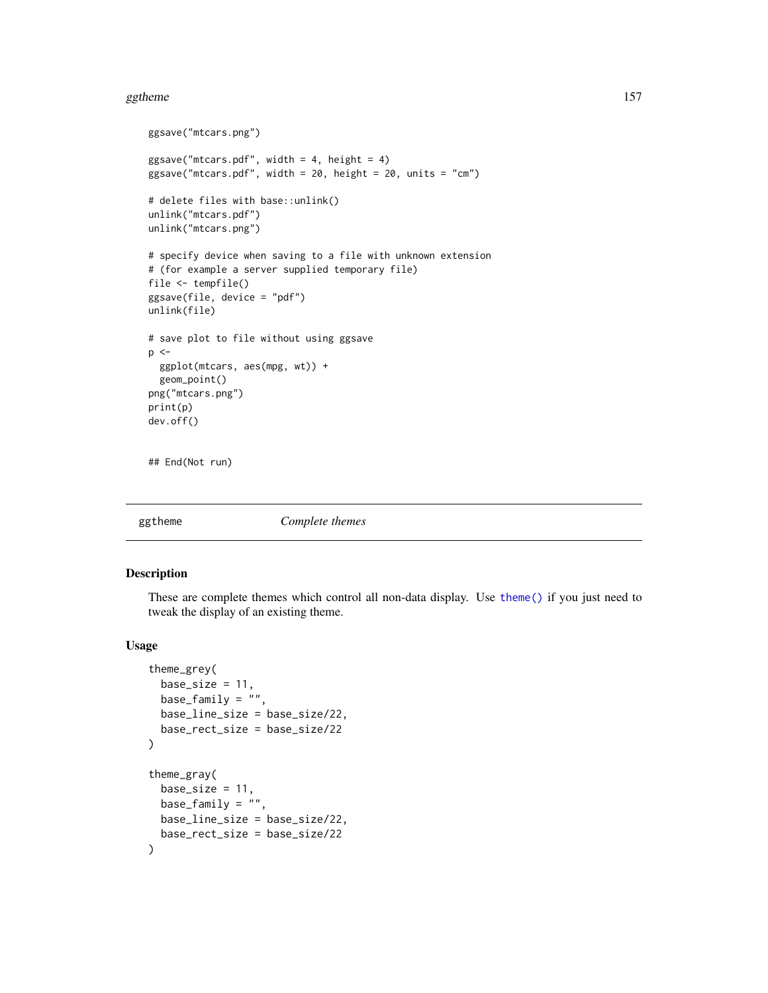#### ggtheme 157

```
ggsave("mtcars.png")
ggsave("mtcars.pdf", width = 4, height = 4)
ggsave("mtcars.pdf", width = 20, height = 20, units = "cm")
# delete files with base::unlink()
unlink("mtcars.pdf")
unlink("mtcars.png")
# specify device when saving to a file with unknown extension
# (for example a server supplied temporary file)
file <- tempfile()
ggsave(file, device = "pdf")
unlink(file)
# save plot to file without using ggsave
p \leq -ggplot(mtcars, aes(mpg, wt)) +
  geom_point()
png("mtcars.png")
print(p)
dev.off()
## End(Not run)
```

```
ggtheme Complete themes
```
# Description

These are complete themes which control all non-data display. Use [theme\(\)](#page-271-0) if you just need to tweak the display of an existing theme.

#### Usage

```
theme_grey(
 base_size = 11,
 base_family = ",
 base_line_size = base_size/22,
 base_rect_size = base_size/22
)
theme_gray(
 base_size = 11,
 base_family = "",
 base_line_size = base_size/22,
 base_rect_size = base_size/22
)
```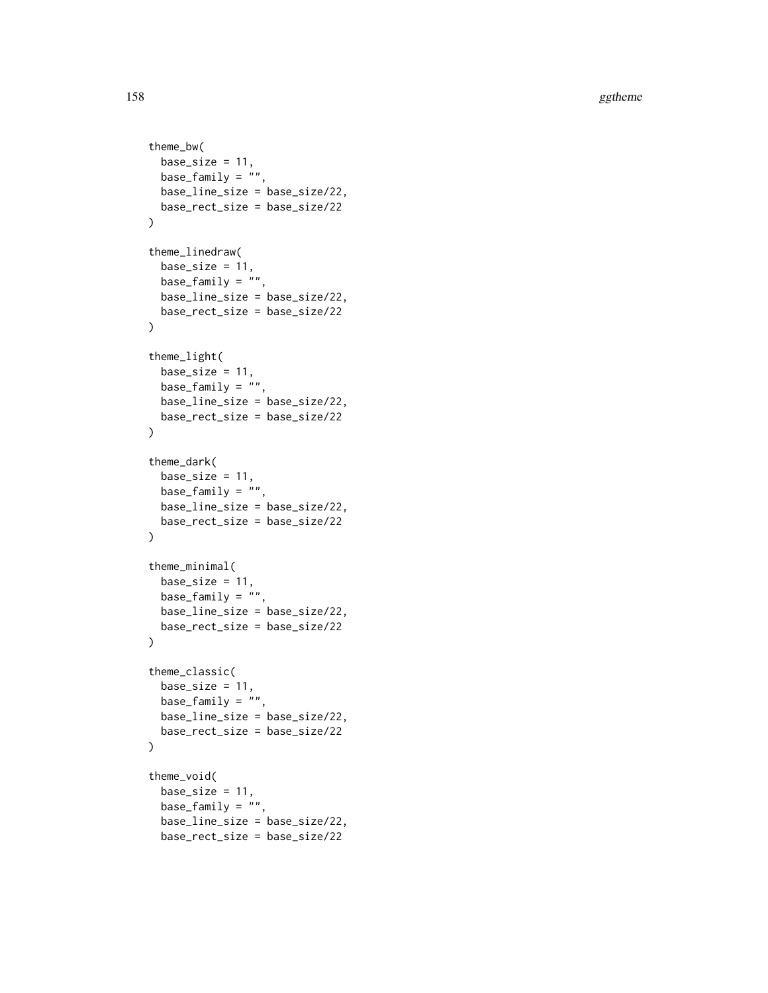```
theme_bw(
 base\_size = 11,
 base_family = "",
 base_line_size = base_size/22,
 base_rect_size = base_size/22
\mathcal{L}theme_linedraw(
 base_size = 11,
 base_family = "",
 base_line_size = base_size/22,
 base_rect_size = base_size/22
)
theme_light(
 base_size = 11,
 base_family = ",
 base_line_size = base_size/22,
 base_rect_size = base_size/22
\mathcal{L}theme_dark(
 base_size = 11,
 base_family = "",
 base_line_size = base_size/22,
 base_rect_size = base_size/22
\mathcal{L}theme_minimal(
 base_size = 11,
 base_family = ",
 base_line_size = base_size/22,
 base_rect_size = base_size/22
\mathcal{L}theme_classic(
 base_size = 11,
 base_family = "",
 base_line_size = base_size/22,
 base_rect_size = base_size/22
\lambdatheme_void(
  base_size = 11,
 base_family = ",
  base_line_size = base_size/22,
  base_rect_size = base_size/22
```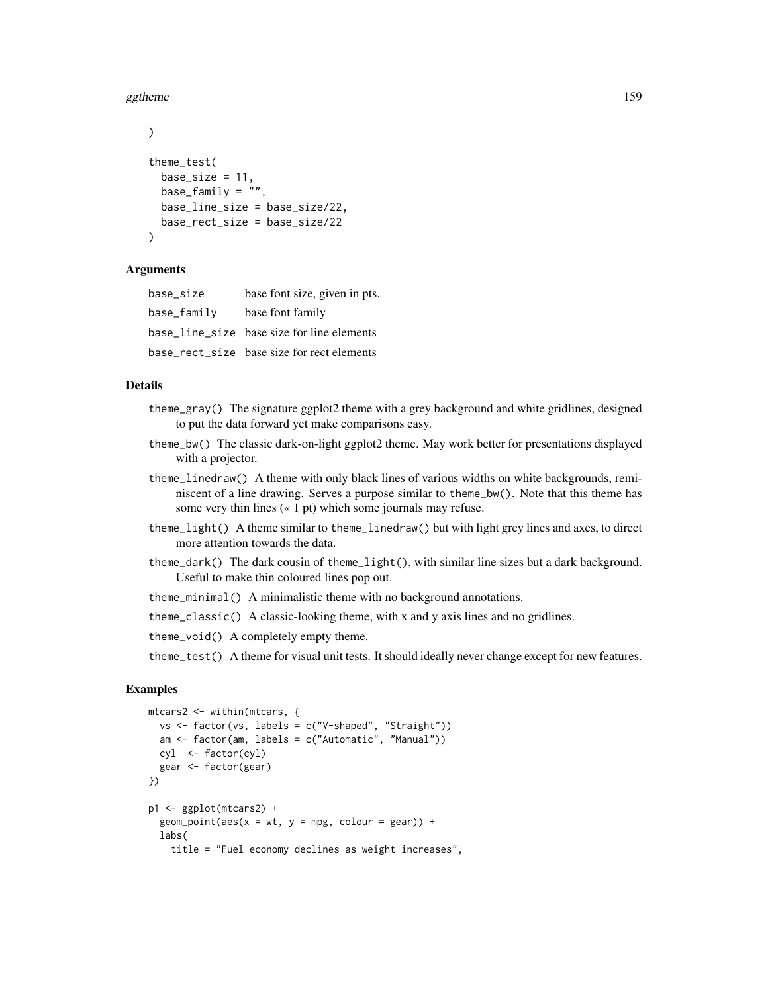#### ggtheme that the state of the state of the state of the state of the state of the state of the state of the state of the state of the state of the state of the state of the state of the state of the state of the state of t

```
)
theme_test(
 base_size = 11,
 base_family = ",
 base_line_size = base_size/22,
 base_rect_size = base_size/22
\lambda
```
#### Arguments

| base size   | base font size, given in pts.              |
|-------------|--------------------------------------------|
| base_family | base font family                           |
|             | base_line_size base size for line elements |
|             | base rect size base size for rect elements |

# Details

- theme\_gray() The signature ggplot2 theme with a grey background and white gridlines, designed to put the data forward yet make comparisons easy.
- theme\_bw() The classic dark-on-light ggplot2 theme. May work better for presentations displayed with a projector.
- theme\_linedraw() A theme with only black lines of various widths on white backgrounds, reminiscent of a line drawing. Serves a purpose similar to theme\_bw(). Note that this theme has some very thin lines (« 1 pt) which some journals may refuse.
- theme\_light() A theme similar to theme\_linedraw() but with light grey lines and axes, to direct more attention towards the data.
- theme\_dark() The dark cousin of theme\_light(), with similar line sizes but a dark background. Useful to make thin coloured lines pop out.

theme\_minimal() A minimalistic theme with no background annotations.

theme\_classic() A classic-looking theme, with x and y axis lines and no gridlines.

theme\_void() A completely empty theme.

theme\_test() A theme for visual unit tests. It should ideally never change except for new features.

```
mtcars2 <- within(mtcars, {
  vs <- factor(vs, labels = c("V-shaped", "Straight"))
  am <- factor(am, labels = c("Automatic", "Manual"))
  cyl <- factor(cyl)
  gear <- factor(gear)
})
p1 <- ggplot(mtcars2) +
  geom\_point(aes(x = wt, y = mp, colour = gear)) +labs(
    title = "Fuel economy declines as weight increases",
```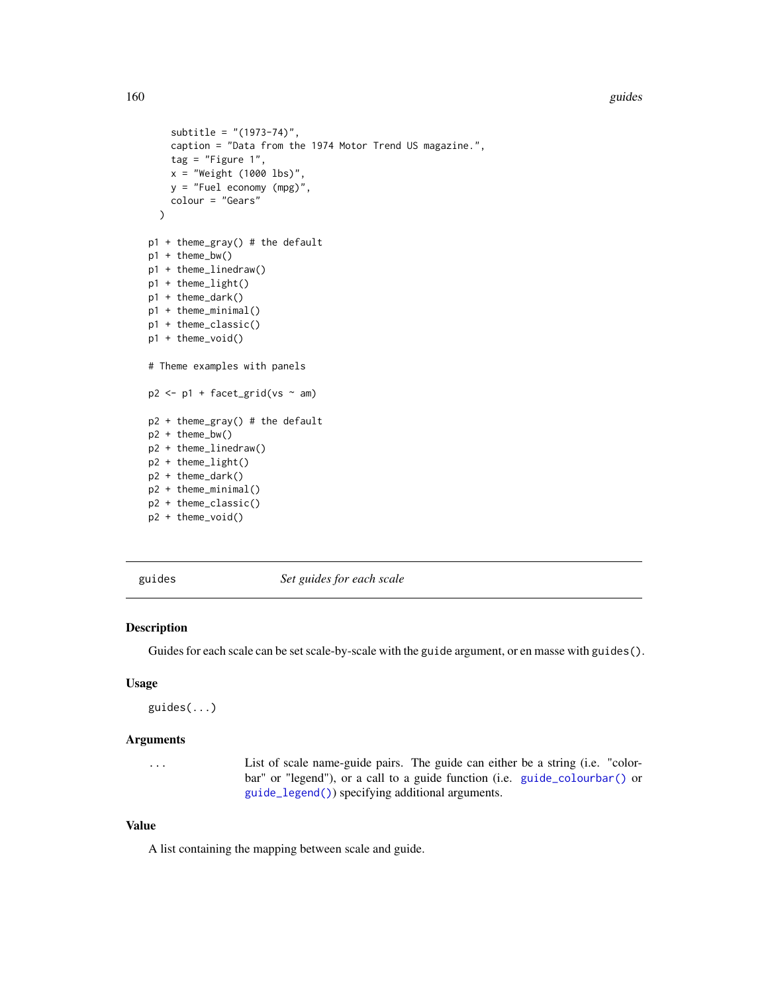160 guides group of the state of the state of the state of the state of the state of the state of the state of the state of the state of the state of the state of the state of the state of the state of the state of the sta

```
subtitle = "(1973-74)",
    caption = "Data from the 1974 Motor Trend US magazine.",
    tag = "Figure 1",x = "Weight (1000 lbs)",
    y = "Fuel economy (mpg)",
    colour = "Gears"
  )
p1 + theme_gray() # the default
p1 + theme_bw()
p1 + theme_linedraw()
p1 + theme_light()
p1 + theme_dark()
p1 + theme_minimal()
p1 + theme_classic()
p1 + theme_void()
# Theme examples with panels
p2 \leq -p1 + \text{facet\_grid}(vs \sim am)p2 + theme_gray() # the default
p2 + theme_bw()
p2 + theme_linedraw()
p2 + theme_light()
p2 + theme_dark()
p2 + theme_minimal()
p2 + theme_classic()
p2 + theme_void()
```
<span id="page-159-0"></span>guides *Set guides for each scale*

#### Description

Guides for each scale can be set scale-by-scale with the guide argument, or en masse with guides().

### Usage

guides(...)

#### Arguments

... List of scale name-guide pairs. The guide can either be a string (i.e. "colorbar" or "legend"), or a call to a guide function (i.e. [guide\\_colourbar\(\)](#page-164-0) or [guide\\_legend\(\)](#page-171-0)) specifying additional arguments.

# Value

A list containing the mapping between scale and guide.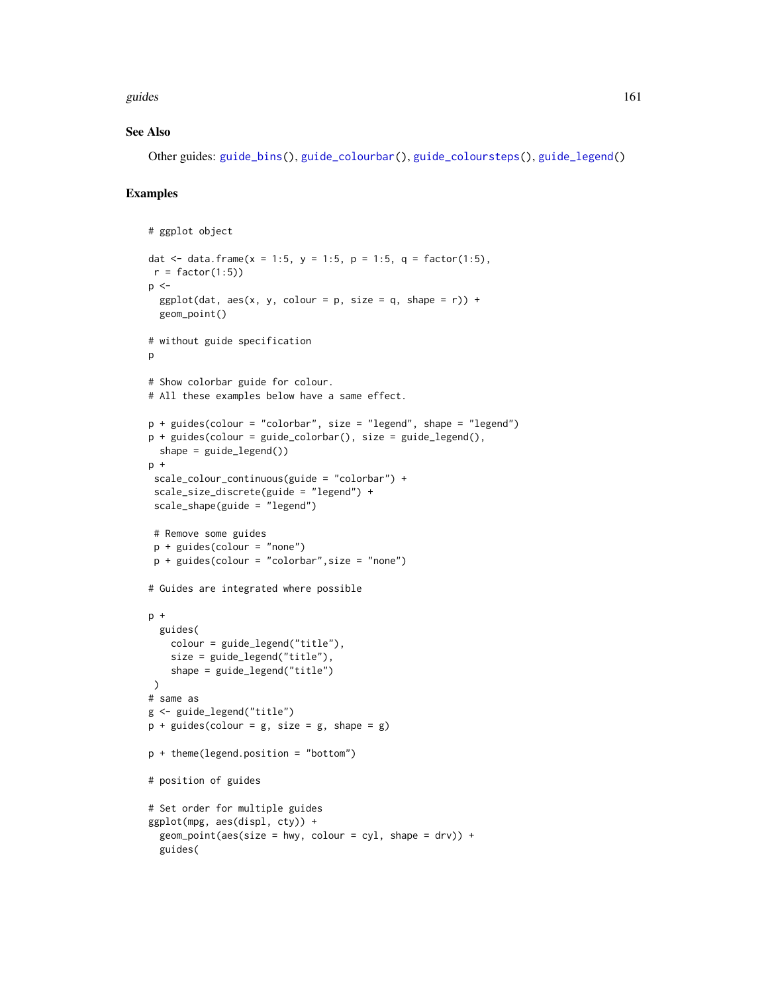guides **161** and 161 and 161 and 161 and 161 and 161 and 161 and 161 and 161 and 161 and 161 and 161 and 161 and 161 and 161 and 161 and 161 and 161 and 161 and 161 and 161 and 161 and 161 and 161 and 161 and 161 and 161 a

#### See Also

Other guides: [guide\\_bins\(](#page-162-0)), [guide\\_colourbar\(](#page-164-0)), [guide\\_coloursteps\(](#page-169-0)), [guide\\_legend\(](#page-171-0))

```
# ggplot object
dat <- data.frame(x = 1:5, y = 1:5, p = 1:5, q = factor(1:5),
r = factor(1:5)p \leq -ggplot(data, aes(x, y, colour = p, size = q, shape = r)) +geom_point()
# without guide specification
p
# Show colorbar guide for colour.
# All these examples below have a same effect.
p + guides(colour = "colorbar", size = "legend", shape = "legend")
p + guides(colour = guide_colorbar(), size = guide_legend(),
  shape = guide\_legend()p +
 scale_colour_continuous(guide = "colorbar") +
 scale_size_discrete(guide = "legend") +
scale_shape(guide = "legend")
# Remove some guides
 p + guides(colour = "none")
p + guides(colour = "colorbar",size = "none")
# Guides are integrated where possible
p +
  guides(
   colour = guide_legend("title"),
   size = guide_legend("title"),
   shape = guide_legend("title")
\lambda# same as
g <- guide_legend("title")
p + guides(colour = g, size = g, shape = g)p + theme(legend.position = "bottom")
# position of guides
# Set order for multiple guides
ggplot(mpg, aes(displ, cty)) +
  geom\_point(aes(size = hwy, colour = cyl, shape = dry) +guides(
```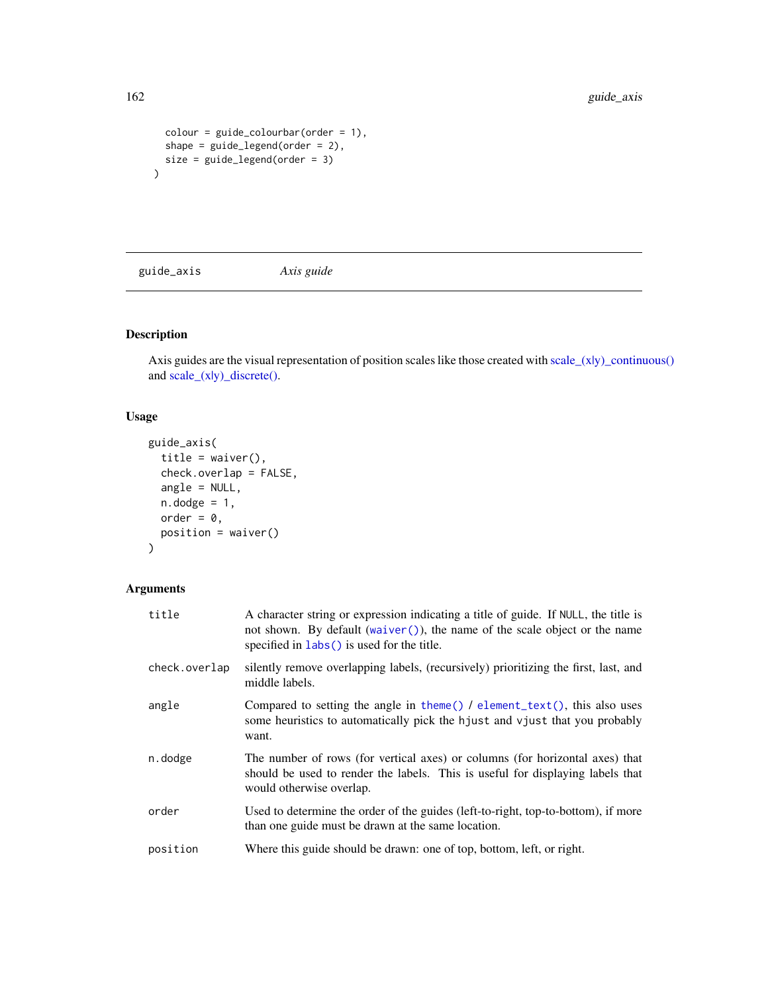```
color = guide\_colourbar(order = 1),
  shape = guide\_legend(order = 2),
  size = guide_legend(order = 3)
\overline{)}
```
guide\_axis *Axis guide*

# Description

Axis guides are the visual representation of position scales like those created with scale\_(xly)\_continuous() and [scale\\_\(x|y\)\\_discrete\(\).](#page-250-0)

# Usage

```
guide_axis(
  title = waiver(),
  check.overlap = FALSE,
  angle = NULL,
  n.dodge = 1,
 order = 0,
 position = waiver()
)
```

| title         | A character string or expression indicating a title of guide. If NULL, the title is<br>not shown. By default (waiver()), the name of the scale object or the name<br>specified in labs () is used for the title. |
|---------------|------------------------------------------------------------------------------------------------------------------------------------------------------------------------------------------------------------------|
| check.overlap | silently remove overlapping labels, (recursively) prioritizing the first, last, and<br>middle labels.                                                                                                            |
| angle         | Compared to setting the angle in theme() $\ell$ element_text(), this also uses<br>some heuristics to automatically pick the hjust and vjust that you probably<br>want.                                           |
| n.dodge       | The number of rows (for vertical axes) or columns (for horizontal axes) that<br>should be used to render the labels. This is useful for displaying labels that<br>would otherwise overlap.                       |
| order         | Used to determine the order of the guides (left-to-right, top-to-bottom), if more<br>than one guide must be drawn at the same location.                                                                          |
| position      | Where this guide should be drawn: one of top, bottom, left, or right.                                                                                                                                            |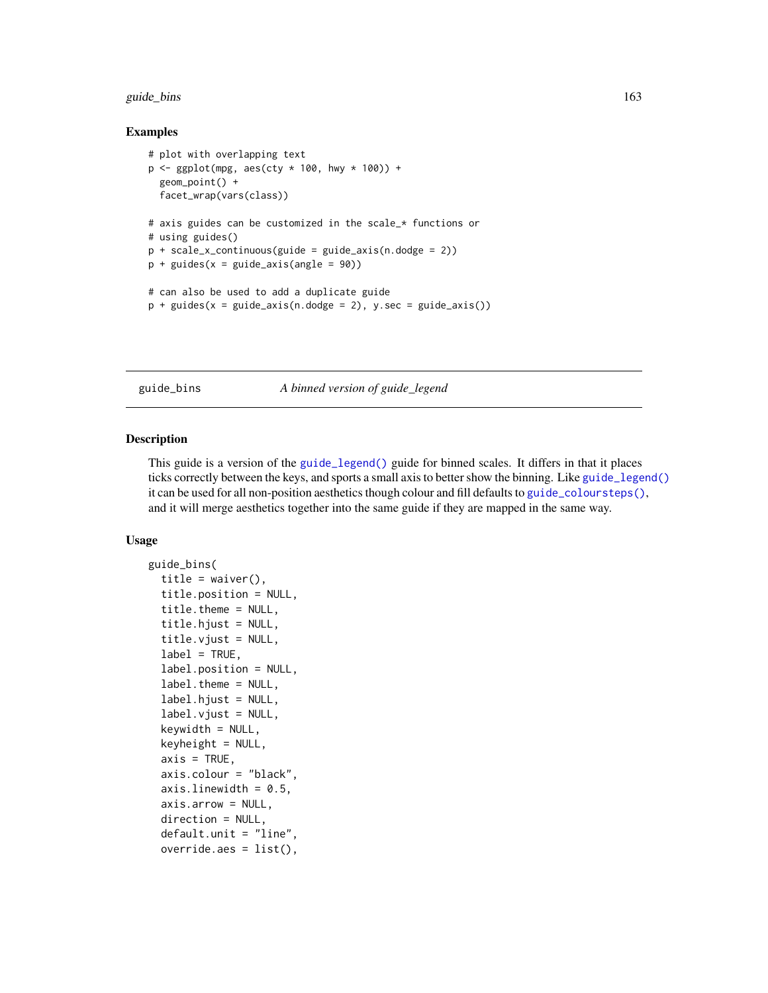# guide\_bins 163

#### Examples

```
# plot with overlapping text
p \leftarrow ggplot(mpg, aes(cty \star 100, hwy \star 100)) +
 geom_point() +
 facet_wrap(vars(class))
# axis guides can be customized in the scale_* functions or
# using guides()
p + scale_x_{continuous(guide = guide_axis(n.dodge = 2))p + guides(x = guide\_axis(angle = 90))# can also be used to add a duplicate guide
p + guides(x = guide_axis(n.dodge = 2), y/sec = guide_axis())
```
<span id="page-162-0"></span>guide\_bins *A binned version of guide\_legend*

#### Description

This guide is a version of the [guide\\_legend\(\)](#page-171-0) guide for binned scales. It differs in that it places ticks correctly between the keys, and sports a small axis to better show the binning. Like [guide\\_legend\(\)](#page-171-0) it can be used for all non-position aesthetics though colour and fill defaults to [guide\\_coloursteps\(\)](#page-169-0), and it will merge aesthetics together into the same guide if they are mapped in the same way.

#### Usage

```
guide_bins(
  title = waiver(),
  title.position = NULL,
  title.theme = NULL,
  title.hjust = NULL,
  title.vjust = NULL,
  label = TRUE,label.position = NULL,
  label.theme = NULL,
  label.hjust = NULL,
  label.vjust = NULL,keywidth = NULL,keyheight = NULL,axis = TRUE,axis.colour = "black",
  axis.linewidth = 0.5,
  axis.arrow = NULL,
  direction = NULL,
  default.unit = "line",
  override.aes = list(),
```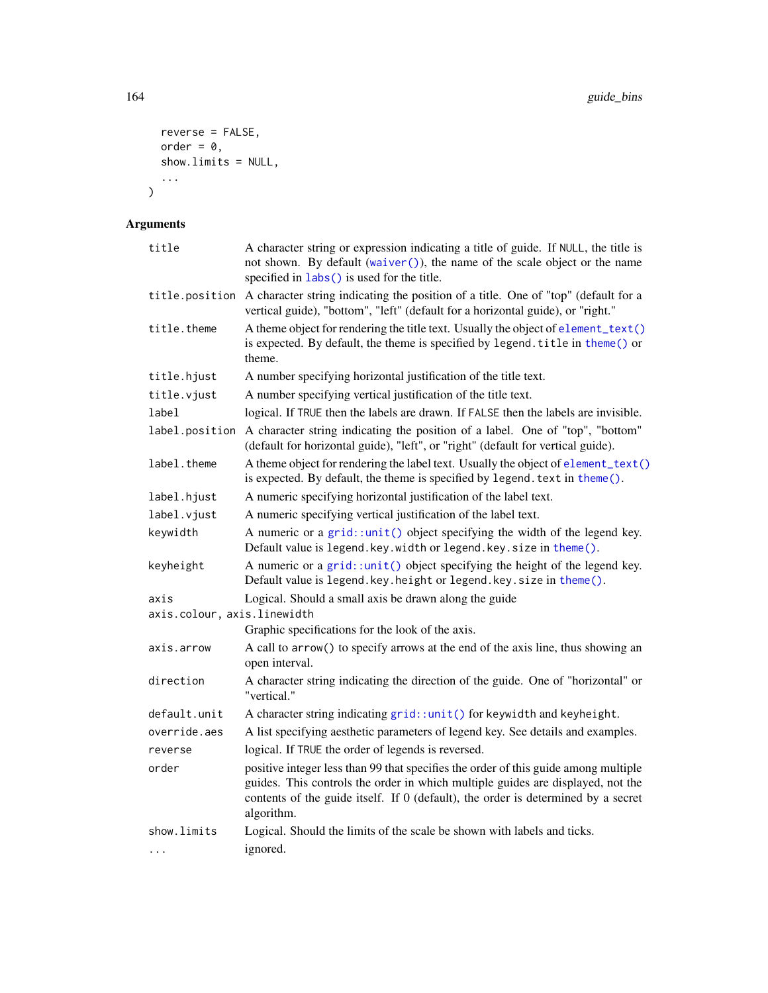```
reverse = FALSE,
 order = 0,show.limits = NULL,
  ...
)
```

| title                       | A character string or expression indicating a title of guide. If NULL, the title is<br>not shown. By default (waiver()), the name of the scale object or the name<br>specified in labs() is used for the title.                                                           |
|-----------------------------|---------------------------------------------------------------------------------------------------------------------------------------------------------------------------------------------------------------------------------------------------------------------------|
| title.position              | A character string indicating the position of a title. One of "top" (default for a<br>vertical guide), "bottom", "left" (default for a horizontal guide), or "right."                                                                                                     |
| title.theme                 | A theme object for rendering the title text. Usually the object of element_text()<br>is expected. By default, the theme is specified by legend. title in theme() or<br>theme.                                                                                             |
| title.hjust                 | A number specifying horizontal justification of the title text.                                                                                                                                                                                                           |
| title.vjust                 | A number specifying vertical justification of the title text.                                                                                                                                                                                                             |
| label                       | logical. If TRUE then the labels are drawn. If FALSE then the labels are invisible.                                                                                                                                                                                       |
| label.position              | A character string indicating the position of a label. One of "top", "bottom"<br>(default for horizontal guide), "left", or "right" (default for vertical guide).                                                                                                         |
| label.theme                 | A theme object for rendering the label text. Usually the object of element_text()<br>is expected. By default, the theme is specified by legend. text in theme().                                                                                                          |
| label.hjust                 | A numeric specifying horizontal justification of the label text.                                                                                                                                                                                                          |
| label.vjust                 | A numeric specifying vertical justification of the label text.                                                                                                                                                                                                            |
| keywidth                    | A numeric or a $grid::unit()$ object specifying the width of the legend key.<br>Default value is legend. key. width or legend. key. size in theme().                                                                                                                      |
| keyheight                   | A numeric or a $grid$ : unit() object specifying the height of the legend key.<br>Default value is legend.key.height or legend.key.size in theme().                                                                                                                       |
| axis                        | Logical. Should a small axis be drawn along the guide                                                                                                                                                                                                                     |
| axis.colour, axis.linewidth |                                                                                                                                                                                                                                                                           |
|                             | Graphic specifications for the look of the axis.                                                                                                                                                                                                                          |
| axis.arrow                  | A call to arrow() to specify arrows at the end of the axis line, thus showing an<br>open interval.                                                                                                                                                                        |
| direction                   | A character string indicating the direction of the guide. One of "horizontal" or<br>"vertical."                                                                                                                                                                           |
| default.unit                | A character string indicating grid::unit() for keywidth and keyheight.                                                                                                                                                                                                    |
| override.aes                | A list specifying aesthetic parameters of legend key. See details and examples.                                                                                                                                                                                           |
| reverse                     | logical. If TRUE the order of legends is reversed.                                                                                                                                                                                                                        |
| order                       | positive integer less than 99 that specifies the order of this guide among multiple<br>guides. This controls the order in which multiple guides are displayed, not the<br>contents of the guide itself. If 0 (default), the order is determined by a secret<br>algorithm. |
| show.limits                 | Logical. Should the limits of the scale be shown with labels and ticks.                                                                                                                                                                                                   |
| $\cdots$                    | ignored.                                                                                                                                                                                                                                                                  |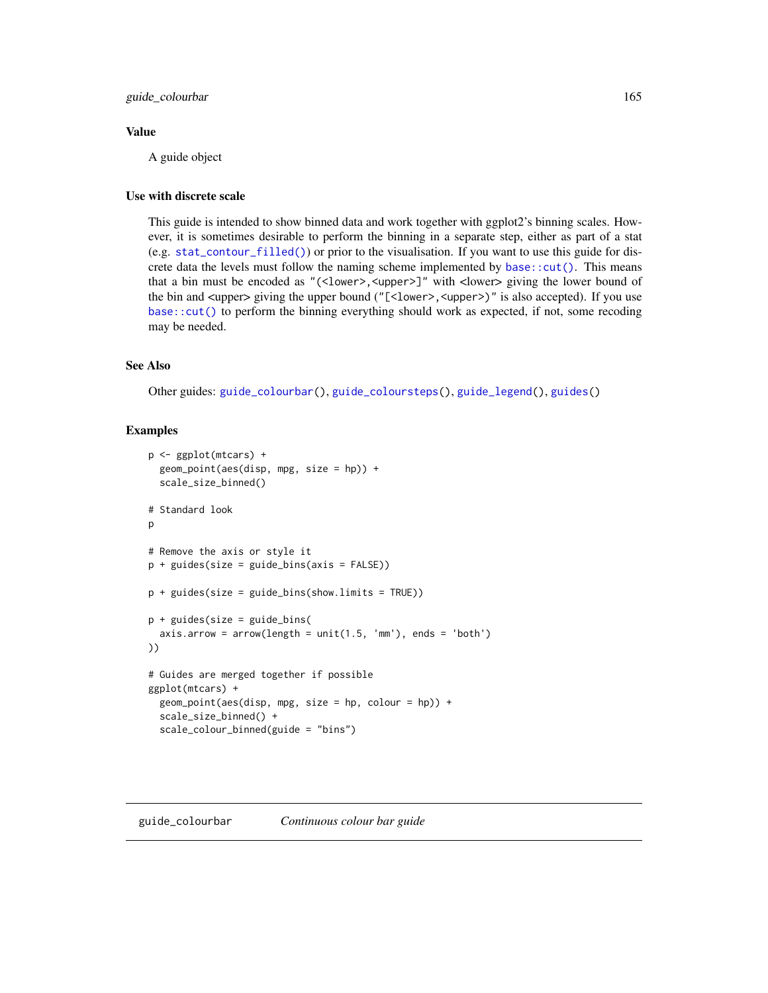## Value

A guide object

# Use with discrete scale

This guide is intended to show binned data and work together with ggplot2's binning scales. However, it is sometimes desirable to perform the binning in a separate step, either as part of a stat (e.g. [stat\\_contour\\_filled\(\)](#page-68-0)) or prior to the visualisation. If you want to use this guide for discrete data the levels must follow the naming scheme implemented by base:: $cut()$ . This means that a bin must be encoded as "(<lower>,<upper>]" with <lower> giving the lower bound of the bin and <upper> giving the upper bound ("[<lower>, <upper>)" is also accepted). If you use [base::cut\(\)](#page-0-0) to perform the binning everything should work as expected, if not, some recoding may be needed.

# See Also

Other guides: [guide\\_colourbar\(](#page-164-0)), [guide\\_coloursteps\(](#page-169-0)), [guide\\_legend\(](#page-171-0)), [guides\(](#page-159-0))

```
p <- ggplot(mtcars) +
 geom_point(aes(disp, mpg, size = hp)) +
 scale_size_binned()
# Standard look
\mathsf{D}# Remove the axis or style it
p + guides(size = guide_bins(axis = FALSE))
p + guides(size = guide_bins(show.limits = TRUE))
p + guides(size = guide_bins(
 axis.array = arrow(length = unit(1.5, 'mm'), ends = 'both')))
# Guides are merged together if possible
ggplot(mtcars) +
 geom_point(aes(disp, mpg, size = hp, colour = hp)) +
 scale_size_binned() +
 scale_colour_binned(guide = "bins")
```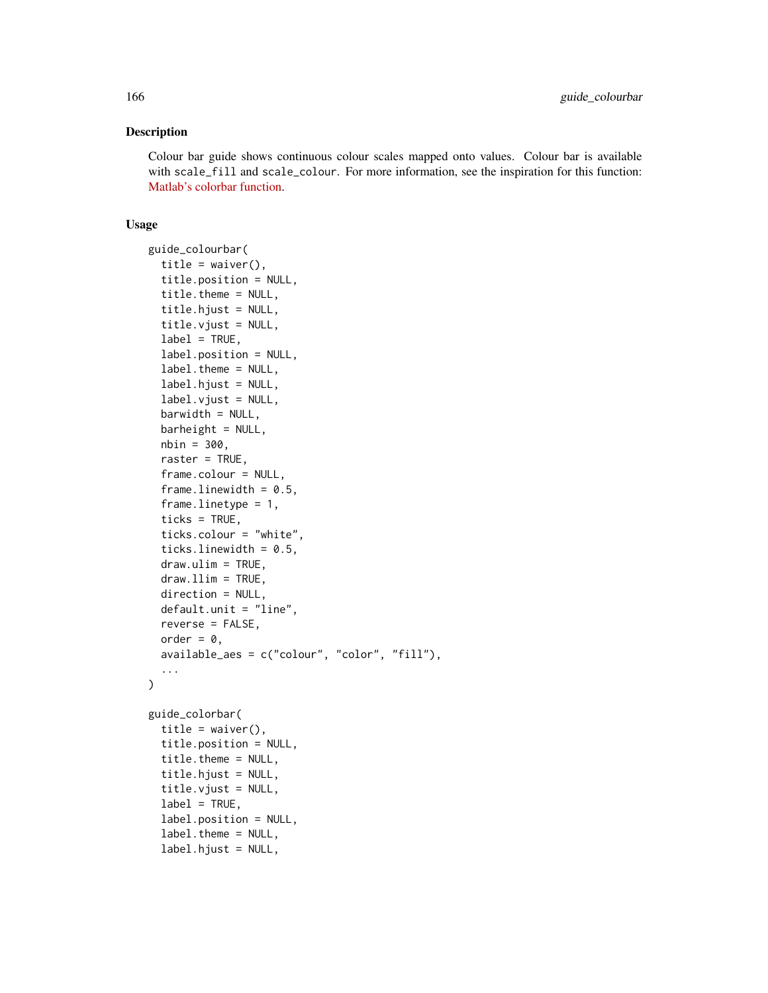#### Description

Colour bar guide shows continuous colour scales mapped onto values. Colour bar is available with scale\_fill and scale\_colour. For more information, see the inspiration for this function: [Matlab's colorbar function.](http://www.mathworks.com/help/techdoc/ref/colorbar.html)

#### Usage

```
guide_colourbar(
  title = waiver(),
  title.position = NULL,
  title.theme = NULL,
  title.hjust = NULL,
  title.vjust = NULL,
  label = TRUE,label.position = NULL,
  label.theme = NULL,
  label.hjust = NULL,
  label.vjust = NULL,barwidth = NULL,bar = NULL,nbin = 300,
  raster = TRUE,
  frame.colour = NULL,
  frame.linewidth = 0.5,
  frame.linetype = 1,
  ticks = TRUE,
  ticks.colour = "white",
  ticks.linewidth = 0.5,
  draw.ulim = TRUE,
  draw.Ilim = TRUE,direction = NULL,
  default.unit = "line",
  reverse = FALSE,
  order = \theta,
  available_aes = c("colour", "color", "fill"),
  ...
)
guide_colorbar(
  title = waiver(),
  title.position = NULL,
  title.theme = NULL,
  title.hjust = NULL,
  title.vjust = NULL,
  label = TRUE,
  label.position = NULL,
  label.theme = NULL,
  label.hjust = NULL,
```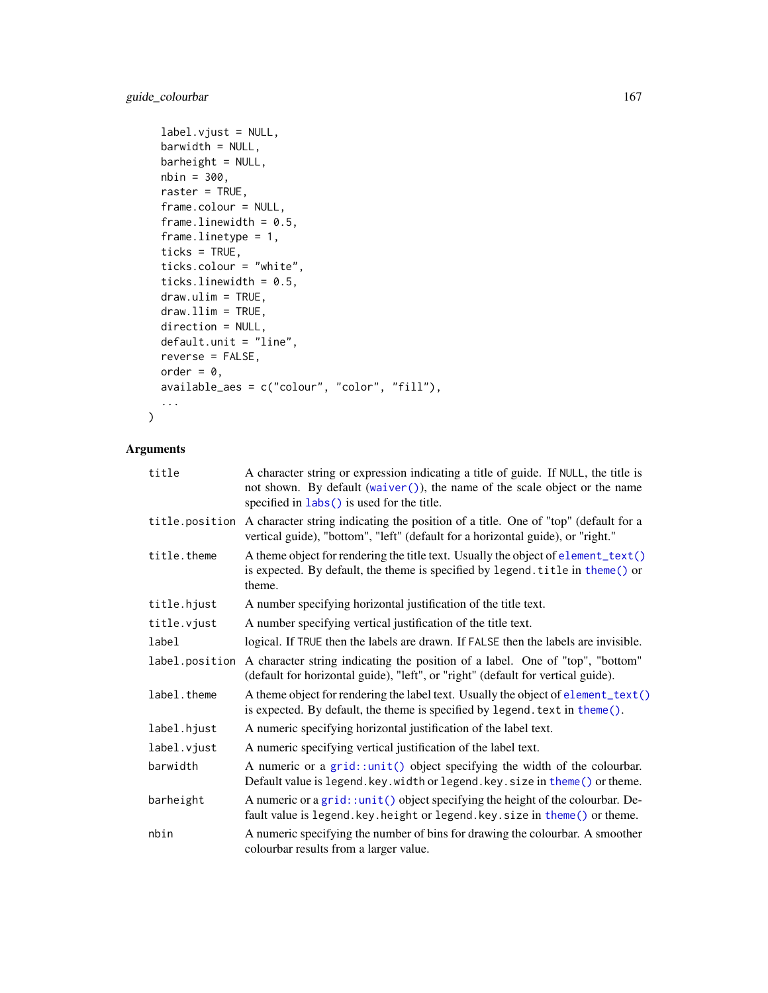```
label.vjust = NULL,
barwidth = NULL,
bar = NULL,
nbin = 300,
raster = TRUE,
frame.colour = NULL,
frame.linewidth = 0.5,
frame.linetype = 1,
ticks = TRUE,
ticks.colour = "white",
ticks.linewidth = 0.5,
draw.ulim = TRUE,
draw.llim = TRUE,
direction = NULL,
default.unit = "line",
reverse = FALSE,
order = 0,
available_aes = c("colour", "color", "fill"),
...
```
# Arguments

 $\mathcal{L}$ 

| title          | A character string or expression indicating a title of guide. If NULL, the title is<br>not shown. By default (waiver()), the name of the scale object or the name<br>specified in labs() is used for the title. |
|----------------|-----------------------------------------------------------------------------------------------------------------------------------------------------------------------------------------------------------------|
| title.position | A character string indicating the position of a title. One of "top" (default for a<br>vertical guide), "bottom", "left" (default for a horizontal guide), or "right."                                           |
| title.theme    | A theme object for rendering the title text. Usually the object of element_text()<br>is expected. By default, the theme is specified by legend. title in theme() or<br>theme.                                   |
| title.hjust    | A number specifying horizontal justification of the title text.                                                                                                                                                 |
| title.vjust    | A number specifying vertical justification of the title text.                                                                                                                                                   |
| label          | logical. If TRUE then the labels are drawn. If FALSE then the labels are invisible.                                                                                                                             |
| label.position | A character string indicating the position of a label. One of "top", "bottom"<br>(default for horizontal guide), "left", or "right" (default for vertical guide).                                               |
| label.theme    | A theme object for rendering the label text. Usually the object of element_text()<br>is expected. By default, the theme is specified by legend. text in theme().                                                |
| label.hjust    | A numeric specifying horizontal justification of the label text.                                                                                                                                                |
| label.vjust    | A numeric specifying vertical justification of the label text.                                                                                                                                                  |
| barwidth       | A numeric or a grid::unit() object specifying the width of the colourbar.<br>Default value is legend. key. width or legend. key. size in theme() or theme.                                                      |
| barheight      | A numeric or a grid::unit() object specifying the height of the colourbar. De-<br>fault value is legend. key. height or legend. key. size in theme() or theme.                                                  |
| nbin           | A numeric specifying the number of bins for drawing the colourbar. A smoother<br>colourbar results from a larger value.                                                                                         |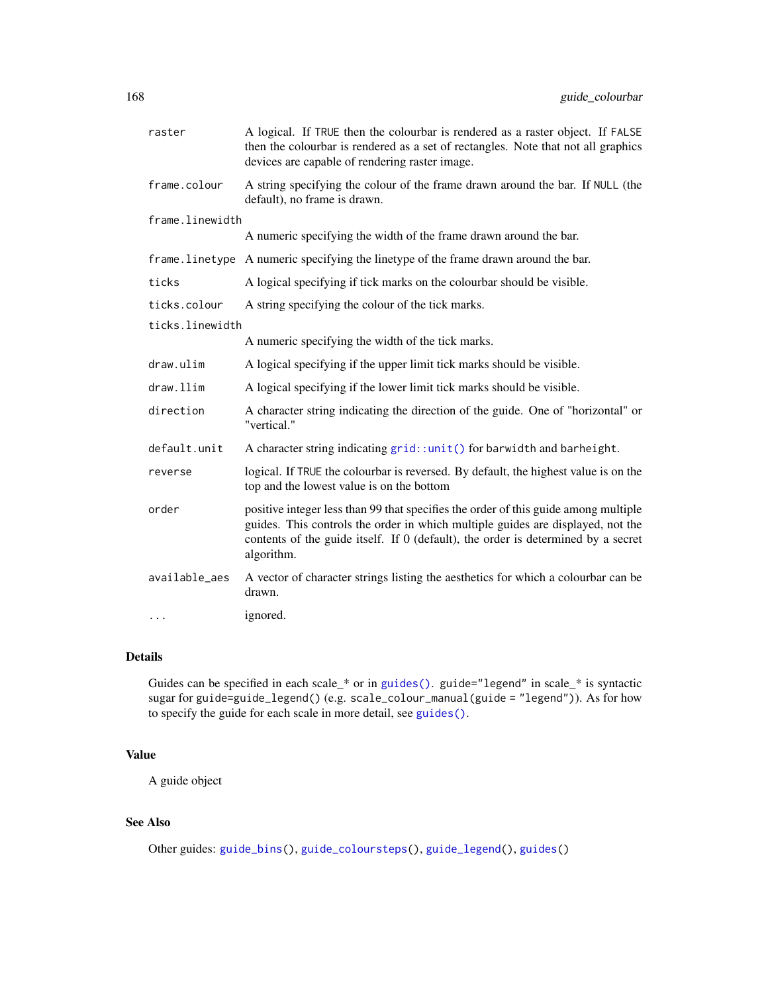| raster          | A logical. If TRUE then the colourbar is rendered as a raster object. If FALSE<br>then the colourbar is rendered as a set of rectangles. Note that not all graphics<br>devices are capable of rendering raster image.                                                     |
|-----------------|---------------------------------------------------------------------------------------------------------------------------------------------------------------------------------------------------------------------------------------------------------------------------|
| frame.colour    | A string specifying the colour of the frame drawn around the bar. If NULL (the<br>default), no frame is drawn.                                                                                                                                                            |
| frame.linewidth |                                                                                                                                                                                                                                                                           |
|                 | A numeric specifying the width of the frame drawn around the bar.                                                                                                                                                                                                         |
|                 | frame.linetype A numeric specifying the linetype of the frame drawn around the bar.                                                                                                                                                                                       |
| ticks           | A logical specifying if tick marks on the colourbar should be visible.                                                                                                                                                                                                    |
| ticks.colour    | A string specifying the colour of the tick marks.                                                                                                                                                                                                                         |
| ticks.linewidth |                                                                                                                                                                                                                                                                           |
|                 | A numeric specifying the width of the tick marks.                                                                                                                                                                                                                         |
| draw.ulim       | A logical specifying if the upper limit tick marks should be visible.                                                                                                                                                                                                     |
| draw.llim       | A logical specifying if the lower limit tick marks should be visible.                                                                                                                                                                                                     |
| direction       | A character string indicating the direction of the guide. One of "horizontal" or<br>"vertical."                                                                                                                                                                           |
| default.unit    | A character string indicating grid::unit() for barwidth and barheight.                                                                                                                                                                                                    |
| reverse         | logical. If TRUE the colourbar is reversed. By default, the highest value is on the<br>top and the lowest value is on the bottom                                                                                                                                          |
| order           | positive integer less than 99 that specifies the order of this guide among multiple<br>guides. This controls the order in which multiple guides are displayed, not the<br>contents of the guide itself. If 0 (default), the order is determined by a secret<br>algorithm. |
| available_aes   | A vector of character strings listing the aesthetics for which a colourbar can be<br>drawn.                                                                                                                                                                               |
| .               | ignored.                                                                                                                                                                                                                                                                  |

# Details

Guides can be specified in each scale\_\* or in [guides\(\)](#page-159-0). guide="legend" in scale\_\* is syntactic sugar for guide=guide\_legend() (e.g. scale\_colour\_manual(guide = "legend")). As for how to specify the guide for each scale in more detail, see [guides\(\)](#page-159-0).

# Value

A guide object

# See Also

Other guides: [guide\\_bins\(](#page-162-0)), [guide\\_coloursteps\(](#page-169-0)), [guide\\_legend\(](#page-171-0)), [guides\(](#page-159-0))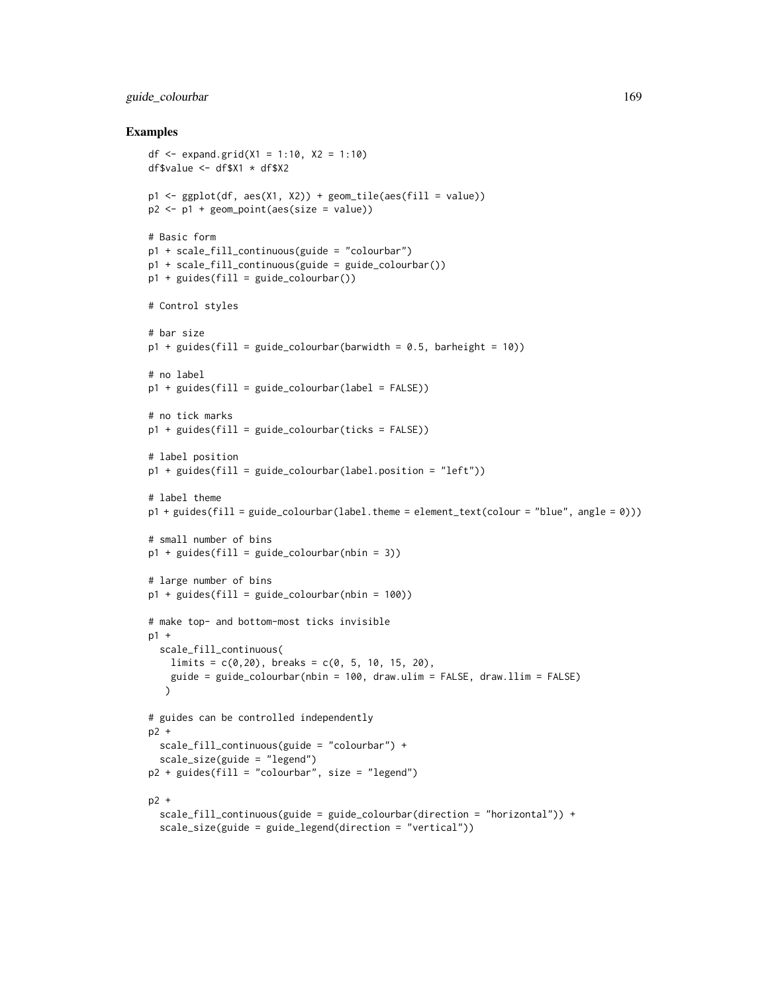# guide\_colourbar 169

```
df <- expand.grid(X1 = 1:10, X2 = 1:10)
df$value <- df$X1 * df$X2
p1 \leq-ggplot(df, aes(X1, X2)) + geom\_tile(aes(fill = value))p2 <- p1 + geom_point(aes(size = value))
# Basic form
p1 + scale_fill_continuous(guide = "colourbar")
p1 + scale_fill_continuous(guide = guide_colourbar())
p1 + guides(fill = guide_colourbar())
# Control styles
# bar size
p1 + guides(fill = guide-colourbar(barwidth = 0.5, barheight = 10))# no label
p1 + guides(fill = guide_colourbar(label = FALSE))
# no tick marks
p1 + guides(fill = guide-colourbar(ticks = FALSE))# label position
p1 + guides(fill = guide-colourbar(label.position = "left"))# label theme
p1 + guides(fill = guide_colourbar(label.theme = element_text(colour = "blue", angle = 0)))
# small number of bins
p1 + guides(fill = guide\_colourbar(hlin = 3))# large number of bins
p1 + guides(fill = guide\_colourbar(hlin = 100))# make top- and bottom-most ticks invisible
p1 +
  scale_fill_continuous(
   limits = c(0, 20), breaks = c(0, 5, 10, 15, 20),
   guide = guide_colourbar(nbin = 100, draw.ulim = FALSE, draw.llim = FALSE)
   )
# guides can be controlled independently
p2 +
  scale_fill_continuous(guide = "colourbar") +
  scale_size(guide = "legend")
p2 + guides(fill = "colourbar", size = "legend")
p2 +
  scale_fill_continuous(guide = guide_colourbar(direction = "horizontal")) +
  scale_size(guide = guide_legend(direction = "vertical"))
```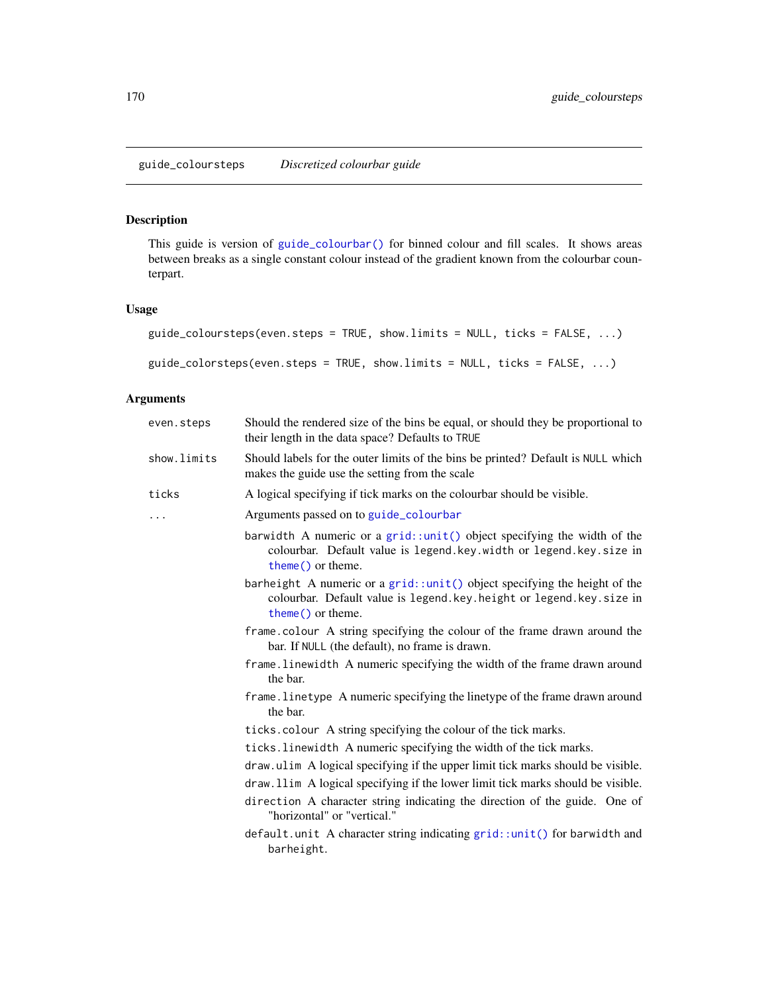# <span id="page-169-0"></span>Description

This guide is version of [guide\\_colourbar\(\)](#page-164-0) for binned colour and fill scales. It shows areas between breaks as a single constant colour instead of the gradient known from the colourbar counterpart.

# Usage

```
guide_coloursteps(even.steps = TRUE, show.limits = NULL, ticks = FALSE, ...)
guide_colorsteps(even.steps = TRUE, show.limits = NULL, ticks = FALSE, ...)
```

| even.steps  | Should the rendered size of the bins be equal, or should they be proportional to<br>their length in the data space? Defaults to TRUE                                        |
|-------------|-----------------------------------------------------------------------------------------------------------------------------------------------------------------------------|
| show.limits | Should labels for the outer limits of the bins be printed? Default is NULL which<br>makes the guide use the setting from the scale                                          |
| ticks       | A logical specifying if tick marks on the colourbar should be visible.                                                                                                      |
| .           | Arguments passed on to guide_colourbar                                                                                                                                      |
|             | barwidth A numeric or a grid::unit() object specifying the width of the<br>colourbar. Default value is legend.key.width or legend.key.size in<br>theme() or theme.          |
|             | barheight A numeric or a $grid::unit()$ object specifying the height of the<br>colourbar. Default value is legend. key. height or legend. key. size in<br>theme() or theme. |
|             | frame.colour A string specifying the colour of the frame drawn around the<br>bar. If NULL (the default), no frame is drawn.                                                 |
|             | frame. Linewidth A numeric specifying the width of the frame drawn around<br>the bar.                                                                                       |
|             | frame. Linetype A numeric specifying the linetype of the frame drawn around<br>the bar.                                                                                     |
|             | ticks.colour A string specifying the colour of the tick marks.                                                                                                              |
|             | ticks. linewidth A numeric specifying the width of the tick marks.                                                                                                          |
|             | draw.ulim A logical specifying if the upper limit tick marks should be visible.                                                                                             |
|             | draw. 11im A logical specifying if the lower limit tick marks should be visible.                                                                                            |
|             | direction A character string indicating the direction of the guide. One of<br>"horizontal" or "vertical."                                                                   |
|             | default.unit A character string indicating grid::unit() for barwidth and<br>barheight.                                                                                      |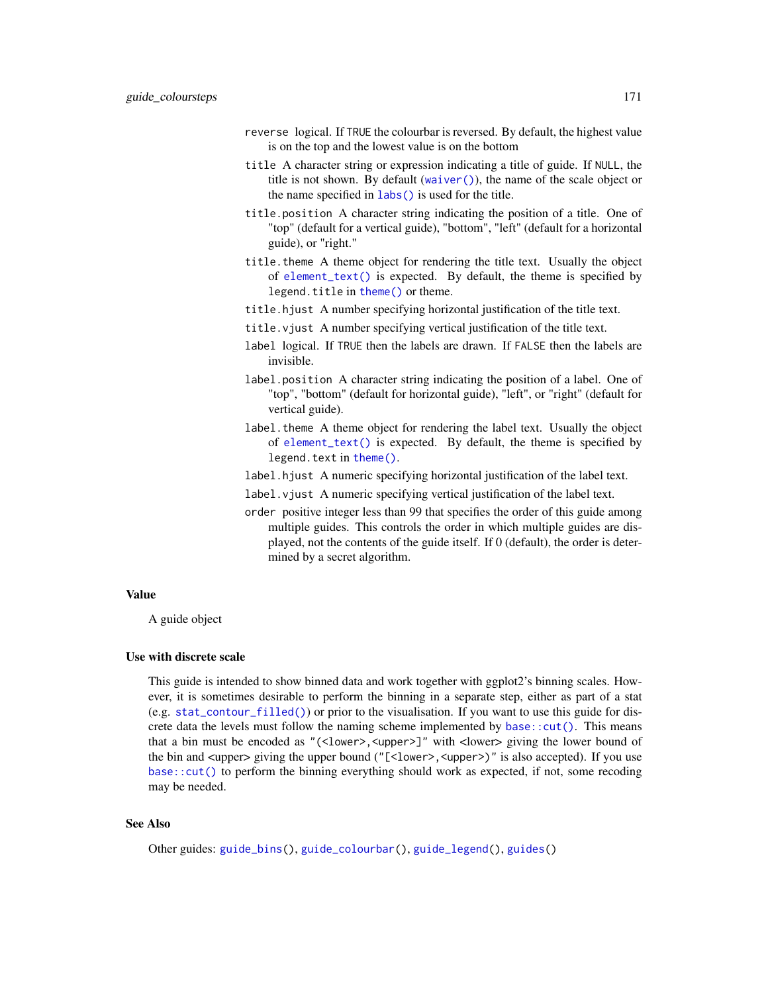- reverse logical. If TRUE the colourbar is reversed. By default, the highest value is on the top and the lowest value is on the bottom
- title A character string or expression indicating a title of guide. If NULL, the title is not shown. By default ([waiver\(\)](#page-0-0)), the name of the scale object or the name specified in [labs\(\)](#page-181-0) is used for the title.
- title.position A character string indicating the position of a title. One of "top" (default for a vertical guide), "bottom", "left" (default for a horizontal guide), or "right."
- title.theme A theme object for rendering the title text. Usually the object of [element\\_text\(\)](#page-185-0) is expected. By default, the theme is specified by legend.title in [theme\(\)](#page-271-0) or theme.
- title.hjust A number specifying horizontal justification of the title text.
- title.vjust A number specifying vertical justification of the title text.
- label logical. If TRUE then the labels are drawn. If FALSE then the labels are invisible.
- label.position A character string indicating the position of a label. One of "top", "bottom" (default for horizontal guide), "left", or "right" (default for vertical guide).
- label.theme A theme object for rendering the label text. Usually the object of [element\\_text\(\)](#page-185-0) is expected. By default, the theme is specified by legend.text in [theme\(\)](#page-271-0).
- label.hjust A numeric specifying horizontal justification of the label text.
- label.vjust A numeric specifying vertical justification of the label text.
- order positive integer less than 99 that specifies the order of this guide among multiple guides. This controls the order in which multiple guides are displayed, not the contents of the guide itself. If 0 (default), the order is determined by a secret algorithm.

#### Value

A guide object

#### Use with discrete scale

This guide is intended to show binned data and work together with ggplot2's binning scales. However, it is sometimes desirable to perform the binning in a separate step, either as part of a stat  $(e.g. stat_{contour_filled())$  or prior to the visualisation. If you want to use this guide for discrete data the levels must follow the naming scheme implemented by base:: $cut()$ . This means that a bin must be encoded as "(<lower>, <upper>]" with <lower> giving the lower bound of the bin and <upper> giving the upper bound ("[<lower>, <upper>)" is also accepted). If you use [base::cut\(\)](#page-0-0) to perform the binning everything should work as expected, if not, some recoding may be needed.

# See Also

Other guides: [guide\\_bins\(](#page-162-0)), [guide\\_colourbar\(](#page-164-0)), [guide\\_legend\(](#page-171-0)), [guides\(](#page-159-0))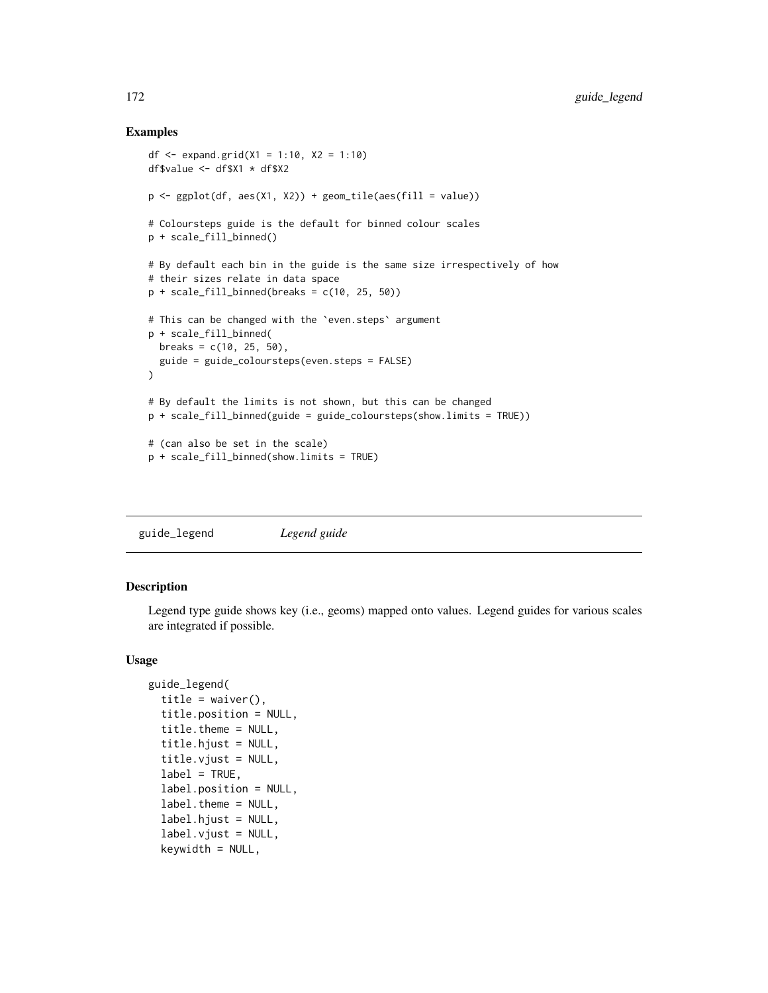# Examples

```
df <- expand.grid(X1 = 1:10, X2 = 1:10)
df$value <- df$X1 * df$X2
p \leftarrow \text{ggplot}(df, \text{aes}(X1, X2)) + \text{geom\_tile}(\text{aes}(fill = value))# Coloursteps guide is the default for binned colour scales
p + scale_fill_binned()
# By default each bin in the guide is the same size irrespectively of how
# their sizes relate in data space
p + scale_fill\_binned(breaks = c(10, 25, 50))# This can be changed with the `even.steps` argument
p + scale_fill_binned(
 breaks = c(10, 25, 50),
  guide = guide_coloursteps(even.steps = FALSE)
\mathcal{L}# By default the limits is not shown, but this can be changed
p + scale_fill_binned(guide = guide_coloursteps(show.limits = TRUE))
# (can also be set in the scale)
p + scale_fill_binned(show.limits = TRUE)
```
<span id="page-171-0"></span>guide\_legend *Legend guide*

# Description

Legend type guide shows key (i.e., geoms) mapped onto values. Legend guides for various scales are integrated if possible.

#### Usage

```
guide_legend(
  title = waiver(),
  title.position = NULL,
  title.theme = NULL,
  title.hjust = NULL,
  title.vjust = NULL,
  label = TRUE,
  label.position = NULL,
  label.theme = NULL,
  label.hjust = NULL,
  label.vjust = NULL,keywidth = NULL,
```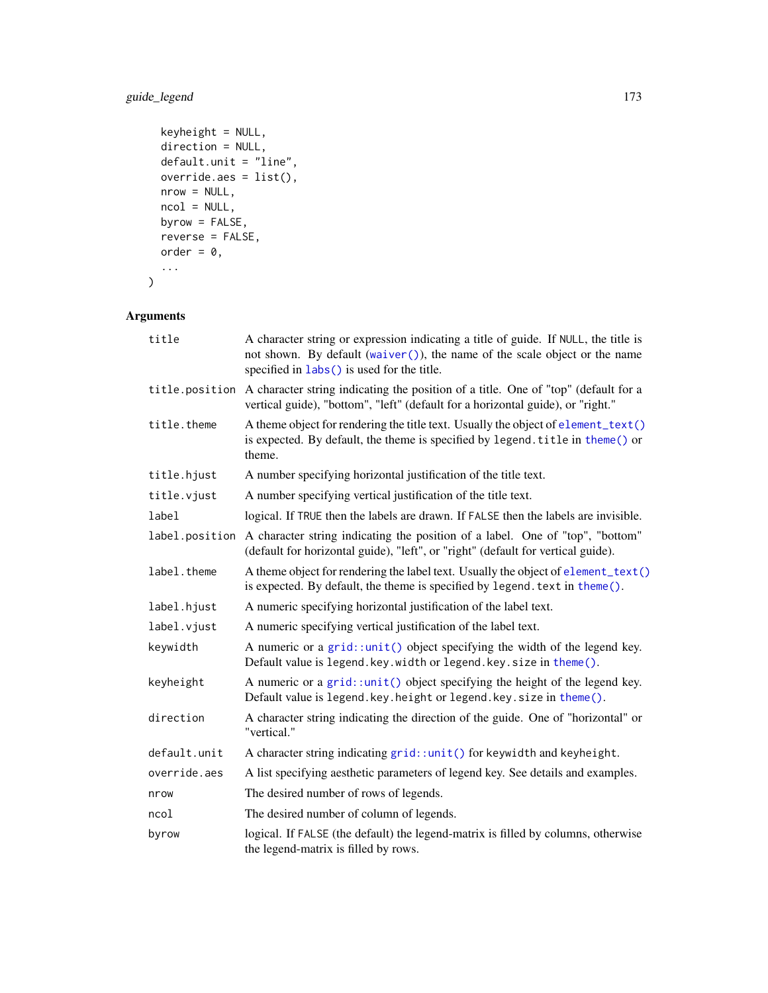# guide\_legend 173

```
keyheight = NULL,
 direction = NULL,
 default.unit = "line",
 override.aes = list(),
 nrow = NULL,
 ncol = NULL,
 byrow = FALSE,
 reverse = FALSE,
 order = 0,...
)
```

| title          | A character string or expression indicating a title of guide. If NULL, the title is<br>not shown. By default (waiver()), the name of the scale object or the name<br>specified in labs() is used for the title. |
|----------------|-----------------------------------------------------------------------------------------------------------------------------------------------------------------------------------------------------------------|
|                | title.position A character string indicating the position of a title. One of "top" (default for a<br>vertical guide), "bottom", "left" (default for a horizontal guide), or "right."                            |
| title.theme    | A theme object for rendering the title text. Usually the object of element_text()<br>is expected. By default, the theme is specified by legend. title in theme() or<br>theme.                                   |
| title.hjust    | A number specifying horizontal justification of the title text.                                                                                                                                                 |
| title.vjust    | A number specifying vertical justification of the title text.                                                                                                                                                   |
| label          | logical. If TRUE then the labels are drawn. If FALSE then the labels are invisible.                                                                                                                             |
| label.position | A character string indicating the position of a label. One of "top", "bottom"<br>(default for horizontal guide), "left", or "right" (default for vertical guide).                                               |
| label.theme    | A theme object for rendering the label text. Usually the object of element_text()<br>is expected. By default, the theme is specified by legend. text in theme().                                                |
| label.hjust    | A numeric specifying horizontal justification of the label text.                                                                                                                                                |
| label.vjust    | A numeric specifying vertical justification of the label text.                                                                                                                                                  |
| keywidth       | A numeric or a $grid:unit()$ object specifying the width of the legend key.<br>Default value is legend. key. width or legend. key. size in theme().                                                             |
| keyheight      | A numeric or a $grid:unit()$ object specifying the height of the legend key.<br>Default value is legend. key. height or legend. key. size in theme().                                                           |
| direction      | A character string indicating the direction of the guide. One of "horizontal" or<br>"vertical."                                                                                                                 |
| default.unit   | A character string indicating grid::unit() for keywidth and keyheight.                                                                                                                                          |
| override.aes   | A list specifying aesthetic parameters of legend key. See details and examples.                                                                                                                                 |
| nrow           | The desired number of rows of legends.                                                                                                                                                                          |
| ncol           | The desired number of column of legends.                                                                                                                                                                        |
| byrow          | logical. If FALSE (the default) the legend-matrix is filled by columns, otherwise<br>the legend-matrix is filled by rows.                                                                                       |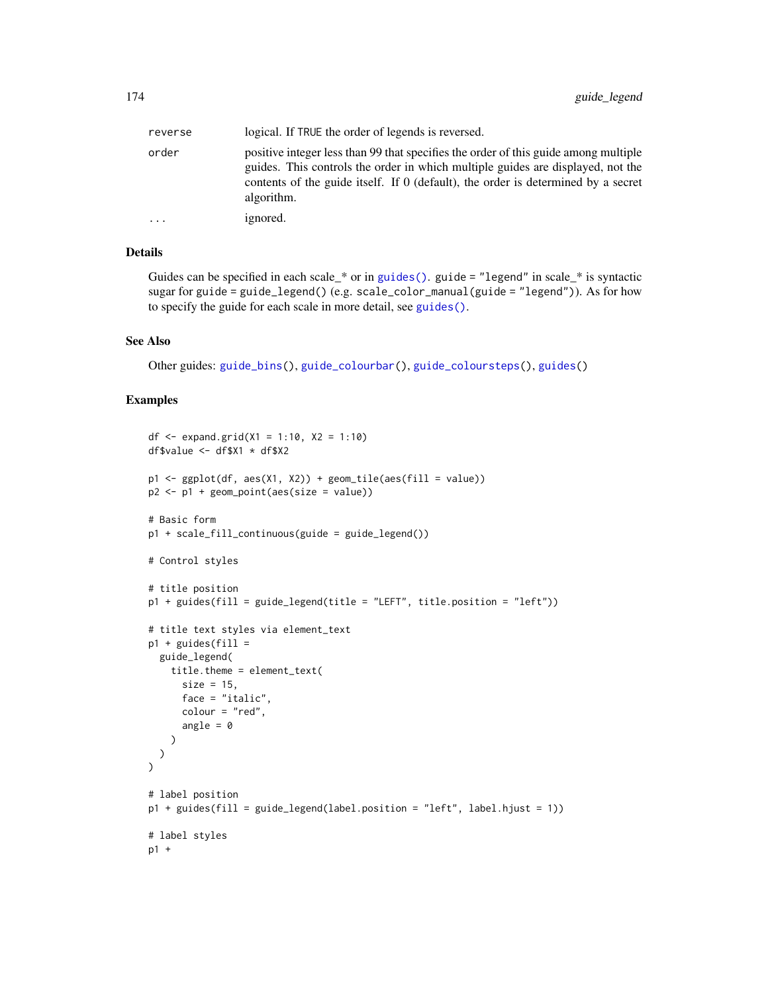| reverse | logical. If TRUE the order of legends is reversed.                                                                                                                                                                                                                        |
|---------|---------------------------------------------------------------------------------------------------------------------------------------------------------------------------------------------------------------------------------------------------------------------------|
| order   | positive integer less than 99 that specifies the order of this guide among multiple<br>guides. This controls the order in which multiple guides are displayed, not the<br>contents of the guide itself. If 0 (default), the order is determined by a secret<br>algorithm. |
| .       | ignored.                                                                                                                                                                                                                                                                  |

# Details

Guides can be specified in each scale\_\* or in [guides\(\)](#page-159-0). guide = "legend" in scale\_\* is syntactic sugar for guide = guide\_legend() (e.g. scale\_color\_manual(guide = "legend")). As for how to specify the guide for each scale in more detail, see [guides\(\)](#page-159-0).

#### See Also

Other guides: [guide\\_bins\(](#page-162-0)), [guide\\_colourbar\(](#page-164-0)), [guide\\_coloursteps\(](#page-169-0)), [guides\(](#page-159-0))

```
df <- expand.grid(X1 = 1:10, X2 = 1:10)
df$value \leq - df$X1 \star df$X2
p1 \leq gphot(df, aes(X1, X2)) + geom\_tile(aes(fill = value))p2 \leq -p1 + geom\_point(aes(size = value))# Basic form
p1 + scale_fill_continuous(guide = guide_legend())
# Control styles
# title position
p1 + guides(fill = guide\_legend(title = "LEFT", title.position = "left"))# title text styles via element_text
p1 + guides(fill =
  guide_legend(
    title.theme = element_text(
      size = 15,
      face = "italic",
     colour = "red",
      angle = \theta)
 )
\lambda# label position
p1 + guides(fill = guide_legend(label.position = "left", label.hjust = 1))
# label styles
p1 +
```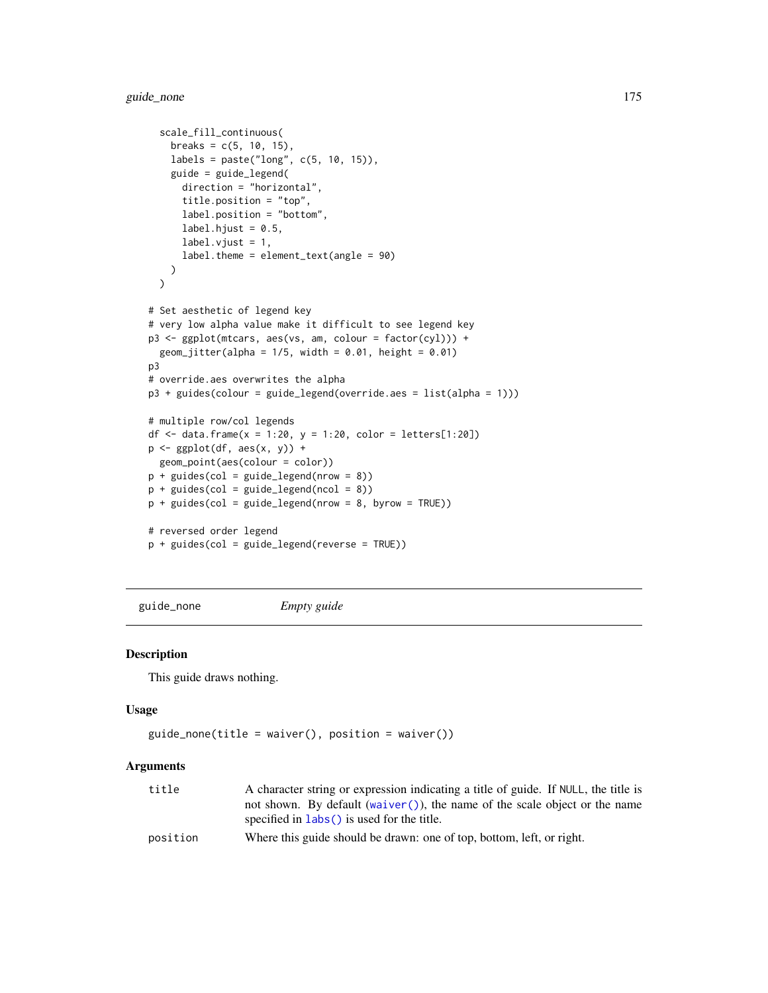```
scale_fill_continuous(
   breaks = c(5, 10, 15),
   labels = paste("long", c(5, 10, 15)),
   guide = guide_legend(
      direction = "horizontal",
      title.position = "top",
      label.position = "bottom",
      label.hjust = 0.5,
      label.vjust = 1,label.theme = element_text(angle = 90)
   )
  \lambda# Set aesthetic of legend key
# very low alpha value make it difficult to see legend key
p3 <- ggplot(mtcars, aes(vs, am, colour = factor(cyl))) +
  geom\_jitter(alpha = 1/5, width = 0.01, height = 0.01)p3
# override.aes overwrites the alpha
p3 + guides(colour = guide_legend(override.aes = list(alpha = 1)))
# multiple row/col legends
df <- data.frame(x = 1:20, y = 1:20, color = letters[1:20])
p <- ggplot(df, aes(x, y)) +
  geom_point(aes(colour = color))
p + guides(col = guide\_legend(nrow = 8))p + guides(col = guide\_legend(ncol = 8))p + guides(col = guide\_legend(nrow = 8, byrow = TRUE))# reversed order legend
p + guides(col = guide_legend(reverse = TRUE))
```
guide\_none *Empty guide*

#### Description

This guide draws nothing.

#### Usage

```
guide\_none(title = waire(), position = waire())
```

| title    | A character string or expression indicating a title of guide. If NULL, the title is |
|----------|-------------------------------------------------------------------------------------|
|          | not shown. By default (waiver ()), the name of the scale object or the name         |
|          | specified in $\text{ labs}()$ is used for the title.                                |
| position | Where this guide should be drawn: one of top, bottom, left, or right.               |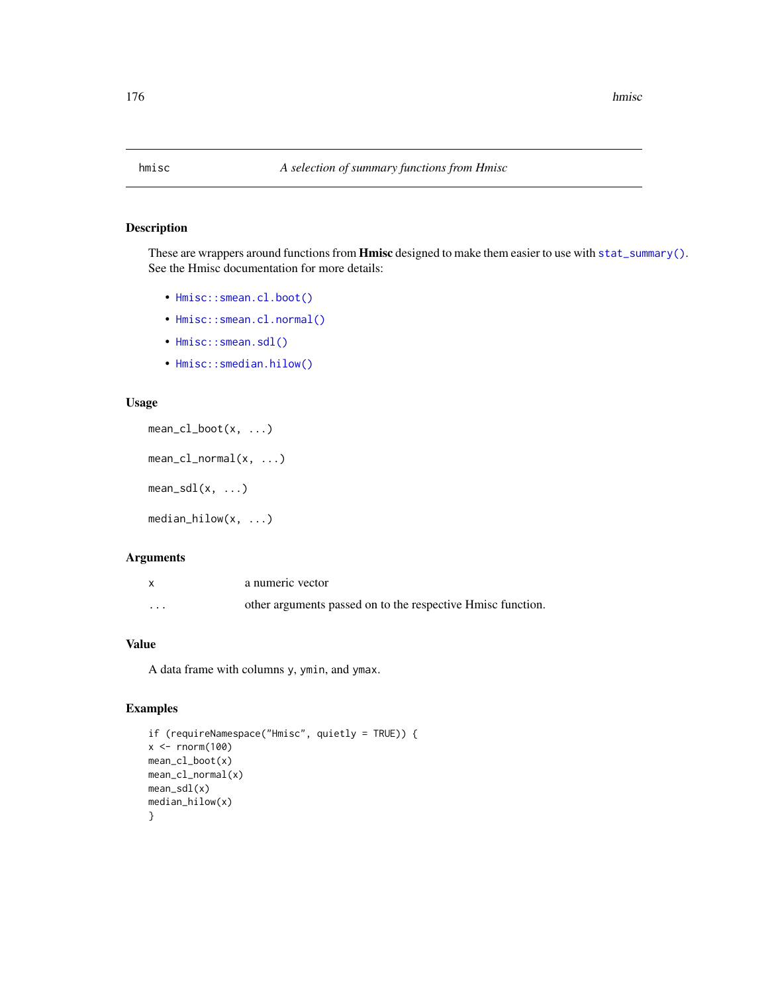# Description

These are wrappers around functions from Hmisc designed to make them easier to use with [stat\\_summary\(\)](#page-265-0). See the Hmisc documentation for more details:

- [Hmisc::smean.cl.boot\(\)](#page-0-0)
- [Hmisc::smean.cl.normal\(\)](#page-0-0)
- [Hmisc::smean.sdl\(\)](#page-0-0)
- [Hmisc::smedian.hilow\(\)](#page-0-0)

#### Usage

```
mean_cl_boot(x, ...)
mean_cl_normal(x, ...)
mean\_sdl(x, ...)
```
median\_hilow(x, ...)

# Arguments

|                         | a numeric vector                                            |
|-------------------------|-------------------------------------------------------------|
| $\cdot$ $\cdot$ $\cdot$ | other arguments passed on to the respective Hmisc function. |

# Value

A data frame with columns y, ymin, and ymax.

```
if (requireNamespace("Hmisc", quietly = TRUE)) {
x < - rnorm(100)
mean_cl_boot(x)
mean_cl_normal(x)
mean_sdl(x)
median_hilow(x)
}
```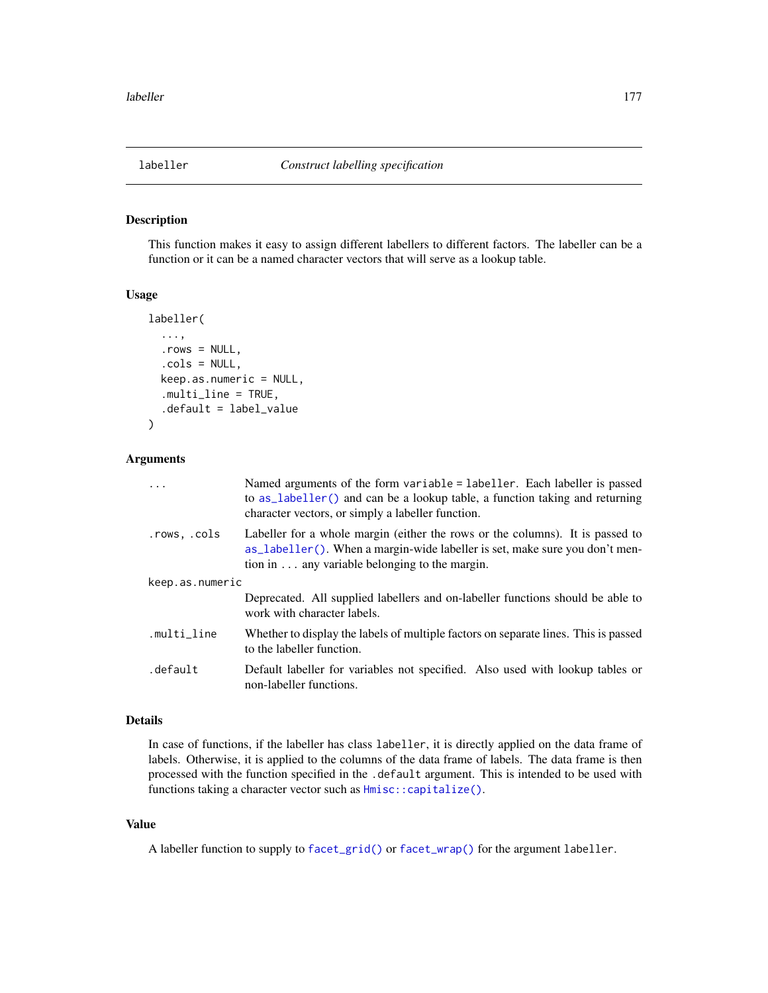<span id="page-176-0"></span>

# **Description**

This function makes it easy to assign different labellers to different factors. The labeller can be a function or it can be a named character vectors that will serve as a lookup table.

#### Usage

```
labeller(
  ...,
  rows = NULL,.cols = NULL,
  keep.as.numeric = NULL,
  .multi_line = TRUE,
  .default = label_value
)
```
### Arguments

| $\cdots$        | Named arguments of the form variable = labeller. Each labeller is passed<br>to as_labeller() and can be a lookup table, a function taking and returning<br>character vectors, or simply a labeller function.           |
|-----------------|------------------------------------------------------------------------------------------------------------------------------------------------------------------------------------------------------------------------|
| .rows, .cols    | Labeller for a whole margin (either the rows or the columns). It is passed to<br>as _labeller(). When a margin-wide labeller is set, make sure you don't men-<br>tion in $\dots$ any variable belonging to the margin. |
| keep.as.numeric |                                                                                                                                                                                                                        |
|                 | Deprecated. All supplied labellers and on-labeller functions should be able to<br>work with character labels.                                                                                                          |
| .multi_line     | Whether to display the labels of multiple factors on separate lines. This is passed<br>to the labeller function.                                                                                                       |
| .default        | Default labeller for variables not specified. Also used with lookup tables or<br>non-labeller functions.                                                                                                               |

#### Details

In case of functions, if the labeller has class labeller, it is directly applied on the data frame of labels. Otherwise, it is applied to the columns of the data frame of labels. The data frame is then processed with the function specified in the .default argument. This is intended to be used with functions taking a character vector such as  $Hmisc::capitalize()$ .

#### Value

A labeller function to supply to [facet\\_grid\(\)](#page-48-0) or [facet\\_wrap\(\)](#page-51-0) for the argument labeller.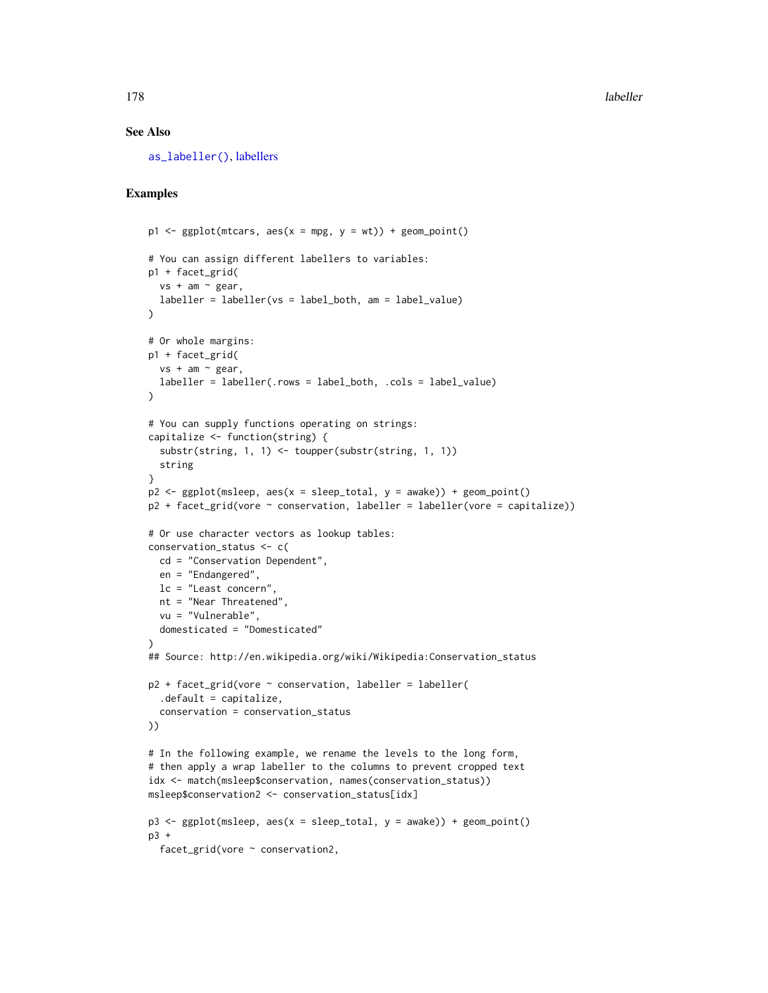#### See Also

[as\\_labeller\(\)](#page-0-0), [labellers](#page-178-0)

```
p1 \leq-ggplot(mtcars, aes(x = mpg, y = wt)) + geom\_point()# You can assign different labellers to variables:
p1 + facet_grid(
 vs + am ~ " gear,labeller = labeller(vs = label_both, am = label_value)
)
# Or whole margins:
p1 + facet_grid(
  vs + am ~ ~ gear,
  labeller = labeller(.rows = label_both, .cols = label_value)
)
# You can supply functions operating on strings:
capitalize <- function(string) {
  substr(string, 1, 1) <- toupper(substr(string, 1, 1))
  string
}
p2 \leq gplot(msleep, aes(x = sleep\_total, y = awake)) + geom\_point()p2 + \text{facet\_grid}(vore \sim \text{conservation}, \text{labeller} = \text{labeller}(vore = \text{capitalize})# Or use character vectors as lookup tables:
conservation_status <- c(
  cd = "Conservation Dependent",
  en = "Endangered",
  lc = "Least concern",
  nt = "Near Threatened",
  vu = "Vulnerable",
  domesticated = "Domesticated"
)
## Source: http://en.wikipedia.org/wiki/Wikipedia:Conservation_status
p2 + \text{facet\_grid}(vore \sim \text{conservation}, \text{labeller} = \text{labeller}(.default = capitalize,
  conservation = conservation_status
))
# In the following example, we rename the levels to the long form,
# then apply a wrap labeller to the columns to prevent cropped text
idx <- match(msleep$conservation, names(conservation_status))
msleep$conservation2 <- conservation_status[idx]
p3 \leq - ggplot(msleep, aes(x = sleep_total, y = awake)) + geom_point()
p3 +facet_grid(vore ~ conservation2,
```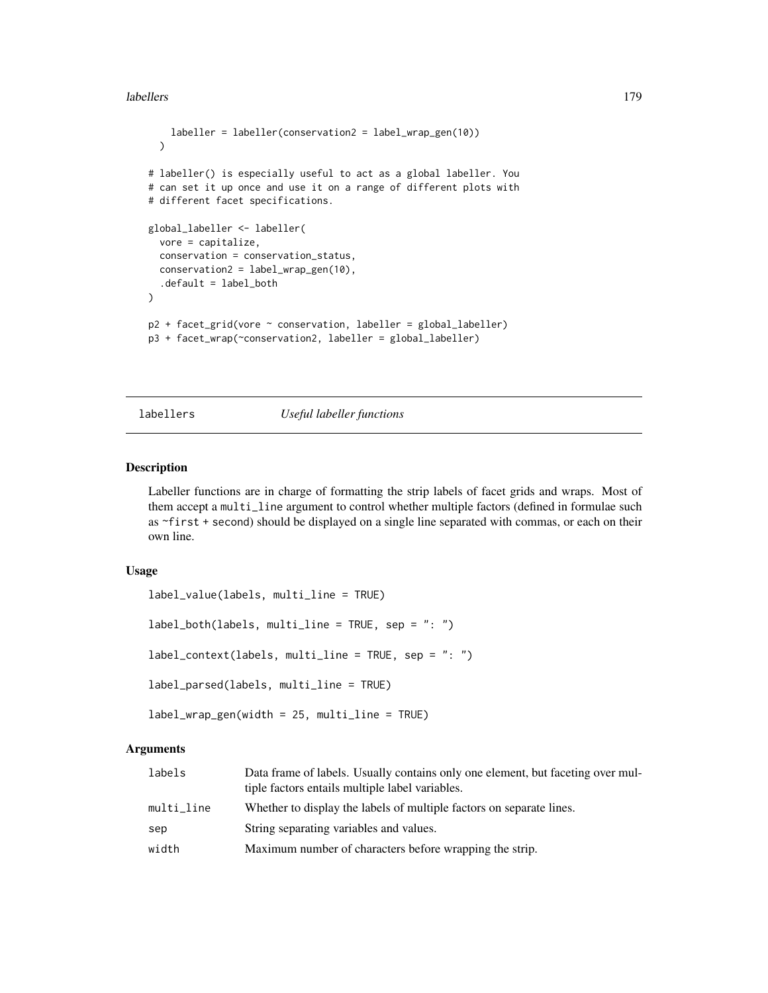#### labellers 179

```
labeller = labeller(conservation2 = label_wrap_gen(10))
  )
# labeller() is especially useful to act as a global labeller. You
# can set it up once and use it on a range of different plots with
# different facet specifications.
global_labeller <- labeller(
  vore = capitalize,
  conservation = conservation_status,
  conservation2 = label_wrap_gen(10),
  .default = label_both
\mathcal{L}p2 + facet_grid(vore ~ conservation, labeller = global_labeller)
p3 + facet_wrap(~conservation2, labeller = global_labeller)
```
<span id="page-178-0"></span>

# labellers *Useful labeller functions*

# Description

Labeller functions are in charge of formatting the strip labels of facet grids and wraps. Most of them accept a multi\_line argument to control whether multiple factors (defined in formulae such as ~first + second) should be displayed on a single line separated with commas, or each on their own line.

#### Usage

```
label_value(labels, multi_line = TRUE)
label_both(labels, multi_line = TRUE, sep = ": ")
label_context(labels, multi_line = TRUE, sep = ": ")
label_parsed(labels, multi_line = TRUE)
label_wrap_gen(width = 25, multi_line = TRUE)
```

| labels     | Data frame of labels. Usually contains only one element, but faceting over mul-<br>tiple factors entails multiple label variables. |
|------------|------------------------------------------------------------------------------------------------------------------------------------|
| multi_line | Whether to display the labels of multiple factors on separate lines.                                                               |
| sep        | String separating variables and values.                                                                                            |
| width      | Maximum number of characters before wrapping the strip.                                                                            |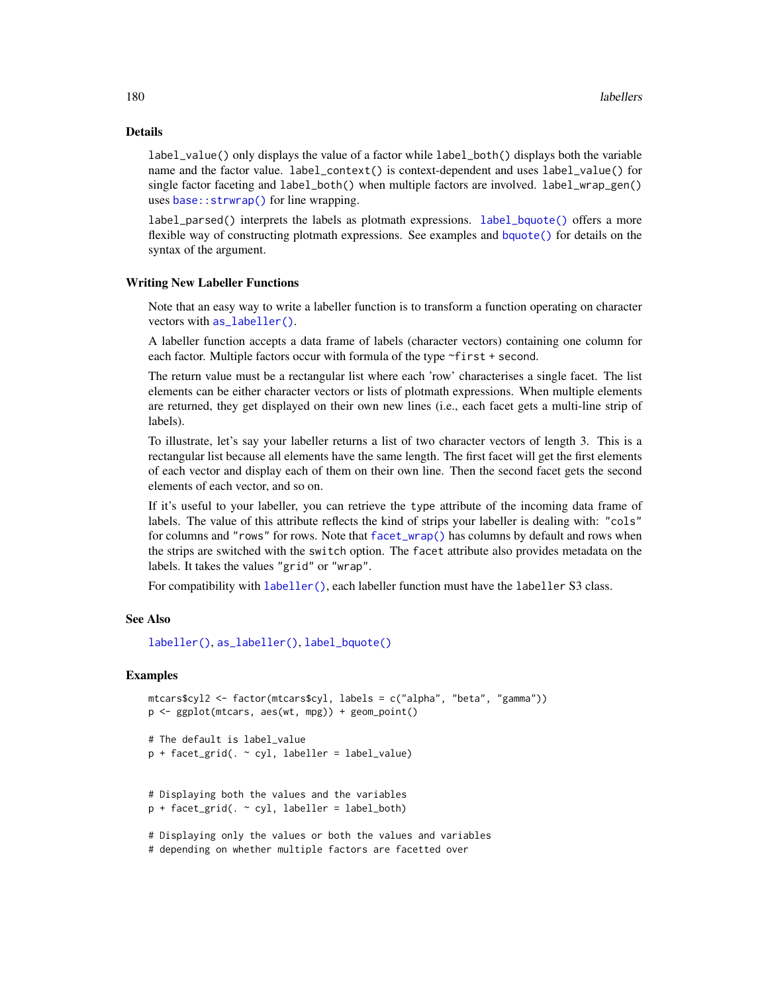#### Details

label\_value() only displays the value of a factor while label\_both() displays both the variable name and the factor value. label\_context() is context-dependent and uses label\_value() for single factor faceting and label\_both() when multiple factors are involved. label\_wrap\_gen() uses base:: strwrap() for line wrapping.

label\_parsed() interprets the labels as plotmath expressions. [label\\_bquote\(\)](#page-180-0) offers a more flexible way of constructing plotmath expressions. See examples and [bquote\(\)](#page-0-0) for details on the syntax of the argument.

#### Writing New Labeller Functions

Note that an easy way to write a labeller function is to transform a function operating on character vectors with [as\\_labeller\(\)](#page-0-0).

A labeller function accepts a data frame of labels (character vectors) containing one column for each factor. Multiple factors occur with formula of the type ~first + second.

The return value must be a rectangular list where each 'row' characterises a single facet. The list elements can be either character vectors or lists of plotmath expressions. When multiple elements are returned, they get displayed on their own new lines (i.e., each facet gets a multi-line strip of labels).

To illustrate, let's say your labeller returns a list of two character vectors of length 3. This is a rectangular list because all elements have the same length. The first facet will get the first elements of each vector and display each of them on their own line. Then the second facet gets the second elements of each vector, and so on.

If it's useful to your labeller, you can retrieve the type attribute of the incoming data frame of labels. The value of this attribute reflects the kind of strips your labeller is dealing with: "cols" for columns and "rows" for rows. Note that [facet\\_wrap\(\)](#page-51-0) has columns by default and rows when the strips are switched with the switch option. The facet attribute also provides metadata on the labels. It takes the values "grid" or "wrap".

For compatibility with [labeller\(\)](#page-176-0), each labeller function must have the labeller S3 class.

# See Also

[labeller\(\)](#page-176-0), [as\\_labeller\(\)](#page-0-0), [label\\_bquote\(\)](#page-180-0)

#### Examples

```
mtcars$cyl2 <- factor(mtcars$cyl, labels = c("alpha", "beta", "gamma"))
p <- ggplot(mtcars, aes(wt, mpg)) + geom_point()
# The default is label_value
p + facet_grid(. ~ cyl, labeller = label_value)
# Displaying both the values and the variables
p + facet_grid(. \sim cyl, labeller = label_both)
# Displaying only the values or both the values and variables
```
# depending on whether multiple factors are facetted over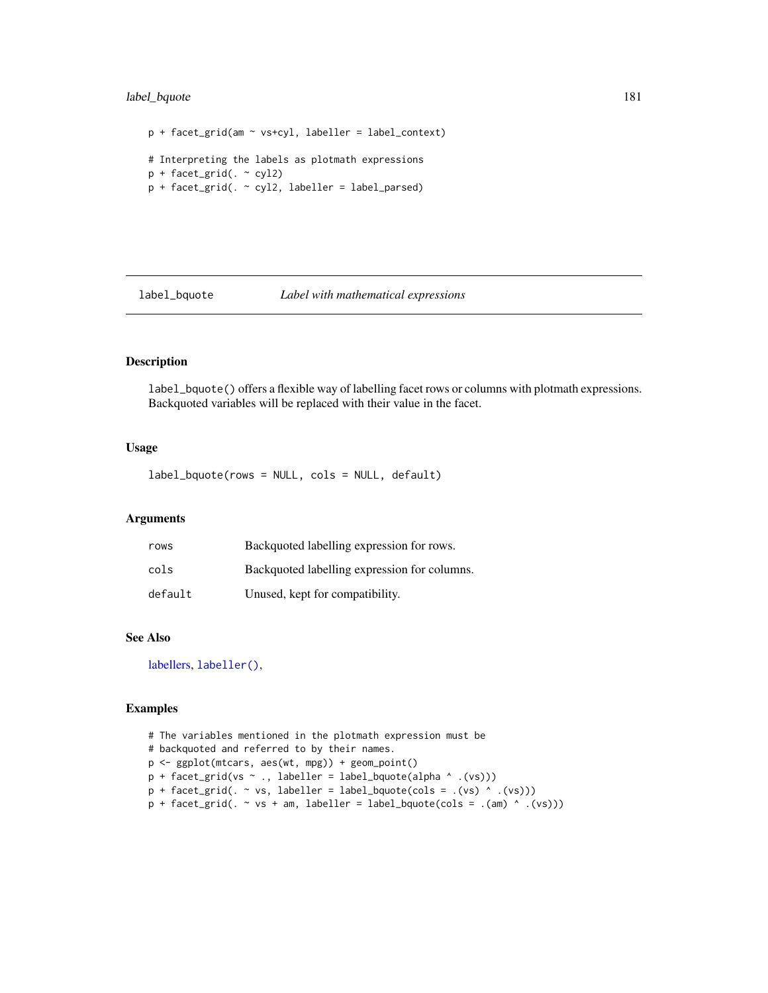## label\_bquote 181

```
p + facet_grid(am ~ vs+cyl, labeller = label_context)
# Interpreting the labels as plotmath expressions
p + facet\_grid( . ~ ~ cyl2)p + facet_grid(. \sim cyl2, labeller = label_parsed)
```
## label\_bquote *Label with mathematical expressions*

## Description

label\_bquote() offers a flexible way of labelling facet rows or columns with plotmath expressions. Backquoted variables will be replaced with their value in the facet.

## Usage

label\_bquote(rows = NULL, cols = NULL, default)

## Arguments

| rows    | Backquoted labelling expression for rows.    |
|---------|----------------------------------------------|
| cols    | Backguoted labelling expression for columns. |
| default | Unused, kept for compatibility.              |

## See Also

[labellers,](#page-178-0) [labeller\(\)](#page-176-0),

```
# The variables mentioned in the plotmath expression must be
# backquoted and referred to by their names.
p <- ggplot(mtcars, aes(wt, mpg)) + geom_point()
p + \text{facet\_grid}(vs ~ . , \text{ labeller = label\_bquote(alpha ^ \text{'})})p + facet\_grid( . ~ vs, labeller = label_bquote(cols = .(vs) ~ .(vs)))p + \text{facet\_grid}. \sim vs + am, labeller = label_bquote(cols = .(am) \wedge .(vs)))
```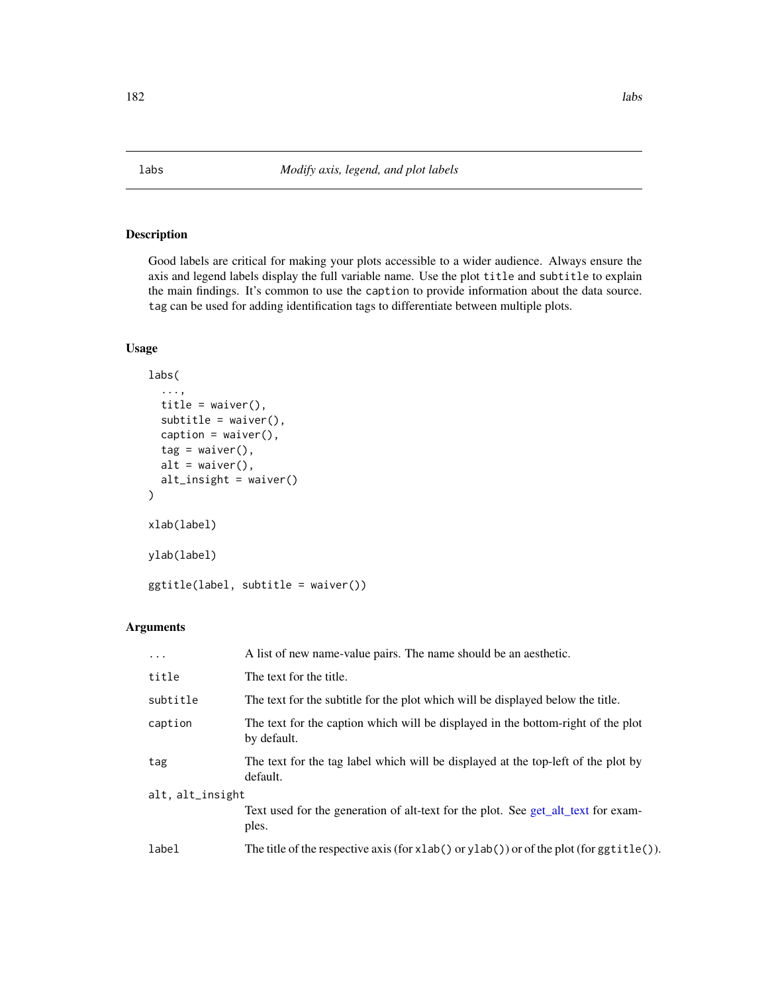Good labels are critical for making your plots accessible to a wider audience. Always ensure the axis and legend labels display the full variable name. Use the plot title and subtitle to explain the main findings. It's common to use the caption to provide information about the data source. tag can be used for adding identification tags to differentiate between multiple plots.

## Usage

```
labs(
  ...,
  title = waiver(),
  subtitle = waiver(),caption = waiver(),
  tag = <math>waiver()</math>,alt = waiver(),
  alt_insight = waiver()
\mathcal{L}xlab(label)
ylab(label)
ggtitle(label, subtitle = waiver())
```
## Arguments

| $\cdots$         | A list of new name-value pairs. The name should be an aesthetic.                                 |
|------------------|--------------------------------------------------------------------------------------------------|
| title            | The text for the title.                                                                          |
| subtitle         | The text for the subtitle for the plot which will be displayed below the title.                  |
| caption          | The text for the caption which will be displayed in the bottom-right of the plot<br>by default.  |
| tag              | The text for the tag label which will be displayed at the top-left of the plot by<br>default.    |
| alt, alt_insight |                                                                                                  |
|                  | Text used for the generation of alt-text for the plot. See get_alt_text for exam-<br>ples.       |
| label            | The title of the respective axis (for $x$ lab() or $y$ lab()) or of the plot (for $g$ gtitle()). |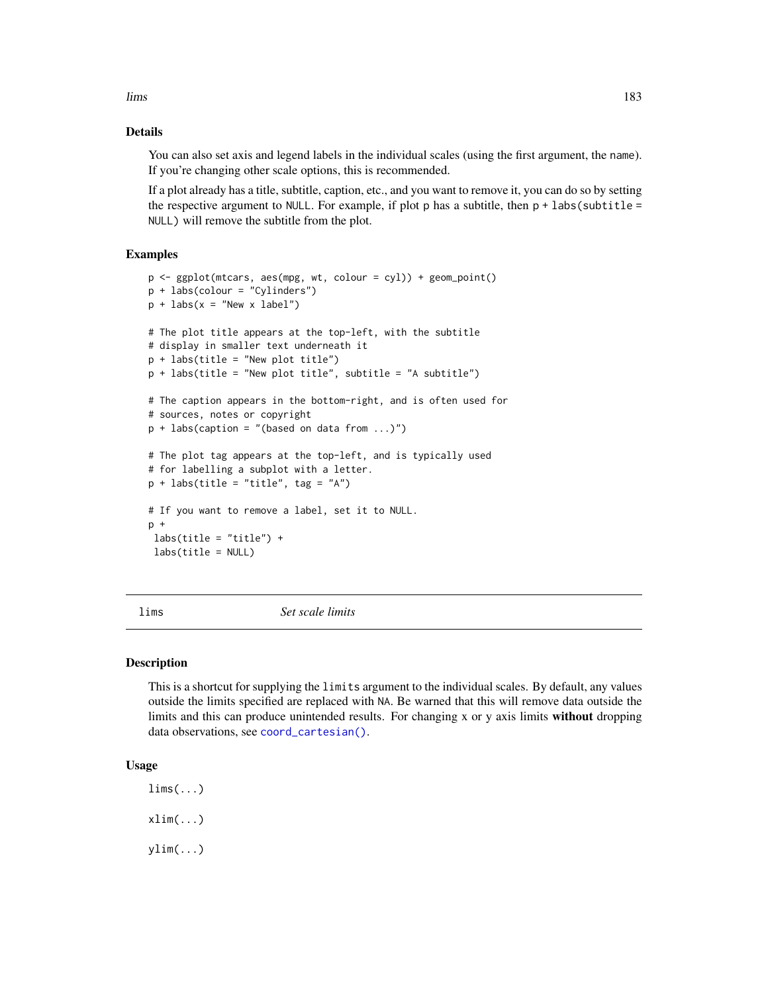lims and the set of the set of the set of the set of the set of the set of the set of the set of the set of the set of the set of the set of the set of the set of the set of the set of the set of the set of the set of the

## Details

You can also set axis and legend labels in the individual scales (using the first argument, the name). If you're changing other scale options, this is recommended.

If a plot already has a title, subtitle, caption, etc., and you want to remove it, you can do so by setting the respective argument to NULL. For example, if plot p has a subtitle, then  $p + \text{labels}(\text{subtitle} =$ NULL) will remove the subtitle from the plot.

## Examples

```
p \leq - ggplot(mtcars, aes(mpg, wt, colour = cyl)) + geom_point()
p + labs(colour = "Cylinders")
p + \text{ labs}(x = "New x label")# The plot title appears at the top-left, with the subtitle
# display in smaller text underneath it
p + labs(title = "New plot title")
p + labs(title = "New plot title", subtitle = "A subtitle")
# The caption appears in the bottom-right, and is often used for
# sources, notes or copyright
p + labs(caption = "(based on data from ...)")
# The plot tag appears at the top-left, and is typically used
# for labelling a subplot with a letter.
p + labs(title = "title", tag = "A")
# If you want to remove a label, set it to NULL.
p +
labs(title = "title") +labs(title = NULL)
```
lims *Set scale limits*

#### Description

This is a shortcut for supplying the limits argument to the individual scales. By default, any values outside the limits specified are replaced with NA. Be warned that this will remove data outside the limits and this can produce unintended results. For changing x or y axis limits without dropping data observations, see [coord\\_cartesian\(\)](#page-33-0).

## Usage

 $lims($ ... $)$  $xlim(...)$ ylim(...)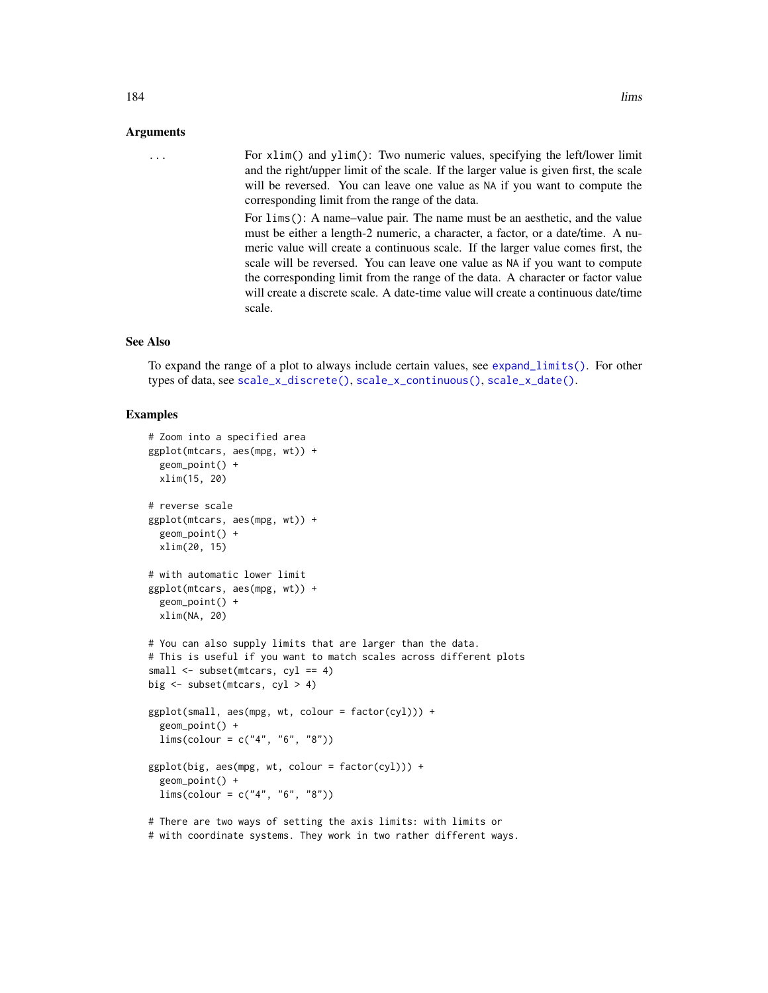... For xlim() and ylim(): Two numeric values, specifying the left/lower limit and the right/upper limit of the scale. If the larger value is given first, the scale will be reversed. You can leave one value as NA if you want to compute the corresponding limit from the range of the data.

> For lims(): A name–value pair. The name must be an aesthetic, and the value must be either a length-2 numeric, a character, a factor, or a date/time. A numeric value will create a continuous scale. If the larger value comes first, the scale will be reversed. You can leave one value as NA if you want to compute the corresponding limit from the range of the data. A character or factor value will create a discrete scale. A date-time value will create a continuous date/time scale.

## See Also

To expand the range of a plot to always include certain values, see [expand\\_limits\(\)](#page-47-0). For other types of data, see [scale\\_x\\_discrete\(\)](#page-250-0), [scale\\_x\\_continuous\(\)](#page-231-0), [scale\\_x\\_date\(\)](#page-235-0).

#### Examples

```
# Zoom into a specified area
ggplot(mtcars, aes(mpg, wt)) +
 geom_point() +
 xlim(15, 20)
# reverse scale
ggplot(mtcars, aes(mpg, wt)) +
 geom_point() +
 xlim(20, 15)
# with automatic lower limit
ggplot(mtcars, aes(mpg, wt)) +
 geom_point() +
 xlim(NA, 20)
# You can also supply limits that are larger than the data.
# This is useful if you want to match scales across different plots
small \leq subset(mtcars, cyl == 4)
big \leq subset(mtcars, cyl > 4)
ggplot(small, aes(mpg, wt, colour = factor(cyl))) +
 geom_point() +
 lims(colour = c("4", "6", "8"))
ggplot(big, aes(mpg, wt, colour = factor(cyl))) +geom_point() +
 lims(colour = c("4", "6", "8"))
# There are two ways of setting the axis limits: with limits or
```
# with coordinate systems. They work in two rather different ways.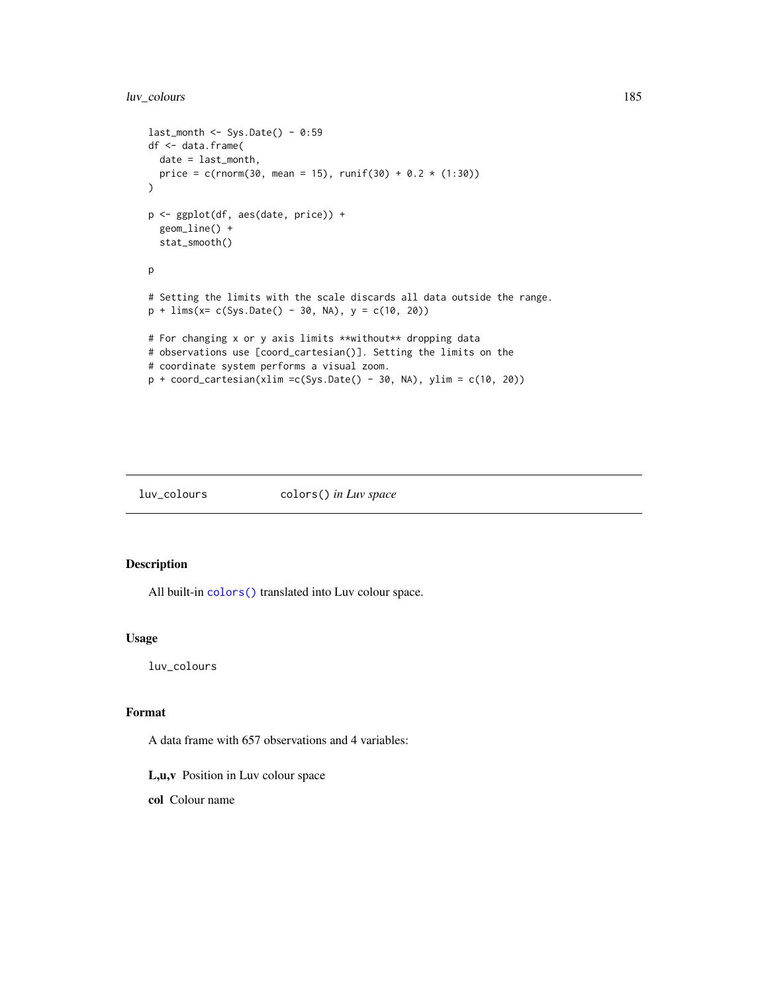## luv\_colours 185

```
last\_month \leq -Sys.DataFrame() - 0:59df <- data.frame(
 date = last_month,
 price = c(rnorm(30, mean = 15), runif(30) + 0.2 \times (1:30))
)
p <- ggplot(df, aes(date, price)) +
  geom_line() +
  stat_smooth()
p
# Setting the limits with the scale discards all data outside the range.
p + \text{lims}(x = c(\text{Sys}.\text{Date}() - 30, \text{ NA}), y = c(10, 20))# For changing x or y axis limits **without** dropping data
# observations use [coord_cartesian()]. Setting the limits on the
# coordinate system performs a visual zoom.
p + coord_cartesian(xlim =c(Sys.Date() - 30, NA), ylim = c(10, 20))
```
## luv\_colours colors() *in Luv space*

## Description

All built-in [colors\(\)](#page-0-0) translated into Luv colour space.

## Usage

luv\_colours

## Format

A data frame with 657 observations and 4 variables:

L,u,v Position in Luv colour space

col Colour name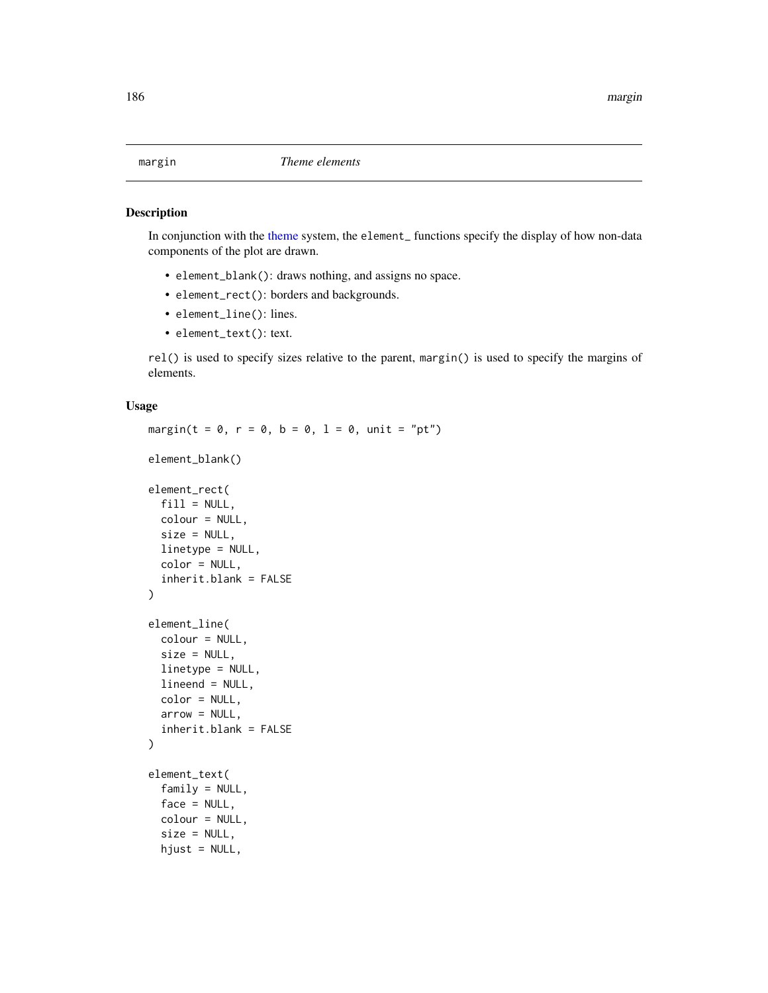<span id="page-185-0"></span>

In conjunction with the [theme](#page-271-0) system, the element\_ functions specify the display of how non-data components of the plot are drawn.

- element\_blank(): draws nothing, and assigns no space.
- element\_rect(): borders and backgrounds.
- element\_line(): lines.
- element\_text(): text.

rel() is used to specify sizes relative to the parent, margin() is used to specify the margins of elements.

```
margin(t = 0, r = 0, b = 0, l = 0, unit = "pt")
element_blank()
element_rect(
  fill = NULL,colour = NULL,
  size = NULL,
  linetype = NULL,
  color = NULL,
  inherit.blank = FALSE
)
element_line(
  colour = NULL,
  size = NULL,
  linetype = NULL,
  lineend = NULL,
  color = NULL,
  arrow = NULL,inherit.blank = FALSE
)
element_text(
  family = NULL,
  face = NULL,colour = NULL,
  size = NULL,hjust = NULL,
```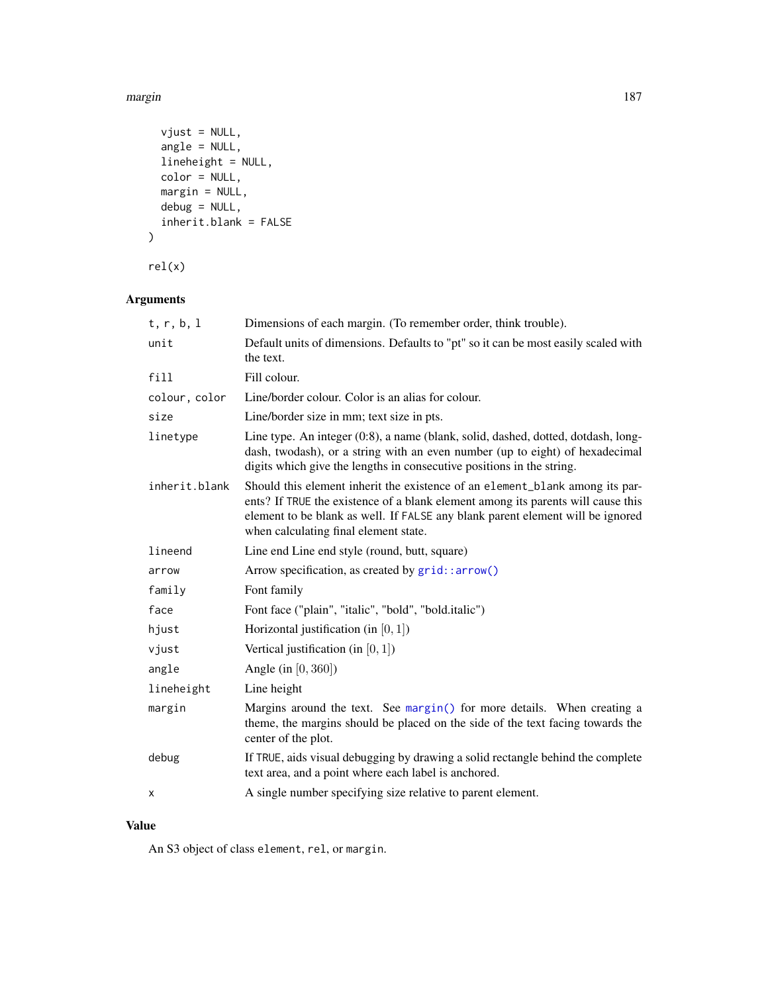#### margin the contract of the contract of the contract of the contract of the contract of the contract of the contract of the contract of the contract of the contract of the contract of the contract of the contract of the con

```
vjust = NULL,
 angle = NULL,
 lineheight = NULL,
 color = NULL,
 margin = NULL,debug = NULL,
 inherit.blank = FALSE
\mathcal{L}
```
rel(x)

# Arguments

| t, r, b, 1    | Dimensions of each margin. (To remember order, think trouble).                                                                                                                                                                                                                              |
|---------------|---------------------------------------------------------------------------------------------------------------------------------------------------------------------------------------------------------------------------------------------------------------------------------------------|
| unit          | Default units of dimensions. Defaults to "pt" so it can be most easily scaled with<br>the text.                                                                                                                                                                                             |
| fill          | Fill colour.                                                                                                                                                                                                                                                                                |
| colour, color | Line/border colour. Color is an alias for colour.                                                                                                                                                                                                                                           |
| size          | Line/border size in mm; text size in pts.                                                                                                                                                                                                                                                   |
| linetype      | Line type. An integer (0:8), a name (blank, solid, dashed, dotted, dotdash, long-<br>dash, twodash), or a string with an even number (up to eight) of hexadecimal<br>digits which give the lengths in consecutive positions in the string.                                                  |
| inherit.blank | Should this element inherit the existence of an element_blank among its par-<br>ents? If TRUE the existence of a blank element among its parents will cause this<br>element to be blank as well. If FALSE any blank parent element will be ignored<br>when calculating final element state. |
| lineend       | Line end Line end style (round, butt, square)                                                                                                                                                                                                                                               |
| arrow         | Arrow specification, as created by grid::arrow()                                                                                                                                                                                                                                            |
| family        | Font family                                                                                                                                                                                                                                                                                 |
| face          | Font face ("plain", "italic", "bold", "bold.italic")                                                                                                                                                                                                                                        |
| hjust         | Horizontal justification (in $[0, 1]$ )                                                                                                                                                                                                                                                     |
| vjust         | Vertical justification (in $[0, 1]$ )                                                                                                                                                                                                                                                       |
| angle         | Angle (in $[0, 360]$ )                                                                                                                                                                                                                                                                      |
| lineheight    | Line height                                                                                                                                                                                                                                                                                 |
| margin        | Margins around the text. See margin() for more details. When creating a<br>theme, the margins should be placed on the side of the text facing towards the<br>center of the plot.                                                                                                            |
| debug         | If TRUE, aids visual debugging by drawing a solid rectangle behind the complete<br>text area, and a point where each label is anchored.                                                                                                                                                     |
| X             | A single number specifying size relative to parent element.                                                                                                                                                                                                                                 |

## Value

An S3 object of class element, rel, or margin.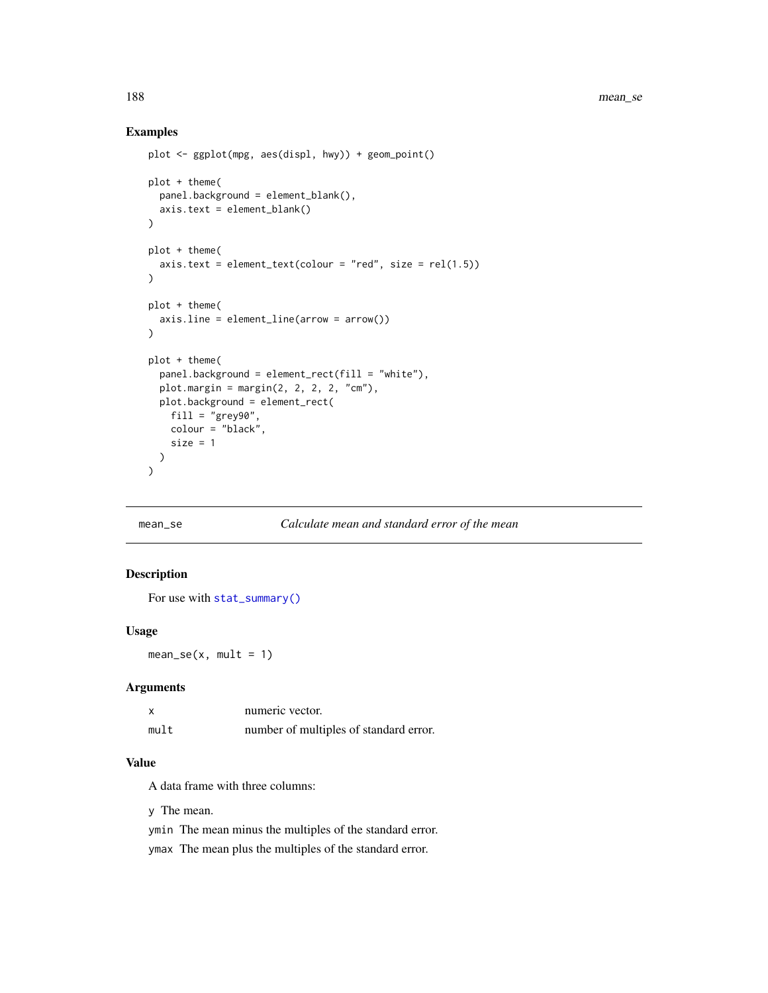## Examples

```
plot <- ggplot(mpg, aes(displ, hwy)) + geom_point()
plot + theme(
  panel.background = element_blank(),
  axis.text = element_blank()
\mathcal{L}plot + theme(
  axis. text = element\_text(colour = "red", size = rel(1.5)))
plot + theme(
  axis.line = element_line(arrow = arrow())
\lambdaplot + theme(
  panel.background = element_rect(fill = "white"),
  plot.margin = margin(2, 2, 2, 2, "cm"),plot.background = element_rect(
    fill = "grey90",
    colour = "black",
    size = 1)
\mathcal{L}
```
## mean\_se *Calculate mean and standard error of the mean*

## Description

For use with [stat\\_summary\(\)](#page-265-0)

#### Usage

 $mean\_se(x, mult = 1)$ 

#### Arguments

| X    | numeric vector.                        |
|------|----------------------------------------|
| mult | number of multiples of standard error. |

## Value

A data frame with three columns:

y The mean.

ymin The mean minus the multiples of the standard error.

ymax The mean plus the multiples of the standard error.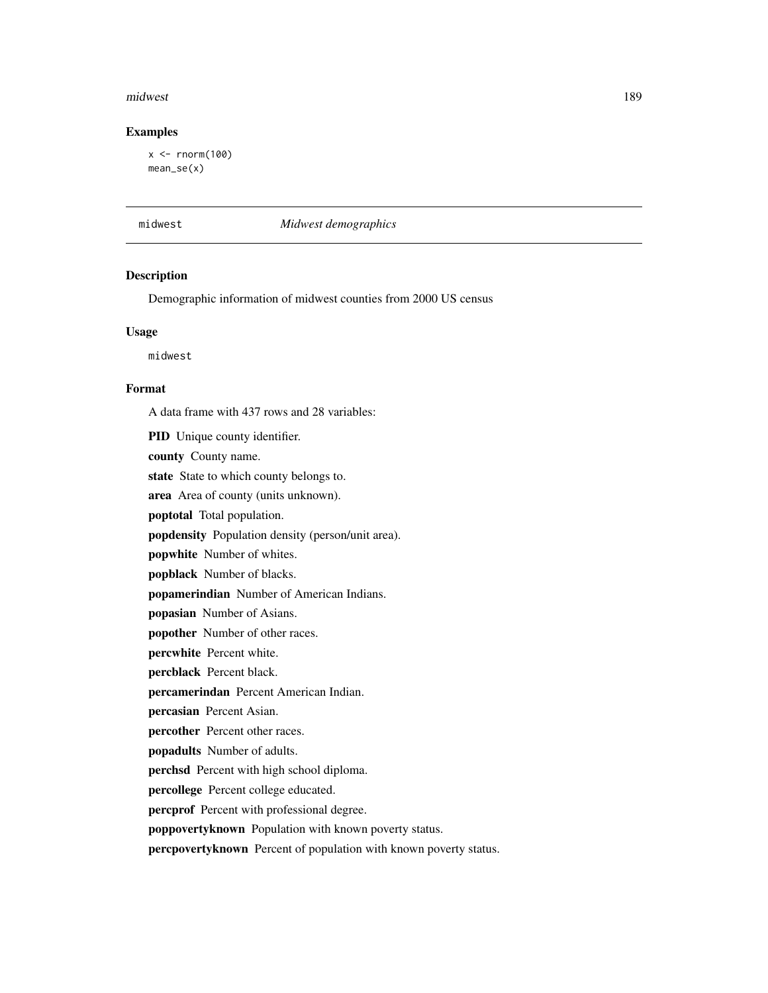#### midwest 289 and 200 km s and 200 km s and 200 km s and 200 km s and 200 km s and 200 km s and 200 km s and 200

## Examples

 $x < -$  rnorm(100) mean\_se(x)

midwest *Midwest demographics*

## Description

Demographic information of midwest counties from 2000 US census

## Usage

midwest

## Format

A data frame with 437 rows and 28 variables:

PID Unique county identifier.

county County name.

state State to which county belongs to.

area Area of county (units unknown).

poptotal Total population.

popdensity Population density (person/unit area).

popwhite Number of whites.

popblack Number of blacks.

popamerindian Number of American Indians.

popasian Number of Asians.

popother Number of other races.

percwhite Percent white.

percblack Percent black.

percamerindan Percent American Indian.

percasian Percent Asian.

percother Percent other races.

popadults Number of adults.

perchsd Percent with high school diploma.

percollege Percent college educated.

percprof Percent with professional degree.

poppovertyknown Population with known poverty status.

percpovertyknown Percent of population with known poverty status.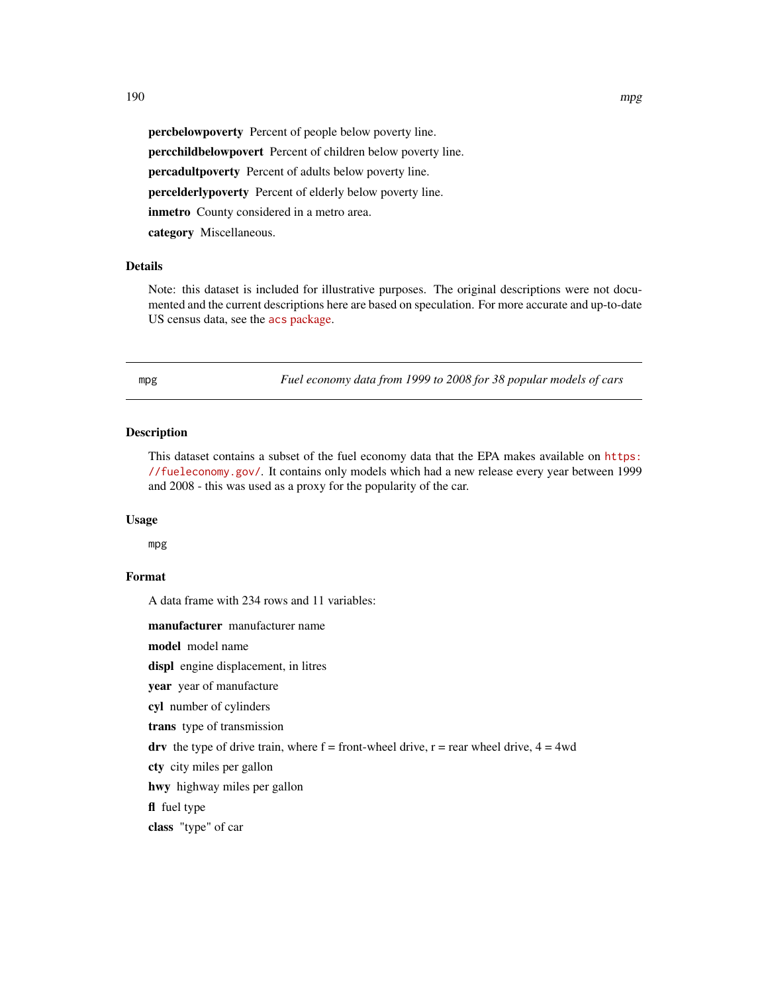percbelowpoverty Percent of people below poverty line. percchildbelowpovert Percent of children below poverty line. percadultpoverty Percent of adults below poverty line. percelderlypoverty Percent of elderly below poverty line. inmetro County considered in a metro area. category Miscellaneous.

## **Details**

Note: this dataset is included for illustrative purposes. The original descriptions were not documented and the current descriptions here are based on speculation. For more accurate and up-to-date US census data, see the acs [package.](https://cran.r-project.org/package=acs)

mpg *Fuel economy data from 1999 to 2008 for 38 popular models of cars*

## Description

This dataset contains a subset of the fuel economy data that the EPA makes available on [https:](https://fueleconomy.gov/) [//fueleconomy.gov/](https://fueleconomy.gov/). It contains only models which had a new release every year between 1999 and 2008 - this was used as a proxy for the popularity of the car.

#### Usage

mpg

## Format

A data frame with 234 rows and 11 variables:

manufacturer manufacturer name

model model name

displ engine displacement, in litres

year year of manufacture

cyl number of cylinders

trans type of transmission

drv the type of drive train, where  $f =$  front-wheel drive,  $r =$  rear wheel drive,  $4 = 4wd$ 

cty city miles per gallon

hwy highway miles per gallon

fl fuel type

class "type" of car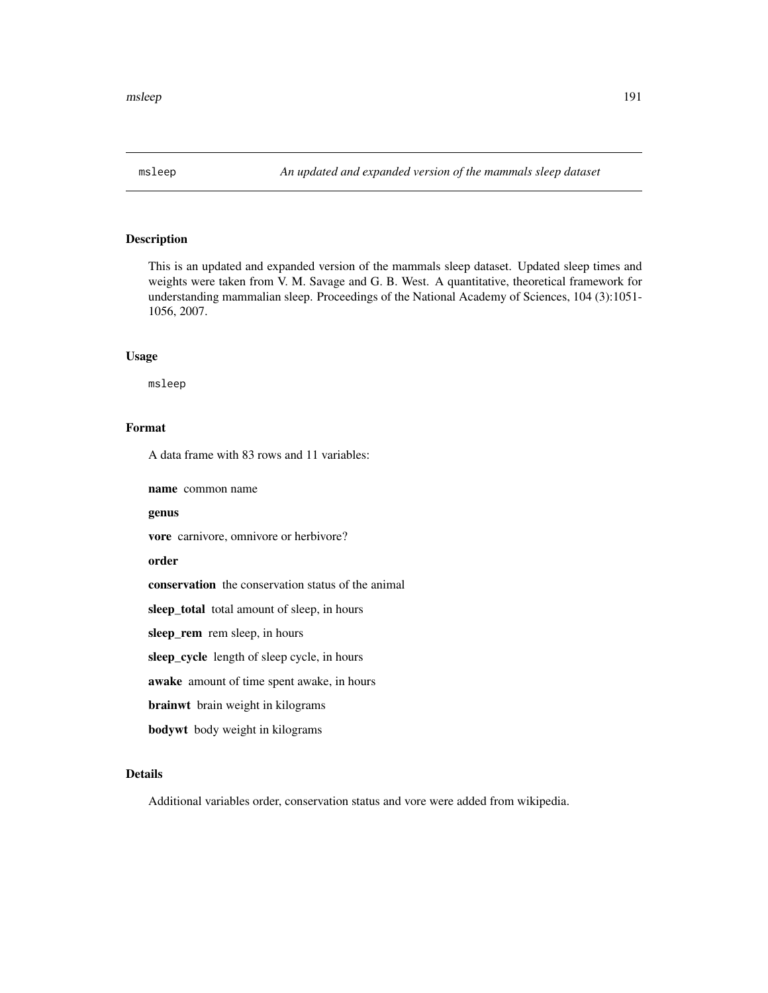This is an updated and expanded version of the mammals sleep dataset. Updated sleep times and weights were taken from V. M. Savage and G. B. West. A quantitative, theoretical framework for understanding mammalian sleep. Proceedings of the National Academy of Sciences, 104 (3):1051- 1056, 2007.

#### Usage

msleep

## Format

A data frame with 83 rows and 11 variables:

name common name

## genus

vore carnivore, omnivore or herbivore?

#### order

conservation the conservation status of the animal

sleep\_total total amount of sleep, in hours

sleep\_rem rem sleep, in hours

sleep\_cycle length of sleep cycle, in hours

awake amount of time spent awake, in hours

brainwt brain weight in kilograms

bodywt body weight in kilograms

## Details

Additional variables order, conservation status and vore were added from wikipedia.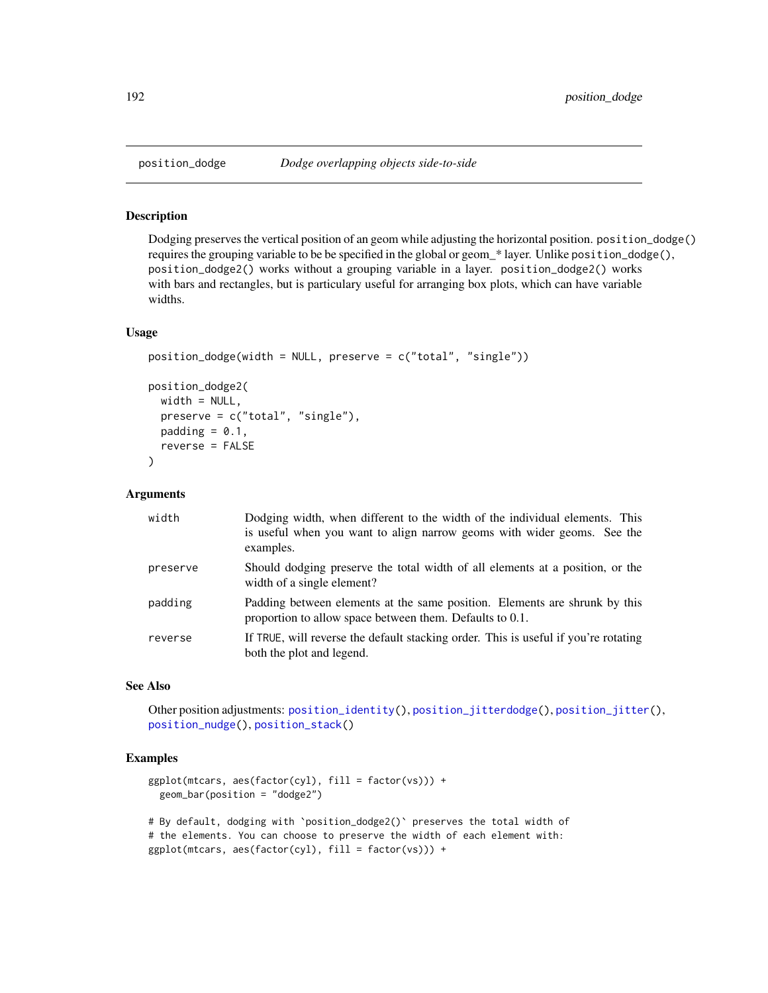Dodging preserves the vertical position of an geom while adjusting the horizontal position. position\_dodge() requires the grouping variable to be be specified in the global or geom\_\* layer. Unlike position\_dodge(), position\_dodge2() works without a grouping variable in a layer. position\_dodge2() works with bars and rectangles, but is particulary useful for arranging box plots, which can have variable widths.

#### Usage

```
position_dodge(width = NULL, preserve = c("total", "single"))
position_dodge2(
 width = NULL,
 preserve = c("total", "single"),
 padding = 0.1,
  reverse = FALSE
)
```
## Arguments

| width    | Dodging width, when different to the width of the individual elements. This<br>is useful when you want to align narrow geoms with wider geoms. See the<br>examples. |
|----------|---------------------------------------------------------------------------------------------------------------------------------------------------------------------|
| preserve | Should dodging preserve the total width of all elements at a position, or the<br>width of a single element?                                                         |
| padding  | Padding between elements at the same position. Elements are shrunk by this<br>proportion to allow space between them. Defaults to 0.1.                              |
| reverse  | If TRUE, will reverse the default stacking order. This is useful if you're rotating<br>both the plot and legend.                                                    |

## See Also

Other position adjustments: [position\\_identity\(](#page-193-0)), [position\\_jitterdodge\(](#page-194-0)), [position\\_jitter\(](#page-193-1)), [position\\_nudge\(](#page-195-0)), [position\\_stack\(](#page-196-0))

```
ggplot(mtcars, aes(factor(cyl), fill = factor(vs))) +geom_bar(position = "dodge2")
# By default, dodging with `position_dodge2()` preserves the total width of
# the elements. You can choose to preserve the width of each element with:
```

```
ggplot(mtcars, aes(factor(cyl), fill = factor(vs))) +
```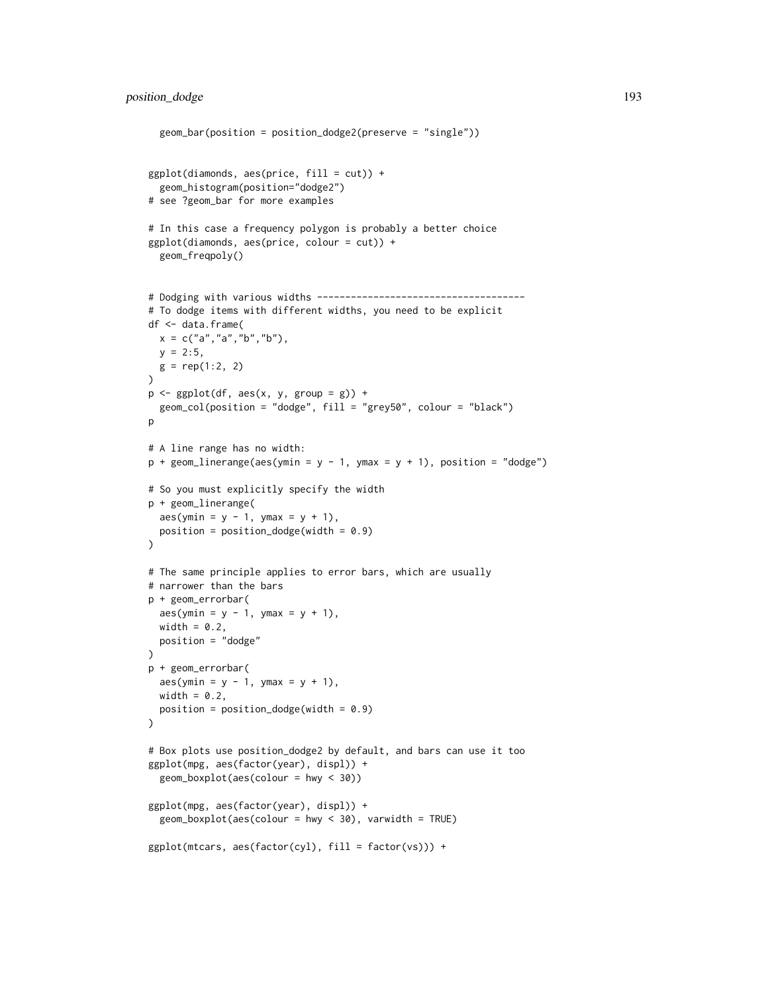```
geom_bar(position = position_dodge2(preserve = "single"))
ggplot(diamonds, aes(price, fill = cut)) +geom_histogram(position="dodge2")
# see ?geom_bar for more examples
# In this case a frequency polygon is probably a better choice
ggplot(diamonds, aes(price, colour = cut)) +
 geom_freqpoly()
# Dodging with various widths -------------------------------------
# To dodge items with different widths, you need to be explicit
df <- data.frame(
 x = c("a", "a", "b", "b"),y = 2:5,
 g = rep(1:2, 2)\lambdap \leftarrow \text{ggplot}(df, \text{aes}(x, y, \text{group} = g)) +geom_col(position = "dodge", fill = "grey50", colour = "black")
p
# A line range has no width:
p + geom\_linear</math># So you must explicitly specify the width
p + geom_linerange(
 aes(ymin = y - 1, ymax = y + 1),position = position\_dodge(width = 0.9)\lambda# The same principle applies to error bars, which are usually
# narrower than the bars
p + geom_errorbar(
 aes(ymin = y - 1, ymax = y + 1),width = 0.2,
 position = "dodge"
)
p + geom_errorbar(
 aes(ymin = y - 1, ymax = y + 1),width = 0.2,
 position = position\_dodge(width = 0.9))
# Box plots use position_dodge2 by default, and bars can use it too
ggplot(mpg, aes(factor(year), displ)) +
 geom_boxplot(aes(colour = hwy < 30))
ggplot(mpg, aes(factor(year), displ)) +
 geom_boxplot(aes(colour = hwy < 30), varwidth = TRUE)ggplot(mtcars, aes(factor(cyl), fill = factor(vs))) +
```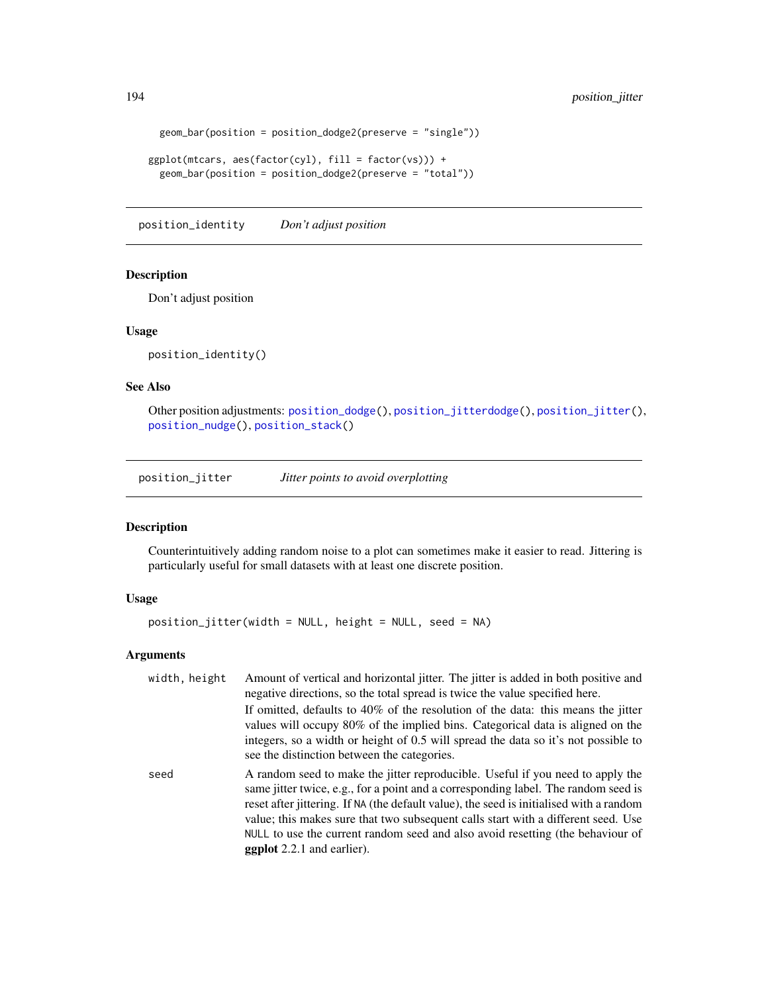```
geom_bar(position = position_dodge2(preserve = "single"))
```

```
ggplot(mtcars, aes(factor(cyl), fill = factor(vs))) +
 geom_bar(position = position_dodge2(preserve = "total"))
```
<span id="page-193-0"></span>position\_identity *Don't adjust position*

## Description

Don't adjust position

## Usage

position\_identity()

## See Also

Other position adjustments: [position\\_dodge\(](#page-191-0)), [position\\_jitterdodge\(](#page-194-0)), [position\\_jitter\(](#page-193-1)), [position\\_nudge\(](#page-195-0)), [position\\_stack\(](#page-196-0))

<span id="page-193-1"></span>position\_jitter *Jitter points to avoid overplotting*

## Description

Counterintuitively adding random noise to a plot can sometimes make it easier to read. Jittering is particularly useful for small datasets with at least one discrete position.

## Usage

position\_jitter(width = NULL, height = NULL, seed = NA)

## Arguments

| width, height | Amount of vertical and horizontal jitter. The jitter is added in both positive and<br>negative directions, so the total spread is twice the value specified here.                                                                                                                                                                                                                                                                                                           |
|---------------|-----------------------------------------------------------------------------------------------------------------------------------------------------------------------------------------------------------------------------------------------------------------------------------------------------------------------------------------------------------------------------------------------------------------------------------------------------------------------------|
|               | If omitted, defaults to 40% of the resolution of the data: this means the jitter<br>values will occupy 80% of the implied bins. Categorical data is aligned on the<br>integers, so a width or height of 0.5 will spread the data so it's not possible to<br>see the distinction between the categories.                                                                                                                                                                     |
| seed          | A random seed to make the jitter reproducible. Useful if you need to apply the<br>same jitter twice, e.g., for a point and a corresponding label. The random seed is<br>reset after jittering. If NA (the default value), the seed is initialised with a random<br>value; this makes sure that two subsequent calls start with a different seed. Use<br>NULL to use the current random seed and also avoid resetting (the behaviour of<br><b>ggplot</b> 2.2.1 and earlier). |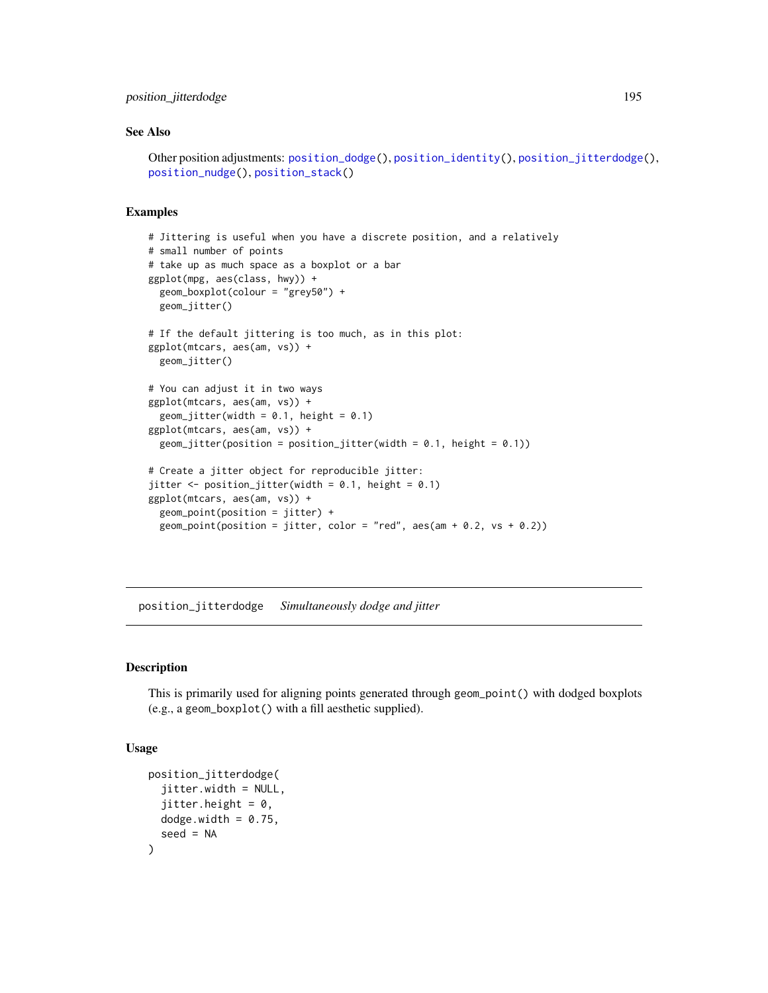## position\_jitterdodge 195

#### See Also

```
Other position adjustments: position_dodge(), position_identity(), position_jitterdodge(),
position_nudge(), position_stack()
```
## Examples

```
# Jittering is useful when you have a discrete position, and a relatively
# small number of points
# take up as much space as a boxplot or a bar
ggplot(mpg, aes(class, hwy)) +
  geom_boxplot(colour = "grey50") +
  geom_jitter()
# If the default jittering is too much, as in this plot:
ggplot(mtcars, aes(am, vs)) +
  geom_jitter()
# You can adjust it in two ways
ggplot(mtcars, aes(am, vs)) +
  geom_jitter(width = 0.1, height = 0.1)
ggplot(mtcars, aes(am, vs)) +
  geom_jitter(position = position_jitter(width = 0.1, height = 0.1))# Create a jitter object for reproducible jitter:
jitter \leq position_jitter(width = 0.1, height = 0.1)
ggplot(mtcars, aes(am, vs)) +
  geom_point(position = jitter) +
  geom_point(position = jitter, color = "red", aes(am + 0.2, vs + 0.2))
```
<span id="page-194-0"></span>position\_jitterdodge *Simultaneously dodge and jitter*

## Description

This is primarily used for aligning points generated through geom\_point() with dodged boxplots (e.g., a geom\_boxplot() with a fill aesthetic supplied).

```
position_jitterdodge(
  jitter.width = NULL,
  jitter.height = 0,
 dodge.width = 0.75,
  seed = NA
)
```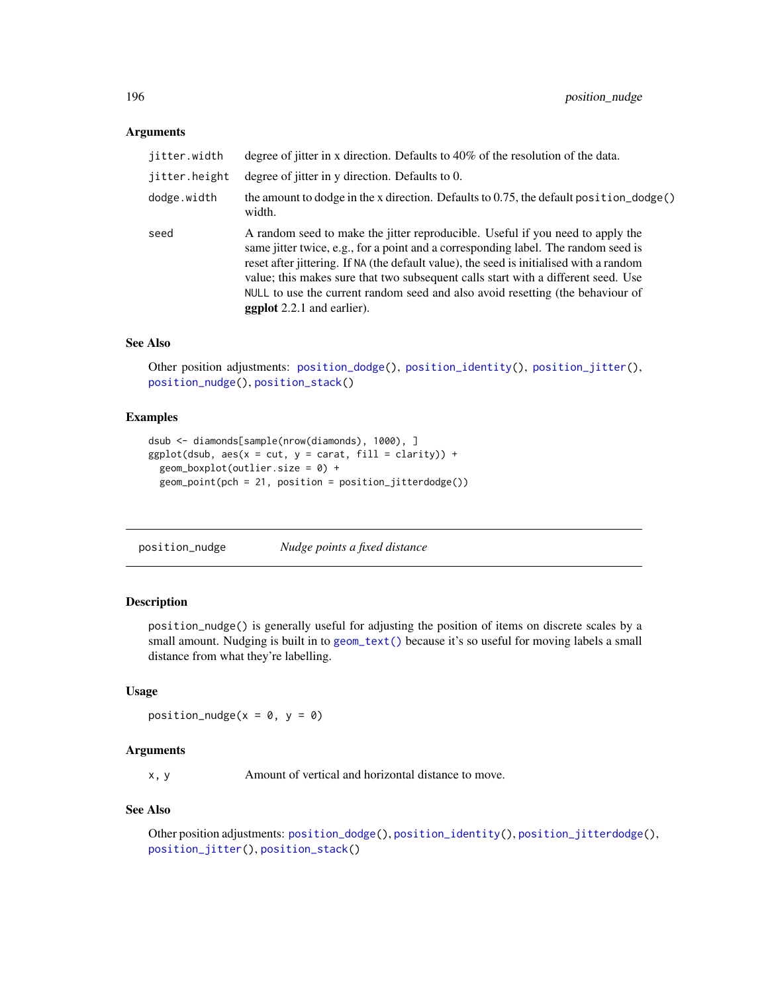## Arguments

| jitter.width  | degree of jitter in x direction. Defaults to 40% of the resolution of the data.                                                                                                                                                                                                                                                                                                                                                                                             |
|---------------|-----------------------------------------------------------------------------------------------------------------------------------------------------------------------------------------------------------------------------------------------------------------------------------------------------------------------------------------------------------------------------------------------------------------------------------------------------------------------------|
| jitter.height | degree of jitter in y direction. Defaults to 0.                                                                                                                                                                                                                                                                                                                                                                                                                             |
| dodge.width   | the amount to dodge in the x direction. Defaults to 0.75, the default position_dodge()<br>width.                                                                                                                                                                                                                                                                                                                                                                            |
| seed          | A random seed to make the jitter reproducible. Useful if you need to apply the<br>same jitter twice, e.g., for a point and a corresponding label. The random seed is<br>reset after jittering. If NA (the default value), the seed is initialised with a random<br>value; this makes sure that two subsequent calls start with a different seed. Use<br>NULL to use the current random seed and also avoid resetting (the behaviour of<br><b>ggplot</b> 2.2.1 and earlier). |

## See Also

Other position adjustments: [position\\_dodge\(](#page-191-0)), [position\\_identity\(](#page-193-0)), [position\\_jitter\(](#page-193-1)), [position\\_nudge\(](#page-195-0)), [position\\_stack\(](#page-196-0))

## Examples

```
dsub <- diamonds[sample(nrow(diamonds), 1000), ]
ggplot(dsub, aes(x = cut, y = carat, fill = clarity)) +geom_boxplot(outlier.size = 0) +
 geom_point(pch = 21, position = position_jitterdodge())
```
<span id="page-195-0"></span>position\_nudge *Nudge points a fixed distance*

## Description

position\_nudge() is generally useful for adjusting the position of items on discrete scales by a small amount. Nudging is built in to [geom\\_text\(\)](#page-105-0) because it's so useful for moving labels a small distance from what they're labelling.

## Usage

position\_nudge( $x = 0$ ,  $y = 0$ )

#### **Arguments**

x, y Amount of vertical and horizontal distance to move.

#### See Also

```
Other position adjustments: position_dodge(), position_identity(), position_jitterdodge(),
position_jitter(), position_stack()
```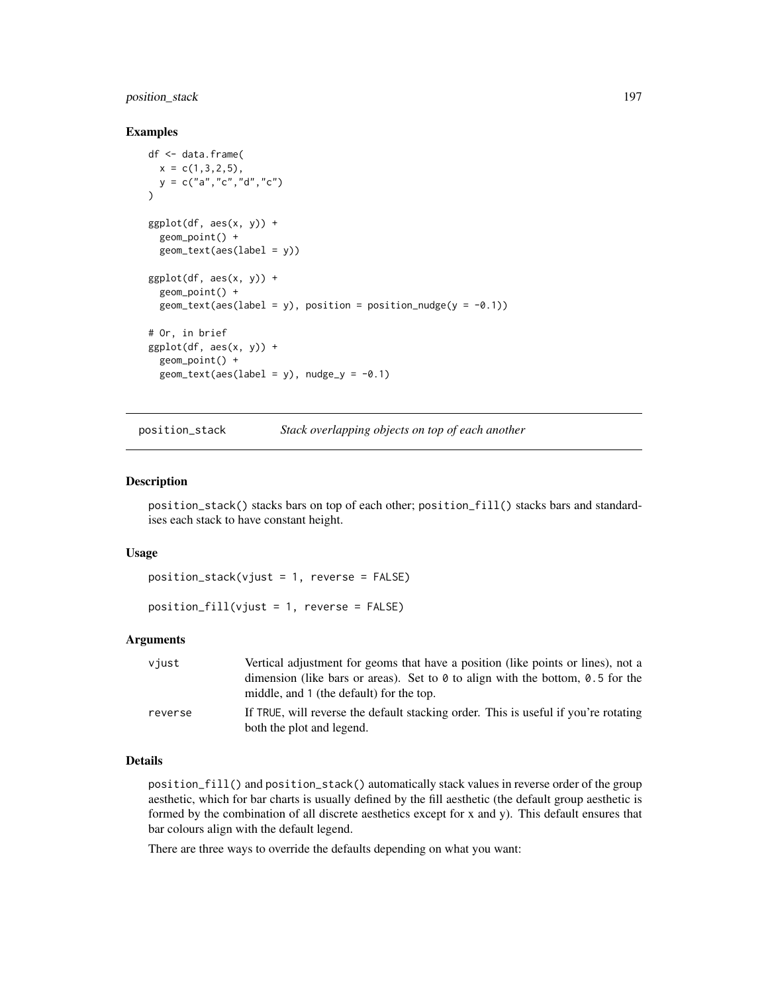## position\_stack 197

#### Examples

```
df <- data.frame(
 x = c(1, 3, 2, 5),
  y = c("a", "c", "d", "c")\lambdaggplot(df, aes(x, y)) +
  geom_point() +
  geom_text(aes(label = y))
ggplot(df, aes(x, y)) +geom_point() +
  geom_text(aes(label = y), position = position_nudge(y = -0.1))
# Or, in brief
ggplot(df, aes(x, y)) +
  geom_point() +
  geom\_text(aes(label = y), nudge_y = -0.1)
```
<span id="page-196-0"></span>position\_stack *Stack overlapping objects on top of each another*

## Description

position\_stack() stacks bars on top of each other; position\_fill() stacks bars and standardises each stack to have constant height.

#### Usage

```
position_stack(vjust = 1, reverse = FALSE)
```
position\_fill(vjust = 1, reverse = FALSE)

## Arguments

| viust   | Vertical adjustment for geoms that have a position (like points or lines), not a                                                  |
|---------|-----------------------------------------------------------------------------------------------------------------------------------|
|         | dimension (like bars or areas). Set to $\theta$ to align with the bottom, 0.5 for the<br>middle, and 1 (the default) for the top. |
| reverse | If TRUE, will reverse the default stacking order. This is useful if you're rotating                                               |
|         | both the plot and legend.                                                                                                         |

## Details

position\_fill() and position\_stack() automatically stack values in reverse order of the group aesthetic, which for bar charts is usually defined by the fill aesthetic (the default group aesthetic is formed by the combination of all discrete aesthetics except for x and y). This default ensures that bar colours align with the default legend.

There are three ways to override the defaults depending on what you want: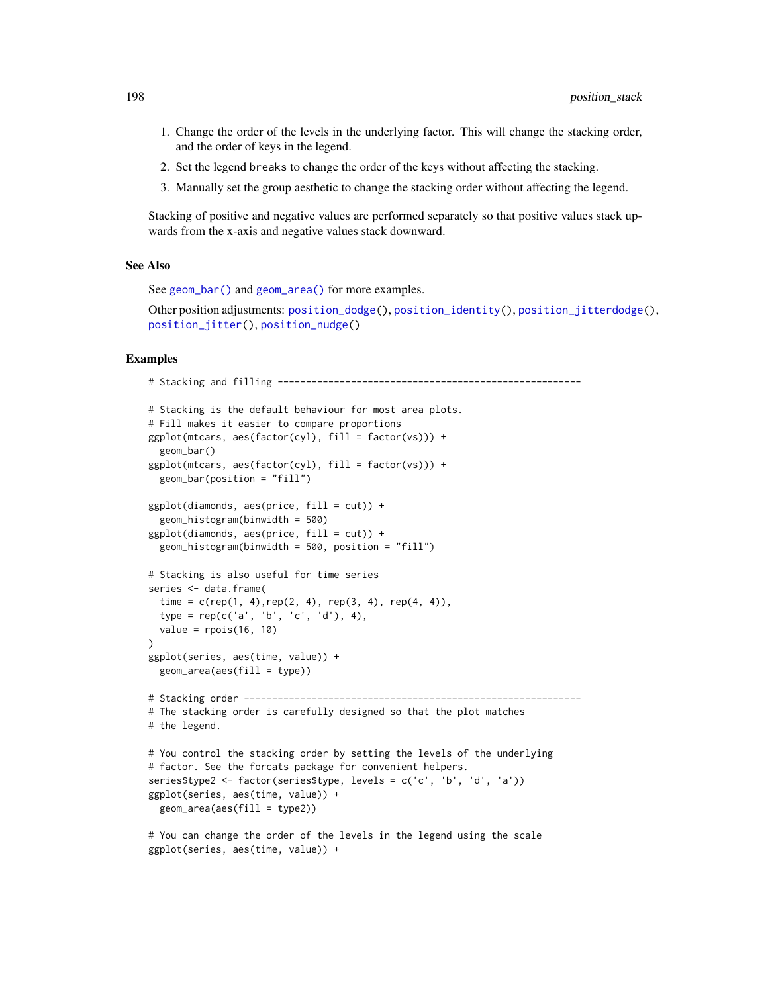- 1. Change the order of the levels in the underlying factor. This will change the stacking order, and the order of keys in the legend.
- 2. Set the legend breaks to change the order of the keys without affecting the stacking.
- 3. Manually set the group aesthetic to change the stacking order without affecting the legend.

Stacking of positive and negative values are performed separately so that positive values stack upwards from the x-axis and negative values stack downward.

#### See Also

See [geom\\_bar\(\)](#page-57-0) and [geom\\_area\(\)](#page-131-0) for more examples.

ggplot(series, aes(time, value)) +

Other position adjustments: [position\\_dodge\(](#page-191-0)), [position\\_identity\(](#page-193-0)), [position\\_jitterdodge\(](#page-194-0)), [position\\_jitter\(](#page-193-1)), [position\\_nudge\(](#page-195-0))

```
# Stacking and filling ------------------------------------------------------
# Stacking is the default behaviour for most area plots.
# Fill makes it easier to compare proportions
ggplot(mtcars, aes(factor(cyl), fill = factor(vs))) +geom_bar()
ggplot(mtcars, aes(factor(cyl), fill = factor(vs))) +
 geom_bar(position = "fill")
ggplot(diamonds, aes(price, fill = cut)) +geom_histogram(binwidth = 500)
ggplot(diamonds, aes(price, fill = cut)) +geom_histogram(binwidth = 500, position = "fill")
# Stacking is also useful for time series
series <- data.frame(
 time = c(rep(1, 4), rep(2, 4), rep(3, 4), rep(4, 4)),type = rep(c('a', 'b', 'c', 'd'), 4),
 value = rpois(16, 10))
ggplot(series, aes(time, value)) +
 geom_area(aes(fill = type))
# Stacking order ------------------------------------------------------------
# The stacking order is carefully designed so that the plot matches
# the legend.
# You control the stacking order by setting the levels of the underlying
# factor. See the forcats package for convenient helpers.
series$type2 <- factor(series$type, levels = c('c', 'b', 'd', 'a'))
ggplot(series, aes(time, value)) +
 geom_area(aes(fill = type2))
# You can change the order of the levels in the legend using the scale
```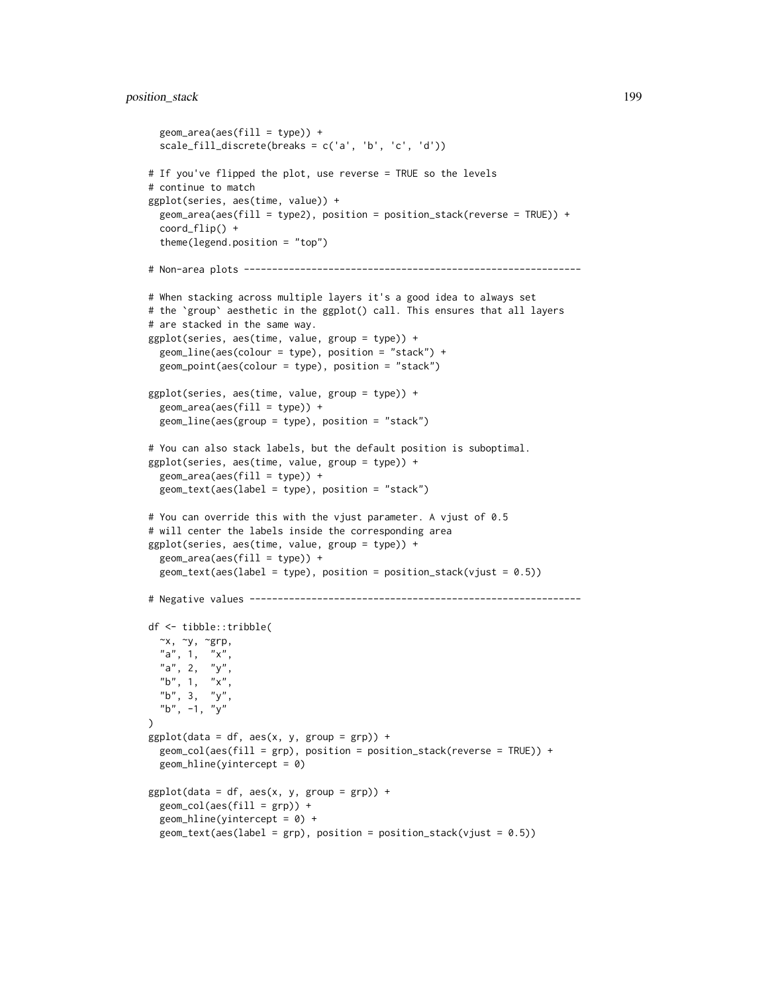## position\_stack 199

```
geom_area(aes(fill = type)) +scale_fill_discrete(breaks = c('a', 'b', 'c', 'd'))
# If you've flipped the plot, use reverse = TRUE so the levels
# continue to match
ggplot(series, aes(time, value)) +
 geom_area(aes(fill = type2), position = position_stack(reverse = TRUE)) +
 coord_flip() +
 theme(legend.position = "top")
# Non-area plots ------------------------------------------------------------
# When stacking across multiple layers it's a good idea to always set
# the `group` aesthetic in the ggplot() call. This ensures that all layers
# are stacked in the same way.
ggplot(series, aes(time, value, group = type)) +
 geom_line(aes(colour = type), position = "stack") +
 geom_point(aes(colour = type), position = "stack")
ggplot(series, aes(time, value, group = type)) +
 geom_area(aes(fill = type)) +geom_line(aes(group = type), position = "stack")
# You can also stack labels, but the default position is suboptimal.
ggplot(series, aes(time, value, group = type)) +
 geom_area(aes(fill = type)) +
 geom_text(aes(label = type), position = "stack")
# You can override this with the vjust parameter. A vjust of 0.5
# will center the labels inside the corresponding area
ggplot(series, aes(time, value, group = type)) +
 geom_area(aes(fill = type)) +geom\_text(aes(label = type), position = position_stack(vjust = 0.5))
# Negative values -----------------------------------------------------------
df <- tibble::tribble(
 \simx, \simy, \simgrp,
  "a", 1, "x",
  "a", 2, "y",
  "b", 1, "x''"b", 3, "y",
  "b", -1, "y"
)
ggplot(data = df, aes(x, y, group = grp)) +geom_col(aes(fill = grp), position = position_stack(reverse = TRUE)) +
 geom_hline(yintercept = 0)
ggplot(data = df, aes(x, y, group = grp)) +geom\_col(aes(fill = grp)) +geom\_hline(yintercept = 0) +geom\_text(aes(label = grp), position = position_stack(vjust = 0.5))
```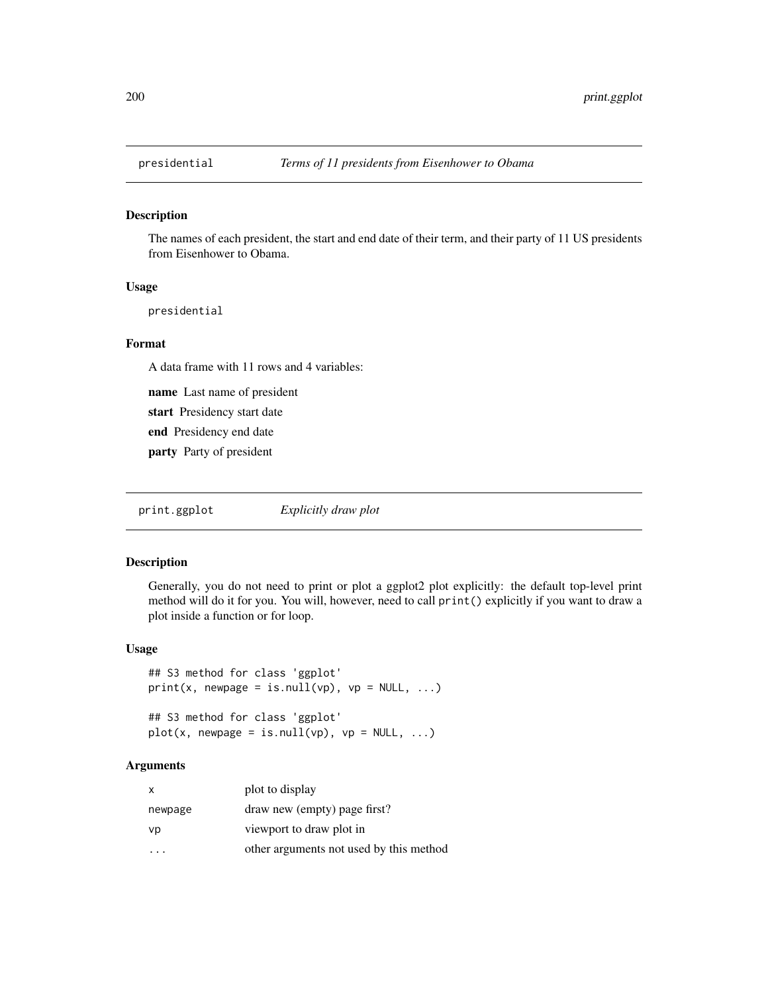The names of each president, the start and end date of their term, and their party of 11 US presidents from Eisenhower to Obama.

## Usage

presidential

## Format

A data frame with 11 rows and 4 variables:

name Last name of president

start Presidency start date

end Presidency end date

party Party of president

print.ggplot *Explicitly draw plot*

#### Description

Generally, you do not need to print or plot a ggplot2 plot explicitly: the default top-level print method will do it for you. You will, however, need to call print() explicitly if you want to draw a plot inside a function or for loop.

## Usage

```
## S3 method for class 'ggplot'
print(x, newpage = is.null(vp), vp = NULL, ...)## S3 method for class 'ggplot'
plot(x, newpage = is.null(vp), vp = NULL, ...)
```
## Arguments

| x       | plot to display                         |
|---------|-----------------------------------------|
| newpage | draw new (empty) page first?            |
| vp      | viewport to draw plot in                |
|         | other arguments not used by this method |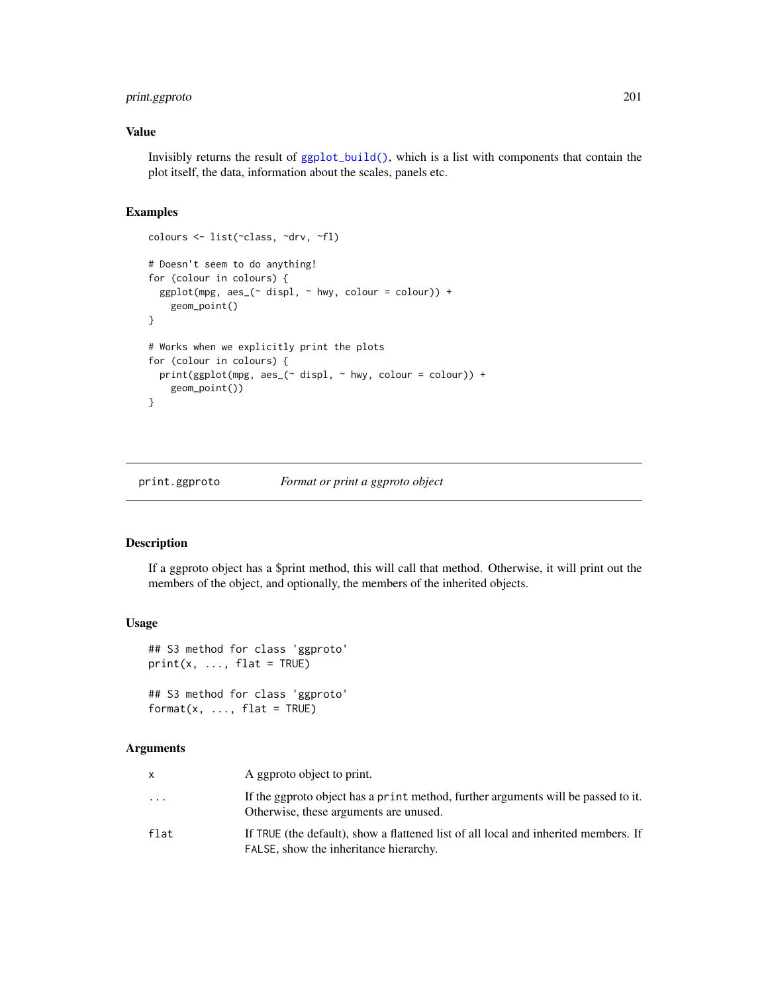## print.ggproto 201

## Value

Invisibly returns the result of [ggplot\\_build\(\)](#page-0-0), which is a list with components that contain the plot itself, the data, information about the scales, panels etc.

## Examples

```
colours <- list(~class, ~drv, ~fl)
# Doesn't seem to do anything!
for (colour in colours) {
  ggplot(mpg, aes_(~displ, ~hwy, colour = colour)) +geom_point()
}
# Works when we explicitly print the plots
for (colour in colours) {
  print(ggplot(mpg, aes_(\sim displ, \sim hw), colour = colour)) +geom_point())
}
```
print.ggproto *Format or print a ggproto object*

## Description

If a ggproto object has a \$print method, this will call that method. Otherwise, it will print out the members of the object, and optionally, the members of the inherited objects.

#### Usage

```
## S3 method for class 'ggproto'
print(x, ..., flat = TRUE)## S3 method for class 'ggproto'
format(x, ..., flat = TRUE)
```
## Arguments

| x         | A ggproto object to print.                                                                                                    |
|-----------|-------------------------------------------------------------------------------------------------------------------------------|
| $\ddotsc$ | If the ggproto object has a print method, further arguments will be passed to it.<br>Otherwise, these arguments are unused.   |
| flat      | If TRUE (the default), show a flattened list of all local and inherited members. If<br>FALSE, show the inheritance hierarchy. |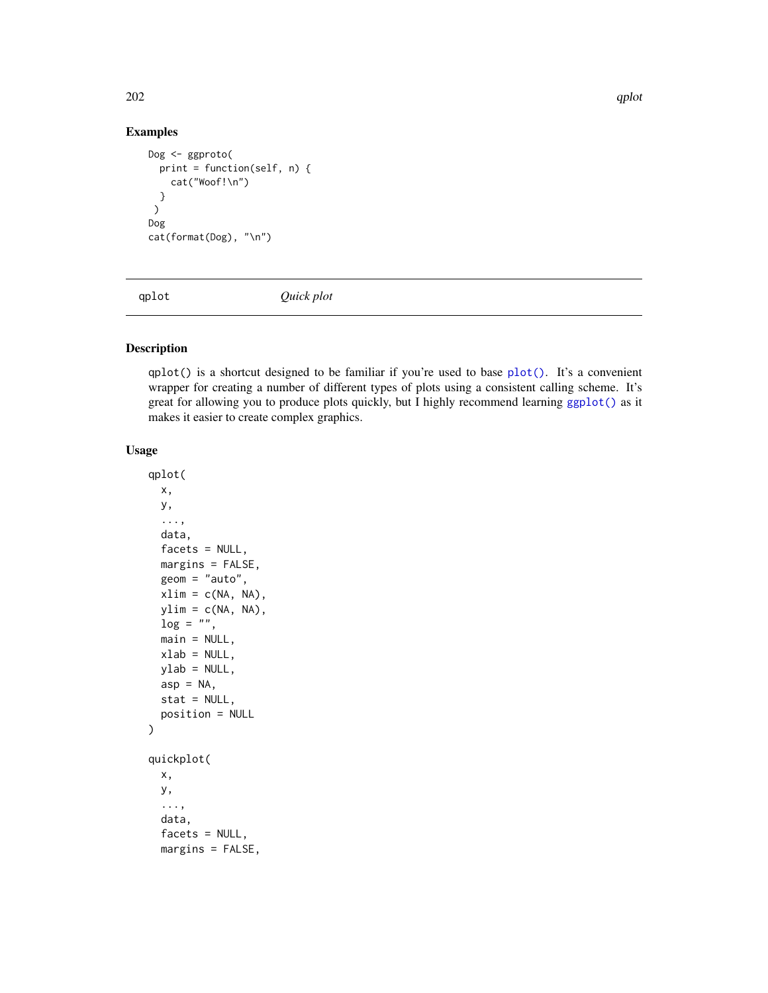## Examples

```
Dog <- ggproto(
  print = function(self, n) {
    cat("Woof!\n")
  }
 \mathcal{L}Dog
cat(format(Dog), "\n")
```
qplot *Quick plot*

## Description

qplot() is a shortcut designed to be familiar if you're used to base [plot\(\)](#page-0-0). It's a convenient wrapper for creating a number of different types of plots using a consistent calling scheme. It's great for allowing you to produce plots quickly, but I highly recommend learning [ggplot\(\)](#page-151-0) as it makes it easier to create complex graphics.

```
qplot(
 x,
 y,
  ...,
 data,
  facets = NULL,
 margins = FALSE,
 geom = "auto",xlim = c(NA, NA),
 ylim = c(NA, NA),
  \log = "".main = NULL,
 xlab = NULL,
 ylab = NULL,
  asp = NA,stat = NULL,
  position = NULL
)
quickplot(
 x,
 y,
  ...,
 data,
  facets = NULL,
 margins = FALSE,
```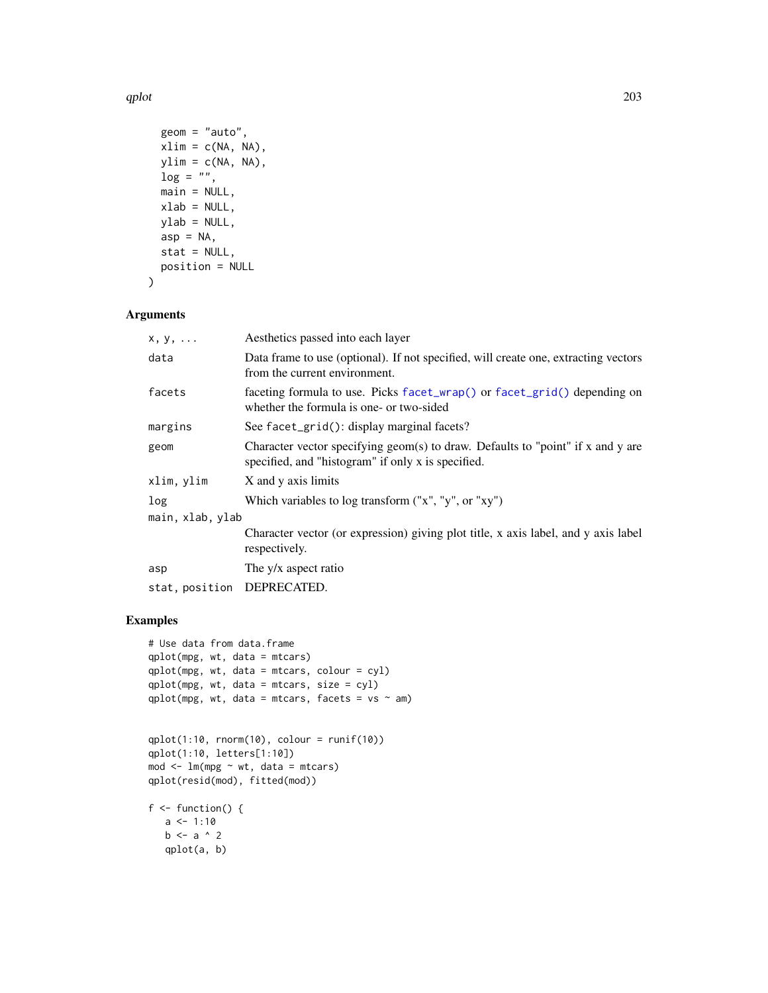qplot 203

```
geom = "auto",
 xlim = c(NA, NA),
 ylim = c(NA, NA),
 log = "",main = NULL,
 xlab = NULL,ylab = NULL,
 asp = NA,stat = NULL,
 position = NULL
\mathcal{L}
```
## Arguments

| $x, y, \ldots$             | Aesthetics passed into each layer                                                                                                         |
|----------------------------|-------------------------------------------------------------------------------------------------------------------------------------------|
| data                       | Data frame to use (optional). If not specified, will create one, extracting vectors<br>from the current environment.                      |
| facets                     | faceting formula to use. Picks facet_wrap() or facet_grid() depending on<br>whether the formula is one- or two-sided                      |
| margins                    | See facet_grid(): display marginal facets?                                                                                                |
| geom                       | Character vector specifying geom(s) to draw. Defaults to "point" if $x$ and $y$ are<br>specified, and "histogram" if only x is specified. |
| xlim, ylim                 | X and y axis limits                                                                                                                       |
| log                        | Which variables to log transform ("x", "y", or "xy")                                                                                      |
| main, xlab, ylab           |                                                                                                                                           |
|                            | Character vector (or expression) giving plot title, x axis label, and y axis label<br>respectively.                                       |
| asp                        | The y/x aspect ratio                                                                                                                      |
| stat, position DEPRECATED. |                                                                                                                                           |
|                            |                                                                                                                                           |

```
# Use data from data.frame
qplot(mpg, wt, data = mtcars)
qplot(mpg, wt, data = mtcars, colour = cyl)
qplot(mpg, wt, data = mtcars, size = cyl)
qplot(mpg, wt, data = mtcars, facets = vs ~ am)
```

```
qplot(1:10, rnorm(10), colour = runif(10))
qplot(1:10, letters[1:10])
mod < -1m(mpg \sim wt, data = mtcars)
qplot(resid(mod), fitted(mod))
```

```
f \leftarrow function() \{a \le -1:10b \leftarrow a \land 2qplot(a, b)
```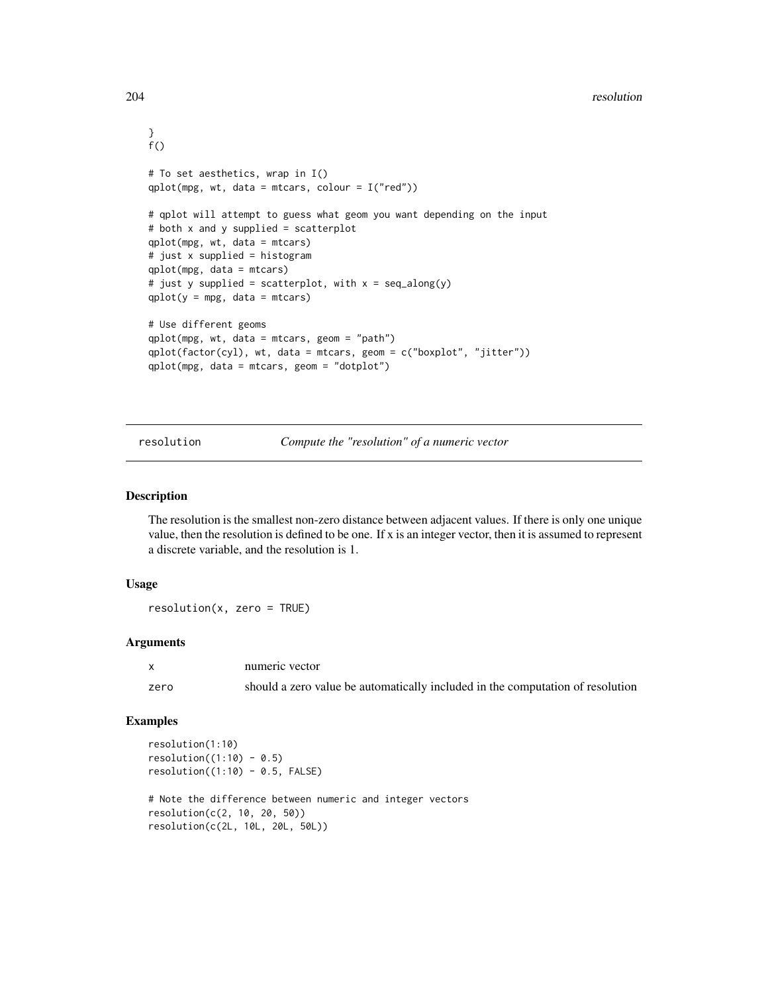```
}
f()# To set aesthetics, wrap in I()
qplot(mpg, wt, data = mtcars, colour = I("red"))# qplot will attempt to guess what geom you want depending on the input
# both x and y supplied = scatterplot
qplot(mpg, wt, data = mtcars)
# just x supplied = histogram
qplot(mpg, data = mtcars)
# just y supplied = scatterplot, with x = seq_along(y)
qplot(y = mp, data = mtcars)# Use different geoms
qplot(mpg, wt, data = mtcars, geom = "path")
qplot(factor(cyl), wt, data = mtcars, geom = c("boxplot", "jitter"))
qplot(mpg, data = mtcars, geom = "dotplot")
```
resolution *Compute the "resolution" of a numeric vector*

## Description

The resolution is the smallest non-zero distance between adjacent values. If there is only one unique value, then the resolution is defined to be one. If x is an integer vector, then it is assumed to represent a discrete variable, and the resolution is 1.

## Usage

resolution(x, zero = TRUE)

## Arguments

|      | numeric vector                                                                 |
|------|--------------------------------------------------------------------------------|
| zero | should a zero value be automatically included in the computation of resolution |

```
resolution(1:10)
resolution((1:10) - 0.5)resolution((1:10) - 0.5, FALSE)# Note the difference between numeric and integer vectors
resolution(c(2, 10, 20, 50))
resolution(c(2L, 10L, 20L, 50L))
```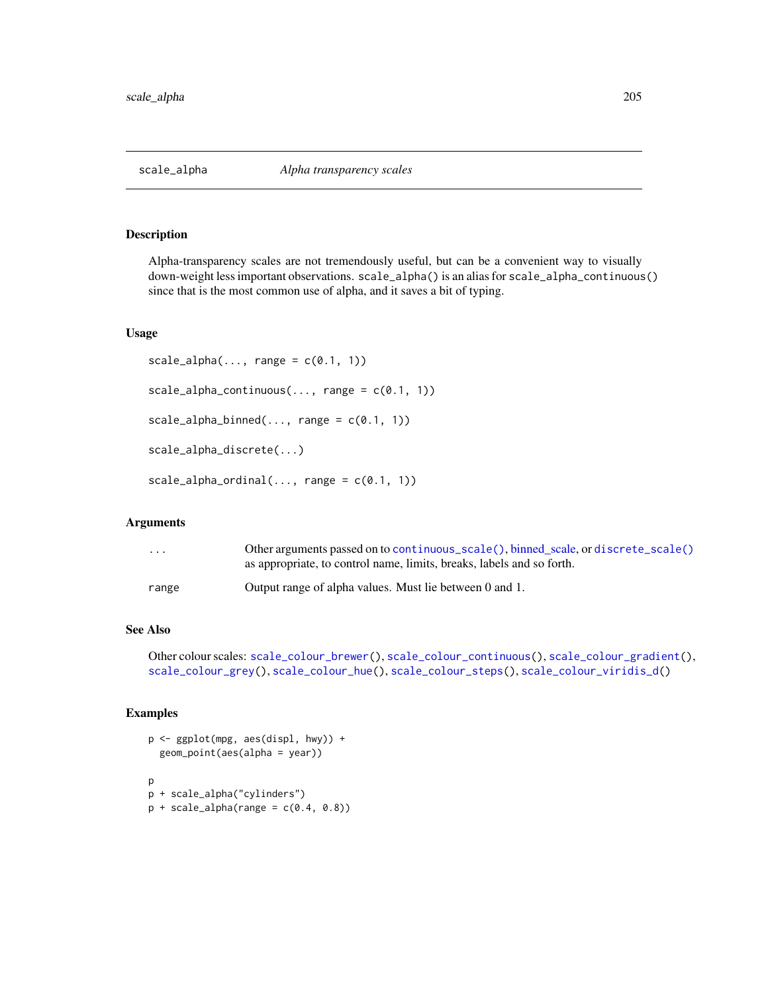<span id="page-204-0"></span>

Alpha-transparency scales are not tremendously useful, but can be a convenient way to visually down-weight less important observations. scale\_alpha() is an alias for scale\_alpha\_continuous() since that is the most common use of alpha, and it saves a bit of typing.

## Usage

```
scale\_alpha(..., range = c(0.1, 1))scale\_alpha\_continuous(..., range = c(0.1, 1))scale\_alpha\_binned(..., range = c(0.1, 1))scale_alpha_discrete(...)
scale\_alpha\_ordinal(..., range = c(0.1, 1))
```
#### Arguments

| $\cdot$ $\cdot$ $\cdot$ | Other arguments passed on to continuous_scale(), binned_scale, or discrete_scale()<br>as appropriate, to control name, limits, breaks, labels and so forth. |
|-------------------------|-------------------------------------------------------------------------------------------------------------------------------------------------------------|
| range                   | Output range of alpha values. Must lie between 0 and 1.                                                                                                     |

## See Also

Other colour scales: [scale\\_colour\\_brewer\(](#page-207-0)), [scale\\_colour\\_continuous\(](#page-210-0)), [scale\\_colour\\_gradient\(](#page-214-0)), [scale\\_colour\\_grey\(](#page-219-0)), [scale\\_colour\\_hue\(](#page-221-0)), [scale\\_colour\\_steps\(](#page-224-0)), [scale\\_colour\\_viridis\\_d\(](#page-228-0))

```
p <- ggplot(mpg, aes(displ, hwy)) +
 geom_point(aes(alpha = year))
p
p + scale_alpha("cylinders")
p + scale_alpha(range = c(0.4, 0.8))
```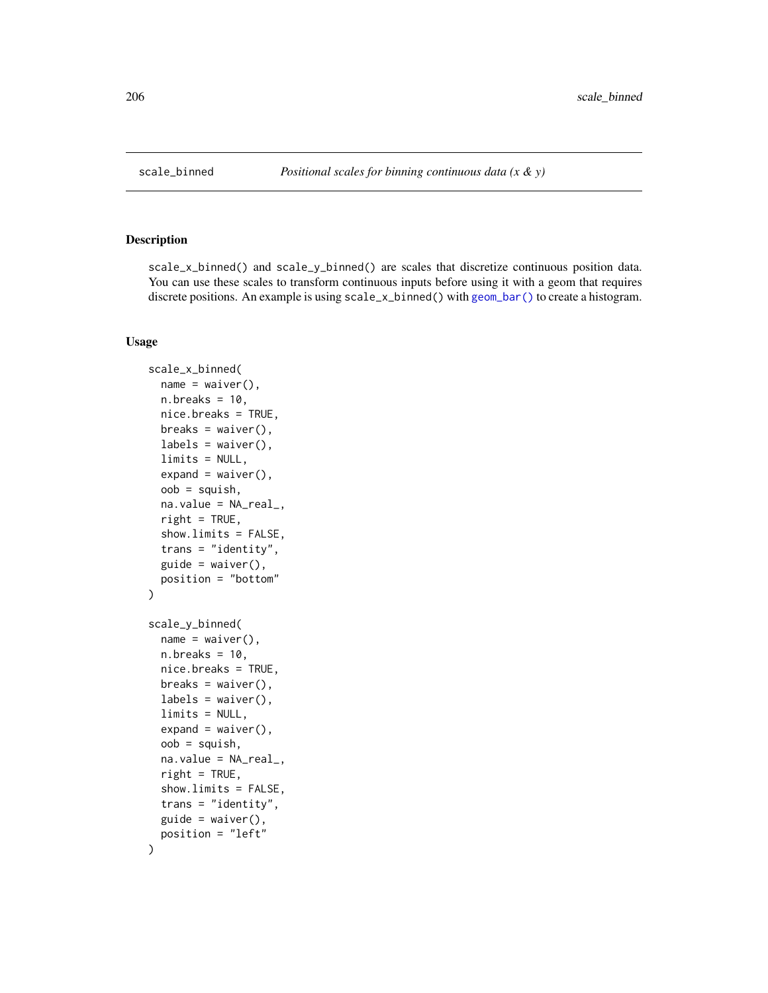scale\_x\_binned() and scale\_y\_binned() are scales that discretize continuous position data. You can use these scales to transform continuous inputs before using it with a geom that requires discrete positions. An example is using scale\_x\_binned() with [geom\\_bar\(\)](#page-57-0) to create a histogram.

```
scale_x_binned(
  name = waire(),n.breaks = 10,
 nice.breaks = TRUE,
 breaks = waiver(),
  labels = waire(),limits = NULL,
  expand = waire(),
  oob = squish,na.value = NA_real_,
  right = TRUE,
  show.limits = FALSE,
  trans = "identity",
  guide = waiver(),
 position = "bottom"
\mathcal{E}scale_y_binned(
  name = waiver(),
 n.breaks = 10,
 nice.breaks = TRUE,
 breaks = waiver(),
  labels = waitver(),
  limits = NULL,
  expand = waire(),oob = squish,na.value = NA_real_,
  right = TRUE,
  show.limits = FALSE,
  trans = "identity",
 guide = waire(),
 position = "left"
)
```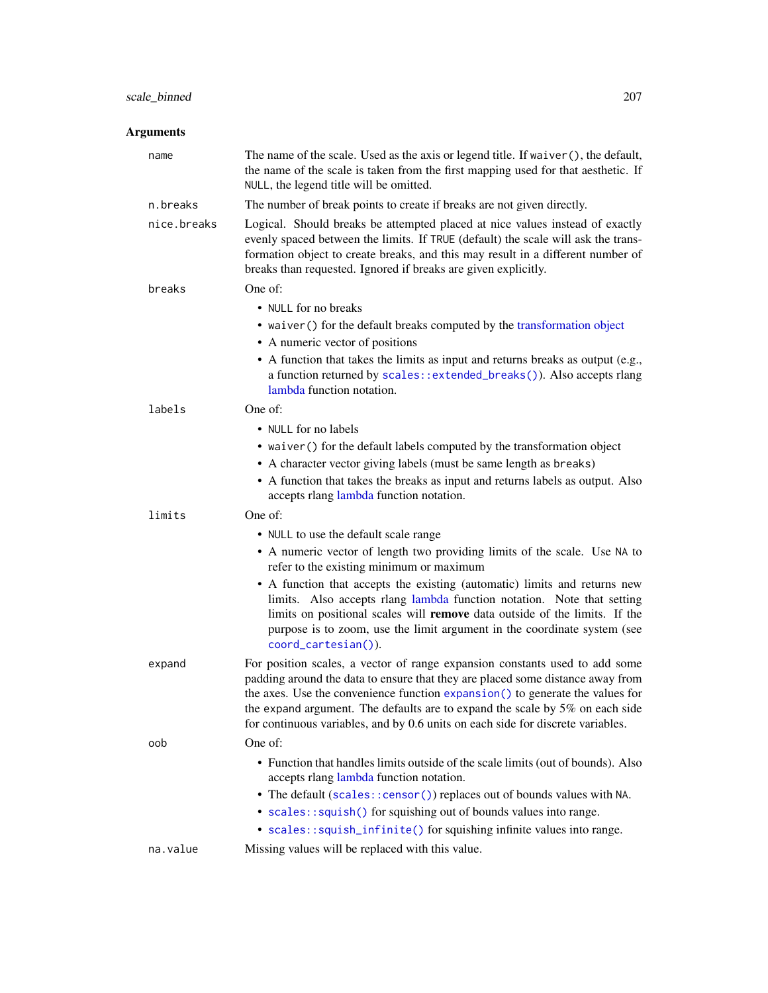# scale\_binned 207

# Arguments

| name        | The name of the scale. Used as the axis or legend title. If waiver (), the default,<br>the name of the scale is taken from the first mapping used for that aesthetic. If<br>NULL, the legend title will be omitted.                                                                                                                                                                                               |
|-------------|-------------------------------------------------------------------------------------------------------------------------------------------------------------------------------------------------------------------------------------------------------------------------------------------------------------------------------------------------------------------------------------------------------------------|
| n.breaks    | The number of break points to create if breaks are not given directly.                                                                                                                                                                                                                                                                                                                                            |
| nice.breaks | Logical. Should breaks be attempted placed at nice values instead of exactly<br>evenly spaced between the limits. If TRUE (default) the scale will ask the trans-<br>formation object to create breaks, and this may result in a different number of<br>breaks than requested. Ignored if breaks are given explicitly.                                                                                            |
| breaks      | One of:                                                                                                                                                                                                                                                                                                                                                                                                           |
|             | • NULL for no breaks                                                                                                                                                                                                                                                                                                                                                                                              |
|             | • waiver () for the default breaks computed by the transformation object                                                                                                                                                                                                                                                                                                                                          |
|             | • A numeric vector of positions                                                                                                                                                                                                                                                                                                                                                                                   |
|             | • A function that takes the limits as input and returns breaks as output (e.g.,<br>a function returned by scales::extended_breaks()). Also accepts rlang<br>lambda function notation.                                                                                                                                                                                                                             |
| labels      | One of:                                                                                                                                                                                                                                                                                                                                                                                                           |
|             | • NULL for no labels                                                                                                                                                                                                                                                                                                                                                                                              |
|             | • waiver () for the default labels computed by the transformation object                                                                                                                                                                                                                                                                                                                                          |
|             | • A character vector giving labels (must be same length as breaks)                                                                                                                                                                                                                                                                                                                                                |
|             | • A function that takes the breaks as input and returns labels as output. Also<br>accepts rlang lambda function notation.                                                                                                                                                                                                                                                                                         |
| limits      | One of:                                                                                                                                                                                                                                                                                                                                                                                                           |
|             | • NULL to use the default scale range                                                                                                                                                                                                                                                                                                                                                                             |
|             | • A numeric vector of length two providing limits of the scale. Use NA to<br>refer to the existing minimum or maximum                                                                                                                                                                                                                                                                                             |
|             | • A function that accepts the existing (automatic) limits and returns new<br>limits. Also accepts rlang lambda function notation. Note that setting<br>limits on positional scales will remove data outside of the limits. If the<br>purpose is to zoom, use the limit argument in the coordinate system (see<br>coord_cartesian()).                                                                              |
| expand      | For position scales, a vector of range expansion constants used to add some<br>padding around the data to ensure that they are placed some distance away from<br>the axes. Use the convenience function expansion() to generate the values for<br>the expand argument. The defaults are to expand the scale by 5% on each side<br>for continuous variables, and by 0.6 units on each side for discrete variables. |
| oob         | One of:                                                                                                                                                                                                                                                                                                                                                                                                           |
|             | • Function that handles limits outside of the scale limits (out of bounds). Also<br>accepts rlang lambda function notation.                                                                                                                                                                                                                                                                                       |
|             | • The default (scales:: censor()) replaces out of bounds values with NA.                                                                                                                                                                                                                                                                                                                                          |
|             | • scales::squish() for squishing out of bounds values into range.                                                                                                                                                                                                                                                                                                                                                 |
|             | • scales::squish_infinite() for squishing infinite values into range.                                                                                                                                                                                                                                                                                                                                             |
| na.value    | Missing values will be replaced with this value.                                                                                                                                                                                                                                                                                                                                                                  |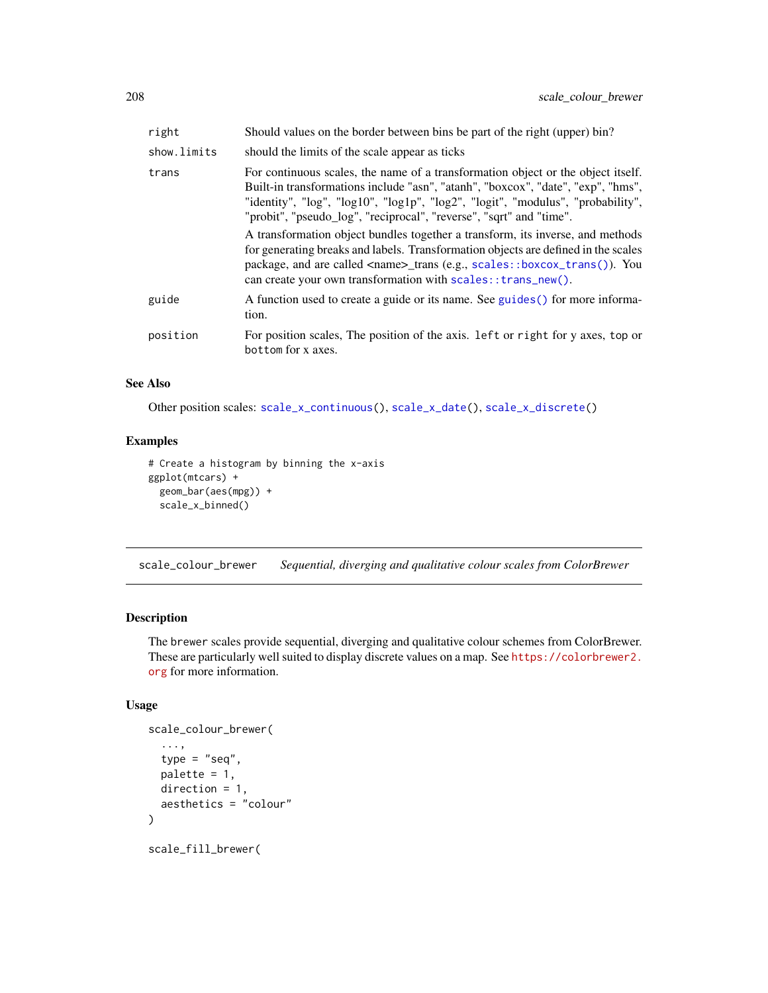| right       | Should values on the border between bins be part of the right (upper) bin?                                                                                                                                                                                                                                                                                                                                                                                                                                                                                                                                                                                  |
|-------------|-------------------------------------------------------------------------------------------------------------------------------------------------------------------------------------------------------------------------------------------------------------------------------------------------------------------------------------------------------------------------------------------------------------------------------------------------------------------------------------------------------------------------------------------------------------------------------------------------------------------------------------------------------------|
| show.limits | should the limits of the scale appear as ticks                                                                                                                                                                                                                                                                                                                                                                                                                                                                                                                                                                                                              |
| trans       | For continuous scales, the name of a transformation object or the object itself.<br>Built-in transformations include "asn", "atanh", "boxcox", "date", "exp", "hms",<br>"identity", "log", "log10", "log1p", "log2", "logit", "modulus", "probability",<br>"probit", "pseudo_log", "reciprocal", "reverse", "sqrt" and "time".<br>A transformation object bundles together a transform, its inverse, and methods<br>for generating breaks and labels. Transformation objects are defined in the scales<br>package, and are called <name>_trans (e.g., scales::boxcox_trans()). You<br/>can create your own transformation with scales:: trans_new().</name> |
| guide       | A function used to create a guide or its name. See guides () for more informa-<br>tion.                                                                                                                                                                                                                                                                                                                                                                                                                                                                                                                                                                     |
| position    | For position scales, The position of the axis. Left or right for y axes, top or<br>bottom for x axes.                                                                                                                                                                                                                                                                                                                                                                                                                                                                                                                                                       |

## See Also

Other position scales: [scale\\_x\\_continuous\(](#page-231-0)), [scale\\_x\\_date\(](#page-235-0)), [scale\\_x\\_discrete\(](#page-250-0))

## Examples

```
# Create a histogram by binning the x-axis
ggplot(mtcars) +
  geom_bar(aes(mpg)) +
  scale_x_binned()
```
<span id="page-207-0"></span>scale\_colour\_brewer *Sequential, diverging and qualitative colour scales from ColorBrewer*

# <span id="page-207-1"></span>Description

The brewer scales provide sequential, diverging and qualitative colour schemes from ColorBrewer. These are particularly well suited to display discrete values on a map. See [https://colorbrewer2.](https://colorbrewer2.org) [org](https://colorbrewer2.org) for more information.

```
scale_colour_brewer(
  ...,
  type = "seq",
 palette = 1,
 direction = 1,
 aesthetics = "colour"
)
scale_fill_brewer(
```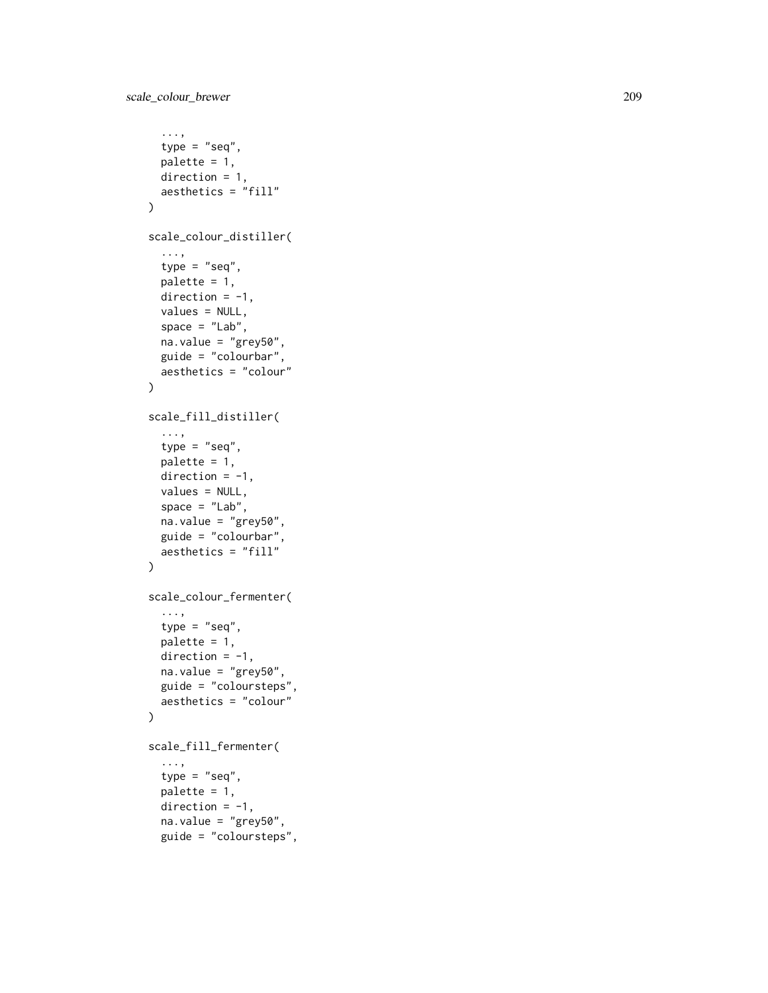```
...,
 type = "seq",palette = 1,
 direction = 1,
 aesthetics = "fill"
\mathcal{L}scale_colour_distiller(
  ...,
 type = "seq",
 palette = 1,
 direction = -1,
 values = NULL,
  space = "Lab",na.value = "grey50",
  guide = "colourbar",
  aesthetics = "colour"
\mathcal{L}scale_fill_distiller(
  ...,
 type = "seq",palette = 1,
 direction = -1,values = NULL,
  space = "Lab",na.value = "grey50",
 guide = "colourbar",
 aesthetics = "fill"
)
scale_colour_fermenter(
  ...,
  type = "seq",
 palette = 1,
 direction = -1,
 na.value = "grey50",
 guide = "coloursteps",
 aesthetics = "colour"
\mathcal{L}scale_fill_fermenter(
  ...,
  type = "seq",
 palette = 1,
  direction = -1,
  na.value = "grey50",
  guide = "coloursteps",
```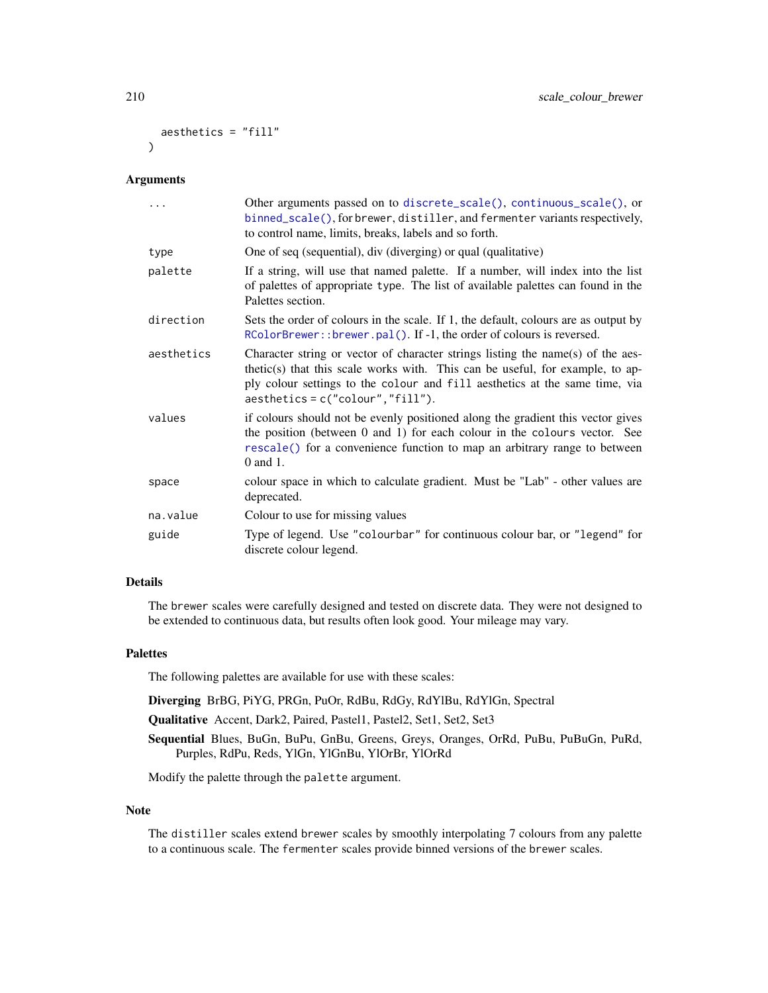```
aesthetics = "fill"
\lambda
```
## Arguments

|            | Other arguments passed on to discrete_scale(), continuous_scale(), or<br>binned_scale(), for brewer, distiller, and fermenter variants respectively,<br>to control name, limits, breaks, labels and so forth.                                                                           |
|------------|-----------------------------------------------------------------------------------------------------------------------------------------------------------------------------------------------------------------------------------------------------------------------------------------|
| type       | One of seq (sequential), div (diverging) or qual (qualitative)                                                                                                                                                                                                                          |
| palette    | If a string, will use that named palette. If a number, will index into the list<br>of palettes of appropriate type. The list of available palettes can found in the<br>Palettes section.                                                                                                |
| direction  | Sets the order of colours in the scale. If 1, the default, colours are as output by<br>RColorBrewer::brewer.pal(). If -1, the order of colours is reversed.                                                                                                                             |
| aesthetics | Character string or vector of character strings listing the name(s) of the aes-<br>thetic(s) that this scale works with. This can be useful, for example, to ap-<br>ply colour settings to the colour and fill aesthetics at the same time, via<br>$a$ esthetics = c("colour", "fill"). |
| values     | if colours should not be evenly positioned along the gradient this vector gives<br>the position (between 0 and 1) for each colour in the colours vector. See<br>rescale() for a convenience function to map an arbitrary range to between<br>0 and 1.                                   |
| space      | colour space in which to calculate gradient. Must be "Lab" - other values are<br>deprecated.                                                                                                                                                                                            |
| na.value   | Colour to use for missing values                                                                                                                                                                                                                                                        |
| guide      | Type of legend. Use "colourbar" for continuous colour bar, or "legend" for<br>discrete colour legend.                                                                                                                                                                                   |

## Details

The brewer scales were carefully designed and tested on discrete data. They were not designed to be extended to continuous data, but results often look good. Your mileage may vary.

#### Palettes

The following palettes are available for use with these scales:

Diverging BrBG, PiYG, PRGn, PuOr, RdBu, RdGy, RdYlBu, RdYlGn, Spectral

Qualitative Accent, Dark2, Paired, Pastel1, Pastel2, Set1, Set2, Set3

Sequential Blues, BuGn, BuPu, GnBu, Greens, Greys, Oranges, OrRd, PuBu, PuBuGn, PuRd, Purples, RdPu, Reds, YlGn, YlGnBu, YlOrBr, YlOrRd

Modify the palette through the palette argument.

## Note

The distiller scales extend brewer scales by smoothly interpolating 7 colours from any palette to a continuous scale. The fermenter scales provide binned versions of the brewer scales.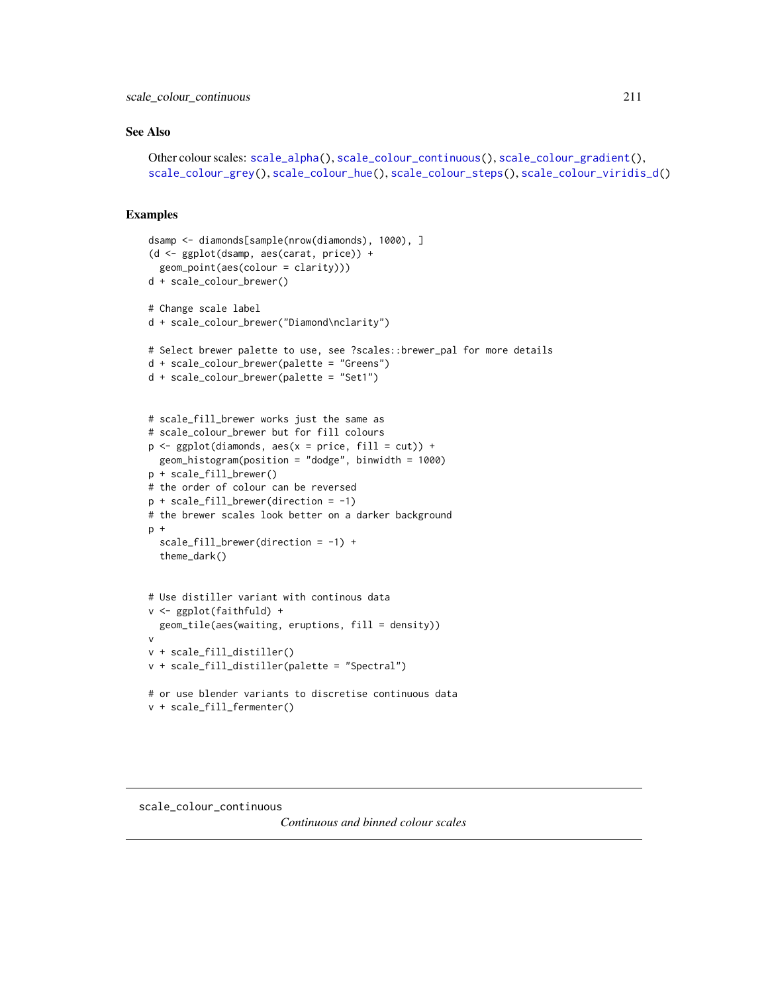#### See Also

```
Other colour scales: scale_alpha(), scale_colour_continuous(), scale_colour_gradient(),
scale_colour_grey(), scale_colour_hue(), scale_colour_steps(), scale_colour_viridis_d()
```
## Examples

```
dsamp <- diamonds[sample(nrow(diamonds), 1000), ]
(d <- ggplot(dsamp, aes(carat, price)) +
  geom_point(aes(colour = clarity)))
d + scale_colour_brewer()
# Change scale label
d + scale_colour_brewer("Diamond\nclarity")
# Select brewer palette to use, see ?scales::brewer_pal for more details
d + scale_colour_brewer(palette = "Greens")
d + scale_colour_brewer(palette = "Set1")
# scale_fill_brewer works just the same as
# scale_colour_brewer but for fill colours
p \leftarrow \text{ggplot}(diamonds, aes(x = price, fill = cut)) +geom_histogram(position = "dodge", binwidth = 1000)
p + scale_fill_brewer()
# the order of colour can be reversed
p + scale_fill_brewer(direction = -1)
# the brewer scales look better on a darker background
p +scale_fill_brewer(direction = -1) +
  theme_dark()
# Use distiller variant with continous data
v <- ggplot(faithfuld) +
  geom_tile(aes(waiting, eruptions, fill = density))
v
v + scale_fill_distiller()
v + scale_fill_distiller(palette = "Spectral")
# or use blender variants to discretise continuous data
v + scale_fill_fermenter()
```
## <span id="page-210-0"></span>scale\_colour\_continuous

*Continuous and binned colour scales*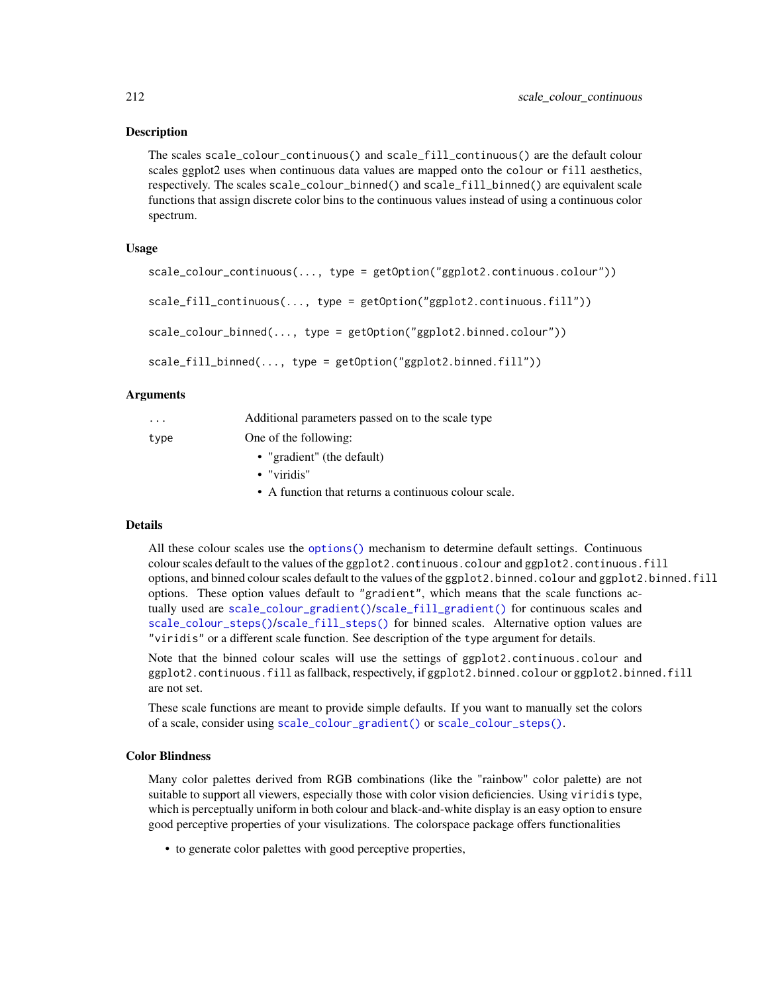The scales scale\_colour\_continuous() and scale\_fill\_continuous() are the default colour scales ggplot2 uses when continuous data values are mapped onto the colour or fill aesthetics, respectively. The scales scale\_colour\_binned() and scale\_fill\_binned() are equivalent scale functions that assign discrete color bins to the continuous values instead of using a continuous color spectrum.

## Usage

```
scale_colour_continuous(..., type = getOption("ggplot2.continuous.colour"))
scale_fill_continuous(..., type = getOption("ggplot2.continuous.fill"))
scale_colour_binned(..., type = getOption("ggplot2.binned.colour"))
scale_fill_binned(..., type = getOption("ggplot2.binned.fill"))
```
## **Arguments**

| $\cdot$ $\cdot$ $\cdot$ | Additional parameters passed on to the scale type    |
|-------------------------|------------------------------------------------------|
| type                    | One of the following:                                |
|                         | • "gradient" (the default)                           |
|                         | $\bullet$ "viridis"                                  |
|                         | • A function that returns a continuous colour scale. |

## Details

All these colour scales use the [options\(\)](#page-0-0) mechanism to determine default settings. Continuous colour scales default to the values of the ggplot2.continuous.colour and ggplot2.continuous.fill options, and binned colour scales default to the values of the ggplot2.binned.colour and ggplot2.binned.fill options. These option values default to "gradient", which means that the scale functions actually used are [scale\\_colour\\_gradient\(\)](#page-214-0)/[scale\\_fill\\_gradient\(\)](#page-214-1) for continuous scales and [scale\\_colour\\_steps\(\)](#page-224-0)/[scale\\_fill\\_steps\(\)](#page-224-1) for binned scales. Alternative option values are "viridis" or a different scale function. See description of the type argument for details.

Note that the binned colour scales will use the settings of ggplot2.continuous.colour and ggplot2.continuous.fill as fallback, respectively, if ggplot2.binned.colour or ggplot2.binned.fill are not set.

These scale functions are meant to provide simple defaults. If you want to manually set the colors of a scale, consider using [scale\\_colour\\_gradient\(\)](#page-214-0) or [scale\\_colour\\_steps\(\)](#page-224-0).

## Color Blindness

Many color palettes derived from RGB combinations (like the "rainbow" color palette) are not suitable to support all viewers, especially those with color vision deficiencies. Using viridis type, which is perceptually uniform in both colour and black-and-white display is an easy option to ensure good perceptive properties of your visulizations. The colorspace package offers functionalities

• to generate color palettes with good perceptive properties,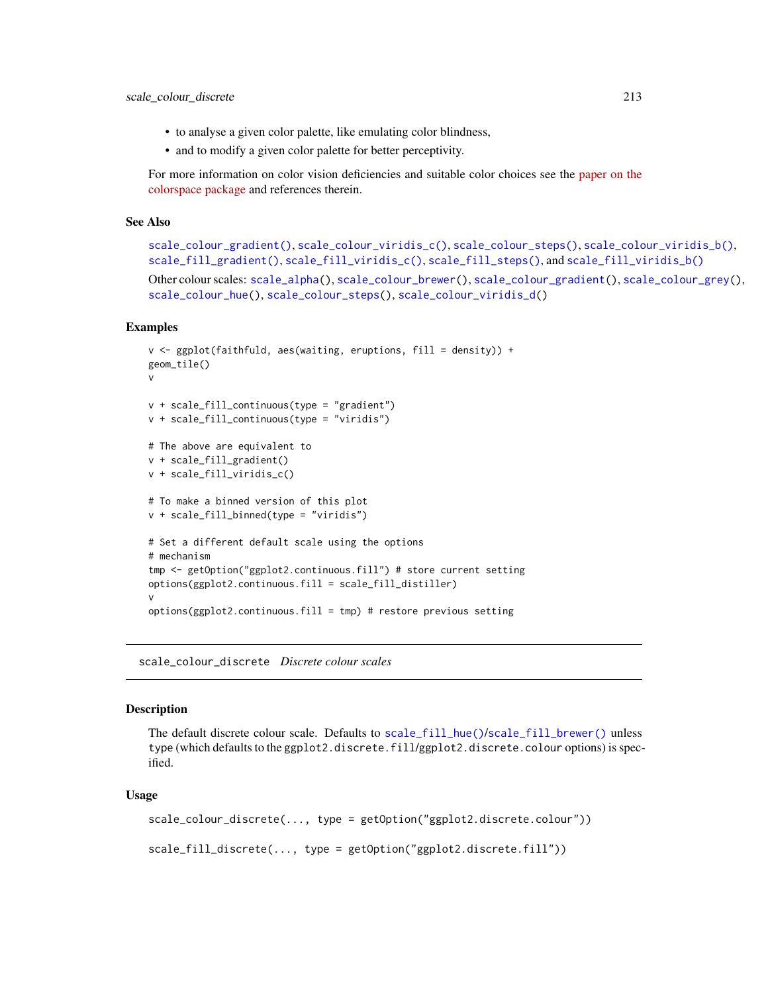- to analyse a given color palette, like emulating color blindness,
- and to modify a given color palette for better perceptivity.

For more information on color vision deficiencies and suitable color choices see the [paper on the](https://arxiv.org/abs/1903.06490) [colorspace package](https://arxiv.org/abs/1903.06490) and references therein.

## See Also

```
scale_colour_gradient(), scale_colour_viridis_c(), scale_colour_steps(), scale_colour_viridis_b(),
scale_fill_gradient(), scale_fill_viridis_c(), scale_fill_steps(), and scale_fill_viridis_b()
```
Other colour scales: [scale\\_alpha\(](#page-204-0)), [scale\\_colour\\_brewer\(](#page-207-0)), [scale\\_colour\\_gradient\(](#page-214-0)), [scale\\_colour\\_grey\(](#page-219-0)), [scale\\_colour\\_hue\(](#page-221-0)), [scale\\_colour\\_steps\(](#page-224-0)), [scale\\_colour\\_viridis\\_d\(](#page-228-0))

## Examples

```
v <- ggplot(faithfuld, aes(waiting, eruptions, fill = density)) +
geom_tile()
v
v + scale_fill_continuous(type = "gradient")
v + scale_fill_continuous(type = "viridis")
# The above are equivalent to
v + scale_fill_gradient()
v + scale_fill_viridis_c()
# To make a binned version of this plot
v + scale_fill_binned(type = "viridis")
# Set a different default scale using the options
# mechanism
tmp <- getOption("ggplot2.continuous.fill") # store current setting
options(ggplot2.continuous.fill = scale_fill_distiller)
v
options(ggplot2.continuous.fill = tmp) # restore previous setting
```
scale\_colour\_discrete *Discrete colour scales*

## Description

The default discrete colour scale. Defaults to [scale\\_fill\\_hue\(\)](#page-221-1)/[scale\\_fill\\_brewer\(\)](#page-207-1) unless type (which defaults to the ggplot2.discrete.fill/ggplot2.discrete.colour options) is specified.

```
scale_colour_discrete(..., type = getOption("ggplot2.discrete.colour"))
scale_fill_discrete(..., type = getOption("ggplot2.discrete.fill"))
```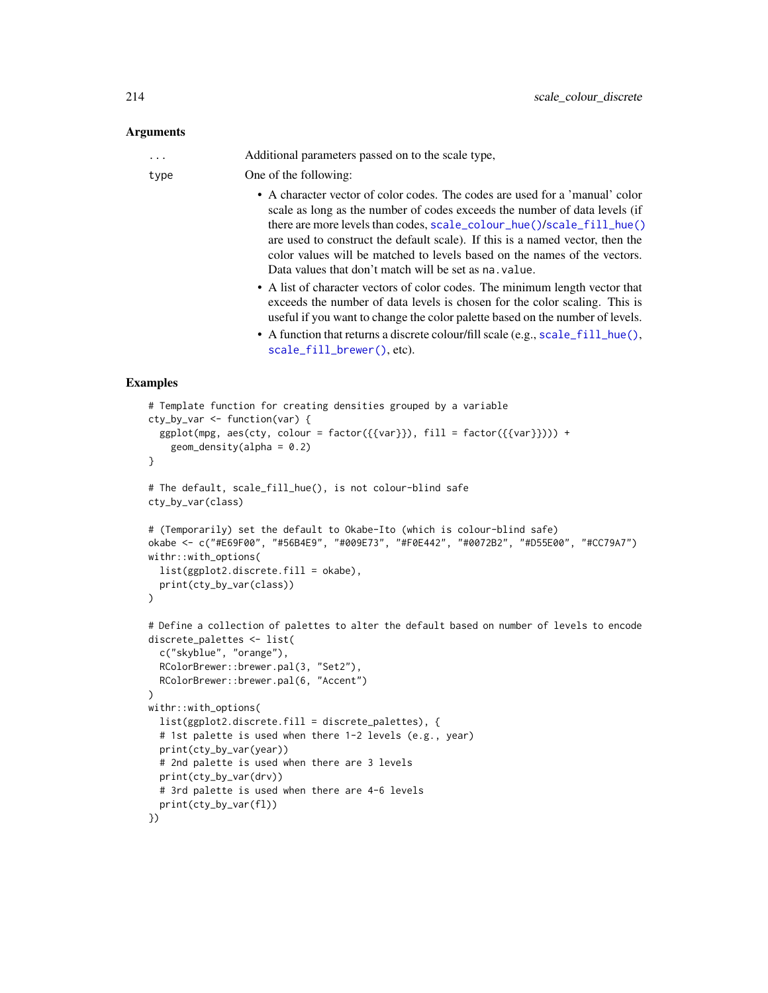## Arguments

... Additional parameters passed on to the scale type,

type One of the following:

- A character vector of color codes. The codes are used for a 'manual' color scale as long as the number of codes exceeds the number of data levels (if there are more levels than codes, [scale\\_colour\\_hue\(\)](#page-221-0)/[scale\\_fill\\_hue\(\)](#page-221-1) are used to construct the default scale). If this is a named vector, then the color values will be matched to levels based on the names of the vectors. Data values that don't match will be set as na.value.
- A list of character vectors of color codes. The minimum length vector that exceeds the number of data levels is chosen for the color scaling. This is useful if you want to change the color palette based on the number of levels.
- A function that returns a discrete colour/fill scale (e.g., [scale\\_fill\\_hue\(\)](#page-221-1), [scale\\_fill\\_brewer\(\)](#page-207-1), etc).

```
# Template function for creating densities grouped by a variable
cty_by_var <- function(var) {
 ggplot(mpg, aes(cty, colour = factor({\{var}\}), fill = factor({\{var}\})) +
    geom\_density(alpha = 0.2)}
# The default, scale_fill_hue(), is not colour-blind safe
cty_by_var(class)
# (Temporarily) set the default to Okabe-Ito (which is colour-blind safe)
okabe <- c("#E69F00", "#56B4E9", "#009E73", "#F0E442", "#0072B2", "#D55E00", "#CC79A7")
withr::with_options(
 list(ggplot2.discrete.fill = okabe),
 print(cty_by_var(class))
)
# Define a collection of palettes to alter the default based on number of levels to encode
discrete_palettes <- list(
 c("skyblue", "orange"),
 RColorBrewer::brewer.pal(3, "Set2"),
 RColorBrewer::brewer.pal(6, "Accent")
)
withr::with_options(
 list(ggplot2.discrete.fill = discrete_palettes), {
 # 1st palette is used when there 1-2 levels (e.g., year)
 print(cty_by_var(year))
 # 2nd palette is used when there are 3 levels
 print(cty_by_var(drv))
 # 3rd palette is used when there are 4-6 levels
 print(cty_by_var(fl))
})
```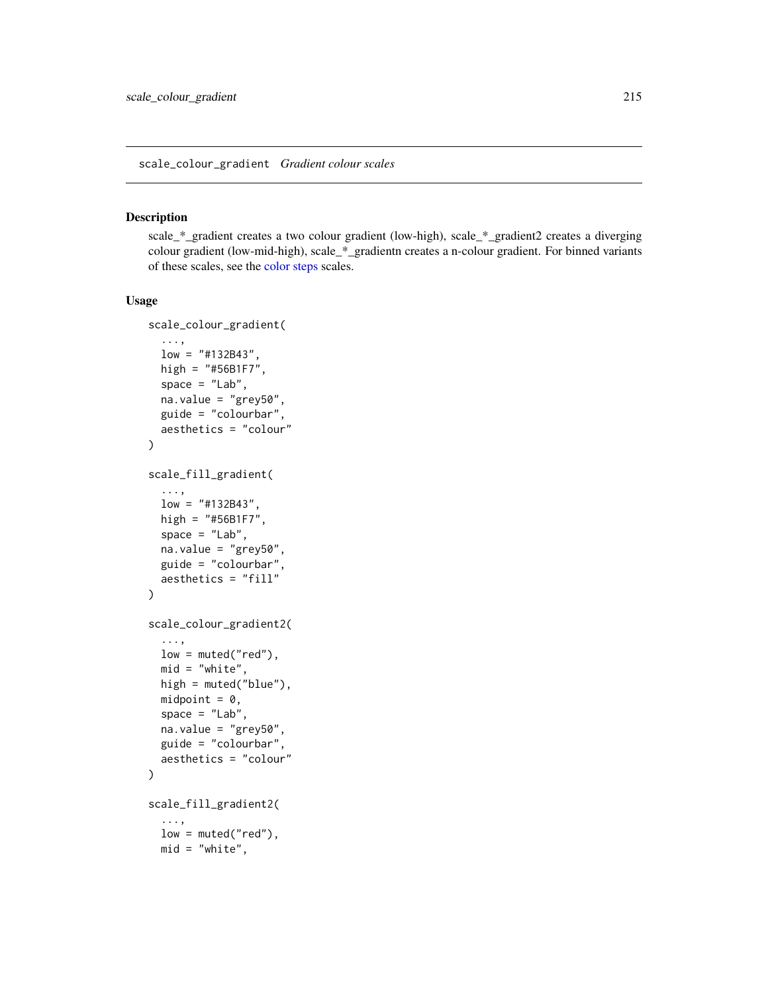<span id="page-214-1"></span><span id="page-214-0"></span>scale\_\*\_gradient creates a two colour gradient (low-high), scale\_\*\_gradient2 creates a diverging colour gradient (low-mid-high), scale\_\*\_gradientn creates a n-colour gradient. For binned variants of these scales, see the [color steps](#page-224-0) scales.

```
scale_colour_gradient(
  ...,
 low = "#132B43".high = "#56B1F7",
  space = "Lab",na.value = "grey50",
 guide = "colourbar",
 aesthetics = "colour"
)
scale_fill_gradient(
  ...,
 low = "#132B43",
 high = "#56B1F7",
 space = "Lab",na.value = "grey50",
 guide = "colourbar",
 aesthetics = "fill"
)
scale_colour_gradient2(
  ...,
  low = muted("red"),
 mid = "white",high = muted("blue"),
 midpoint = 0,
  space = "Lab",na.value = "grey50",
 guide = "colourbar",
 aesthetics = "colour"
\lambdascale_fill_gradient2(
  ...,
  low = muted("red"),
 mid = "white",
```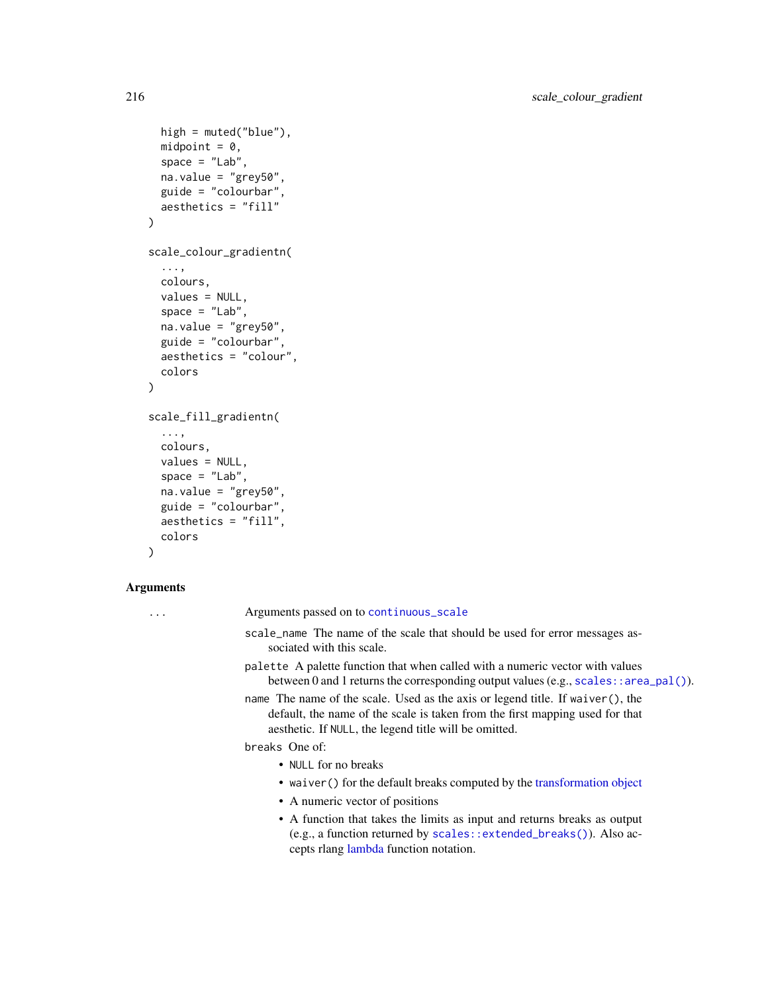```
high = muted("blue"),
 midpoint = 0,
 space = "Lab",na.value = "grey50",
 guide = "colourbar",
 aesthetics = "fill"
\mathcal{L}scale_colour_gradientn(
  ...,
 colours,
 values = NULL,
 space = "Lab",na.value = "grey50",
 guide = "colourbar",
 aesthetics = "colour",
 colors
\mathcal{L}scale_fill_gradientn(
 ...,
 colours,
 values = NULL,
 space = "Lab",na.value = "grey50",
 guide = "colourbar",
 aesthetics = "fill",
 colors
)
```
## Arguments

| $\ddotsc$ | Arguments passed on to continuous_scale                                                                                                                                                                                  |
|-----------|--------------------------------------------------------------------------------------------------------------------------------------------------------------------------------------------------------------------------|
|           | scale_name The name of the scale that should be used for error messages as-<br>sociated with this scale.                                                                                                                 |
|           | palette A palette function that when called with a numeric vector with values<br>between 0 and 1 returns the corresponding output values (e.g., scales: : area_pal()).                                                   |
|           | name The name of the scale. Used as the axis or legend title. If waiver (), the<br>default, the name of the scale is taken from the first mapping used for that<br>aesthetic. If NULL, the legend title will be omitted. |
|           | breaks One of:                                                                                                                                                                                                           |
|           | • NULL for no breaks                                                                                                                                                                                                     |
|           | • waiver () for the default breaks computed by the transformation object                                                                                                                                                 |
|           | • A numeric vector of positions                                                                                                                                                                                          |
|           | • A function that takes the limits as input and returns breaks as output<br>(e.g., a function returned by scales: : extended_breaks()). Also ac-<br>cepts rlang lambda function notation.                                |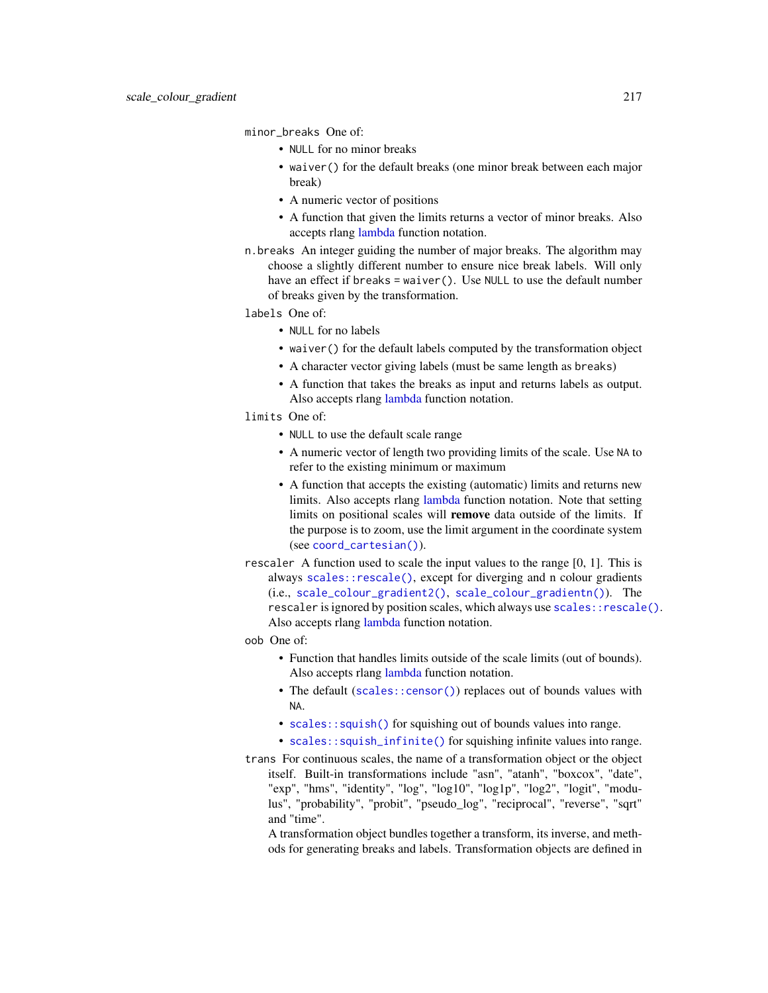minor\_breaks One of:

- NULL for no minor breaks
- waiver() for the default breaks (one minor break between each major break)
- A numeric vector of positions
- A function that given the limits returns a vector of minor breaks. Also accepts rlang [lambda](#page-0-0) function notation.
- n.breaks An integer guiding the number of major breaks. The algorithm may choose a slightly different number to ensure nice break labels. Will only have an effect if breaks = waiver(). Use NULL to use the default number of breaks given by the transformation.
- labels One of:
	- NULL for no labels
	- waiver() for the default labels computed by the transformation object
	- A character vector giving labels (must be same length as breaks)
	- A function that takes the breaks as input and returns labels as output. Also accepts rlang [lambda](#page-0-0) function notation.
- limits One of:
	- NULL to use the default scale range
	- A numeric vector of length two providing limits of the scale. Use NA to refer to the existing minimum or maximum
	- A function that accepts the existing (automatic) limits and returns new limits. Also accepts rlang [lambda](#page-0-0) function notation. Note that setting limits on positional scales will remove data outside of the limits. If the purpose is to zoom, use the limit argument in the coordinate system (see [coord\\_cartesian\(\)](#page-33-0)).
- rescaler A function used to scale the input values to the range [0, 1]. This is always [scales::rescale\(\)](#page-0-0), except for diverging and n colour gradients (i.e., [scale\\_colour\\_gradient2\(\)](#page-214-0), [scale\\_colour\\_gradientn\(\)](#page-214-0)). The rescaler is ignored by position scales, which always use scales:: rescale(). Also accepts rlang [lambda](#page-0-0) function notation.
- oob One of:
	- Function that handles limits outside of the scale limits (out of bounds). Also accepts rlang [lambda](#page-0-0) function notation.
	- The default ([scales::censor\(\)](#page-0-0)) replaces out of bounds values with NA.
	- [scales::squish\(\)](#page-0-0) for squishing out of bounds values into range.
	- [scales::squish\\_infinite\(\)](#page-0-0) for squishing infinite values into range.
- trans For continuous scales, the name of a transformation object or the object itself. Built-in transformations include "asn", "atanh", "boxcox", "date", "exp", "hms", "identity", "log", "log10", "log1p", "log2", "logit", "modulus", "probability", "probit", "pseudo\_log", "reciprocal", "reverse", "sqrt" and "time".
	- A transformation object bundles together a transform, its inverse, and methods for generating breaks and labels. Transformation objects are defined in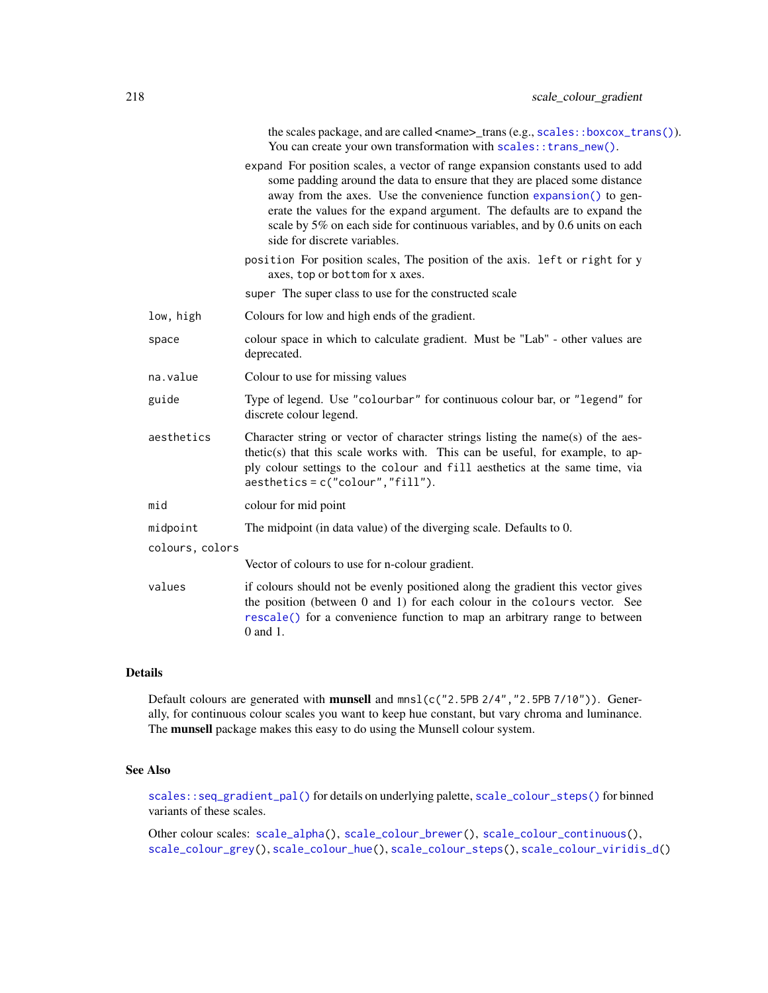the scales package, and are called <name>\_trans (e.g., [scales::boxcox\\_trans\(\)](#page-0-0)). You can create your own transformation with scales:: trans\_new().

- expand For position scales, a vector of range expansion constants used to add some padding around the data to ensure that they are placed some distance away from the axes. Use the convenience function [expansion\(\)](#page-47-0) to generate the values for the expand argument. The defaults are to expand the scale by 5% on each side for continuous variables, and by 0.6 units on each side for discrete variables.
- position For position scales, The position of the axis. left or right for y axes, top or bottom for x axes.
- super The super class to use for the constructed scale
- low, high Colours for low and high ends of the gradient.
- space colour space in which to calculate gradient. Must be "Lab" other values are deprecated.
- na.value Colour to use for missing values
- guide Type of legend. Use "colourbar" for continuous colour bar, or "legend" for discrete colour legend.
- aesthetics Character string or vector of character strings listing the name(s) of the aesthetic(s) that this scale works with. This can be useful, for example, to apply colour settings to the colour and fill aesthetics at the same time, via aesthetics = c("colour","fill").
- mid colour for mid point

#### midpoint The midpoint (in data value) of the diverging scale. Defaults to 0.

colours, colors

Vector of colours to use for n-colour gradient.

values if colours should not be evenly positioned along the gradient this vector gives the position (between 0 and 1) for each colour in the colours vector. See [rescale\(\)](#page-0-0) for a convenience function to map an arbitrary range to between 0 and 1.

## Details

Default colours are generated with **munsell** and  $mnsl$  (c("2.5PB 2/4", "2.5PB 7/10")). Generally, for continuous colour scales you want to keep hue constant, but vary chroma and luminance. The **munsell** package makes this easy to do using the Munsell colour system.

#### See Also

[scales::seq\\_gradient\\_pal\(\)](#page-0-0) for details on underlying palette, [scale\\_colour\\_steps\(\)](#page-224-0) for binned variants of these scales.

Other colour scales: [scale\\_alpha\(](#page-204-0)), [scale\\_colour\\_brewer\(](#page-207-0)), [scale\\_colour\\_continuous\(](#page-210-0)), [scale\\_colour\\_grey\(](#page-219-0)), [scale\\_colour\\_hue\(](#page-221-0)), [scale\\_colour\\_steps\(](#page-224-0)), [scale\\_colour\\_viridis\\_d\(](#page-228-0))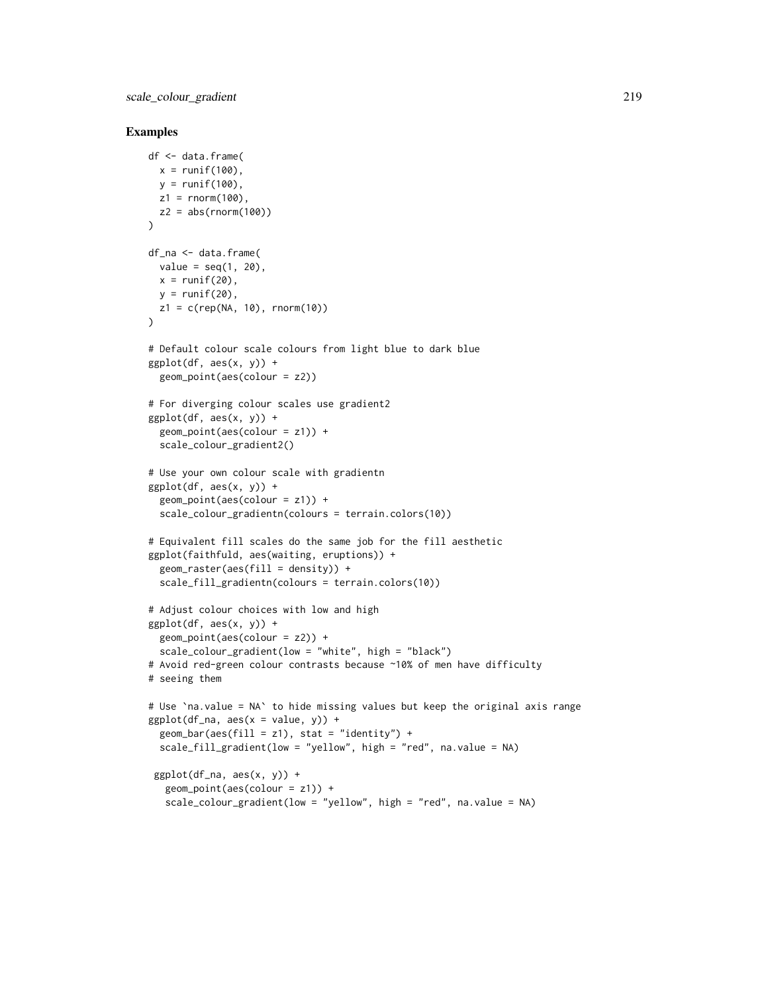```
df <- data.frame(
 x = runif(100),
  y = runif(100),
  z1 = rnorm(100),
  z2 = abs(rnorm(100)))
df_na <- data.frame(
 value = seq(1, 20),
 x = runif(20),
 y = runif(20),
  z1 = c(rep(NA, 10), rnorm(10)))
# Default colour scale colours from light blue to dark blue
ggplot(df, aes(x, y)) +geom_point(aes(colour = z2))
# For diverging colour scales use gradient2
ggplot(df, aes(x, y)) +
  geom_point(aes(colour = z1)) +
  scale_colour_gradient2()
# Use your own colour scale with gradientn
ggplot(df, aes(x, y)) +geom_point(aes(colour = z1)) +
  scale_colour_gradientn(colours = terrain.colors(10))
# Equivalent fill scales do the same job for the fill aesthetic
ggplot(faithfuld, aes(waiting, eruptions)) +
  geom\_raster(aes(fill = density)) +scale_fill_gradientn(colours = terrain.colors(10))
# Adjust colour choices with low and high
ggplot(df, aes(x, y)) +geom_point(aes(colour = z2)) +
  scale_colour_gradient(low = "white", high = "black")
# Avoid red-green colour contrasts because ~10% of men have difficulty
# seeing them
# Use `na.value = NA` to hide missing values but keep the original axis range
ggplot(df_na, aes(x = value, y)) +geom_bar(aes(fill = z1), stat = "identity") +
  scale_fill_gradient(low = "yellow", high = "red", na.value = NA)
 ggplot(df_na, aes(x, y)) +geom_point(aes(colour = z1)) +
   scale_colour_gradient(low = "yellow", high = "red", na.value = NA)
```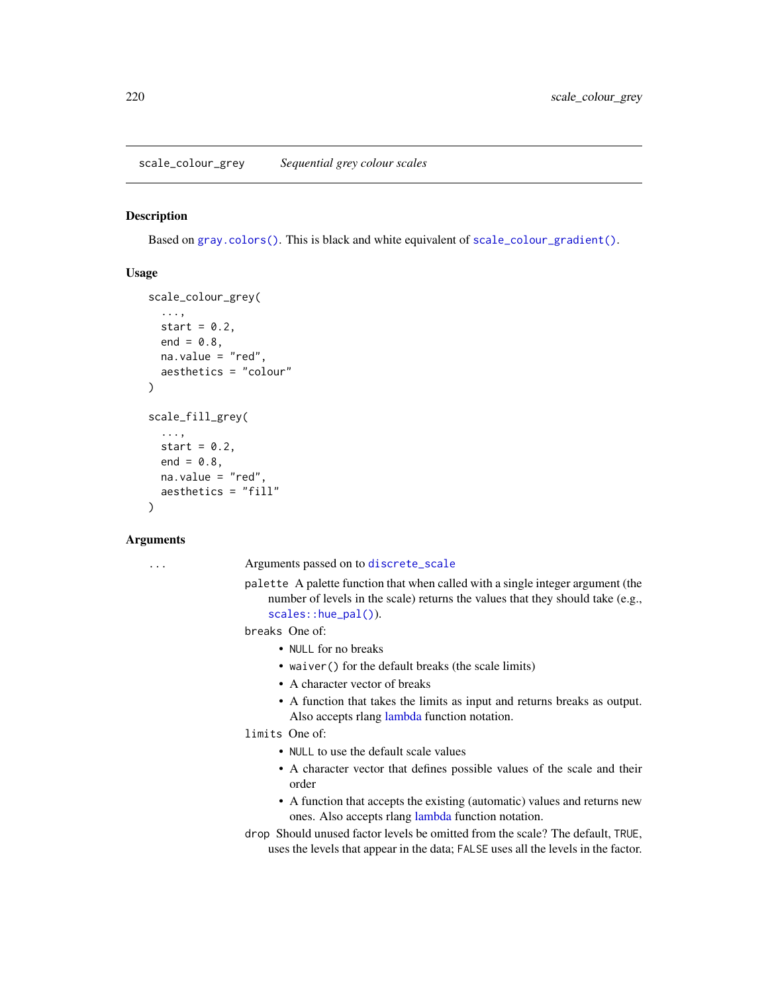## <span id="page-219-0"></span>Description

Based on [gray.colors\(\)](#page-0-0). This is black and white equivalent of [scale\\_colour\\_gradient\(\)](#page-214-1).

## Usage

```
scale_colour_grey(
  ...,
 start = 0.2,
 end = 0.8,
 na.value = "red",
  aesthetics = "colour"
)
scale_fill_grey(
  ...,
  start = 0.2,
 end = 0.8,
 na.value = "red",
  aesthetics = "fill"
\lambda
```
## Arguments

... Arguments passed on to [discrete\\_scale](#page-0-0)

palette A palette function that when called with a single integer argument (the number of levels in the scale) returns the values that they should take (e.g., [scales::hue\\_pal\(\)](#page-0-0)).

breaks One of:

- NULL for no breaks
- waiver() for the default breaks (the scale limits)
- A character vector of breaks
- A function that takes the limits as input and returns breaks as output. Also accepts rlang [lambda](#page-0-0) function notation.

limits One of:

- NULL to use the default scale values
- A character vector that defines possible values of the scale and their order
- A function that accepts the existing (automatic) values and returns new ones. Also accepts rlang [lambda](#page-0-0) function notation.
- drop Should unused factor levels be omitted from the scale? The default, TRUE, uses the levels that appear in the data; FALSE uses all the levels in the factor.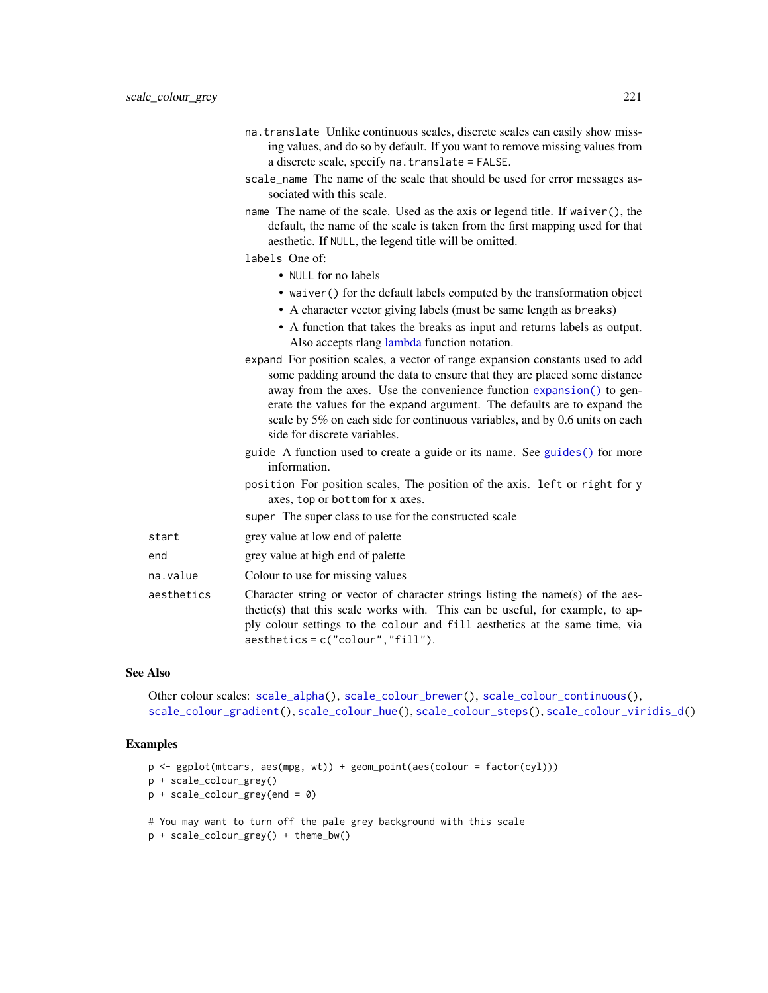- na.translate Unlike continuous scales, discrete scales can easily show missing values, and do so by default. If you want to remove missing values from a discrete scale, specify na.translate = FALSE.
- scale\_name The name of the scale that should be used for error messages associated with this scale.
- name The name of the scale. Used as the axis or legend title. If waiver(), the default, the name of the scale is taken from the first mapping used for that aesthetic. If NULL, the legend title will be omitted.

## labels One of:

- NULL for no labels
- waiver() for the default labels computed by the transformation object
- A character vector giving labels (must be same length as breaks)
- A function that takes the breaks as input and returns labels as output. Also accepts rlang [lambda](#page-0-0) function notation.
- expand For position scales, a vector of range expansion constants used to add some padding around the data to ensure that they are placed some distance away from the axes. Use the convenience function [expansion\(\)](#page-47-0) to generate the values for the expand argument. The defaults are to expand the scale by 5% on each side for continuous variables, and by 0.6 units on each side for discrete variables.
- guide A function used to create a guide or its name. See [guides\(\)](#page-159-0) for more information.
- position For position scales, The position of the axis. left or right for y axes, top or bottom for x axes.
- super The super class to use for the constructed scale
- start grey value at low end of palette
- end grey value at high end of palette
- na.value Colour to use for missing values
- aesthetics Character string or vector of character strings listing the name(s) of the aesthetic(s) that this scale works with. This can be useful, for example, to apply colour settings to the colour and fill aesthetics at the same time, via aesthetics = c("colour","fill").

## See Also

```
Other colour scales: scale_alpha(), scale_colour_brewer(), scale_colour_continuous(),
scale_colour_gradient(), scale_colour_hue(), scale_colour_steps(), scale_colour_viridis_d()
```

```
p <- ggplot(mtcars, aes(mpg, wt)) + geom_point(aes(colour = factor(cyl)))
p + scale_colour_grey()
p + scale_{colour\_grey(end = 0)# You may want to turn off the pale grey background with this scale
```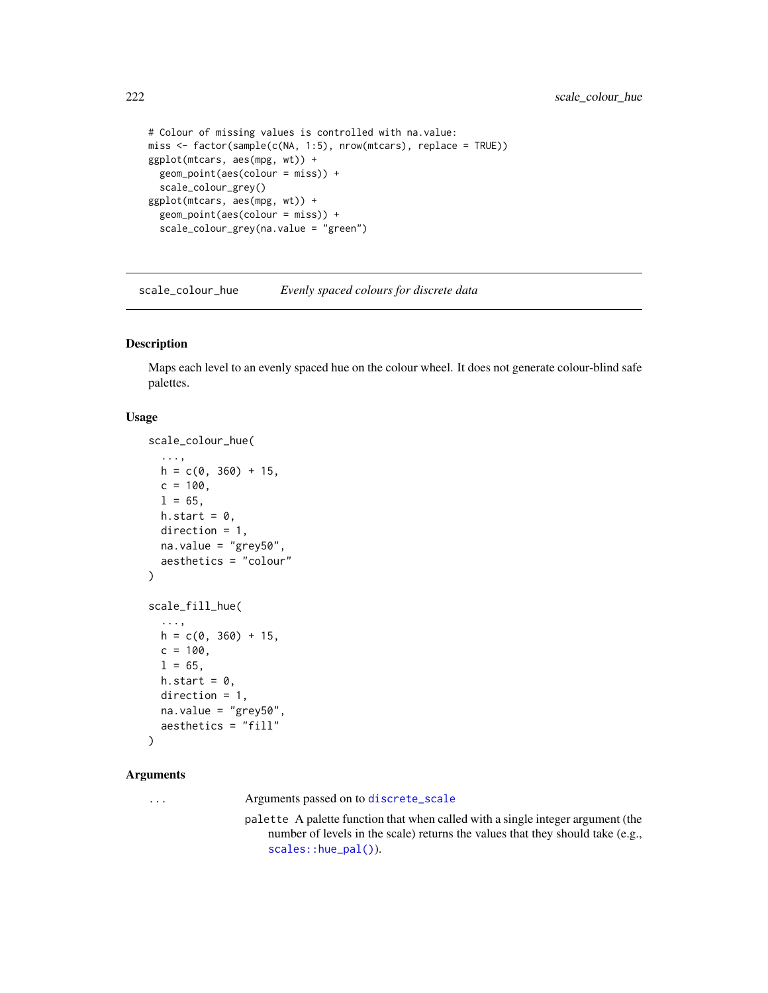```
# Colour of missing values is controlled with na.value:
miss <- factor(sample(c(NA, 1:5), nrow(mtcars), replace = TRUE))
ggplot(mtcars, aes(mpg, wt)) +
  geom_point(aes(colour = miss)) +
  scale_colour_grey()
ggplot(mtcars, aes(mpg, wt)) +
  geom_point(aes(colour = miss)) +
  scale_colour_grey(na.value = "green")
```
<span id="page-221-0"></span>scale\_colour\_hue *Evenly spaced colours for discrete data*

# Description

Maps each level to an evenly spaced hue on the colour wheel. It does not generate colour-blind safe palettes.

## Usage

```
scale_colour_hue(
  ...,
 h = c(0, 360) + 15,
 c = 100,
 1 = 65,h.start = 0,
 direction = 1,
 na.value = "grey50",
  aesthetics = "colour"
\mathcal{L}scale_fill_hue(
  ...,
 h = c(0, 360) + 15,
 c = 100,
 1 = 65,
 h.start = 0,
 direction = 1,
 na.value = "grey50",
 aesthetics = "fill"
)
```

```
Arguments
```
... Arguments passed on to [discrete\\_scale](#page-0-0)

palette A palette function that when called with a single integer argument (the number of levels in the scale) returns the values that they should take (e.g., [scales::hue\\_pal\(\)](#page-0-0)).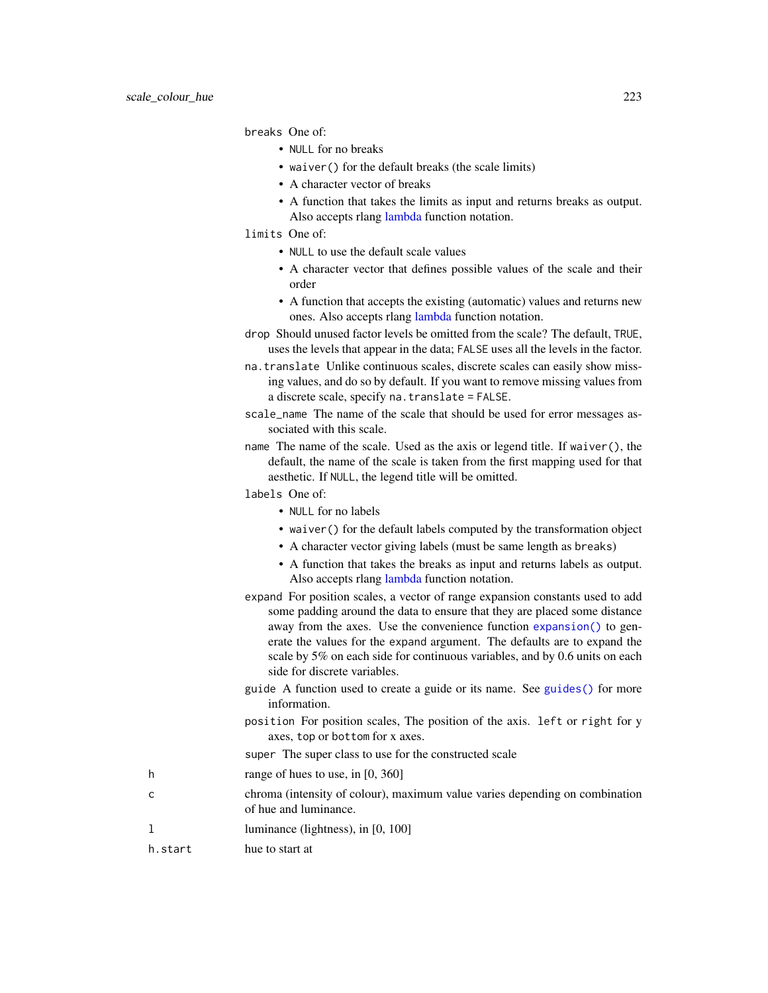breaks One of:

- NULL for no breaks
- waiver() for the default breaks (the scale limits)
- A character vector of breaks
- A function that takes the limits as input and returns breaks as output. Also accepts rlang [lambda](#page-0-0) function notation.
- limits One of:
	- NULL to use the default scale values
	- A character vector that defines possible values of the scale and their order
	- A function that accepts the existing (automatic) values and returns new ones. Also accepts rlang [lambda](#page-0-0) function notation.
- drop Should unused factor levels be omitted from the scale? The default, TRUE, uses the levels that appear in the data; FALSE uses all the levels in the factor.
- na.translate Unlike continuous scales, discrete scales can easily show missing values, and do so by default. If you want to remove missing values from a discrete scale, specify na.translate = FALSE.
- scale\_name The name of the scale that should be used for error messages associated with this scale.
- name The name of the scale. Used as the axis or legend title. If waiver(), the default, the name of the scale is taken from the first mapping used for that aesthetic. If NULL, the legend title will be omitted.
- labels One of:
	- NULL for no labels
	- waiver() for the default labels computed by the transformation object
	- A character vector giving labels (must be same length as breaks)
	- A function that takes the breaks as input and returns labels as output. Also accepts rlang [lambda](#page-0-0) function notation.
- expand For position scales, a vector of range expansion constants used to add some padding around the data to ensure that they are placed some distance away from the axes. Use the convenience function [expansion\(\)](#page-47-0) to generate the values for the expand argument. The defaults are to expand the scale by 5% on each side for continuous variables, and by 0.6 units on each side for discrete variables.
- guide A function used to create a guide or its name. See [guides\(\)](#page-159-0) for more information.
- position For position scales, The position of the axis. left or right for y axes, top or bottom for x axes.
- super The super class to use for the constructed scale
- h range of hues to use, in [0, 360]
- c chroma (intensity of colour), maximum value varies depending on combination of hue and luminance.
- 1 luminance (lightness), in [0, 100]
- h. start hue to start at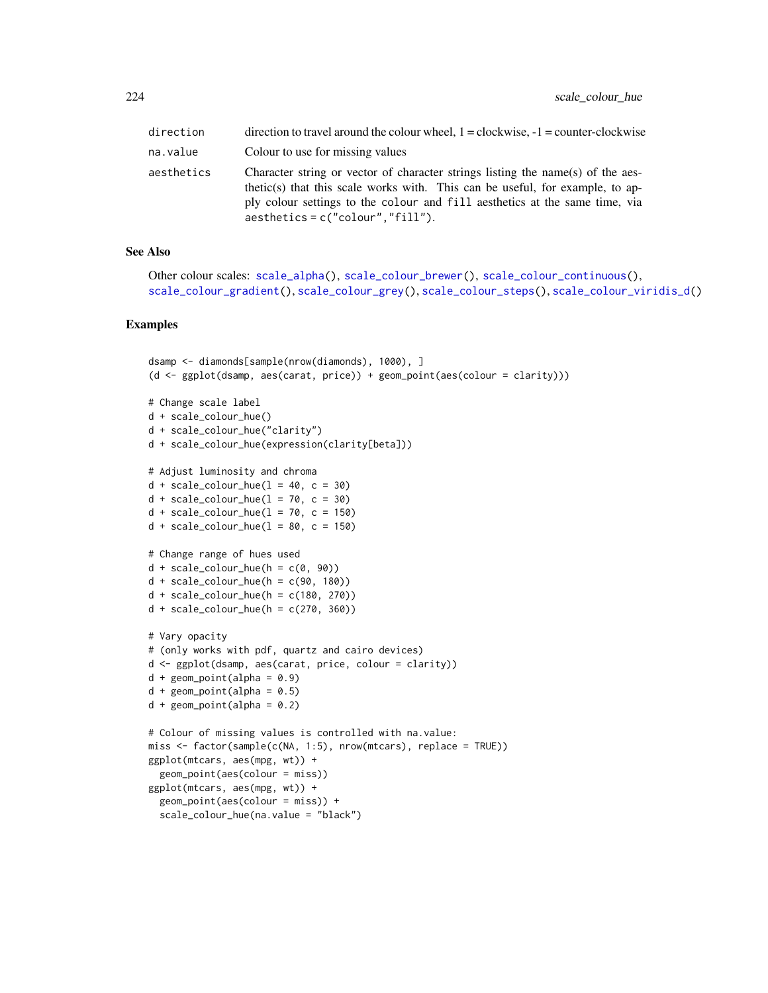| direction  | direction to travel around the colour wheel, $1 = \text{clockwise}, -1 = \text{counter-clockwise}$                                                                                                                                                                                     |
|------------|----------------------------------------------------------------------------------------------------------------------------------------------------------------------------------------------------------------------------------------------------------------------------------------|
| na.value   | Colour to use for missing values                                                                                                                                                                                                                                                       |
| aesthetics | Character string or vector of character strings listing the name(s) of the aes-<br>thetic(s) that this scale works with. This can be useful, for example, to ap-<br>ply colour settings to the colour and fill aesthetics at the same time, via<br>$a$ esthetics = c("colour","fill"). |

## See Also

```
Other colour scales: scale_alpha(), scale_colour_brewer(), scale_colour_continuous(),
scale_colour_gradient(), scale_colour_grey(), scale_colour_steps(), scale_colour_viridis_d()
```

```
dsamp <- diamonds[sample(nrow(diamonds), 1000), ]
(d <- ggplot(dsamp, aes(carat, price)) + geom_point(aes(colour = clarity)))
# Change scale label
d + scale_colour_hue()
d + scale_colour_hue("clarity")
d + scale_colour_hue(expression(clarity[beta]))
# Adjust luminosity and chroma
d + scale_{colour_{hue}(l = 40, c = 30)}d + scale\_colour\_hue(1 = 70, c = 30)d + scale_{colour_{hue}(l = 70, c = 150)}d + scale\_colour\_hue(1 = 80, c = 150)# Change range of hues used
d + scale\_colour\_hue(h = c(0, 90))d + scale\_colour\_hue(h = c(90, 180))d + scale_{colour_{he}(h = c(180, 270))d + scale_{colour_{he}(h = c(270, 360))# Vary opacity
# (only works with pdf, quartz and cairo devices)
d <- ggplot(dsamp, aes(carat, price, colour = clarity))
d + geom\_point(alpha = 0.9)d + geom\_point(alpha = 0.5)d + geom\_point(alpha = 0.2)# Colour of missing values is controlled with na.value:
miss <- factor(sample(c(NA, 1:5), nrow(mtcars), replace = TRUE))
ggplot(mtcars, aes(mpg, wt)) +
  geom_point(aes(colour = miss))
ggplot(mtcars, aes(mpg, wt)) +
  geom_point(aes(colour = miss)) +
  scale_colour_hue(na.value = "black")
```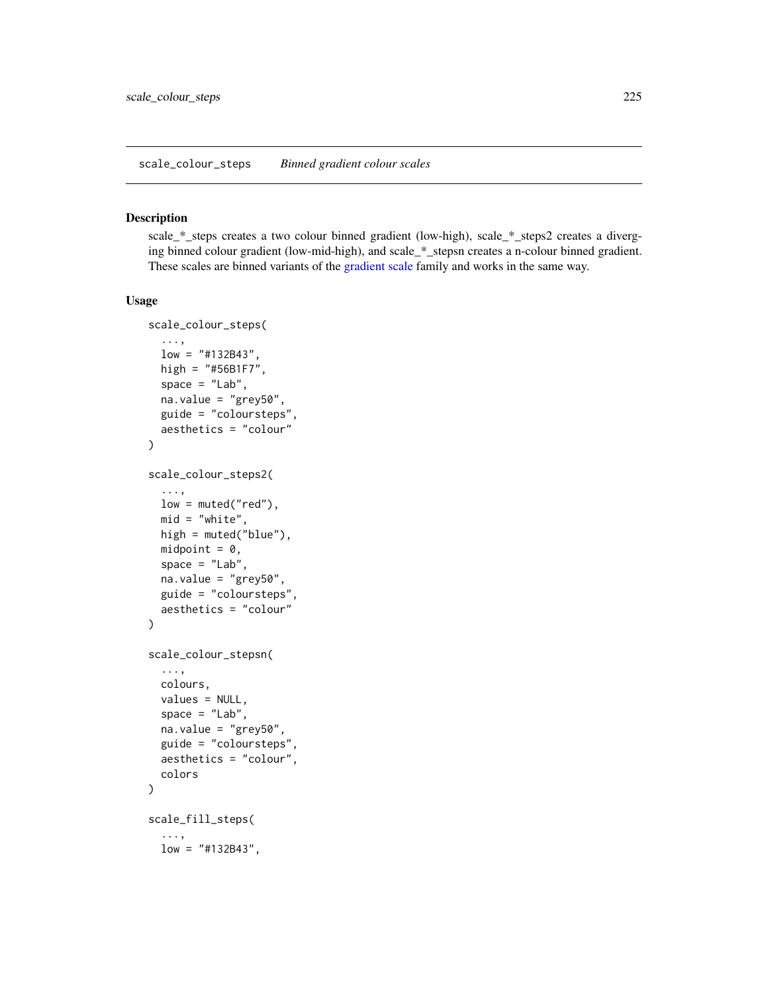<span id="page-224-0"></span>scale\_colour\_steps *Binned gradient colour scales*

#### Description

scale\_\*\_steps creates a two colour binned gradient (low-high), scale\_\*\_steps2 creates a diverging binned colour gradient (low-mid-high), and scale\_\*\_stepsn creates a n-colour binned gradient. These scales are binned variants of the [gradient scale](#page-214-1) family and works in the same way.

#### Usage

```
scale_colour_steps(
  ...,
 low = "#132B43".high = "#56B1F7",
  space = "Lab",na.value = "grey50",
 guide = "coloursteps",
 aesthetics = "colour"
\mathcal{L}scale_colour_steps2(
  ...,
 low = muted("red"),
 mid = "white".high = muted("blue"),
 midpoint = 0,
  space = "Lab",na.value = "grey50",
  guide = "coloursteps",
  aesthetics = "colour"
)
scale_colour_stepsn(
  ...,
 colours,
 values = NULL,
  space = "Lab",
 na.value = "grey50",
  guide = "coloursteps",
 aesthetics = "colour",
  colors
)
scale_fill_steps(
  ...,
 low = "#132B43",
```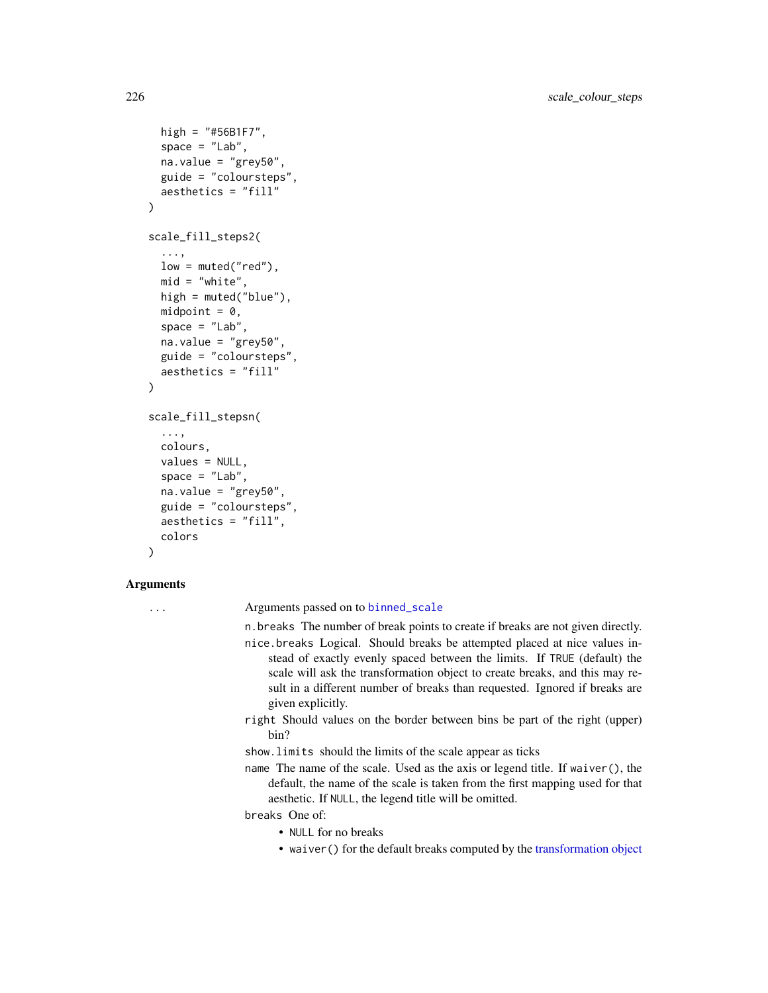```
high = "#56B1F7",
  space = "Lab",na.value = "grey50",
 guide = "coloursteps",
  aesthetics = "fill"
)
scale_fill_steps2(
  ...,
  low = muted("red"),
 mid = "white",high = muted("blue"),
 midpoint = 0,
  space = "Lab",na.value = "grey50",
  guide = "coloursteps",
  aesthetics = "fill"
)
scale_fill_stepsn(
  ...,
 colours,
 values = NULL,
  space = "Lab",na.value = "grey50",
  guide = "coloursteps",
  aesthetics = "fill",
  colors
)
```
#### Arguments

... Arguments passed on to [binned\\_scale](#page-0-0)

n.breaks The number of break points to create if breaks are not given directly.

- nice.breaks Logical. Should breaks be attempted placed at nice values instead of exactly evenly spaced between the limits. If TRUE (default) the scale will ask the transformation object to create breaks, and this may result in a different number of breaks than requested. Ignored if breaks are given explicitly.
- right Should values on the border between bins be part of the right (upper) bin?

show.limits should the limits of the scale appear as ticks

name The name of the scale. Used as the axis or legend title. If waiver(), the default, the name of the scale is taken from the first mapping used for that aesthetic. If NULL, the legend title will be omitted.

breaks One of:

- NULL for no breaks
- waiver() for the default breaks computed by the [transformation object](#page-0-0)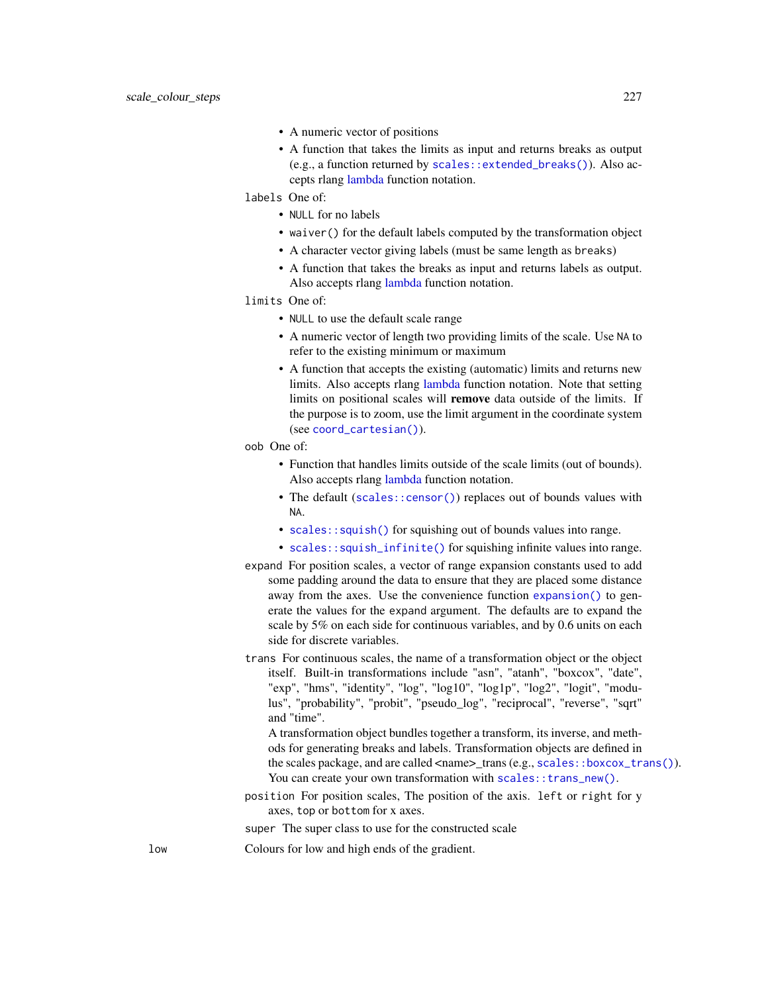- A numeric vector of positions
- A function that takes the limits as input and returns breaks as output (e.g., a function returned by [scales::extended\\_breaks\(\)](#page-0-0)). Also accepts rlang [lambda](#page-0-0) function notation.

labels One of:

- NULL for no labels
- waiver() for the default labels computed by the transformation object
- A character vector giving labels (must be same length as breaks)
- A function that takes the breaks as input and returns labels as output. Also accepts rlang [lambda](#page-0-0) function notation.

limits One of:

- NULL to use the default scale range
- A numeric vector of length two providing limits of the scale. Use NA to refer to the existing minimum or maximum
- A function that accepts the existing (automatic) limits and returns new limits. Also accepts rlang [lambda](#page-0-0) function notation. Note that setting limits on positional scales will remove data outside of the limits. If the purpose is to zoom, use the limit argument in the coordinate system (see [coord\\_cartesian\(\)](#page-33-0)).
- oob One of:
	- Function that handles limits outside of the scale limits (out of bounds). Also accepts rlang [lambda](#page-0-0) function notation.
	- The default ([scales::censor\(\)](#page-0-0)) replaces out of bounds values with NA.
	- [scales::squish\(\)](#page-0-0) for squishing out of bounds values into range.
	- [scales::squish\\_infinite\(\)](#page-0-0) for squishing infinite values into range.
- expand For position scales, a vector of range expansion constants used to add some padding around the data to ensure that they are placed some distance away from the axes. Use the convenience function [expansion\(\)](#page-47-0) to generate the values for the expand argument. The defaults are to expand the scale by 5% on each side for continuous variables, and by 0.6 units on each side for discrete variables.
- trans For continuous scales, the name of a transformation object or the object itself. Built-in transformations include "asn", "atanh", "boxcox", "date", "exp", "hms", "identity", "log", "log10", "log1p", "log2", "logit", "modulus", "probability", "probit", "pseudo\_log", "reciprocal", "reverse", "sqrt" and "time".

A transformation object bundles together a transform, its inverse, and methods for generating breaks and labels. Transformation objects are defined in the scales package, and are called <name>\_trans (e.g., [scales::boxcox\\_trans\(\)](#page-0-0)). You can create your own transformation with scales:: trans\_new().

position For position scales, The position of the axis. left or right for y axes, top or bottom for x axes.

super The super class to use for the constructed scale

low Colours for low and high ends of the gradient.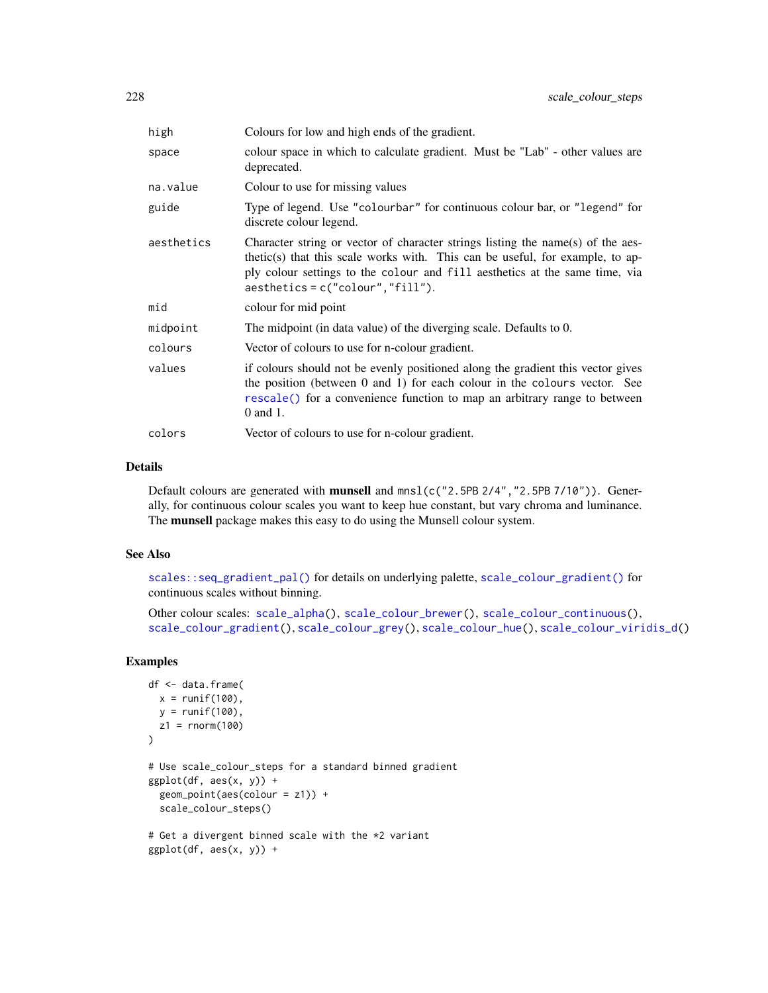| high       | Colours for low and high ends of the gradient.                                                                                                                                                                                                                                         |
|------------|----------------------------------------------------------------------------------------------------------------------------------------------------------------------------------------------------------------------------------------------------------------------------------------|
| space      | colour space in which to calculate gradient. Must be "Lab" - other values are<br>deprecated.                                                                                                                                                                                           |
| na.value   | Colour to use for missing values                                                                                                                                                                                                                                                       |
| guide      | Type of legend. Use "colourbar" for continuous colour bar, or "legend" for<br>discrete colour legend.                                                                                                                                                                                  |
| aesthetics | Character string or vector of character strings listing the name(s) of the aes-<br>thetic(s) that this scale works with. This can be useful, for example, to ap-<br>ply colour settings to the colour and fill aesthetics at the same time, via<br>$a$ esthetics = c("colour","fill"). |
| mid        | colour for mid point                                                                                                                                                                                                                                                                   |
| midpoint   | The midpoint (in data value) of the diverging scale. Defaults to 0.                                                                                                                                                                                                                    |
| colours    | Vector of colours to use for n-colour gradient.                                                                                                                                                                                                                                        |
| values     | if colours should not be evenly positioned along the gradient this vector gives<br>the position (between 0 and 1) for each colour in the colours vector. See<br>rescale() for a convenience function to map an arbitrary range to between<br>0 and 1.                                  |
| colors     | Vector of colours to use for n-colour gradient.                                                                                                                                                                                                                                        |

#### Details

Default colours are generated with **munsell** and  $mnsl$  (c("2.5PB 2/4", "2.5PB 7/10")). Generally, for continuous colour scales you want to keep hue constant, but vary chroma and luminance. The munsell package makes this easy to do using the Munsell colour system.

## See Also

[scales::seq\\_gradient\\_pal\(\)](#page-0-0) for details on underlying palette, [scale\\_colour\\_gradient\(\)](#page-214-1) for continuous scales without binning.

Other colour scales: [scale\\_alpha\(](#page-204-0)), [scale\\_colour\\_brewer\(](#page-207-0)), [scale\\_colour\\_continuous\(](#page-210-0)), [scale\\_colour\\_gradient\(](#page-214-1)), [scale\\_colour\\_grey\(](#page-219-0)), [scale\\_colour\\_hue\(](#page-221-0)), [scale\\_colour\\_viridis\\_d\(](#page-228-0))

```
df <- data.frame(
 x = runif(100),
 y = runif(100),
 z1 = rnorm(100)
\lambda# Use scale_colour_steps for a standard binned gradient
ggplot(df, aes(x, y)) +geom_point(aes(colour = z1)) +
  scale_colour_steps()
# Get a divergent binned scale with the *2 variant
ggplot(df, aes(x, y)) +
```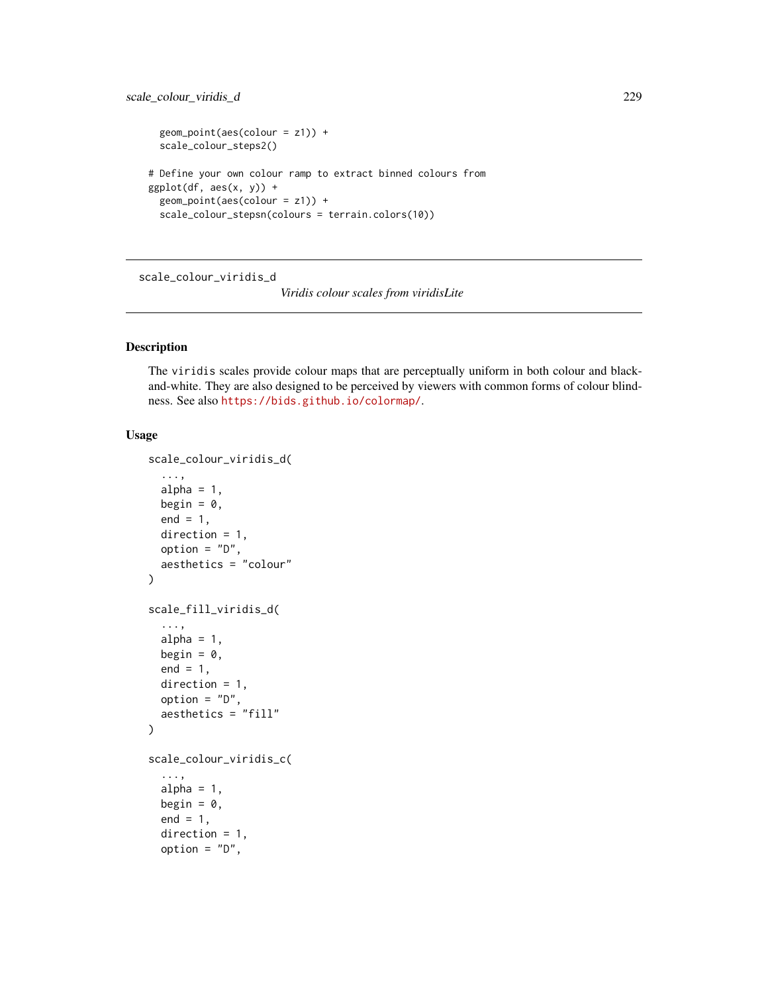```
geom_point(aes(colour = z1)) +
 scale_colour_steps2()
# Define your own colour ramp to extract binned colours from
ggplot(df, aes(x, y)) +geom_point(aes(colour = z1)) +
 scale_colour_stepsn(colours = terrain.colors(10))
```
<span id="page-228-0"></span>scale\_colour\_viridis\_d

*Viridis colour scales from viridisLite*

## Description

The viridis scales provide colour maps that are perceptually uniform in both colour and blackand-white. They are also designed to be perceived by viewers with common forms of colour blindness. See also <https://bids.github.io/colormap/>.

# Usage

```
scale_colour_viridis_d(
  ...,
 alpha = 1,
 begin = 0,
 end = 1,
 direction = 1,
 option = "D",
  aesthetics = "colour"
\lambdascale_fill_viridis_d(
  ...,
 alpha = 1,
 begin = \theta,
 end = 1,
 direction = 1,
 option = "D",aesthetics = "fill"
)
scale_colour_viridis_c(
  ...,
 alpha = 1,
 begin = 0,
  end = 1,
  direction = 1,
  option = "D",
```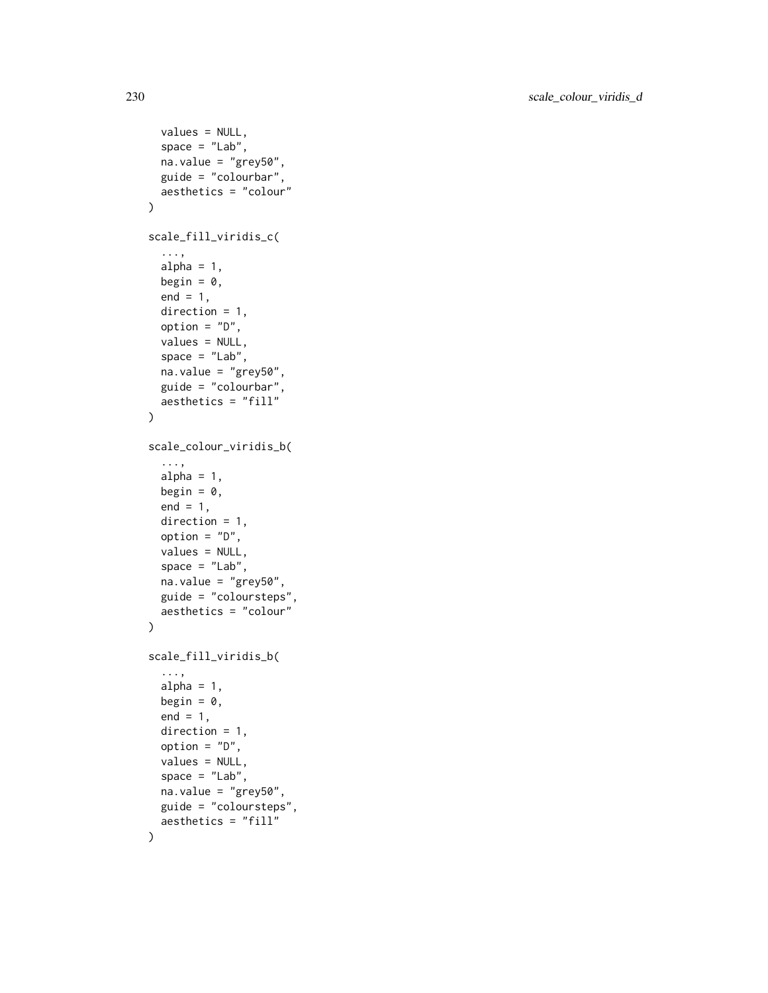```
values = NULL,
  space = "Lab",na.value = "grey50",
 guide = "colourbar",
  aesthetics = "colour"
\lambdascale_fill_viridis_c(
  ...,
  alpha = 1,
 begin = 0,
  end = 1,
 direction = 1,
  option = "D",values = NULL,
  space = "Lab",na.value = "grey50",
  guide = "colourbar",
  aesthetics = "fill"
\lambdascale_colour_viridis_b(
  ...,
  alpha = 1,
 begin = 0,
  end = 1,
  direction = 1,
  option = "D",values = NULL,
  space = "Lab",na.value = "grey50",
  guide = "coloursteps",
  aesthetics = "colour"
\lambdascale_fill_viridis_b(
  ...,
  alpha = 1,
 begin = 0,
  end = 1,
  direction = 1,
  option = "D",values = NULL,
  space = "Lab",na.value = "grey50",
  guide = "coloursteps",
  aesthetics = "fill"
\mathcal{L}
```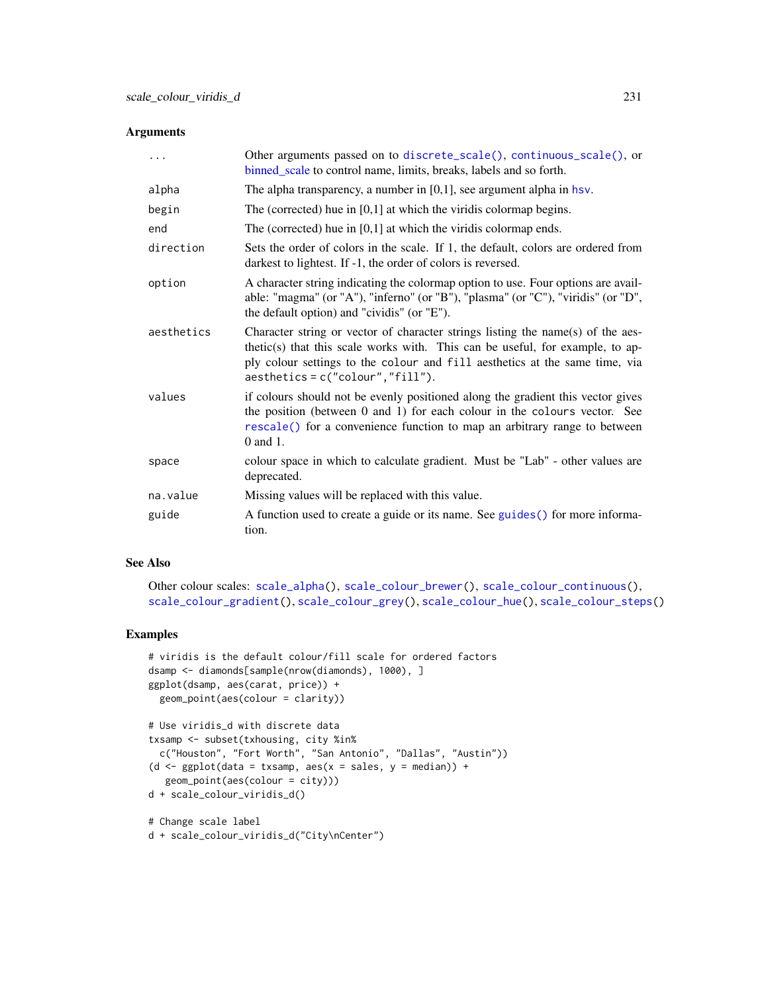## Arguments

| .          | Other arguments passed on to discrete_scale(), continuous_scale(), or<br>binned_scale to control name, limits, breaks, labels and so forth.                                                                                                                                             |
|------------|-----------------------------------------------------------------------------------------------------------------------------------------------------------------------------------------------------------------------------------------------------------------------------------------|
| alpha      | The alpha transparency, a number in $[0,1]$ , see argument alpha in hsv.                                                                                                                                                                                                                |
| begin      | The (corrected) hue in $[0,1]$ at which the viridis colormap begins.                                                                                                                                                                                                                    |
| end        | The (corrected) hue in $[0,1]$ at which the viridis colormap ends.                                                                                                                                                                                                                      |
| direction  | Sets the order of colors in the scale. If 1, the default, colors are ordered from<br>darkest to lightest. If -1, the order of colors is reversed.                                                                                                                                       |
| option     | A character string indicating the colormap option to use. Four options are avail-<br>able: "magma" (or "A"), "inferno" (or "B"), "plasma" (or "C"), "viridis" (or "D",<br>the default option) and "cividis" (or "E").                                                                   |
| aesthetics | Character string or vector of character strings listing the name(s) of the aes-<br>thetic(s) that this scale works with. This can be useful, for example, to ap-<br>ply colour settings to the colour and fill aesthetics at the same time, via<br>$a$ esthetics = c("colour", "fill"). |
| values     | if colours should not be evenly positioned along the gradient this vector gives<br>the position (between 0 and 1) for each colour in the colours vector. See<br>rescale() for a convenience function to map an arbitrary range to between<br>0 and 1.                                   |
| space      | colour space in which to calculate gradient. Must be "Lab" - other values are<br>deprecated.                                                                                                                                                                                            |
| na.value   | Missing values will be replaced with this value.                                                                                                                                                                                                                                        |
| guide      | A function used to create a guide or its name. See guides () for more informa-<br>tion.                                                                                                                                                                                                 |

#### See Also

Other colour scales: [scale\\_alpha\(](#page-204-0)), [scale\\_colour\\_brewer\(](#page-207-0)), [scale\\_colour\\_continuous\(](#page-210-0)), [scale\\_colour\\_gradient\(](#page-214-1)), [scale\\_colour\\_grey\(](#page-219-0)), [scale\\_colour\\_hue\(](#page-221-0)), [scale\\_colour\\_steps\(](#page-224-0))

```
# viridis is the default colour/fill scale for ordered factors
dsamp <- diamonds[sample(nrow(diamonds), 1000), ]
ggplot(dsamp, aes(carat, price)) +
  geom_point(aes(colour = clarity))
# Use viridis_d with discrete data
txsamp <- subset(txhousing, city %in%
  c("Houston", "Fort Worth", "San Antonio", "Dallas", "Austin"))
(d <- ggplot(data = txsamp, aes(x = sales, y = median)) +geom_point(aes(colour = city)))
d + scale_colour_viridis_d()
# Change scale label
d + scale_colour_viridis_d("City\nCenter")
```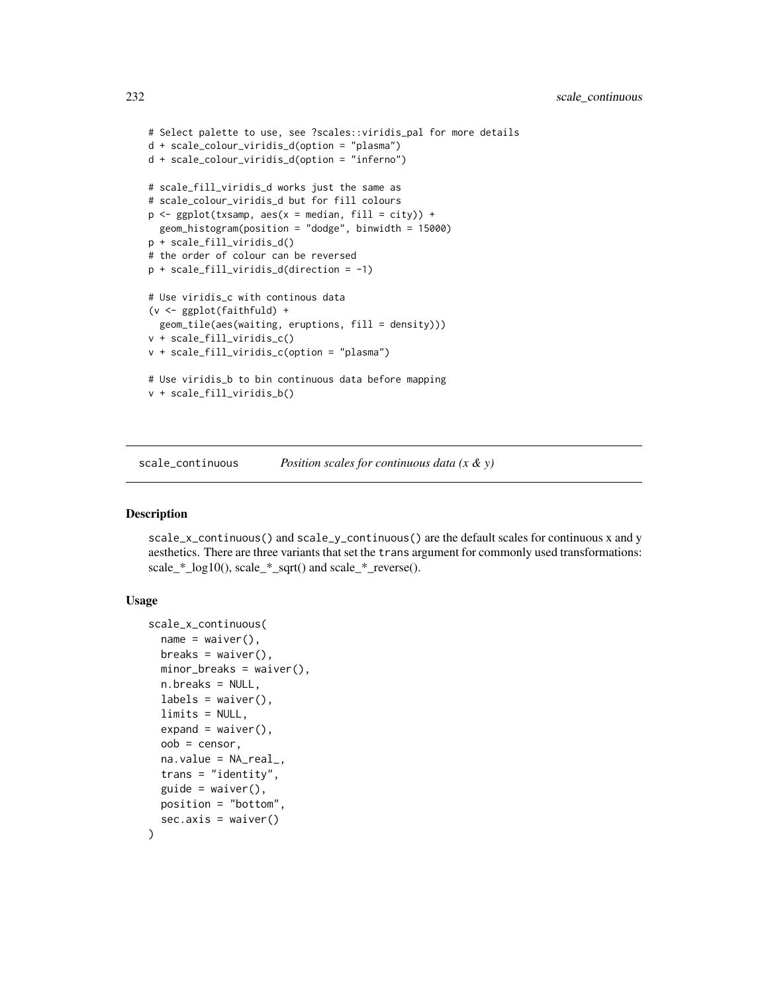```
# Select palette to use, see ?scales::viridis_pal for more details
d + scale_colour_viridis_d(option = "plasma")
d + scale_colour_viridis_d(option = "inferno")
# scale_fill_viridis_d works just the same as
# scale_colour_viridis_d but for fill colours
p \leftarrow \text{ggplot}(txsamp, aes(x = median, fill = city)) +geom_histogram(position = "dodge", binwidth = 15000)
p + scale_fill_viridis_d()
# the order of colour can be reversed
p + scale_fill_viridis_d(direction = -1)
# Use viridis_c with continous data
(v <- ggplot(faithfuld) +
  geom_tile(aes(waiting, eruptions, fill = density)))
v + scale_fill_viridis_c()
v + scale_fill_viridis_c(option = "plasma")
# Use viridis_b to bin continuous data before mapping
v + scale_fill_viridis_b()
```
scale\_continuous *Position scales for continuous data (x & y)*

## <span id="page-231-0"></span>Description

scale\_x\_continuous() and scale\_y\_continuous() are the default scales for continuous x and y aesthetics. There are three variants that set the trans argument for commonly used transformations: scale\_\*\_log10(), scale\_\*\_sqrt() and scale\_\*\_reverse().

## Usage

```
scale_x_continuous(
 name = waire(),breaks = waiver(),
 minor_breaks = waiver(),n.breaks = NULL,
 labels = waitver(),
 limits = NULL,
 expand = waire(),oob = censor,
 na.value = NA_real_,
  trans = "identity",
 guide = waire(),
 position = "bottom",
 sec. axis = waire())
```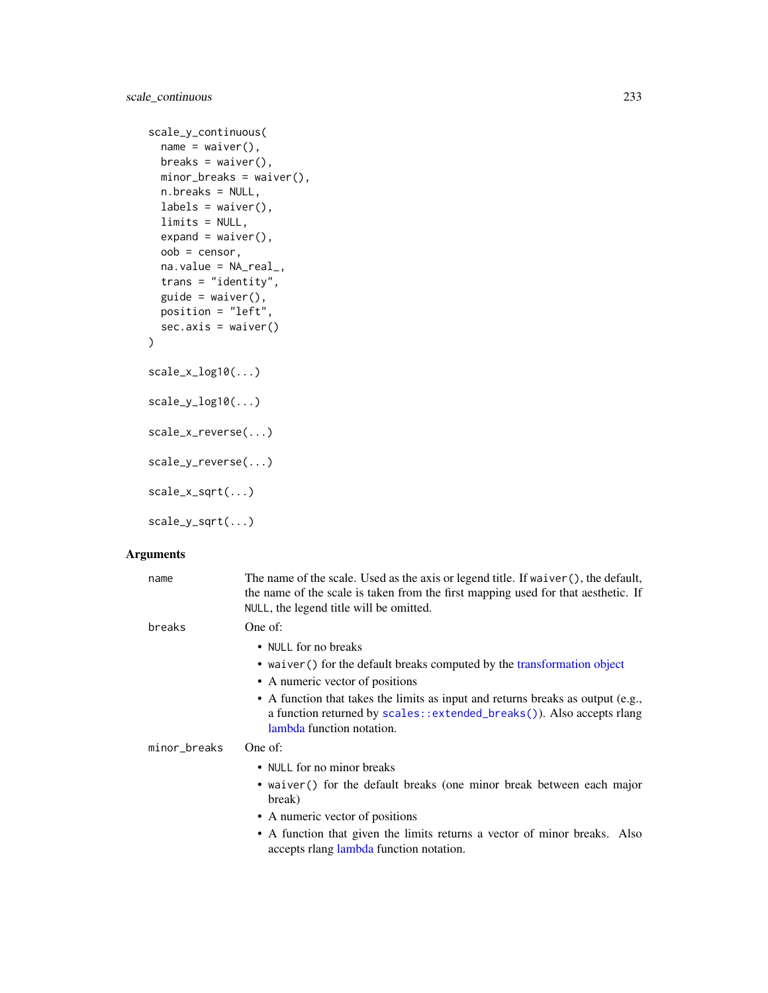```
scale_y_continuous(
 name = waire(),breaks = waiver(),
 minor_breaks = waiver(),
 n.breaks = NULL,
 labels = waire(),
 limits = NULL,
 expand = waire(),
 oob = censor,
 na.value = NA_real_,
  trans = "identity",
  guide = \text{waiver}(),position = "left",
 sec.axis = waiver()
)
scale_x_log10(...)
scale_y_log10(...)
scale_x_reverse(...)
scale_y_reverse(...)
scale_x_sqrt(...)
```
scale\_y\_sqrt(...)

## Arguments

| name         | The name of the scale. Used as the axis or legend title. If $\text{waiver}()$ , the default,<br>the name of the scale is taken from the first mapping used for that aesthetic. If<br>NULL, the legend title will be omitted.                                                                                                            |
|--------------|-----------------------------------------------------------------------------------------------------------------------------------------------------------------------------------------------------------------------------------------------------------------------------------------------------------------------------------------|
| breaks       | One of:<br>• NULL for no breaks<br>• waiver () for the default breaks computed by the transformation object<br>• A numeric vector of positions<br>• A function that takes the limits as input and returns breaks as output (e.g.,<br>a function returned by scales::extended_breaks()). Also accepts rlang<br>lambda function notation. |
| minor_breaks | One of:<br>• NULL for no minor breaks                                                                                                                                                                                                                                                                                                   |
|              | • waiver() for the default breaks (one minor break between each major<br>break)<br>• A numeric vector of positions<br>• A function that given the limits returns a vector of minor breaks. Also<br>accepts rlang lambda function notation.                                                                                              |
|              |                                                                                                                                                                                                                                                                                                                                         |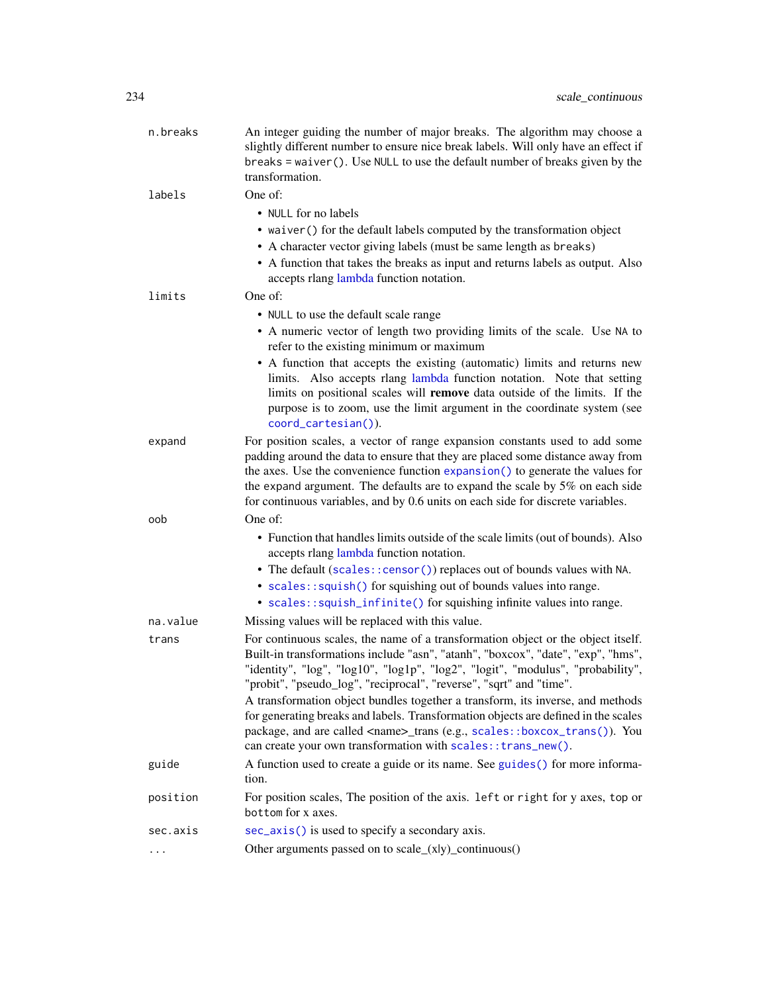| n.breaks | An integer guiding the number of major breaks. The algorithm may choose a<br>slightly different number to ensure nice break labels. Will only have an effect if<br>breaks = waiver(). Use NULL to use the default number of breaks given by the<br>transformation.                                                                                                                                                                                                                                     |
|----------|--------------------------------------------------------------------------------------------------------------------------------------------------------------------------------------------------------------------------------------------------------------------------------------------------------------------------------------------------------------------------------------------------------------------------------------------------------------------------------------------------------|
| labels   | One of:                                                                                                                                                                                                                                                                                                                                                                                                                                                                                                |
|          | • NULL for no labels                                                                                                                                                                                                                                                                                                                                                                                                                                                                                   |
|          | • waiver () for the default labels computed by the transformation object                                                                                                                                                                                                                                                                                                                                                                                                                               |
|          | • A character vector giving labels (must be same length as breaks)                                                                                                                                                                                                                                                                                                                                                                                                                                     |
|          | • A function that takes the breaks as input and returns labels as output. Also<br>accepts rlang lambda function notation.                                                                                                                                                                                                                                                                                                                                                                              |
| limits   | One of:                                                                                                                                                                                                                                                                                                                                                                                                                                                                                                |
|          | • NULL to use the default scale range                                                                                                                                                                                                                                                                                                                                                                                                                                                                  |
|          | • A numeric vector of length two providing limits of the scale. Use NA to<br>refer to the existing minimum or maximum                                                                                                                                                                                                                                                                                                                                                                                  |
|          | • A function that accepts the existing (automatic) limits and returns new<br>limits. Also accepts rlang lambda function notation. Note that setting<br>limits on positional scales will remove data outside of the limits. If the<br>purpose is to zoom, use the limit argument in the coordinate system (see<br>coord_cartesian()).                                                                                                                                                                   |
| expand   | For position scales, a vector of range expansion constants used to add some<br>padding around the data to ensure that they are placed some distance away from<br>the axes. Use the convenience function expansion () to generate the values for<br>the expand argument. The defaults are to expand the scale by 5% on each side<br>for continuous variables, and by 0.6 units on each side for discrete variables.                                                                                     |
| oob      | One of:                                                                                                                                                                                                                                                                                                                                                                                                                                                                                                |
|          | • Function that handles limits outside of the scale limits (out of bounds). Also<br>accepts rlang lambda function notation.<br>• The default (scales:: censor()) replaces out of bounds values with NA.<br>• scales::squish() for squishing out of bounds values into range.<br>• scales::squish_infinite() for squishing infinite values into range.                                                                                                                                                  |
| na.value | Missing values will be replaced with this value.                                                                                                                                                                                                                                                                                                                                                                                                                                                       |
|          |                                                                                                                                                                                                                                                                                                                                                                                                                                                                                                        |
| trans    | For continuous scales, the name of a transformation object or the object itself.<br>Built-in transformations include "asn", "atanh", "boxcox", "date", "exp", "hms",<br>"identity", "log", "log10", "log1p", "log2", "logit", "modulus", "probability",<br>"probit", "pseudo_log", "reciprocal", "reverse", "sqrt" and "time".<br>A transformation object bundles together a transform, its inverse, and methods<br>for generating breaks and labels. Transformation objects are defined in the scales |
|          | package, and are called <name>_trans (e.g., scales::boxcox_trans()). You<br/>can create your own transformation with scales: : trans_new().</name>                                                                                                                                                                                                                                                                                                                                                     |
| guide    | A function used to create a guide or its name. See guides () for more informa-<br>tion.                                                                                                                                                                                                                                                                                                                                                                                                                |
| position | For position scales, The position of the axis. 1eft or right for y axes, top or<br>bottom for x axes.                                                                                                                                                                                                                                                                                                                                                                                                  |
| sec.axis | sec_axis() is used to specify a secondary axis.                                                                                                                                                                                                                                                                                                                                                                                                                                                        |
| .        | Other arguments passed on to scale_(xly)_continuous()                                                                                                                                                                                                                                                                                                                                                                                                                                                  |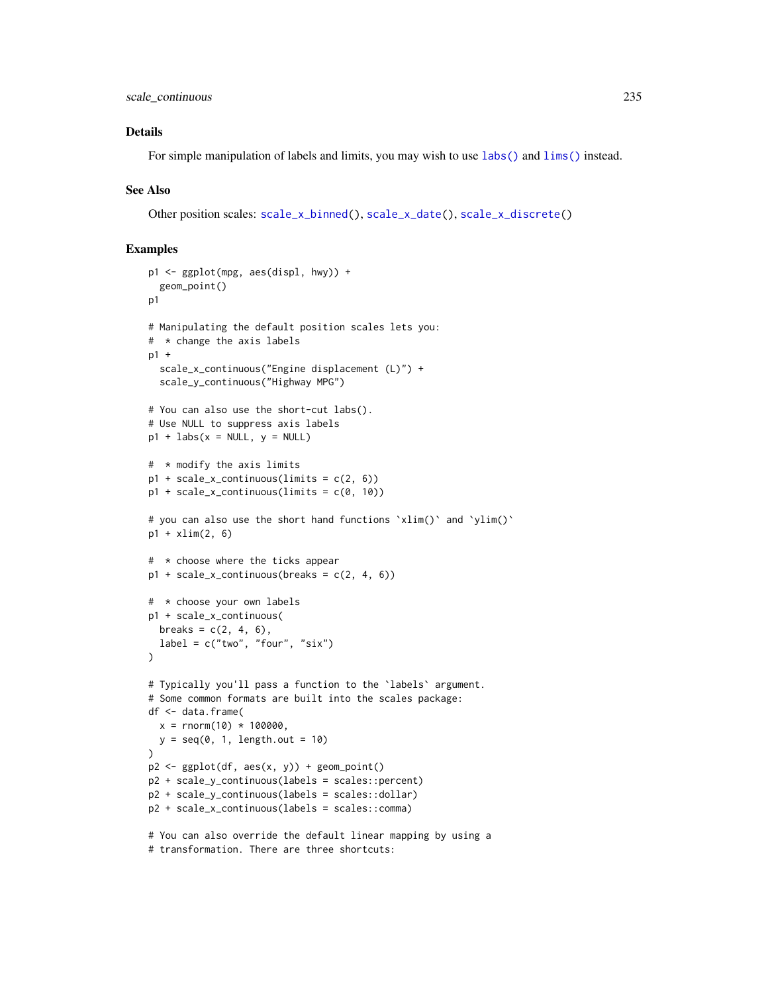# Details

For simple manipulation of labels and limits, you may wish to use  $\text{labs}()$  and  $\text{lims}()$  instead.

## See Also

Other position scales: [scale\\_x\\_binned\(](#page-205-0)), [scale\\_x\\_date\(](#page-235-0)), [scale\\_x\\_discrete\(](#page-250-0))

```
p1 <- ggplot(mpg, aes(displ, hwy)) +
  geom_point()
p1
# Manipulating the default position scales lets you:
# * change the axis labels
p1 +
  scale_x_continuous("Engine displacement (L)") +
  scale_y_continuous("Highway MPG")
# You can also use the short-cut labs().
# Use NULL to suppress axis labels
p1 + \text{ labs}(x = \text{NULL}, y = \text{NULL})# * modify the axis limits
p1 + scale_x_continuous(limits = c(2, 6))p1 + scale_x_continuous(limits = c(0, 10))
# you can also use the short hand functions `xlim()` and `ylim()`
p1 + xlim(2, 6)# * choose where the ticks appear
p1 + scale_x_{continuous(breaks = c(2, 4, 6))# * choose your own labels
p1 + scale_x_continuous(
  breaks = c(2, 4, 6),label = c("two", "four", "six"))
# Typically you'll pass a function to the `labels` argument.
# Some common formats are built into the scales package:
df <- data.frame(
  x = rnorm(10) * 100000,
  y = seq(0, 1, length.out = 10))
p2 \leq - ggplot(df, aes(x, y)) + geom_point()
p2 + scale_y_continuous(labels = scales::percent)
p2 + scale_y_continuous(labels = scales::dollar)
p2 + scale_x_continuous(labels = scales::comma)
# You can also override the default linear mapping by using a
```
<sup>#</sup> transformation. There are three shortcuts: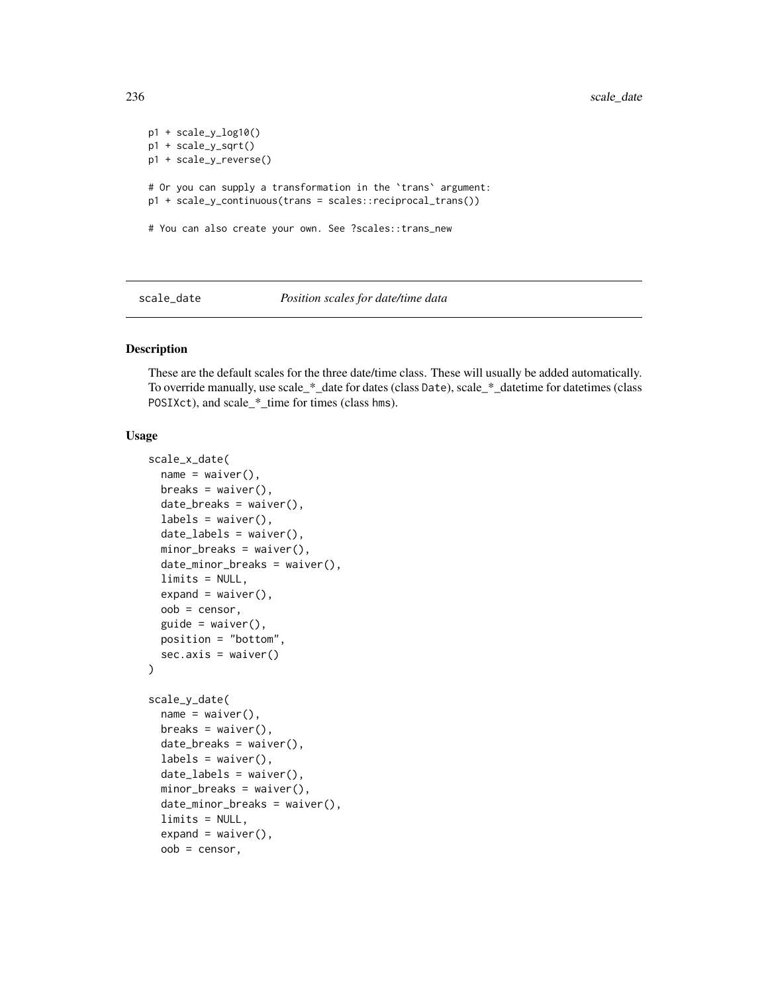```
p1 + scale_y_log10()
p1 + scale_y_sqrt()
p1 + scale_y_reverse()
# Or you can supply a transformation in the `trans` argument:
p1 + scale_y_continuous(trans = scales::reciprocal_trans())
# You can also create your own. See ?scales::trans_new
```
scale\_date *Position scales for date/time data*

## <span id="page-235-0"></span>Description

These are the default scales for the three date/time class. These will usually be added automatically. To override manually, use scale\_\*\_date for dates (class Date), scale\_\*\_datetime for datetimes (class POSIXct), and scale\_\*\_time for times (class hms).

## Usage

```
scale_x_date(
  name = waiver(),
  breaks = waiver(),
  date_breaks = waiver(),
  labels = waitver(),
  date_labels = waiver(),
 minor_breaks = waiver(),
  date_minor_breaks = waiver(),
  limits = NULL,
  expand = waire(),
  oob = censor,
  guide = waiver(),
 position = "bottom",
  sec. axis = waire())
scale_y_date(
  name = waire(),
 breaks = waiver(),
  date_breaks = waiver(),
  labels = \text{waiver}(),date\_labels = waire(),
 minor_breaks = waiver(),
  date_minor_breaks = waiver(),
  limits = NULL,
  expand = waire(),
  oob = censor,
```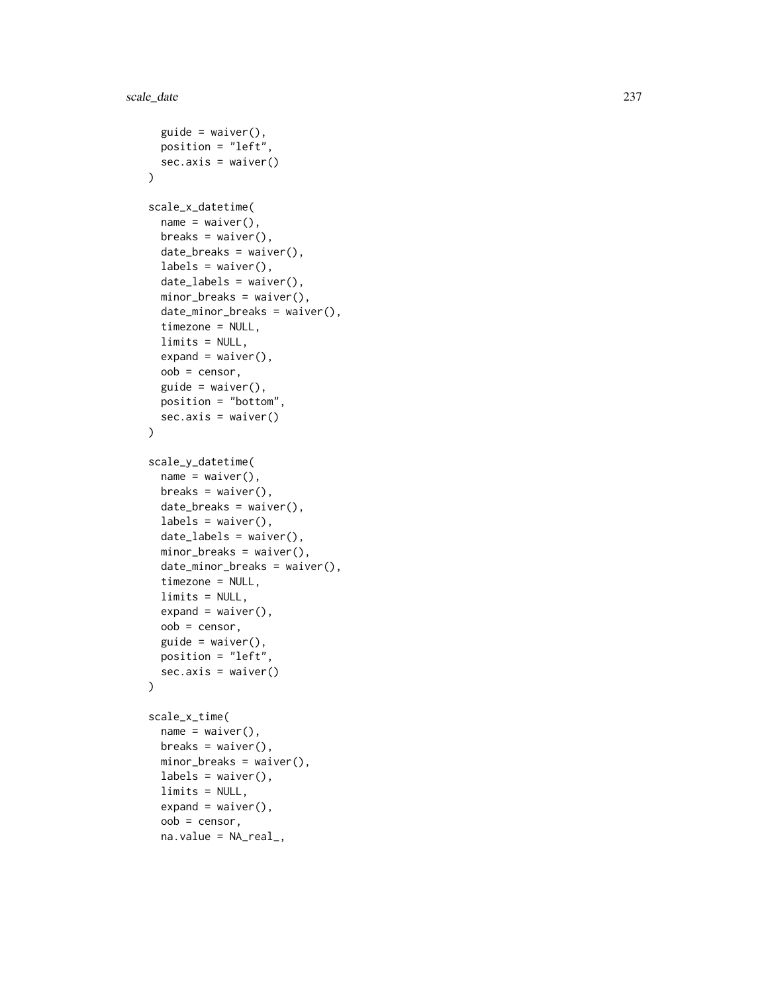```
guide = \text{waiver}(),position = "left",
  sec. axis = waiver()\lambdascale_x_datetime(
 name = waire(),breaks = waiver(),
 date_breaks = waiver(),labels = \text{waiver}(),date_labels = waiver(),
 minor_breaks = waiver(),
  date_minor_breaks = waiver(),
  timezone = NULL,
 limits = NULL,
  expand = waire(),
 oob = censor,
  guide = waire(),
 position = "bottom",
 sec. axis = <math>wdiver()</math>\lambdascale_y_datetime(
 name = waire(),breaks = waiver(),
 date_breaks = waiver(),labels = \text{waiver}(),date_labels = waiver(),
 minor_breaks = waiver(),
 date_minor_breaks = waiver(),
  timezone = NULL,
 limits = NULL,
  expand = waire(),
 oob = censor,
  guide = waire(),
 position = "left",
 sec. axis = waiver()\mathcal{L}scale_x_time(
 name = waire(),breaks = waiver(),
 minor_breaks = waiver(),
  labels = \text{waiver}(),limits = NULL,
  expand = waire(),
  oob = censor,
```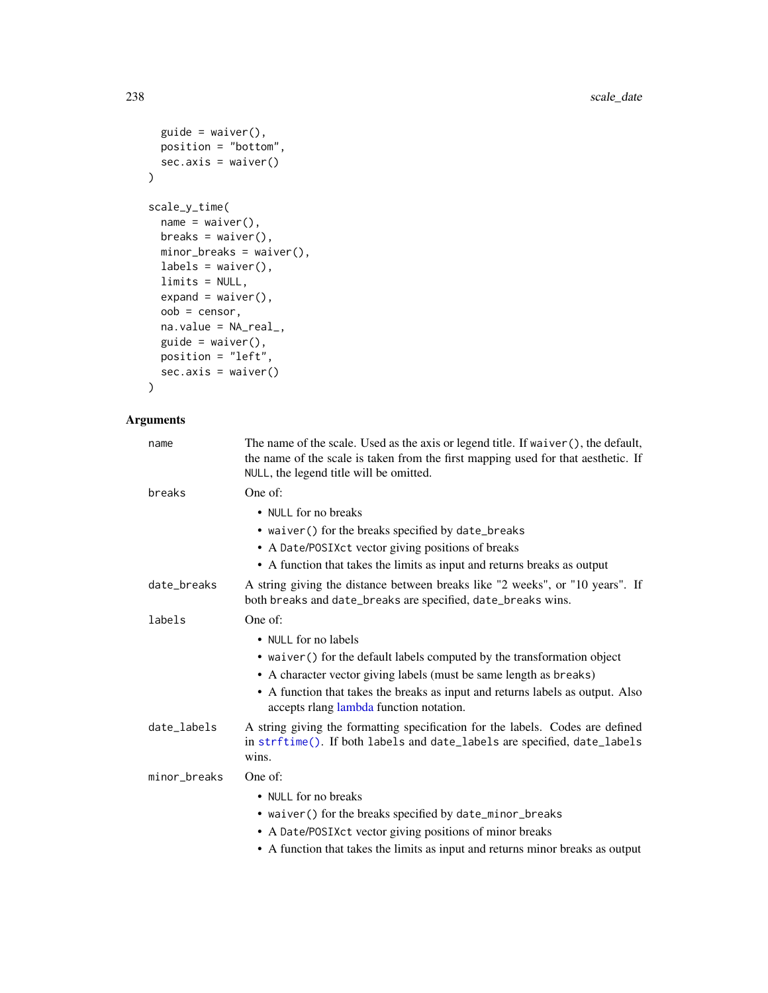```
guide = waiver(),
 position = "bottom",
 sec.axis = waiver()
\mathcal{L}scale_y_time(
 name = waire(),breaks = waiver(),minor_breaks = waiver(),
 labels = \text{waiver}(),limits = NULL,
 expand = waire(),
 oob = censor,
 na.value = NA_real_,
 guide = \text{waiver}(),position = "left",
 sec.axis = waiver()
\mathcal{L}
```
# Arguments

| name         | The name of the scale. Used as the axis or legend title. If waiver (), the default,<br>the name of the scale is taken from the first mapping used for that aesthetic. If<br>NULL, the legend title will be omitted. |
|--------------|---------------------------------------------------------------------------------------------------------------------------------------------------------------------------------------------------------------------|
| breaks       | One of:                                                                                                                                                                                                             |
|              | • NULL for no breaks<br>• waiver () for the breaks specified by date_breaks<br>• A Date/POSIXct vector giving positions of breaks<br>• A function that takes the limits as input and returns breaks as output       |
| date_breaks  | A string giving the distance between breaks like "2 weeks", or "10 years". If<br>both breaks and date_breaks are specified, date_breaks wins.                                                                       |
| labels       | One of:                                                                                                                                                                                                             |
|              | • NULL for no labels                                                                                                                                                                                                |
|              | • waiver () for the default labels computed by the transformation object                                                                                                                                            |
|              | • A character vector giving labels (must be same length as breaks)                                                                                                                                                  |
|              | • A function that takes the breaks as input and returns labels as output. Also<br>accepts rlang lambda function notation.                                                                                           |
| date_labels  | A string giving the formatting specification for the labels. Codes are defined<br>in strftime(). If both labels and date_labels are specified, date_labels<br>wins.                                                 |
| minor_breaks | One of:                                                                                                                                                                                                             |
|              | • NULL for no breaks                                                                                                                                                                                                |
|              | • waiver() for the breaks specified by date_minor_breaks                                                                                                                                                            |
|              | • A Date/POSIXct vector giving positions of minor breaks                                                                                                                                                            |
|              | • A function that takes the limits as input and returns minor breaks as output                                                                                                                                      |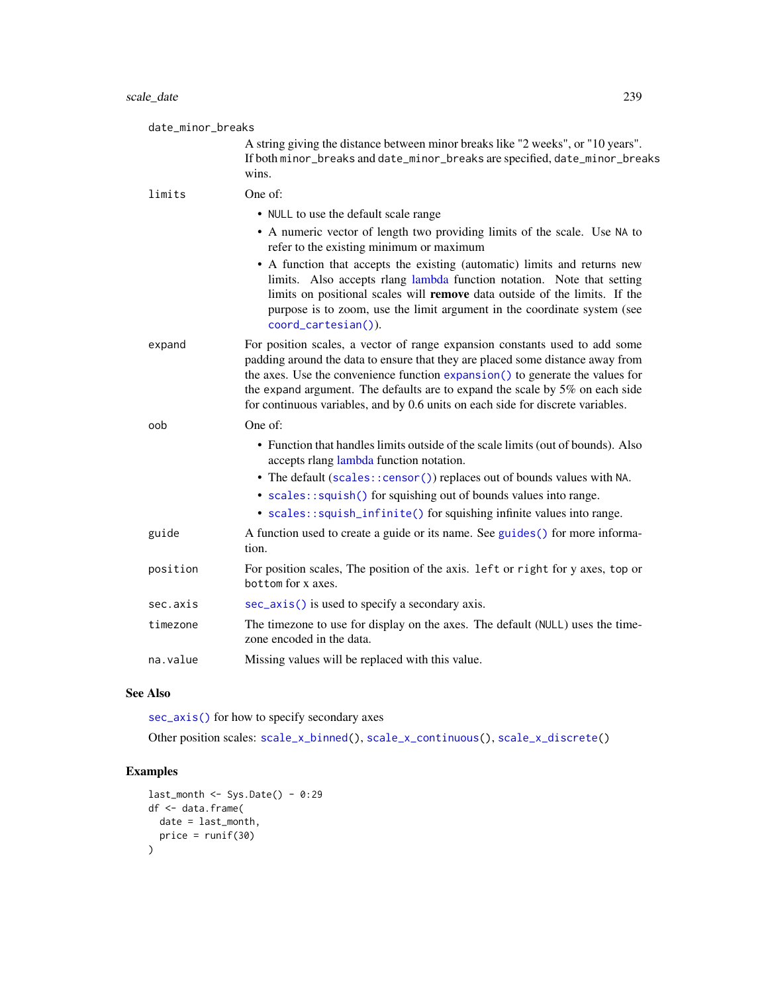| date_minor_breaks |                                                                                                                                                                                                                                                                                                                                                                                                                   |
|-------------------|-------------------------------------------------------------------------------------------------------------------------------------------------------------------------------------------------------------------------------------------------------------------------------------------------------------------------------------------------------------------------------------------------------------------|
|                   | A string giving the distance between minor breaks like "2 weeks", or "10 years".<br>If both minor_breaks and date_minor_breaks are specified, date_minor_breaks<br>wins.                                                                                                                                                                                                                                          |
| limits            | One of:                                                                                                                                                                                                                                                                                                                                                                                                           |
|                   | • NULL to use the default scale range                                                                                                                                                                                                                                                                                                                                                                             |
|                   | • A numeric vector of length two providing limits of the scale. Use NA to<br>refer to the existing minimum or maximum                                                                                                                                                                                                                                                                                             |
|                   | • A function that accepts the existing (automatic) limits and returns new<br>limits. Also accepts rlang lambda function notation. Note that setting<br>limits on positional scales will remove data outside of the limits. If the<br>purpose is to zoom, use the limit argument in the coordinate system (see<br>coord_cartesian()).                                                                              |
| expand            | For position scales, a vector of range expansion constants used to add some<br>padding around the data to ensure that they are placed some distance away from<br>the axes. Use the convenience function expansion() to generate the values for<br>the expand argument. The defaults are to expand the scale by 5% on each side<br>for continuous variables, and by 0.6 units on each side for discrete variables. |
| oob               | One of:                                                                                                                                                                                                                                                                                                                                                                                                           |
|                   | • Function that handles limits outside of the scale limits (out of bounds). Also<br>accepts rlang lambda function notation.                                                                                                                                                                                                                                                                                       |
|                   | • The default (scales:: censor()) replaces out of bounds values with NA.<br>• scales::squish() for squishing out of bounds values into range.                                                                                                                                                                                                                                                                     |
|                   | • scales::squish_infinite() for squishing infinite values into range.                                                                                                                                                                                                                                                                                                                                             |
| guide             | A function used to create a guide or its name. See guides () for more informa-<br>tion.                                                                                                                                                                                                                                                                                                                           |
| position          | For position scales, The position of the axis. 1eft or right for y axes, top or<br>bottom for x axes.                                                                                                                                                                                                                                                                                                             |
| sec.axis          | sec_axis() is used to specify a secondary axis.                                                                                                                                                                                                                                                                                                                                                                   |
| timezone          | The timezone to use for display on the axes. The default (NULL) uses the time-<br>zone encoded in the data.                                                                                                                                                                                                                                                                                                       |
| na.value          | Missing values will be replaced with this value.                                                                                                                                                                                                                                                                                                                                                                  |

# See Also

[sec\\_axis\(\)](#page-253-0) for how to specify secondary axes

Other position scales: [scale\\_x\\_binned\(](#page-205-0)), [scale\\_x\\_continuous\(](#page-231-0)), [scale\\_x\\_discrete\(](#page-250-0))

```
last_month <- Sys.Date() - 0:29
df <- data.frame(
 date = last_month,
  price = runif(30)
\overline{\phantom{a}}
```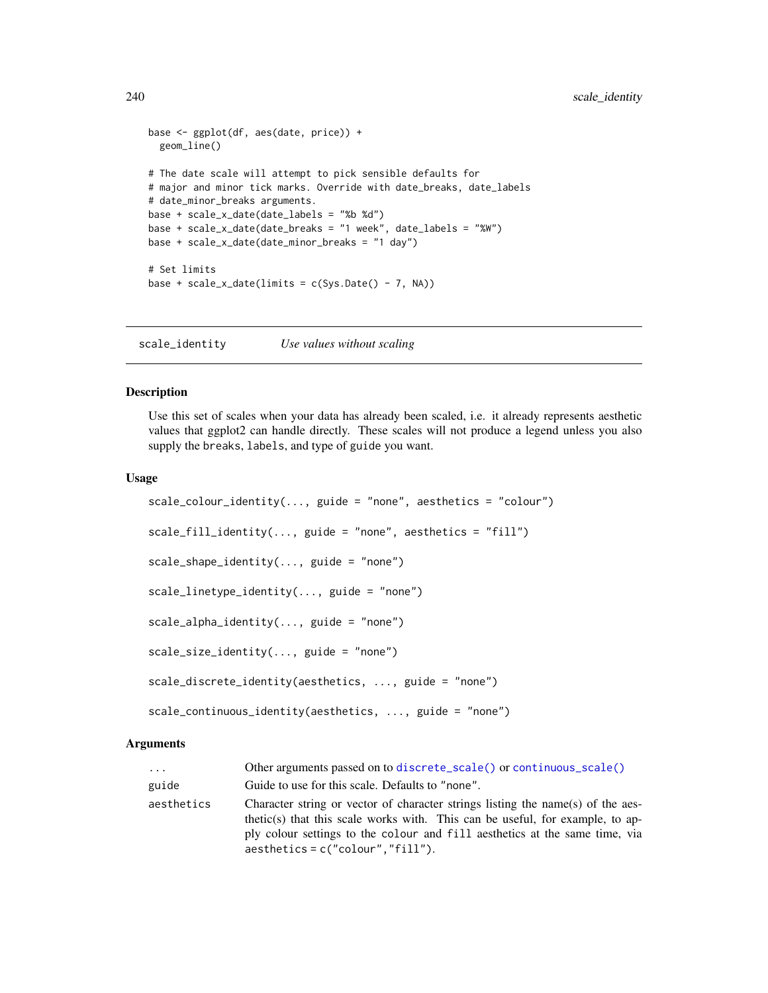```
base <- ggplot(df, aes(date, price)) +
  geom_line()
# The date scale will attempt to pick sensible defaults for
# major and minor tick marks. Override with date_breaks, date_labels
# date_minor_breaks arguments.
base + scale_x_date(date_labels = "%b %d")
base + scale_x_date(date_breaks = "1 week", date_labels = "%W")
base + scale_x_date(date_minor_breaks = "1 day")
# Set limits
base + scale_x_date(limits = c(Sys.Date() - 7, NA))
```
scale\_identity *Use values without scaling*

# Description

Use this set of scales when your data has already been scaled, i.e. it already represents aesthetic values that ggplot2 can handle directly. These scales will not produce a legend unless you also supply the breaks, labels, and type of guide you want.

## Usage

```
scale_colour_identity(..., guide = "none", aesthetics = "colour")
scale_fill_identity(..., guide = "none", aesthetics = "fill")scale_shape_identity(..., guide = "none")
scale\_linetype\_identity(..., guide = "none")scale\_alpha\_identity(..., guide = "none")scale\_size\_identity(..., guide = "none")scale_discrete_identity(aesthetics, ..., guide = "none")
scale_continuous_identity(aesthetics, ..., guide = "none")
```
#### Arguments

| $\cdot \cdot \cdot$ | Other arguments passed on to discrete_scale() or continuous_scale()                                                                                                                                                                                                                    |
|---------------------|----------------------------------------------------------------------------------------------------------------------------------------------------------------------------------------------------------------------------------------------------------------------------------------|
| guide               | Guide to use for this scale. Defaults to "none".                                                                                                                                                                                                                                       |
| aesthetics          | Character string or vector of character strings listing the name(s) of the aes-<br>thetic(s) that this scale works with. This can be useful, for example, to ap-<br>ply colour settings to the colour and fill aesthetics at the same time, via<br>$a$ esthetics = c("colour","fill"). |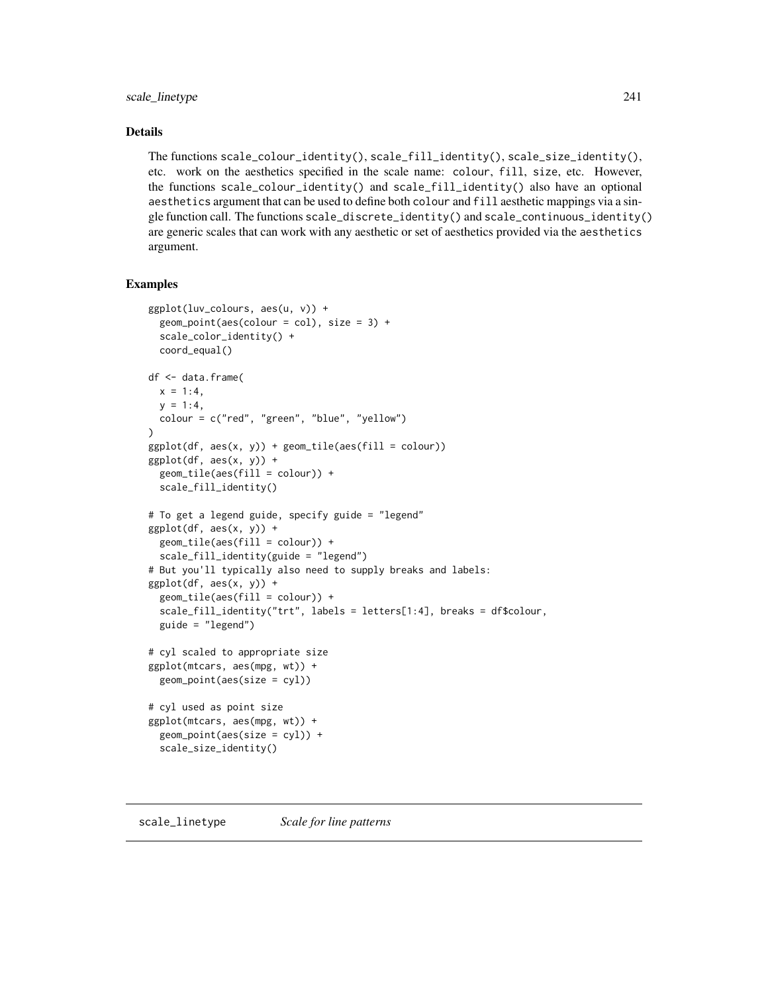# scale\_linetype 241

## Details

The functions scale\_colour\_identity(), scale\_fill\_identity(), scale\_size\_identity(), etc. work on the aesthetics specified in the scale name: colour, fill, size, etc. However, the functions scale\_colour\_identity() and scale\_fill\_identity() also have an optional aesthetics argument that can be used to define both colour and fill aesthetic mappings via a single function call. The functions scale\_discrete\_identity() and scale\_continuous\_identity() are generic scales that can work with any aesthetic or set of aesthetics provided via the aesthetics argument.

```
ggplot(luv_colours, aes(u, v)) +
 geom_point(aes(colour = col), size = 3) +
 scale_color_identity() +
 coord_equal()
df <- data.frame(
 x = 1:4,
 y = 1:4,
 colour = c("red", "green", "blue", "yellow")
)
ggplot(df, aes(x, y)) + geom\_tile(aes(fill = colour))ggplot(df, aes(x, y)) +geom_tile(aes(fill = colour)) +
 scale_fill_identity()
# To get a legend guide, specify guide = "legend"
ggplot(df, aes(x, y)) +geom_tile(aes(fill = colour)) +
 scale_fill_identity(guide = "legend")
# But you'll typically also need to supply breaks and labels:
ggplot(df, aes(x, y)) +geom_tile(aes(fill = colour)) +
 scale_fill_identity("trt", labels = letters[1:4], breaks = df$colour,
 guide = "legend")
# cyl scaled to appropriate size
ggplot(mtcars, aes(mpg, wt)) +
 geom_point(aes(size = cyl))
# cyl used as point size
ggplot(mtcars, aes(mpg, wt)) +
 geom_point(aes(size = cyl)) +
 scale_size_identity()
```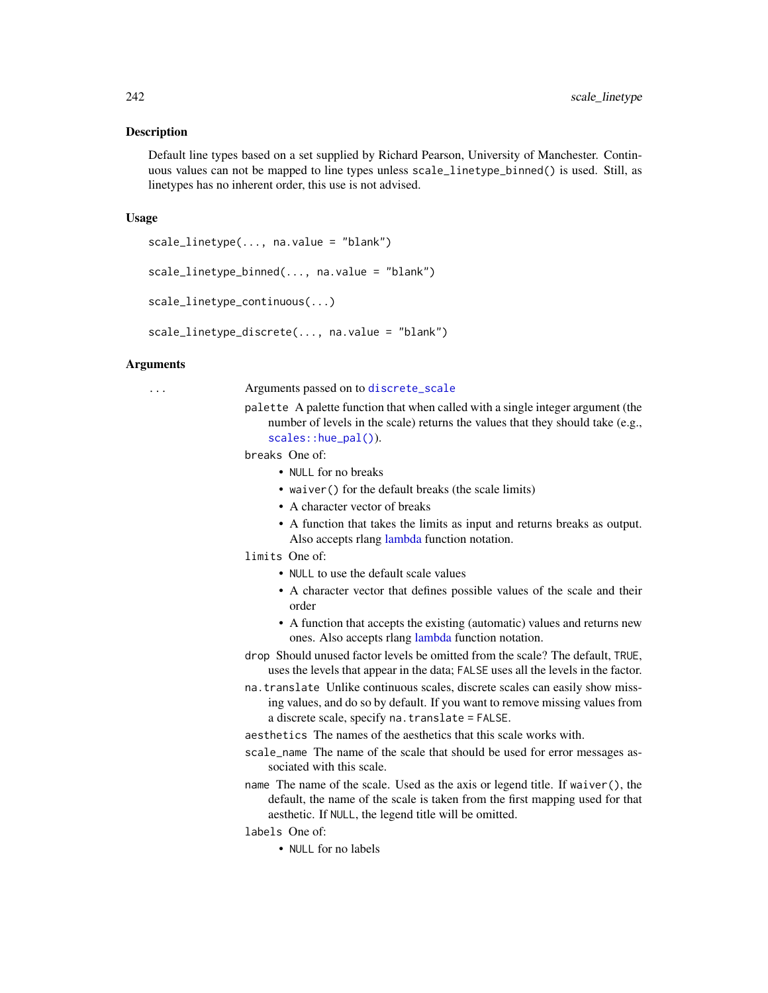#### **Description**

Default line types based on a set supplied by Richard Pearson, University of Manchester. Continuous values can not be mapped to line types unless scale\_linetype\_binned() is used. Still, as linetypes has no inherent order, this use is not advised.

#### Usage

```
scale_linetype(..., na.value = "blank")
```
scale\_linetype\_binned(..., na.value = "blank")

```
scale_linetype_continuous(...)
```
scale\_linetype\_discrete(..., na.value = "blank")

## Arguments

... Arguments passed on to [discrete\\_scale](#page-0-0)

palette A palette function that when called with a single integer argument (the number of levels in the scale) returns the values that they should take (e.g., [scales::hue\\_pal\(\)](#page-0-0)).

breaks One of:

- NULL for no breaks
- waiver() for the default breaks (the scale limits)
- A character vector of breaks
- A function that takes the limits as input and returns breaks as output. Also accepts rlang [lambda](#page-0-0) function notation.
- limits One of:
	- NULL to use the default scale values
	- A character vector that defines possible values of the scale and their order
	- A function that accepts the existing (automatic) values and returns new ones. Also accepts rlang [lambda](#page-0-0) function notation.
- drop Should unused factor levels be omitted from the scale? The default, TRUE, uses the levels that appear in the data; FALSE uses all the levels in the factor.
- na.translate Unlike continuous scales, discrete scales can easily show missing values, and do so by default. If you want to remove missing values from a discrete scale, specify na.translate = FALSE.

aesthetics The names of the aesthetics that this scale works with.

- scale\_name The name of the scale that should be used for error messages associated with this scale.
- name The name of the scale. Used as the axis or legend title. If waiver(), the default, the name of the scale is taken from the first mapping used for that aesthetic. If NULL, the legend title will be omitted.
- labels One of:
	- NULL for no labels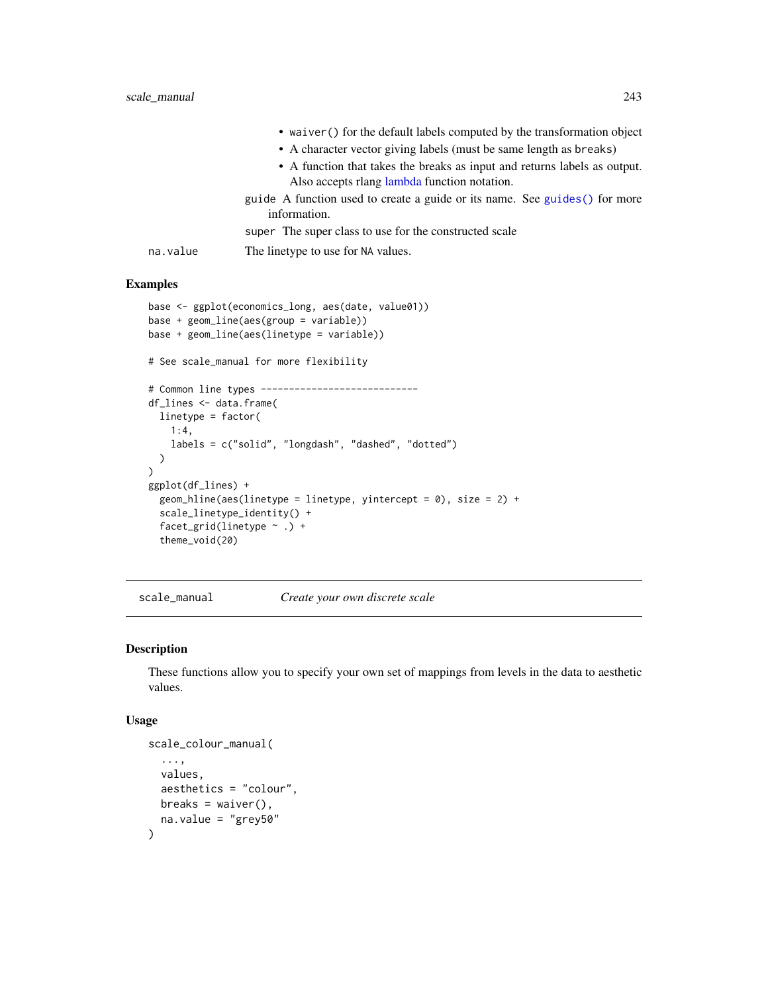|          | • waiver () for the default labels computed by the transformation object                    |
|----------|---------------------------------------------------------------------------------------------|
|          | • A character vector giving labels (must be same length as breaks)                          |
|          | • A function that takes the breaks as input and returns labels as output.                   |
|          | Also accepts rlang lambda function notation.                                                |
|          | guide A function used to create a guide or its name. See guides () for more<br>information. |
|          |                                                                                             |
|          | super. The super class to use for the constructed scale                                     |
| na.value | The linetype to use for NA values.                                                          |

### Examples

```
base <- ggplot(economics_long, aes(date, value01))
base + geom_line(aes(group = variable))
base + geom_line(aes(linetype = variable))
# See scale_manual for more flexibility
# Common line types ----------------------------
df_lines <- data.frame(
  linetype = factor(
   1:4,
   labels = c("solid", "longdash", "dashed", "dotted")
  )
\lambdaggplot(df_lines) +
  geom_hline(aes(linetype = linetype, yintercept = 0), size = 2) +
  scale_linetype_identity() +
  facet_grid(linetype ~ .) +
  theme_void(20)
```
scale\_manual *Create your own discrete scale*

## <span id="page-242-0"></span>Description

These functions allow you to specify your own set of mappings from levels in the data to aesthetic values.

## Usage

```
scale_colour_manual(
  ...,
 values,
 aesthetics = "colour",
 breaks = waiver(),
 na.value = "grey50"
\lambda
```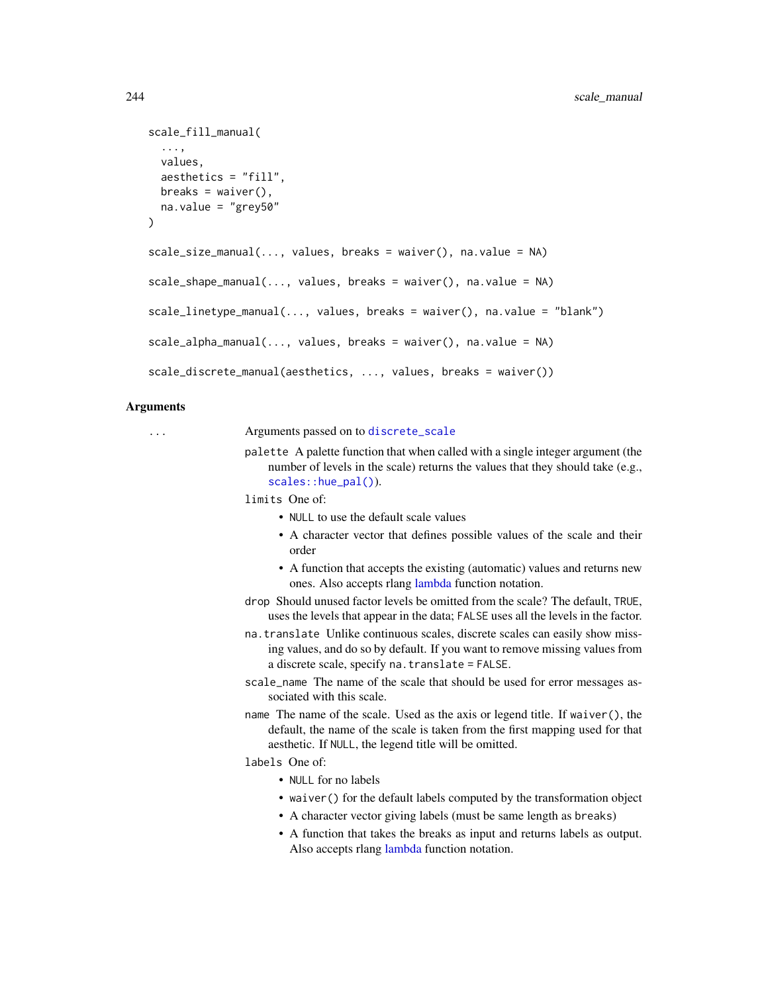```
scale_fill_manual(
  ...,
 values,
 aesthetics = "fill",
 breaks = waiver(),
 na.value = "grey50"
)
scale_size_manual(..., values, breaks = waiver(), na.value = NA)
scale\_shape\_manual(..., values, breaks = wavier(), na.value = NA)scale_linetype_manual(..., values, breaks = waiver(), na.value = "blank")
scale_alpha_mean1(..., values, breaks = naiver(), na.value = NA)scale_discrete_manual(aesthetics, ..., values, breaks = waiver())
```
#### Arguments

... Arguments passed on to [discrete\\_scale](#page-0-0)

- palette A palette function that when called with a single integer argument (the number of levels in the scale) returns the values that they should take (e.g., [scales::hue\\_pal\(\)](#page-0-0)).
	- limits One of:
		- NULL to use the default scale values
		- A character vector that defines possible values of the scale and their order
		- A function that accepts the existing (automatic) values and returns new ones. Also accepts rlang [lambda](#page-0-0) function notation.
	- drop Should unused factor levels be omitted from the scale? The default, TRUE, uses the levels that appear in the data; FALSE uses all the levels in the factor.
	- na.translate Unlike continuous scales, discrete scales can easily show missing values, and do so by default. If you want to remove missing values from a discrete scale, specify na.translate = FALSE.
	- scale\_name The name of the scale that should be used for error messages associated with this scale.
	- name The name of the scale. Used as the axis or legend title. If waiver(), the default, the name of the scale is taken from the first mapping used for that aesthetic. If NULL, the legend title will be omitted.

labels One of:

- NULL for no labels
- waiver() for the default labels computed by the transformation object
- A character vector giving labels (must be same length as breaks)
- A function that takes the breaks as input and returns labels as output. Also accepts rlang [lambda](#page-0-0) function notation.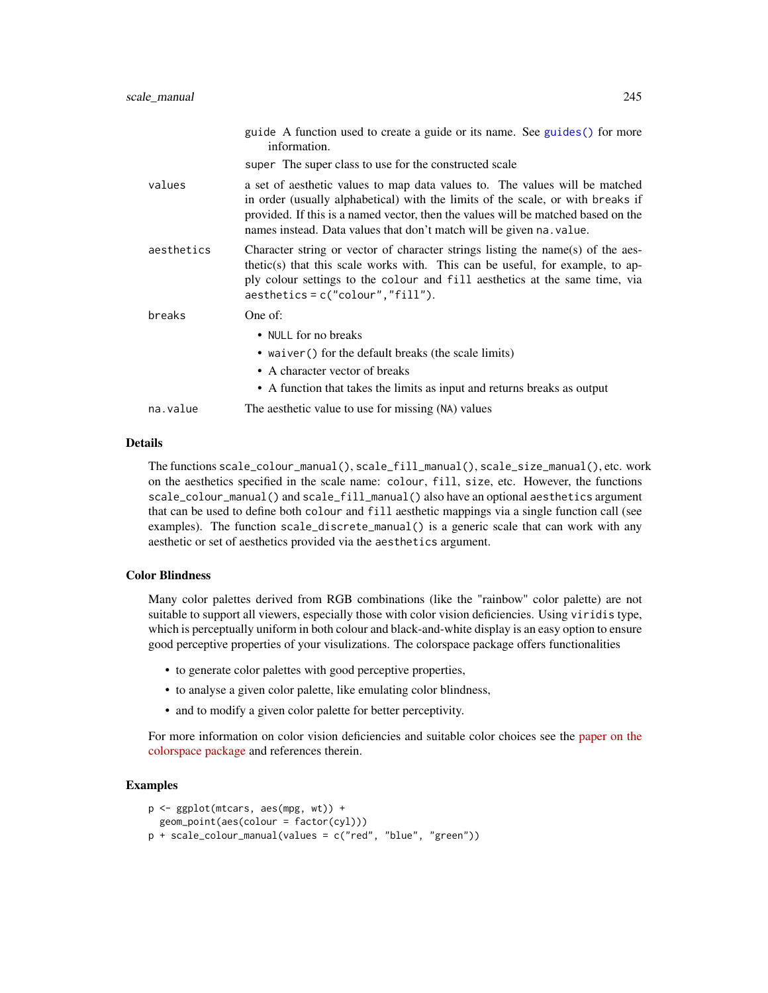|            | guide A function used to create a guide or its name. See guides () for more<br>information.                                                                                                                                                                                                                                 |
|------------|-----------------------------------------------------------------------------------------------------------------------------------------------------------------------------------------------------------------------------------------------------------------------------------------------------------------------------|
|            | super The super class to use for the constructed scale                                                                                                                                                                                                                                                                      |
| values     | a set of aesthetic values to map data values to. The values will be matched<br>in order (usually alphabetical) with the limits of the scale, or with breaks if<br>provided. If this is a named vector, then the values will be matched based on the<br>names instead. Data values that don't match will be given na. value. |
| aesthetics | Character string or vector of character strings listing the name(s) of the aes-<br>thetic(s) that this scale works with. This can be useful, for example, to ap-<br>ply colour settings to the colour and fill aesthetics at the same time, via<br>$a$ esthetics = c("colour","fill").                                      |
| breaks     | One of:                                                                                                                                                                                                                                                                                                                     |
|            | • NULL for no breaks<br>• waiver () for the default breaks (the scale limits)<br>• A character vector of breaks<br>• A function that takes the limits as input and returns breaks as output                                                                                                                                 |
| na.value   | The aesthetic value to use for missing (NA) values                                                                                                                                                                                                                                                                          |

## Details

The functions scale\_colour\_manual(), scale\_fill\_manual(), scale\_size\_manual(), etc. work on the aesthetics specified in the scale name: colour, fill, size, etc. However, the functions scale\_colour\_manual() and scale\_fill\_manual() also have an optional aesthetics argument that can be used to define both colour and fill aesthetic mappings via a single function call (see examples). The function scale\_discrete\_manual() is a generic scale that can work with any aesthetic or set of aesthetics provided via the aesthetics argument.

## Color Blindness

Many color palettes derived from RGB combinations (like the "rainbow" color palette) are not suitable to support all viewers, especially those with color vision deficiencies. Using viridis type, which is perceptually uniform in both colour and black-and-white display is an easy option to ensure good perceptive properties of your visulizations. The colorspace package offers functionalities

- to generate color palettes with good perceptive properties,
- to analyse a given color palette, like emulating color blindness,
- and to modify a given color palette for better perceptivity.

For more information on color vision deficiencies and suitable color choices see the [paper on the](https://arxiv.org/abs/1903.06490) [colorspace package](https://arxiv.org/abs/1903.06490) and references therein.

```
p <- ggplot(mtcars, aes(mpg, wt)) +
  geom_point(aes(colour = factor(cyl)))
p + scale_colour_manual(values = c("red", "blue", "green"))
```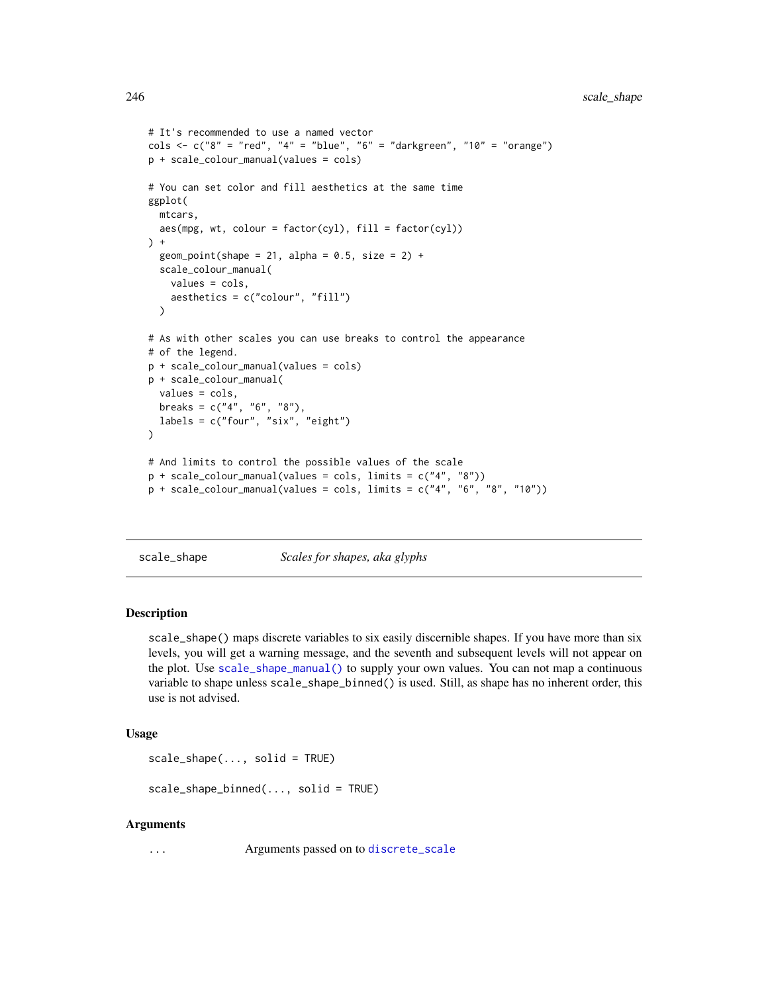```
# It's recommended to use a named vector
cols <- c("8" = "red", "4" = "blue", "6" = "darkgreen", "10" = "orange")
p + scale_colour_manual(values = cols)
# You can set color and fill aesthetics at the same time
ggplot(
  mtcars,
  aes(mpg, wt, colour = factor(cyl), fill = factor(cyl))
) +geom_point(shape = 21, alpha = 0.5, size = 2) +
  scale_colour_manual(
   values = cols,
    aesthetics = c("colour", "fill")
  \lambda# As with other scales you can use breaks to control the appearance
# of the legend.
p + scale_colour_manual(values = cols)
p + scale_colour_manual(
  values = cols,
  breaks = c("4", "6", "8"),
  labels = c("four", "six", "eight")\mathcal{L}# And limits to control the possible values of the scale
p + scale_colour_manual(values = cols, limits = c("4", "8"))
p + scale\_colour\_manual(values = cols, limits = c("4", "6", "8", "10"))
```
scale\_shape *Scales for shapes, aka glyphs*

## **Description**

scale\_shape() maps discrete variables to six easily discernible shapes. If you have more than six levels, you will get a warning message, and the seventh and subsequent levels will not appear on the plot. Use [scale\\_shape\\_manual\(\)](#page-242-0) to supply your own values. You can not map a continuous variable to shape unless scale\_shape\_binned() is used. Still, as shape has no inherent order, this use is not advised.

#### Usage

```
scale_shape(..., solid = TRUE)
```
scale\_shape\_binned(..., solid = TRUE)

#### Arguments

... **Conserverse Arguments passed on to [discrete\\_scale](#page-0-0)**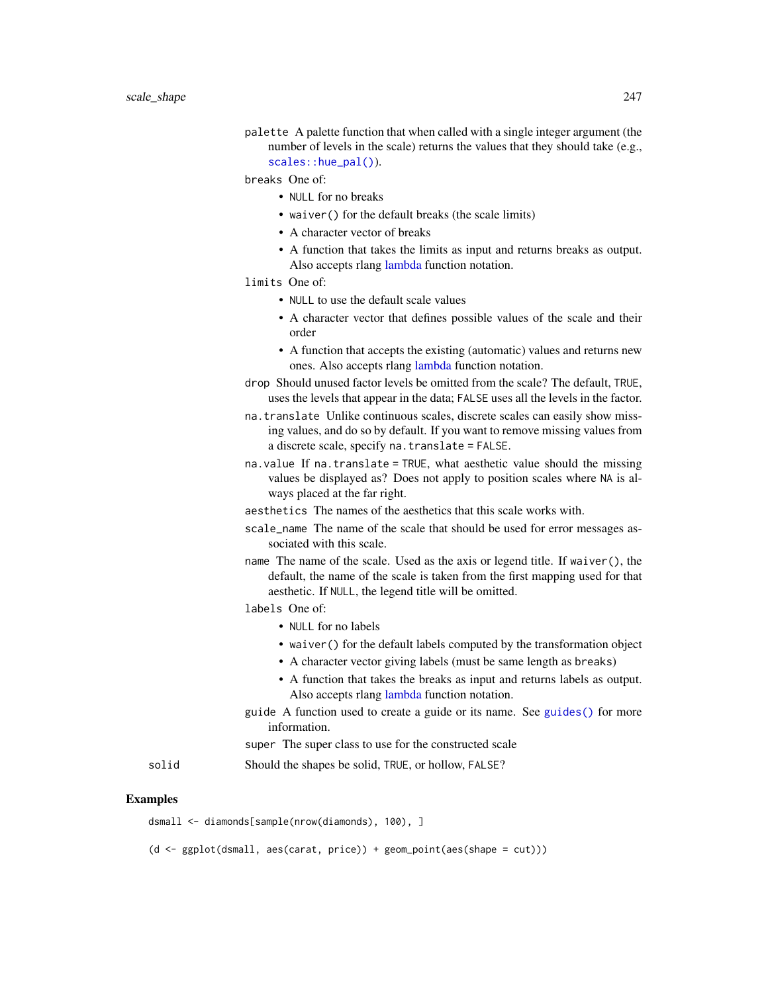palette A palette function that when called with a single integer argument (the number of levels in the scale) returns the values that they should take (e.g., [scales::hue\\_pal\(\)](#page-0-0)).

breaks One of:

- NULL for no breaks
- waiver() for the default breaks (the scale limits)
- A character vector of breaks
- A function that takes the limits as input and returns breaks as output. Also accepts rlang [lambda](#page-0-0) function notation.

# limits One of:

- NULL to use the default scale values
- A character vector that defines possible values of the scale and their order
- A function that accepts the existing (automatic) values and returns new ones. Also accepts rlang [lambda](#page-0-0) function notation.
- drop Should unused factor levels be omitted from the scale? The default, TRUE, uses the levels that appear in the data; FALSE uses all the levels in the factor.
- na.translate Unlike continuous scales, discrete scales can easily show missing values, and do so by default. If you want to remove missing values from a discrete scale, specify na.translate = FALSE.
- na.value If na.translate = TRUE, what aesthetic value should the missing values be displayed as? Does not apply to position scales where NA is always placed at the far right.
- aesthetics The names of the aesthetics that this scale works with.
- scale\_name The name of the scale that should be used for error messages associated with this scale.
- name The name of the scale. Used as the axis or legend title. If waiver(), the default, the name of the scale is taken from the first mapping used for that aesthetic. If NULL, the legend title will be omitted.

labels One of:

- NULL for no labels
- waiver() for the default labels computed by the transformation object
- A character vector giving labels (must be same length as breaks)
- A function that takes the breaks as input and returns labels as output. Also accepts rlang [lambda](#page-0-0) function notation.
- guide A function used to create a guide or its name. See [guides\(\)](#page-159-0) for more information.

super The super class to use for the constructed scale

solid Should the shapes be solid, TRUE, or hollow, FALSE?

## Examples

dsmall <- diamonds[sample(nrow(diamonds), 100), ]

(d <- ggplot(dsmall, aes(carat, price)) + geom\_point(aes(shape = cut)))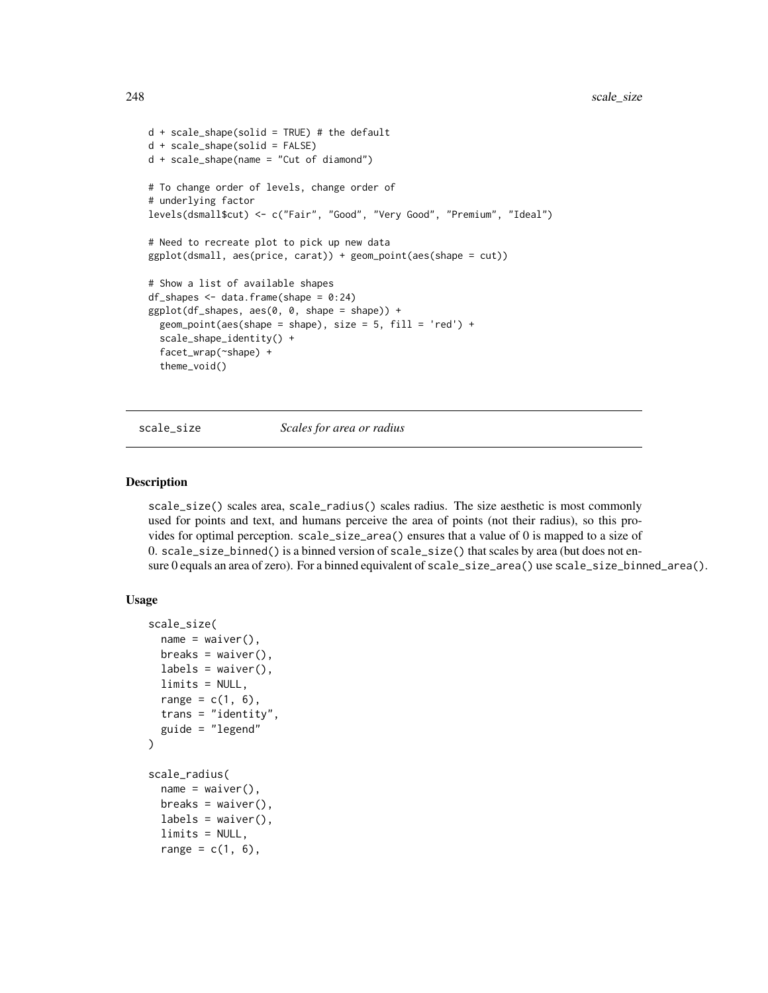```
d + scale\_shape(solid = TRUE) # the default
d + scale_shape(solid = FALSE)
d + scale_shape(name = "Cut of diamond")
# To change order of levels, change order of
# underlying factor
levels(dsmall$cut) <- c("Fair", "Good", "Very Good", "Premium", "Ideal")
# Need to recreate plot to pick up new data
ggplot(dsmall, aes(price, carat)) + geom_point(aes(shape = cut))
# Show a list of available shapes
df_shapes \leq data.frame(shape = 0:24)
ggplot(df_shapes, aes(0, 0, shape = shape)) +
 geom\_point(aes(shape = shape), size = 5, fill = 'red') +
 scale_shape_identity() +
 facet_wrap(~shape) +
 theme_void()
```
scale\_size *Scales for area or radius*

## <span id="page-247-0"></span>**Description**

scale\_size() scales area, scale\_radius() scales radius. The size aesthetic is most commonly used for points and text, and humans perceive the area of points (not their radius), so this provides for optimal perception. scale\_size\_area() ensures that a value of 0 is mapped to a size of 0. scale\_size\_binned() is a binned version of scale\_size() that scales by area (but does not ensure 0 equals an area of zero). For a binned equivalent of scale\_size\_area() use scale\_size\_binned\_area().

## Usage

```
scale_size(
  name = waire(),breaks = waiver(),
  labels = waire(),
  limits = NULL,
  range = c(1, 6),
  trans = "identity",
  guide = "legend"
\mathcal{L}scale_radius(
  name = waire(),breaks = waiver(),
  labels = waire(),
  limits = NULL,
  range = c(1, 6),
```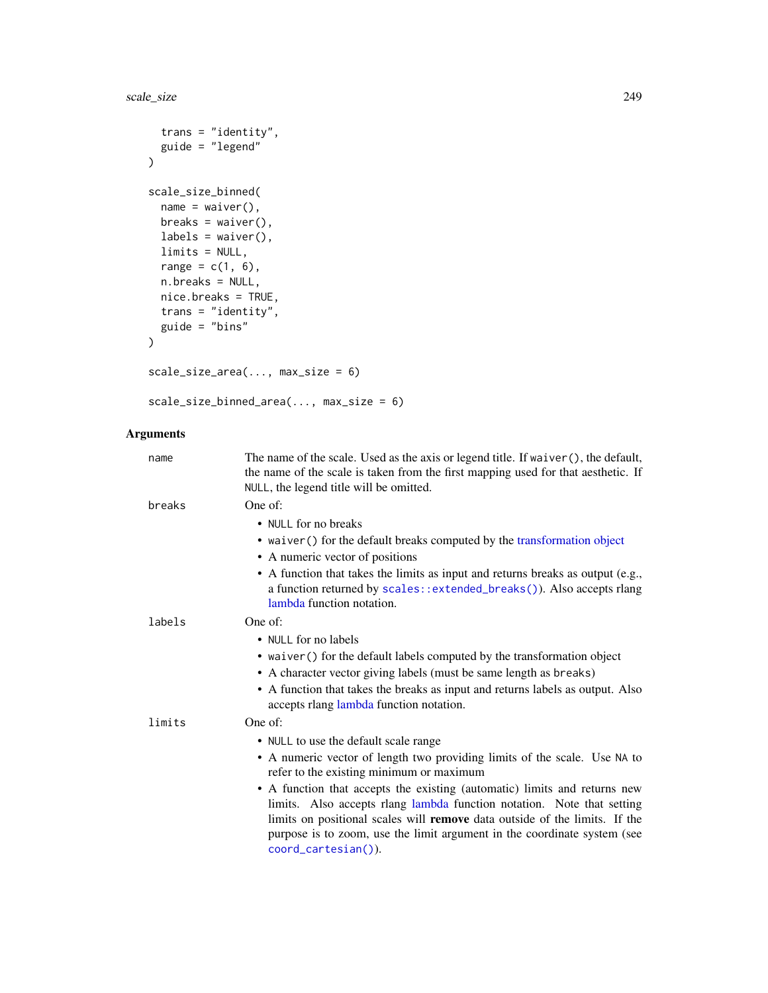```
trans = "identity",
 guide = "legend"
\mathcal{L}scale_size_binned(
 name = waire(),breaks = waiver(),
 labels = \text{waiver}(),limits = NULL,
 range = c(1, 6),
 n.breaks = NULL,
 nice.breaks = TRUE,
 trans = "identity",
 guide = "bins"
)
scale_size_area(..., max_size = 6)
```
scale\_size\_binned\_area(..., max\_size = 6)

# Arguments

| name   | The name of the scale. Used as the axis or legend title. If waiver (), the default,<br>the name of the scale is taken from the first mapping used for that aesthetic. If<br>NULL, the legend title will be omitted.                                                                                                                         |
|--------|---------------------------------------------------------------------------------------------------------------------------------------------------------------------------------------------------------------------------------------------------------------------------------------------------------------------------------------------|
| breaks | One of:                                                                                                                                                                                                                                                                                                                                     |
|        | • NULL for no breaks                                                                                                                                                                                                                                                                                                                        |
|        | • waiver () for the default breaks computed by the transformation object                                                                                                                                                                                                                                                                    |
|        | • A numeric vector of positions                                                                                                                                                                                                                                                                                                             |
|        | • A function that takes the limits as input and returns breaks as output (e.g.,<br>a function returned by scales::extended_breaks()). Also accepts rlang<br>lambda function notation.                                                                                                                                                       |
| labels | One of:                                                                                                                                                                                                                                                                                                                                     |
|        | • NULL for no labels                                                                                                                                                                                                                                                                                                                        |
|        | • waiver () for the default labels computed by the transformation object                                                                                                                                                                                                                                                                    |
|        | • A character vector giving labels (must be same length as breaks)                                                                                                                                                                                                                                                                          |
|        | • A function that takes the breaks as input and returns labels as output. Also<br>accepts rlang lambda function notation.                                                                                                                                                                                                                   |
| limits | One of:                                                                                                                                                                                                                                                                                                                                     |
|        | • NULL to use the default scale range                                                                                                                                                                                                                                                                                                       |
|        | • A numeric vector of length two providing limits of the scale. Use NA to<br>refer to the existing minimum or maximum                                                                                                                                                                                                                       |
|        | • A function that accepts the existing (automatic) limits and returns new<br>limits. Also accepts rlang lambda function notation. Note that setting<br>limits on positional scales will <b>remove</b> data outside of the limits. If the<br>purpose is to zoom, use the limit argument in the coordinate system (see<br>coord_cartesian()). |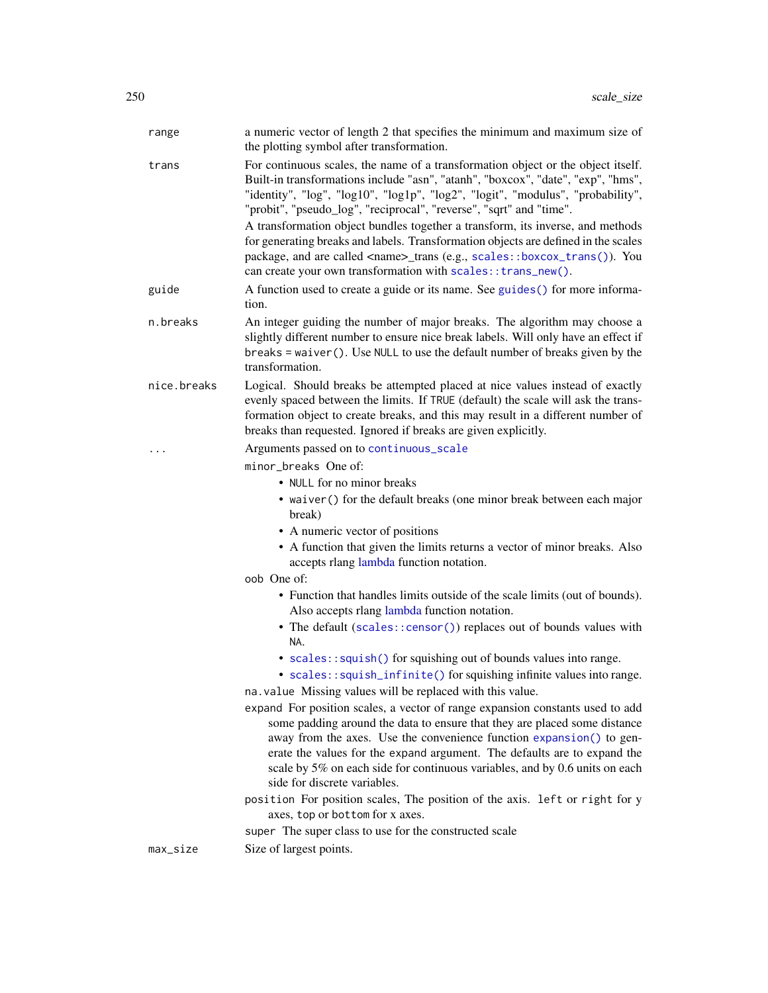| range       | a numeric vector of length 2 that specifies the minimum and maximum size of<br>the plotting symbol after transformation.                                                                                                                                                                                                                                                                                                      |
|-------------|-------------------------------------------------------------------------------------------------------------------------------------------------------------------------------------------------------------------------------------------------------------------------------------------------------------------------------------------------------------------------------------------------------------------------------|
| trans       | For continuous scales, the name of a transformation object or the object itself.<br>Built-in transformations include "asn", "atanh", "boxcox", "date", "exp", "hms",<br>"identity", "log", "log10", "log1p", "log2", "logit", "modulus", "probability",<br>"probit", "pseudo_log", "reciprocal", "reverse", "sqrt" and "time".                                                                                                |
|             | A transformation object bundles together a transform, its inverse, and methods<br>for generating breaks and labels. Transformation objects are defined in the scales<br>package, and are called <name>_trans (e.g., scales::boxcox_trans()). You<br/>can create your own transformation with scales:: trans_new().</name>                                                                                                     |
| guide       | A function used to create a guide or its name. See guides () for more informa-<br>tion.                                                                                                                                                                                                                                                                                                                                       |
| n.breaks    | An integer guiding the number of major breaks. The algorithm may choose a<br>slightly different number to ensure nice break labels. Will only have an effect if<br>breaks = waiver(). Use NULL to use the default number of breaks given by the<br>transformation.                                                                                                                                                            |
| nice.breaks | Logical. Should breaks be attempted placed at nice values instead of exactly<br>evenly spaced between the limits. If TRUE (default) the scale will ask the trans-<br>formation object to create breaks, and this may result in a different number of<br>breaks than requested. Ignored if breaks are given explicitly.                                                                                                        |
| .           | Arguments passed on to continuous_scale                                                                                                                                                                                                                                                                                                                                                                                       |
|             | minor_breaks One of:                                                                                                                                                                                                                                                                                                                                                                                                          |
|             | • NULL for no minor breaks                                                                                                                                                                                                                                                                                                                                                                                                    |
|             | • waiver () for the default breaks (one minor break between each major<br>break)                                                                                                                                                                                                                                                                                                                                              |
|             | • A numeric vector of positions                                                                                                                                                                                                                                                                                                                                                                                               |
|             | • A function that given the limits returns a vector of minor breaks. Also<br>accepts rlang lambda function notation.                                                                                                                                                                                                                                                                                                          |
|             | oob One of:                                                                                                                                                                                                                                                                                                                                                                                                                   |
|             | • Function that handles limits outside of the scale limits (out of bounds).<br>Also accepts rlang lambda function notation.                                                                                                                                                                                                                                                                                                   |
|             | • The default (scales::censor()) replaces out of bounds values with<br>NA.                                                                                                                                                                                                                                                                                                                                                    |
|             | • scales::squish() for squishing out of bounds values into range.<br>• scales::squish_infinite() for squishing infinite values into range.                                                                                                                                                                                                                                                                                    |
|             | na. value Missing values will be replaced with this value.                                                                                                                                                                                                                                                                                                                                                                    |
|             | expand For position scales, a vector of range expansion constants used to add<br>some padding around the data to ensure that they are placed some distance<br>away from the axes. Use the convenience function expansion() to gen-<br>erate the values for the expand argument. The defaults are to expand the<br>scale by 5% on each side for continuous variables, and by 0.6 units on each<br>side for discrete variables. |
|             | position For position scales, The position of the axis. left or right for y<br>axes, top or bottom for x axes.                                                                                                                                                                                                                                                                                                                |
|             | super The super class to use for the constructed scale                                                                                                                                                                                                                                                                                                                                                                        |
| max_size    | Size of largest points.                                                                                                                                                                                                                                                                                                                                                                                                       |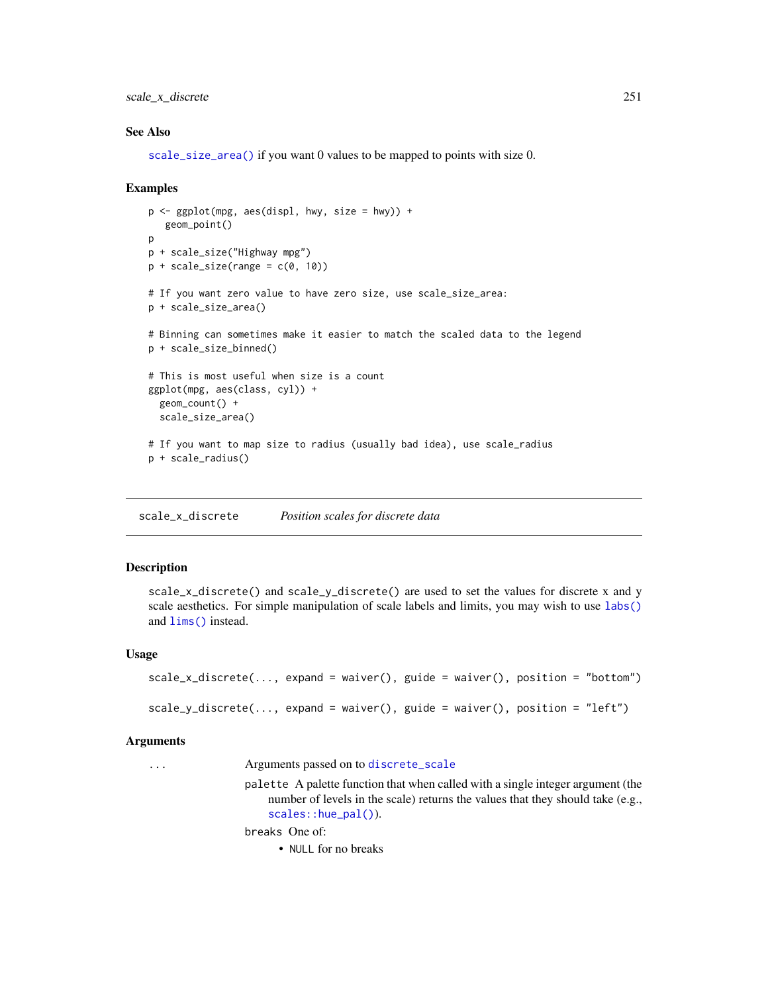scale\_x\_discrete 251

#### See Also

[scale\\_size\\_area\(\)](#page-247-0) if you want 0 values to be mapped to points with size 0.

#### Examples

```
p \leftarrow \text{ggplot}(\text{mpg}, \text{aes}(\text{displ}, \text{hwy}, \text{size = hwy})) +geom_point()
\mathbf{p}p + scale_size("Highway mpg")
p + scale_size(range = c(0, 10))# If you want zero value to have zero size, use scale_size_area:
p + scale_size_area()
# Binning can sometimes make it easier to match the scaled data to the legend
p + scale_size_binned()
# This is most useful when size is a count
ggplot(mpg, aes(class, cyl)) +
  geom_count() +
  scale_size_area()
# If you want to map size to radius (usually bad idea), use scale_radius
p + scale_radius()
```
<span id="page-250-0"></span>scale\_x\_discrete *Position scales for discrete data*

#### **Description**

scale\_x\_discrete() and scale\_y\_discrete() are used to set the values for discrete x and y scale aesthetics. For simple manipulation of scale labels and limits, you may wish to use [labs\(\)](#page-181-0) and [lims\(\)](#page-182-0) instead.

## Usage

```
scale_x_discrete(..., expand = waiver(), guide = waiver(), position = "bottom")
scale_y_discrete(..., expand = waiver(), guide = waiver(), position = "left")
```
#### Arguments

... Arguments passed on to [discrete\\_scale](#page-0-0)

palette A palette function that when called with a single integer argument (the number of levels in the scale) returns the values that they should take (e.g., [scales::hue\\_pal\(\)](#page-0-0)).

breaks One of:

• NULL for no breaks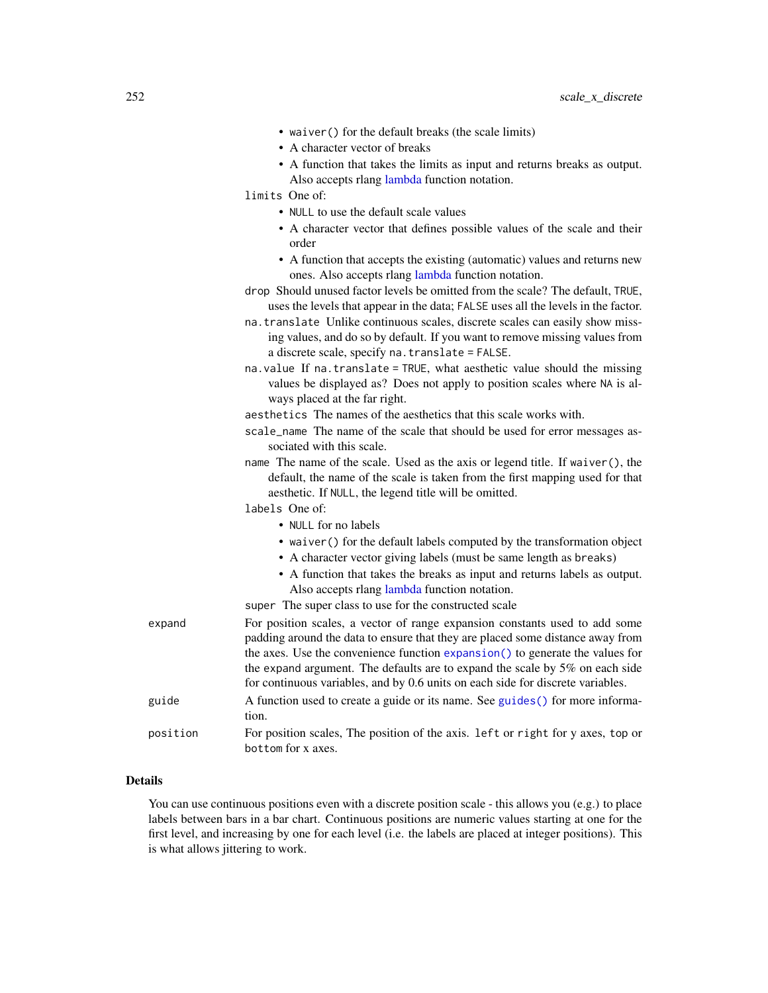|          | • waiver () for the default breaks (the scale limits)                                                                                                                                                                                           |
|----------|-------------------------------------------------------------------------------------------------------------------------------------------------------------------------------------------------------------------------------------------------|
|          | • A character vector of breaks                                                                                                                                                                                                                  |
|          | • A function that takes the limits as input and returns breaks as output.                                                                                                                                                                       |
|          | Also accepts rlang lambda function notation.<br>limits One of:                                                                                                                                                                                  |
|          | • NULL to use the default scale values                                                                                                                                                                                                          |
|          | • A character vector that defines possible values of the scale and their<br>order                                                                                                                                                               |
|          | • A function that accepts the existing (automatic) values and returns new<br>ones. Also accepts rlang lambda function notation.                                                                                                                 |
|          | drop Should unused factor levels be omitted from the scale? The default, TRUE,<br>uses the levels that appear in the data; FALSE uses all the levels in the factor.                                                                             |
|          | na. translate Unlike continuous scales, discrete scales can easily show miss-<br>ing values, and do so by default. If you want to remove missing values from<br>a discrete scale, specify na. translate = FALSE.                                |
|          | na. value If na. translate = TRUE, what aesthetic value should the missing<br>values be displayed as? Does not apply to position scales where NA is al-<br>ways placed at the far right.                                                        |
|          | aesthetics The names of the aesthetics that this scale works with.                                                                                                                                                                              |
|          | scale_name The name of the scale that should be used for error messages as-<br>sociated with this scale.                                                                                                                                        |
|          | name The name of the scale. Used as the axis or legend title. If waiver (), the<br>default, the name of the scale is taken from the first mapping used for that<br>aesthetic. If NULL, the legend title will be omitted.                        |
|          | labels One of:                                                                                                                                                                                                                                  |
|          | • NULL for no labels                                                                                                                                                                                                                            |
|          | • waiver () for the default labels computed by the transformation object<br>• A character vector giving labels (must be same length as breaks)                                                                                                  |
|          | • A function that takes the breaks as input and returns labels as output.<br>Also accepts rlang lambda function notation.<br>super The super class to use for the constructed scale                                                             |
| expand   | For position scales, a vector of range expansion constants used to add some                                                                                                                                                                     |
|          | padding around the data to ensure that they are placed some distance away from<br>the axes. Use the convenience function expansion() to generate the values for<br>the expand argument. The defaults are to expand the scale by 5% on each side |
|          | for continuous variables, and by 0.6 units on each side for discrete variables.                                                                                                                                                                 |
| guide    | A function used to create a guide or its name. See guides () for more informa-<br>tion.                                                                                                                                                         |
| position | For position scales, The position of the axis. Left or right for y axes, top or<br>bottom for x axes.                                                                                                                                           |

# Details

You can use continuous positions even with a discrete position scale - this allows you (e.g.) to place labels between bars in a bar chart. Continuous positions are numeric values starting at one for the first level, and increasing by one for each level (i.e. the labels are placed at integer positions). This is what allows jittering to work.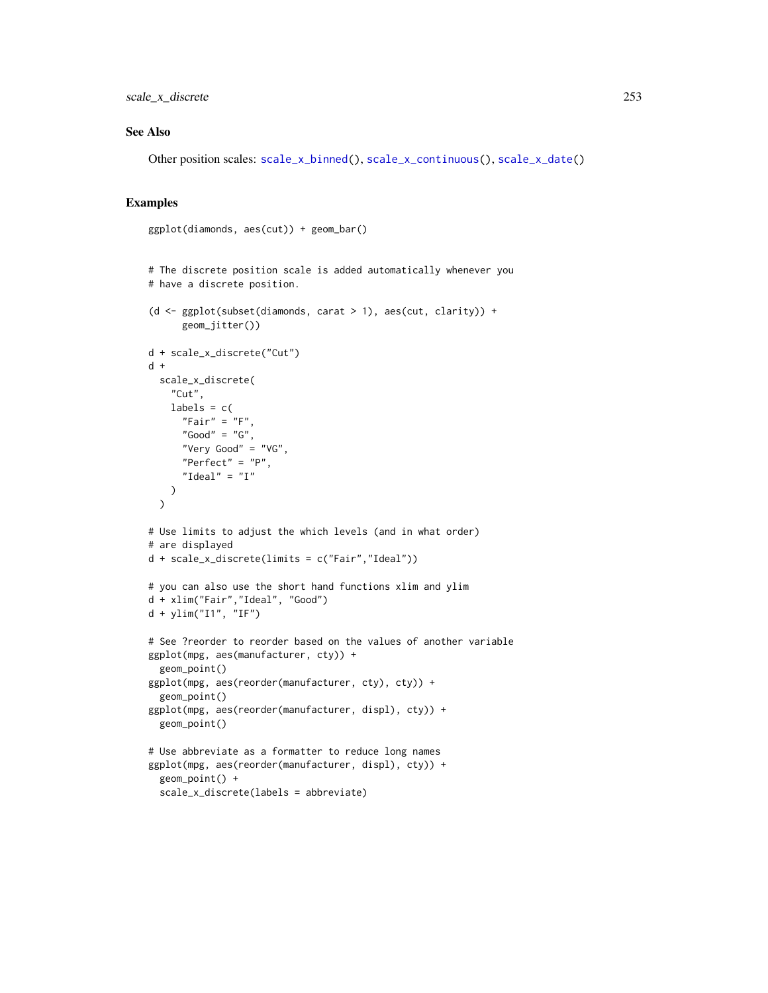# See Also

Other position scales: [scale\\_x\\_binned\(](#page-205-0)), [scale\\_x\\_continuous\(](#page-231-0)), [scale\\_x\\_date\(](#page-235-0))

#### Examples

```
ggplot(diamonds, aes(cut)) + geom_bar()
# The discrete position scale is added automatically whenever you
# have a discrete position.
(d <- ggplot(subset(diamonds, carat > 1), aes(cut, clarity)) +
      geom_jitter())
d + scale_x_discrete("Cut")
d +
  scale_x_discrete(
    "Cut",
   labels = c("Fair" = "F","Good" = "G",
      "Very Good" = "VG",
      "Perfect" = "P","Ideal" = "I"
   )
  )
# Use limits to adjust the which levels (and in what order)
# are displayed
d + scale_x_discrete(limits = c("Fair","Ideal"))
# you can also use the short hand functions xlim and ylim
d + xlim("Fair","Ideal", "Good")
d + ylim("I1", "IF")
# See ?reorder to reorder based on the values of another variable
ggplot(mpg, aes(manufacturer, cty)) +
  geom_point()
ggplot(mpg, aes(reorder(manufacturer, cty), cty)) +
  geom_point()
ggplot(mpg, aes(reorder(manufacturer, displ), cty)) +
  geom_point()
# Use abbreviate as a formatter to reduce long names
ggplot(mpg, aes(reorder(manufacturer, displ), cty)) +
  geom_point() +
  scale_x_discrete(labels = abbreviate)
```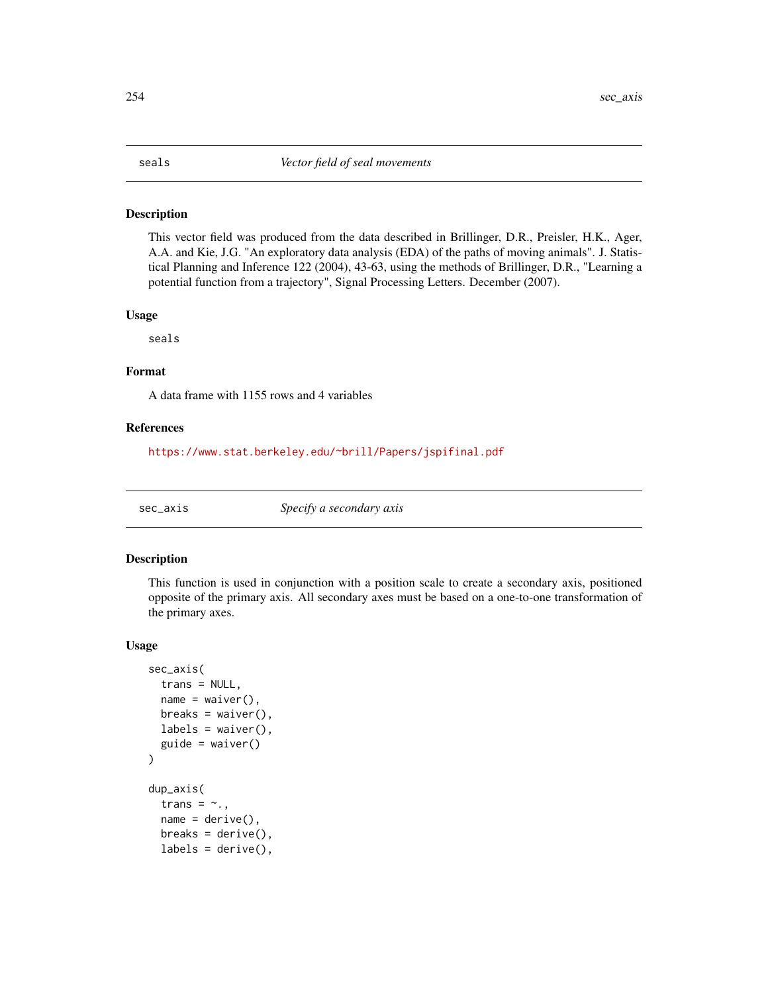#### <span id="page-253-0"></span>Description

This vector field was produced from the data described in Brillinger, D.R., Preisler, H.K., Ager, A.A. and Kie, J.G. "An exploratory data analysis (EDA) of the paths of moving animals". J. Statistical Planning and Inference 122 (2004), 43-63, using the methods of Brillinger, D.R., "Learning a potential function from a trajectory", Signal Processing Letters. December (2007).

#### Usage

seals

### Format

A data frame with 1155 rows and 4 variables

# References

<https://www.stat.berkeley.edu/~brill/Papers/jspifinal.pdf>

sec\_axis *Specify a secondary axis*

### Description

This function is used in conjunction with a position scale to create a secondary axis, positioned opposite of the primary axis. All secondary axes must be based on a one-to-one transformation of the primary axes.

#### Usage

```
sec_axis(
  trans = NULL,name = waire(),breaks = waitver(),
 labels = waire(),guide = waire()\mathcal{L}dup_axis(
  trans = \sim.,
  name = derive(),
 breaks = derive(),labels = derive(),
```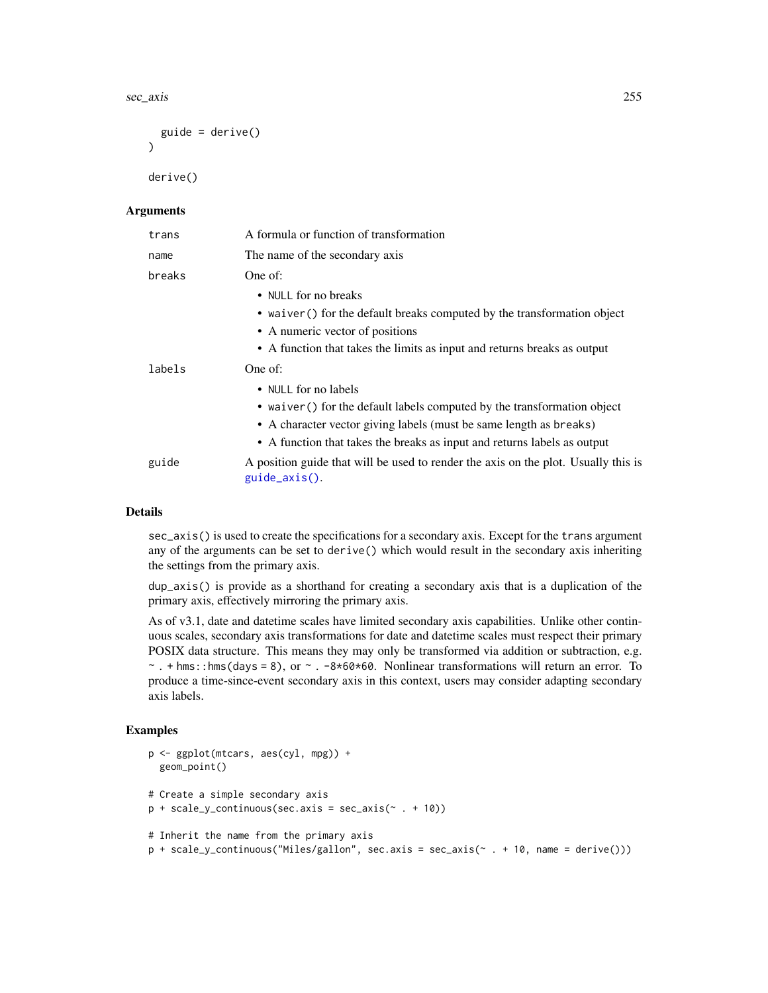<span id="page-254-0"></span>sec\_axis 255

```
guide = derive()\lambda
```
derive()

#### Arguments

| trans  | A formula or function of transformation                                                             |
|--------|-----------------------------------------------------------------------------------------------------|
| name   | The name of the secondary axis                                                                      |
| breaks | One of:                                                                                             |
|        | • NULL for no breaks                                                                                |
|        | • waiver () for the default breaks computed by the transformation object                            |
|        | • A numeric vector of positions                                                                     |
|        | • A function that takes the limits as input and returns breaks as output                            |
| labels | One of:                                                                                             |
|        | • NULL for no labels                                                                                |
|        | • waiver () for the default labels computed by the transformation object                            |
|        | • A character vector giving labels (must be same length as breaks)                                  |
|        | • A function that takes the breaks as input and returns labels as output                            |
| guide  | A position guide that will be used to render the axis on the plot. Usually this is<br>guide_axis(). |

# Details

sec\_axis() is used to create the specifications for a secondary axis. Except for the trans argument any of the arguments can be set to derive() which would result in the secondary axis inheriting the settings from the primary axis.

dup\_axis() is provide as a shorthand for creating a secondary axis that is a duplication of the primary axis, effectively mirroring the primary axis.

As of v3.1, date and datetime scales have limited secondary axis capabilities. Unlike other continuous scales, secondary axis transformations for date and datetime scales must respect their primary POSIX data structure. This means they may only be transformed via addition or subtraction, e.g.  $\sim$ . + hms::hms(days = 8), or  $\sim$ . -8\*60\*60. Nonlinear transformations will return an error. To produce a time-since-event secondary axis in this context, users may consider adapting secondary axis labels.

### Examples

```
p <- ggplot(mtcars, aes(cyl, mpg)) +
 geom_point()
# Create a simple secondary axis
p + scale_y_{continuous(sec. axis = sec_axis(* + 10))# Inherit the name from the primary axis
p + scale_y_continuous("Miles/gallon", sec.axis = sec_axis(~ . + 10, name = derive()))
```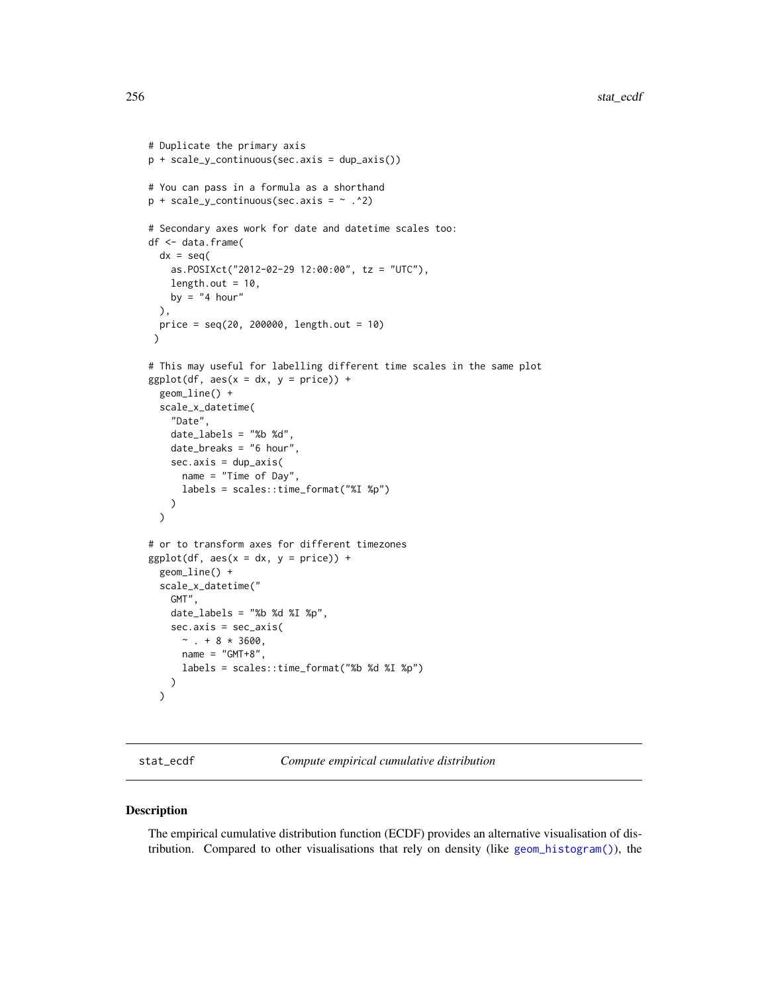```
# Duplicate the primary axis
p + scale_y_continuous(sec.axis = dup_axis())
# You can pass in a formula as a shorthand
p + scale_y_{continuous(sec. axis = ~ . ^2)# Secondary axes work for date and datetime scales too:
df <- data.frame(
 dx = seq(as.POSIXct("2012-02-29 12:00:00", tz = "UTC"),
   length.out = 10,
   by = "4 hour"
 ),
 price = seq(20, 200000, length.out = 10)
 \mathcal{L}# This may useful for labelling different time scales in the same plot
ggplot(df, aes(x = dx, y = price)) +geom_line() +
 scale_x_datetime(
    "Date",
    date_labels = "%b %d",
   date_breaks = "6 hour",
   sec.axis = dup_axis(
      name = "Time of Day",
      labels = scales::time_format("%I %p")
   )
 )
# or to transform axes for different timezones
ggplot(df, aes(x = dx, y = price)) +geom_line() +
 scale_x_datetime("
    GMT",
    date_labels = "%b %d %I \n  <i>wp</i>",
    sec.axis = sec_axis(
     ~\sim . + 8 * 3600,
      name = "GMT+8",labels = scales::time_format("%b %d %I %p")
   )
 \mathcal{L}
```
stat\_ecdf *Compute empirical cumulative distribution*

#### Description

The empirical cumulative distribution function (ECDF) provides an alternative visualisation of distribution. Compared to other visualisations that rely on density (like [geom\\_histogram\(\)](#page-93-0)), the

<span id="page-255-0"></span>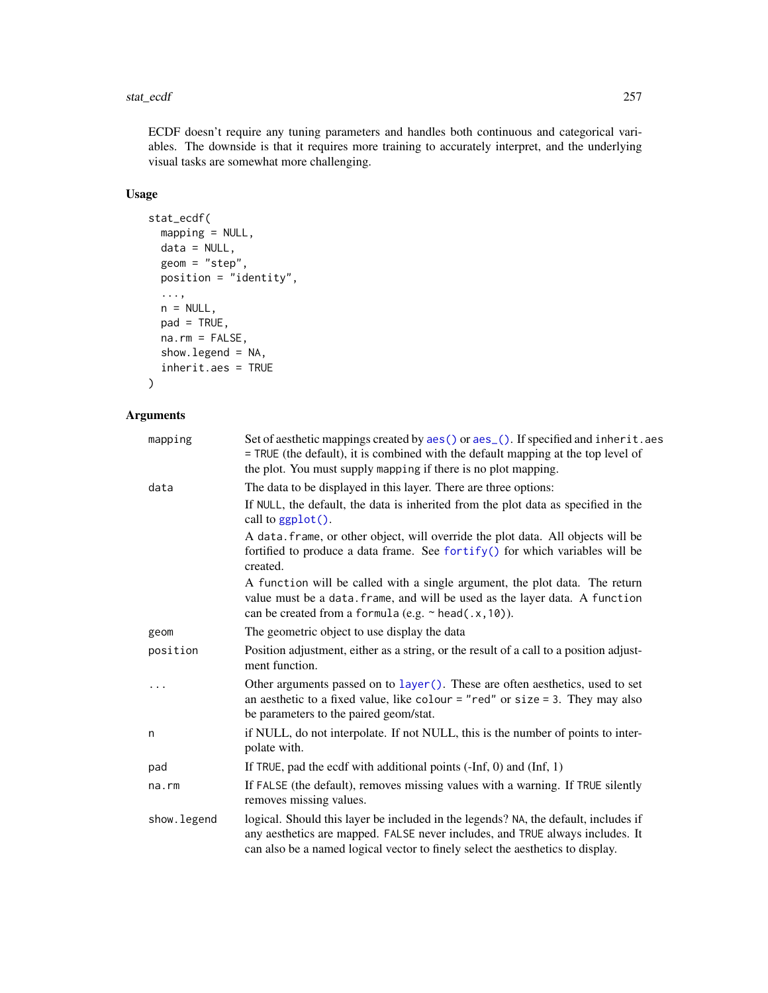#### <span id="page-256-0"></span>stat\_ecdf 257

ECDF doesn't require any tuning parameters and handles both continuous and categorical variables. The downside is that it requires more training to accurately interpret, and the underlying visual tasks are somewhat more challenging.

# Usage

```
stat_ecdf(
 mapping = NULL,
 data = NULL,geom = "step",
 position = "identity",
  ...,
 n = NULL,pad = TRUE,na.rm = FALSE,
 show.legend = NA,
  inherit.aes = TRUE
)
```
# Arguments

| mapping     | Set of aesthetic mappings created by aes() or aes_(). If specified and inherit.aes<br>= TRUE (the default), it is combined with the default mapping at the top level of<br>the plot. You must supply mapping if there is no plot mapping.              |
|-------------|--------------------------------------------------------------------------------------------------------------------------------------------------------------------------------------------------------------------------------------------------------|
| data        | The data to be displayed in this layer. There are three options:                                                                                                                                                                                       |
|             | If NULL, the default, the data is inherited from the plot data as specified in the<br>call to $ggplot()$ .                                                                                                                                             |
|             | A data. frame, or other object, will override the plot data. All objects will be<br>fortified to produce a data frame. See fortify() for which variables will be<br>created.                                                                           |
|             | A function will be called with a single argument, the plot data. The return<br>value must be a data. frame, and will be used as the layer data. A function<br>can be created from a formula (e.g. $\sim$ head(.x, 10)).                                |
| geom        | The geometric object to use display the data                                                                                                                                                                                                           |
| position    | Position adjustment, either as a string, or the result of a call to a position adjust-<br>ment function.                                                                                                                                               |
| $\ddots$    | Other arguments passed on to layer (). These are often aesthetics, used to set<br>an aesthetic to a fixed value, like colour = "red" or size = 3. They may also<br>be parameters to the paired geom/stat.                                              |
| n           | if NULL, do not interpolate. If not NULL, this is the number of points to inter-<br>polate with.                                                                                                                                                       |
| pad         | If TRUE, pad the ecdf with additional points $(-Inf, 0)$ and $(Inf, 1)$                                                                                                                                                                                |
| na.rm       | If FALSE (the default), removes missing values with a warning. If TRUE silently<br>removes missing values.                                                                                                                                             |
| show.legend | logical. Should this layer be included in the legends? NA, the default, includes if<br>any aesthetics are mapped. FALSE never includes, and TRUE always includes. It<br>can also be a named logical vector to finely select the aesthetics to display. |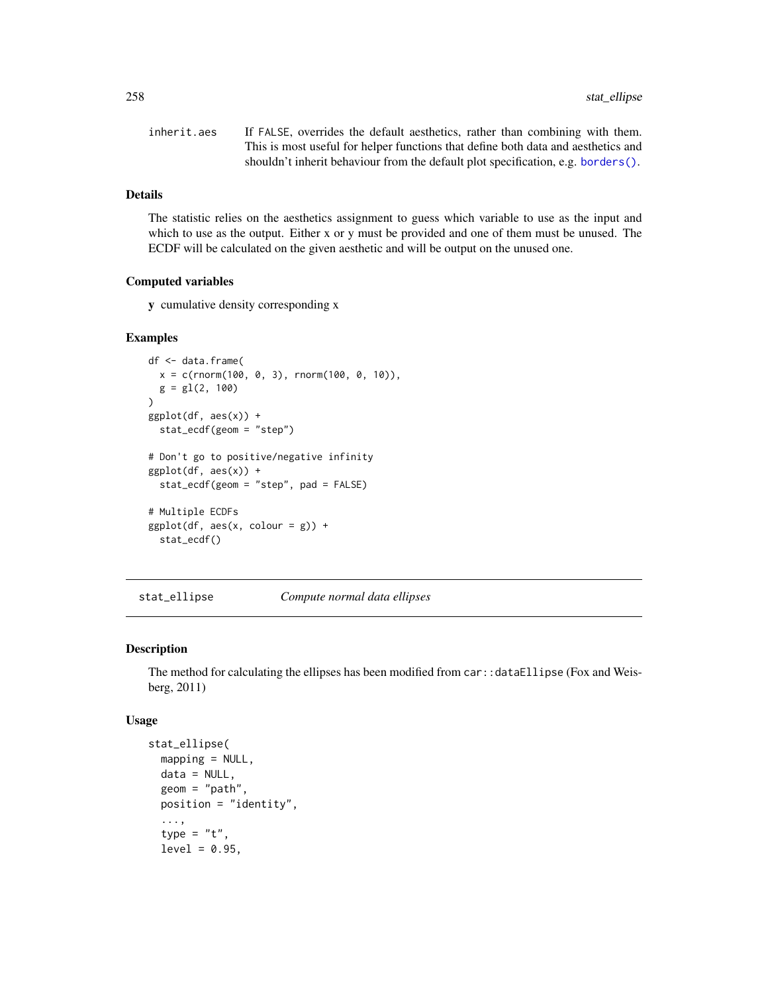<span id="page-257-0"></span>

| inherit.aes | If FALSE, overrides the default aesthetics, rather than combining with them.      |
|-------------|-----------------------------------------------------------------------------------|
|             | This is most useful for helper functions that define both data and aesthetics and |
|             | shouldn't inherit behaviour from the default plot specification, e.g. borders().  |

# Details

The statistic relies on the aesthetics assignment to guess which variable to use as the input and which to use as the output. Either x or y must be provided and one of them must be unused. The ECDF will be calculated on the given aesthetic and will be output on the unused one.

#### Computed variables

y cumulative density corresponding x

# Examples

```
df <- data.frame(
  x = c(rnorm(100, 0, 3), rnorm(100, 0, 10)),g = gl(2, 100)\overline{)}ggplot(df, aes(x)) +stat_ecdf(geom = "step")
# Don't go to positive/negative infinity
ggplot(df, aes(x)) +stat_ecdf(geom = "step", pad = FALSE)
# Multiple ECDFs
ggplot(df, aes(x, colour = g)) +stat_ecdf()
```
stat\_ellipse *Compute normal data ellipses*

# Description

The method for calculating the ellipses has been modified from  $car:$ : dataEllipse (Fox and Weisberg, 2011)

#### Usage

```
stat_ellipse(
 mapping = NULL,
 data = NULL,geom = "path",
 position = "identity",
  ...,
  type = "t",level = 0.95,
```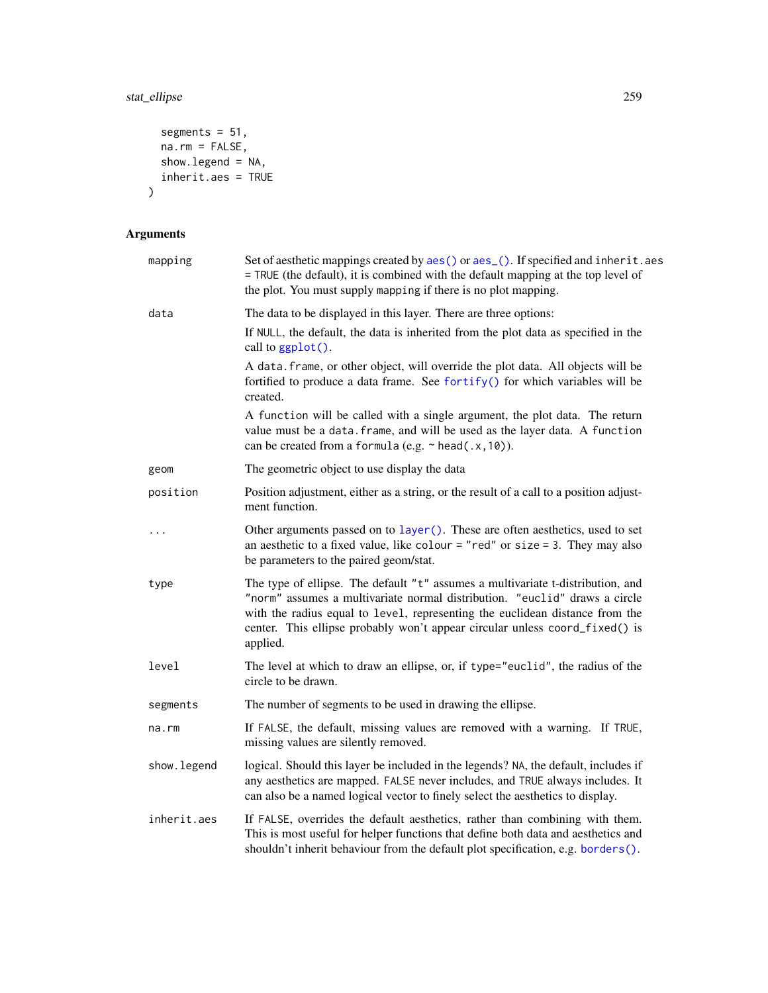# <span id="page-258-0"></span>stat\_ellipse 259

```
segments = 51,
 na.rm = FALSE,show.legend = NA,
 inherit.aes = TRUE
)
```
# Arguments

| Set of aesthetic mappings created by aes() or aes_(). If specified and inherit.aes<br>mapping<br>= TRUE (the default), it is combined with the default mapping at the top level of<br>the plot. You must supply mapping if there is no plot mapping. |                                                                                                                                                                                                                                                                                                                                          |  |
|------------------------------------------------------------------------------------------------------------------------------------------------------------------------------------------------------------------------------------------------------|------------------------------------------------------------------------------------------------------------------------------------------------------------------------------------------------------------------------------------------------------------------------------------------------------------------------------------------|--|
| data                                                                                                                                                                                                                                                 | The data to be displayed in this layer. There are three options:                                                                                                                                                                                                                                                                         |  |
|                                                                                                                                                                                                                                                      | If NULL, the default, the data is inherited from the plot data as specified in the<br>call to ggplot().                                                                                                                                                                                                                                  |  |
|                                                                                                                                                                                                                                                      | A data. frame, or other object, will override the plot data. All objects will be<br>fortified to produce a data frame. See fortify() for which variables will be<br>created.                                                                                                                                                             |  |
|                                                                                                                                                                                                                                                      | A function will be called with a single argument, the plot data. The return<br>value must be a data. frame, and will be used as the layer data. A function<br>can be created from a formula (e.g. $\sim$ head(.x, 10)).                                                                                                                  |  |
| geom                                                                                                                                                                                                                                                 | The geometric object to use display the data                                                                                                                                                                                                                                                                                             |  |
| position                                                                                                                                                                                                                                             | Position adjustment, either as a string, or the result of a call to a position adjust-<br>ment function.                                                                                                                                                                                                                                 |  |
| $\ddotsc$                                                                                                                                                                                                                                            | Other arguments passed on to layer (). These are often aesthetics, used to set<br>an aesthetic to a fixed value, like colour = "red" or size = 3. They may also<br>be parameters to the paired geom/stat.                                                                                                                                |  |
| type                                                                                                                                                                                                                                                 | The type of ellipse. The default "t" assumes a multivariate t-distribution, and<br>"norm" assumes a multivariate normal distribution. "euclid" draws a circle<br>with the radius equal to level, representing the euclidean distance from the<br>center. This ellipse probably won't appear circular unless coord_fixed() is<br>applied. |  |
| The level at which to draw an ellipse, or, if type="euclid", the radius of the<br>level<br>circle to be drawn.                                                                                                                                       |                                                                                                                                                                                                                                                                                                                                          |  |
| segments                                                                                                                                                                                                                                             | The number of segments to be used in drawing the ellipse.                                                                                                                                                                                                                                                                                |  |
| na.rm                                                                                                                                                                                                                                                | If FALSE, the default, missing values are removed with a warning. If TRUE,<br>missing values are silently removed.                                                                                                                                                                                                                       |  |
| show.legend                                                                                                                                                                                                                                          | logical. Should this layer be included in the legends? NA, the default, includes if<br>any aesthetics are mapped. FALSE never includes, and TRUE always includes. It<br>can also be a named logical vector to finely select the aesthetics to display.                                                                                   |  |
| inherit.aes                                                                                                                                                                                                                                          | If FALSE, overrides the default aesthetics, rather than combining with them.<br>This is most useful for helper functions that define both data and aesthetics and<br>shouldn't inherit behaviour from the default plot specification, e.g. borders().                                                                                    |  |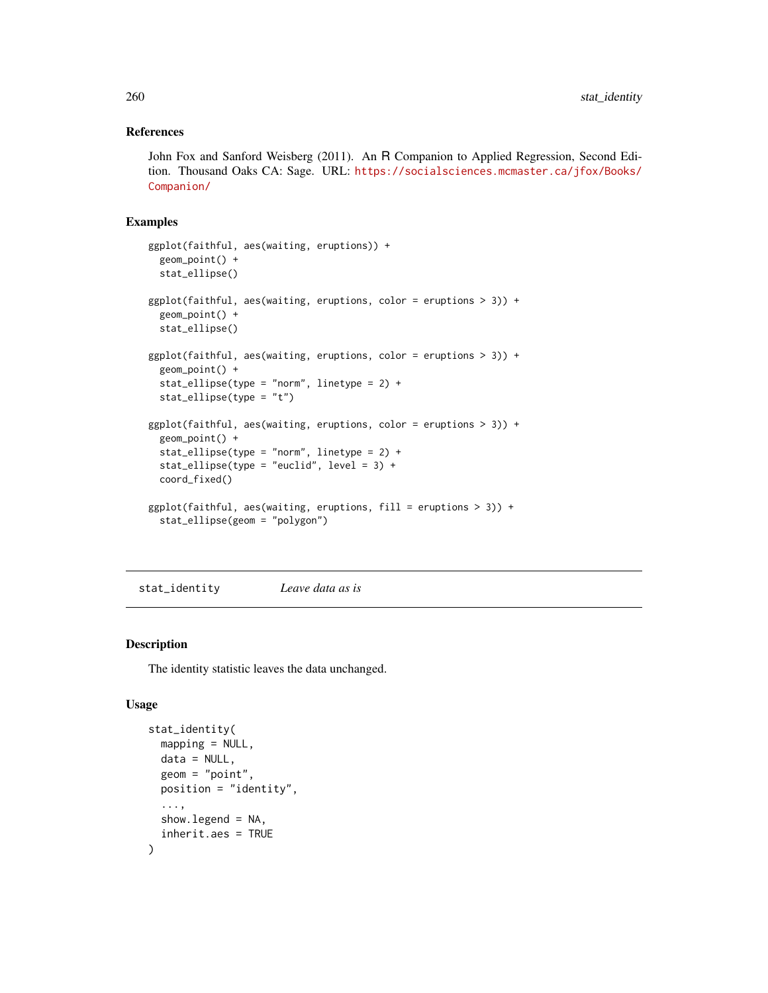#### References

John Fox and Sanford Weisberg (2011). An R Companion to Applied Regression, Second Edition. Thousand Oaks CA: Sage. URL: [https://socialsciences.mcmaster.ca/jfox/Books/](https://socialsciences.mcmaster.ca/jfox/Books/Companion/) [Companion/](https://socialsciences.mcmaster.ca/jfox/Books/Companion/)

# Examples

```
ggplot(faithful, aes(waiting, eruptions)) +
 geom_point() +
 stat_ellipse()
ggplot(faithful, aes(waiting, eruptions, color = eruptions > 3)) +
 geom_point() +
 stat_ellipse()
ggplot(faithful, aes(waiting, eruptions, color = eruptions > 3)) +geom_point() +
 stat_ellipse(type = "norm", linetype = 2) +
 stat_ellipse(type = "t")
ggplot(faithful, aes(waiting, eruptions, color = eruptions > 3)) +geom_point() +
 stat_ellipse(type = "norm", linetype = 2) +
 stat_ellipse(type = "euclid", level = 3) +
 coord_fixed()
ggplot(faithful, aes(waiting, eruptions, fill = eruptions > 3)) +
 stat_ellipse(geom = "polygon")
```
stat\_identity *Leave data as is*

#### Description

The identity statistic leaves the data unchanged.

#### Usage

```
stat_identity(
 mapping = NULL,
  data = NULL,geom = "point",position = "identity",
  ...,
  show.legend = NA,
  inherit.aes = TRUE
)
```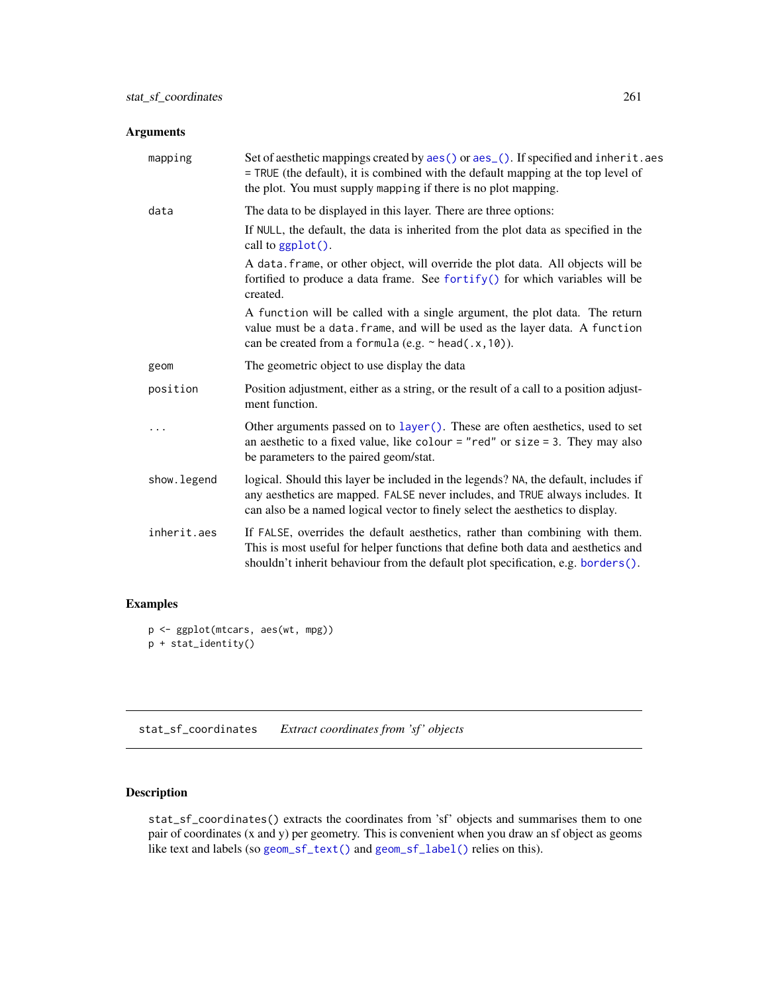# <span id="page-260-0"></span>Arguments

| mapping                                                                                                                                                                                                                                                              | Set of aesthetic mappings created by aes() or aes_(). If specified and inherit.aes<br>= TRUE (the default), it is combined with the default mapping at the top level of<br>the plot. You must supply mapping if there is no plot mapping.              |
|----------------------------------------------------------------------------------------------------------------------------------------------------------------------------------------------------------------------------------------------------------------------|--------------------------------------------------------------------------------------------------------------------------------------------------------------------------------------------------------------------------------------------------------|
| data                                                                                                                                                                                                                                                                 | The data to be displayed in this layer. There are three options:                                                                                                                                                                                       |
|                                                                                                                                                                                                                                                                      | If NULL, the default, the data is inherited from the plot data as specified in the<br>call to ggplot().                                                                                                                                                |
|                                                                                                                                                                                                                                                                      | A data. frame, or other object, will override the plot data. All objects will be<br>fortified to produce a data frame. See fortify() for which variables will be<br>created.                                                                           |
|                                                                                                                                                                                                                                                                      | A function will be called with a single argument, the plot data. The return<br>value must be a data. frame, and will be used as the layer data. A function<br>can be created from a formula (e.g. $\sim$ head(.x, 10)).                                |
| geom                                                                                                                                                                                                                                                                 | The geometric object to use display the data                                                                                                                                                                                                           |
| position                                                                                                                                                                                                                                                             | Position adjustment, either as a string, or the result of a call to a position adjust-<br>ment function.                                                                                                                                               |
|                                                                                                                                                                                                                                                                      | Other arguments passed on to layer(). These are often aesthetics, used to set<br>an aesthetic to a fixed value, like colour = "red" or size = 3. They may also<br>be parameters to the paired geom/stat.                                               |
| show. legend                                                                                                                                                                                                                                                         | logical. Should this layer be included in the legends? NA, the default, includes if<br>any aesthetics are mapped. FALSE never includes, and TRUE always includes. It<br>can also be a named logical vector to finely select the aesthetics to display. |
| inherit.aes<br>If FALSE, overrides the default aesthetics, rather than combining with them.<br>This is most useful for helper functions that define both data and aesthetics and<br>shouldn't inherit behaviour from the default plot specification, e.g. borders(). |                                                                                                                                                                                                                                                        |

# Examples

```
p <- ggplot(mtcars, aes(wt, mpg))
p + stat_identity()
```
stat\_sf\_coordinates *Extract coordinates from 'sf ' objects*

# Description

stat\_sf\_coordinates() extracts the coordinates from 'sf' objects and summarises them to one pair of coordinates (x and y) per geometry. This is convenient when you draw an sf object as geoms like text and labels (so [geom\\_sf\\_text\(\)](#page-27-0) and [geom\\_sf\\_label\(\)](#page-27-0) relies on this).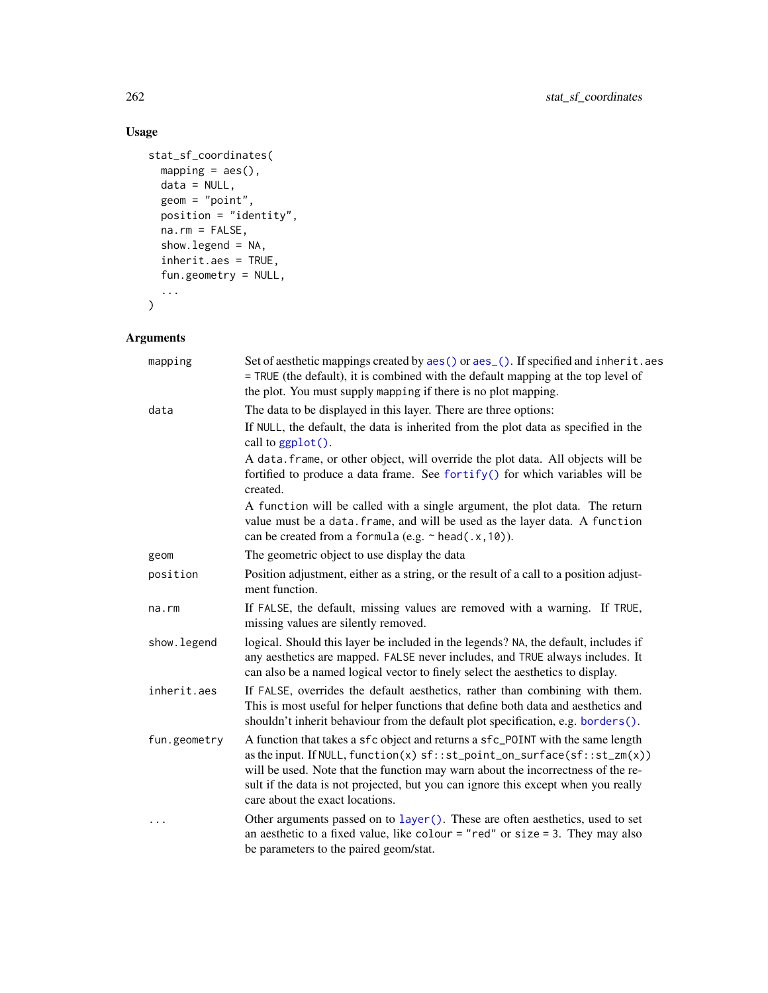# Usage

```
stat_sf_coordinates(
  mapping = acs(),
 data = NULL,geom = "point",
  position = "identity",
  na.rm = FALSE,show.legend = NA,
  inherit.aes = TRUE,
  fun.geometry = NULL,
  ...
\mathcal{L}
```
# Arguments

| mapping      | Set of aesthetic mappings created by aes() or aes_(). If specified and inherit.aes<br>= TRUE (the default), it is combined with the default mapping at the top level of<br>the plot. You must supply mapping if there is no plot mapping.                                                                                                                                 |  |
|--------------|---------------------------------------------------------------------------------------------------------------------------------------------------------------------------------------------------------------------------------------------------------------------------------------------------------------------------------------------------------------------------|--|
| data         | The data to be displayed in this layer. There are three options:                                                                                                                                                                                                                                                                                                          |  |
|              | If NULL, the default, the data is inherited from the plot data as specified in the<br>call to $ggplot()$ .                                                                                                                                                                                                                                                                |  |
|              | A data. frame, or other object, will override the plot data. All objects will be<br>fortified to produce a data frame. See fortify() for which variables will be<br>created.                                                                                                                                                                                              |  |
|              | A function will be called with a single argument, the plot data. The return<br>value must be a data. frame, and will be used as the layer data. A function<br>can be created from a formula (e.g. $\sim$ head(.x, 10)).                                                                                                                                                   |  |
| geom         | The geometric object to use display the data                                                                                                                                                                                                                                                                                                                              |  |
| position     | Position adjustment, either as a string, or the result of a call to a position adjust-<br>ment function.                                                                                                                                                                                                                                                                  |  |
| na.rm        | If FALSE, the default, missing values are removed with a warning. If TRUE,<br>missing values are silently removed.                                                                                                                                                                                                                                                        |  |
| show. legend | logical. Should this layer be included in the legends? NA, the default, includes if<br>any aesthetics are mapped. FALSE never includes, and TRUE always includes. It<br>can also be a named logical vector to finely select the aesthetics to display.                                                                                                                    |  |
| inherit.aes  | If FALSE, overrides the default aesthetics, rather than combining with them.<br>This is most useful for helper functions that define both data and aesthetics and<br>shouldn't inherit behaviour from the default plot specification, e.g. borders().                                                                                                                     |  |
| fun.geometry | A function that takes a sfc object and returns a sfc_POINT with the same length<br>as the input. If NULL, function(x) sf:: st_point_on_surface(sf:: st_zm(x))<br>will be used. Note that the function may warn about the incorrectness of the re-<br>sult if the data is not projected, but you can ignore this except when you really<br>care about the exact locations. |  |
| $\cdots$     | Other arguments passed on to layer (). These are often aesthetics, used to set<br>an aesthetic to a fixed value, like colour = "red" or size = 3. They may also<br>be parameters to the paired geom/stat.                                                                                                                                                                 |  |
|              |                                                                                                                                                                                                                                                                                                                                                                           |  |

<span id="page-261-0"></span>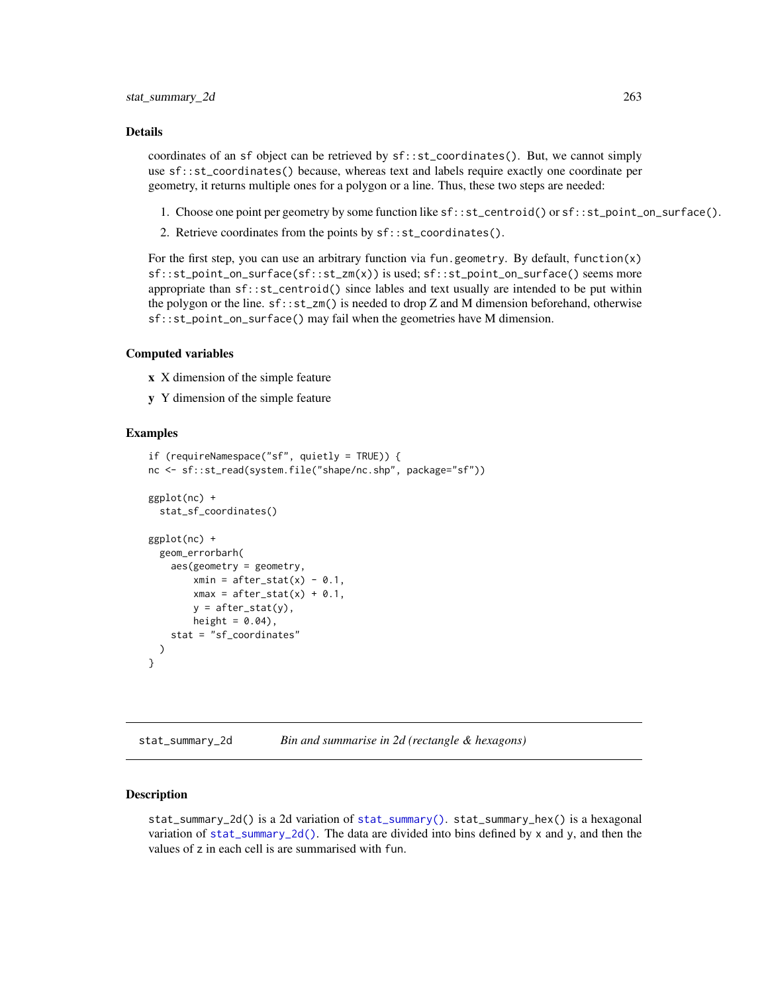#### Details

coordinates of an sf object can be retrieved by sf::st\_coordinates(). But, we cannot simply use sf::st\_coordinates() because, whereas text and labels require exactly one coordinate per geometry, it returns multiple ones for a polygon or a line. Thus, these two steps are needed:

- 1. Choose one point per geometry by some function like sf::st\_centroid() or sf::st\_point\_on\_surface().
- 2. Retrieve coordinates from the points by sf::st\_coordinates().

For the first step, you can use an arbitrary function via fun.geometry. By default, function(x) sf::st\_point\_on\_surface(sf::st\_zm(x)) is used; sf::st\_point\_on\_surface() seems more appropriate than sf::st\_centroid() since lables and text usually are intended to be put within the polygon or the line.  $sf::st\_zm()$  is needed to drop Z and M dimension beforehand, otherwise sf::st\_point\_on\_surface() may fail when the geometries have M dimension.

#### Computed variables

- x X dimension of the simple feature
- y Y dimension of the simple feature

#### Examples

```
if (requireNamespace("sf", quietly = TRUE)) {
nc <- sf::st_read(system.file("shape/nc.shp", package="sf"))
ggplot(nc) +
 stat_sf_coordinates()
ggplot(nc) +
 geom_errorbarh(
    aes(geometry = geometry,
        xmin = after\_stat(x) - 0.1,
        xmax = after_stat(x) + 0.1,
        y = after_stat(y),
        height = 0.04),
    stat = "sf_coordinates"
 )
}
```
<span id="page-262-0"></span>stat\_summary\_2d *Bin and summarise in 2d (rectangle & hexagons)*

#### <span id="page-262-1"></span>Description

stat\_summary\_2d() is a 2d variation of [stat\\_summary\(\)](#page-265-0). stat\_summary\_hex() is a hexagonal variation of [stat\\_summary\\_2d\(\)](#page-262-0). The data are divided into bins defined by  $x$  and  $y$ , and then the values of z in each cell is are summarised with fun.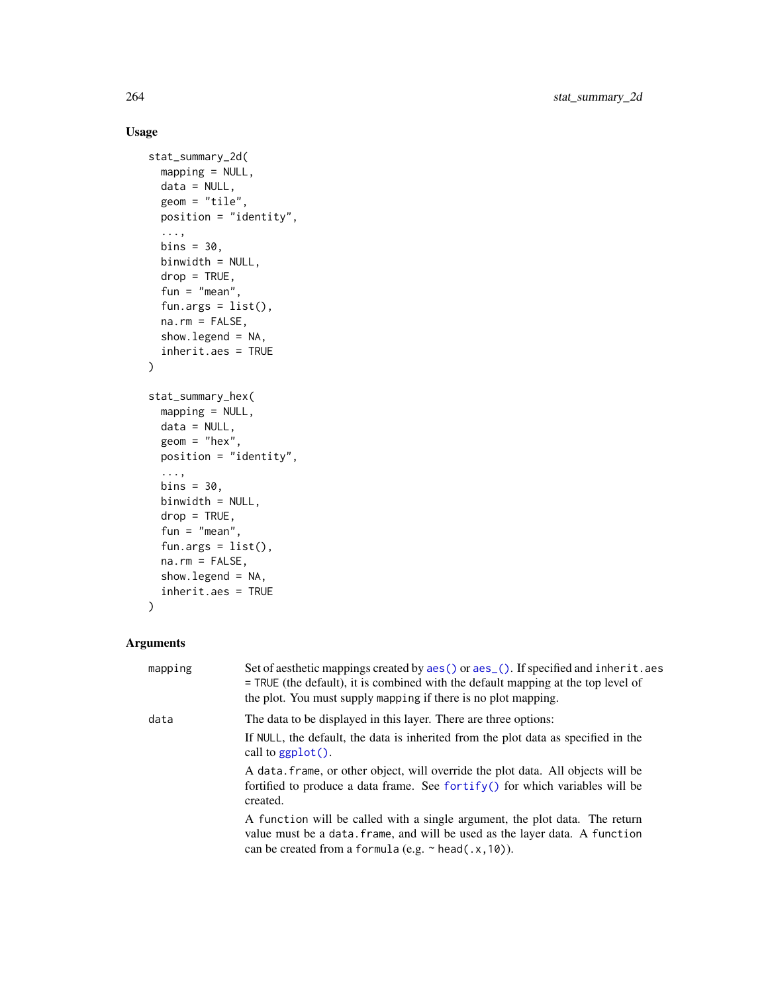# Usage

```
stat_summary_2d(
  mapping = NULL,
 data = NULL,geom = "tile",
 position = "identity",
  ...,
 bins = 30,
 binwidth = NULL,
  drop = TRUE,fun = "mean",
  fun.args = list(),
 na.rm = FALSE,show.legend = NA,
  inherit.aes = TRUE
\mathcal{L}stat_summary_hex(
 mapping = NULL,
 data = NULL,geom = "hex",position = "identity",
  ...,
 bins = 30,
 binwidth = NULL,
  drop = TRUE,fun = "mean",fun.args = list(),
  na.rm = FALSE,show.legend = NA,
  inherit.aes = TRUE
\mathcal{L}
```
# Arguments

| mapping | Set of aesthetic mappings created by aes () or aes (). If specified and inherit. aes<br>$=$ TRUE (the default), it is combined with the default mapping at the top level of<br>the plot. You must supply mapping if there is no plot mapping. |
|---------|-----------------------------------------------------------------------------------------------------------------------------------------------------------------------------------------------------------------------------------------------|
| data    | The data to be displayed in this layer. There are three options:                                                                                                                                                                              |
|         | If NULL, the default, the data is inherited from the plot data as specified in the<br>call to $graph()$ .                                                                                                                                     |
|         | A data frame, or other object, will override the plot data. All objects will be<br>fortified to produce a data frame. See for $\text{trify}()$ for which variables will be<br>created.                                                        |
|         | A function will be called with a single argument, the plot data. The return<br>value must be a data. frame, and will be used as the layer data. A function<br>can be created from a formula (e.g. $\sim$ head(.x, 10)).                       |

<span id="page-263-0"></span>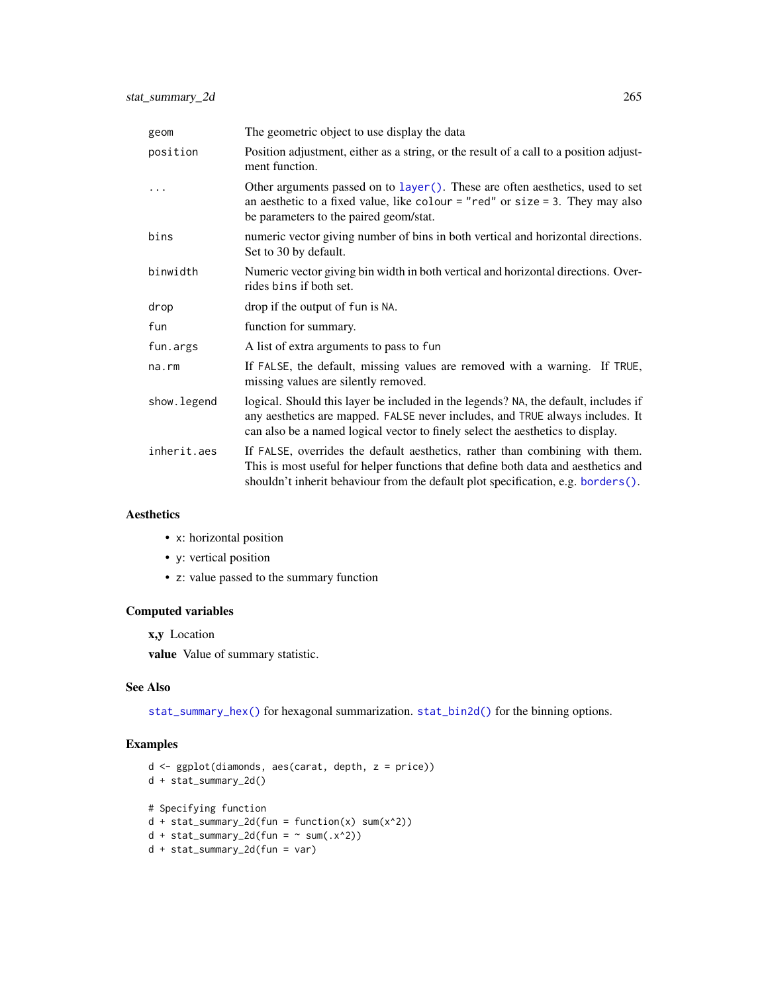<span id="page-264-0"></span>

| geom         | The geometric object to use display the data                                                                                                                                                                                                           |  |
|--------------|--------------------------------------------------------------------------------------------------------------------------------------------------------------------------------------------------------------------------------------------------------|--|
| position     | Position adjustment, either as a string, or the result of a call to a position adjust-<br>ment function.                                                                                                                                               |  |
|              | Other arguments passed on to layer (). These are often aesthetics, used to set<br>an aesthetic to a fixed value, like colour = "red" or size = 3. They may also<br>be parameters to the paired geom/stat.                                              |  |
| bins         | numeric vector giving number of bins in both vertical and horizontal directions.<br>Set to 30 by default.                                                                                                                                              |  |
| binwidth     | Numeric vector giving bin width in both vertical and horizontal directions. Over-<br>rides bins if both set.                                                                                                                                           |  |
| drop         | drop if the output of fun is NA.                                                                                                                                                                                                                       |  |
| fun          | function for summary.                                                                                                                                                                                                                                  |  |
| fun.args     | A list of extra arguments to pass to fun                                                                                                                                                                                                               |  |
| $na$ . $rm$  | If FALSE, the default, missing values are removed with a warning. If TRUE,<br>missing values are silently removed.                                                                                                                                     |  |
| show. legend | logical. Should this layer be included in the legends? NA, the default, includes if<br>any aesthetics are mapped. FALSE never includes, and TRUE always includes. It<br>can also be a named logical vector to finely select the aesthetics to display. |  |
| inherit.aes  | If FALSE, overrides the default aesthetics, rather than combining with them.<br>This is most useful for helper functions that define both data and aesthetics and<br>shouldn't inherit behaviour from the default plot specification, e.g. borders().  |  |

### Aesthetics

- x: horizontal position
- y: vertical position
- z: value passed to the summary function

# Computed variables

x,y Location

value Value of summary statistic.

#### See Also

[stat\\_summary\\_hex\(\)](#page-262-1) for hexagonal summarization. [stat\\_bin2d\(\)](#page-61-0) for the binning options.

# Examples

```
d <- ggplot(diamonds, aes(carat, depth, z = price))
d + stat_summary_2d()
# Specifying function
d + stat_summary_2d(fun = function(x) sum(x^2))d + stat\_summary_2d(fun = ~ sum(.x^2))d + stat_summary_2d(fun = var)
```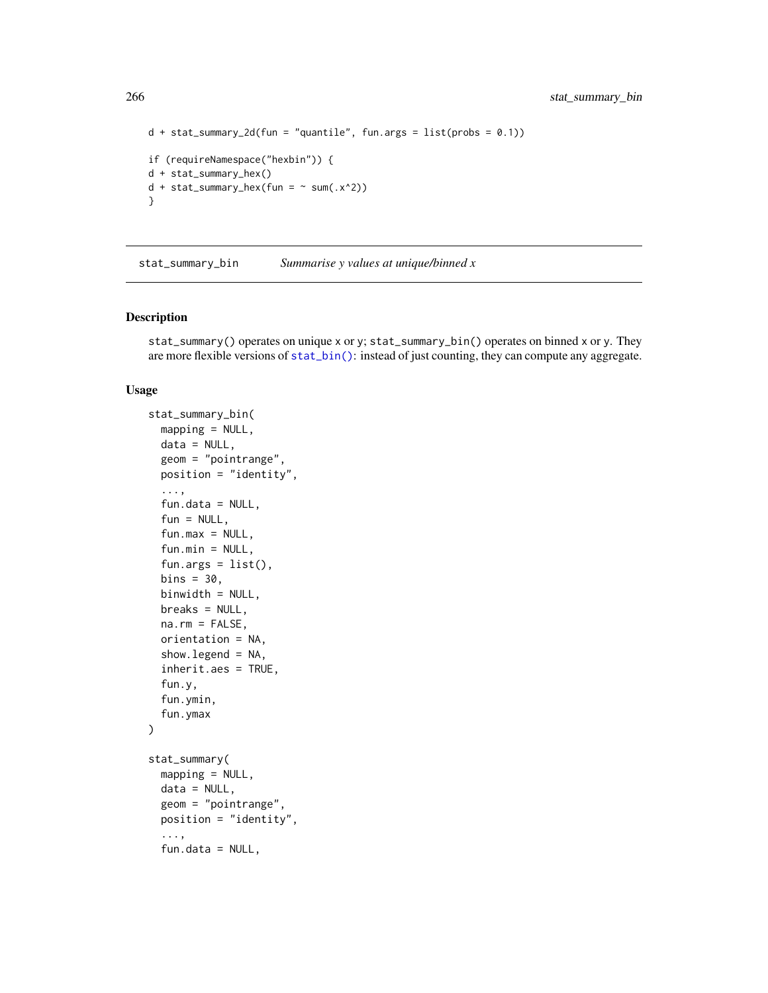```
d + stat_summary_2d(fun = "quantile", fun.args = list(probs = 0.1))if (requireNamespace("hexbin")) {
d + stat_summary_hex()
d + stat\_summary\_hex(fun = ~ sum(.x^2))}
```
stat\_summary\_bin *Summarise y values at unique/binned x*

#### <span id="page-265-0"></span>Description

stat\_summary() operates on unique x or y; stat\_summary\_bin() operates on binned x or y. They are more flexible versions of [stat\\_bin\(\)](#page-93-0): instead of just counting, they can compute any aggregate.

#### Usage

```
stat_summary_bin(
  mapping = NULL,data = NULL,geom = "pointrange",
 position = "identity",
  ...,
  fun.data = NULL,fun = NULL,fun.max = NULL,fun.min = NULL,fun.args = list(),
  bins = 30,
  binwidth = NULL,
  breaks = NULL,
  na.rm = FALSE,orientation = NA,
  show.legend = NA,
  inherit.aes = TRUE,
  fun.y,
  fun.ymin,
  fun.ymax
)
stat_summary(
  mapping = NULL,data = NULL,
  geom = "pointrange",
 position = "identity",
  ...,
  fun.data = NULL,
```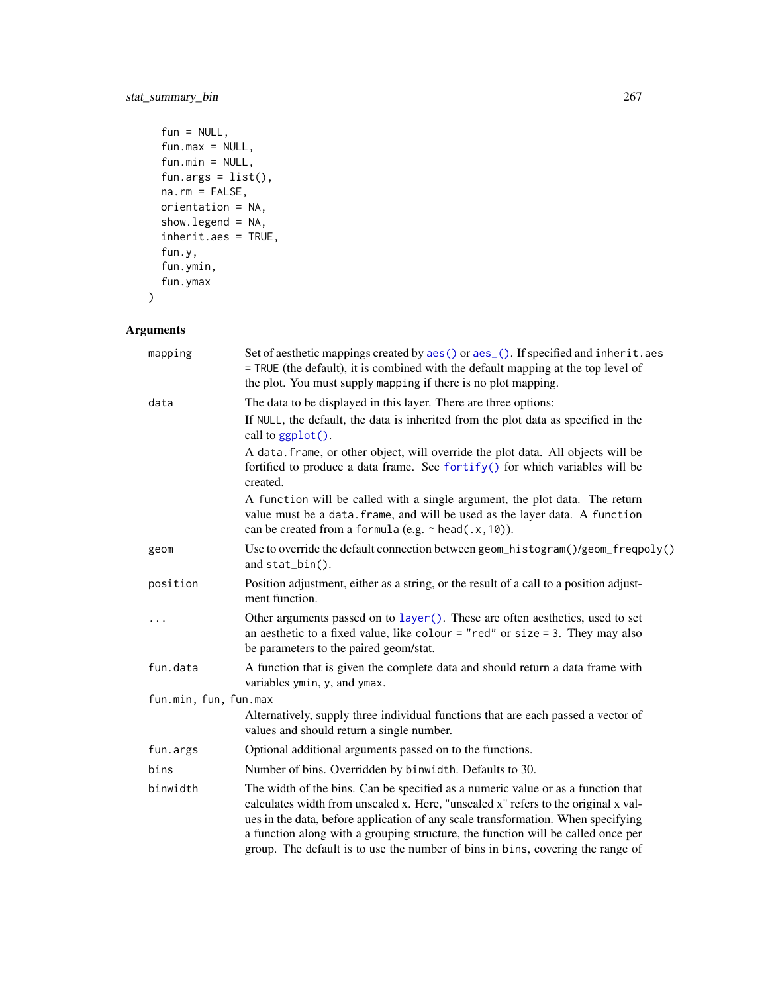```
fun = NULL,fun.max = NULL,fun.min = NULL,
 fun.args = list(),
 na.rm = FALSE,orientation = NA,
  show.legend = NA,
  inherit.aes = TRUE,
  fun.y,
  fun.ymin,
  fun.ymax
\mathcal{L}
```
# Arguments

| mapping               | Set of aesthetic mappings created by aes() or aes_(). If specified and inherit.aes<br>= TRUE (the default), it is combined with the default mapping at the top level of<br>the plot. You must supply mapping if there is no plot mapping.                                                                                                                                                                                        |
|-----------------------|----------------------------------------------------------------------------------------------------------------------------------------------------------------------------------------------------------------------------------------------------------------------------------------------------------------------------------------------------------------------------------------------------------------------------------|
| data                  | The data to be displayed in this layer. There are three options:                                                                                                                                                                                                                                                                                                                                                                 |
|                       | If NULL, the default, the data is inherited from the plot data as specified in the<br>call to ggplot().                                                                                                                                                                                                                                                                                                                          |
|                       | A data. frame, or other object, will override the plot data. All objects will be<br>fortified to produce a data frame. See fortify() for which variables will be<br>created.                                                                                                                                                                                                                                                     |
|                       | A function will be called with a single argument, the plot data. The return<br>value must be a data. frame, and will be used as the layer data. A function<br>can be created from a formula (e.g. $\sim$ head(.x, 10)).                                                                                                                                                                                                          |
| geom                  | Use to override the default connection between geom_histogram()/geom_freqpoly()<br>and stat_bin().                                                                                                                                                                                                                                                                                                                               |
| position              | Position adjustment, either as a string, or the result of a call to a position adjust-<br>ment function.                                                                                                                                                                                                                                                                                                                         |
|                       | Other arguments passed on to layer (). These are often aesthetics, used to set<br>an aesthetic to a fixed value, like colour = "red" or size = 3. They may also<br>be parameters to the paired geom/stat.                                                                                                                                                                                                                        |
| fun.data              | A function that is given the complete data and should return a data frame with<br>variables ymin, y, and ymax.                                                                                                                                                                                                                                                                                                                   |
| fun.min, fun, fun.max |                                                                                                                                                                                                                                                                                                                                                                                                                                  |
|                       | Alternatively, supply three individual functions that are each passed a vector of<br>values and should return a single number.                                                                                                                                                                                                                                                                                                   |
| fun.args              | Optional additional arguments passed on to the functions.                                                                                                                                                                                                                                                                                                                                                                        |
| bins                  | Number of bins. Overridden by binwidth. Defaults to 30.                                                                                                                                                                                                                                                                                                                                                                          |
| binwidth              | The width of the bins. Can be specified as a numeric value or as a function that<br>calculates width from unscaled x. Here, "unscaled x" refers to the original x val-<br>ues in the data, before application of any scale transformation. When specifying<br>a function along with a grouping structure, the function will be called once per<br>group. The default is to use the number of bins in bins, covering the range of |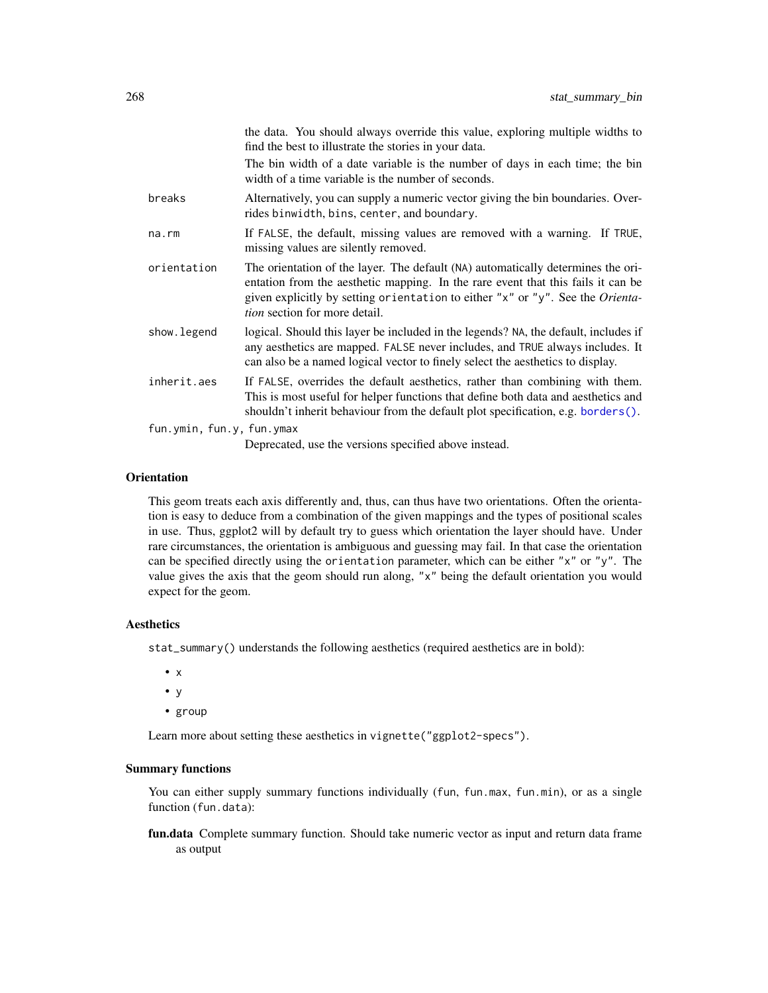<span id="page-267-0"></span>

|                           | the data. You should always override this value, exploring multiple widths to<br>find the best to illustrate the stories in your data.                                                                                                                                                         |  |
|---------------------------|------------------------------------------------------------------------------------------------------------------------------------------------------------------------------------------------------------------------------------------------------------------------------------------------|--|
|                           | The bin width of a date variable is the number of days in each time; the bin<br>width of a time variable is the number of seconds.                                                                                                                                                             |  |
| breaks                    | Alternatively, you can supply a numeric vector giving the bin boundaries. Over-<br>rides binwidth, bins, center, and boundary.                                                                                                                                                                 |  |
| na.rm                     | If FALSE, the default, missing values are removed with a warning. If TRUE,<br>missing values are silently removed.                                                                                                                                                                             |  |
| orientation               | The orientation of the layer. The default (NA) automatically determines the ori-<br>entation from the aesthetic mapping. In the rare event that this fails it can be<br>given explicitly by setting orientation to either "x" or "y". See the Orienta-<br><i>tion</i> section for more detail. |  |
| show.legend               | logical. Should this layer be included in the legends? NA, the default, includes if<br>any aesthetics are mapped. FALSE never includes, and TRUE always includes. It<br>can also be a named logical vector to finely select the aesthetics to display.                                         |  |
| inherit.aes               | If FALSE, overrides the default aesthetics, rather than combining with them.<br>This is most useful for helper functions that define both data and aesthetics and<br>shouldn't inherit behaviour from the default plot specification, e.g. borders().                                          |  |
| fun.ymin, fun.y, fun.ymax |                                                                                                                                                                                                                                                                                                |  |

Deprecated, use the versions specified above instead.

#### **Orientation**

This geom treats each axis differently and, thus, can thus have two orientations. Often the orientation is easy to deduce from a combination of the given mappings and the types of positional scales in use. Thus, ggplot2 will by default try to guess which orientation the layer should have. Under rare circumstances, the orientation is ambiguous and guessing may fail. In that case the orientation can be specified directly using the orientation parameter, which can be either "x" or "y". The value gives the axis that the geom should run along, "x" being the default orientation you would expect for the geom.

#### Aesthetics

stat\_summary() understands the following aesthetics (required aesthetics are in bold):

- $\bullet$  x
- y
- group

Learn more about setting these aesthetics in vignette("ggplot2-specs").

# Summary functions

You can either supply summary functions individually (fun, fun.max, fun.min), or as a single function (fun.data):

fun.data Complete summary function. Should take numeric vector as input and return data frame as output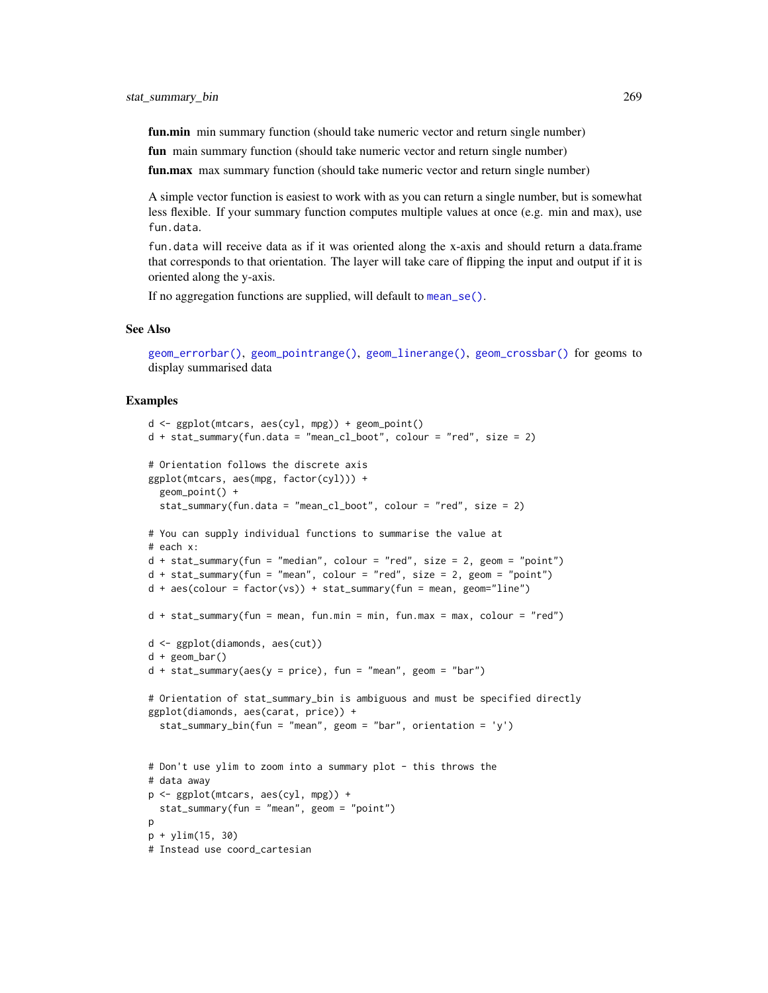<span id="page-268-0"></span>fun.min min summary function (should take numeric vector and return single number)

fun main summary function (should take numeric vector and return single number)

fun.max max summary function (should take numeric vector and return single number)

A simple vector function is easiest to work with as you can return a single number, but is somewhat less flexible. If your summary function computes multiple values at once (e.g. min and max), use fun.data.

fun.data will receive data as if it was oriented along the x-axis and should return a data.frame that corresponds to that orientation. The layer will take care of flipping the input and output if it is oriented along the y-axis.

If no aggregation functions are supplied, will default to [mean\\_se\(\)](#page-187-0).

### See Also

```
geom_errorbar(), geom_pointrange(), geom_linerange(), geom_crossbar() for geoms to
display summarised data
```
#### Examples

```
d <- ggplot(mtcars, aes(cyl, mpg)) + geom_point()
d + stat_summary(fun.data = "mean_cl_boot", colour = "red", size = 2)
# Orientation follows the discrete axis
ggplot(mtcars, aes(mpg, factor(cyl))) +
  geom_point() +
  stat_summary(fun.data = "mean_cl_boot", colour = "red", size = 2)
# You can supply individual functions to summarise the value at
# each x:
d + stat\_summary(fun = "median", colour = "red", size = 2, geom = "point")d + stat\_summary(fun = "mean", colour = "red", size = 2, geom = "point")d + aes(colour = factor(vs)) + stat_summary(fun = mean, geom="line")d + stat_summary(fun = mean, fun.min = min, fun.max = max, colour = "red")
d <- ggplot(diamonds, aes(cut))
d + geom_bar()
d + stat\_summary(aes(y = price), fun = "mean", geom = "bar")# Orientation of stat_summary_bin is ambiguous and must be specified directly
ggplot(diamonds, aes(carat, price)) +
  stat_summary_bin(fun = "mean", geom = "bar", orientation = 'y')
# Don't use ylim to zoom into a summary plot - this throws the
# data away
p <- ggplot(mtcars, aes(cyl, mpg)) +
  stat_summary(fun = "mean", geom = "point")
p
p + ylim(15, 30)
# Instead use coord_cartesian
```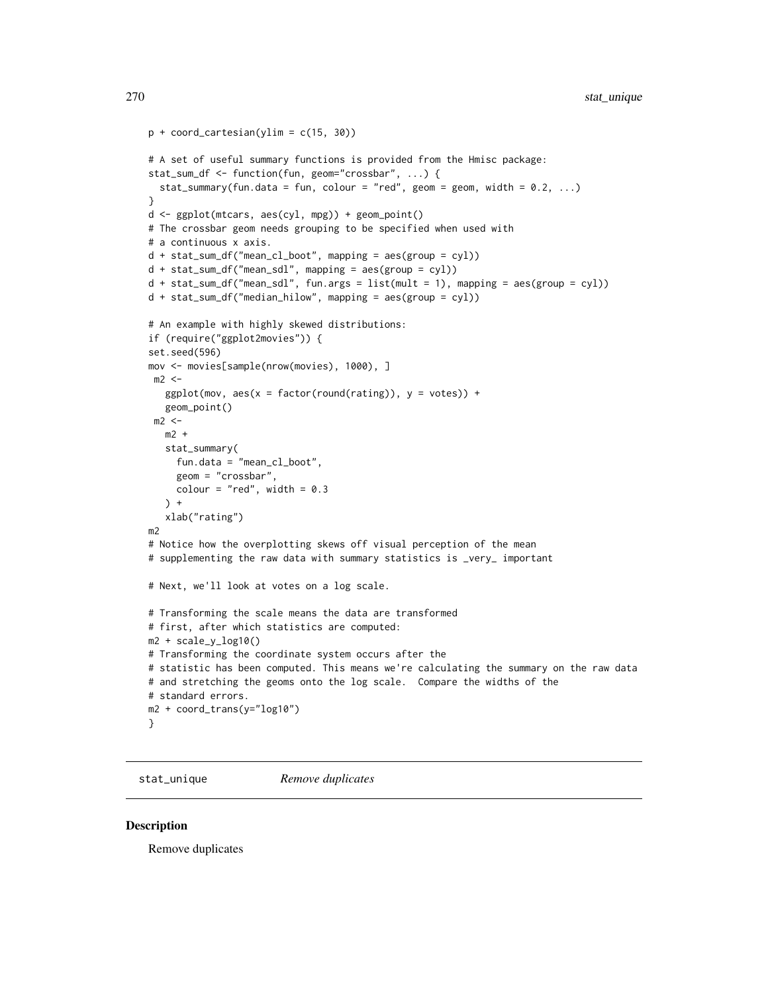```
p + coord_{cartesian(ylim = c(15, 30))}# A set of useful summary functions is provided from the Hmisc package:
stat_sum_df <- function(fun, geom="crossbar", ...) {
  stat_summary(fun.data = fun, colour = "red", geom = geom, width = 0.2, ...)
}
d <- ggplot(mtcars, aes(cyl, mpg)) + geom_point()
# The crossbar geom needs grouping to be specified when used with
# a continuous x axis.
d + stat_sum_df("mean_cl_boot", mapping = aes(group = cyl))
d + stat_sum_df("mean_sdl", mapping = aes(group = cyl))
d + stat_sum_df("mean_sdl", fun.args = list(mult = 1), mapping = aes(group = cyl))
d + stat_sum_df("median_hilow", mapping = aes(group = cyl))
# An example with highly skewed distributions:
if (require("ggplot2movies")) {
set.seed(596)
mov <- movies[sample(nrow(movies), 1000), ]
m2 < -ggplot(mov, aes(x = factor(round(rating)), y = votes)) +geom_point()
 m2 < -m2 +stat_summary(
     fun.data = "mean_cl_boot",
     geom = "crossbar",
     colour = "red", width = 0.3) +xlab("rating")
m2
# Notice how the overplotting skews off visual perception of the mean
# supplementing the raw data with summary statistics is _very_ important
# Next, we'll look at votes on a log scale.
# Transforming the scale means the data are transformed
# first, after which statistics are computed:
m2 + scale_y_log10()
# Transforming the coordinate system occurs after the
# statistic has been computed. This means we're calculating the summary on the raw data
# and stretching the geoms onto the log scale. Compare the widths of the
# standard errors.
m2 + coord_trans(y="log10")
}
```
stat\_unique *Remove duplicates*

#### Description

Remove duplicates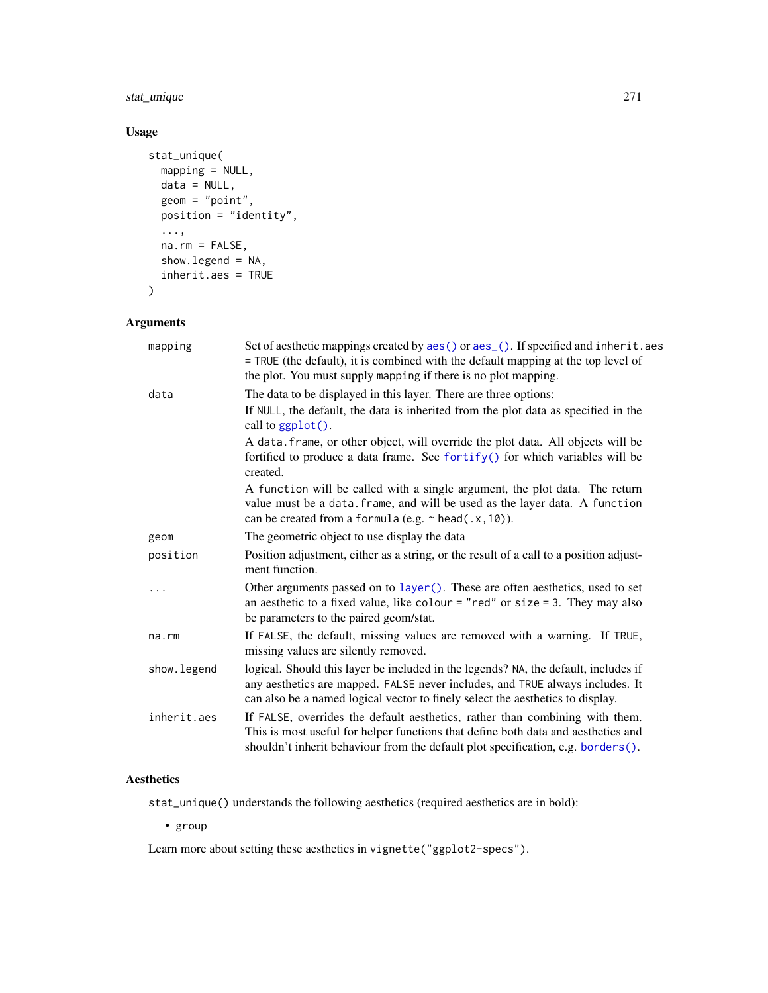# <span id="page-270-0"></span>stat\_unique 271

# Usage

```
stat_unique(
 mapping = NULL,
 data = NULL,
 geom = "point",
 position = "identity",
  ...,
 na.rm = FALSE,
 show.legend = NA,
 inherit.aes = TRUE
\mathcal{L}
```
# Arguments

| Set of aesthetic mappings created by aes() or aes_(). If specified and inherit.aes<br>mapping<br>= TRUE (the default), it is combined with the default mapping at the top level of<br>the plot. You must supply mapping if there is no plot mapping. |                                                                                                                                                                                                                                                        |  |
|------------------------------------------------------------------------------------------------------------------------------------------------------------------------------------------------------------------------------------------------------|--------------------------------------------------------------------------------------------------------------------------------------------------------------------------------------------------------------------------------------------------------|--|
| data                                                                                                                                                                                                                                                 | The data to be displayed in this layer. There are three options:                                                                                                                                                                                       |  |
|                                                                                                                                                                                                                                                      | If NULL, the default, the data is inherited from the plot data as specified in the<br>call to $ggplot()$ .                                                                                                                                             |  |
|                                                                                                                                                                                                                                                      | A data. frame, or other object, will override the plot data. All objects will be<br>fortified to produce a data frame. See fortify() for which variables will be<br>created.                                                                           |  |
|                                                                                                                                                                                                                                                      | A function will be called with a single argument, the plot data. The return<br>value must be a data. frame, and will be used as the layer data. A function<br>can be created from a formula (e.g. $\sim$ head(.x, 10)).                                |  |
| geom                                                                                                                                                                                                                                                 | The geometric object to use display the data                                                                                                                                                                                                           |  |
| position                                                                                                                                                                                                                                             | Position adjustment, either as a string, or the result of a call to a position adjust-<br>ment function.                                                                                                                                               |  |
| .                                                                                                                                                                                                                                                    | Other arguments passed on to layer (). These are often aesthetics, used to set<br>an aesthetic to a fixed value, like colour = "red" or size = 3. They may also<br>be parameters to the paired geom/stat.                                              |  |
| na.rm                                                                                                                                                                                                                                                | If FALSE, the default, missing values are removed with a warning. If TRUE,<br>missing values are silently removed.                                                                                                                                     |  |
| show.legend                                                                                                                                                                                                                                          | logical. Should this layer be included in the legends? NA, the default, includes if<br>any aesthetics are mapped. FALSE never includes, and TRUE always includes. It<br>can also be a named logical vector to finely select the aesthetics to display. |  |
| inherit.aes                                                                                                                                                                                                                                          | If FALSE, overrides the default aesthetics, rather than combining with them.<br>This is most useful for helper functions that define both data and aesthetics and<br>shouldn't inherit behaviour from the default plot specification, e.g. borders().  |  |
|                                                                                                                                                                                                                                                      |                                                                                                                                                                                                                                                        |  |

# Aesthetics

stat\_unique() understands the following aesthetics (required aesthetics are in bold):

• group

Learn more about setting these aesthetics in vignette("ggplot2-specs").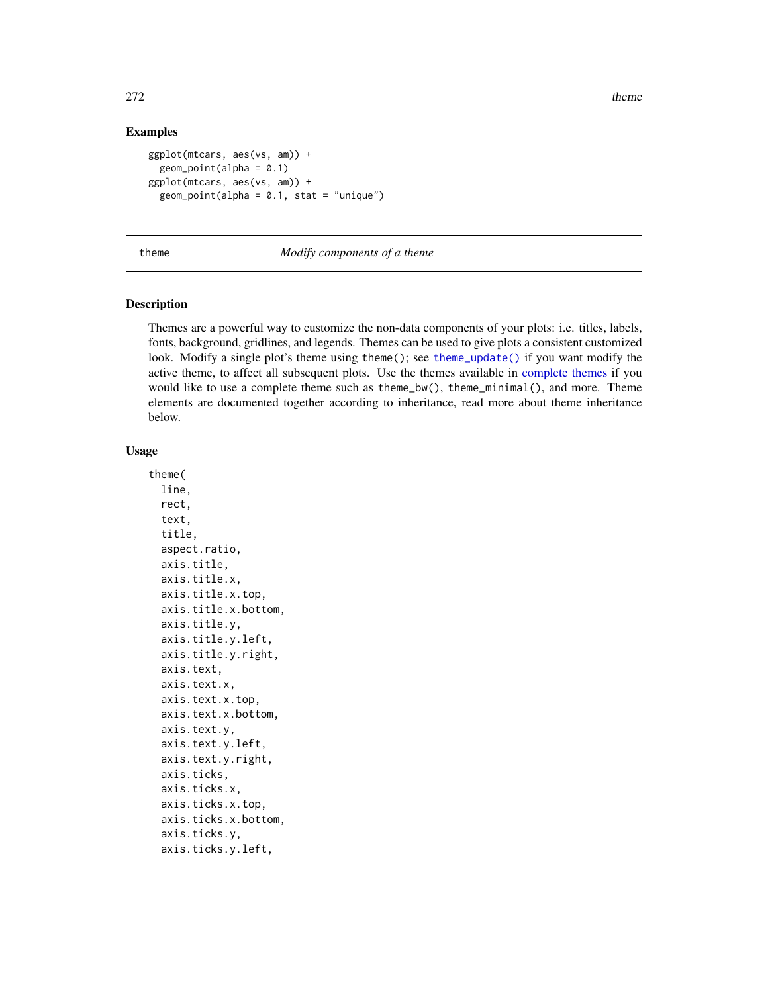### Examples

```
ggplot(mtcars, aes(vs, am)) +
 geom\_point(alpha = 0.1)ggplot(mtcars, aes(vs, am)) +
 geom\_point(alpha = 0.1, stat = "unique")
```
#### <span id="page-271-0"></span>theme *Modify components of a theme*

### **Description**

Themes are a powerful way to customize the non-data components of your plots: i.e. titles, labels, fonts, background, gridlines, and legends. Themes can be used to give plots a consistent customized look. Modify a single plot's theme using theme(); see [theme\\_update\(\)](#page-278-0) if you want modify the active theme, to affect all subsequent plots. Use the themes available in [complete themes](#page-156-0) if you would like to use a complete theme such as theme\_bw(), theme\_minimal(), and more. Theme elements are documented together according to inheritance, read more about theme inheritance below.

#### Usage

theme( line, rect, text, title, aspect.ratio, axis.title, axis.title.x, axis.title.x.top, axis.title.x.bottom, axis.title.y, axis.title.y.left, axis.title.y.right, axis.text, axis.text.x, axis.text.x.top, axis.text.x.bottom, axis.text.y, axis.text.y.left, axis.text.y.right, axis.ticks, axis.ticks.x, axis.ticks.x.top, axis.ticks.x.bottom, axis.ticks.y, axis.ticks.y.left,

<span id="page-271-1"></span>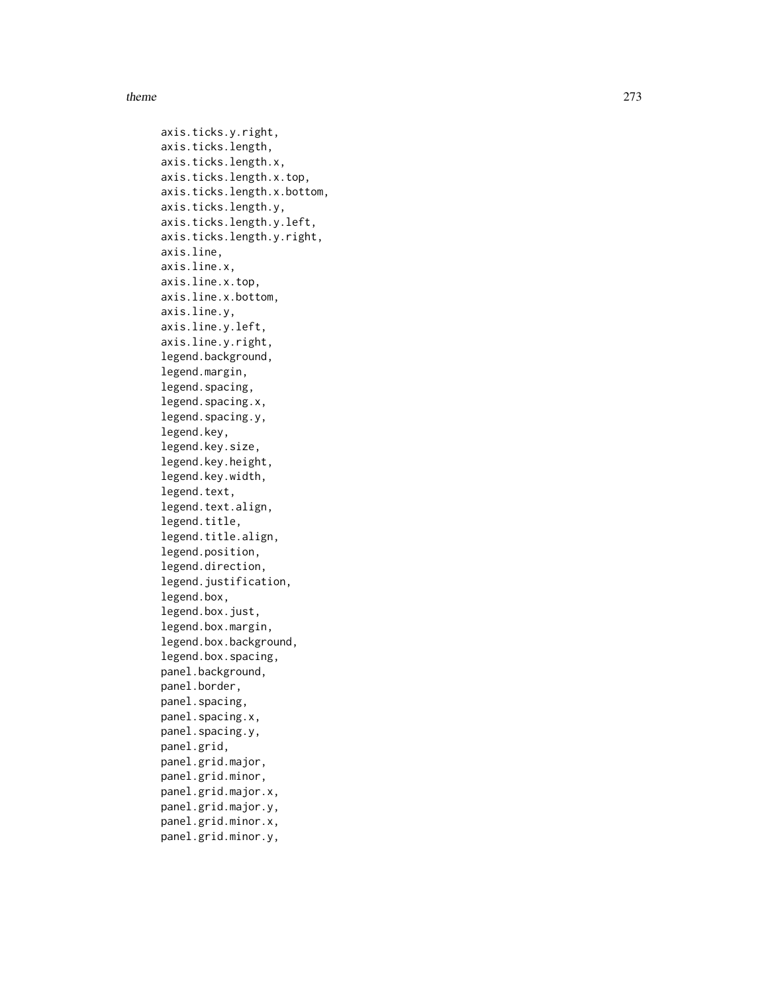#### theme 273

axis.ticks.y.right, axis.ticks.length, axis.ticks.length.x, axis.ticks.length.x.top, axis.ticks.length.x.bottom, axis.ticks.length.y, axis.ticks.length.y.left, axis.ticks.length.y.right, axis.line, axis.line.x, axis.line.x.top, axis.line.x.bottom, axis.line.y, axis.line.y.left, axis.line.y.right, legend.background, legend.margin, legend.spacing, legend.spacing.x, legend.spacing.y, legend.key, legend.key.size, legend.key.height, legend.key.width, legend.text, legend.text.align, legend.title, legend.title.align, legend.position, legend.direction, legend.justification, legend.box, legend.box.just, legend.box.margin, legend.box.background, legend.box.spacing, panel.background, panel.border, panel.spacing, panel.spacing.x, panel.spacing.y, panel.grid, panel.grid.major, panel.grid.minor, panel.grid.major.x, panel.grid.major.y, panel.grid.minor.x, panel.grid.minor.y,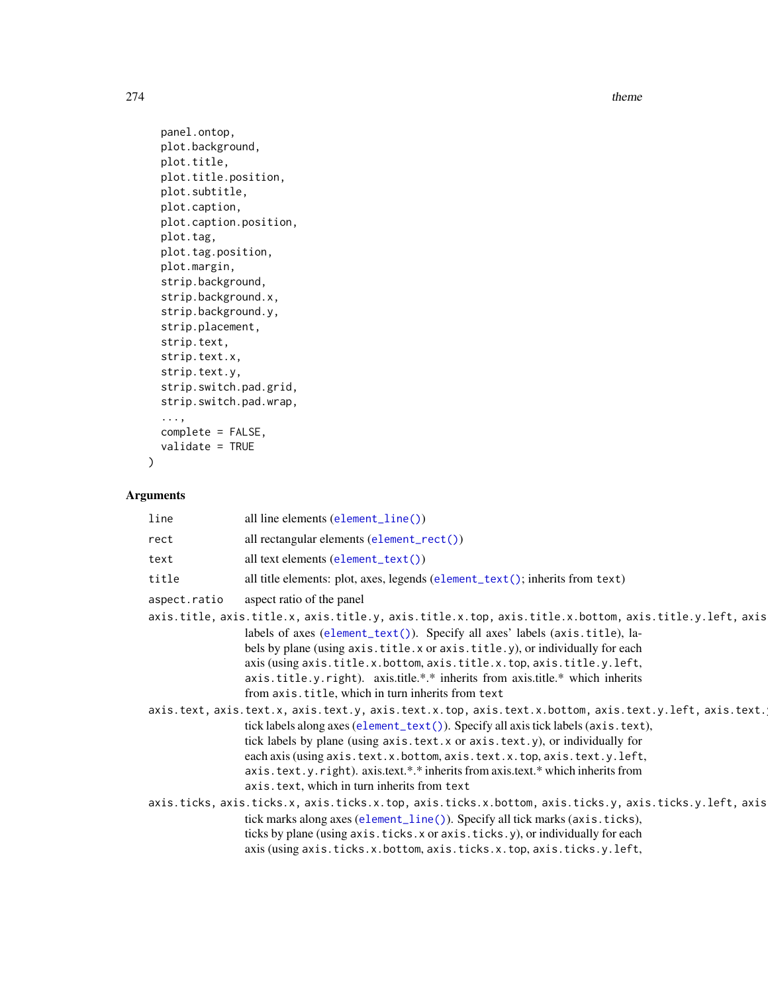274 theme and the state of the state of the state of the state of the state of the state of the state of the state of the state of the state of the state of the state of the state of the state of the state of the state of

```
panel.ontop,
plot.background,
plot.title,
plot.title.position,
plot.subtitle,
plot.caption,
plot.caption.position,
plot.tag,
plot.tag.position,
plot.margin,
strip.background,
strip.background.x,
strip.background.y,
strip.placement,
strip.text,
strip.text.x,
strip.text.y,
strip.switch.pad.grid,
strip.switch.pad.wrap,
...,
complete = FALSE,
validate = TRUE
```
# Arguments

)

| line         | all line elements (element_line())                                                                                                                                                                                                                                                                                                                                                                                                                                                       |
|--------------|------------------------------------------------------------------------------------------------------------------------------------------------------------------------------------------------------------------------------------------------------------------------------------------------------------------------------------------------------------------------------------------------------------------------------------------------------------------------------------------|
| rect         | all rectangular elements $(element\_rect())$                                                                                                                                                                                                                                                                                                                                                                                                                                             |
| text         | all text elements $(element\_text())$                                                                                                                                                                                                                                                                                                                                                                                                                                                    |
| title        | all title elements: plot, axes, legends (element_text(); inherits from text)                                                                                                                                                                                                                                                                                                                                                                                                             |
| aspect.ratio | aspect ratio of the panel                                                                                                                                                                                                                                                                                                                                                                                                                                                                |
|              | axis.title, axis.title.x, axis.title.y, axis.title.x.top, axis.title.x.bottom, axis.title.y.left, axis<br>labels of axes (element_text()). Specify all axes' labels (axis.title), la-<br>bels by plane (using axis.title.x or axis.title.y), or individually for each<br>axis (using axis.title.x.bottom, axis.title.x.top, axis.title.y.left,<br>axis.title.y.right). axis.title.*.* inherits from axis.title.* which inherits<br>from axis.title, which in turn inherits from text     |
|              | axis.text, axis.text.x, axis.text.y, axis.text.x.top, axis.text.x.bottom, axis.text.y.left, axis.text.<br>tick labels along axes (element_text()). Specify all axis tick labels (axis.text),<br>tick labels by plane (using axis.text.x or axis.text.y), or individually for<br>each axis (using axis.text.x.bottom, axis.text.x.top, axis.text.y.left,<br>axis.text.y.right).axis.text.*.* inherits from axis.text.* which inherits from<br>axis.text, which in turn inherits from text |
|              | axis.ticks, axis.ticks.x, axis.ticks.x.top, axis.ticks.x.bottom, axis.ticks.y, axis.ticks.y.left, axis<br>tick marks along axes (element_line()). Specify all tick marks (axis.ticks),<br>ticks by plane (using axis.ticks.x or axis.ticks.y), or individually for each<br>axis (using axis.ticks.x.bottom, axis.ticks.x.top, axis.ticks.y.left,                                                                                                                                         |

<span id="page-273-0"></span>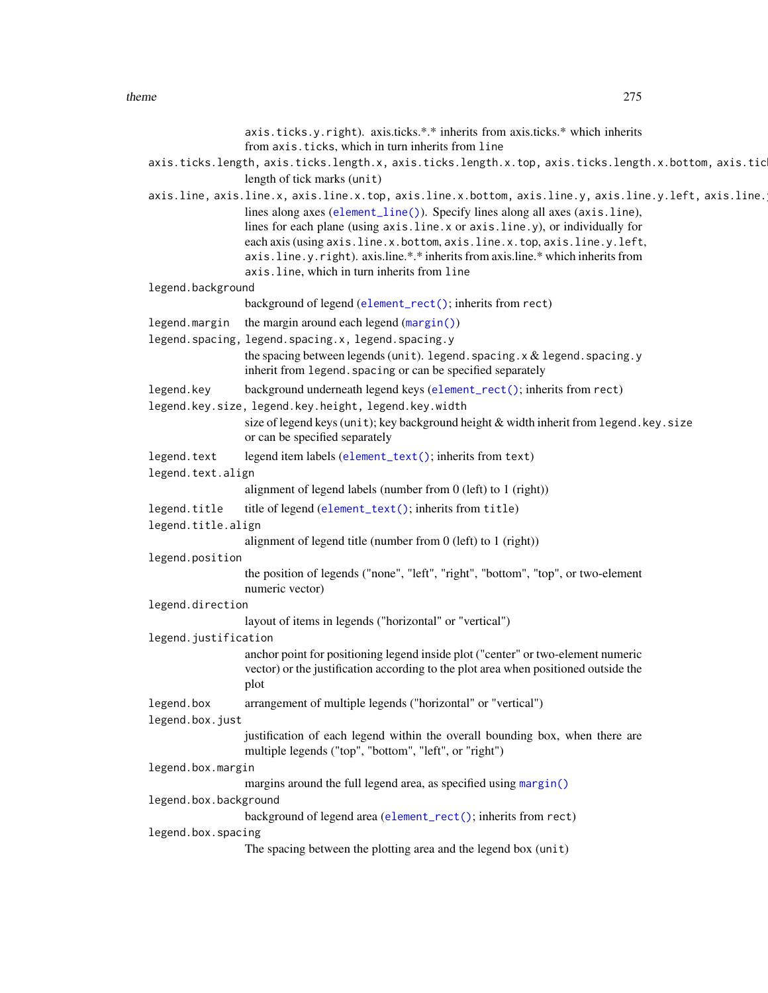<span id="page-274-0"></span>axis.ticks.y.right). axis.ticks.\*.\* inherits from axis.ticks.\* which inherits from axis.ticks, which in turn inherits from line axis.ticks.length, axis.ticks.length.x, axis.ticks.length.x.top, axis.ticks.length.x.bottom, axis.tic length of tick marks (unit) axis.line, axis.line.x, axis.l[ine.x.top, axis.](#page-185-0)line.x.bottom, axis.line.y, axis.line.y.left, axis.line. lines along axes (element\_line()). Specify lines along all axes (axis.line), lines for each plane (using axis.line.x or axis.line.y), or individually for each axis (using axis.line.x.bottom, axis.line.x.top, axis.line.y.left, axis.line.y.right). axis.line.\*.\* inherits from axis.line.\* which inherits from axis.line, which in turn inherits from line legend.background background of legend ([element\\_rect\(\)](#page-185-0); inherits from rect) legend.margin the margin around each legend ([margin\(\)](#page-185-1)) legend.spacing, legend.spacing.x, legend.spacing.y the spacing between legends (unit). legend. spacing.x  $&$  legend. spacing.y inherit from legend. spacing or can be specified separately legend.key background underneath legend keys ([element\\_rect\(\)](#page-185-0); inherits from rect) legend.key.size, legend.key.height, legend.key.width size of legend keys (unit); key background height  $&$  width inherit from legend.key.size or can be specified separately legend.text legend item labels ([element\\_text\(\)](#page-185-0); inherits from text) legend.text.align alignment of legend labels (number from 0 (left) to 1 (right)) legend.title title of legend ([element\\_text\(\)](#page-185-0); inherits from title) legend.title.align alignment of legend title (number from 0 (left) to 1 (right)) legend.position the position of legends ("none", "left", "right", "bottom", "top", or two-element numeric vector) legend.direction layout of items in legends ("horizontal" or "vertical") legend.justification anchor point for positioning legend inside plot ("center" or two-element numeric vector) or the justification according to the plot area when positioned outside the plot legend.box arrangement of multiple legends ("horizontal" or "vertical") legend.box.just justification of each legend within the overall bounding box, when there are multiple legends ("top", "bottom", "left", or "right") legend.box.margin margins around the full legend area, as specified using [margin\(\)](#page-185-1) legend.box.background background of legend area ([element\\_rect\(\)](#page-185-0); inherits from rect) legend.box.spacing The spacing between the plotting area and the legend box (unit)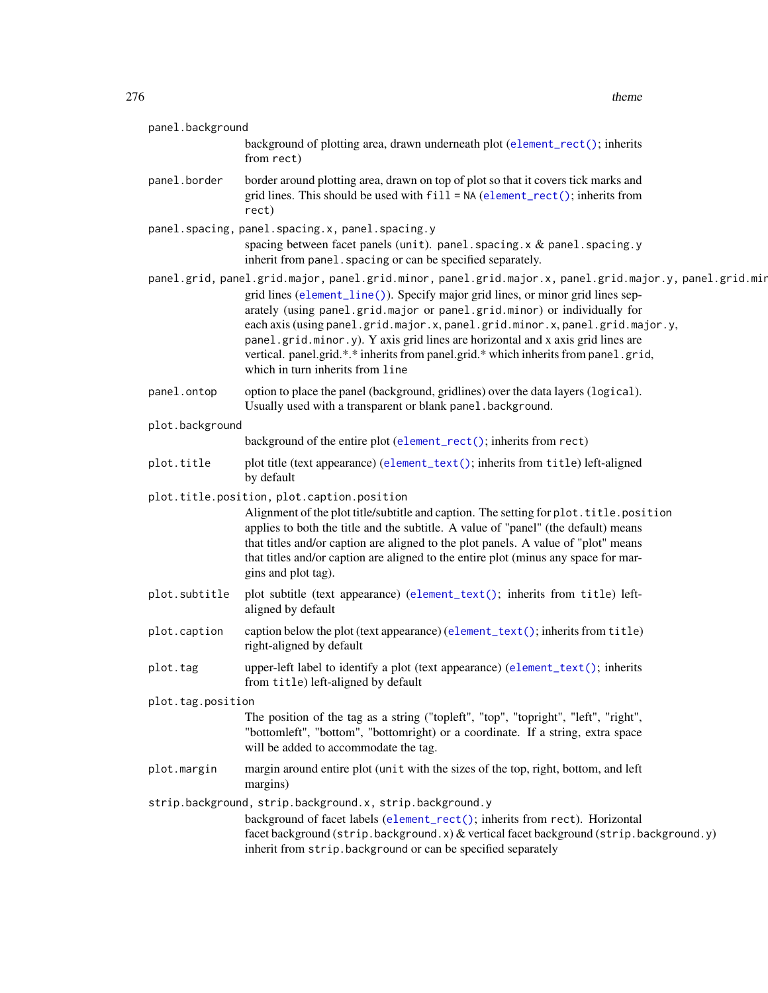$276$  theme  $\blacksquare$ 

| panel.background  |                                                                                                                                                                                                                                                                                                                                                                                                                                                           |
|-------------------|-----------------------------------------------------------------------------------------------------------------------------------------------------------------------------------------------------------------------------------------------------------------------------------------------------------------------------------------------------------------------------------------------------------------------------------------------------------|
|                   | background of plotting area, drawn underneath plot (element_rect(); inherits<br>from rect)                                                                                                                                                                                                                                                                                                                                                                |
| panel.border      | border around plotting area, drawn on top of plot so that it covers tick marks and<br>grid lines. This should be used with $fill = NA$ (element_rect(); inherits from<br>rect)                                                                                                                                                                                                                                                                            |
|                   | panel.spacing, panel.spacing.x, panel.spacing.y                                                                                                                                                                                                                                                                                                                                                                                                           |
|                   | spacing between facet panels (unit). panel. spacing. x $&$ panel. spacing. y<br>inherit from panel. spacing or can be specified separately.                                                                                                                                                                                                                                                                                                               |
|                   | panel.grid, panel.grid.major, panel.grid.minor, panel.grid.major.x, panel.grid.major.y, panel.grid.mir                                                                                                                                                                                                                                                                                                                                                    |
|                   | grid lines (element_line()). Specify major grid lines, or minor grid lines sep-<br>arately (using panel.grid.major or panel.grid.minor) or individually for<br>each axis (using panel.grid.major.x, panel.grid.minor.x, panel.grid.major.y,<br>panel.grid.minor.y). Y axis grid lines are horizontal and x axis grid lines are<br>vertical. panel.grid.*.* inherits from panel.grid.* which inherits from panel.grid,<br>which in turn inherits from line |
| panel.ontop       | option to place the panel (background, gridlines) over the data layers (logical).<br>Usually used with a transparent or blank panel . background.                                                                                                                                                                                                                                                                                                         |
| plot.background   |                                                                                                                                                                                                                                                                                                                                                                                                                                                           |
|                   | background of the entire plot (element_rect(); inherits from rect)                                                                                                                                                                                                                                                                                                                                                                                        |
| plot.title        | plot title (text appearance) (element_text(); inherits from title) left-aligned<br>by default                                                                                                                                                                                                                                                                                                                                                             |
|                   | plot.title.position, plot.caption.position<br>Alignment of the plot title/subtitle and caption. The setting for plot.title.position<br>applies to both the title and the subtitle. A value of "panel" (the default) means<br>that titles and/or caption are aligned to the plot panels. A value of "plot" means<br>that titles and/or caption are aligned to the entire plot (minus any space for mar-<br>gins and plot tag).                             |
| plot.subtitle     | plot subtitle (text appearance) (element_text(); inherits from title) left-<br>aligned by default                                                                                                                                                                                                                                                                                                                                                         |
| plot.caption      | caption below the plot (text appearance) (element_text(); inherits from title)<br>right-aligned by default                                                                                                                                                                                                                                                                                                                                                |
| plot.tag          | upper-left label to identify a plot (text appearance) (element_text(); inherits<br>from title) left-aligned by default                                                                                                                                                                                                                                                                                                                                    |
| plot.tag.position |                                                                                                                                                                                                                                                                                                                                                                                                                                                           |
|                   | The position of the tag as a string ("topleft", "top", "topright", "left", "right",<br>"bottomleft", "bottom", "bottomright) or a coordinate. If a string, extra space<br>will be added to accommodate the tag.                                                                                                                                                                                                                                           |
| plot.margin       | margin around entire plot (unit with the sizes of the top, right, bottom, and left<br>margins)                                                                                                                                                                                                                                                                                                                                                            |
|                   | strip.background, strip.background.x, strip.background.y<br>background of facet labels (element_rect(); inherits from rect). Horizontal<br>facet background (strip.background.x) & vertical facet background (strip.background.y)<br>inherit from strip.background or can be specified separately                                                                                                                                                         |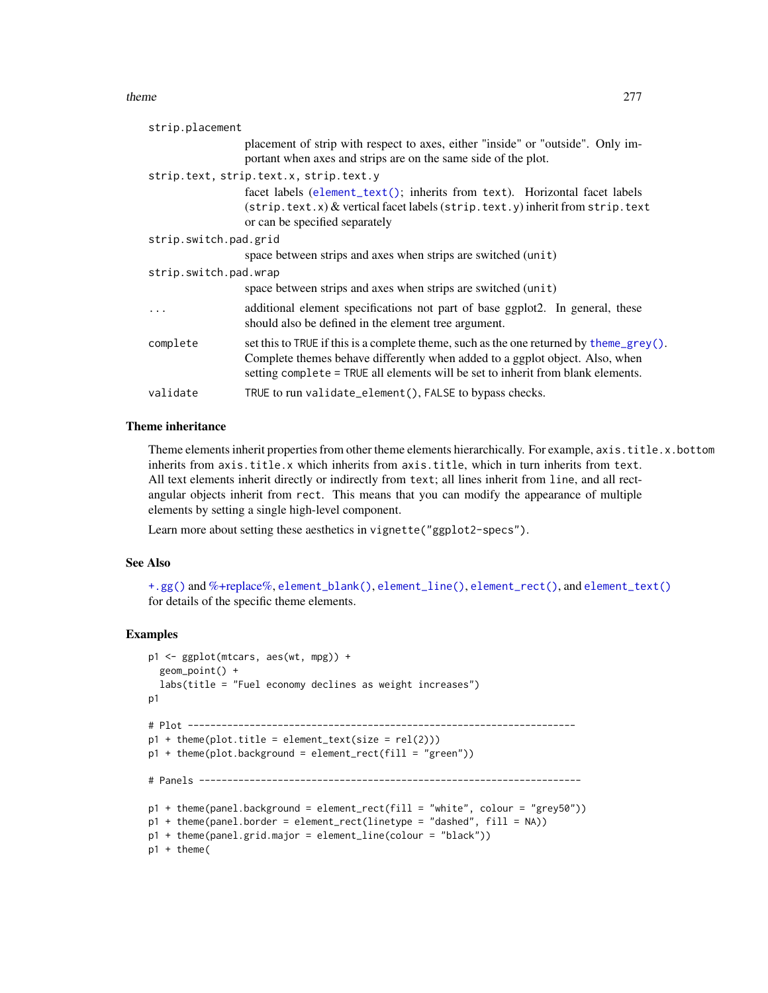#### <span id="page-276-0"></span>theme 277

| strip.placement       |                                                                                                                                                                                                                                                             |
|-----------------------|-------------------------------------------------------------------------------------------------------------------------------------------------------------------------------------------------------------------------------------------------------------|
|                       | placement of strip with respect to axes, either "inside" or "outside". Only im-<br>portant when axes and strips are on the same side of the plot.                                                                                                           |
|                       | strip.text, strip.text.x, strip.text.y                                                                                                                                                                                                                      |
|                       | facet labels (element_text(); inherits from text). Horizontal facet labels<br>$(\text{strip.text.})$ & vertical facet labels $(\text{strip.text.})$ inherit from strip. text<br>or can be specified separately                                              |
| strip.switch.pad.grid |                                                                                                                                                                                                                                                             |
|                       | space between strips and axes when strips are switched (unit)                                                                                                                                                                                               |
| strip.switch.pad.wrap |                                                                                                                                                                                                                                                             |
|                       | space between strips and axes when strips are switched (unit)                                                                                                                                                                                               |
| $\ddotsc$             | additional element specifications not part of base ggplot2. In general, these<br>should also be defined in the element tree argument.                                                                                                                       |
| complete              | set this to TRUE if this is a complete theme, such as the one returned by theme_grey().<br>Complete themes behave differently when added to a ggplot object. Also, when<br>setting complete = TRUE all elements will be set to inherit from blank elements. |
| validate              | TRUE to run validate_element(), FALSE to bypass checks.                                                                                                                                                                                                     |

#### Theme inheritance

Theme elements inherit properties from other theme elements hierarchically. For example, axis.title.x.bottom inherits from axis.title.x which inherits from axis.title, which in turn inherits from text. All text elements inherit directly or indirectly from text; all lines inherit from line, and all rectangular objects inherit from rect. This means that you can modify the appearance of multiple elements by setting a single high-level component.

Learn more about setting these aesthetics in vignette("ggplot2-specs").

#### See Also

[+.gg\(\)](#page-5-0) and [%+replace%,](#page-278-0) [element\\_blank\(\)](#page-185-0), [element\\_line\(\)](#page-185-0), [element\\_rect\(\)](#page-185-0), and [element\\_text\(\)](#page-185-0) for details of the specific theme elements.

#### Examples

```
p1 <- ggplot(mtcars, aes(wt, mpg)) +
  geom_point() +
  labs(title = "Fuel economy declines as weight increases")
p1
# Plot ---------------------------------------------------------------------
p1 + \text{ theme}(\text{plot.title} = \text{element}\text{text(size} = \text{rel}(2)))p1 + theme(plot.background = element_rect(fill = "green"))
# Panels --------------------------------------------------------------------
p1 + theme(panel.background = element_rect(fill = "white", colour = "grey50"))
p1 + theme(panel.border = element_rect(linetype = "dashed", fill = NA))
p1 + theme(panel.grid.major = element_line(colour = "black"))
p1 + theme(
```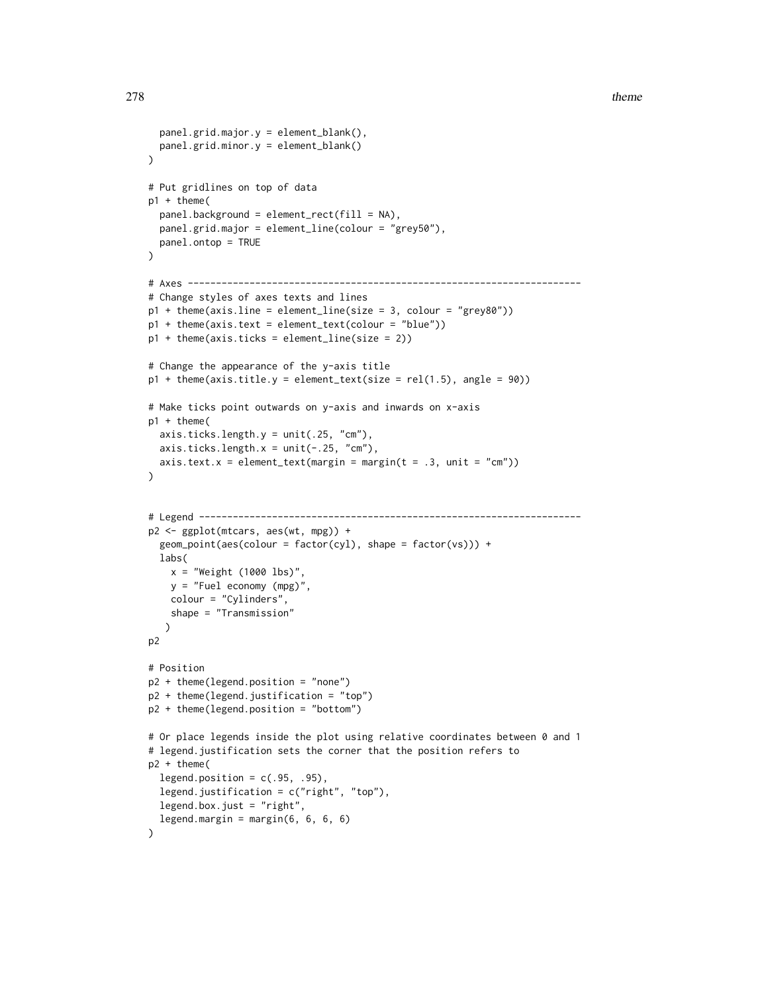```
panel.grid.major.y = element_blank(),
  panel.grid.minor.y = element_blank()
)
# Put gridlines on top of data
p1 + theme(
  panel.background = element_rect(fill = NA),
  panel.grid.major = element_line(colour = "grey50"),
  panel.ontop = TRUE
\lambda# Axes ----------------------------------------------------------------------
# Change styles of axes texts and lines
p1 + \text{theme}(axis \text{.} line = \text{element}\text{.} line(\text{size} = 3, \text{ colour} = \text{"grey80"}))p1 + theme(axis.text = element_text(colour = "blue"))
p1 + theme(axis.ticks = element_line(size = 2))
# Change the appearance of the y-axis title
p1 + theme(axis.title.y = element_text(size = rel(1.5), angle = 90))
# Make ticks point outwards on y-axis and inwards on x-axis
p1 + theme(
  axis.ticks.length.y = unit(.25, "cm"),
  axis. ticks. length.x = unit(-.25, "cm"),
  axis.text.x = element\_text(margin = margin(t = .3, unit = "cm")))
# Legend --------------------------------------------------------------------
p2 <- ggplot(mtcars, aes(wt, mpg)) +
  geom\_point(aes(colour = factor(cyl), shape = factor(vs))) +labs(
    x = "Weight (1000 lbs)",
    y = "Fuel economy (mpg)",
    colour = "Cylinders",
    shape = "Transmission"
   )
p2
# Position
p2 + theme(legend.position = "none")
p2 + theme(legend.justification = "top")
p2 + theme(legend.position = "bottom")
# Or place legends inside the plot using relative coordinates between 0 and 1
# legend.justification sets the corner that the position refers to
p2 + theme(
  legend.position = c(.95, .95),
  legend.justification = c("right", "top"),
  legend.box.just = "right",
  legend.margin = margin(6, 6, 6, 6))
```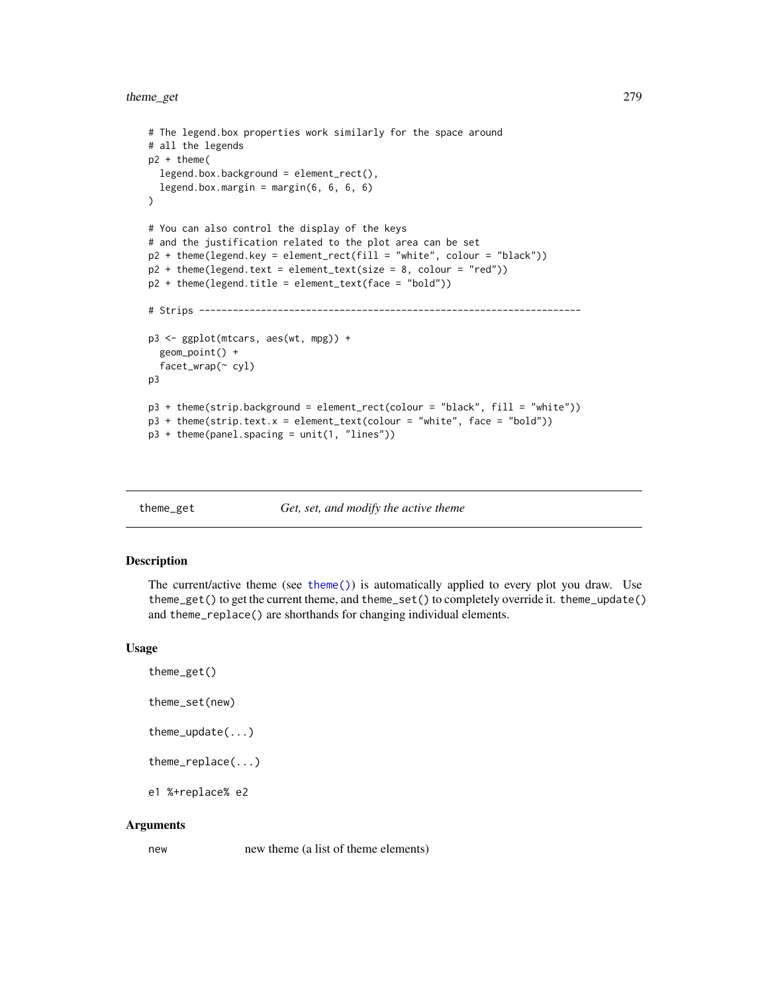# <span id="page-278-1"></span>theme\_get 279

```
# The legend.box properties work similarly for the space around
# all the legends
p2 + theme(
 legend.box.background = element_rect(),
  legend.box.margin = margin(6, 6, 6, 6)
\lambda# You can also control the display of the keys
# and the justification related to the plot area can be set
p2 + theme(legend.key = element_rect(fill = "white", colour = "black"))
p2 + theme(legend.text = element_text(size = 8, colour = "red"))
p2 + theme(legend.title = element_text(face = "bold"))
# Strips --------------------------------------------------------------------
p3 <- ggplot(mtcars, aes(wt, mpg)) +
  geom_point() +
  facet_wrap(~ cyl)
p3
p3 + theme(strip.background = element_rect(colour = "black", fill = "white"))
p3 + theme(strip.text.x = element_text(colour = "white", face = "bold"))
p3 + theme(panel.spacing = unit(1, "lines"))
```
theme\_get *Get, set, and modify the active theme*

#### <span id="page-278-0"></span>**Description**

The current/active theme (see [theme\(\)](#page-271-0)) is automatically applied to every plot you draw. Use theme\_get() to get the current theme, and theme\_set() to completely override it. theme\_update() and theme\_replace() are shorthands for changing individual elements.

#### Usage

```
theme_get()
theme_set(new)
theme_update(...)
theme_replace(...)
e1 %+replace% e2
```
#### Arguments

new new theme (a list of theme elements)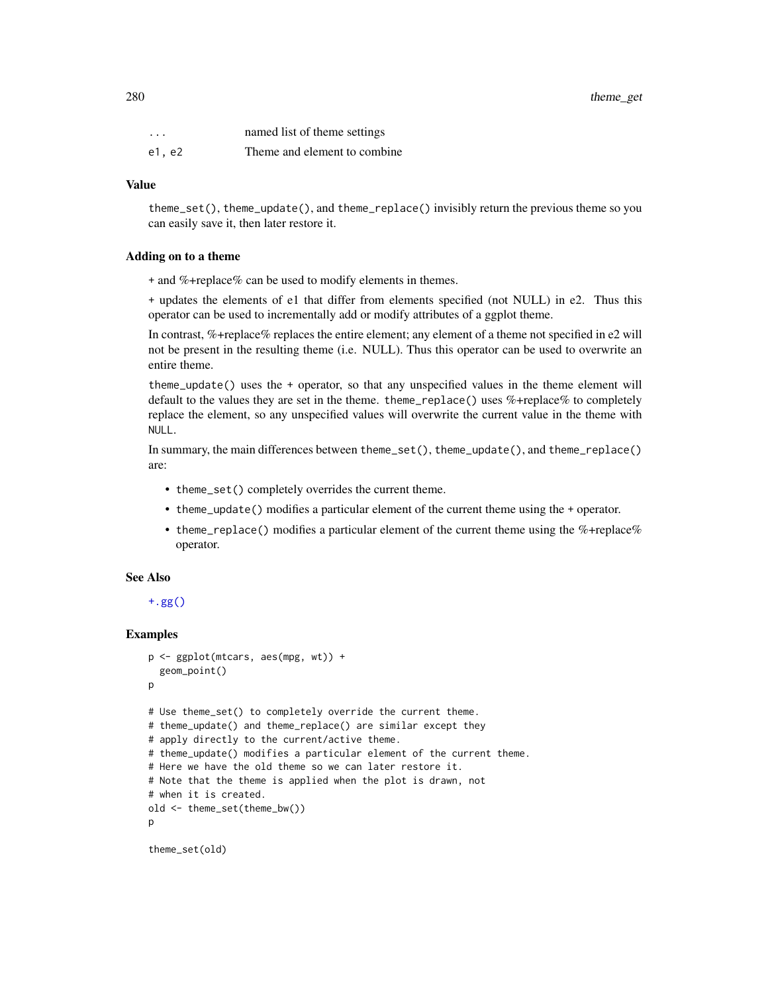<span id="page-279-0"></span>

| $\cdots$ | named list of theme settings  |
|----------|-------------------------------|
| e1. e2   | Theme and element to combine. |

#### Value

theme\_set(), theme\_update(), and theme\_replace() invisibly return the previous theme so you can easily save it, then later restore it.

#### Adding on to a theme

+ and %+replace% can be used to modify elements in themes.

+ updates the elements of e1 that differ from elements specified (not NULL) in e2. Thus this operator can be used to incrementally add or modify attributes of a ggplot theme.

In contrast, %+replace% replaces the entire element; any element of a theme not specified in e2 will not be present in the resulting theme (i.e. NULL). Thus this operator can be used to overwrite an entire theme.

theme\_update() uses the + operator, so that any unspecified values in the theme element will default to the values they are set in the theme. theme\_replace() uses %+replace% to completely replace the element, so any unspecified values will overwrite the current value in the theme with NULL.

In summary, the main differences between theme\_set(), theme\_update(), and theme\_replace() are:

- theme\_set() completely overrides the current theme.
- theme\_update() modifies a particular element of the current theme using the + operator.
- theme\_replace() modifies a particular element of the current theme using the %+replace% operator.

#### See Also

[+.gg\(\)](#page-5-0)

#### Examples

```
p <- ggplot(mtcars, aes(mpg, wt)) +
 geom_point()
p
# Use theme_set() to completely override the current theme.
# theme_update() and theme_replace() are similar except they
# apply directly to the current/active theme.
# theme_update() modifies a particular element of the current theme.
# Here we have the old theme so we can later restore it.
# Note that the theme is applied when the plot is drawn, not
# when it is created.
old <- theme_set(theme_bw())
p
```
theme\_set(old)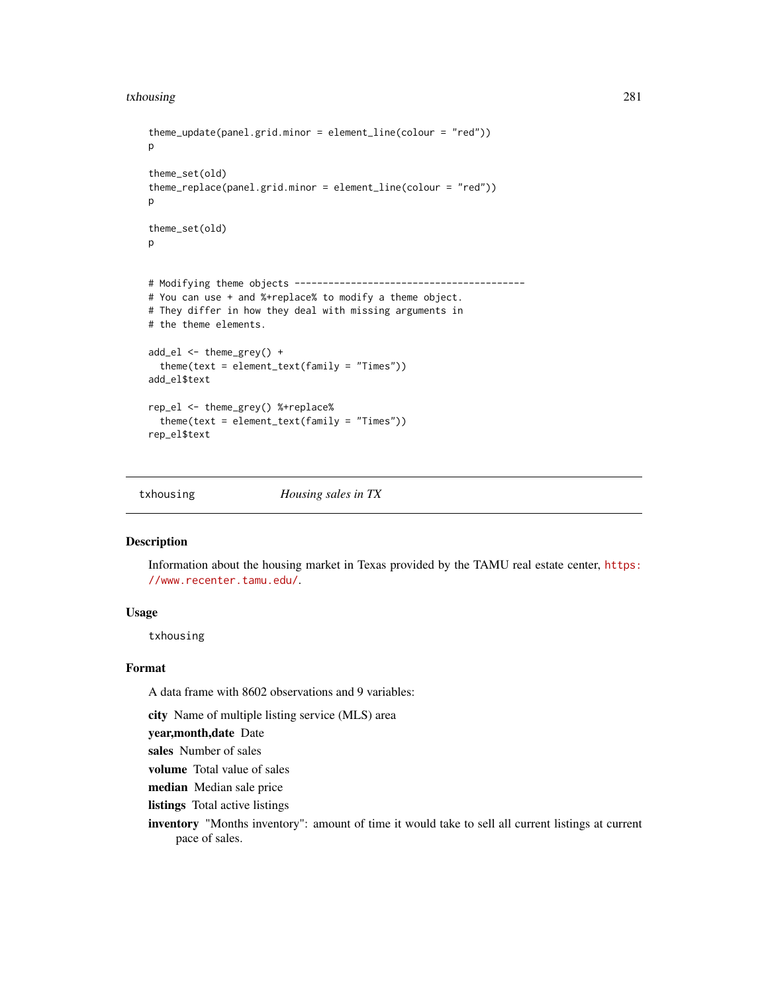#### <span id="page-280-0"></span>txhousing 281

```
theme_update(panel.grid.minor = element_line(colour = "red"))
p
theme_set(old)
theme_replace(panel.grid.minor = element_line(colour = "red"))
p
theme_set(old)
\mathbf{p}# Modifying theme objects -----------------------------------------
# You can use + and %+replace% to modify a theme object.
# They differ in how they deal with missing arguments in
# the theme elements.
add_el <- theme_grey() +
 theme(text = element_text(family = "Times"))
add_el$text
rep_el <- theme_grey() %+replace%
 theme(text = element_text(family = "Times"))
rep_el$text
```
txhousing *Housing sales in TX*

#### Description

Information about the housing market in Texas provided by the TAMU real estate center, [https:](https://www.recenter.tamu.edu/) [//www.recenter.tamu.edu/](https://www.recenter.tamu.edu/).

# Usage

txhousing

### Format

A data frame with 8602 observations and 9 variables:

city Name of multiple listing service (MLS) area

year,month,date Date

sales Number of sales

volume Total value of sales

median Median sale price

listings Total active listings

inventory "Months inventory": amount of time it would take to sell all current listings at current pace of sales.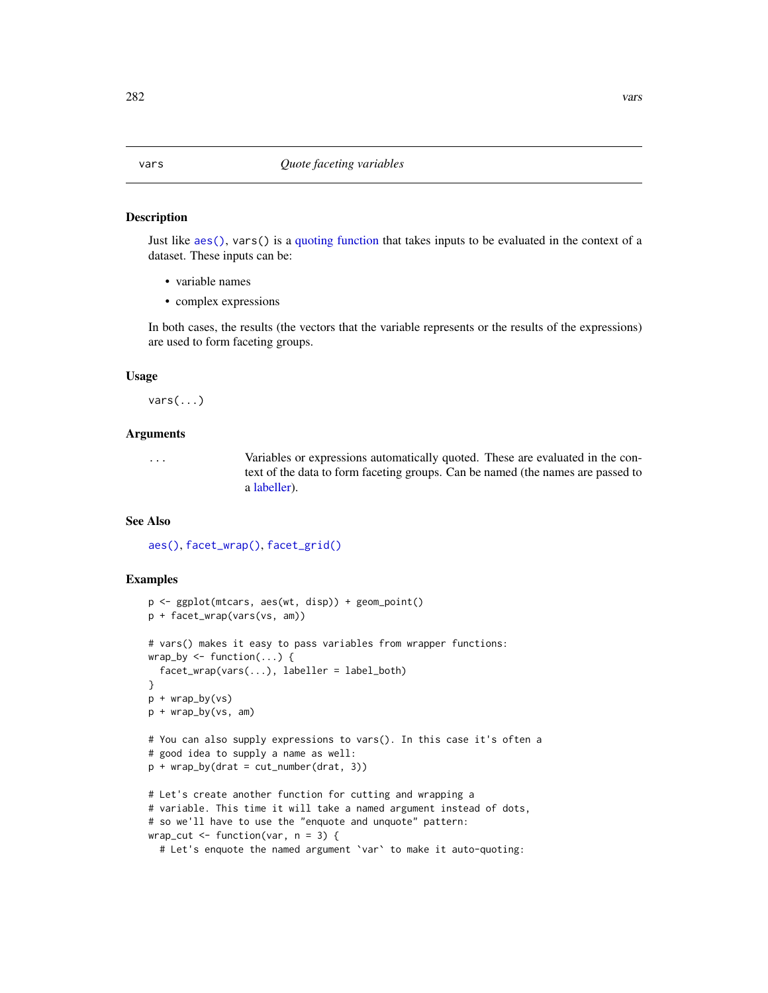#### <span id="page-281-0"></span>Description

Just like [aes\(\)](#page-6-0), vars() is a [quoting function](#page-0-0) that takes inputs to be evaluated in the context of a dataset. These inputs can be:

- variable names
- complex expressions

In both cases, the results (the vectors that the variable represents or the results of the expressions) are used to form faceting groups.

#### Usage

 $vars(\ldots)$ 

# Arguments

... Variables or expressions automatically quoted. These are evaluated in the context of the data to form faceting groups. Can be named (the names are passed to a [labeller\)](#page-178-0).

#### See Also

[aes\(\)](#page-6-0), [facet\\_wrap\(\)](#page-51-0), [facet\\_grid\(\)](#page-48-0)

#### Examples

```
p <- ggplot(mtcars, aes(wt, disp)) + geom_point()
p + facet_wrap(vars(vs, am))
# vars() makes it easy to pass variables from wrapper functions:
wrap_by <- function(...) {
  facet_wrap(vars(...), labeller = label_both)
}
p + wrap_by(vs)p + wrap_by(vs, am)
# You can also supply expressions to vars(). In this case it's often a
# good idea to supply a name as well:
p + wrap_by(drat = cut_number(drat, 3))# Let's create another function for cutting and wrapping a
# variable. This time it will take a named argument instead of dots,
# so we'll have to use the "enquote and unquote" pattern:
wrap_cut \leq function(var, n = 3) {
  # Let's enquote the named argument `var` to make it auto-quoting:
```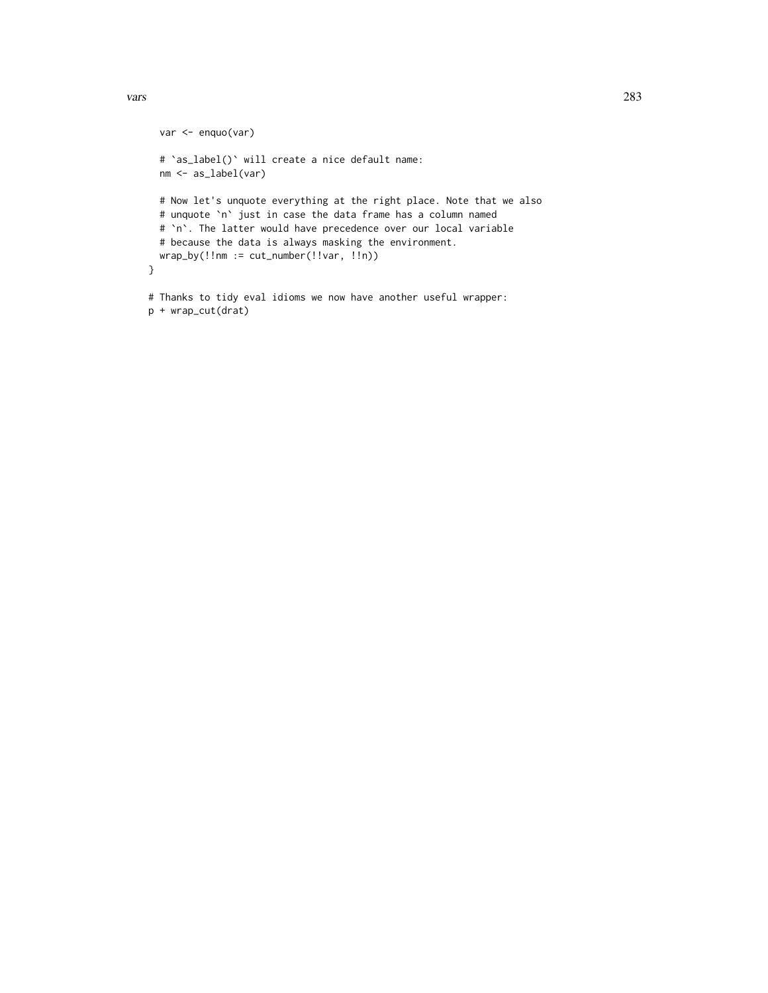p + wrap\_cut(drat)

```
var <- enquo(var)
 # `as_label()` will create a nice default name:
 nm <- as_label(var)
 # Now let's unquote everything at the right place. Note that we also
 # unquote `n` just in case the data frame has a column named
 # `n`. The latter would have precedence over our local variable
 # because the data is always masking the environment.
 wrap_by(!!nm := cut_number(!!var, !!n))
}
# Thanks to tidy eval idioms we now have another useful wrapper:
```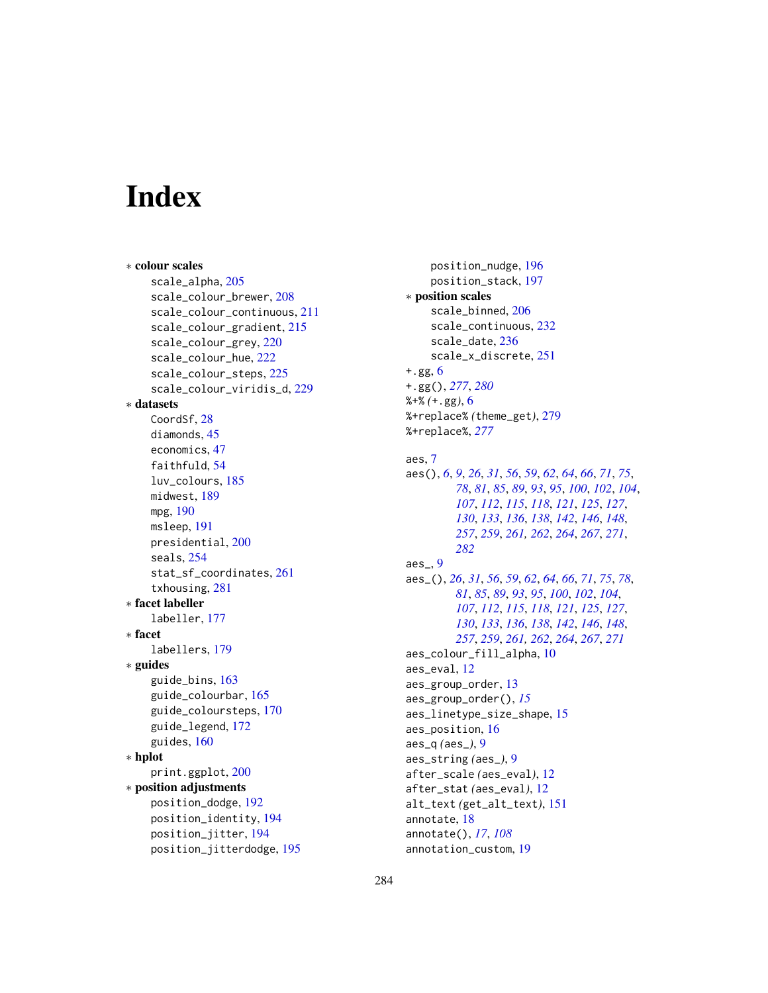# **Index**

∗ colour scales scale\_alpha, [205](#page-204-0) scale\_colour\_brewer, [208](#page-207-0) scale\_colour\_continuous, [211](#page-210-0) scale\_colour\_gradient, [215](#page-214-0) scale\_colour\_grey, [220](#page-219-0) scale\_colour\_hue, [222](#page-221-0) scale\_colour\_steps, [225](#page-224-0) scale\_colour\_viridis\_d, [229](#page-228-0) ∗ datasets CoordSf, [28](#page-27-1) diamonds, [45](#page-44-0) economics, [47](#page-46-0) faithfuld, [54](#page-53-0) luv\_colours, [185](#page-184-0) midwest, [189](#page-188-0) mpg, [190](#page-189-0) msleep, [191](#page-190-0) presidential, [200](#page-199-0) seals, [254](#page-253-0) stat\_sf\_coordinates, [261](#page-260-0) txhousing, [281](#page-280-0) ∗ facet labeller labeller, [177](#page-176-0) ∗ facet labellers, [179](#page-178-1) ∗ guides guide\_bins, [163](#page-162-0) guide\_colourbar, [165](#page-164-0) guide\_coloursteps, [170](#page-169-0) guide\_legend, [172](#page-171-0) guides, [160](#page-159-0) ∗ hplot print.ggplot, [200](#page-199-0) ∗ position adjustments position\_dodge, [192](#page-191-0) position\_identity, [194](#page-193-0) position\_jitter, [194](#page-193-0) position\_jitterdodge, [195](#page-194-0)

position\_nudge, [196](#page-195-0) position\_stack, [197](#page-196-0) ∗ position scales scale\_binned, [206](#page-205-1) scale\_continuous, [232](#page-231-1) scale\_date, [236](#page-235-1) scale\_x\_discrete, [251](#page-250-0) +.gg, [6](#page-5-1) +.gg(), *[277](#page-276-0)*, *[280](#page-279-0)* %+% *(*+.gg*)*, [6](#page-5-1) %+replace% *(*theme\_get*)*, [279](#page-278-1) %+replace%, *[277](#page-276-0)* aes, [7](#page-6-1) aes(), *[6](#page-5-1)*, *[9](#page-8-1)*, *[26](#page-25-1)*, *[31](#page-30-0)*, *[56](#page-55-0)*, *[59](#page-58-0)*, *[62](#page-61-1)*, *[64](#page-63-0)*, *[66](#page-65-0)*, *[71](#page-70-0)*, *[75](#page-74-0)*, *[78](#page-77-0)*, *[81](#page-80-0)*, *[85](#page-84-0)*, *[89](#page-88-0)*, *[93](#page-92-0)*, *[95](#page-94-0)*, *[100](#page-99-0)*, *[102](#page-101-0)*, *[104](#page-103-0)*, *[107](#page-106-0)*, *[112](#page-111-0)*, *[115](#page-114-0)*, *[118](#page-117-0)*, *[121](#page-120-0)*, *[125](#page-124-0)*, *[127](#page-126-0)*, *[130](#page-129-0)*, *[133](#page-132-0)*, *[136](#page-135-0)*, *[138](#page-137-0)*, *[142](#page-141-0)*, *[146](#page-145-0)*, *[148](#page-147-0)*, *[257](#page-256-0)*, *[259](#page-258-0)*, *[261,](#page-260-0) [262](#page-261-0)*, *[264](#page-263-0)*, *[267](#page-266-0)*, *[271](#page-270-0)*, *[282](#page-281-0)* aes\_, [9](#page-8-1) aes\_(), *[26](#page-25-1)*, *[31](#page-30-0)*, *[56](#page-55-0)*, *[59](#page-58-0)*, *[62](#page-61-1)*, *[64](#page-63-0)*, *[66](#page-65-0)*, *[71](#page-70-0)*, *[75](#page-74-0)*, *[78](#page-77-0)*, *[81](#page-80-0)*, *[85](#page-84-0)*, *[89](#page-88-0)*, *[93](#page-92-0)*, *[95](#page-94-0)*, *[100](#page-99-0)*, *[102](#page-101-0)*, *[104](#page-103-0)*, *[107](#page-106-0)*, *[112](#page-111-0)*, *[115](#page-114-0)*, *[118](#page-117-0)*, *[121](#page-120-0)*, *[125](#page-124-0)*, *[127](#page-126-0)*, *[130](#page-129-0)*, *[133](#page-132-0)*, *[136](#page-135-0)*, *[138](#page-137-0)*, *[142](#page-141-0)*, *[146](#page-145-0)*, *[148](#page-147-0)*, *[257](#page-256-0)*, *[259](#page-258-0)*, *[261,](#page-260-0) [262](#page-261-0)*, *[264](#page-263-0)*, *[267](#page-266-0)*, *[271](#page-270-0)* aes\_colour\_fill\_alpha, [10](#page-9-0) aes\_eval, [12](#page-11-0) aes\_group\_order, [13](#page-12-0) aes\_group\_order(), *[15](#page-14-0)* aes\_linetype\_size\_shape, [15](#page-14-0) aes\_position, [16](#page-15-0) aes\_q *(*aes\_*)*, [9](#page-8-1) aes\_string *(*aes\_*)*, [9](#page-8-1) after\_scale *(*aes\_eval*)*, [12](#page-11-0) after\_stat *(*aes\_eval*)*, [12](#page-11-0) alt\_text *(*get\_alt\_text*)*, [151](#page-150-0) annotate, [18](#page-17-0) annotate(), *[17](#page-16-0)*, *[108](#page-107-0)* annotation\_custom, [19](#page-18-0)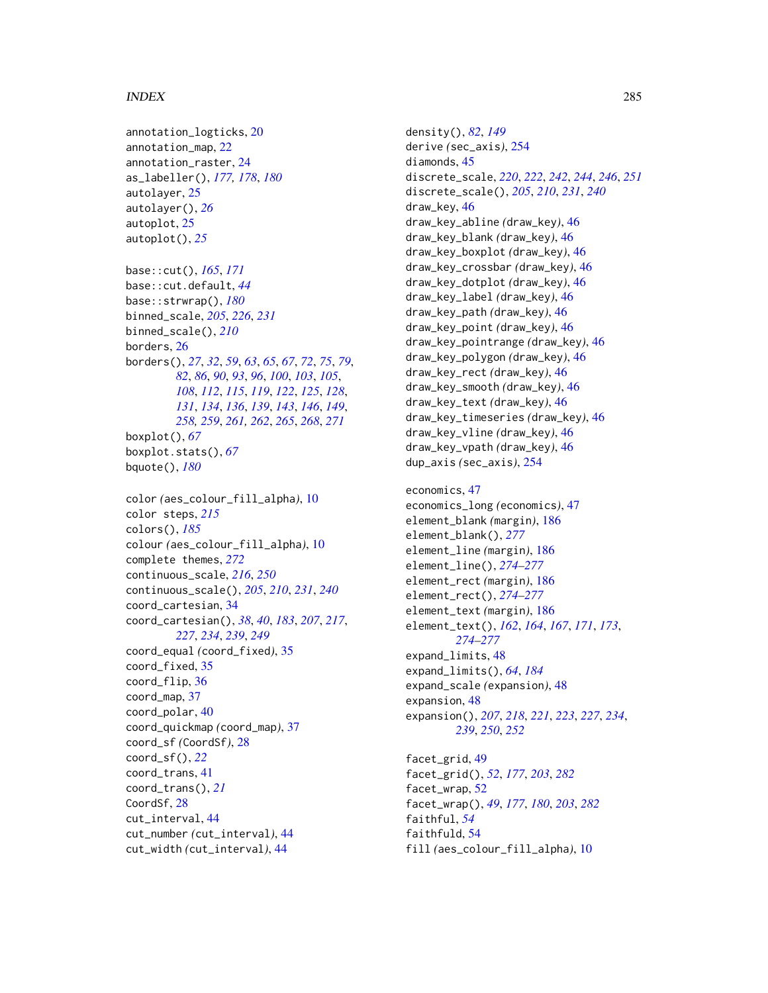#### INDEX 285

```
annotation_logticks, 20
annotation_map, 22
annotation_raster, 24
as_labeller(), 177, 178, 180
autolayer, 25
autolayer(), 26
autoplot, 25
autoplot(), 25
base::cut(), 165, 171
base::cut.default, 44
base::strwrap(), 180
binned_scale, 205, 226, 231
binned_scale(), 210
borders, 26
borders(), 27, 32, 59, 63, 65, 67, 72, 75, 79,
        82, 86, 90, 93, 96, 100, 103, 105,
         108, 112, 115, 119, 122, 125, 128,
         131, 134, 136, 139, 143, 146, 149,
        258, 259, 261, 262, 265, 268, 271
boxplot(), 67
boxplot.stats(), 67
bquote(), 180
color (aes_colour_fill_alpha), 10
color steps, 215
colors(), 185
colour (aes_colour_fill_alpha), 10
complete themes, 272
continuous_scale, 216, 250
continuous_scale(), 205, 210, 231, 240
coord_cartesian, 34
coord_cartesian(), 38, 40, 183, 207, 217,
        227, 234, 239, 249
coord_equal (coord_fixed), 35
coord_fixed, 35
coord_flip, 36
coord_map, 37
coord_polar, 40
coord_quickmap (coord_map), 37
coord_sf (CoordSf), 28
coord_sf(), 22
coord_trans, 41
coord_trans(), 21
CoordSf, 28
cut_interval, 44
cut_number (cut_interval), 44
cut_width (cut_interval), 44
```
density(), *[82](#page-81-0)*, *[149](#page-148-0)* derive *(*sec\_axis*)*, [254](#page-253-0) diamonds, [45](#page-44-0) discrete\_scale, *[220](#page-219-0)*, *[222](#page-221-0)*, *[242](#page-241-0)*, *[244](#page-243-0)*, *[246](#page-245-0)*, *[251](#page-250-0)* discrete\_scale(), *[205](#page-204-0)*, *[210](#page-209-0)*, *[231](#page-230-0)*, *[240](#page-239-0)* draw\_key, [46](#page-45-0) draw\_key\_abline *(*draw\_key*)*, [46](#page-45-0) draw\_key\_blank *(*draw\_key*)*, [46](#page-45-0) draw\_key\_boxplot *(*draw\_key*)*, [46](#page-45-0) draw\_key\_crossbar *(*draw\_key*)*, [46](#page-45-0) draw\_key\_dotplot *(*draw\_key*)*, [46](#page-45-0) draw\_key\_label *(*draw\_key*)*, [46](#page-45-0) draw\_key\_path *(*draw\_key*)*, [46](#page-45-0) draw\_key\_point *(*draw\_key*)*, [46](#page-45-0) draw\_key\_pointrange *(*draw\_key*)*, [46](#page-45-0) draw\_key\_polygon *(*draw\_key*)*, [46](#page-45-0) draw\_key\_rect *(*draw\_key*)*, [46](#page-45-0) draw\_key\_smooth *(*draw\_key*)*, [46](#page-45-0) draw\_key\_text *(*draw\_key*)*, [46](#page-45-0) draw\_key\_timeseries *(*draw\_key*)*, [46](#page-45-0) draw\_key\_vline *(*draw\_key*)*, [46](#page-45-0) draw\_key\_vpath *(*draw\_key*)*, [46](#page-45-0) dup\_axis *(*sec\_axis*)*, [254](#page-253-0) economics, [47](#page-46-0) economics\_long *(*economics*)*, [47](#page-46-0) element\_blank *(*margin*)*, [186](#page-185-2) element\_blank(), *[277](#page-276-0)* element\_line *(*margin*)*, [186](#page-185-2) element\_line(), *[274](#page-273-0)[–277](#page-276-0)* element\_rect *(*margin*)*, [186](#page-185-2)

element\_rect(), *[274](#page-273-0)[–277](#page-276-0)* element\_text *(*margin*)*, [186](#page-185-2)

*[274](#page-273-0)[–277](#page-276-0)*

expand\_limits, [48](#page-47-0) expand\_limits(), *[64](#page-63-0)*, *[184](#page-183-0)* expand\_scale *(*expansion*)*, [48](#page-47-0)

expansion, [48](#page-47-0)

facet\_grid, [49](#page-48-1)

facet\_wrap, [52](#page-51-1)

faithful, *[54](#page-53-0)* faithfuld, [54](#page-53-0)

element\_text(), *[162](#page-161-1)*, *[164](#page-163-0)*, *[167](#page-166-0)*, *[171](#page-170-0)*, *[173](#page-172-0)*,

expansion(), *[207](#page-206-0)*, *[218](#page-217-0)*, *[221](#page-220-0)*, *[223](#page-222-0)*, *[227](#page-226-0)*, *[234](#page-233-0)*,

*[239](#page-238-0)*, *[250](#page-249-0)*, *[252](#page-251-0)*

facet\_grid(), *[52](#page-51-1)*, *[177](#page-176-0)*, *[203](#page-202-0)*, *[282](#page-281-0)*

facet\_wrap(), *[49](#page-48-1)*, *[177](#page-176-0)*, *[180](#page-179-0)*, *[203](#page-202-0)*, *[282](#page-281-0)*

fill *(*aes\_colour\_fill\_alpha*)*, [10](#page-9-0)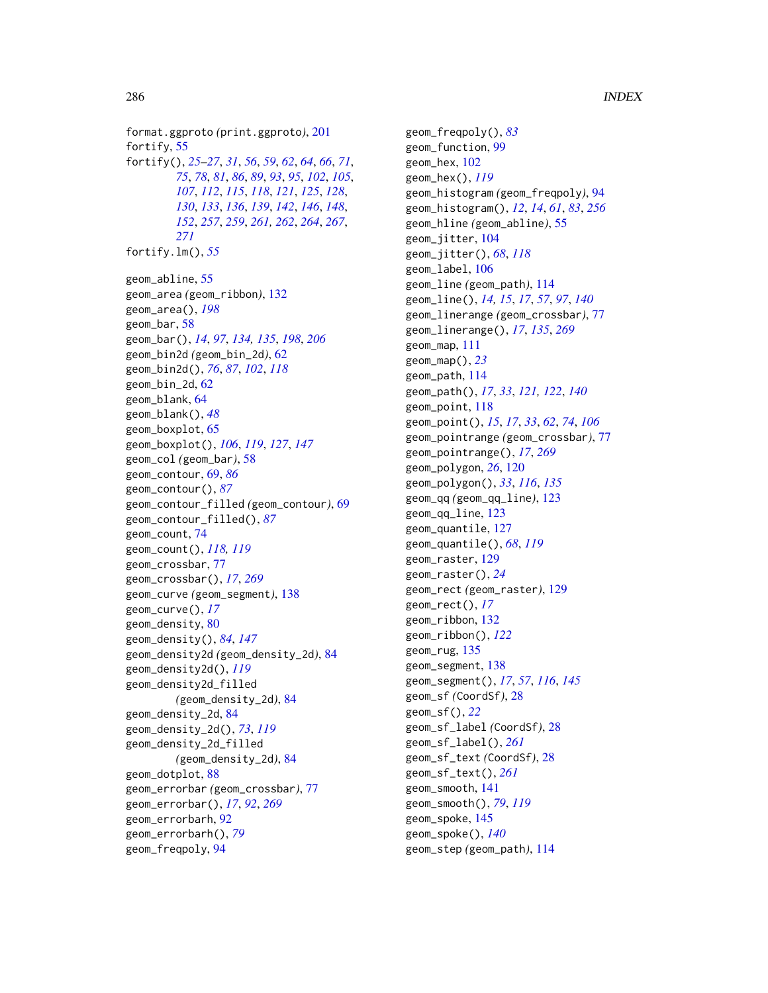format.ggproto *(*print.ggproto*)*, [201](#page-200-0) fortify, [55](#page-54-1) fortify(), *[25](#page-24-0)[–27](#page-26-0)*, *[31](#page-30-0)*, *[56](#page-55-0)*, *[59](#page-58-0)*, *[62](#page-61-1)*, *[64](#page-63-0)*, *[66](#page-65-0)*, *[71](#page-70-0)*, *[75](#page-74-0)*, *[78](#page-77-0)*, *[81](#page-80-0)*, *[86](#page-85-0)*, *[89](#page-88-0)*, *[93](#page-92-0)*, *[95](#page-94-0)*, *[102](#page-101-0)*, *[105](#page-104-0)*, *[107](#page-106-0)*, *[112](#page-111-0)*, *[115](#page-114-0)*, *[118](#page-117-0)*, *[121](#page-120-0)*, *[125](#page-124-0)*, *[128](#page-127-0)*, *[130](#page-129-0)*, *[133](#page-132-0)*, *[136](#page-135-0)*, *[139](#page-138-0)*, *[142](#page-141-0)*, *[146](#page-145-0)*, *[148](#page-147-0)*, *[152](#page-151-1)*, *[257](#page-256-0)*, *[259](#page-258-0)*, *[261,](#page-260-0) [262](#page-261-0)*, *[264](#page-263-0)*, *[267](#page-266-0)*, *[271](#page-270-0)* fortify.lm(), *[55](#page-54-1)* geom\_abline, [55](#page-54-1) geom\_area *(*geom\_ribbon*)*, [132](#page-131-0) geom\_area(), *[198](#page-197-0)* geom\_bar, [58](#page-57-0) geom\_bar(), *[14](#page-13-0)*, *[97](#page-96-0)*, *[134,](#page-133-0) [135](#page-134-0)*, *[198](#page-197-0)*, *[206](#page-205-1)* geom\_bin2d *(*geom\_bin\_2d*)*, [62](#page-61-1) geom\_bin2d(), *[76](#page-75-0)*, *[87](#page-86-0)*, *[102](#page-101-0)*, *[118](#page-117-0)* geom\_bin\_2d, [62](#page-61-1) geom\_blank, [64](#page-63-0) geom\_blank(), *[48](#page-47-0)* geom\_boxplot, [65](#page-64-0) geom\_boxplot(), *[106](#page-105-0)*, *[119](#page-118-0)*, *[127](#page-126-0)*, *[147](#page-146-0)* geom\_col *(*geom\_bar*)*, [58](#page-57-0) geom\_contour, [69,](#page-68-0) *[86](#page-85-0)* geom\_contour(), *[87](#page-86-0)* geom\_contour\_filled *(*geom\_contour*)*, [69](#page-68-0) geom\_contour\_filled(), *[87](#page-86-0)* geom\_count, [74](#page-73-0) geom\_count(), *[118,](#page-117-0) [119](#page-118-0)* geom\_crossbar, [77](#page-76-2) geom\_crossbar(), *[17](#page-16-0)*, *[269](#page-268-0)* geom\_curve *(*geom\_segment*)*, [138](#page-137-0) geom\_curve(), *[17](#page-16-0)* geom\_density, [80](#page-79-0) geom\_density(), *[84](#page-83-0)*, *[147](#page-146-0)* geom\_density2d *(*geom\_density\_2d*)*, [84](#page-83-0) geom\_density2d(), *[119](#page-118-0)* geom\_density2d\_filled *(*geom\_density\_2d*)*, [84](#page-83-0) geom\_density\_2d, [84](#page-83-0) geom\_density\_2d(), *[73](#page-72-0)*, *[119](#page-118-0)* geom\_density\_2d\_filled *(*geom\_density\_2d*)*, [84](#page-83-0) geom\_dotplot, [88](#page-87-0) geom\_errorbar *(*geom\_crossbar*)*, [77](#page-76-2) geom\_errorbar(), *[17](#page-16-0)*, *[92](#page-91-0)*, *[269](#page-268-0)* geom\_errorbarh, [92](#page-91-0) geom\_errorbarh(), *[79](#page-78-0)* geom\_freqpoly, [94](#page-93-1)

geom\_freqpoly(), *[83](#page-82-0)* geom\_function, [99](#page-98-0) geom\_hex, [102](#page-101-0) geom\_hex(), *[119](#page-118-0)* geom\_histogram *(*geom\_freqpoly*)*, [94](#page-93-1) geom\_histogram(), *[12](#page-11-0)*, *[14](#page-13-0)*, *[61](#page-60-0)*, *[83](#page-82-0)*, *[256](#page-255-0)* geom\_hline *(*geom\_abline*)*, [55](#page-54-1) geom\_jitter, [104](#page-103-0) geom\_jitter(), *[68](#page-67-0)*, *[118](#page-117-0)* geom\_label, [106](#page-105-0) geom\_line *(*geom\_path*)*, [114](#page-113-0) geom\_line(), *[14,](#page-13-0) [15](#page-14-0)*, *[17](#page-16-0)*, *[57](#page-56-0)*, *[97](#page-96-0)*, *[140](#page-139-0)* geom\_linerange *(*geom\_crossbar*)*, [77](#page-76-2) geom\_linerange(), *[17](#page-16-0)*, *[135](#page-134-0)*, *[269](#page-268-0)* geom\_map, [111](#page-110-0) geom\_map(), *[23](#page-22-0)* geom\_path, [114](#page-113-0) geom\_path(), *[17](#page-16-0)*, *[33](#page-32-0)*, *[121,](#page-120-0) [122](#page-121-0)*, *[140](#page-139-0)* geom\_point, [118](#page-117-0) geom\_point(), *[15](#page-14-0)*, *[17](#page-16-0)*, *[33](#page-32-0)*, *[62](#page-61-1)*, *[74](#page-73-0)*, *[106](#page-105-0)* geom\_pointrange *(*geom\_crossbar*)*, [77](#page-76-2) geom\_pointrange(), *[17](#page-16-0)*, *[269](#page-268-0)* geom\_polygon, *[26](#page-25-1)*, [120](#page-119-0) geom\_polygon(), *[33](#page-32-0)*, *[116](#page-115-0)*, *[135](#page-134-0)* geom\_qq *(*geom\_qq\_line*)*, [123](#page-122-0) geom\_qq\_line, [123](#page-122-0) geom\_quantile, [127](#page-126-0) geom\_quantile(), *[68](#page-67-0)*, *[119](#page-118-0)* geom\_raster, [129](#page-128-0) geom\_raster(), *[24](#page-23-0)* geom\_rect *(*geom\_raster*)*, [129](#page-128-0) geom\_rect(), *[17](#page-16-0)* geom\_ribbon, [132](#page-131-0) geom\_ribbon(), *[122](#page-121-0)* geom\_rug, [135](#page-134-0) geom\_segment, [138](#page-137-0) geom\_segment(), *[17](#page-16-0)*, *[57](#page-56-0)*, *[116](#page-115-0)*, *[145](#page-144-0)* geom\_sf *(*CoordSf*)*, [28](#page-27-1) geom\_sf(), *[22](#page-21-0)* geom\_sf\_label *(*CoordSf*)*, [28](#page-27-1) geom\_sf\_label(), *[261](#page-260-0)* geom\_sf\_text *(*CoordSf*)*, [28](#page-27-1) geom\_sf\_text(), *[261](#page-260-0)* geom\_smooth, [141](#page-140-0) geom\_smooth(), *[79](#page-78-0)*, *[119](#page-118-0)* geom\_spoke, [145](#page-144-0) geom\_spoke(), *[140](#page-139-0)* geom\_step *(*geom\_path*)*, [114](#page-113-0)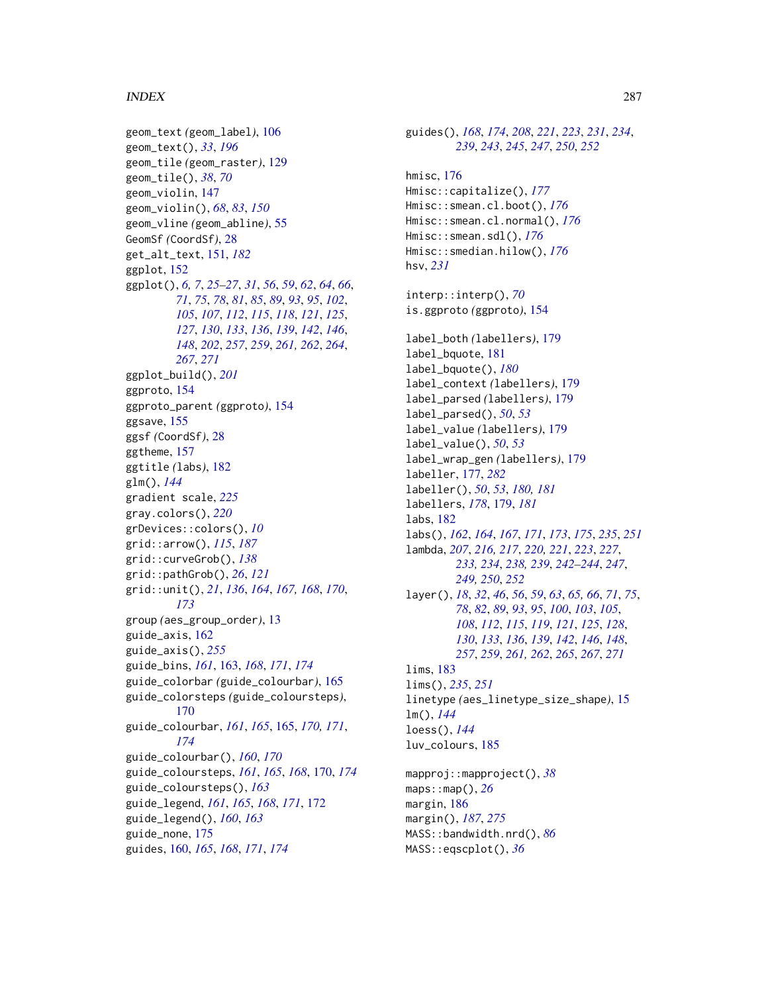#### INDEX  $287$

geom\_text *(*geom\_label*)*, [106](#page-105-0) geom\_text(), *[33](#page-32-0)*, *[196](#page-195-0)* geom\_tile *(*geom\_raster*)*, [129](#page-128-0) geom\_tile(), *[38](#page-37-0)*, *[70](#page-69-0)* geom\_violin, [147](#page-146-0) geom\_violin(), *[68](#page-67-0)*, *[83](#page-82-0)*, *[150](#page-149-0)* geom\_vline *(*geom\_abline*)*, [55](#page-54-1) GeomSf *(*CoordSf*)*, [28](#page-27-1) get\_alt\_text, [151,](#page-150-0) *[182](#page-181-0)* ggplot, [152](#page-151-1) ggplot(), *[6,](#page-5-1) [7](#page-6-1)*, *[25](#page-24-0)[–27](#page-26-0)*, *[31](#page-30-0)*, *[56](#page-55-0)*, *[59](#page-58-0)*, *[62](#page-61-1)*, *[64](#page-63-0)*, *[66](#page-65-0)*, *[71](#page-70-0)*, *[75](#page-74-0)*, *[78](#page-77-0)*, *[81](#page-80-0)*, *[85](#page-84-0)*, *[89](#page-88-0)*, *[93](#page-92-0)*, *[95](#page-94-0)*, *[102](#page-101-0)*, *[105](#page-104-0)*, *[107](#page-106-0)*, *[112](#page-111-0)*, *[115](#page-114-0)*, *[118](#page-117-0)*, *[121](#page-120-0)*, *[125](#page-124-0)*, *[127](#page-126-0)*, *[130](#page-129-0)*, *[133](#page-132-0)*, *[136](#page-135-0)*, *[139](#page-138-0)*, *[142](#page-141-0)*, *[146](#page-145-0)*, *[148](#page-147-0)*, *[202](#page-201-0)*, *[257](#page-256-0)*, *[259](#page-258-0)*, *[261,](#page-260-0) [262](#page-261-0)*, *[264](#page-263-0)*, *[267](#page-266-0)*, *[271](#page-270-0)* ggplot\_build(), *[201](#page-200-0)* ggproto, [154](#page-153-0) ggproto\_parent *(*ggproto*)*, [154](#page-153-0) ggsave, [155](#page-154-0) ggsf *(*CoordSf*)*, [28](#page-27-1) ggtheme, [157](#page-156-1) ggtitle *(*labs*)*, [182](#page-181-0) glm(), *[144](#page-143-0)* gradient scale, *[225](#page-224-0)* gray.colors(), *[220](#page-219-0)* grDevices::colors(), *[10](#page-9-0)* grid::arrow(), *[115](#page-114-0)*, *[187](#page-186-0)* grid::curveGrob(), *[138](#page-137-0)* grid::pathGrob(), *[26](#page-25-1)*, *[121](#page-120-0)* grid::unit(), *[21](#page-20-0)*, *[136](#page-135-0)*, *[164](#page-163-0)*, *[167,](#page-166-0) [168](#page-167-0)*, *[170](#page-169-0)*, *[173](#page-172-0)* group *(*aes\_group\_order*)*, [13](#page-12-0) guide\_axis, [162](#page-161-1) guide\_axis(), *[255](#page-254-0)* guide\_bins, *[161](#page-160-0)*, [163,](#page-162-0) *[168](#page-167-0)*, *[171](#page-170-0)*, *[174](#page-173-0)* guide\_colorbar *(*guide\_colourbar*)*, [165](#page-164-0) guide\_colorsteps *(*guide\_coloursteps*)*, [170](#page-169-0) guide\_colourbar, *[161](#page-160-0)*, *[165](#page-164-0)*, [165,](#page-164-0) *[170,](#page-169-0) [171](#page-170-0)*, *[174](#page-173-0)* guide\_colourbar(), *[160](#page-159-0)*, *[170](#page-169-0)* guide\_coloursteps, *[161](#page-160-0)*, *[165](#page-164-0)*, *[168](#page-167-0)*, [170,](#page-169-0) *[174](#page-173-0)* guide\_coloursteps(), *[163](#page-162-0)* guide\_legend, *[161](#page-160-0)*, *[165](#page-164-0)*, *[168](#page-167-0)*, *[171](#page-170-0)*, [172](#page-171-0) guide\_legend(), *[160](#page-159-0)*, *[163](#page-162-0)* guide\_none, [175](#page-174-0) guides, [160,](#page-159-0) *[165](#page-164-0)*, *[168](#page-167-0)*, *[171](#page-170-0)*, *[174](#page-173-0)*

guides(), *[168](#page-167-0)*, *[174](#page-173-0)*, *[208](#page-207-0)*, *[221](#page-220-0)*, *[223](#page-222-0)*, *[231](#page-230-0)*, *[234](#page-233-0)*, *[239](#page-238-0)*, *[243](#page-242-0)*, *[245](#page-244-0)*, *[247](#page-246-0)*, *[250](#page-249-0)*, *[252](#page-251-0)* hmisc, [176](#page-175-0) Hmisc::capitalize(), *[177](#page-176-0)* Hmisc::smean.cl.boot(), *[176](#page-175-0)* Hmisc::smean.cl.normal(), *[176](#page-175-0)* Hmisc::smean.sdl(), *[176](#page-175-0)* Hmisc::smedian.hilow(), *[176](#page-175-0)* hsv, *[231](#page-230-0)* interp::interp(), *[70](#page-69-0)* is.ggproto *(*ggproto*)*, [154](#page-153-0) label\_both *(*labellers*)*, [179](#page-178-1) label\_bquote, [181](#page-180-0) label\_bquote(), *[180](#page-179-0)* label\_context *(*labellers*)*, [179](#page-178-1) label\_parsed *(*labellers*)*, [179](#page-178-1) label\_parsed(), *[50](#page-49-0)*, *[53](#page-52-0)* label\_value *(*labellers*)*, [179](#page-178-1) label\_value(), *[50](#page-49-0)*, *[53](#page-52-0)* label\_wrap\_gen *(*labellers*)*, [179](#page-178-1) labeller, [177,](#page-176-0) *[282](#page-281-0)* labeller(), *[50](#page-49-0)*, *[53](#page-52-0)*, *[180,](#page-179-0) [181](#page-180-0)* labellers, *[178](#page-177-0)*, [179,](#page-178-1) *[181](#page-180-0)* labs, [182](#page-181-0) labs(), *[162](#page-161-1)*, *[164](#page-163-0)*, *[167](#page-166-0)*, *[171](#page-170-0)*, *[173](#page-172-0)*, *[175](#page-174-0)*, *[235](#page-234-0)*, *[251](#page-250-0)* lambda, *[207](#page-206-0)*, *[216,](#page-215-0) [217](#page-216-0)*, *[220,](#page-219-0) [221](#page-220-0)*, *[223](#page-222-0)*, *[227](#page-226-0)*, *[233,](#page-232-0) [234](#page-233-0)*, *[238,](#page-237-0) [239](#page-238-0)*, *[242](#page-241-0)[–244](#page-243-0)*, *[247](#page-246-0)*, *[249,](#page-248-0) [250](#page-249-0)*, *[252](#page-251-0)* layer(), *[18](#page-17-0)*, *[32](#page-31-0)*, *[46](#page-45-0)*, *[56](#page-55-0)*, *[59](#page-58-0)*, *[63](#page-62-0)*, *[65,](#page-64-0) [66](#page-65-0)*, *[71](#page-70-0)*, *[75](#page-74-0)*, *[78](#page-77-0)*, *[82](#page-81-0)*, *[89](#page-88-0)*, *[93](#page-92-0)*, *[95](#page-94-0)*, *[100](#page-99-0)*, *[103](#page-102-0)*, *[105](#page-104-0)*, *[108](#page-107-0)*, *[112](#page-111-0)*, *[115](#page-114-0)*, *[119](#page-118-0)*, *[121](#page-120-0)*, *[125](#page-124-0)*, *[128](#page-127-0)*, *[130](#page-129-0)*, *[133](#page-132-0)*, *[136](#page-135-0)*, *[139](#page-138-0)*, *[142](#page-141-0)*, *[146](#page-145-0)*, *[148](#page-147-0)*, *[257](#page-256-0)*, *[259](#page-258-0)*, *[261,](#page-260-0) [262](#page-261-0)*, *[265](#page-264-0)*, *[267](#page-266-0)*, *[271](#page-270-0)* lims, [183](#page-182-0) lims(), *[235](#page-234-0)*, *[251](#page-250-0)* linetype *(*aes\_linetype\_size\_shape*)*, [15](#page-14-0) lm(), *[144](#page-143-0)* loess(), *[144](#page-143-0)* luv\_colours, [185](#page-184-0) mapproj::mapproject(), *[38](#page-37-0)* maps::map(), *[26](#page-25-1)* margin, [186](#page-185-2) margin(), *[187](#page-186-0)*, *[275](#page-274-0)* MASS::bandwidth.nrd(), *[86](#page-85-0)*

MASS::eqscplot(), *[36](#page-35-0)*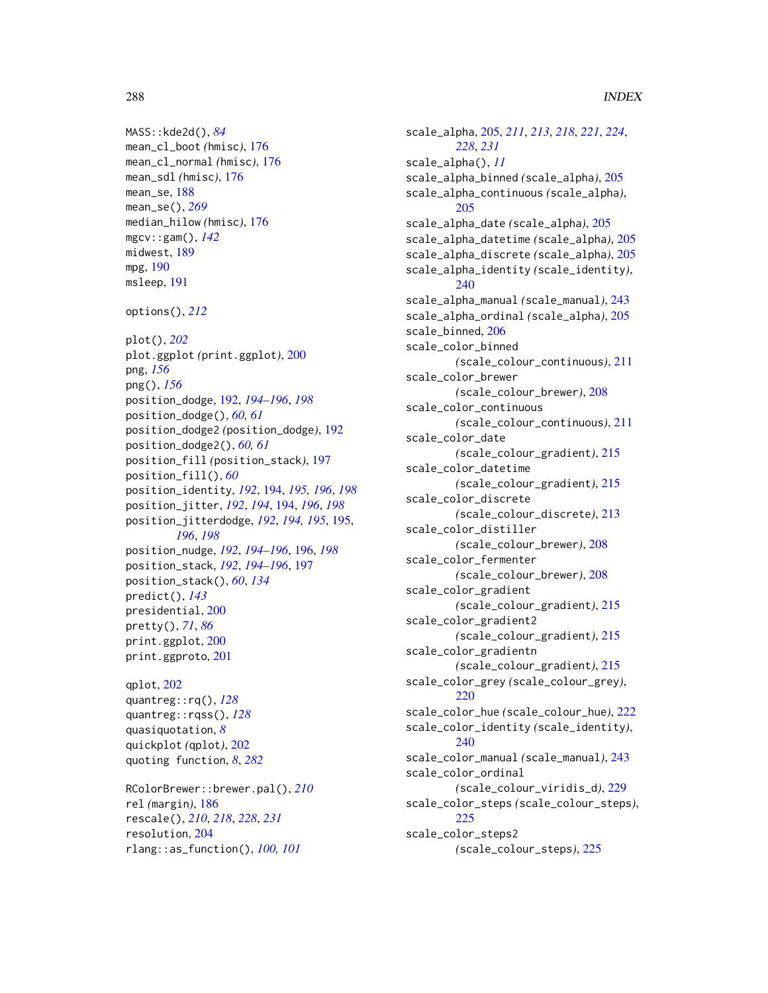### 288 INDEX

```
MASS::kde2d(), 84
mean_cl_boot (hmisc), 176
mean_cl_normal (hmisc), 176
mean_sdl (hmisc), 176
mean_se, 188
mean_se(), 269
median_hilow (hmisc), 176
mgcv::gam(), 142
midwest, 189
mpg, 190
msleep, 191
options(), 212
plot(), 202
plot.ggplot (print.ggplot), 200
png, 156
png(), 156
position_dodge, 192, 194–196, 198
position_dodge(), 60, 61
position_dodge2 (position_dodge), 192
position_dodge2(), 60, 61
position_fill (position_stack), 197
position_fill(), 60
position_identity, 192, 194, 195, 196, 198
position_jitter, 192, 194, 194, 196, 198
position_jitterdodge, 192, 194, 195, 195,
         196, 198
position_nudge, 192, 194–196, 196, 198
position_stack, 192, 194–196, 197
position_stack(), 60, 134
predict(), 143
presidential, 200
pretty(), 71, 86
print.ggplot, 200
print.ggproto, 201
qplot, 202
quantreg::rq(), 128
quantreg::rqss(), 128
quasiquotation, 8
quickplot (qplot), 202
quoting function, 8, 282
RColorBrewer::brewer.pal(), 210
rel (margin), 186
rescale(), 210, 218, 228, 231
```
resolution, [204](#page-203-0) rlang::as\_function(), *[100,](#page-99-0) [101](#page-100-0)*

scale\_alpha, [205,](#page-204-0) *[211](#page-210-0)*, *[213](#page-212-0)*, *[218](#page-217-0)*, *[221](#page-220-0)*, *[224](#page-223-0)*, *[228](#page-227-0)*, *[231](#page-230-0)* scale\_alpha(), *[11](#page-10-0)* scale\_alpha\_binned *(*scale\_alpha*)*, [205](#page-204-0) scale\_alpha\_continuous *(*scale\_alpha*)*, [205](#page-204-0) scale\_alpha\_date *(*scale\_alpha*)*, [205](#page-204-0) scale\_alpha\_datetime *(*scale\_alpha*)*, [205](#page-204-0) scale\_alpha\_discrete *(*scale\_alpha*)*, [205](#page-204-0) scale\_alpha\_identity *(*scale\_identity*)*, [240](#page-239-0) scale\_alpha\_manual *(*scale\_manual*)*, [243](#page-242-0) scale\_alpha\_ordinal *(*scale\_alpha*)*, [205](#page-204-0) scale\_binned, [206](#page-205-1) scale\_color\_binned *(*scale\_colour\_continuous*)*, [211](#page-210-0) scale\_color\_brewer *(*scale\_colour\_brewer*)*, [208](#page-207-0) scale\_color\_continuous *(*scale\_colour\_continuous*)*, [211](#page-210-0) scale\_color\_date *(*scale\_colour\_gradient*)*, [215](#page-214-0) scale\_color\_datetime *(*scale\_colour\_gradient*)*, [215](#page-214-0) scale\_color\_discrete *(*scale\_colour\_discrete*)*, [213](#page-212-0) scale\_color\_distiller *(*scale\_colour\_brewer*)*, [208](#page-207-0) scale\_color\_fermenter *(*scale\_colour\_brewer*)*, [208](#page-207-0) scale\_color\_gradient *(*scale\_colour\_gradient*)*, [215](#page-214-0) scale\_color\_gradient2 *(*scale\_colour\_gradient*)*, [215](#page-214-0) scale\_color\_gradientn *(*scale\_colour\_gradient*)*, [215](#page-214-0) scale\_color\_grey *(*scale\_colour\_grey*)*, [220](#page-219-0) scale\_color\_hue *(*scale\_colour\_hue*)*, [222](#page-221-0) scale\_color\_identity *(*scale\_identity*)*, [240](#page-239-0) scale\_color\_manual *(*scale\_manual*)*, [243](#page-242-0) scale\_color\_ordinal *(*scale\_colour\_viridis\_d*)*, [229](#page-228-0) scale\_color\_steps *(*scale\_colour\_steps*)*, [225](#page-224-0) scale\_color\_steps2 *(*scale\_colour\_steps*)*, [225](#page-224-0)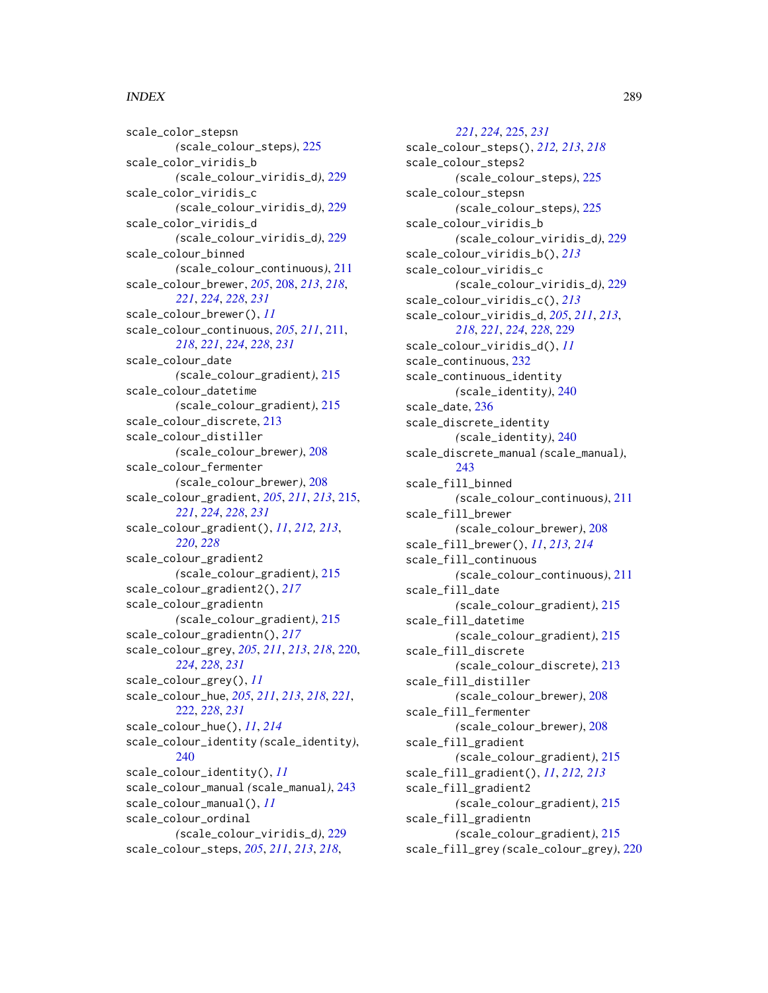## INDEX 289

scale\_color\_stepsn *(*scale\_colour\_steps*)*, [225](#page-224-0) scale\_color\_viridis\_b *(*scale\_colour\_viridis\_d*)*, [229](#page-228-0) scale\_color\_viridis\_c *(*scale\_colour\_viridis\_d*)*, [229](#page-228-0) scale\_color\_viridis\_d *(*scale\_colour\_viridis\_d*)*, [229](#page-228-0) scale\_colour\_binned *(*scale\_colour\_continuous*)*, [211](#page-210-0) scale\_colour\_brewer, *[205](#page-204-0)*, [208,](#page-207-0) *[213](#page-212-0)*, *[218](#page-217-0)*, *[221](#page-220-0)*, *[224](#page-223-0)*, *[228](#page-227-0)*, *[231](#page-230-0)* scale\_colour\_brewer(), *[11](#page-10-0)* scale\_colour\_continuous, *[205](#page-204-0)*, *[211](#page-210-0)*, [211,](#page-210-0) *[218](#page-217-0)*, *[221](#page-220-0)*, *[224](#page-223-0)*, *[228](#page-227-0)*, *[231](#page-230-0)* scale\_colour\_date *(*scale\_colour\_gradient*)*, [215](#page-214-0) scale\_colour\_datetime *(*scale\_colour\_gradient*)*, [215](#page-214-0) scale\_colour\_discrete, [213](#page-212-0) scale\_colour\_distiller *(*scale\_colour\_brewer*)*, [208](#page-207-0) scale\_colour\_fermenter *(*scale\_colour\_brewer*)*, [208](#page-207-0) scale\_colour\_gradient, *[205](#page-204-0)*, *[211](#page-210-0)*, *[213](#page-212-0)*, [215,](#page-214-0) *[221](#page-220-0)*, *[224](#page-223-0)*, *[228](#page-227-0)*, *[231](#page-230-0)* scale\_colour\_gradient(), *[11](#page-10-0)*, *[212,](#page-211-0) [213](#page-212-0)*, *[220](#page-219-0)*, *[228](#page-227-0)* scale\_colour\_gradient2 *(*scale\_colour\_gradient*)*, [215](#page-214-0) scale\_colour\_gradient2(), *[217](#page-216-0)* scale\_colour\_gradientn *(*scale\_colour\_gradient*)*, [215](#page-214-0) scale\_colour\_gradientn(), *[217](#page-216-0)* scale\_colour\_grey, *[205](#page-204-0)*, *[211](#page-210-0)*, *[213](#page-212-0)*, *[218](#page-217-0)*, [220,](#page-219-0) *[224](#page-223-0)*, *[228](#page-227-0)*, *[231](#page-230-0)* scale\_colour\_grey(), *[11](#page-10-0)* scale\_colour\_hue, *[205](#page-204-0)*, *[211](#page-210-0)*, *[213](#page-212-0)*, *[218](#page-217-0)*, *[221](#page-220-0)*, [222,](#page-221-0) *[228](#page-227-0)*, *[231](#page-230-0)* scale\_colour\_hue(), *[11](#page-10-0)*, *[214](#page-213-0)* scale\_colour\_identity *(*scale\_identity*)*, [240](#page-239-0) scale\_colour\_identity(), *[11](#page-10-0)* scale\_colour\_manual *(*scale\_manual*)*, [243](#page-242-0) scale\_colour\_manual(), *[11](#page-10-0)* scale\_colour\_ordinal *(*scale\_colour\_viridis\_d*)*, [229](#page-228-0) scale\_colour\_steps, *[205](#page-204-0)*, *[211](#page-210-0)*, *[213](#page-212-0)*, *[218](#page-217-0)*,

*[221](#page-220-0)*, *[224](#page-223-0)*, [225,](#page-224-0) *[231](#page-230-0)* scale\_colour\_steps(), *[212,](#page-211-0) [213](#page-212-0)*, *[218](#page-217-0)* scale\_colour\_steps2 *(*scale\_colour\_steps*)*, [225](#page-224-0) scale\_colour\_stepsn *(*scale\_colour\_steps*)*, [225](#page-224-0) scale\_colour\_viridis\_b *(*scale\_colour\_viridis\_d*)*, [229](#page-228-0) scale\_colour\_viridis\_b(), *[213](#page-212-0)* scale\_colour\_viridis\_c *(*scale\_colour\_viridis\_d*)*, [229](#page-228-0) scale\_colour\_viridis\_c(), *[213](#page-212-0)* scale\_colour\_viridis\_d, *[205](#page-204-0)*, *[211](#page-210-0)*, *[213](#page-212-0)*, *[218](#page-217-0)*, *[221](#page-220-0)*, *[224](#page-223-0)*, *[228](#page-227-0)*, [229](#page-228-0) scale\_colour\_viridis\_d(), *[11](#page-10-0)* scale\_continuous, [232](#page-231-0) scale\_continuous\_identity *(*scale\_identity*)*, [240](#page-239-0) scale\_date, [236](#page-235-0) scale\_discrete\_identity *(*scale\_identity*)*, [240](#page-239-0) scale\_discrete\_manual *(*scale\_manual*)*, [243](#page-242-0) scale\_fill\_binned *(*scale\_colour\_continuous*)*, [211](#page-210-0) scale\_fill\_brewer *(*scale\_colour\_brewer*)*, [208](#page-207-0) scale\_fill\_brewer(), *[11](#page-10-0)*, *[213,](#page-212-0) [214](#page-213-0)* scale\_fill\_continuous *(*scale\_colour\_continuous*)*, [211](#page-210-0) scale\_fill\_date *(*scale\_colour\_gradient*)*, [215](#page-214-0) scale\_fill\_datetime *(*scale\_colour\_gradient*)*, [215](#page-214-0) scale\_fill\_discrete *(*scale\_colour\_discrete*)*, [213](#page-212-0) scale\_fill\_distiller *(*scale\_colour\_brewer*)*, [208](#page-207-0) scale\_fill\_fermenter *(*scale\_colour\_brewer*)*, [208](#page-207-0) scale\_fill\_gradient *(*scale\_colour\_gradient*)*, [215](#page-214-0) scale\_fill\_gradient(), *[11](#page-10-0)*, *[212,](#page-211-0) [213](#page-212-0)* scale\_fill\_gradient2 *(*scale\_colour\_gradient*)*, [215](#page-214-0) scale\_fill\_gradientn *(*scale\_colour\_gradient*)*, [215](#page-214-0) scale\_fill\_grey *(*scale\_colour\_grey*)*, [220](#page-219-0)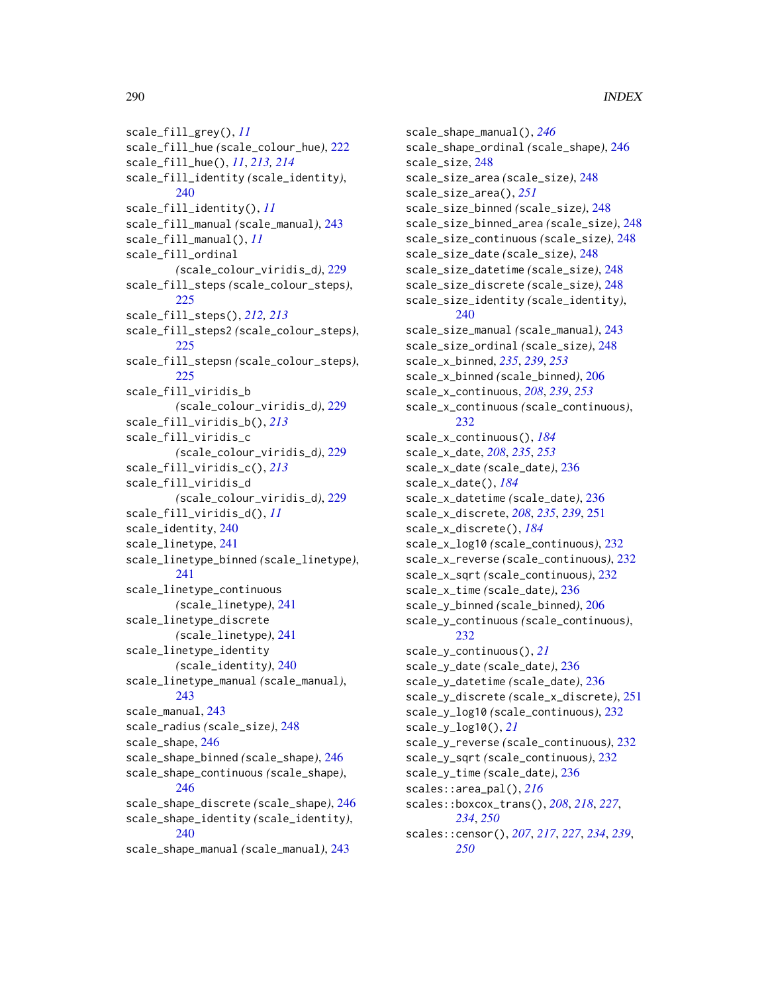scale\_fill\_grey(), *[11](#page-10-0)* scale\_fill\_hue *(*scale\_colour\_hue*)*, [222](#page-221-0) scale\_fill\_hue(), *[11](#page-10-0)*, *[213,](#page-212-0) [214](#page-213-0)* scale\_fill\_identity *(*scale\_identity*)*, [240](#page-239-0) scale\_fill\_identity(), *[11](#page-10-0)* scale\_fill\_manual *(*scale\_manual*)*, [243](#page-242-0) scale\_fill\_manual(), *[11](#page-10-0)* scale\_fill\_ordinal *(*scale\_colour\_viridis\_d*)*, [229](#page-228-0) scale\_fill\_steps *(*scale\_colour\_steps*)*, [225](#page-224-0) scale\_fill\_steps(), *[212,](#page-211-0) [213](#page-212-0)* scale\_fill\_steps2 *(*scale\_colour\_steps*)*, [225](#page-224-0) scale\_fill\_stepsn *(*scale\_colour\_steps*)*, [225](#page-224-0) scale\_fill\_viridis\_b *(*scale\_colour\_viridis\_d*)*, [229](#page-228-0) scale\_fill\_viridis\_b(), *[213](#page-212-0)* scale\_fill\_viridis\_c *(*scale\_colour\_viridis\_d*)*, [229](#page-228-0) scale\_fill\_viridis\_c(), *[213](#page-212-0)* scale\_fill\_viridis\_d *(*scale\_colour\_viridis\_d*)*, [229](#page-228-0) scale\_fill\_viridis\_d(), *[11](#page-10-0)* scale\_identity, [240](#page-239-0) scale\_linetype, [241](#page-240-0) scale\_linetype\_binned *(*scale\_linetype*)*, [241](#page-240-0) scale\_linetype\_continuous *(*scale\_linetype*)*, [241](#page-240-0) scale\_linetype\_discrete *(*scale\_linetype*)*, [241](#page-240-0) scale\_linetype\_identity *(*scale\_identity*)*, [240](#page-239-0) scale\_linetype\_manual *(*scale\_manual*)*, [243](#page-242-0) scale\_manual, [243](#page-242-0) scale\_radius *(*scale\_size*)*, [248](#page-247-0) scale\_shape, [246](#page-245-0) scale\_shape\_binned *(*scale\_shape*)*, [246](#page-245-0) scale\_shape\_continuous *(*scale\_shape*)*, [246](#page-245-0) scale\_shape\_discrete *(*scale\_shape*)*, [246](#page-245-0) scale\_shape\_identity *(*scale\_identity*)*, [240](#page-239-0) scale\_shape\_manual *(*scale\_manual*)*, [243](#page-242-0)

scale\_shape\_manual(), *[246](#page-245-0)* scale\_shape\_ordinal *(*scale\_shape*)*, [246](#page-245-0) scale\_size, [248](#page-247-0) scale\_size\_area *(*scale\_size*)*, [248](#page-247-0) scale\_size\_area(), *[251](#page-250-0)* scale\_size\_binned *(*scale\_size*)*, [248](#page-247-0) scale\_size\_binned\_area *(*scale\_size*)*, [248](#page-247-0) scale\_size\_continuous *(*scale\_size*)*, [248](#page-247-0) scale\_size\_date *(*scale\_size*)*, [248](#page-247-0) scale\_size\_datetime *(*scale\_size*)*, [248](#page-247-0) scale\_size\_discrete *(*scale\_size*)*, [248](#page-247-0) scale\_size\_identity *(*scale\_identity*)*, [240](#page-239-0) scale\_size\_manual *(*scale\_manual*)*, [243](#page-242-0) scale\_size\_ordinal *(*scale\_size*)*, [248](#page-247-0) scale\_x\_binned, *[235](#page-234-0)*, *[239](#page-238-0)*, *[253](#page-252-0)* scale\_x\_binned *(*scale\_binned*)*, [206](#page-205-0) scale\_x\_continuous, *[208](#page-207-0)*, *[239](#page-238-0)*, *[253](#page-252-0)* scale\_x\_continuous *(*scale\_continuous*)*, [232](#page-231-0) scale\_x\_continuous(), *[184](#page-183-0)* scale\_x\_date, *[208](#page-207-0)*, *[235](#page-234-0)*, *[253](#page-252-0)* scale\_x\_date *(*scale\_date*)*, [236](#page-235-0) scale\_x\_date(), *[184](#page-183-0)* scale\_x\_datetime *(*scale\_date*)*, [236](#page-235-0) scale\_x\_discrete, *[208](#page-207-0)*, *[235](#page-234-0)*, *[239](#page-238-0)*, [251](#page-250-0) scale\_x\_discrete(), *[184](#page-183-0)* scale\_x\_log10 *(*scale\_continuous*)*, [232](#page-231-0) scale\_x\_reverse *(*scale\_continuous*)*, [232](#page-231-0) scale\_x\_sqrt *(*scale\_continuous*)*, [232](#page-231-0) scale\_x\_time *(*scale\_date*)*, [236](#page-235-0) scale\_y\_binned *(*scale\_binned*)*, [206](#page-205-0) scale\_y\_continuous *(*scale\_continuous*)*, [232](#page-231-0) scale\_y\_continuous(), *[21](#page-20-0)* scale\_y\_date *(*scale\_date*)*, [236](#page-235-0) scale\_y\_datetime *(*scale\_date*)*, [236](#page-235-0) scale\_y\_discrete *(*scale\_x\_discrete*)*, [251](#page-250-0) scale\_y\_log10 *(*scale\_continuous*)*, [232](#page-231-0) scale\_y\_log10(), *[21](#page-20-0)* scale\_y\_reverse *(*scale\_continuous*)*, [232](#page-231-0) scale\_y\_sqrt *(*scale\_continuous*)*, [232](#page-231-0) scale\_y\_time *(*scale\_date*)*, [236](#page-235-0) scales::area\_pal(), *[216](#page-215-0)* scales::boxcox\_trans(), *[208](#page-207-0)*, *[218](#page-217-0)*, *[227](#page-226-0)*, *[234](#page-233-0)*, *[250](#page-249-0)* scales::censor(), *[207](#page-206-0)*, *[217](#page-216-0)*, *[227](#page-226-0)*, *[234](#page-233-0)*, *[239](#page-238-0)*, *[250](#page-249-0)*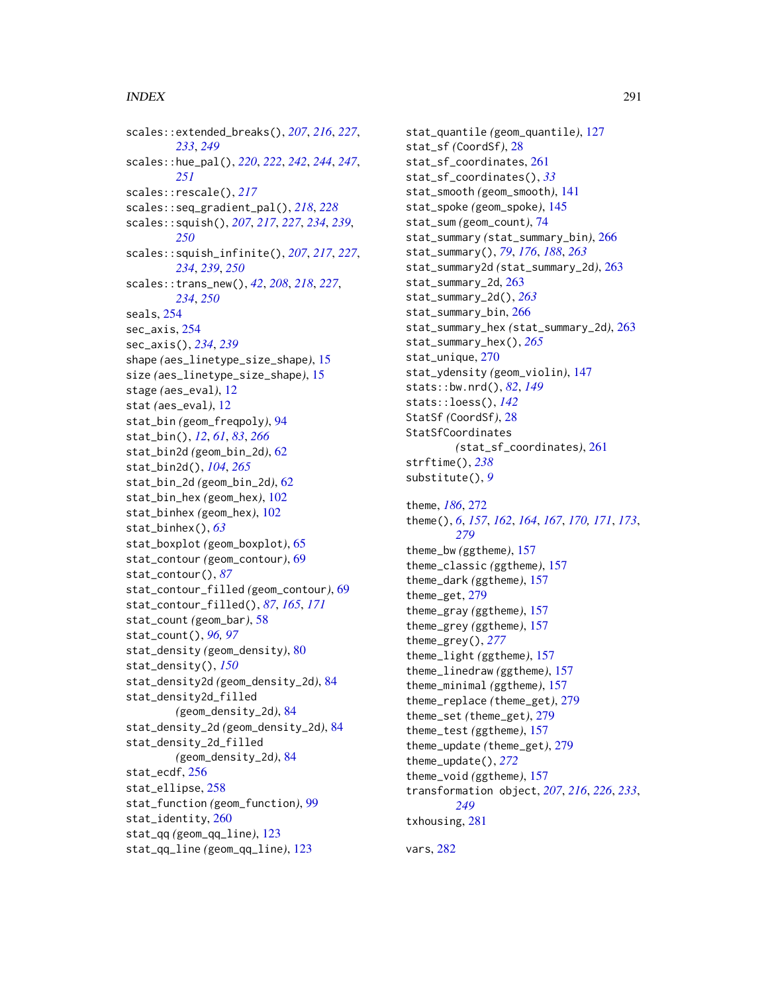## $I$ NDEX 291

scales::extended\_breaks(), *[207](#page-206-0)*, *[216](#page-215-0)*, *[227](#page-226-0)*, *[233](#page-232-0)*, *[249](#page-248-0)* scales::hue\_pal(), *[220](#page-219-0)*, *[222](#page-221-0)*, *[242](#page-241-0)*, *[244](#page-243-0)*, *[247](#page-246-0)*, *[251](#page-250-0)* scales::rescale(), *[217](#page-216-0)* scales::seq\_gradient\_pal(), *[218](#page-217-0)*, *[228](#page-227-0)* scales::squish(), *[207](#page-206-0)*, *[217](#page-216-0)*, *[227](#page-226-0)*, *[234](#page-233-0)*, *[239](#page-238-0)*, *[250](#page-249-0)* scales::squish\_infinite(), *[207](#page-206-0)*, *[217](#page-216-0)*, *[227](#page-226-0)*, *[234](#page-233-0)*, *[239](#page-238-0)*, *[250](#page-249-0)* scales::trans\_new(), *[42](#page-41-0)*, *[208](#page-207-0)*, *[218](#page-217-0)*, *[227](#page-226-0)*, *[234](#page-233-0)*, *[250](#page-249-0)* seals, [254](#page-253-0) sec\_axis, [254](#page-253-0) sec\_axis(), *[234](#page-233-0)*, *[239](#page-238-0)* shape *(*aes\_linetype\_size\_shape*)*, [15](#page-14-0) size *(*aes\_linetype\_size\_shape*)*, [15](#page-14-0) stage *(*aes\_eval*)*, [12](#page-11-0) stat *(*aes\_eval*)*, [12](#page-11-0) stat\_bin *(*geom\_freqpoly*)*, [94](#page-93-0) stat\_bin(), *[12](#page-11-0)*, *[61](#page-60-0)*, *[83](#page-82-0)*, *[266](#page-265-0)* stat\_bin2d *(*geom\_bin\_2d*)*, [62](#page-61-0) stat\_bin2d(), *[104](#page-103-0)*, *[265](#page-264-0)* stat\_bin\_2d *(*geom\_bin\_2d*)*, [62](#page-61-0) stat\_bin\_hex *(*geom\_hex*)*, [102](#page-101-0) stat\_binhex *(*geom\_hex*)*, [102](#page-101-0) stat\_binhex(), *[63](#page-62-0)* stat\_boxplot *(*geom\_boxplot*)*, [65](#page-64-0) stat\_contour *(*geom\_contour*)*, [69](#page-68-0) stat\_contour(), *[87](#page-86-0)* stat\_contour\_filled *(*geom\_contour*)*, [69](#page-68-0) stat\_contour\_filled(), *[87](#page-86-0)*, *[165](#page-164-0)*, *[171](#page-170-0)* stat\_count *(*geom\_bar*)*, [58](#page-57-0) stat\_count(), *[96,](#page-95-0) [97](#page-96-0)* stat\_density *(*geom\_density*)*, [80](#page-79-0) stat\_density(), *[150](#page-149-0)* stat\_density2d *(*geom\_density\_2d*)*, [84](#page-83-0) stat\_density2d\_filled *(*geom\_density\_2d*)*, [84](#page-83-0) stat\_density\_2d *(*geom\_density\_2d*)*, [84](#page-83-0) stat\_density\_2d\_filled *(*geom\_density\_2d*)*, [84](#page-83-0) stat\_ecdf, [256](#page-255-0) stat\_ellipse, [258](#page-257-0) stat\_function *(*geom\_function*)*, [99](#page-98-0) stat\_identity, [260](#page-259-0) stat\_qq *(*geom\_qq\_line*)*, [123](#page-122-0) stat\_qq\_line *(*geom\_qq\_line*)*, [123](#page-122-0)

stat\_quantile *(*geom\_quantile*)*, [127](#page-126-0) stat\_sf *(*CoordSf*)*, [28](#page-27-0) stat\_sf\_coordinates, [261](#page-260-0) stat\_sf\_coordinates(), *[33](#page-32-0)* stat\_smooth *(*geom\_smooth*)*, [141](#page-140-0) stat\_spoke *(*geom\_spoke*)*, [145](#page-144-0) stat\_sum *(*geom\_count*)*, [74](#page-73-0) stat\_summary *(*stat\_summary\_bin*)*, [266](#page-265-0) stat\_summary(), *[79](#page-78-0)*, *[176](#page-175-0)*, *[188](#page-187-0)*, *[263](#page-262-0)* stat\_summary2d *(*stat\_summary\_2d*)*, [263](#page-262-0) stat\_summary\_2d, [263](#page-262-0) stat\_summary\_2d(), *[263](#page-262-0)* stat\_summary\_bin, [266](#page-265-0) stat\_summary\_hex *(*stat\_summary\_2d*)*, [263](#page-262-0) stat\_summary\_hex(), *[265](#page-264-0)* stat\_unique, [270](#page-269-0) stat\_ydensity *(*geom\_violin*)*, [147](#page-146-0) stats::bw.nrd(), *[82](#page-81-0)*, *[149](#page-148-0)* stats::loess(), *[142](#page-141-0)* StatSf *(*CoordSf*)*, [28](#page-27-0) StatSfCoordinates *(*stat\_sf\_coordinates*)*, [261](#page-260-0) strftime(), *[238](#page-237-0)* substitute(), *[9](#page-8-0)* theme, *[186](#page-185-0)*, [272](#page-271-0) theme(), *[6](#page-5-0)*, *[157](#page-156-0)*, *[162](#page-161-0)*, *[164](#page-163-0)*, *[167](#page-166-0)*, *[170,](#page-169-0) [171](#page-170-0)*, *[173](#page-172-0)*, *[279](#page-278-0)* theme\_bw *(*ggtheme*)*, [157](#page-156-0) theme\_classic *(*ggtheme*)*, [157](#page-156-0) theme\_dark *(*ggtheme*)*, [157](#page-156-0) theme\_get, [279](#page-278-0) theme\_gray *(*ggtheme*)*, [157](#page-156-0) theme\_grey *(*ggtheme*)*, [157](#page-156-0) theme\_grey(), *[277](#page-276-0)* theme\_light *(*ggtheme*)*, [157](#page-156-0) theme\_linedraw *(*ggtheme*)*, [157](#page-156-0) theme\_minimal *(*ggtheme*)*, [157](#page-156-0) theme\_replace *(*theme\_get*)*, [279](#page-278-0) theme\_set *(*theme\_get*)*, [279](#page-278-0) theme\_test *(*ggtheme*)*, [157](#page-156-0) theme\_update *(*theme\_get*)*, [279](#page-278-0) theme\_update(), *[272](#page-271-0)* theme\_void *(*ggtheme*)*, [157](#page-156-0) transformation object, *[207](#page-206-0)*, *[216](#page-215-0)*, *[226](#page-225-0)*, *[233](#page-232-0)*, *[249](#page-248-0)* txhousing, [281](#page-280-0)

vars, [282](#page-281-0)